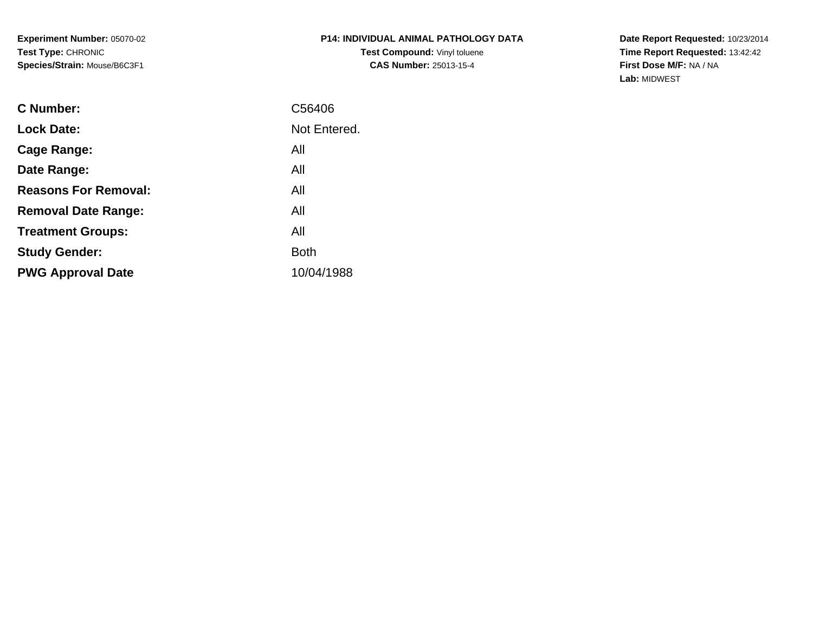**Experiment Number:** 05070-02**Test Type:** CHRONIC**Species/Strain:** Mouse/B6C3F1

## **P14: INDIVIDUAL ANIMAL PATHOLOGY DATATest Compound: Vinyl toluene CAS Number:** 25013-15-4

**Date Report Requested:** 10/23/2014 **Time Report Requested:** 13:42:42**First Dose M/F:** NA / NA**Lab:** MIDWEST

| <b>C</b> Number:            | C56406       |
|-----------------------------|--------------|
| <b>Lock Date:</b>           | Not Entered. |
| Cage Range:                 | All          |
| Date Range:                 | All          |
| <b>Reasons For Removal:</b> | All          |
| <b>Removal Date Range:</b>  | All          |
| <b>Treatment Groups:</b>    | All          |
| <b>Study Gender:</b>        | <b>Both</b>  |
| <b>PWG Approval Date</b>    | 10/04/1988   |
|                             |              |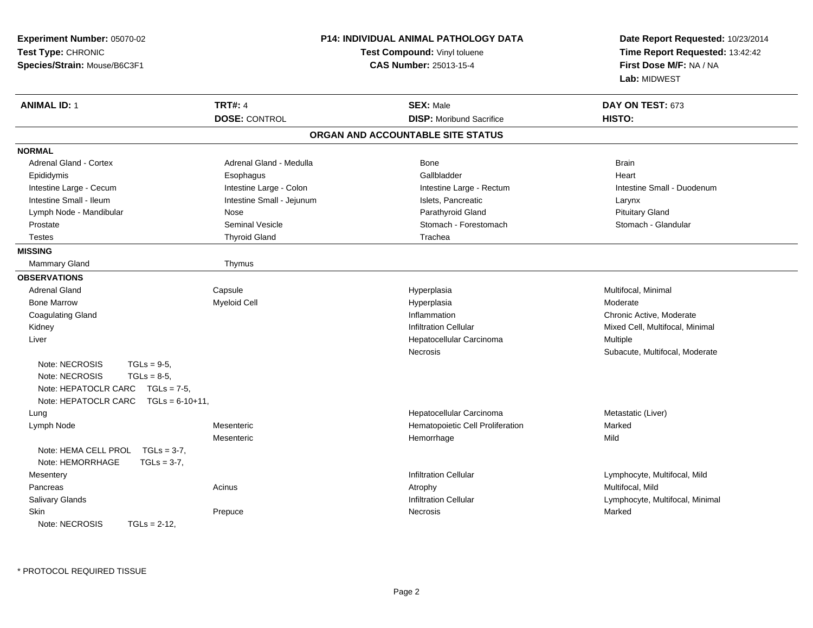| Experiment Number: 05070-02<br>Test Type: CHRONIC<br>Species/Strain: Mouse/B6C3F1                                                                          |                           | P14: INDIVIDUAL ANIMAL PATHOLOGY DATA<br>Test Compound: Vinyl toluene<br><b>CAS Number: 25013-15-4</b> | Date Report Requested: 10/23/2014<br>Time Report Requested: 13:42:42<br>First Dose M/F: NA / NA<br>Lab: MIDWEST |  |
|------------------------------------------------------------------------------------------------------------------------------------------------------------|---------------------------|--------------------------------------------------------------------------------------------------------|-----------------------------------------------------------------------------------------------------------------|--|
| <b>ANIMAL ID: 1</b>                                                                                                                                        | <b>TRT#: 4</b>            | <b>SEX: Male</b>                                                                                       | DAY ON TEST: 673                                                                                                |  |
|                                                                                                                                                            | <b>DOSE: CONTROL</b>      | <b>DISP:</b> Moribund Sacrifice                                                                        | HISTO:                                                                                                          |  |
|                                                                                                                                                            |                           | ORGAN AND ACCOUNTABLE SITE STATUS                                                                      |                                                                                                                 |  |
| <b>NORMAL</b>                                                                                                                                              |                           |                                                                                                        |                                                                                                                 |  |
| <b>Adrenal Gland - Cortex</b>                                                                                                                              | Adrenal Gland - Medulla   | Bone                                                                                                   | <b>Brain</b>                                                                                                    |  |
| Epididymis                                                                                                                                                 | Esophagus                 | Gallbladder                                                                                            | Heart                                                                                                           |  |
| Intestine Large - Cecum                                                                                                                                    | Intestine Large - Colon   | Intestine Large - Rectum                                                                               | Intestine Small - Duodenum                                                                                      |  |
| Intestine Small - Ileum                                                                                                                                    | Intestine Small - Jejunum | Islets, Pancreatic                                                                                     | Larynx                                                                                                          |  |
| Lymph Node - Mandibular                                                                                                                                    | Nose                      | Parathyroid Gland                                                                                      | <b>Pituitary Gland</b>                                                                                          |  |
| Prostate                                                                                                                                                   | <b>Seminal Vesicle</b>    | Stomach - Forestomach                                                                                  | Stomach - Glandular                                                                                             |  |
| Testes                                                                                                                                                     | <b>Thyroid Gland</b>      | Trachea                                                                                                |                                                                                                                 |  |
| <b>MISSING</b>                                                                                                                                             |                           |                                                                                                        |                                                                                                                 |  |
| <b>Mammary Gland</b>                                                                                                                                       | Thymus                    |                                                                                                        |                                                                                                                 |  |
| <b>OBSERVATIONS</b>                                                                                                                                        |                           |                                                                                                        |                                                                                                                 |  |
| <b>Adrenal Gland</b>                                                                                                                                       | Capsule                   | Hyperplasia                                                                                            | Multifocal, Minimal                                                                                             |  |
| <b>Bone Marrow</b>                                                                                                                                         | <b>Myeloid Cell</b>       | Hyperplasia                                                                                            | Moderate                                                                                                        |  |
| <b>Coagulating Gland</b>                                                                                                                                   |                           | Inflammation                                                                                           | Chronic Active, Moderate                                                                                        |  |
| Kidney                                                                                                                                                     |                           | <b>Infiltration Cellular</b>                                                                           | Mixed Cell, Multifocal, Minimal                                                                                 |  |
| Liver                                                                                                                                                      |                           | Hepatocellular Carcinoma                                                                               | Multiple                                                                                                        |  |
|                                                                                                                                                            |                           | Necrosis                                                                                               | Subacute, Multifocal, Moderate                                                                                  |  |
| Note: NECROSIS<br>$TGLs = 9-5$<br>Note: NECROSIS<br>$TGLs = 8-5$ ,<br>Note: HEPATOCLR CARC<br>$TGLs = 7-5$ ,<br>Note: HEPATOCLR CARC<br>$TGLs = 6-10+11$ , |                           |                                                                                                        |                                                                                                                 |  |
| Lung                                                                                                                                                       |                           | Hepatocellular Carcinoma                                                                               | Metastatic (Liver)                                                                                              |  |
| Lymph Node                                                                                                                                                 | Mesenteric                | Hematopoietic Cell Proliferation                                                                       | Marked                                                                                                          |  |
|                                                                                                                                                            | Mesenteric                | Hemorrhage                                                                                             | Mild                                                                                                            |  |
| Note: HEMA CELL PROL TGLs = 3-7,<br>Note: HEMORRHAGE<br>$TGLs = 3-7$ ,                                                                                     |                           |                                                                                                        |                                                                                                                 |  |
| Mesentery                                                                                                                                                  |                           | <b>Infiltration Cellular</b>                                                                           | Lymphocyte, Multifocal, Mild                                                                                    |  |
| Pancreas                                                                                                                                                   | Acinus                    | Atrophy                                                                                                | Multifocal, Mild                                                                                                |  |
| Salivary Glands                                                                                                                                            |                           | <b>Infiltration Cellular</b>                                                                           | Lymphocyte, Multifocal, Minimal                                                                                 |  |
| Skin                                                                                                                                                       | Prepuce                   | Necrosis                                                                                               | Marked                                                                                                          |  |
| Note: NECROSIS<br>$TGLs = 2-12$                                                                                                                            |                           |                                                                                                        |                                                                                                                 |  |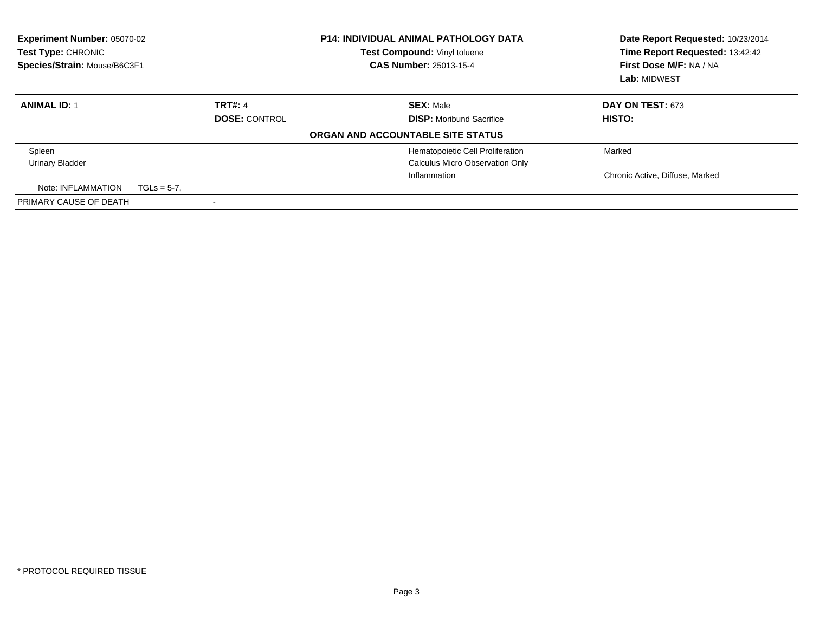| <b>P14: INDIVIDUAL ANIMAL PATHOLOGY DATA</b><br><b>Experiment Number: 05070-02</b><br>Test Type: CHRONIC<br>Test Compound: Vinyl toluene<br>Species/Strain: Mouse/B6C3F1<br><b>CAS Number: 25013-15-4</b> |                      | Date Report Requested: 10/23/2014<br>Time Report Requested: 13:42:42<br>First Dose M/F: NA / NA<br>Lab: MIDWEST |                                 |
|-----------------------------------------------------------------------------------------------------------------------------------------------------------------------------------------------------------|----------------------|-----------------------------------------------------------------------------------------------------------------|---------------------------------|
| <b>ANIMAL ID: 1</b>                                                                                                                                                                                       | <b>TRT#: 4</b>       | <b>SEX: Male</b>                                                                                                | <b>DAY ON TEST: 673</b>         |
|                                                                                                                                                                                                           | <b>DOSE: CONTROL</b> | <b>DISP:</b> Moribund Sacrifice                                                                                 | HISTO:                          |
|                                                                                                                                                                                                           |                      | ORGAN AND ACCOUNTABLE SITE STATUS                                                                               |                                 |
| Spleen                                                                                                                                                                                                    |                      | Hematopoietic Cell Proliferation                                                                                | Marked                          |
| <b>Urinary Bladder</b>                                                                                                                                                                                    |                      | <b>Calculus Micro Observation Only</b>                                                                          |                                 |
|                                                                                                                                                                                                           |                      | Inflammation                                                                                                    | Chronic Active, Diffuse, Marked |
| Note: INFLAMMATION<br>$TGLs = 5-7.$                                                                                                                                                                       |                      |                                                                                                                 |                                 |
| PRIMARY CAUSE OF DEATH                                                                                                                                                                                    |                      |                                                                                                                 |                                 |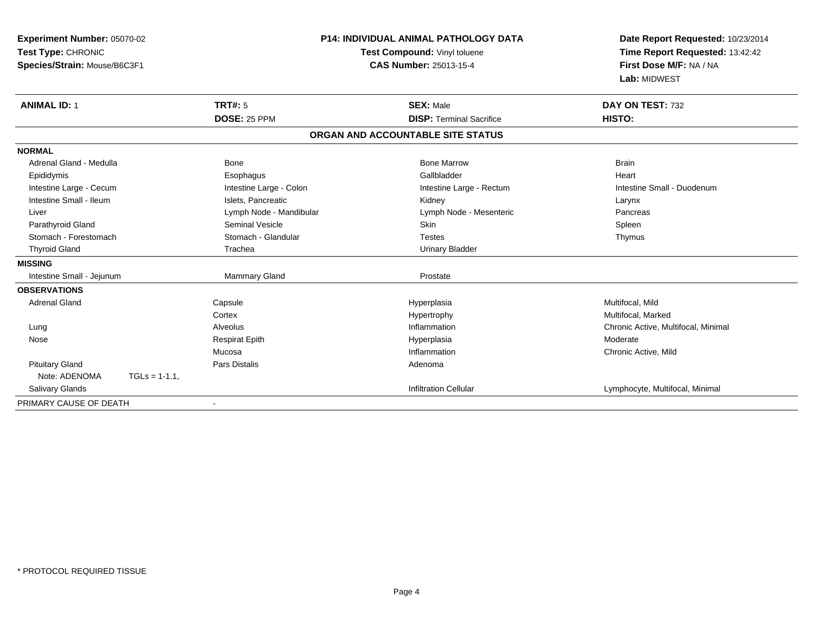| <b>Experiment Number: 05070-02</b><br>Test Type: CHRONIC<br>Species/Strain: Mouse/B6C3F1 | <b>P14: INDIVIDUAL ANIMAL PATHOLOGY DATA</b><br>Test Compound: Vinyl toluene<br><b>CAS Number: 25013-15-4</b> |                                                     | Date Report Requested: 10/23/2014<br>Time Report Requested: 13:42:42<br>First Dose M/F: NA / NA<br>Lab: MIDWEST |
|------------------------------------------------------------------------------------------|---------------------------------------------------------------------------------------------------------------|-----------------------------------------------------|-----------------------------------------------------------------------------------------------------------------|
| <b>ANIMAL ID: 1</b>                                                                      | <b>TRT#: 5</b><br>DOSE: 25 PPM                                                                                | <b>SEX: Male</b><br><b>DISP: Terminal Sacrifice</b> | DAY ON TEST: 732<br>HISTO:                                                                                      |
|                                                                                          |                                                                                                               |                                                     |                                                                                                                 |
|                                                                                          |                                                                                                               | ORGAN AND ACCOUNTABLE SITE STATUS                   |                                                                                                                 |
| <b>NORMAL</b>                                                                            |                                                                                                               |                                                     |                                                                                                                 |
| Adrenal Gland - Medulla                                                                  | Bone                                                                                                          | <b>Bone Marrow</b>                                  | <b>Brain</b>                                                                                                    |
| Epididymis                                                                               | Esophagus                                                                                                     | Gallbladder                                         | Heart                                                                                                           |
| Intestine Large - Cecum                                                                  | Intestine Large - Colon                                                                                       | Intestine Large - Rectum                            | Intestine Small - Duodenum                                                                                      |
| Intestine Small - Ileum                                                                  | Islets. Pancreatic                                                                                            | Kidney                                              | Larynx                                                                                                          |
| Liver                                                                                    | Lymph Node - Mandibular                                                                                       | Lymph Node - Mesenteric                             | Pancreas                                                                                                        |
| Parathyroid Gland                                                                        | Seminal Vesicle                                                                                               | Skin                                                | Spleen                                                                                                          |
| Stomach - Forestomach                                                                    | Stomach - Glandular                                                                                           | <b>Testes</b>                                       | Thymus                                                                                                          |
| <b>Thyroid Gland</b>                                                                     | Trachea                                                                                                       | <b>Urinary Bladder</b>                              |                                                                                                                 |
| <b>MISSING</b>                                                                           |                                                                                                               |                                                     |                                                                                                                 |
| Intestine Small - Jejunum                                                                | Mammary Gland                                                                                                 | Prostate                                            |                                                                                                                 |
| <b>OBSERVATIONS</b>                                                                      |                                                                                                               |                                                     |                                                                                                                 |
| <b>Adrenal Gland</b>                                                                     | Capsule                                                                                                       | Hyperplasia                                         | Multifocal, Mild                                                                                                |
|                                                                                          | Cortex                                                                                                        | Hypertrophy                                         | Multifocal, Marked                                                                                              |
| Lung                                                                                     | Alveolus                                                                                                      | Inflammation                                        | Chronic Active, Multifocal, Minimal                                                                             |
| Nose                                                                                     | <b>Respirat Epith</b>                                                                                         | Hyperplasia                                         | Moderate                                                                                                        |
|                                                                                          | Mucosa                                                                                                        | Inflammation                                        | Chronic Active, Mild                                                                                            |
| <b>Pituitary Gland</b>                                                                   | <b>Pars Distalis</b>                                                                                          | Adenoma                                             |                                                                                                                 |
| Note: ADENOMA<br>$TGLs = 1-1.1$ ,                                                        |                                                                                                               |                                                     |                                                                                                                 |
| Salivary Glands                                                                          |                                                                                                               | <b>Infiltration Cellular</b>                        | Lymphocyte, Multifocal, Minimal                                                                                 |
| PRIMARY CAUSE OF DEATH                                                                   |                                                                                                               |                                                     |                                                                                                                 |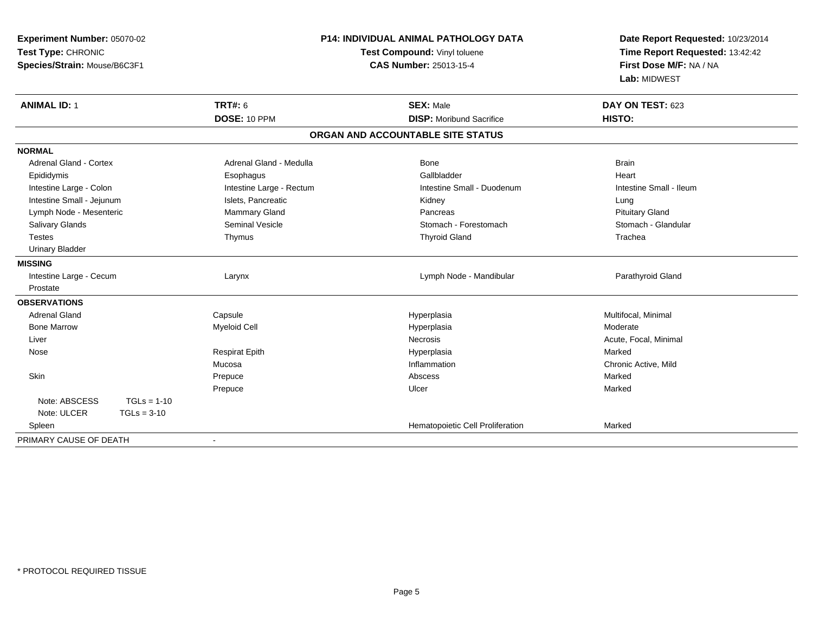| Experiment Number: 05070-02<br>Test Type: CHRONIC<br>Species/Strain: Mouse/B6C3F1 | <b>P14: INDIVIDUAL ANIMAL PATHOLOGY DATA</b><br>Test Compound: Vinyl toluene<br><b>CAS Number: 25013-15-4</b> |                                   | Date Report Requested: 10/23/2014<br>Time Report Requested: 13:42:42<br>First Dose M/F: NA / NA<br>Lab: MIDWEST |
|-----------------------------------------------------------------------------------|---------------------------------------------------------------------------------------------------------------|-----------------------------------|-----------------------------------------------------------------------------------------------------------------|
| <b>ANIMAL ID: 1</b>                                                               | <b>TRT#: 6</b>                                                                                                | <b>SEX: Male</b>                  | DAY ON TEST: 623                                                                                                |
|                                                                                   | DOSE: 10 PPM                                                                                                  | <b>DISP:</b> Moribund Sacrifice   | HISTO:                                                                                                          |
|                                                                                   |                                                                                                               | ORGAN AND ACCOUNTABLE SITE STATUS |                                                                                                                 |
| <b>NORMAL</b>                                                                     |                                                                                                               |                                   |                                                                                                                 |
| <b>Adrenal Gland - Cortex</b>                                                     | Adrenal Gland - Medulla                                                                                       | <b>Bone</b>                       | <b>Brain</b>                                                                                                    |
| Epididymis                                                                        | Esophagus                                                                                                     | Gallbladder                       | Heart                                                                                                           |
| Intestine Large - Colon                                                           | Intestine Large - Rectum                                                                                      | Intestine Small - Duodenum        | Intestine Small - Ileum                                                                                         |
| Intestine Small - Jejunum                                                         | Islets, Pancreatic                                                                                            | Kidney                            | Lung                                                                                                            |
| Lymph Node - Mesenteric                                                           | Mammary Gland                                                                                                 | Pancreas                          | <b>Pituitary Gland</b>                                                                                          |
| Salivary Glands                                                                   | <b>Seminal Vesicle</b>                                                                                        | Stomach - Forestomach             | Stomach - Glandular                                                                                             |
| <b>Testes</b>                                                                     | Thymus                                                                                                        | <b>Thyroid Gland</b>              | Trachea                                                                                                         |
| <b>Urinary Bladder</b>                                                            |                                                                                                               |                                   |                                                                                                                 |
| <b>MISSING</b>                                                                    |                                                                                                               |                                   |                                                                                                                 |
| Intestine Large - Cecum                                                           | Larynx                                                                                                        | Lymph Node - Mandibular           | Parathyroid Gland                                                                                               |
| Prostate                                                                          |                                                                                                               |                                   |                                                                                                                 |
| <b>OBSERVATIONS</b>                                                               |                                                                                                               |                                   |                                                                                                                 |
| <b>Adrenal Gland</b>                                                              | Capsule                                                                                                       | Hyperplasia                       | Multifocal, Minimal                                                                                             |
| <b>Bone Marrow</b>                                                                | <b>Myeloid Cell</b>                                                                                           | Hyperplasia                       | Moderate                                                                                                        |
| Liver                                                                             |                                                                                                               | <b>Necrosis</b>                   | Acute, Focal, Minimal                                                                                           |
| Nose                                                                              | <b>Respirat Epith</b>                                                                                         | Hyperplasia                       | Marked                                                                                                          |
|                                                                                   | Mucosa                                                                                                        | Inflammation                      | Chronic Active, Mild                                                                                            |
| <b>Skin</b>                                                                       | Prepuce                                                                                                       | Abscess                           | Marked                                                                                                          |
|                                                                                   | Prepuce                                                                                                       | Ulcer                             | Marked                                                                                                          |
| Note: ABSCESS<br>$TGLs = 1-10$                                                    |                                                                                                               |                                   |                                                                                                                 |
| Note: ULCER<br>$TGLs = 3-10$                                                      |                                                                                                               |                                   |                                                                                                                 |
| Spleen                                                                            |                                                                                                               | Hematopoietic Cell Proliferation  | Marked                                                                                                          |
| PRIMARY CAUSE OF DEATH                                                            |                                                                                                               |                                   |                                                                                                                 |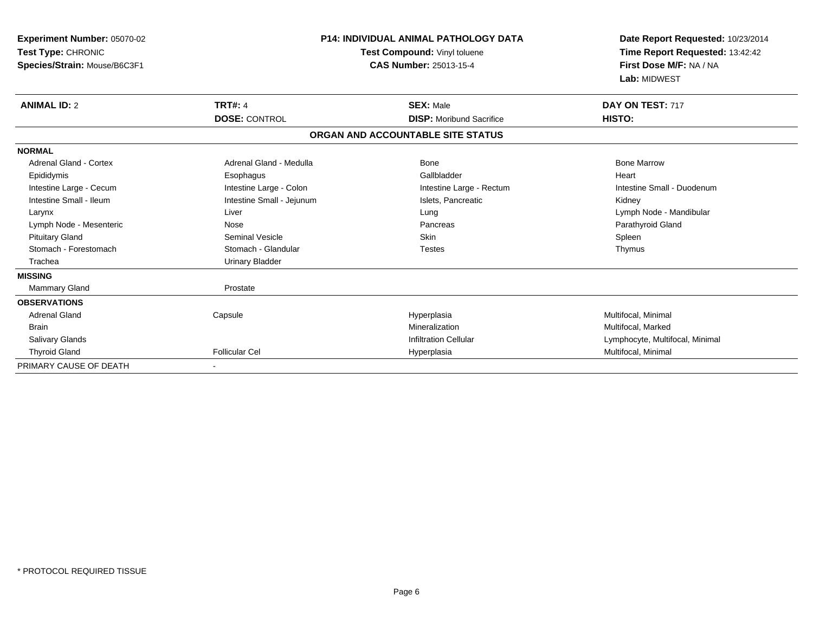| <b>Experiment Number: 05070-02</b><br>Test Type: CHRONIC<br>Species/Strain: Mouse/B6C3F1 |                           | <b>P14: INDIVIDUAL ANIMAL PATHOLOGY DATA</b><br>Test Compound: Vinyl toluene<br><b>CAS Number: 25013-15-4</b> | Date Report Requested: 10/23/2014<br>Time Report Requested: 13:42:42<br>First Dose M/F: NA / NA<br>Lab: MIDWEST |
|------------------------------------------------------------------------------------------|---------------------------|---------------------------------------------------------------------------------------------------------------|-----------------------------------------------------------------------------------------------------------------|
| <b>ANIMAL ID: 2</b>                                                                      | <b>TRT#: 4</b>            | <b>SEX: Male</b>                                                                                              | DAY ON TEST: 717                                                                                                |
|                                                                                          | <b>DOSE: CONTROL</b>      | <b>DISP:</b> Moribund Sacrifice                                                                               | HISTO:                                                                                                          |
|                                                                                          |                           | ORGAN AND ACCOUNTABLE SITE STATUS                                                                             |                                                                                                                 |
| <b>NORMAL</b>                                                                            |                           |                                                                                                               |                                                                                                                 |
| <b>Adrenal Gland - Cortex</b>                                                            | Adrenal Gland - Medulla   | <b>Bone</b>                                                                                                   | <b>Bone Marrow</b>                                                                                              |
| Epididymis                                                                               | Esophagus                 | Gallbladder                                                                                                   | Heart                                                                                                           |
| Intestine Large - Cecum                                                                  | Intestine Large - Colon   | Intestine Large - Rectum                                                                                      | Intestine Small - Duodenum                                                                                      |
| Intestine Small - Ileum                                                                  | Intestine Small - Jejunum | Islets, Pancreatic                                                                                            | Kidney                                                                                                          |
| Larynx                                                                                   | Liver                     | Lung                                                                                                          | Lymph Node - Mandibular                                                                                         |
| Lymph Node - Mesenteric                                                                  | Nose                      | Pancreas                                                                                                      | Parathyroid Gland                                                                                               |
| <b>Pituitary Gland</b>                                                                   | Seminal Vesicle           | <b>Skin</b>                                                                                                   | Spleen                                                                                                          |
| Stomach - Forestomach                                                                    | Stomach - Glandular       | <b>Testes</b>                                                                                                 | Thymus                                                                                                          |
| Trachea                                                                                  | <b>Urinary Bladder</b>    |                                                                                                               |                                                                                                                 |
| <b>MISSING</b>                                                                           |                           |                                                                                                               |                                                                                                                 |
| <b>Mammary Gland</b>                                                                     | Prostate                  |                                                                                                               |                                                                                                                 |
| <b>OBSERVATIONS</b>                                                                      |                           |                                                                                                               |                                                                                                                 |
| <b>Adrenal Gland</b>                                                                     | Capsule                   | Hyperplasia                                                                                                   | Multifocal, Minimal                                                                                             |
| <b>Brain</b>                                                                             |                           | Mineralization                                                                                                | Multifocal, Marked                                                                                              |
| <b>Salivary Glands</b>                                                                   |                           | <b>Infiltration Cellular</b>                                                                                  | Lymphocyte, Multifocal, Minimal                                                                                 |
| <b>Thyroid Gland</b>                                                                     | <b>Follicular Cel</b>     | Hyperplasia                                                                                                   | Multifocal, Minimal                                                                                             |
| PRIMARY CAUSE OF DEATH                                                                   |                           |                                                                                                               |                                                                                                                 |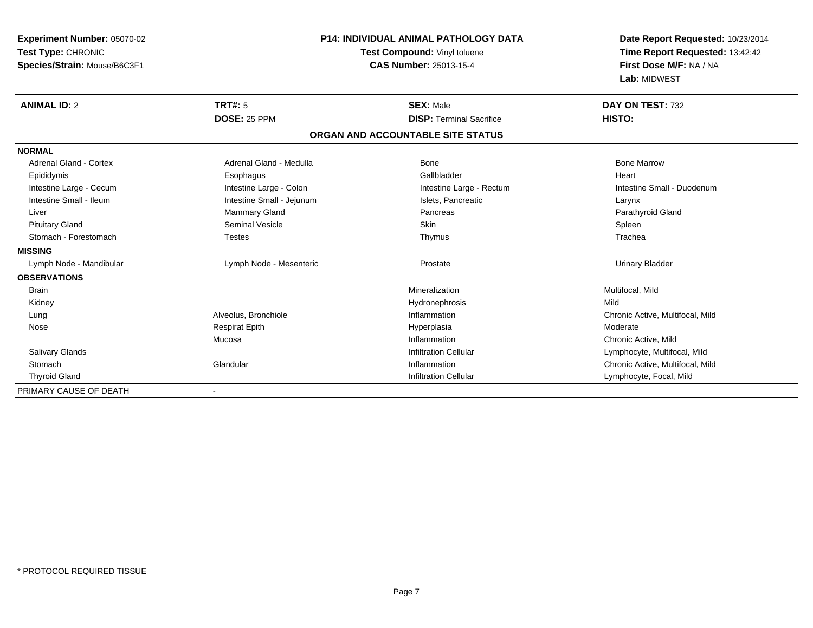| <b>Experiment Number: 05070-02</b><br>Test Type: CHRONIC<br>Species/Strain: Mouse/B6C3F1<br><b>ANIMAL ID: 2</b> | <b>TRT#: 5</b>            | <b>P14: INDIVIDUAL ANIMAL PATHOLOGY DATA</b><br>Test Compound: Vinyl toluene<br><b>CAS Number: 25013-15-4</b><br><b>SEX: Male</b> | Date Report Requested: 10/23/2014<br>Time Report Requested: 13:42:42<br>First Dose M/F: NA / NA<br>Lab: MIDWEST<br>DAY ON TEST: 732 |
|-----------------------------------------------------------------------------------------------------------------|---------------------------|-----------------------------------------------------------------------------------------------------------------------------------|-------------------------------------------------------------------------------------------------------------------------------------|
|                                                                                                                 | DOSE: 25 PPM              | <b>DISP: Terminal Sacrifice</b>                                                                                                   | HISTO:                                                                                                                              |
|                                                                                                                 |                           | ORGAN AND ACCOUNTABLE SITE STATUS                                                                                                 |                                                                                                                                     |
| <b>NORMAL</b>                                                                                                   |                           |                                                                                                                                   |                                                                                                                                     |
| Adrenal Gland - Cortex                                                                                          | Adrenal Gland - Medulla   | Bone                                                                                                                              | <b>Bone Marrow</b>                                                                                                                  |
| Epididymis                                                                                                      | Esophagus                 | Gallbladder                                                                                                                       | Heart                                                                                                                               |
| Intestine Large - Cecum                                                                                         | Intestine Large - Colon   | Intestine Large - Rectum                                                                                                          | Intestine Small - Duodenum                                                                                                          |
| Intestine Small - Ileum                                                                                         | Intestine Small - Jejunum | Islets, Pancreatic                                                                                                                | Larynx                                                                                                                              |
| Liver                                                                                                           | <b>Mammary Gland</b>      | Pancreas                                                                                                                          | Parathyroid Gland                                                                                                                   |
| <b>Pituitary Gland</b>                                                                                          | <b>Seminal Vesicle</b>    | <b>Skin</b>                                                                                                                       | Spleen                                                                                                                              |
| Stomach - Forestomach                                                                                           | <b>Testes</b>             | Thymus                                                                                                                            | Trachea                                                                                                                             |
| <b>MISSING</b>                                                                                                  |                           |                                                                                                                                   |                                                                                                                                     |
| Lymph Node - Mandibular                                                                                         | Lymph Node - Mesenteric   | Prostate                                                                                                                          | <b>Urinary Bladder</b>                                                                                                              |
| <b>OBSERVATIONS</b>                                                                                             |                           |                                                                                                                                   |                                                                                                                                     |
| <b>Brain</b>                                                                                                    |                           | Mineralization                                                                                                                    | Multifocal, Mild                                                                                                                    |
| Kidney                                                                                                          |                           | Hydronephrosis                                                                                                                    | Mild                                                                                                                                |
| Lung                                                                                                            | Alveolus, Bronchiole      | Inflammation                                                                                                                      | Chronic Active, Multifocal, Mild                                                                                                    |
| Nose                                                                                                            | <b>Respirat Epith</b>     | Hyperplasia                                                                                                                       | Moderate                                                                                                                            |
|                                                                                                                 | Mucosa                    | Inflammation                                                                                                                      | Chronic Active, Mild                                                                                                                |
| <b>Salivary Glands</b>                                                                                          |                           | <b>Infiltration Cellular</b>                                                                                                      | Lymphocyte, Multifocal, Mild                                                                                                        |
| Stomach                                                                                                         | Glandular                 | Inflammation                                                                                                                      | Chronic Active, Multifocal, Mild                                                                                                    |
| <b>Thyroid Gland</b>                                                                                            |                           | <b>Infiltration Cellular</b>                                                                                                      | Lymphocyte, Focal, Mild                                                                                                             |
| PRIMARY CAUSE OF DEATH                                                                                          |                           |                                                                                                                                   |                                                                                                                                     |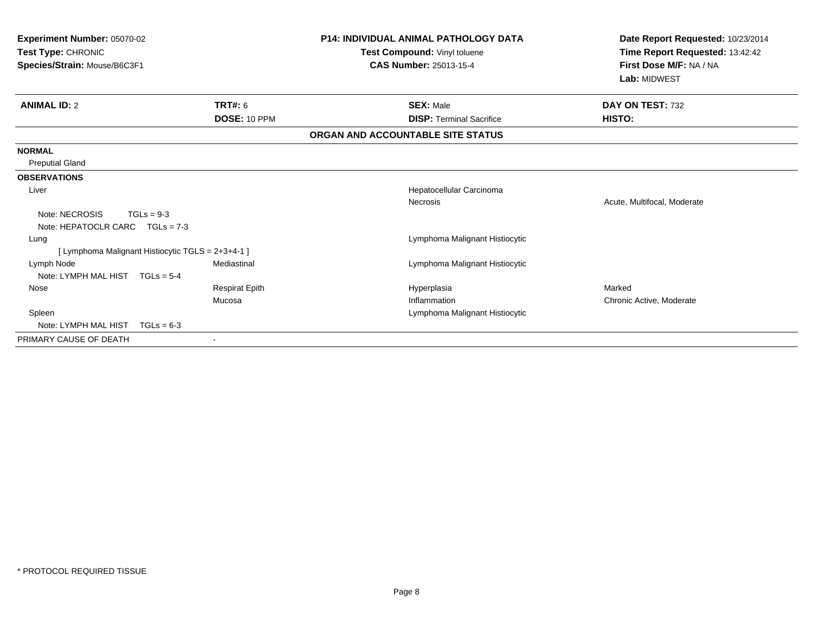| Experiment Number: 05070-02<br>Test Type: CHRONIC<br>Species/Strain: Mouse/B6C3F1 |                                                   | <b>P14: INDIVIDUAL ANIMAL PATHOLOGY DATA</b><br>Test Compound: Vinyl toluene<br><b>CAS Number: 25013-15-4</b> | Date Report Requested: 10/23/2014<br>Time Report Requested: 13:42:42<br>First Dose M/F: NA / NA<br>Lab: MIDWEST |
|-----------------------------------------------------------------------------------|---------------------------------------------------|---------------------------------------------------------------------------------------------------------------|-----------------------------------------------------------------------------------------------------------------|
| <b>ANIMAL ID: 2</b>                                                               | TRT#: 6                                           | <b>SEX: Male</b>                                                                                              | DAY ON TEST: 732                                                                                                |
|                                                                                   | DOSE: 10 PPM                                      | <b>DISP: Terminal Sacrifice</b>                                                                               | <b>HISTO:</b>                                                                                                   |
|                                                                                   |                                                   | ORGAN AND ACCOUNTABLE SITE STATUS                                                                             |                                                                                                                 |
| <b>NORMAL</b>                                                                     |                                                   |                                                                                                               |                                                                                                                 |
| <b>Preputial Gland</b>                                                            |                                                   |                                                                                                               |                                                                                                                 |
| <b>OBSERVATIONS</b>                                                               |                                                   |                                                                                                               |                                                                                                                 |
| Liver                                                                             |                                                   | Hepatocellular Carcinoma                                                                                      |                                                                                                                 |
|                                                                                   |                                                   | <b>Necrosis</b>                                                                                               | Acute, Multifocal, Moderate                                                                                     |
| Note: NECROSIS<br>$TGLs = 9-3$                                                    |                                                   |                                                                                                               |                                                                                                                 |
| Note: HEPATOCLR CARC $TGLs = 7-3$                                                 |                                                   |                                                                                                               |                                                                                                                 |
| Lung                                                                              |                                                   | Lymphoma Malignant Histiocytic                                                                                |                                                                                                                 |
|                                                                                   | [ Lymphoma Malignant Histiocytic TGLS = 2+3+4-1 ] |                                                                                                               |                                                                                                                 |
| Lymph Node                                                                        | Mediastinal                                       | Lymphoma Malignant Histiocytic                                                                                |                                                                                                                 |
| Note: LYMPH MAL HIST $TGLs = 5-4$                                                 |                                                   |                                                                                                               |                                                                                                                 |
| Nose                                                                              | <b>Respirat Epith</b>                             | Hyperplasia                                                                                                   | Marked                                                                                                          |
|                                                                                   | Mucosa                                            | Inflammation                                                                                                  | Chronic Active, Moderate                                                                                        |
| Spleen                                                                            |                                                   | Lymphoma Malignant Histiocytic                                                                                |                                                                                                                 |
| Note: LYMPH MAL HIST                                                              | $TGLs = 6-3$                                      |                                                                                                               |                                                                                                                 |
| PRIMARY CAUSE OF DEATH                                                            |                                                   |                                                                                                               |                                                                                                                 |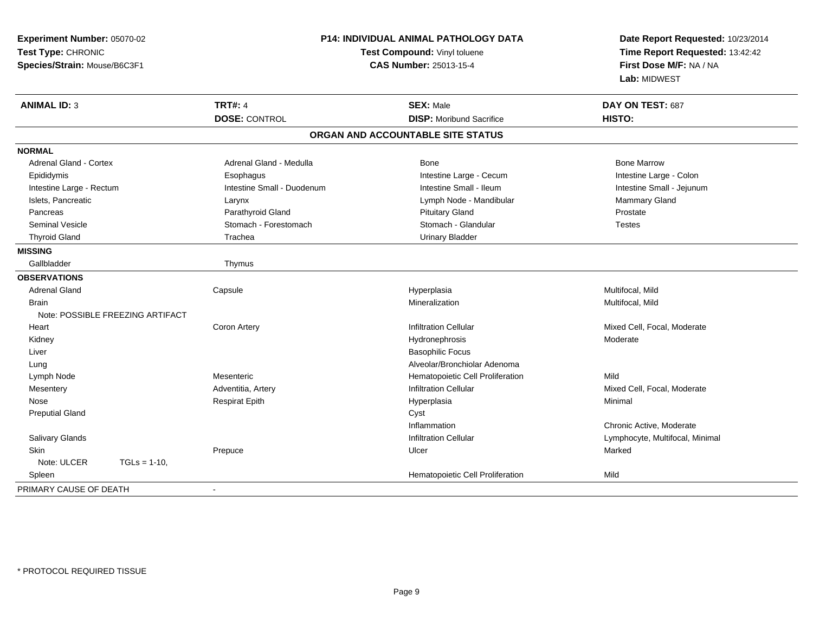| Experiment Number: 05070-02      | <b>P14: INDIVIDUAL ANIMAL PATHOLOGY DATA</b><br>Test Compound: Vinyl toluene |                                   | Date Report Requested: 10/23/2014 |
|----------------------------------|------------------------------------------------------------------------------|-----------------------------------|-----------------------------------|
| Test Type: CHRONIC               |                                                                              |                                   | Time Report Requested: 13:42:42   |
| Species/Strain: Mouse/B6C3F1     |                                                                              | <b>CAS Number: 25013-15-4</b>     | First Dose M/F: NA / NA           |
|                                  |                                                                              |                                   | Lab: MIDWEST                      |
| <b>ANIMAL ID: 3</b>              | <b>TRT#: 4</b>                                                               | <b>SEX: Male</b>                  | DAY ON TEST: 687                  |
|                                  | <b>DOSE: CONTROL</b>                                                         | <b>DISP:</b> Moribund Sacrifice   | HISTO:                            |
|                                  |                                                                              | ORGAN AND ACCOUNTABLE SITE STATUS |                                   |
| <b>NORMAL</b>                    |                                                                              |                                   |                                   |
| <b>Adrenal Gland - Cortex</b>    | Adrenal Gland - Medulla                                                      | <b>Bone</b>                       | <b>Bone Marrow</b>                |
| Epididymis                       | Esophagus                                                                    | Intestine Large - Cecum           | Intestine Large - Colon           |
| Intestine Large - Rectum         | Intestine Small - Duodenum                                                   | Intestine Small - Ileum           | Intestine Small - Jejunum         |
| Islets, Pancreatic               | Larynx                                                                       | Lymph Node - Mandibular           | Mammary Gland                     |
| Pancreas                         | Parathyroid Gland                                                            | <b>Pituitary Gland</b>            | Prostate                          |
| Seminal Vesicle                  | Stomach - Forestomach                                                        | Stomach - Glandular               | <b>Testes</b>                     |
| <b>Thyroid Gland</b>             | Trachea                                                                      | <b>Urinary Bladder</b>            |                                   |
| <b>MISSING</b>                   |                                                                              |                                   |                                   |
| Gallbladder                      | Thymus                                                                       |                                   |                                   |
| <b>OBSERVATIONS</b>              |                                                                              |                                   |                                   |
| <b>Adrenal Gland</b>             | Capsule                                                                      | Hyperplasia                       | Multifocal, Mild                  |
| <b>Brain</b>                     |                                                                              | Mineralization                    | Multifocal, Mild                  |
| Note: POSSIBLE FREEZING ARTIFACT |                                                                              |                                   |                                   |
| Heart                            | Coron Artery                                                                 | <b>Infiltration Cellular</b>      | Mixed Cell, Focal, Moderate       |
| Kidney                           |                                                                              | Hydronephrosis                    | Moderate                          |
| Liver                            |                                                                              | <b>Basophilic Focus</b>           |                                   |
| Lung                             |                                                                              | Alveolar/Bronchiolar Adenoma      |                                   |
| Lymph Node                       | Mesenteric                                                                   | Hematopoietic Cell Proliferation  | Mild                              |
| Mesentery                        | Adventitia, Artery                                                           | <b>Infiltration Cellular</b>      | Mixed Cell, Focal, Moderate       |
| Nose                             | <b>Respirat Epith</b>                                                        | Hyperplasia                       | Minimal                           |
| <b>Preputial Gland</b>           |                                                                              | Cyst                              |                                   |
|                                  |                                                                              | Inflammation                      | Chronic Active, Moderate          |
| Salivary Glands                  |                                                                              | <b>Infiltration Cellular</b>      | Lymphocyte, Multifocal, Minimal   |
| Skin                             | Prepuce                                                                      | Ulcer                             | Marked                            |
| Note: ULCER<br>$TGLs = 1-10$ ,   |                                                                              |                                   |                                   |
| Spleen                           |                                                                              | Hematopoietic Cell Proliferation  | Mild                              |
| PRIMARY CAUSE OF DEATH           | $\sim$                                                                       |                                   |                                   |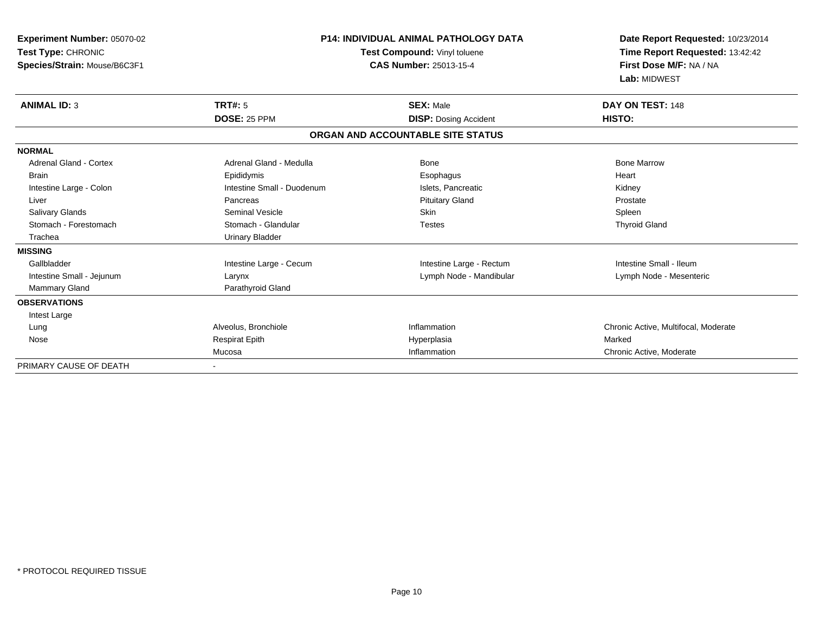| <b>Experiment Number: 05070-02</b><br>Test Type: CHRONIC<br>Species/Strain: Mouse/B6C3F1 |                            | <b>P14: INDIVIDUAL ANIMAL PATHOLOGY DATA</b><br>Test Compound: Vinyl toluene<br>CAS Number: 25013-15-4 |                                      |
|------------------------------------------------------------------------------------------|----------------------------|--------------------------------------------------------------------------------------------------------|--------------------------------------|
| <b>ANIMAL ID: 3</b>                                                                      | TRT#: 5                    | <b>SEX: Male</b>                                                                                       | DAY ON TEST: 148                     |
|                                                                                          | DOSE: 25 PPM               | <b>DISP: Dosing Accident</b>                                                                           | HISTO:                               |
|                                                                                          |                            | ORGAN AND ACCOUNTABLE SITE STATUS                                                                      |                                      |
| <b>NORMAL</b>                                                                            |                            |                                                                                                        |                                      |
| <b>Adrenal Gland - Cortex</b>                                                            | Adrenal Gland - Medulla    | Bone                                                                                                   | <b>Bone Marrow</b>                   |
| <b>Brain</b>                                                                             | Epididymis                 | Esophagus                                                                                              | Heart                                |
| Intestine Large - Colon                                                                  | Intestine Small - Duodenum | Islets, Pancreatic                                                                                     | Kidney                               |
| Liver                                                                                    | Pancreas                   | <b>Pituitary Gland</b>                                                                                 | Prostate                             |
| Salivary Glands                                                                          | <b>Seminal Vesicle</b>     | Skin                                                                                                   | Spleen                               |
| Stomach - Forestomach                                                                    | Stomach - Glandular        | <b>Testes</b>                                                                                          | <b>Thyroid Gland</b>                 |
| Trachea                                                                                  | <b>Urinary Bladder</b>     |                                                                                                        |                                      |
| <b>MISSING</b>                                                                           |                            |                                                                                                        |                                      |
| Gallbladder                                                                              | Intestine Large - Cecum    | Intestine Large - Rectum                                                                               | Intestine Small - Ileum              |
| Intestine Small - Jejunum                                                                | Larynx                     | Lymph Node - Mandibular                                                                                | Lymph Node - Mesenteric              |
| Mammary Gland                                                                            | Parathyroid Gland          |                                                                                                        |                                      |
| <b>OBSERVATIONS</b>                                                                      |                            |                                                                                                        |                                      |
| Intest Large                                                                             |                            |                                                                                                        |                                      |
| Lung                                                                                     | Alveolus, Bronchiole       | Inflammation                                                                                           | Chronic Active, Multifocal, Moderate |
| Nose                                                                                     | <b>Respirat Epith</b>      | Hyperplasia                                                                                            | Marked                               |
|                                                                                          | Mucosa                     | Inflammation                                                                                           | Chronic Active, Moderate             |
| PRIMARY CAUSE OF DEATH                                                                   |                            |                                                                                                        |                                      |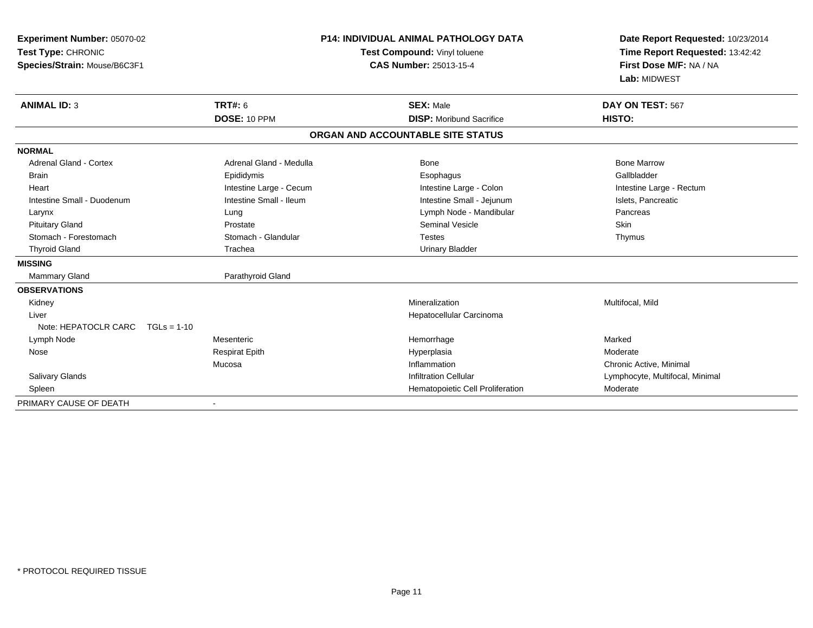| Experiment Number: 05070-02<br>Test Type: CHRONIC<br>Species/Strain: Mouse/B6C3F1 | <b>P14: INDIVIDUAL ANIMAL PATHOLOGY DATA</b><br>Test Compound: Vinyl toluene<br><b>CAS Number: 25013-15-4</b> |                                   | Date Report Requested: 10/23/2014<br>Time Report Requested: 13:42:42<br>First Dose M/F: NA / NA<br>Lab: MIDWEST |  |
|-----------------------------------------------------------------------------------|---------------------------------------------------------------------------------------------------------------|-----------------------------------|-----------------------------------------------------------------------------------------------------------------|--|
| <b>ANIMAL ID: 3</b>                                                               | <b>TRT#: 6</b>                                                                                                | <b>SEX: Male</b>                  | DAY ON TEST: 567                                                                                                |  |
|                                                                                   | DOSE: 10 PPM                                                                                                  | <b>DISP:</b> Moribund Sacrifice   | HISTO:                                                                                                          |  |
|                                                                                   |                                                                                                               | ORGAN AND ACCOUNTABLE SITE STATUS |                                                                                                                 |  |
| <b>NORMAL</b>                                                                     |                                                                                                               |                                   |                                                                                                                 |  |
| Adrenal Gland - Cortex                                                            | Adrenal Gland - Medulla                                                                                       | Bone                              | <b>Bone Marrow</b>                                                                                              |  |
| <b>Brain</b>                                                                      | Epididymis                                                                                                    | Esophagus                         | Gallbladder                                                                                                     |  |
| Heart                                                                             | Intestine Large - Cecum                                                                                       | Intestine Large - Colon           | Intestine Large - Rectum                                                                                        |  |
| Intestine Small - Duodenum                                                        | Intestine Small - Ileum                                                                                       | Intestine Small - Jejunum         | Islets, Pancreatic                                                                                              |  |
| Larynx                                                                            | Lung                                                                                                          | Lymph Node - Mandibular           | Pancreas                                                                                                        |  |
| <b>Pituitary Gland</b>                                                            | Prostate                                                                                                      | Seminal Vesicle                   | Skin                                                                                                            |  |
| Stomach - Forestomach                                                             | Stomach - Glandular                                                                                           | <b>Testes</b>                     | Thymus                                                                                                          |  |
| <b>Thyroid Gland</b>                                                              | Trachea                                                                                                       | <b>Urinary Bladder</b>            |                                                                                                                 |  |
| <b>MISSING</b>                                                                    |                                                                                                               |                                   |                                                                                                                 |  |
| Mammary Gland                                                                     | Parathyroid Gland                                                                                             |                                   |                                                                                                                 |  |
| <b>OBSERVATIONS</b>                                                               |                                                                                                               |                                   |                                                                                                                 |  |
| Kidney                                                                            |                                                                                                               | Mineralization                    | Multifocal, Mild                                                                                                |  |
| Liver                                                                             |                                                                                                               | Hepatocellular Carcinoma          |                                                                                                                 |  |
| Note: HEPATOCLR CARC<br>$TGLs = 1-10$                                             |                                                                                                               |                                   |                                                                                                                 |  |
| Lymph Node                                                                        | Mesenteric                                                                                                    | Hemorrhage                        | Marked                                                                                                          |  |
| Nose                                                                              | <b>Respirat Epith</b>                                                                                         | Hyperplasia                       | Moderate                                                                                                        |  |
|                                                                                   | Mucosa                                                                                                        | Inflammation                      | Chronic Active, Minimal                                                                                         |  |
| Salivary Glands                                                                   |                                                                                                               | <b>Infiltration Cellular</b>      | Lymphocyte, Multifocal, Minimal                                                                                 |  |
| Spleen                                                                            |                                                                                                               | Hematopoietic Cell Proliferation  | Moderate                                                                                                        |  |
| PRIMARY CAUSE OF DEATH                                                            |                                                                                                               |                                   |                                                                                                                 |  |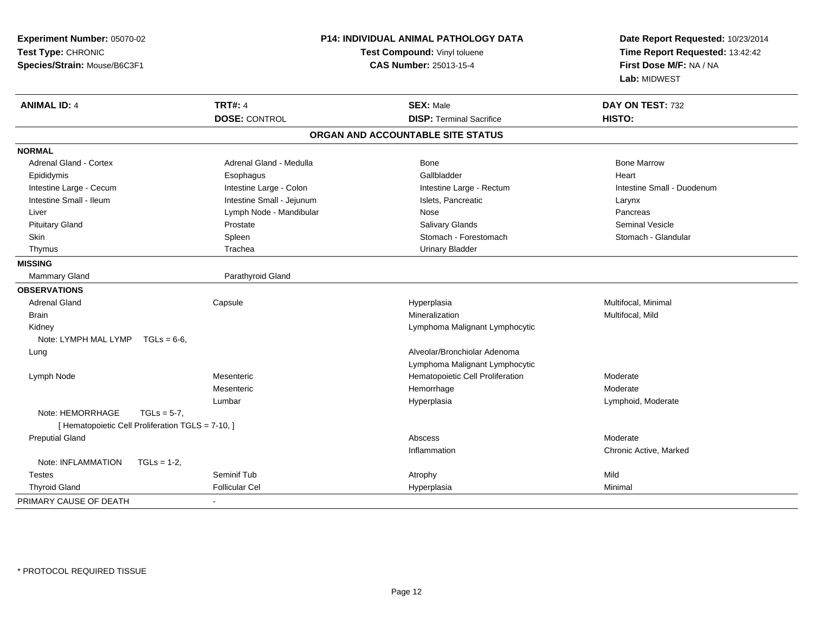| Experiment Number: 05070-02<br>Test Type: CHRONIC<br>Species/Strain: Mouse/B6C3F1 |                           | <b>P14: INDIVIDUAL ANIMAL PATHOLOGY DATA</b><br>Test Compound: Vinyl toluene<br><b>CAS Number: 25013-15-4</b> |                            |
|-----------------------------------------------------------------------------------|---------------------------|---------------------------------------------------------------------------------------------------------------|----------------------------|
| <b>ANIMAL ID: 4</b>                                                               | <b>TRT#: 4</b>            | <b>SEX: Male</b>                                                                                              | DAY ON TEST: 732           |
|                                                                                   | <b>DOSE: CONTROL</b>      | <b>DISP: Terminal Sacrifice</b>                                                                               | HISTO:                     |
|                                                                                   |                           | ORGAN AND ACCOUNTABLE SITE STATUS                                                                             |                            |
| <b>NORMAL</b>                                                                     |                           |                                                                                                               |                            |
| <b>Adrenal Gland - Cortex</b>                                                     | Adrenal Gland - Medulla   | Bone                                                                                                          | <b>Bone Marrow</b>         |
| Epididymis                                                                        | Esophagus                 | Gallbladder                                                                                                   | Heart                      |
| Intestine Large - Cecum                                                           | Intestine Large - Colon   | Intestine Large - Rectum                                                                                      | Intestine Small - Duodenum |
| Intestine Small - Ileum                                                           | Intestine Small - Jejunum | Islets, Pancreatic                                                                                            | Larynx                     |
| Liver                                                                             | Lymph Node - Mandibular   | Nose                                                                                                          | Pancreas                   |
| <b>Pituitary Gland</b>                                                            | Prostate                  | <b>Salivary Glands</b>                                                                                        | <b>Seminal Vesicle</b>     |
| <b>Skin</b>                                                                       | Spleen                    | Stomach - Forestomach                                                                                         | Stomach - Glandular        |
| Thymus                                                                            | Trachea                   | <b>Urinary Bladder</b>                                                                                        |                            |
| <b>MISSING</b>                                                                    |                           |                                                                                                               |                            |
| Mammary Gland                                                                     | Parathyroid Gland         |                                                                                                               |                            |
| <b>OBSERVATIONS</b>                                                               |                           |                                                                                                               |                            |
| <b>Adrenal Gland</b>                                                              | Capsule                   | Hyperplasia                                                                                                   | Multifocal, Minimal        |
| <b>Brain</b>                                                                      |                           | Mineralization                                                                                                | Multifocal, Mild           |
| Kidney                                                                            |                           | Lymphoma Malignant Lymphocytic                                                                                |                            |
| Note: LYMPH MAL LYMP $TGLs = 6-6$ .                                               |                           |                                                                                                               |                            |
| Lung                                                                              |                           | Alveolar/Bronchiolar Adenoma                                                                                  |                            |
|                                                                                   |                           | Lymphoma Malignant Lymphocytic                                                                                |                            |
| Lymph Node                                                                        | Mesenteric                | Hematopoietic Cell Proliferation                                                                              | Moderate                   |
|                                                                                   | Mesenteric                | Hemorrhage                                                                                                    | Moderate                   |
|                                                                                   | Lumbar                    | Hyperplasia                                                                                                   | Lymphoid, Moderate         |
| Note: HEMORRHAGE<br>$TGLs = 5-7$ .                                                |                           |                                                                                                               |                            |
| [ Hematopoietic Cell Proliferation TGLS = 7-10, ]                                 |                           |                                                                                                               |                            |
| <b>Preputial Gland</b>                                                            |                           | Abscess                                                                                                       | Moderate                   |
|                                                                                   |                           | Inflammation                                                                                                  | Chronic Active, Marked     |
| Note: INFLAMMATION<br>$TGLs = 1-2$                                                |                           |                                                                                                               |                            |
| <b>Testes</b>                                                                     | Seminif Tub               | Atrophy                                                                                                       | Mild                       |
| <b>Thyroid Gland</b>                                                              | <b>Follicular Cel</b>     | Hyperplasia                                                                                                   | Minimal                    |
| PRIMARY CAUSE OF DEATH                                                            |                           |                                                                                                               |                            |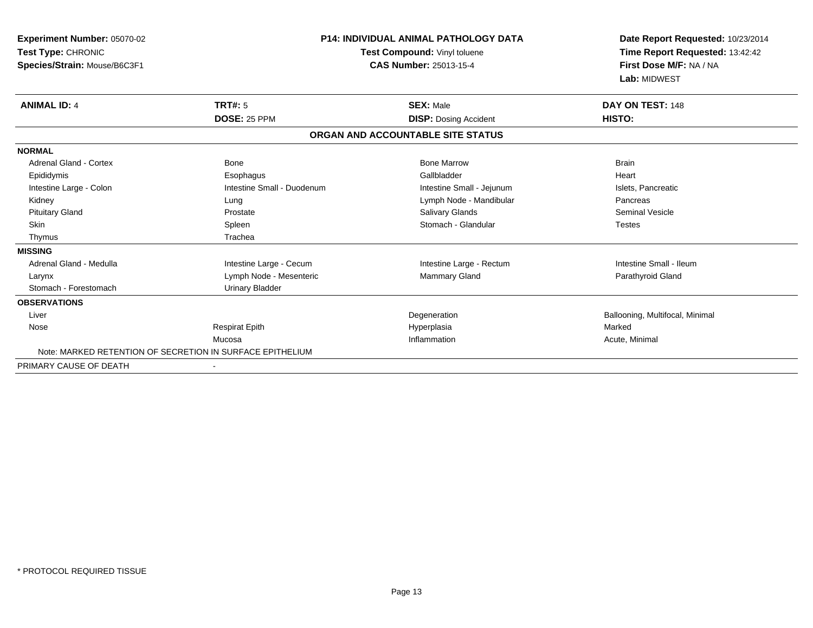| Experiment Number: 05070-02<br>Test Type: CHRONIC<br>Species/Strain: Mouse/B6C3F1 |                            | <b>P14: INDIVIDUAL ANIMAL PATHOLOGY DATA</b><br>Test Compound: Vinyl toluene<br><b>CAS Number: 25013-15-4</b> | Date Report Requested: 10/23/2014<br>Time Report Requested: 13:42:42<br>First Dose M/F: NA / NA<br>Lab: MIDWEST |
|-----------------------------------------------------------------------------------|----------------------------|---------------------------------------------------------------------------------------------------------------|-----------------------------------------------------------------------------------------------------------------|
| <b>ANIMAL ID: 4</b>                                                               | <b>TRT#: 5</b>             | <b>SEX: Male</b>                                                                                              | DAY ON TEST: 148                                                                                                |
|                                                                                   | DOSE: 25 PPM               | <b>DISP: Dosing Accident</b>                                                                                  | HISTO:                                                                                                          |
|                                                                                   |                            | ORGAN AND ACCOUNTABLE SITE STATUS                                                                             |                                                                                                                 |
| <b>NORMAL</b>                                                                     |                            |                                                                                                               |                                                                                                                 |
| Adrenal Gland - Cortex                                                            | Bone                       | <b>Bone Marrow</b>                                                                                            | <b>Brain</b>                                                                                                    |
| Epididymis                                                                        | Esophagus                  | Gallbladder                                                                                                   | Heart                                                                                                           |
| Intestine Large - Colon                                                           | Intestine Small - Duodenum | Intestine Small - Jejunum                                                                                     | Islets. Pancreatic                                                                                              |
| Kidney                                                                            | Lung                       | Lymph Node - Mandibular                                                                                       | Pancreas                                                                                                        |
| <b>Pituitary Gland</b>                                                            | Prostate                   | <b>Salivary Glands</b>                                                                                        | <b>Seminal Vesicle</b>                                                                                          |
| <b>Skin</b>                                                                       | Spleen                     | Stomach - Glandular                                                                                           | <b>Testes</b>                                                                                                   |
| Thymus                                                                            | Trachea                    |                                                                                                               |                                                                                                                 |
| <b>MISSING</b>                                                                    |                            |                                                                                                               |                                                                                                                 |
| Adrenal Gland - Medulla                                                           | Intestine Large - Cecum    | Intestine Large - Rectum                                                                                      | Intestine Small - Ileum                                                                                         |
| Larynx                                                                            | Lymph Node - Mesenteric    | <b>Mammary Gland</b>                                                                                          | Parathyroid Gland                                                                                               |
| Stomach - Forestomach                                                             | <b>Urinary Bladder</b>     |                                                                                                               |                                                                                                                 |
| <b>OBSERVATIONS</b>                                                               |                            |                                                                                                               |                                                                                                                 |
| Liver                                                                             |                            | Degeneration                                                                                                  | Ballooning, Multifocal, Minimal                                                                                 |
| Nose                                                                              | <b>Respirat Epith</b>      | Hyperplasia                                                                                                   | Marked                                                                                                          |
|                                                                                   | Mucosa                     | Inflammation                                                                                                  | Acute, Minimal                                                                                                  |
| Note: MARKED RETENTION OF SECRETION IN SURFACE EPITHELIUM                         |                            |                                                                                                               |                                                                                                                 |
| PRIMARY CAUSE OF DEATH                                                            |                            |                                                                                                               |                                                                                                                 |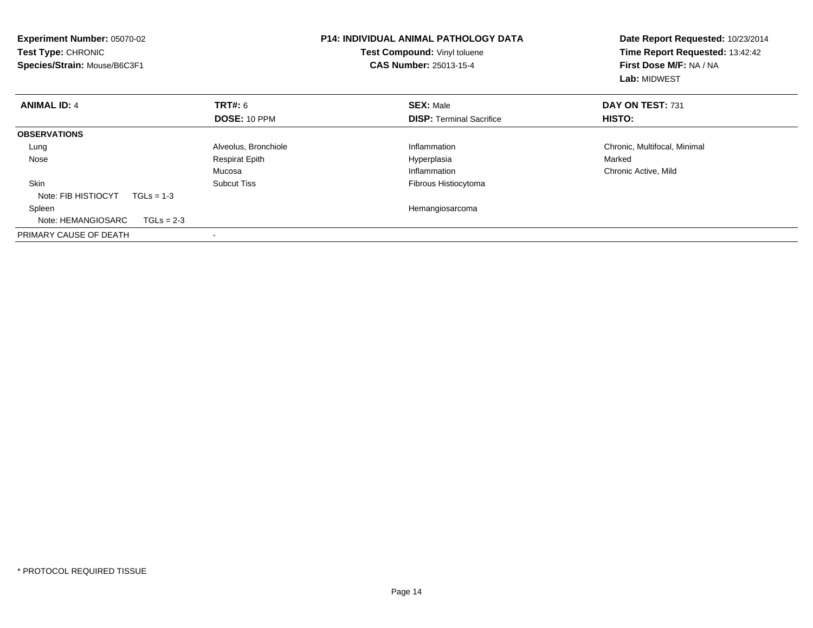| Experiment Number: 05070-02<br>Test Type: CHRONIC<br>Species/Strain: Mouse/B6C3F1 |                       | <b>P14: INDIVIDUAL ANIMAL PATHOLOGY DATA</b><br>Test Compound: Vinyl toluene<br><b>CAS Number: 25013-15-4</b> | Date Report Requested: 10/23/2014<br>Time Report Requested: 13:42:42<br>First Dose M/F: NA / NA<br><b>Lab: MIDWEST</b> |
|-----------------------------------------------------------------------------------|-----------------------|---------------------------------------------------------------------------------------------------------------|------------------------------------------------------------------------------------------------------------------------|
| <b>ANIMAL ID: 4</b>                                                               | <b>TRT#:</b> 6        | <b>SEX: Male</b>                                                                                              | DAY ON TEST: 731                                                                                                       |
|                                                                                   | DOSE: 10 PPM          | <b>DISP:</b> Terminal Sacrifice                                                                               | <b>HISTO:</b>                                                                                                          |
| <b>OBSERVATIONS</b>                                                               |                       |                                                                                                               |                                                                                                                        |
| Lung                                                                              | Alveolus, Bronchiole  | Inflammation                                                                                                  | Chronic, Multifocal, Minimal                                                                                           |
| Nose                                                                              | <b>Respirat Epith</b> | Hyperplasia                                                                                                   | Marked                                                                                                                 |
|                                                                                   | Mucosa                | Inflammation                                                                                                  | Chronic Active, Mild                                                                                                   |
| <b>Skin</b>                                                                       | Subcut Tiss           | Fibrous Histiocytoma                                                                                          |                                                                                                                        |
| Note: FIB HISTIOCYT<br>$TGLs = 1-3$                                               |                       |                                                                                                               |                                                                                                                        |
| Spleen                                                                            |                       | Hemangiosarcoma                                                                                               |                                                                                                                        |
| $TGLs = 2-3$<br>Note: HEMANGIOSARC                                                |                       |                                                                                                               |                                                                                                                        |
| PRIMARY CAUSE OF DEATH                                                            |                       |                                                                                                               |                                                                                                                        |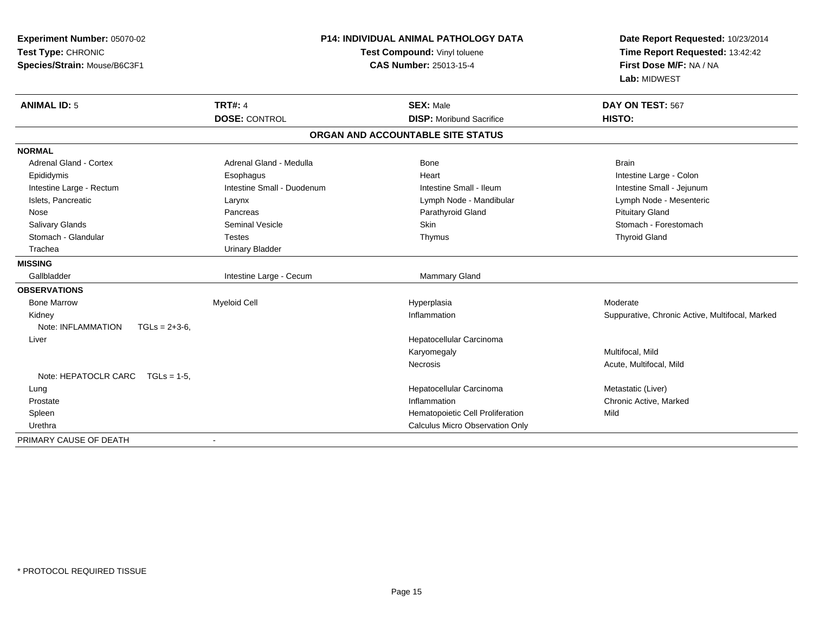| Experiment Number: 05070-02<br>Test Type: CHRONIC<br>Species/Strain: Mouse/B6C3F1 | <b>P14: INDIVIDUAL ANIMAL PATHOLOGY DATA</b><br>Test Compound: Vinyl toluene<br><b>CAS Number: 25013-15-4</b> |                                        | Date Report Requested: 10/23/2014<br>Time Report Requested: 13:42:42<br>First Dose M/F: NA / NA<br>Lab: MIDWEST |
|-----------------------------------------------------------------------------------|---------------------------------------------------------------------------------------------------------------|----------------------------------------|-----------------------------------------------------------------------------------------------------------------|
| <b>ANIMAL ID: 5</b>                                                               | <b>TRT#: 4</b>                                                                                                | <b>SEX: Male</b>                       | DAY ON TEST: 567                                                                                                |
|                                                                                   | <b>DOSE: CONTROL</b>                                                                                          | <b>DISP: Moribund Sacrifice</b>        | HISTO:                                                                                                          |
|                                                                                   |                                                                                                               | ORGAN AND ACCOUNTABLE SITE STATUS      |                                                                                                                 |
| <b>NORMAL</b>                                                                     |                                                                                                               |                                        |                                                                                                                 |
| <b>Adrenal Gland - Cortex</b>                                                     | Adrenal Gland - Medulla                                                                                       | <b>Bone</b>                            | <b>Brain</b>                                                                                                    |
| Epididymis                                                                        | Esophagus                                                                                                     | Heart                                  | Intestine Large - Colon                                                                                         |
| Intestine Large - Rectum                                                          | Intestine Small - Duodenum                                                                                    | Intestine Small - Ileum                | Intestine Small - Jejunum                                                                                       |
| Islets, Pancreatic                                                                | Larynx                                                                                                        | Lymph Node - Mandibular                | Lymph Node - Mesenteric                                                                                         |
| Nose                                                                              | Pancreas                                                                                                      | Parathyroid Gland                      | <b>Pituitary Gland</b>                                                                                          |
| Salivary Glands                                                                   | <b>Seminal Vesicle</b>                                                                                        | Skin                                   | Stomach - Forestomach                                                                                           |
| Stomach - Glandular                                                               | <b>Testes</b>                                                                                                 | Thymus                                 | <b>Thyroid Gland</b>                                                                                            |
| Trachea                                                                           | <b>Urinary Bladder</b>                                                                                        |                                        |                                                                                                                 |
| <b>MISSING</b>                                                                    |                                                                                                               |                                        |                                                                                                                 |
| Gallbladder                                                                       | Intestine Large - Cecum                                                                                       | Mammary Gland                          |                                                                                                                 |
| <b>OBSERVATIONS</b>                                                               |                                                                                                               |                                        |                                                                                                                 |
| <b>Bone Marrow</b>                                                                | <b>Myeloid Cell</b>                                                                                           | Hyperplasia                            | Moderate                                                                                                        |
| Kidney                                                                            |                                                                                                               | Inflammation                           | Suppurative, Chronic Active, Multifocal, Marked                                                                 |
| Note: INFLAMMATION<br>$TGLs = 2+3-6$                                              |                                                                                                               |                                        |                                                                                                                 |
| Liver                                                                             |                                                                                                               | Hepatocellular Carcinoma               |                                                                                                                 |
|                                                                                   |                                                                                                               | Karyomegaly                            | Multifocal, Mild                                                                                                |
|                                                                                   |                                                                                                               | Necrosis                               | Acute, Multifocal, Mild                                                                                         |
| Note: HEPATOCLR CARC TGLs = 1-5,                                                  |                                                                                                               |                                        |                                                                                                                 |
| Lung                                                                              |                                                                                                               | Hepatocellular Carcinoma               | Metastatic (Liver)                                                                                              |
| Prostate                                                                          |                                                                                                               | Inflammation                           | Chronic Active, Marked                                                                                          |
| Spleen                                                                            |                                                                                                               | Hematopoietic Cell Proliferation       | Mild                                                                                                            |
| Urethra                                                                           |                                                                                                               | <b>Calculus Micro Observation Only</b> |                                                                                                                 |
| PRIMARY CAUSE OF DEATH                                                            | $\overline{\phantom{a}}$                                                                                      |                                        |                                                                                                                 |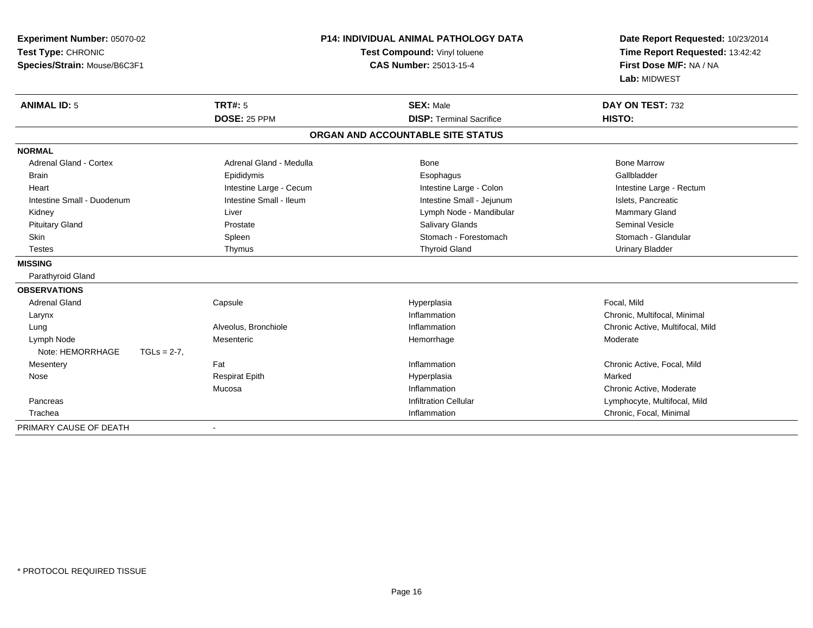| Experiment Number: 05070-02        |                              | <b>P14: INDIVIDUAL ANIMAL PATHOLOGY DATA</b> | Date Report Requested: 10/23/2014 |
|------------------------------------|------------------------------|----------------------------------------------|-----------------------------------|
| Test Type: CHRONIC                 | Test Compound: Vinyl toluene |                                              | Time Report Requested: 13:42:42   |
| Species/Strain: Mouse/B6C3F1       |                              | <b>CAS Number: 25013-15-4</b>                | First Dose M/F: NA / NA           |
|                                    |                              |                                              | Lab: MIDWEST                      |
| <b>ANIMAL ID: 5</b>                | <b>TRT#: 5</b>               | <b>SEX: Male</b>                             | DAY ON TEST: 732                  |
|                                    | DOSE: 25 PPM                 | <b>DISP: Terminal Sacrifice</b>              | HISTO:                            |
|                                    |                              | ORGAN AND ACCOUNTABLE SITE STATUS            |                                   |
| <b>NORMAL</b>                      |                              |                                              |                                   |
| <b>Adrenal Gland - Cortex</b>      | Adrenal Gland - Medulla      | Bone                                         | <b>Bone Marrow</b>                |
| <b>Brain</b>                       | Epididymis                   | Esophagus                                    | Gallbladder                       |
| Heart                              | Intestine Large - Cecum      | Intestine Large - Colon                      | Intestine Large - Rectum          |
| Intestine Small - Duodenum         | Intestine Small - Ileum      | Intestine Small - Jejunum                    | Islets, Pancreatic                |
| Kidney                             | Liver                        | Lymph Node - Mandibular                      | <b>Mammary Gland</b>              |
| <b>Pituitary Gland</b>             | Prostate                     | Salivary Glands                              | <b>Seminal Vesicle</b>            |
| <b>Skin</b>                        | Spleen                       | Stomach - Forestomach                        | Stomach - Glandular               |
| <b>Testes</b>                      | Thymus                       | <b>Thyroid Gland</b>                         | <b>Urinary Bladder</b>            |
| <b>MISSING</b>                     |                              |                                              |                                   |
| Parathyroid Gland                  |                              |                                              |                                   |
| <b>OBSERVATIONS</b>                |                              |                                              |                                   |
| <b>Adrenal Gland</b>               | Capsule                      | Hyperplasia                                  | Focal. Mild                       |
| Larynx                             |                              | Inflammation                                 | Chronic, Multifocal, Minimal      |
| Lung                               | Alveolus, Bronchiole         | Inflammation                                 | Chronic Active, Multifocal, Mild  |
| Lymph Node                         | Mesenteric                   | Hemorrhage                                   | Moderate                          |
| Note: HEMORRHAGE<br>$TGLs = 2-7$ , |                              |                                              |                                   |
| Mesentery                          | Fat                          | Inflammation                                 | Chronic Active, Focal, Mild       |
| Nose                               | <b>Respirat Epith</b>        | Hyperplasia                                  | Marked                            |
|                                    | Mucosa                       | Inflammation                                 | Chronic Active, Moderate          |
| Pancreas                           |                              | <b>Infiltration Cellular</b>                 | Lymphocyte, Multifocal, Mild      |
| Trachea                            |                              | Inflammation                                 | Chronic, Focal, Minimal           |
| PRIMARY CAUSE OF DEATH             | $\blacksquare$               |                                              |                                   |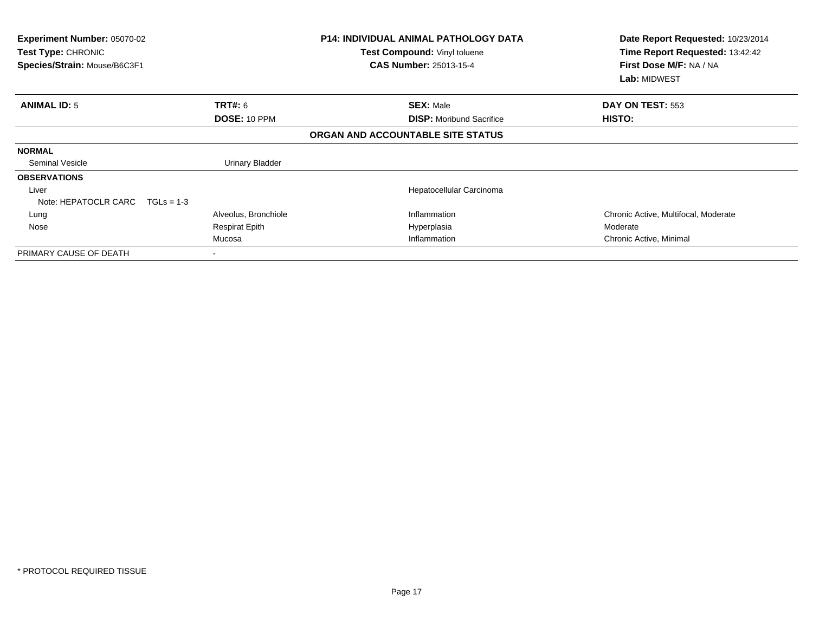| <b>Experiment Number: 05070-02</b><br><b>Test Type: CHRONIC</b><br>Species/Strain: Mouse/B6C3F1 |                        | <b>P14: INDIVIDUAL ANIMAL PATHOLOGY DATA</b><br>Test Compound: Vinyl toluene<br><b>CAS Number: 25013-15-4</b> | Date Report Requested: 10/23/2014<br>Time Report Requested: 13:42:42<br>First Dose M/F: NA / NA<br>Lab: MIDWEST |
|-------------------------------------------------------------------------------------------------|------------------------|---------------------------------------------------------------------------------------------------------------|-----------------------------------------------------------------------------------------------------------------|
| <b>ANIMAL ID: 5</b>                                                                             | <b>TRT#: 6</b>         | <b>SEX: Male</b>                                                                                              | DAY ON TEST: 553                                                                                                |
|                                                                                                 | DOSE: 10 PPM           | <b>DISP:</b> Moribund Sacrifice                                                                               | <b>HISTO:</b>                                                                                                   |
|                                                                                                 |                        | ORGAN AND ACCOUNTABLE SITE STATUS                                                                             |                                                                                                                 |
| <b>NORMAL</b>                                                                                   |                        |                                                                                                               |                                                                                                                 |
| <b>Seminal Vesicle</b>                                                                          | <b>Urinary Bladder</b> |                                                                                                               |                                                                                                                 |
| <b>OBSERVATIONS</b>                                                                             |                        |                                                                                                               |                                                                                                                 |
| Liver                                                                                           |                        | Hepatocellular Carcinoma                                                                                      |                                                                                                                 |
| Note: HEPATOCLR CARC                                                                            | $TGLs = 1-3$           |                                                                                                               |                                                                                                                 |
| Lung                                                                                            | Alveolus, Bronchiole   | Inflammation                                                                                                  | Chronic Active, Multifocal, Moderate                                                                            |
| Nose                                                                                            | <b>Respirat Epith</b>  | Hyperplasia                                                                                                   | Moderate                                                                                                        |
|                                                                                                 | Mucosa                 | Inflammation                                                                                                  | Chronic Active, Minimal                                                                                         |
| PRIMARY CAUSE OF DEATH                                                                          |                        |                                                                                                               |                                                                                                                 |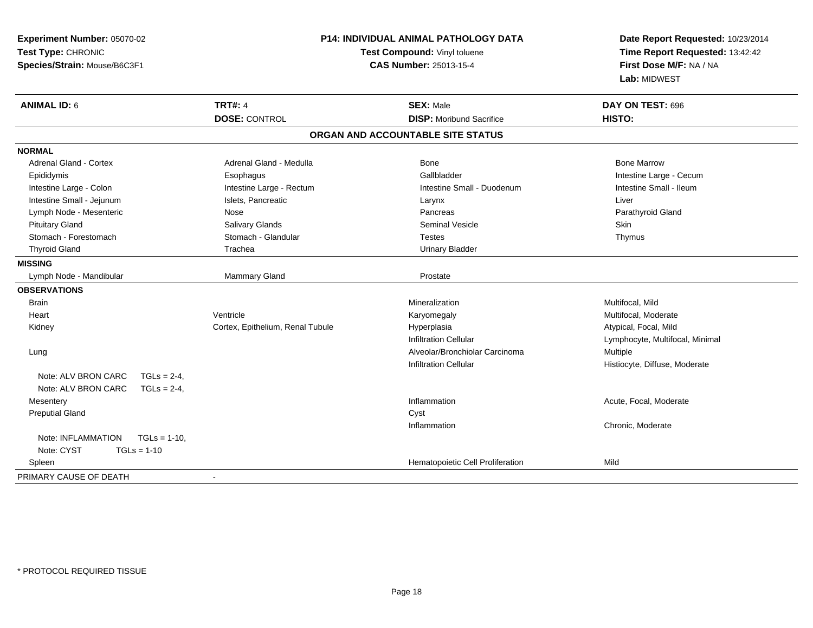| Experiment Number: 05070-02<br>Test Type: CHRONIC<br>Species/Strain: Mouse/B6C3F1 | P14: INDIVIDUAL ANIMAL PATHOLOGY DATA<br>Test Compound: Vinyl toluene<br>CAS Number: 25013-15-4 |                                   | Date Report Requested: 10/23/2014<br>Time Report Requested: 13:42:42<br>First Dose M/F: NA / NA<br>Lab: MIDWEST |
|-----------------------------------------------------------------------------------|-------------------------------------------------------------------------------------------------|-----------------------------------|-----------------------------------------------------------------------------------------------------------------|
| <b>ANIMAL ID: 6</b>                                                               | <b>TRT#: 4</b>                                                                                  | <b>SEX: Male</b>                  | DAY ON TEST: 696                                                                                                |
|                                                                                   | <b>DOSE: CONTROL</b>                                                                            | <b>DISP:</b> Moribund Sacrifice   | HISTO:                                                                                                          |
|                                                                                   |                                                                                                 | ORGAN AND ACCOUNTABLE SITE STATUS |                                                                                                                 |
| <b>NORMAL</b>                                                                     |                                                                                                 |                                   |                                                                                                                 |
| <b>Adrenal Gland - Cortex</b>                                                     | Adrenal Gland - Medulla                                                                         | Bone                              | <b>Bone Marrow</b>                                                                                              |
| Epididymis                                                                        | Esophagus                                                                                       | Gallbladder                       | Intestine Large - Cecum                                                                                         |
| Intestine Large - Colon                                                           | Intestine Large - Rectum                                                                        | Intestine Small - Duodenum        | Intestine Small - Ileum                                                                                         |
| Intestine Small - Jejunum                                                         | Islets, Pancreatic                                                                              | Larynx                            | Liver                                                                                                           |
| Lymph Node - Mesenteric                                                           | Nose                                                                                            | Pancreas                          | Parathyroid Gland                                                                                               |
| <b>Pituitary Gland</b>                                                            | Salivary Glands                                                                                 | <b>Seminal Vesicle</b>            | <b>Skin</b>                                                                                                     |
| Stomach - Forestomach                                                             | Stomach - Glandular                                                                             | <b>Testes</b>                     | Thymus                                                                                                          |
| <b>Thyroid Gland</b>                                                              | Trachea                                                                                         | <b>Urinary Bladder</b>            |                                                                                                                 |
| <b>MISSING</b>                                                                    |                                                                                                 |                                   |                                                                                                                 |
| Lymph Node - Mandibular                                                           | <b>Mammary Gland</b>                                                                            | Prostate                          |                                                                                                                 |
| <b>OBSERVATIONS</b>                                                               |                                                                                                 |                                   |                                                                                                                 |
| <b>Brain</b>                                                                      |                                                                                                 | Mineralization                    | Multifocal, Mild                                                                                                |
| Heart                                                                             | Ventricle                                                                                       | Karyomegaly                       | Multifocal, Moderate                                                                                            |
| Kidney                                                                            | Cortex, Epithelium, Renal Tubule                                                                | Hyperplasia                       | Atypical, Focal, Mild                                                                                           |
|                                                                                   |                                                                                                 | <b>Infiltration Cellular</b>      | Lymphocyte, Multifocal, Minimal                                                                                 |
| Lung                                                                              |                                                                                                 | Alveolar/Bronchiolar Carcinoma    | Multiple                                                                                                        |
|                                                                                   |                                                                                                 | <b>Infiltration Cellular</b>      | Histiocyte, Diffuse, Moderate                                                                                   |
| Note: ALV BRON CARC<br>$TGLS = 2-4$                                               |                                                                                                 |                                   |                                                                                                                 |
| Note: ALV BRON CARC<br>$TGLS = 2-4$                                               |                                                                                                 |                                   |                                                                                                                 |
| Mesentery                                                                         |                                                                                                 | Inflammation                      | Acute, Focal, Moderate                                                                                          |
| <b>Preputial Gland</b>                                                            |                                                                                                 | Cyst                              |                                                                                                                 |
|                                                                                   |                                                                                                 | Inflammation                      | Chronic, Moderate                                                                                               |
| Note: INFLAMMATION<br>$TGLs = 1-10$ ,                                             |                                                                                                 |                                   |                                                                                                                 |
| Note: CYST<br>$TGLs = 1-10$                                                       |                                                                                                 |                                   |                                                                                                                 |
| Spleen                                                                            |                                                                                                 | Hematopoietic Cell Proliferation  | Mild                                                                                                            |
| PRIMARY CAUSE OF DEATH                                                            | $\blacksquare$                                                                                  |                                   |                                                                                                                 |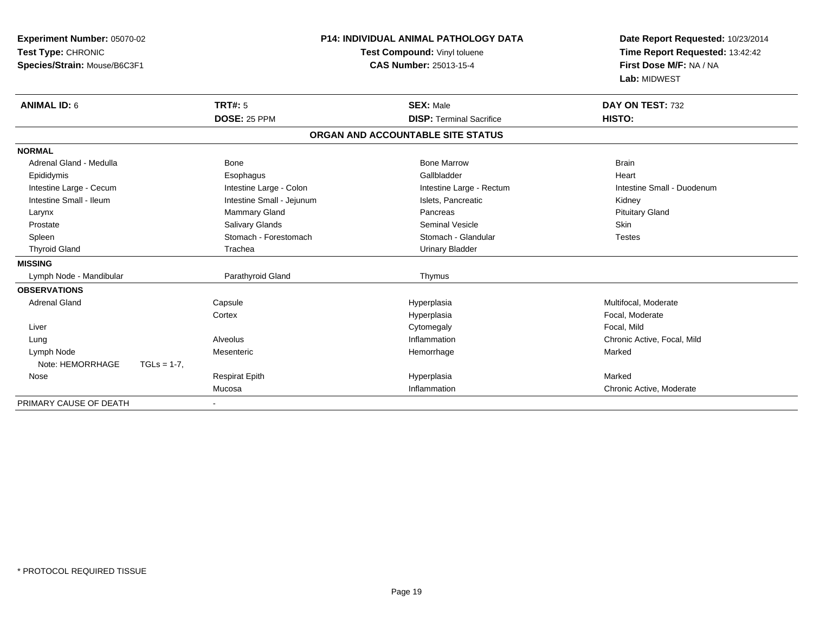| Experiment Number: 05070-02<br>Test Type: CHRONIC<br>Species/Strain: Mouse/B6C3F1 |                           | <b>P14: INDIVIDUAL ANIMAL PATHOLOGY DATA</b><br>Test Compound: Vinyl toluene<br><b>CAS Number: 25013-15-4</b> | Date Report Requested: 10/23/2014<br>Time Report Requested: 13:42:42<br>First Dose M/F: NA / NA<br>Lab: MIDWEST |
|-----------------------------------------------------------------------------------|---------------------------|---------------------------------------------------------------------------------------------------------------|-----------------------------------------------------------------------------------------------------------------|
| <b>ANIMAL ID: 6</b>                                                               | <b>TRT#: 5</b>            | <b>SEX: Male</b>                                                                                              | DAY ON TEST: 732                                                                                                |
|                                                                                   | DOSE: 25 PPM              | <b>DISP: Terminal Sacrifice</b>                                                                               | HISTO:                                                                                                          |
|                                                                                   |                           | ORGAN AND ACCOUNTABLE SITE STATUS                                                                             |                                                                                                                 |
| <b>NORMAL</b>                                                                     |                           |                                                                                                               |                                                                                                                 |
| Adrenal Gland - Medulla                                                           | Bone                      | <b>Bone Marrow</b>                                                                                            | <b>Brain</b>                                                                                                    |
| Epididymis                                                                        | Esophagus                 | Gallbladder                                                                                                   | Heart                                                                                                           |
| Intestine Large - Cecum                                                           | Intestine Large - Colon   | Intestine Large - Rectum                                                                                      | Intestine Small - Duodenum                                                                                      |
| Intestine Small - Ileum                                                           | Intestine Small - Jejunum | Islets, Pancreatic                                                                                            | Kidney                                                                                                          |
| Larynx                                                                            | <b>Mammary Gland</b>      | Pancreas                                                                                                      | <b>Pituitary Gland</b>                                                                                          |
| Prostate                                                                          | <b>Salivary Glands</b>    | Seminal Vesicle                                                                                               | Skin                                                                                                            |
| Spleen                                                                            | Stomach - Forestomach     | Stomach - Glandular                                                                                           | <b>Testes</b>                                                                                                   |
| <b>Thyroid Gland</b>                                                              | Trachea                   | <b>Urinary Bladder</b>                                                                                        |                                                                                                                 |
| <b>MISSING</b>                                                                    |                           |                                                                                                               |                                                                                                                 |
| Lymph Node - Mandibular                                                           | Parathyroid Gland         | Thymus                                                                                                        |                                                                                                                 |
| <b>OBSERVATIONS</b>                                                               |                           |                                                                                                               |                                                                                                                 |
| <b>Adrenal Gland</b>                                                              | Capsule                   | Hyperplasia                                                                                                   | Multifocal, Moderate                                                                                            |
|                                                                                   | Cortex                    | Hyperplasia                                                                                                   | Focal, Moderate                                                                                                 |
| Liver                                                                             |                           | Cytomegaly                                                                                                    | Focal, Mild                                                                                                     |
| Lung                                                                              | Alveolus                  | Inflammation                                                                                                  | Chronic Active, Focal, Mild                                                                                     |
| Lymph Node                                                                        | Mesenteric                | Hemorrhage                                                                                                    | Marked                                                                                                          |
| Note: HEMORRHAGE<br>$TGLs = 1-7$ ,                                                |                           |                                                                                                               |                                                                                                                 |
| Nose                                                                              | <b>Respirat Epith</b>     | Hyperplasia                                                                                                   | Marked                                                                                                          |
|                                                                                   | Mucosa                    | Inflammation                                                                                                  | Chronic Active, Moderate                                                                                        |
| PRIMARY CAUSE OF DEATH                                                            |                           |                                                                                                               |                                                                                                                 |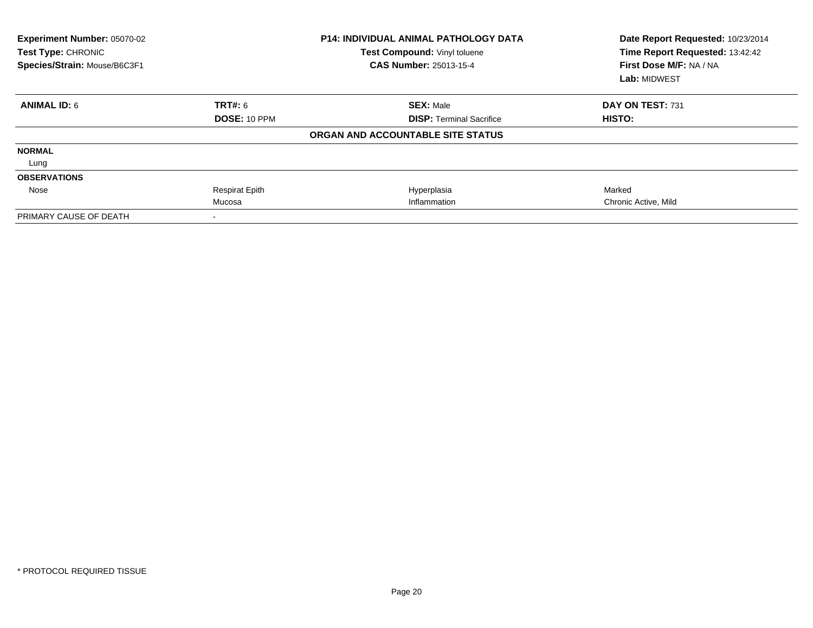| Experiment Number: 05070-02<br>Test Type: CHRONIC<br>Species/Strain: Mouse/B6C3F1 |                       | <b>P14: INDIVIDUAL ANIMAL PATHOLOGY DATA</b><br>Test Compound: Vinyl toluene<br><b>CAS Number: 25013-15-4</b> | Date Report Requested: 10/23/2014<br>Time Report Requested: 13:42:42<br>First Dose M/F: NA / NA<br>Lab: MIDWEST |
|-----------------------------------------------------------------------------------|-----------------------|---------------------------------------------------------------------------------------------------------------|-----------------------------------------------------------------------------------------------------------------|
| <b>ANIMAL ID: 6</b>                                                               | TRT#: 6               | <b>SEX: Male</b>                                                                                              | DAY ON TEST: 731                                                                                                |
|                                                                                   | DOSE: 10 PPM          | <b>DISP: Terminal Sacrifice</b>                                                                               | HISTO:                                                                                                          |
|                                                                                   |                       | ORGAN AND ACCOUNTABLE SITE STATUS                                                                             |                                                                                                                 |
| <b>NORMAL</b>                                                                     |                       |                                                                                                               |                                                                                                                 |
| Lung                                                                              |                       |                                                                                                               |                                                                                                                 |
| <b>OBSERVATIONS</b>                                                               |                       |                                                                                                               |                                                                                                                 |
| Nose                                                                              | <b>Respirat Epith</b> | Hyperplasia                                                                                                   | Marked                                                                                                          |
|                                                                                   | Mucosa                | Inflammation                                                                                                  | Chronic Active, Mild                                                                                            |
| PRIMARY CAUSE OF DEATH                                                            |                       |                                                                                                               |                                                                                                                 |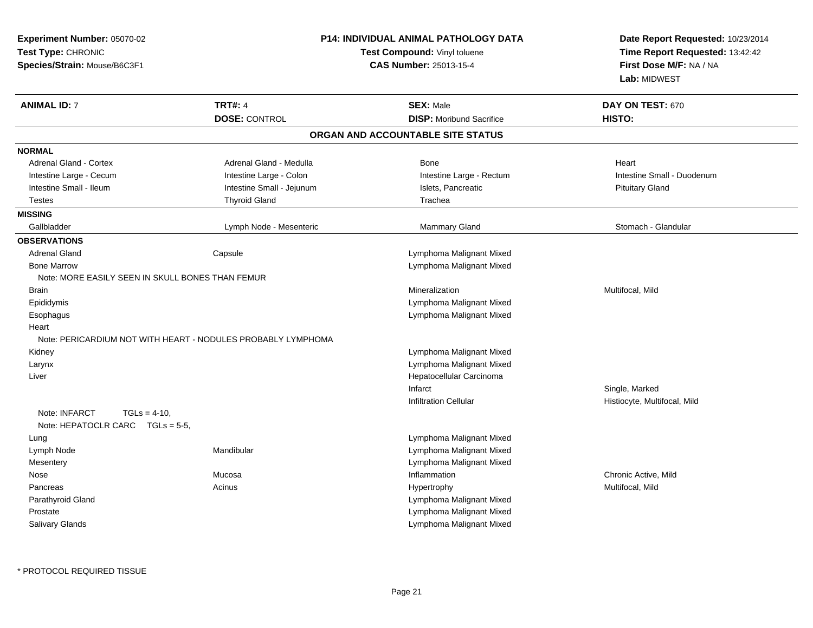| Experiment Number: 05070-02<br>Test Type: CHRONIC<br>Species/Strain: Mouse/B6C3F1 |                                                              | <b>P14: INDIVIDUAL ANIMAL PATHOLOGY DATA</b><br>Test Compound: Vinyl toluene<br><b>CAS Number: 25013-15-4</b> | Date Report Requested: 10/23/2014<br>Time Report Requested: 13:42:42<br>First Dose M/F: NA / NA<br><b>Lab: MIDWEST</b> |
|-----------------------------------------------------------------------------------|--------------------------------------------------------------|---------------------------------------------------------------------------------------------------------------|------------------------------------------------------------------------------------------------------------------------|
| <b>ANIMAL ID: 7</b>                                                               | <b>TRT#: 4</b>                                               | <b>SEX: Male</b>                                                                                              | DAY ON TEST: 670                                                                                                       |
|                                                                                   | <b>DOSE: CONTROL</b>                                         | <b>DISP:</b> Moribund Sacrifice                                                                               | HISTO:                                                                                                                 |
|                                                                                   |                                                              | ORGAN AND ACCOUNTABLE SITE STATUS                                                                             |                                                                                                                        |
| <b>NORMAL</b>                                                                     |                                                              |                                                                                                               |                                                                                                                        |
| <b>Adrenal Gland - Cortex</b>                                                     | Adrenal Gland - Medulla                                      | Bone                                                                                                          | Heart                                                                                                                  |
| Intestine Large - Cecum                                                           | Intestine Large - Colon                                      | Intestine Large - Rectum                                                                                      | Intestine Small - Duodenum                                                                                             |
| Intestine Small - Ileum                                                           | Intestine Small - Jejunum                                    | Islets, Pancreatic                                                                                            | <b>Pituitary Gland</b>                                                                                                 |
| <b>Testes</b>                                                                     | <b>Thyroid Gland</b>                                         | Trachea                                                                                                       |                                                                                                                        |
| <b>MISSING</b>                                                                    |                                                              |                                                                                                               |                                                                                                                        |
| Gallbladder                                                                       | Lymph Node - Mesenteric                                      | Mammary Gland                                                                                                 | Stomach - Glandular                                                                                                    |
| <b>OBSERVATIONS</b>                                                               |                                                              |                                                                                                               |                                                                                                                        |
| <b>Adrenal Gland</b>                                                              | Capsule                                                      | Lymphoma Malignant Mixed                                                                                      |                                                                                                                        |
| <b>Bone Marrow</b>                                                                |                                                              | Lymphoma Malignant Mixed                                                                                      |                                                                                                                        |
| Note: MORE EASILY SEEN IN SKULL BONES THAN FEMUR                                  |                                                              |                                                                                                               |                                                                                                                        |
| <b>Brain</b>                                                                      |                                                              | Mineralization                                                                                                | Multifocal, Mild                                                                                                       |
| Epididymis                                                                        |                                                              | Lymphoma Malignant Mixed                                                                                      |                                                                                                                        |
| Esophagus                                                                         |                                                              | Lymphoma Malignant Mixed                                                                                      |                                                                                                                        |
| Heart                                                                             |                                                              |                                                                                                               |                                                                                                                        |
|                                                                                   | Note: PERICARDIUM NOT WITH HEART - NODULES PROBABLY LYMPHOMA |                                                                                                               |                                                                                                                        |
| Kidney                                                                            |                                                              | Lymphoma Malignant Mixed                                                                                      |                                                                                                                        |
| Larynx                                                                            |                                                              | Lymphoma Malignant Mixed                                                                                      |                                                                                                                        |
| Liver                                                                             |                                                              | Hepatocellular Carcinoma                                                                                      |                                                                                                                        |
|                                                                                   |                                                              | Infarct                                                                                                       | Single, Marked                                                                                                         |
|                                                                                   |                                                              | <b>Infiltration Cellular</b>                                                                                  | Histiocyte, Multifocal, Mild                                                                                           |
| Note: INFARCT<br>$TGLs = 4-10$ ,<br>Note: HEPATOCLR CARC $TGLs = 5-5$ ,           |                                                              |                                                                                                               |                                                                                                                        |
| Lung                                                                              |                                                              | Lymphoma Malignant Mixed                                                                                      |                                                                                                                        |
| Lymph Node                                                                        | Mandibular                                                   | Lymphoma Malignant Mixed                                                                                      |                                                                                                                        |
| Mesentery                                                                         |                                                              | Lymphoma Malignant Mixed                                                                                      |                                                                                                                        |
| Nose                                                                              | Mucosa                                                       | Inflammation                                                                                                  | Chronic Active, Mild                                                                                                   |
| Pancreas                                                                          | Acinus                                                       | Hypertrophy                                                                                                   | Multifocal, Mild                                                                                                       |
| Parathyroid Gland                                                                 |                                                              | Lymphoma Malignant Mixed                                                                                      |                                                                                                                        |
| Prostate                                                                          |                                                              | Lymphoma Malignant Mixed                                                                                      |                                                                                                                        |
| Salivary Glands                                                                   |                                                              | Lymphoma Malignant Mixed                                                                                      |                                                                                                                        |
|                                                                                   |                                                              |                                                                                                               |                                                                                                                        |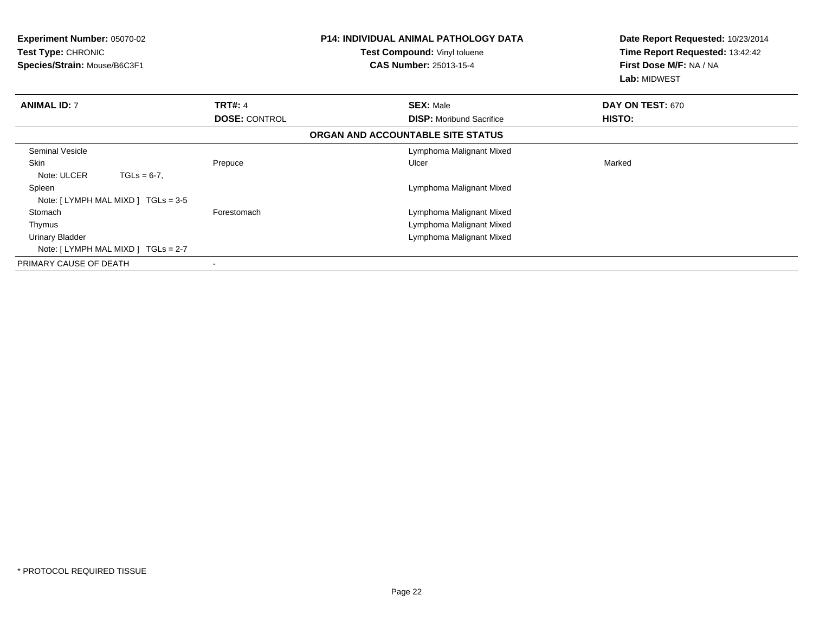| <b>Experiment Number: 05070-02</b><br><b>Test Type: CHRONIC</b><br>Species/Strain: Mouse/B6C3F1 |                      | <b>P14: INDIVIDUAL ANIMAL PATHOLOGY DATA</b><br><b>Test Compound: Vinyl toluene</b><br><b>CAS Number: 25013-15-4</b> | Date Report Requested: 10/23/2014<br>Time Report Requested: 13:42:42<br>First Dose M/F: NA / NA<br>Lab: MIDWEST |
|-------------------------------------------------------------------------------------------------|----------------------|----------------------------------------------------------------------------------------------------------------------|-----------------------------------------------------------------------------------------------------------------|
| <b>ANIMAL ID: 7</b>                                                                             | <b>TRT#: 4</b>       | <b>SEX: Male</b>                                                                                                     | DAY ON TEST: 670                                                                                                |
|                                                                                                 | <b>DOSE: CONTROL</b> | <b>DISP:</b> Moribund Sacrifice                                                                                      | HISTO:                                                                                                          |
|                                                                                                 |                      | ORGAN AND ACCOUNTABLE SITE STATUS                                                                                    |                                                                                                                 |
| <b>Seminal Vesicle</b>                                                                          |                      | Lymphoma Malignant Mixed                                                                                             |                                                                                                                 |
| Skin                                                                                            | Prepuce              | Ulcer                                                                                                                | Marked                                                                                                          |
| Note: ULCER<br>$TGLs = 6-7$ ,                                                                   |                      |                                                                                                                      |                                                                                                                 |
| Spleen                                                                                          |                      | Lymphoma Malignant Mixed                                                                                             |                                                                                                                 |
| Note: [LYMPH MAL MIXD ] TGLs = 3-5                                                              |                      |                                                                                                                      |                                                                                                                 |
| Stomach                                                                                         | Forestomach          | Lymphoma Malignant Mixed                                                                                             |                                                                                                                 |
| Thymus                                                                                          |                      | Lymphoma Malignant Mixed                                                                                             |                                                                                                                 |
| <b>Urinary Bladder</b>                                                                          |                      | Lymphoma Malignant Mixed                                                                                             |                                                                                                                 |
| Note: [ LYMPH MAL MIXD ] TGLs = 2-7                                                             |                      |                                                                                                                      |                                                                                                                 |
| PRIMARY CAUSE OF DEATH                                                                          |                      |                                                                                                                      |                                                                                                                 |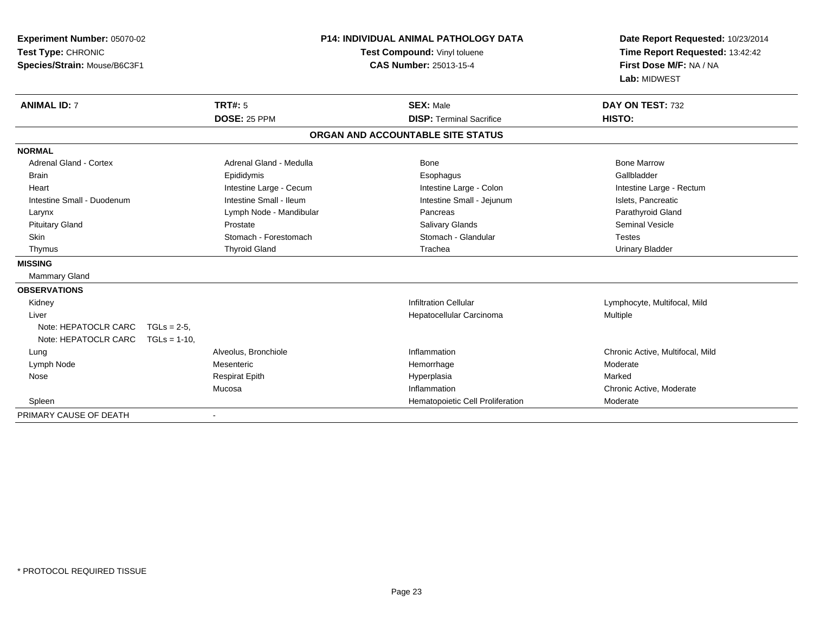| Experiment Number: 05070-02<br>Test Type: CHRONIC<br>Species/Strain: Mouse/B6C3F1 |                | <b>P14: INDIVIDUAL ANIMAL PATHOLOGY DATA</b><br>Test Compound: Vinyl toluene<br><b>CAS Number: 25013-15-4</b> |                                   | Date Report Requested: 10/23/2014<br>Time Report Requested: 13:42:42<br>First Dose M/F: NA / NA<br>Lab: MIDWEST |
|-----------------------------------------------------------------------------------|----------------|---------------------------------------------------------------------------------------------------------------|-----------------------------------|-----------------------------------------------------------------------------------------------------------------|
| <b>ANIMAL ID: 7</b>                                                               |                | <b>TRT#: 5</b>                                                                                                | <b>SEX: Male</b>                  | DAY ON TEST: 732                                                                                                |
|                                                                                   |                | <b>DOSE: 25 PPM</b>                                                                                           | <b>DISP: Terminal Sacrifice</b>   | HISTO:                                                                                                          |
|                                                                                   |                |                                                                                                               | ORGAN AND ACCOUNTABLE SITE STATUS |                                                                                                                 |
| <b>NORMAL</b>                                                                     |                |                                                                                                               |                                   |                                                                                                                 |
| <b>Adrenal Gland - Cortex</b>                                                     |                | Adrenal Gland - Medulla                                                                                       | Bone                              | <b>Bone Marrow</b>                                                                                              |
| Brain                                                                             |                | Epididymis                                                                                                    | Esophagus                         | Gallbladder                                                                                                     |
| Heart                                                                             |                | Intestine Large - Cecum                                                                                       | Intestine Large - Colon           | Intestine Large - Rectum                                                                                        |
| Intestine Small - Duodenum                                                        |                | Intestine Small - Ileum                                                                                       | Intestine Small - Jejunum         | Islets, Pancreatic                                                                                              |
| Larynx                                                                            |                | Lymph Node - Mandibular                                                                                       | Pancreas                          | Parathyroid Gland                                                                                               |
| <b>Pituitary Gland</b>                                                            |                | Prostate                                                                                                      | <b>Salivary Glands</b>            | <b>Seminal Vesicle</b>                                                                                          |
| Skin                                                                              |                | Stomach - Forestomach                                                                                         | Stomach - Glandular               | <b>Testes</b>                                                                                                   |
| Thymus                                                                            |                | <b>Thyroid Gland</b>                                                                                          | Trachea                           | <b>Urinary Bladder</b>                                                                                          |
| <b>MISSING</b>                                                                    |                |                                                                                                               |                                   |                                                                                                                 |
| <b>Mammary Gland</b>                                                              |                |                                                                                                               |                                   |                                                                                                                 |
| <b>OBSERVATIONS</b>                                                               |                |                                                                                                               |                                   |                                                                                                                 |
| Kidney                                                                            |                |                                                                                                               | <b>Infiltration Cellular</b>      | Lymphocyte, Multifocal, Mild                                                                                    |
| Liver                                                                             |                |                                                                                                               | Hepatocellular Carcinoma          | Multiple                                                                                                        |
| Note: HEPATOCLR CARC                                                              | $TGLs = 2-5.$  |                                                                                                               |                                   |                                                                                                                 |
| Note: HEPATOCLR CARC                                                              | $TGLs = 1-10.$ |                                                                                                               |                                   |                                                                                                                 |
| Lung                                                                              |                | Alveolus, Bronchiole                                                                                          | Inflammation                      | Chronic Active, Multifocal, Mild                                                                                |
| Lymph Node                                                                        |                | Mesenteric                                                                                                    | Hemorrhage                        | Moderate                                                                                                        |
| Nose                                                                              |                | <b>Respirat Epith</b>                                                                                         | Hyperplasia                       | Marked                                                                                                          |
|                                                                                   |                | Mucosa                                                                                                        | Inflammation                      | Chronic Active, Moderate                                                                                        |
| Spleen                                                                            |                |                                                                                                               | Hematopoietic Cell Proliferation  | Moderate                                                                                                        |
| PRIMARY CAUSE OF DEATH                                                            |                | $\overline{\phantom{a}}$                                                                                      |                                   |                                                                                                                 |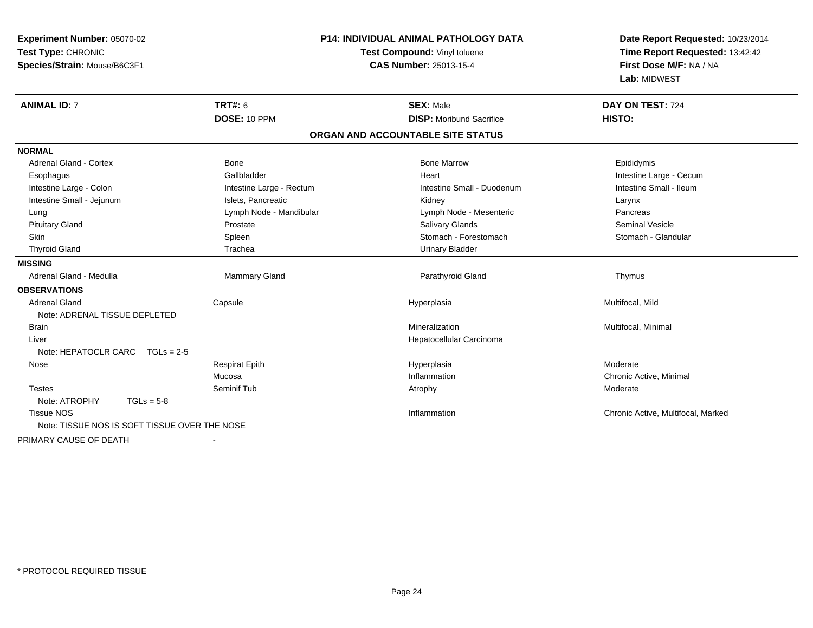| Experiment Number: 05070-02                   | <b>P14: INDIVIDUAL ANIMAL PATHOLOGY DATA</b><br>Test Compound: Vinyl toluene |                                   | Date Report Requested: 10/23/2014<br>Time Report Requested: 13:42:42 |
|-----------------------------------------------|------------------------------------------------------------------------------|-----------------------------------|----------------------------------------------------------------------|
| Test Type: CHRONIC                            |                                                                              |                                   |                                                                      |
| Species/Strain: Mouse/B6C3F1                  |                                                                              | <b>CAS Number: 25013-15-4</b>     | First Dose M/F: NA / NA                                              |
|                                               |                                                                              |                                   | Lab: MIDWEST                                                         |
| <b>ANIMAL ID: 7</b>                           | <b>TRT#: 6</b>                                                               | <b>SEX: Male</b>                  | DAY ON TEST: 724                                                     |
|                                               | DOSE: 10 PPM                                                                 | <b>DISP: Moribund Sacrifice</b>   | <b>HISTO:</b>                                                        |
|                                               |                                                                              | ORGAN AND ACCOUNTABLE SITE STATUS |                                                                      |
| <b>NORMAL</b>                                 |                                                                              |                                   |                                                                      |
| Adrenal Gland - Cortex                        | <b>Bone</b>                                                                  | <b>Bone Marrow</b>                | Epididymis                                                           |
| Esophagus                                     | Gallbladder                                                                  | Heart                             | Intestine Large - Cecum                                              |
| Intestine Large - Colon                       | Intestine Large - Rectum                                                     | Intestine Small - Duodenum        | Intestine Small - Ileum                                              |
| Intestine Small - Jejunum                     | Islets, Pancreatic                                                           | Kidney                            | Larynx                                                               |
| Lung                                          | Lymph Node - Mandibular                                                      | Lymph Node - Mesenteric           | Pancreas                                                             |
| <b>Pituitary Gland</b>                        | Prostate                                                                     | <b>Salivary Glands</b>            | <b>Seminal Vesicle</b>                                               |
| <b>Skin</b>                                   | Spleen                                                                       | Stomach - Forestomach             | Stomach - Glandular                                                  |
| <b>Thyroid Gland</b>                          | Trachea                                                                      | <b>Urinary Bladder</b>            |                                                                      |
| <b>MISSING</b>                                |                                                                              |                                   |                                                                      |
| Adrenal Gland - Medulla                       | <b>Mammary Gland</b>                                                         | Parathyroid Gland                 | Thymus                                                               |
| <b>OBSERVATIONS</b>                           |                                                                              |                                   |                                                                      |
| <b>Adrenal Gland</b>                          | Capsule                                                                      | Hyperplasia                       | Multifocal, Mild                                                     |
| Note: ADRENAL TISSUE DEPLETED                 |                                                                              |                                   |                                                                      |
| Brain                                         |                                                                              | Mineralization                    | Multifocal, Minimal                                                  |
| Liver                                         |                                                                              | Hepatocellular Carcinoma          |                                                                      |
| Note: HEPATOCLR CARC<br>$TGLs = 2-5$          |                                                                              |                                   |                                                                      |
| Nose                                          | <b>Respirat Epith</b>                                                        | Hyperplasia                       | Moderate                                                             |
|                                               | Mucosa                                                                       | Inflammation                      | Chronic Active, Minimal                                              |
| <b>Testes</b>                                 | Seminif Tub                                                                  | Atrophy                           | Moderate                                                             |
| Note: ATROPHY<br>$TGLs = 5-8$                 |                                                                              |                                   |                                                                      |
| <b>Tissue NOS</b>                             |                                                                              | Inflammation                      | Chronic Active, Multifocal, Marked                                   |
| Note: TISSUE NOS IS SOFT TISSUE OVER THE NOSE |                                                                              |                                   |                                                                      |
| PRIMARY CAUSE OF DEATH                        |                                                                              |                                   |                                                                      |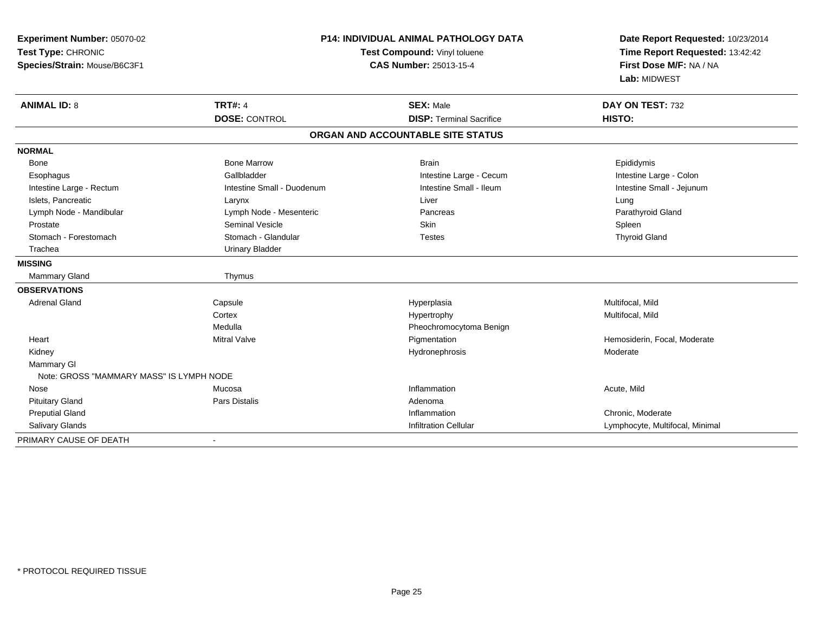| Experiment Number: 05070-02<br>Test Type: CHRONIC | P14: INDIVIDUAL ANIMAL PATHOLOGY DATA<br>Test Compound: Vinyl toluene |                                   | Date Report Requested: 10/23/2014<br>Time Report Requested: 13:42:42 |  |
|---------------------------------------------------|-----------------------------------------------------------------------|-----------------------------------|----------------------------------------------------------------------|--|
| Species/Strain: Mouse/B6C3F1                      |                                                                       | CAS Number: 25013-15-4            | First Dose M/F: NA / NA<br>Lab: MIDWEST                              |  |
| <b>ANIMAL ID: 8</b>                               | <b>TRT#: 4</b>                                                        | <b>SEX: Male</b>                  | DAY ON TEST: 732                                                     |  |
|                                                   | <b>DOSE: CONTROL</b>                                                  | <b>DISP: Terminal Sacrifice</b>   | HISTO:                                                               |  |
|                                                   |                                                                       | ORGAN AND ACCOUNTABLE SITE STATUS |                                                                      |  |
| <b>NORMAL</b>                                     |                                                                       |                                   |                                                                      |  |
| Bone                                              | <b>Bone Marrow</b>                                                    | <b>Brain</b>                      | Epididymis                                                           |  |
| Esophagus                                         | Gallbladder                                                           | Intestine Large - Cecum           | Intestine Large - Colon                                              |  |
| Intestine Large - Rectum                          | Intestine Small - Duodenum                                            | Intestine Small - Ileum           | Intestine Small - Jejunum                                            |  |
| Islets, Pancreatic                                | Larynx                                                                | Liver                             | Lung                                                                 |  |
| Lymph Node - Mandibular                           | Lymph Node - Mesenteric                                               | Pancreas                          | Parathyroid Gland                                                    |  |
| Prostate                                          | <b>Seminal Vesicle</b>                                                | <b>Skin</b>                       | Spleen                                                               |  |
| Stomach - Forestomach                             | Stomach - Glandular                                                   | <b>Testes</b>                     | <b>Thyroid Gland</b>                                                 |  |
| Trachea                                           | <b>Urinary Bladder</b>                                                |                                   |                                                                      |  |
| <b>MISSING</b>                                    |                                                                       |                                   |                                                                      |  |
| Mammary Gland                                     | Thymus                                                                |                                   |                                                                      |  |
| <b>OBSERVATIONS</b>                               |                                                                       |                                   |                                                                      |  |
| <b>Adrenal Gland</b>                              | Capsule                                                               | Hyperplasia                       | Multifocal, Mild                                                     |  |
|                                                   | Cortex                                                                | Hypertrophy                       | Multifocal, Mild                                                     |  |
|                                                   | Medulla                                                               | Pheochromocytoma Benign           |                                                                      |  |
| Heart                                             | <b>Mitral Valve</b>                                                   | Pigmentation                      | Hemosiderin, Focal, Moderate                                         |  |
| Kidney                                            |                                                                       | Hydronephrosis                    | Moderate                                                             |  |
| <b>Mammary GI</b>                                 |                                                                       |                                   |                                                                      |  |
| Note: GROSS "MAMMARY MASS" IS LYMPH NODE          |                                                                       |                                   |                                                                      |  |
| Nose                                              | Mucosa                                                                | Inflammation                      | Acute, Mild                                                          |  |
| <b>Pituitary Gland</b>                            | <b>Pars Distalis</b>                                                  | Adenoma                           |                                                                      |  |
| <b>Preputial Gland</b>                            |                                                                       | Inflammation                      | Chronic, Moderate                                                    |  |
| <b>Salivary Glands</b>                            |                                                                       | <b>Infiltration Cellular</b>      | Lymphocyte, Multifocal, Minimal                                      |  |
| PRIMARY CAUSE OF DEATH                            | $\sim$                                                                |                                   |                                                                      |  |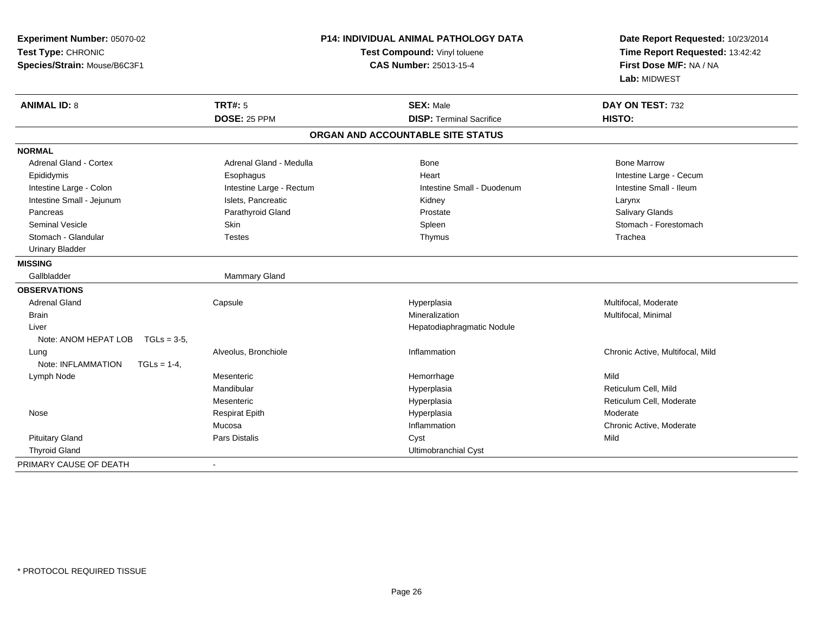| Experiment Number: 05070-02<br>Test Type: CHRONIC<br>Species/Strain: Mouse/B6C3F1 |                          | <b>P14: INDIVIDUAL ANIMAL PATHOLOGY DATA</b><br>Test Compound: Vinyl toluene<br><b>CAS Number: 25013-15-4</b> | Date Report Requested: 10/23/2014<br>Time Report Requested: 13:42:42<br>First Dose M/F: NA / NA<br>Lab: MIDWEST |  |
|-----------------------------------------------------------------------------------|--------------------------|---------------------------------------------------------------------------------------------------------------|-----------------------------------------------------------------------------------------------------------------|--|
| <b>ANIMAL ID: 8</b>                                                               | <b>TRT#: 5</b>           | <b>SEX: Male</b>                                                                                              | DAY ON TEST: 732                                                                                                |  |
|                                                                                   | <b>DOSE: 25 PPM</b>      | <b>DISP: Terminal Sacrifice</b>                                                                               | HISTO:                                                                                                          |  |
|                                                                                   |                          | ORGAN AND ACCOUNTABLE SITE STATUS                                                                             |                                                                                                                 |  |
| <b>NORMAL</b>                                                                     |                          |                                                                                                               |                                                                                                                 |  |
| <b>Adrenal Gland - Cortex</b>                                                     | Adrenal Gland - Medulla  | <b>Bone</b>                                                                                                   | <b>Bone Marrow</b>                                                                                              |  |
| Epididymis                                                                        | Esophagus                | Heart                                                                                                         | Intestine Large - Cecum                                                                                         |  |
| Intestine Large - Colon                                                           | Intestine Large - Rectum | Intestine Small - Duodenum                                                                                    | Intestine Small - Ileum                                                                                         |  |
| Intestine Small - Jejunum                                                         | Islets, Pancreatic       | Kidney                                                                                                        | Larynx                                                                                                          |  |
| Pancreas                                                                          | Parathyroid Gland        | Prostate                                                                                                      | Salivary Glands                                                                                                 |  |
| <b>Seminal Vesicle</b>                                                            | Skin                     | Spleen                                                                                                        | Stomach - Forestomach                                                                                           |  |
| Stomach - Glandular                                                               | <b>Testes</b>            | Thymus                                                                                                        | Trachea                                                                                                         |  |
| <b>Urinary Bladder</b>                                                            |                          |                                                                                                               |                                                                                                                 |  |
| <b>MISSING</b>                                                                    |                          |                                                                                                               |                                                                                                                 |  |
| Gallbladder                                                                       | Mammary Gland            |                                                                                                               |                                                                                                                 |  |
| <b>OBSERVATIONS</b>                                                               |                          |                                                                                                               |                                                                                                                 |  |
| <b>Adrenal Gland</b>                                                              | Capsule                  | Hyperplasia                                                                                                   | Multifocal, Moderate                                                                                            |  |
| <b>Brain</b>                                                                      |                          | Mineralization                                                                                                | Multifocal, Minimal                                                                                             |  |
| Liver                                                                             |                          | Hepatodiaphragmatic Nodule                                                                                    |                                                                                                                 |  |
| Note: ANOM HEPAT LOB<br>$TGLs = 3-5$                                              |                          |                                                                                                               |                                                                                                                 |  |
| Lung                                                                              | Alveolus, Bronchiole     | Inflammation                                                                                                  | Chronic Active, Multifocal, Mild                                                                                |  |
| Note: INFLAMMATION<br>$TGLs = 1-4$ ,                                              |                          |                                                                                                               |                                                                                                                 |  |
| Lymph Node                                                                        | Mesenteric               | Hemorrhage                                                                                                    | Mild                                                                                                            |  |
|                                                                                   | Mandibular               | Hyperplasia                                                                                                   | Reticulum Cell, Mild                                                                                            |  |
|                                                                                   | Mesenteric               | Hyperplasia                                                                                                   | Reticulum Cell, Moderate                                                                                        |  |
| Nose                                                                              | <b>Respirat Epith</b>    | Hyperplasia                                                                                                   | Moderate                                                                                                        |  |
|                                                                                   | Mucosa                   | Inflammation                                                                                                  | Chronic Active, Moderate                                                                                        |  |
| <b>Pituitary Gland</b>                                                            | Pars Distalis            | Cyst                                                                                                          | Mild                                                                                                            |  |
| <b>Thyroid Gland</b>                                                              |                          | <b>Ultimobranchial Cyst</b>                                                                                   |                                                                                                                 |  |
| PRIMARY CAUSE OF DEATH                                                            | $\blacksquare$           |                                                                                                               |                                                                                                                 |  |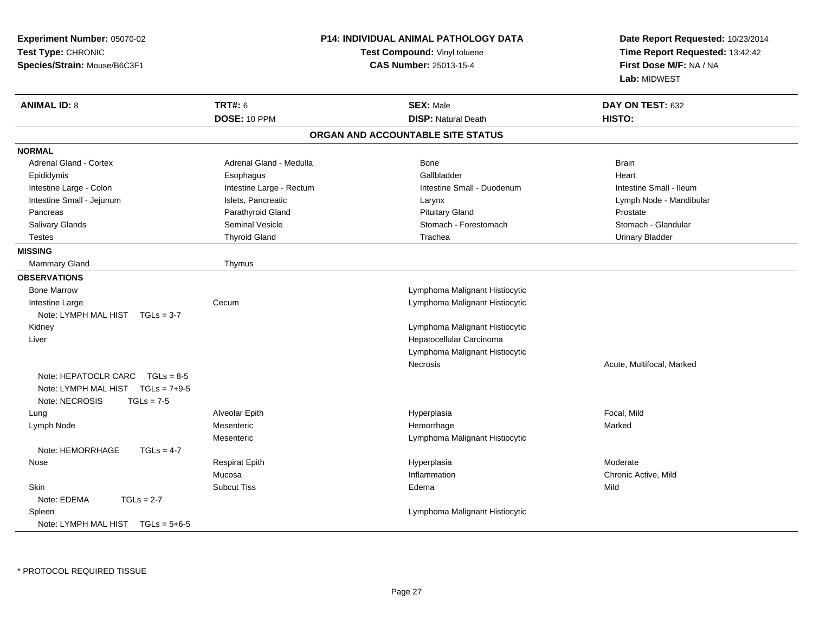| <b>Experiment Number: 05070-02</b><br>Test Type: CHRONIC<br>Species/Strain: Mouse/B6C3F1 |                          | <b>P14: INDIVIDUAL ANIMAL PATHOLOGY DATA</b><br>Test Compound: Vinyl toluene<br><b>CAS Number: 25013-15-4</b> | Date Report Requested: 10/23/2014<br>Time Report Requested: 13:42:42<br>First Dose M/F: NA / NA<br>Lab: MIDWEST |  |
|------------------------------------------------------------------------------------------|--------------------------|---------------------------------------------------------------------------------------------------------------|-----------------------------------------------------------------------------------------------------------------|--|
| <b>ANIMAL ID: 8</b>                                                                      | <b>TRT#: 6</b>           | <b>SEX: Male</b>                                                                                              | DAY ON TEST: 632                                                                                                |  |
|                                                                                          | DOSE: 10 PPM             | <b>DISP: Natural Death</b>                                                                                    | HISTO:                                                                                                          |  |
|                                                                                          |                          | ORGAN AND ACCOUNTABLE SITE STATUS                                                                             |                                                                                                                 |  |
| <b>NORMAL</b>                                                                            |                          |                                                                                                               |                                                                                                                 |  |
| Adrenal Gland - Cortex                                                                   | Adrenal Gland - Medulla  | Bone                                                                                                          | <b>Brain</b>                                                                                                    |  |
| Epididymis                                                                               | Esophagus                | Gallbladder                                                                                                   | Heart                                                                                                           |  |
| Intestine Large - Colon                                                                  | Intestine Large - Rectum | Intestine Small - Duodenum                                                                                    | Intestine Small - Ileum                                                                                         |  |
| Intestine Small - Jejunum                                                                | Islets, Pancreatic       | Larynx                                                                                                        | Lymph Node - Mandibular                                                                                         |  |
| Pancreas                                                                                 | Parathyroid Gland        | <b>Pituitary Gland</b>                                                                                        | Prostate                                                                                                        |  |
| Salivary Glands                                                                          | Seminal Vesicle          | Stomach - Forestomach                                                                                         | Stomach - Glandular                                                                                             |  |
| <b>Testes</b>                                                                            | <b>Thyroid Gland</b>     | Trachea                                                                                                       | <b>Urinary Bladder</b>                                                                                          |  |
| <b>MISSING</b>                                                                           |                          |                                                                                                               |                                                                                                                 |  |
| Mammary Gland                                                                            | Thymus                   |                                                                                                               |                                                                                                                 |  |
| <b>OBSERVATIONS</b>                                                                      |                          |                                                                                                               |                                                                                                                 |  |
| <b>Bone Marrow</b>                                                                       |                          | Lymphoma Malignant Histiocytic                                                                                |                                                                                                                 |  |
| Intestine Large                                                                          | Cecum                    | Lymphoma Malignant Histiocytic                                                                                |                                                                                                                 |  |
| Note: LYMPH MAL HIST TGLs = 3-7                                                          |                          |                                                                                                               |                                                                                                                 |  |
| Kidney                                                                                   |                          | Lymphoma Malignant Histiocytic                                                                                |                                                                                                                 |  |
| Liver                                                                                    |                          | Hepatocellular Carcinoma                                                                                      |                                                                                                                 |  |
|                                                                                          |                          | Lymphoma Malignant Histiocytic                                                                                |                                                                                                                 |  |
|                                                                                          |                          | Necrosis                                                                                                      | Acute, Multifocal, Marked                                                                                       |  |
| Note: HEPATOCLR CARC $TGLs = 8-5$                                                        |                          |                                                                                                               |                                                                                                                 |  |
| Note: LYMPH MAL HIST $TGLs = 7+9-5$                                                      |                          |                                                                                                               |                                                                                                                 |  |
| Note: NECROSIS<br>$TGLs = 7-5$                                                           |                          |                                                                                                               |                                                                                                                 |  |
| Lung                                                                                     | Alveolar Epith           | Hyperplasia                                                                                                   | Focal, Mild                                                                                                     |  |
| Lymph Node                                                                               | Mesenteric               | Hemorrhage                                                                                                    | Marked                                                                                                          |  |
|                                                                                          | Mesenteric               | Lymphoma Malignant Histiocytic                                                                                |                                                                                                                 |  |
| Note: HEMORRHAGE<br>$TGLs = 4-7$                                                         |                          |                                                                                                               |                                                                                                                 |  |
| Nose                                                                                     | <b>Respirat Epith</b>    | Hyperplasia                                                                                                   | Moderate                                                                                                        |  |
|                                                                                          | Mucosa                   | Inflammation                                                                                                  | Chronic Active, Mild                                                                                            |  |
| Skin                                                                                     | <b>Subcut Tiss</b>       | Edema                                                                                                         | Mild                                                                                                            |  |
| Note: EDEMA<br>$TGLs = 2-7$                                                              |                          |                                                                                                               |                                                                                                                 |  |
| Spleen                                                                                   |                          | Lymphoma Malignant Histiocytic                                                                                |                                                                                                                 |  |
| Note: LYMPH MAL HIST $TGLs = 5+6-5$                                                      |                          |                                                                                                               |                                                                                                                 |  |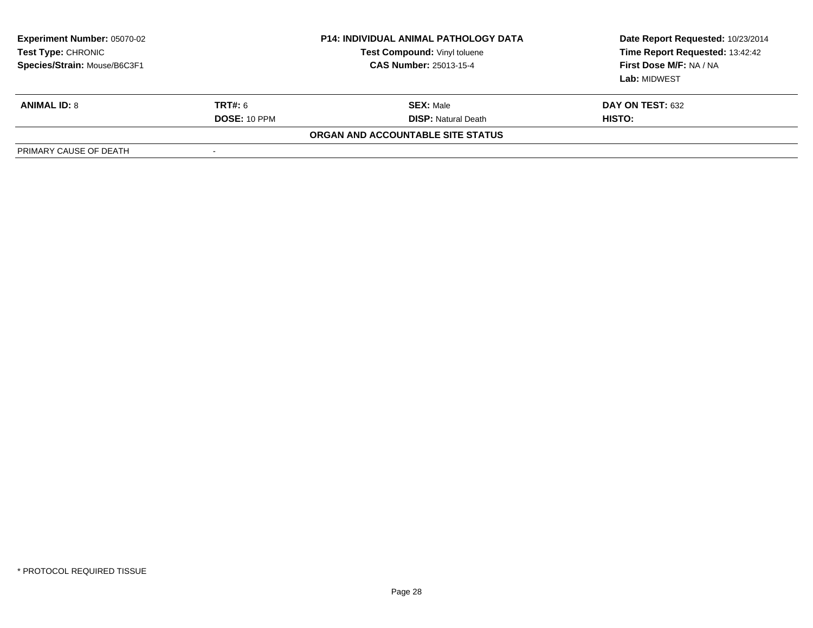| <b>Experiment Number: 05070-02</b><br>Test Type: CHRONIC<br>Species/Strain: Mouse/B6C3F1 |                          | <b>P14: INDIVIDUAL ANIMAL PATHOLOGY DATA</b><br>Test Compound: Vinyl toluene<br><b>CAS Number: 25013-15-4</b> | Date Report Requested: 10/23/2014<br>Time Report Requested: 13:42:42<br>First Dose M/F: NA / NA<br>Lab: MIDWEST |
|------------------------------------------------------------------------------------------|--------------------------|---------------------------------------------------------------------------------------------------------------|-----------------------------------------------------------------------------------------------------------------|
| <b>ANIMAL ID: 8</b>                                                                      | <b>TRT#: 6</b>           | <b>SEX: Male</b>                                                                                              | <b>DAY ON TEST: 632</b>                                                                                         |
|                                                                                          | <b>DOSE: 10 PPM</b>      | <b>DISP:</b> Natural Death                                                                                    | HISTO:                                                                                                          |
|                                                                                          |                          | ORGAN AND ACCOUNTABLE SITE STATUS                                                                             |                                                                                                                 |
| PRIMARY CAUSE OF DEATH                                                                   | $\overline{\phantom{a}}$ |                                                                                                               |                                                                                                                 |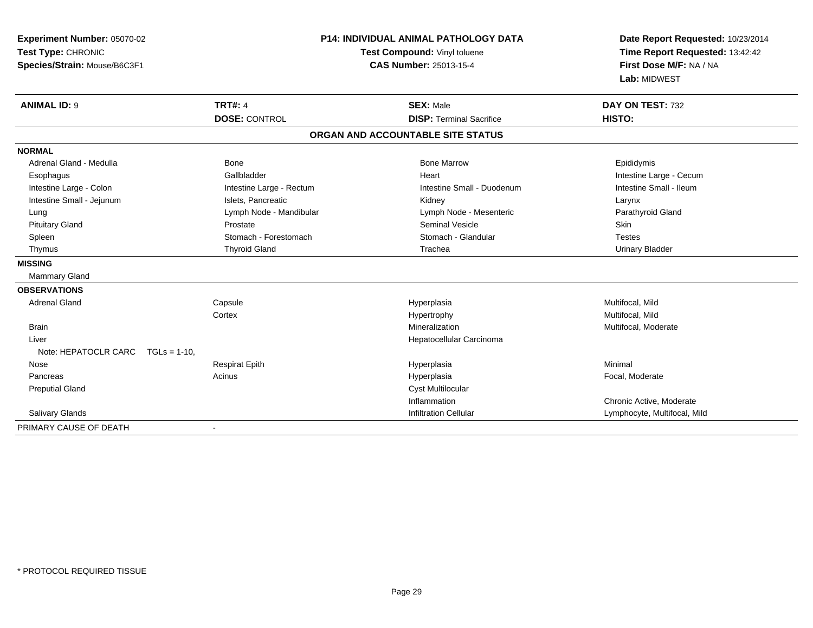| Experiment Number: 05070-02<br>Test Type: CHRONIC<br>Species/Strain: Mouse/B6C3F1 |                                        | <b>P14: INDIVIDUAL ANIMAL PATHOLOGY DATA</b><br>Test Compound: Vinyl toluene<br>CAS Number: 25013-15-4 | Date Report Requested: 10/23/2014<br>Time Report Requested: 13:42:42<br>First Dose M/F: NA / NA<br>Lab: MIDWEST |  |
|-----------------------------------------------------------------------------------|----------------------------------------|--------------------------------------------------------------------------------------------------------|-----------------------------------------------------------------------------------------------------------------|--|
| <b>ANIMAL ID: 9</b>                                                               | <b>TRT#: 4</b><br><b>DOSE: CONTROL</b> | <b>SEX: Male</b><br><b>DISP: Terminal Sacrifice</b>                                                    | DAY ON TEST: 732<br>HISTO:                                                                                      |  |
|                                                                                   |                                        | ORGAN AND ACCOUNTABLE SITE STATUS                                                                      |                                                                                                                 |  |
| <b>NORMAL</b>                                                                     |                                        |                                                                                                        |                                                                                                                 |  |
| Adrenal Gland - Medulla                                                           | <b>Bone</b>                            | <b>Bone Marrow</b>                                                                                     | Epididymis                                                                                                      |  |
| Esophagus                                                                         | Gallbladder                            | Heart                                                                                                  | Intestine Large - Cecum                                                                                         |  |
| Intestine Large - Colon                                                           | Intestine Large - Rectum               | Intestine Small - Duodenum                                                                             | Intestine Small - Ileum                                                                                         |  |
| Intestine Small - Jejunum                                                         | Islets, Pancreatic                     | Kidney                                                                                                 | Larynx                                                                                                          |  |
| Lung                                                                              | Lymph Node - Mandibular                | Lymph Node - Mesenteric                                                                                | Parathyroid Gland                                                                                               |  |
| <b>Pituitary Gland</b>                                                            | Prostate                               | <b>Seminal Vesicle</b>                                                                                 | <b>Skin</b>                                                                                                     |  |
| Spleen                                                                            | Stomach - Forestomach                  | Stomach - Glandular                                                                                    | <b>Testes</b>                                                                                                   |  |
| Thymus                                                                            | <b>Thyroid Gland</b>                   | Trachea                                                                                                | <b>Urinary Bladder</b>                                                                                          |  |
| <b>MISSING</b>                                                                    |                                        |                                                                                                        |                                                                                                                 |  |
| Mammary Gland                                                                     |                                        |                                                                                                        |                                                                                                                 |  |
| <b>OBSERVATIONS</b>                                                               |                                        |                                                                                                        |                                                                                                                 |  |
| <b>Adrenal Gland</b>                                                              | Capsule                                | Hyperplasia                                                                                            | Multifocal, Mild                                                                                                |  |
|                                                                                   | Cortex                                 | Hypertrophy                                                                                            | Multifocal. Mild                                                                                                |  |
| <b>Brain</b>                                                                      |                                        | Mineralization                                                                                         | Multifocal, Moderate                                                                                            |  |
| Liver                                                                             |                                        | Hepatocellular Carcinoma                                                                               |                                                                                                                 |  |
| Note: HEPATOCLR CARC $TGLs = 1-10$ .                                              |                                        |                                                                                                        |                                                                                                                 |  |
| Nose                                                                              | <b>Respirat Epith</b>                  | Hyperplasia                                                                                            | Minimal                                                                                                         |  |
| Pancreas                                                                          | Acinus                                 | Hyperplasia                                                                                            | Focal, Moderate                                                                                                 |  |
| <b>Preputial Gland</b>                                                            |                                        | <b>Cyst Multilocular</b>                                                                               |                                                                                                                 |  |
|                                                                                   |                                        | Inflammation                                                                                           | Chronic Active, Moderate                                                                                        |  |
| Salivary Glands                                                                   |                                        | <b>Infiltration Cellular</b>                                                                           | Lymphocyte, Multifocal, Mild                                                                                    |  |
| PRIMARY CAUSE OF DEATH                                                            |                                        |                                                                                                        |                                                                                                                 |  |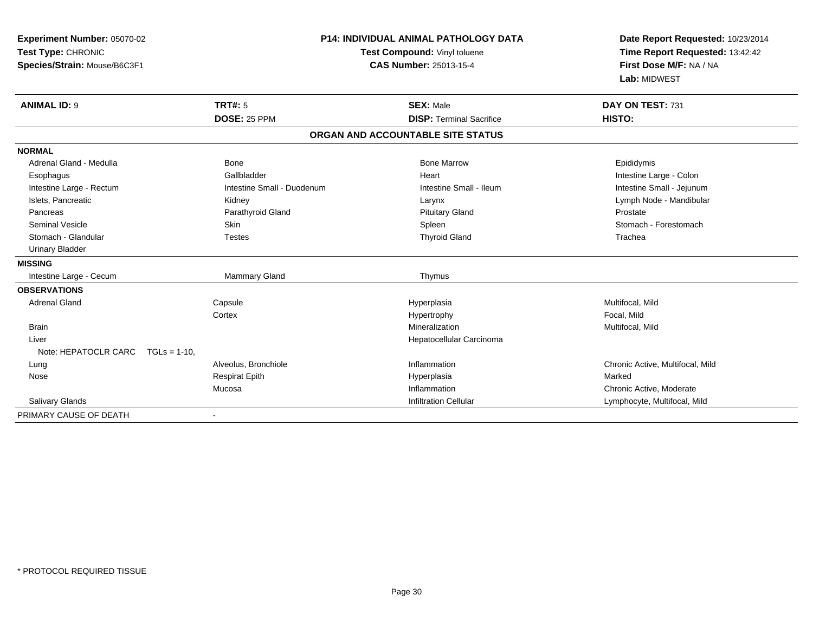| Experiment Number: 05070-02  |                              | P14: INDIVIDUAL ANIMAL PATHOLOGY DATA |                                  |  |
|------------------------------|------------------------------|---------------------------------------|----------------------------------|--|
| Test Type: CHRONIC           | Test Compound: Vinyl toluene |                                       | Time Report Requested: 13:42:42  |  |
| Species/Strain: Mouse/B6C3F1 |                              | <b>CAS Number: 25013-15-4</b>         | First Dose M/F: NA / NA          |  |
|                              |                              |                                       | Lab: MIDWEST                     |  |
| <b>ANIMAL ID: 9</b>          | <b>TRT#: 5</b>               | <b>SEX: Male</b>                      | DAY ON TEST: 731                 |  |
|                              | DOSE: 25 PPM                 | <b>DISP: Terminal Sacrifice</b>       | HISTO:                           |  |
|                              |                              | ORGAN AND ACCOUNTABLE SITE STATUS     |                                  |  |
| <b>NORMAL</b>                |                              |                                       |                                  |  |
| Adrenal Gland - Medulla      | <b>Bone</b>                  | <b>Bone Marrow</b>                    | Epididymis                       |  |
| Esophagus                    | Gallbladder                  | Heart                                 | Intestine Large - Colon          |  |
| Intestine Large - Rectum     | Intestine Small - Duodenum   | Intestine Small - Ileum               | Intestine Small - Jejunum        |  |
| Islets, Pancreatic           | Kidney                       | Larynx                                | Lymph Node - Mandibular          |  |
| Pancreas                     | Parathyroid Gland            | <b>Pituitary Gland</b>                | Prostate                         |  |
| <b>Seminal Vesicle</b>       | Skin                         | Spleen                                | Stomach - Forestomach            |  |
| Stomach - Glandular          | <b>Testes</b>                | <b>Thyroid Gland</b>                  | Trachea                          |  |
| <b>Urinary Bladder</b>       |                              |                                       |                                  |  |
| <b>MISSING</b>               |                              |                                       |                                  |  |
| Intestine Large - Cecum      | Mammary Gland                | Thymus                                |                                  |  |
| <b>OBSERVATIONS</b>          |                              |                                       |                                  |  |
| <b>Adrenal Gland</b>         | Capsule                      | Hyperplasia                           | Multifocal, Mild                 |  |
|                              | Cortex                       | Hypertrophy                           | Focal, Mild                      |  |
| <b>Brain</b>                 |                              | Mineralization                        | Multifocal, Mild                 |  |
| Liver                        |                              | Hepatocellular Carcinoma              |                                  |  |
| Note: HEPATOCLR CARC         | $TGLs = 1-10.$               |                                       |                                  |  |
| Lung                         | Alveolus, Bronchiole         | Inflammation                          | Chronic Active, Multifocal, Mild |  |
| Nose                         | <b>Respirat Epith</b>        | Hyperplasia                           | Marked                           |  |
|                              | Mucosa                       | Inflammation                          | Chronic Active, Moderate         |  |
| Salivary Glands              |                              | <b>Infiltration Cellular</b>          | Lymphocyte, Multifocal, Mild     |  |
| PRIMARY CAUSE OF DEATH       |                              |                                       |                                  |  |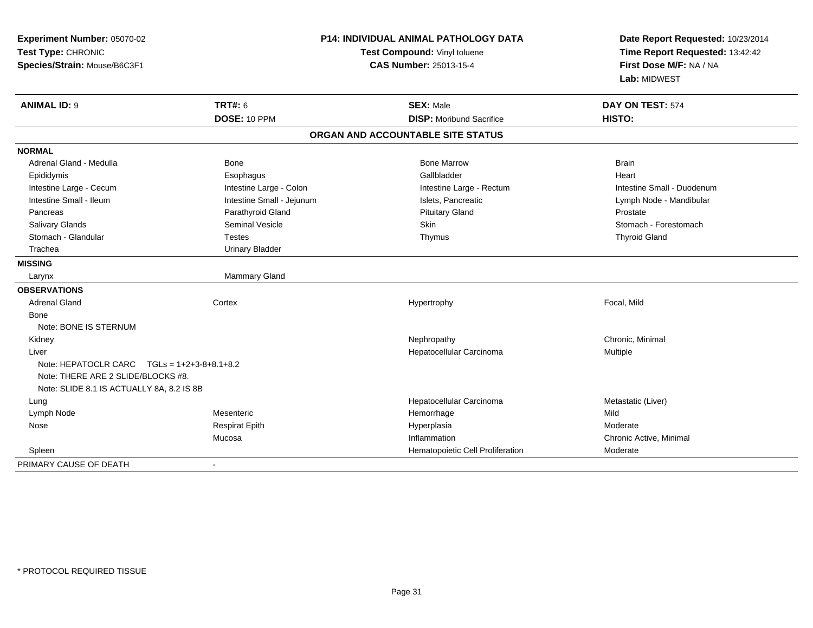| Experiment Number: 05070-02<br>Test Type: CHRONIC<br>Species/Strain: Mouse/B6C3F1                                                | <b>P14: INDIVIDUAL ANIMAL PATHOLOGY DATA</b><br>Test Compound: Vinyl toluene<br><b>CAS Number: 25013-15-4</b> |                                   | Date Report Requested: 10/23/2014<br>Time Report Requested: 13:42:42<br>First Dose M/F: NA / NA<br>Lab: MIDWEST |  |
|----------------------------------------------------------------------------------------------------------------------------------|---------------------------------------------------------------------------------------------------------------|-----------------------------------|-----------------------------------------------------------------------------------------------------------------|--|
| <b>ANIMAL ID: 9</b>                                                                                                              | <b>TRT#: 6</b>                                                                                                | <b>SEX: Male</b>                  | DAY ON TEST: 574                                                                                                |  |
|                                                                                                                                  | DOSE: 10 PPM                                                                                                  | <b>DISP:</b> Moribund Sacrifice   | HISTO:                                                                                                          |  |
|                                                                                                                                  |                                                                                                               | ORGAN AND ACCOUNTABLE SITE STATUS |                                                                                                                 |  |
| <b>NORMAL</b>                                                                                                                    |                                                                                                               |                                   |                                                                                                                 |  |
| Adrenal Gland - Medulla                                                                                                          | Bone                                                                                                          | <b>Bone Marrow</b>                | <b>Brain</b>                                                                                                    |  |
| Epididymis                                                                                                                       | Esophagus                                                                                                     | Gallbladder                       | Heart                                                                                                           |  |
| Intestine Large - Cecum                                                                                                          | Intestine Large - Colon                                                                                       | Intestine Large - Rectum          | Intestine Small - Duodenum                                                                                      |  |
| Intestine Small - Ileum                                                                                                          | Intestine Small - Jejunum                                                                                     | Islets, Pancreatic                | Lymph Node - Mandibular                                                                                         |  |
| Pancreas                                                                                                                         | Parathyroid Gland                                                                                             | <b>Pituitary Gland</b>            | Prostate                                                                                                        |  |
| Salivary Glands                                                                                                                  | <b>Seminal Vesicle</b>                                                                                        | Skin                              | Stomach - Forestomach                                                                                           |  |
| Stomach - Glandular                                                                                                              | Testes                                                                                                        | Thymus                            | <b>Thyroid Gland</b>                                                                                            |  |
| Trachea                                                                                                                          | <b>Urinary Bladder</b>                                                                                        |                                   |                                                                                                                 |  |
| <b>MISSING</b>                                                                                                                   |                                                                                                               |                                   |                                                                                                                 |  |
| Larynx                                                                                                                           | Mammary Gland                                                                                                 |                                   |                                                                                                                 |  |
| <b>OBSERVATIONS</b>                                                                                                              |                                                                                                               |                                   |                                                                                                                 |  |
| <b>Adrenal Gland</b>                                                                                                             | Cortex                                                                                                        | Hypertrophy                       | Focal, Mild                                                                                                     |  |
| Bone                                                                                                                             |                                                                                                               |                                   |                                                                                                                 |  |
| Note: BONE IS STERNUM                                                                                                            |                                                                                                               |                                   |                                                                                                                 |  |
| Kidney                                                                                                                           |                                                                                                               | Nephropathy                       | Chronic, Minimal                                                                                                |  |
| Liver                                                                                                                            |                                                                                                               | Hepatocellular Carcinoma          | <b>Multiple</b>                                                                                                 |  |
| Note: HEPATOCLR CARC $TGLs = 1+2+3-8+8.1+8.2$<br>Note: THERE ARE 2 SLIDE/BLOCKS #8.<br>Note: SLIDE 8.1 IS ACTUALLY 8A, 8.2 IS 8B |                                                                                                               |                                   |                                                                                                                 |  |
| Lung                                                                                                                             |                                                                                                               | Hepatocellular Carcinoma          | Metastatic (Liver)                                                                                              |  |
| Lymph Node                                                                                                                       | Mesenteric                                                                                                    | Hemorrhage                        | Mild                                                                                                            |  |
| Nose                                                                                                                             | <b>Respirat Epith</b>                                                                                         | Hyperplasia                       | Moderate                                                                                                        |  |
|                                                                                                                                  | Mucosa                                                                                                        | Inflammation                      | Chronic Active, Minimal                                                                                         |  |
| Spleen                                                                                                                           |                                                                                                               | Hematopoietic Cell Proliferation  | Moderate                                                                                                        |  |
| PRIMARY CAUSE OF DEATH                                                                                                           |                                                                                                               |                                   |                                                                                                                 |  |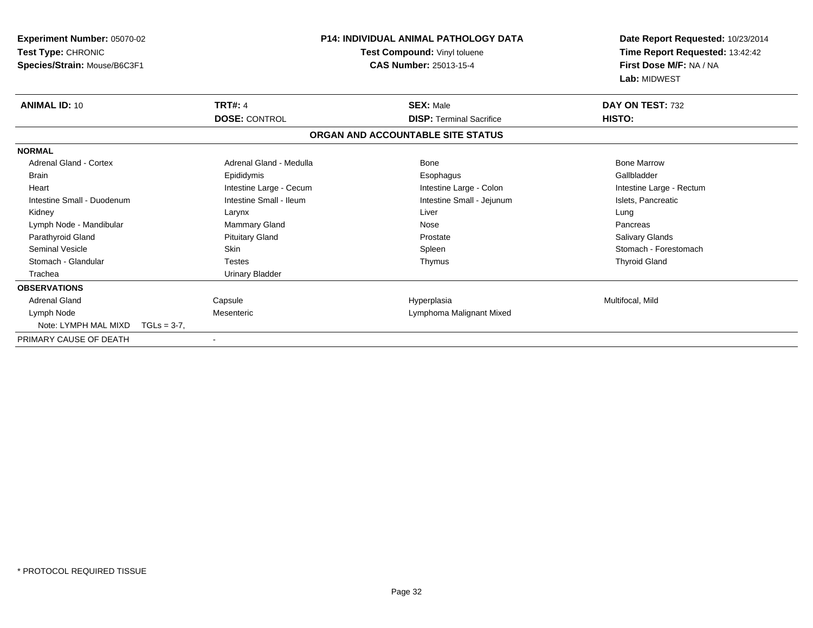| <b>Experiment Number: 05070-02</b><br>Test Type: CHRONIC<br>Species/Strain: Mouse/B6C3F1 |                         | <b>P14: INDIVIDUAL ANIMAL PATHOLOGY DATA</b><br>Test Compound: Vinyl toluene<br><b>CAS Number: 25013-15-4</b> | Date Report Requested: 10/23/2014<br>Time Report Requested: 13:42:42<br>First Dose M/F: NA / NA |
|------------------------------------------------------------------------------------------|-------------------------|---------------------------------------------------------------------------------------------------------------|-------------------------------------------------------------------------------------------------|
|                                                                                          |                         |                                                                                                               | Lab: MIDWEST                                                                                    |
| <b>ANIMAL ID: 10</b>                                                                     | <b>TRT#: 4</b>          | <b>SEX: Male</b>                                                                                              | DAY ON TEST: 732                                                                                |
|                                                                                          | <b>DOSE: CONTROL</b>    | <b>DISP: Terminal Sacrifice</b>                                                                               | HISTO:                                                                                          |
|                                                                                          |                         | ORGAN AND ACCOUNTABLE SITE STATUS                                                                             |                                                                                                 |
| <b>NORMAL</b>                                                                            |                         |                                                                                                               |                                                                                                 |
| <b>Adrenal Gland - Cortex</b>                                                            | Adrenal Gland - Medulla | <b>Bone</b>                                                                                                   | <b>Bone Marrow</b>                                                                              |
| <b>Brain</b>                                                                             | Epididymis              | Esophagus                                                                                                     | Gallbladder                                                                                     |
| Heart                                                                                    | Intestine Large - Cecum | Intestine Large - Colon                                                                                       | Intestine Large - Rectum                                                                        |
| Intestine Small - Duodenum                                                               | Intestine Small - Ileum | Intestine Small - Jejunum                                                                                     | Islets, Pancreatic                                                                              |
| Kidney                                                                                   | Larynx                  | Liver                                                                                                         | Lung                                                                                            |
| Lymph Node - Mandibular                                                                  | Mammary Gland           | Nose                                                                                                          | Pancreas                                                                                        |
| Parathyroid Gland                                                                        | <b>Pituitary Gland</b>  | Prostate                                                                                                      | Salivary Glands                                                                                 |
| <b>Seminal Vesicle</b>                                                                   | <b>Skin</b>             | Spleen                                                                                                        | Stomach - Forestomach                                                                           |
| Stomach - Glandular                                                                      | <b>Testes</b>           | Thymus                                                                                                        | <b>Thyroid Gland</b>                                                                            |
| Trachea                                                                                  | <b>Urinary Bladder</b>  |                                                                                                               |                                                                                                 |
| <b>OBSERVATIONS</b>                                                                      |                         |                                                                                                               |                                                                                                 |
| <b>Adrenal Gland</b>                                                                     | Capsule                 | Hyperplasia                                                                                                   | Multifocal, Mild                                                                                |
| Lymph Node                                                                               | Mesenteric              | Lymphoma Malignant Mixed                                                                                      |                                                                                                 |
| Note: LYMPH MAL MIXD                                                                     | $TGLs = 3-7$ ,          |                                                                                                               |                                                                                                 |
| PRIMARY CAUSE OF DEATH                                                                   |                         |                                                                                                               |                                                                                                 |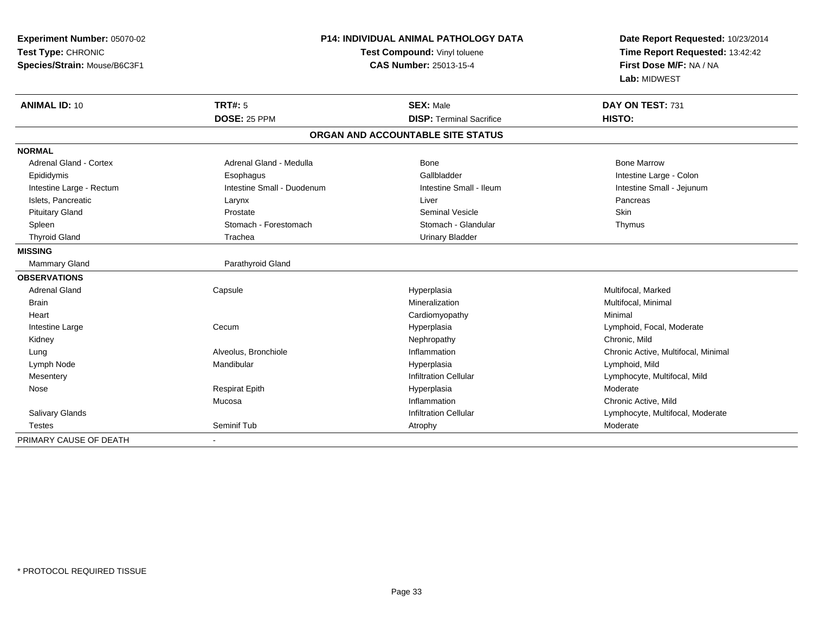| Experiment Number: 05070-02<br>Test Type: CHRONIC<br>Species/Strain: Mouse/B6C3F1 | P14: INDIVIDUAL ANIMAL PATHOLOGY DATA<br>Test Compound: Vinyl toluene<br><b>CAS Number: 25013-15-4</b> |                                                     | Date Report Requested: 10/23/2014<br>Time Report Requested: 13:42:42<br>First Dose M/F: NA / NA<br>Lab: MIDWEST |  |
|-----------------------------------------------------------------------------------|--------------------------------------------------------------------------------------------------------|-----------------------------------------------------|-----------------------------------------------------------------------------------------------------------------|--|
| <b>ANIMAL ID: 10</b>                                                              | <b>TRT#: 5</b><br><b>DOSE: 25 PPM</b>                                                                  | <b>SEX: Male</b><br><b>DISP: Terminal Sacrifice</b> | DAY ON TEST: 731<br>HISTO:                                                                                      |  |
|                                                                                   |                                                                                                        | ORGAN AND ACCOUNTABLE SITE STATUS                   |                                                                                                                 |  |
|                                                                                   |                                                                                                        |                                                     |                                                                                                                 |  |
| <b>NORMAL</b><br>Adrenal Gland - Cortex<br>Epididymis                             | Adrenal Gland - Medulla<br>Esophagus                                                                   | Bone<br>Gallbladder                                 | <b>Bone Marrow</b><br>Intestine Large - Colon                                                                   |  |
| Intestine Large - Rectum                                                          | Intestine Small - Duodenum                                                                             | Intestine Small - Ileum                             | Intestine Small - Jejunum                                                                                       |  |
| Islets, Pancreatic                                                                | Larynx                                                                                                 | Liver                                               | Pancreas                                                                                                        |  |
| <b>Pituitary Gland</b>                                                            | Prostate                                                                                               | <b>Seminal Vesicle</b>                              | Skin                                                                                                            |  |
| Spleen                                                                            | Stomach - Forestomach                                                                                  | Stomach - Glandular                                 | Thymus                                                                                                          |  |
| <b>Thyroid Gland</b>                                                              | Trachea                                                                                                | <b>Urinary Bladder</b>                              |                                                                                                                 |  |
| <b>MISSING</b>                                                                    |                                                                                                        |                                                     |                                                                                                                 |  |
| Mammary Gland                                                                     | Parathyroid Gland                                                                                      |                                                     |                                                                                                                 |  |
| <b>OBSERVATIONS</b>                                                               |                                                                                                        |                                                     |                                                                                                                 |  |
| <b>Adrenal Gland</b>                                                              | Capsule                                                                                                | Hyperplasia                                         | Multifocal, Marked                                                                                              |  |
| <b>Brain</b>                                                                      |                                                                                                        | Mineralization                                      | Multifocal, Minimal                                                                                             |  |
| Heart                                                                             |                                                                                                        | Cardiomyopathy                                      | Minimal                                                                                                         |  |
| Intestine Large                                                                   | Cecum                                                                                                  | Hyperplasia                                         | Lymphoid, Focal, Moderate                                                                                       |  |
| Kidney                                                                            |                                                                                                        | Nephropathy                                         | Chronic, Mild                                                                                                   |  |
| Lung                                                                              | Alveolus, Bronchiole                                                                                   | Inflammation                                        | Chronic Active, Multifocal, Minimal                                                                             |  |
| Lymph Node                                                                        | Mandibular                                                                                             | Hyperplasia                                         | Lymphoid, Mild                                                                                                  |  |
| Mesentery                                                                         |                                                                                                        | <b>Infiltration Cellular</b>                        | Lymphocyte, Multifocal, Mild                                                                                    |  |
| Nose                                                                              | <b>Respirat Epith</b>                                                                                  | Hyperplasia                                         | Moderate                                                                                                        |  |
|                                                                                   | Mucosa                                                                                                 | Inflammation                                        | Chronic Active, Mild                                                                                            |  |
| <b>Salivary Glands</b>                                                            |                                                                                                        | <b>Infiltration Cellular</b>                        | Lymphocyte, Multifocal, Moderate                                                                                |  |
| <b>Testes</b>                                                                     | Seminif Tub                                                                                            | Atrophy                                             | Moderate                                                                                                        |  |
| PRIMARY CAUSE OF DEATH                                                            | $\blacksquare$                                                                                         |                                                     |                                                                                                                 |  |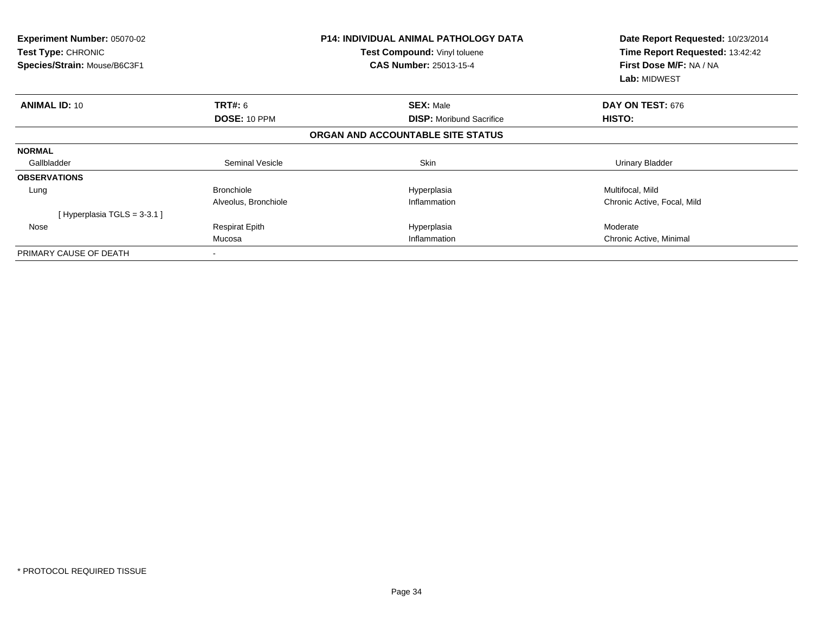| <b>Experiment Number: 05070-02</b><br>Test Type: CHRONIC<br>Species/Strain: Mouse/B6C3F1 | <b>P14: INDIVIDUAL ANIMAL PATHOLOGY DATA</b><br>Test Compound: Vinyl toluene<br><b>CAS Number: 25013-15-4</b> |                                   | Date Report Requested: 10/23/2014<br>Time Report Requested: 13:42:42<br>First Dose M/F: NA / NA<br>Lab: MIDWEST |
|------------------------------------------------------------------------------------------|---------------------------------------------------------------------------------------------------------------|-----------------------------------|-----------------------------------------------------------------------------------------------------------------|
| <b>ANIMAL ID: 10</b>                                                                     | TRT#: 6                                                                                                       | <b>SEX: Male</b>                  | DAY ON TEST: 676                                                                                                |
|                                                                                          | <b>DOSE: 10 PPM</b>                                                                                           | <b>DISP:</b> Moribund Sacrifice   | HISTO:                                                                                                          |
|                                                                                          |                                                                                                               | ORGAN AND ACCOUNTABLE SITE STATUS |                                                                                                                 |
| <b>NORMAL</b>                                                                            |                                                                                                               |                                   |                                                                                                                 |
| Gallbladder                                                                              | Seminal Vesicle                                                                                               | Skin                              | <b>Urinary Bladder</b>                                                                                          |
| <b>OBSERVATIONS</b>                                                                      |                                                                                                               |                                   |                                                                                                                 |
| Lung                                                                                     | <b>Bronchiole</b>                                                                                             | Hyperplasia                       | Multifocal, Mild                                                                                                |
|                                                                                          | Alveolus, Bronchiole                                                                                          | Inflammation                      | Chronic Active, Focal, Mild                                                                                     |
| [Hyperplasia TGLS = 3-3.1]                                                               |                                                                                                               |                                   |                                                                                                                 |
| Nose                                                                                     | <b>Respirat Epith</b>                                                                                         | Hyperplasia                       | Moderate                                                                                                        |
|                                                                                          | Mucosa                                                                                                        | Inflammation                      | Chronic Active, Minimal                                                                                         |
| PRIMARY CAUSE OF DEATH                                                                   | $\,$                                                                                                          |                                   |                                                                                                                 |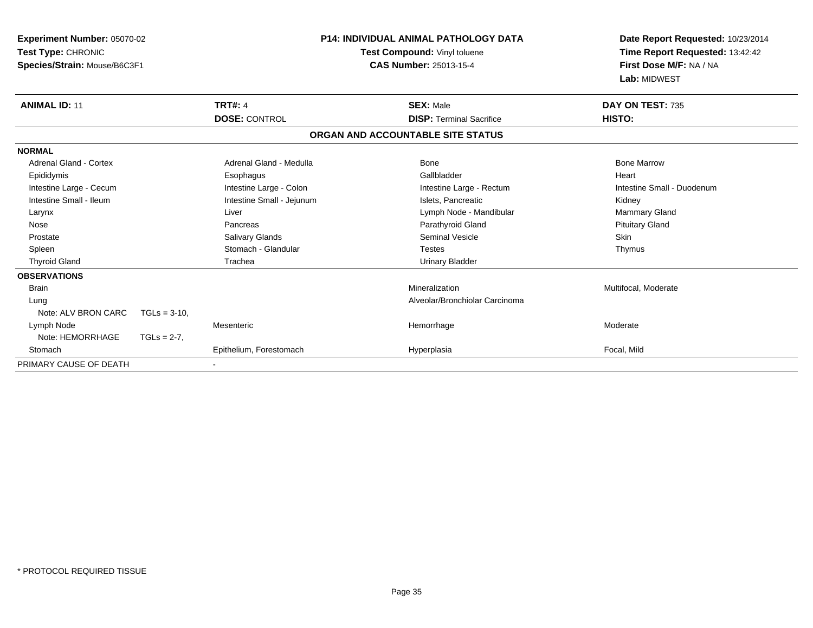| Experiment Number: 05070-02<br>Test Type: CHRONIC<br>Species/Strain: Mouse/B6C3F1 |                |                           | <b>P14: INDIVIDUAL ANIMAL PATHOLOGY DATA</b><br>Test Compound: Vinyl toluene<br><b>CAS Number: 25013-15-4</b> |                                   | Date Report Requested: 10/23/2014<br>Time Report Requested: 13:42:42<br>First Dose M/F: NA / NA<br>Lab: MIDWEST |  |
|-----------------------------------------------------------------------------------|----------------|---------------------------|---------------------------------------------------------------------------------------------------------------|-----------------------------------|-----------------------------------------------------------------------------------------------------------------|--|
| <b>ANIMAL ID: 11</b>                                                              |                | <b>TRT#: 4</b>            |                                                                                                               | <b>SEX: Male</b>                  | DAY ON TEST: 735                                                                                                |  |
|                                                                                   |                | <b>DOSE: CONTROL</b>      |                                                                                                               | <b>DISP: Terminal Sacrifice</b>   | HISTO:                                                                                                          |  |
|                                                                                   |                |                           |                                                                                                               | ORGAN AND ACCOUNTABLE SITE STATUS |                                                                                                                 |  |
| <b>NORMAL</b>                                                                     |                |                           |                                                                                                               |                                   |                                                                                                                 |  |
| Adrenal Gland - Cortex                                                            |                | Adrenal Gland - Medulla   |                                                                                                               | Bone                              | <b>Bone Marrow</b>                                                                                              |  |
| Epididymis                                                                        |                | Esophagus                 |                                                                                                               | Gallbladder                       | Heart                                                                                                           |  |
| Intestine Large - Cecum                                                           |                | Intestine Large - Colon   |                                                                                                               | Intestine Large - Rectum          | Intestine Small - Duodenum                                                                                      |  |
| Intestine Small - Ileum                                                           |                | Intestine Small - Jejunum |                                                                                                               | Islets, Pancreatic                | Kidney                                                                                                          |  |
| Larynx                                                                            |                | Liver                     |                                                                                                               | Lymph Node - Mandibular           | <b>Mammary Gland</b>                                                                                            |  |
| Nose                                                                              |                | Pancreas                  |                                                                                                               | Parathyroid Gland                 | <b>Pituitary Gland</b>                                                                                          |  |
| Prostate                                                                          |                | Salivary Glands           |                                                                                                               | <b>Seminal Vesicle</b>            | Skin                                                                                                            |  |
| Spleen                                                                            |                | Stomach - Glandular       |                                                                                                               | <b>Testes</b>                     | Thymus                                                                                                          |  |
| <b>Thyroid Gland</b>                                                              |                | Trachea                   |                                                                                                               | <b>Urinary Bladder</b>            |                                                                                                                 |  |
| <b>OBSERVATIONS</b>                                                               |                |                           |                                                                                                               |                                   |                                                                                                                 |  |
| <b>Brain</b>                                                                      |                |                           |                                                                                                               | Mineralization                    | Multifocal, Moderate                                                                                            |  |
| Lung                                                                              |                |                           |                                                                                                               | Alveolar/Bronchiolar Carcinoma    |                                                                                                                 |  |
| Note: ALV BRON CARC                                                               | $TGLs = 3-10.$ |                           |                                                                                                               |                                   |                                                                                                                 |  |
| Lymph Node                                                                        |                | Mesenteric                |                                                                                                               | Hemorrhage                        | Moderate                                                                                                        |  |
| Note: HEMORRHAGE                                                                  | $TGLs = 2-7$ , |                           |                                                                                                               |                                   |                                                                                                                 |  |
| Stomach                                                                           |                | Epithelium, Forestomach   |                                                                                                               | Hyperplasia                       | Focal, Mild                                                                                                     |  |
| PRIMARY CAUSE OF DEATH                                                            |                |                           |                                                                                                               |                                   |                                                                                                                 |  |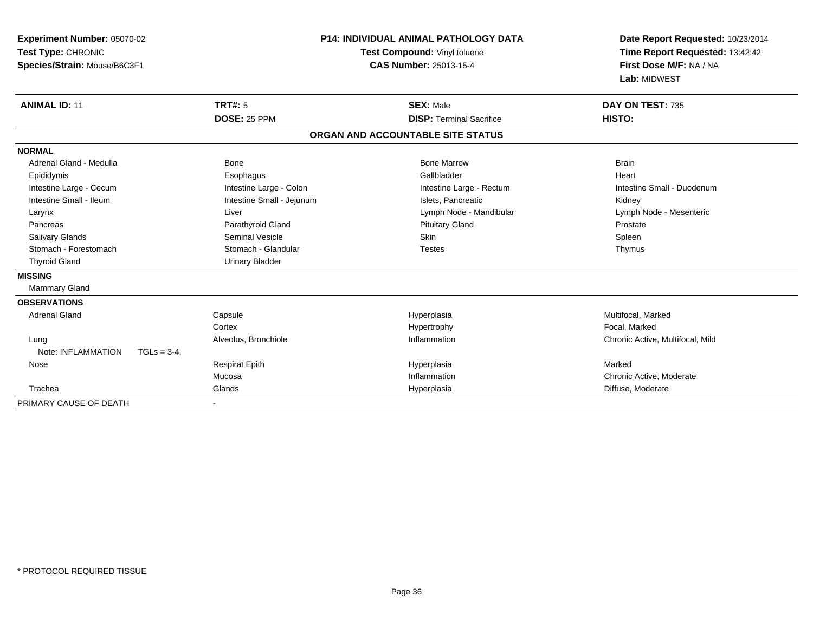| Experiment Number: 05070-02<br>Test Type: CHRONIC<br>Species/Strain: Mouse/B6C3F1 |                                      | <b>P14: INDIVIDUAL ANIMAL PATHOLOGY DATA</b><br>Test Compound: Vinyl toluene<br><b>CAS Number: 25013-15-4</b> | Date Report Requested: 10/23/2014<br>Time Report Requested: 13:42:42<br>First Dose M/F: NA / NA<br>Lab: MIDWEST |  |
|-----------------------------------------------------------------------------------|--------------------------------------|---------------------------------------------------------------------------------------------------------------|-----------------------------------------------------------------------------------------------------------------|--|
| <b>ANIMAL ID: 11</b>                                                              | <b>TRT#: 5</b>                       | <b>SEX: Male</b>                                                                                              | DAY ON TEST: 735                                                                                                |  |
|                                                                                   | DOSE: 25 PPM                         | <b>DISP: Terminal Sacrifice</b>                                                                               | HISTO:                                                                                                          |  |
|                                                                                   |                                      | ORGAN AND ACCOUNTABLE SITE STATUS                                                                             |                                                                                                                 |  |
| <b>NORMAL</b>                                                                     |                                      |                                                                                                               |                                                                                                                 |  |
| Adrenal Gland - Medulla                                                           | Bone                                 | <b>Bone Marrow</b>                                                                                            | <b>Brain</b>                                                                                                    |  |
| Epididymis                                                                        | Esophagus                            | Gallbladder                                                                                                   | Heart                                                                                                           |  |
| Intestine Large - Cecum                                                           | Intestine Large - Colon              | Intestine Large - Rectum                                                                                      | Intestine Small - Duodenum                                                                                      |  |
| Intestine Small - Ileum                                                           | Intestine Small - Jejunum            | Islets, Pancreatic                                                                                            | Kidney                                                                                                          |  |
| Larynx                                                                            | Liver                                | Lymph Node - Mandibular                                                                                       | Lymph Node - Mesenteric                                                                                         |  |
| Pancreas                                                                          | Parathyroid Gland                    | <b>Pituitary Gland</b>                                                                                        | Prostate                                                                                                        |  |
| <b>Salivary Glands</b>                                                            | <b>Seminal Vesicle</b>               | Skin                                                                                                          | Spleen                                                                                                          |  |
| Stomach - Forestomach                                                             | Stomach - Glandular                  | <b>Testes</b>                                                                                                 | Thymus                                                                                                          |  |
| <b>Thyroid Gland</b>                                                              | <b>Urinary Bladder</b>               |                                                                                                               |                                                                                                                 |  |
| <b>MISSING</b>                                                                    |                                      |                                                                                                               |                                                                                                                 |  |
| <b>Mammary Gland</b>                                                              |                                      |                                                                                                               |                                                                                                                 |  |
| <b>OBSERVATIONS</b>                                                               |                                      |                                                                                                               |                                                                                                                 |  |
| <b>Adrenal Gland</b>                                                              | Capsule                              | Hyperplasia                                                                                                   | Multifocal, Marked                                                                                              |  |
|                                                                                   | Cortex                               | Hypertrophy                                                                                                   | Focal, Marked                                                                                                   |  |
| Lung<br>Note: INFLAMMATION                                                        | Alveolus, Bronchiole<br>$TGLs = 3-4$ | Inflammation                                                                                                  | Chronic Active, Multifocal, Mild                                                                                |  |
| Nose                                                                              | <b>Respirat Epith</b>                | Hyperplasia                                                                                                   | Marked                                                                                                          |  |
|                                                                                   | Mucosa                               | Inflammation                                                                                                  | Chronic Active, Moderate                                                                                        |  |
| Trachea                                                                           | Glands                               | Hyperplasia                                                                                                   | Diffuse, Moderate                                                                                               |  |
| PRIMARY CAUSE OF DEATH                                                            | $\blacksquare$                       |                                                                                                               |                                                                                                                 |  |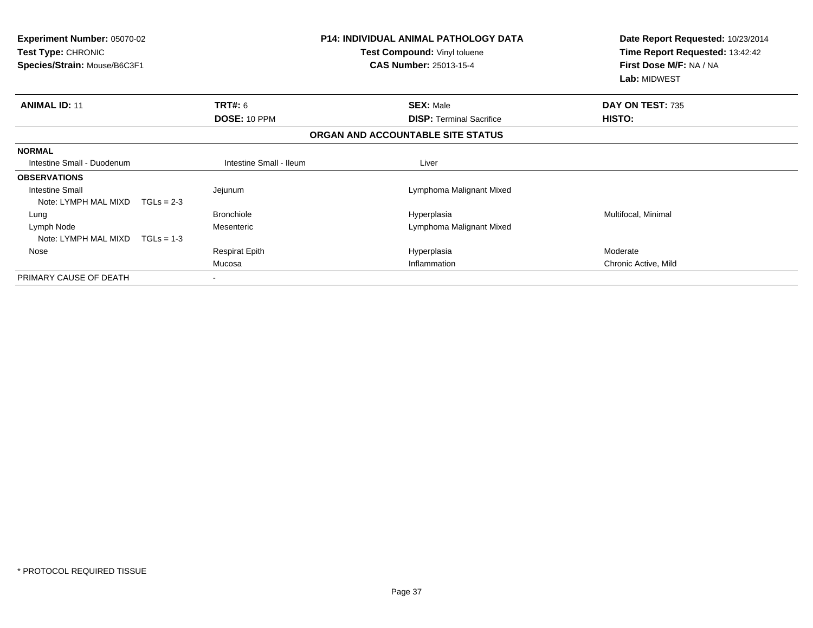| <b>Experiment Number: 05070-02</b><br>Test Compound: Vinyl toluene<br><b>Test Type: CHRONIC</b><br><b>CAS Number: 25013-15-4</b><br>Species/Strain: Mouse/B6C3F1 |                         | <b>P14: INDIVIDUAL ANIMAL PATHOLOGY DATA</b> | Date Report Requested: 10/23/2014<br>Time Report Requested: 13:42:42<br>First Dose M/F: NA / NA<br>Lab: MIDWEST |
|------------------------------------------------------------------------------------------------------------------------------------------------------------------|-------------------------|----------------------------------------------|-----------------------------------------------------------------------------------------------------------------|
| <b>ANIMAL ID: 11</b>                                                                                                                                             | TRT#: 6                 | <b>SEX: Male</b>                             | DAY ON TEST: 735                                                                                                |
|                                                                                                                                                                  | DOSE: 10 PPM            | <b>DISP: Terminal Sacrifice</b>              | HISTO:                                                                                                          |
|                                                                                                                                                                  |                         | ORGAN AND ACCOUNTABLE SITE STATUS            |                                                                                                                 |
| <b>NORMAL</b>                                                                                                                                                    |                         |                                              |                                                                                                                 |
| Intestine Small - Duodenum                                                                                                                                       | Intestine Small - Ileum | Liver                                        |                                                                                                                 |
| <b>OBSERVATIONS</b>                                                                                                                                              |                         |                                              |                                                                                                                 |
| Intestine Small                                                                                                                                                  | Jejunum                 | Lymphoma Malignant Mixed                     |                                                                                                                 |
| Note: LYMPH MAL MIXD<br>$TGLs = 2-3$                                                                                                                             |                         |                                              |                                                                                                                 |
| Lung                                                                                                                                                             | <b>Bronchiole</b>       | Hyperplasia                                  | Multifocal, Minimal                                                                                             |
| Lymph Node                                                                                                                                                       | Mesenteric              | Lymphoma Malignant Mixed                     |                                                                                                                 |
| Note: LYMPH MAL MIXD<br>$TGLS = 1-3$                                                                                                                             |                         |                                              |                                                                                                                 |
| Nose                                                                                                                                                             | <b>Respirat Epith</b>   | Hyperplasia                                  | Moderate                                                                                                        |
|                                                                                                                                                                  | Mucosa                  | Inflammation                                 | Chronic Active, Mild                                                                                            |
| PRIMARY CAUSE OF DEATH                                                                                                                                           |                         |                                              |                                                                                                                 |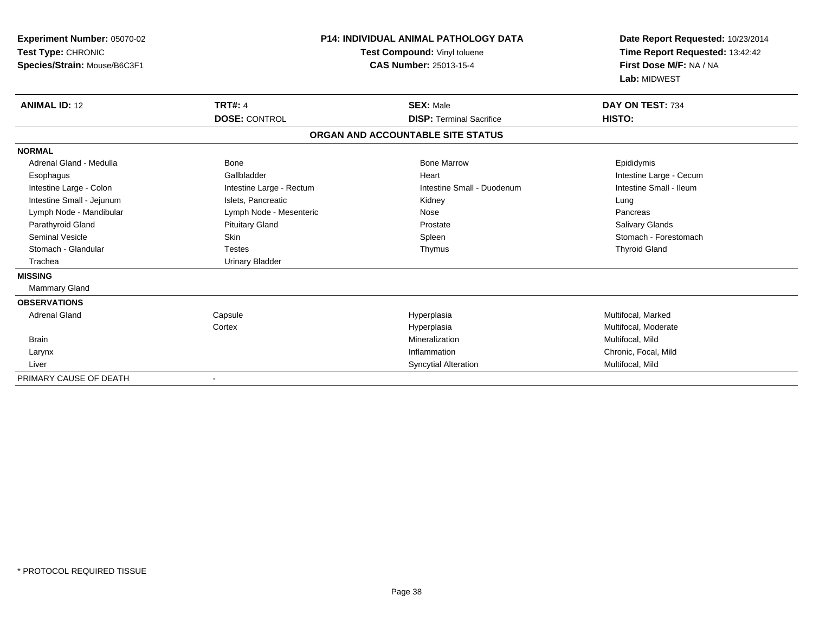| Experiment Number: 05070-02<br>Test Type: CHRONIC<br>Species/Strain: Mouse/B6C3F1 |                          | <b>P14: INDIVIDUAL ANIMAL PATHOLOGY DATA</b><br>Test Compound: Vinyl toluene<br><b>CAS Number: 25013-15-4</b> | Date Report Requested: 10/23/2014<br>Time Report Requested: 13:42:42<br>First Dose M/F: NA / NA<br>Lab: MIDWEST |  |
|-----------------------------------------------------------------------------------|--------------------------|---------------------------------------------------------------------------------------------------------------|-----------------------------------------------------------------------------------------------------------------|--|
| <b>ANIMAL ID: 12</b>                                                              | <b>TRT#: 4</b>           | <b>SEX: Male</b>                                                                                              | DAY ON TEST: 734                                                                                                |  |
|                                                                                   | <b>DOSE: CONTROL</b>     | <b>DISP: Terminal Sacrifice</b>                                                                               | HISTO:                                                                                                          |  |
|                                                                                   |                          | ORGAN AND ACCOUNTABLE SITE STATUS                                                                             |                                                                                                                 |  |
| <b>NORMAL</b>                                                                     |                          |                                                                                                               |                                                                                                                 |  |
| Adrenal Gland - Medulla                                                           | Bone                     | <b>Bone Marrow</b>                                                                                            | Epididymis                                                                                                      |  |
| Esophagus                                                                         | Gallbladder              | Heart                                                                                                         | Intestine Large - Cecum                                                                                         |  |
| Intestine Large - Colon                                                           | Intestine Large - Rectum | Intestine Small - Duodenum                                                                                    | Intestine Small - Ileum                                                                                         |  |
| Intestine Small - Jejunum                                                         | Islets, Pancreatic       | Kidney                                                                                                        | Lung                                                                                                            |  |
| Lymph Node - Mandibular                                                           | Lymph Node - Mesenteric  | Nose                                                                                                          | Pancreas                                                                                                        |  |
| Parathyroid Gland                                                                 | <b>Pituitary Gland</b>   | Prostate                                                                                                      | Salivary Glands                                                                                                 |  |
| <b>Seminal Vesicle</b>                                                            | Skin                     | Spleen                                                                                                        | Stomach - Forestomach                                                                                           |  |
| Stomach - Glandular                                                               | <b>Testes</b>            | Thymus                                                                                                        | <b>Thyroid Gland</b>                                                                                            |  |
| Trachea                                                                           | <b>Urinary Bladder</b>   |                                                                                                               |                                                                                                                 |  |
| <b>MISSING</b>                                                                    |                          |                                                                                                               |                                                                                                                 |  |
| Mammary Gland                                                                     |                          |                                                                                                               |                                                                                                                 |  |
| <b>OBSERVATIONS</b>                                                               |                          |                                                                                                               |                                                                                                                 |  |
| <b>Adrenal Gland</b>                                                              | Capsule                  | Hyperplasia                                                                                                   | Multifocal, Marked                                                                                              |  |
|                                                                                   | Cortex                   | Hyperplasia                                                                                                   | Multifocal, Moderate                                                                                            |  |
| <b>Brain</b>                                                                      |                          | Mineralization                                                                                                | Multifocal, Mild                                                                                                |  |
| Larynx                                                                            |                          | Inflammation                                                                                                  | Chronic, Focal, Mild                                                                                            |  |
| Liver                                                                             |                          | <b>Syncytial Alteration</b>                                                                                   | Multifocal, Mild                                                                                                |  |
| PRIMARY CAUSE OF DEATH                                                            |                          |                                                                                                               |                                                                                                                 |  |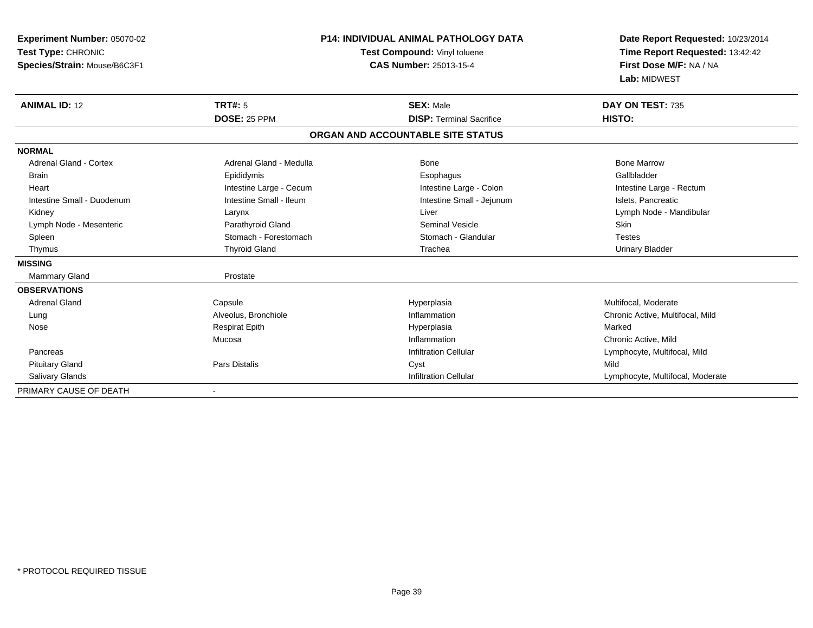| Experiment Number: 05070-02  | <b>P14: INDIVIDUAL ANIMAL PATHOLOGY DATA</b> |                                   | Date Report Requested: 10/23/2014 |
|------------------------------|----------------------------------------------|-----------------------------------|-----------------------------------|
| Test Type: CHRONIC           |                                              | Test Compound: Vinyl toluene      | Time Report Requested: 13:42:42   |
| Species/Strain: Mouse/B6C3F1 |                                              | <b>CAS Number: 25013-15-4</b>     | First Dose M/F: NA / NA           |
|                              |                                              |                                   | Lab: MIDWEST                      |
| <b>ANIMAL ID: 12</b>         | <b>TRT#: 5</b>                               | <b>SEX: Male</b>                  | DAY ON TEST: 735                  |
|                              | DOSE: 25 PPM                                 | <b>DISP: Terminal Sacrifice</b>   | HISTO:                            |
|                              |                                              | ORGAN AND ACCOUNTABLE SITE STATUS |                                   |
| <b>NORMAL</b>                |                                              |                                   |                                   |
| Adrenal Gland - Cortex       | Adrenal Gland - Medulla                      | <b>Bone</b>                       | <b>Bone Marrow</b>                |
| <b>Brain</b>                 | Epididymis                                   | Esophagus                         | Gallbladder                       |
| Heart                        | Intestine Large - Cecum                      | Intestine Large - Colon           | Intestine Large - Rectum          |
| Intestine Small - Duodenum   | Intestine Small - Ileum                      | Intestine Small - Jejunum         | Islets, Pancreatic                |
| Kidney                       | Larynx                                       | Liver                             | Lymph Node - Mandibular           |
| Lymph Node - Mesenteric      | Parathyroid Gland                            | <b>Seminal Vesicle</b>            | <b>Skin</b>                       |
| Spleen                       | Stomach - Forestomach                        | Stomach - Glandular               | <b>Testes</b>                     |
| Thymus                       | <b>Thyroid Gland</b>                         | Trachea                           | <b>Urinary Bladder</b>            |
| <b>MISSING</b>               |                                              |                                   |                                   |
| Mammary Gland                | Prostate                                     |                                   |                                   |
| <b>OBSERVATIONS</b>          |                                              |                                   |                                   |
| <b>Adrenal Gland</b>         | Capsule                                      | Hyperplasia                       | Multifocal, Moderate              |
| Lung                         | Alveolus, Bronchiole                         | Inflammation                      | Chronic Active, Multifocal, Mild  |
| Nose                         | <b>Respirat Epith</b>                        | Hyperplasia                       | Marked                            |
|                              | Mucosa                                       | Inflammation                      | Chronic Active, Mild              |
| Pancreas                     |                                              | <b>Infiltration Cellular</b>      | Lymphocyte, Multifocal, Mild      |
| <b>Pituitary Gland</b>       | <b>Pars Distalis</b>                         | Cyst                              | Mild                              |
| Salivary Glands              |                                              | <b>Infiltration Cellular</b>      | Lymphocyte, Multifocal, Moderate  |
| PRIMARY CAUSE OF DEATH       | $\blacksquare$                               |                                   |                                   |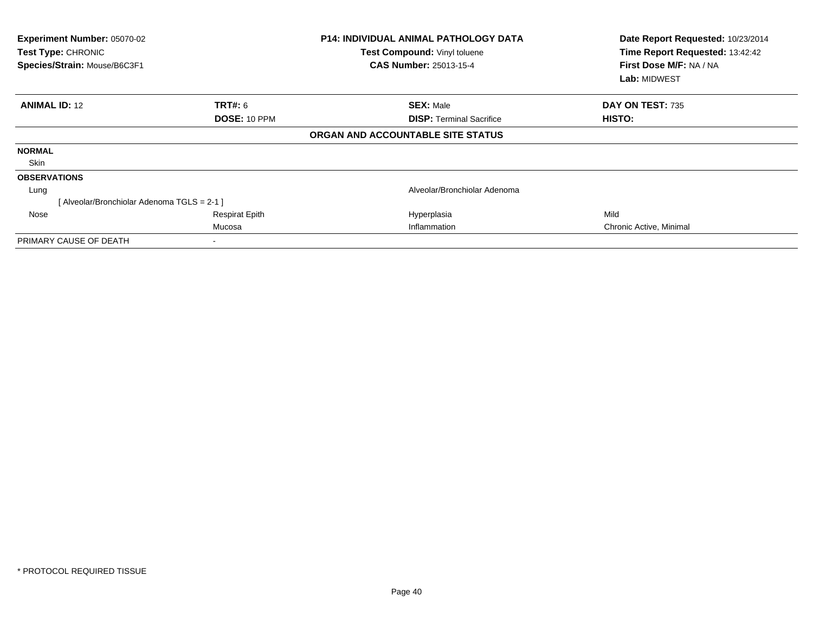| Experiment Number: 05070-02<br>Test Type: CHRONIC<br>Species/Strain: Mouse/B6C3F1 |                       | <b>P14: INDIVIDUAL ANIMAL PATHOLOGY DATA</b><br>Test Compound: Vinyl toluene<br><b>CAS Number: 25013-15-4</b> | Date Report Requested: 10/23/2014<br>Time Report Requested: 13:42:42<br>First Dose M/F: NA / NA<br>Lab: MIDWEST |  |
|-----------------------------------------------------------------------------------|-----------------------|---------------------------------------------------------------------------------------------------------------|-----------------------------------------------------------------------------------------------------------------|--|
| <b>ANIMAL ID: 12</b>                                                              | TRT#: 6               | <b>SEX: Male</b>                                                                                              | <b>DAY ON TEST: 735</b>                                                                                         |  |
|                                                                                   | DOSE: 10 PPM          | <b>DISP: Terminal Sacrifice</b>                                                                               | <b>HISTO:</b>                                                                                                   |  |
|                                                                                   |                       | ORGAN AND ACCOUNTABLE SITE STATUS                                                                             |                                                                                                                 |  |
| <b>NORMAL</b>                                                                     |                       |                                                                                                               |                                                                                                                 |  |
| Skin                                                                              |                       |                                                                                                               |                                                                                                                 |  |
| <b>OBSERVATIONS</b>                                                               |                       |                                                                                                               |                                                                                                                 |  |
| Lung                                                                              |                       | Alveolar/Bronchiolar Adenoma                                                                                  |                                                                                                                 |  |
| [Alveolar/Bronchiolar Adenoma TGLS = 2-1 ]                                        |                       |                                                                                                               |                                                                                                                 |  |
| Nose                                                                              | <b>Respirat Epith</b> | Hyperplasia                                                                                                   | Mild                                                                                                            |  |
|                                                                                   | Mucosa                | Inflammation                                                                                                  | Chronic Active, Minimal                                                                                         |  |
| PRIMARY CAUSE OF DEATH                                                            |                       |                                                                                                               |                                                                                                                 |  |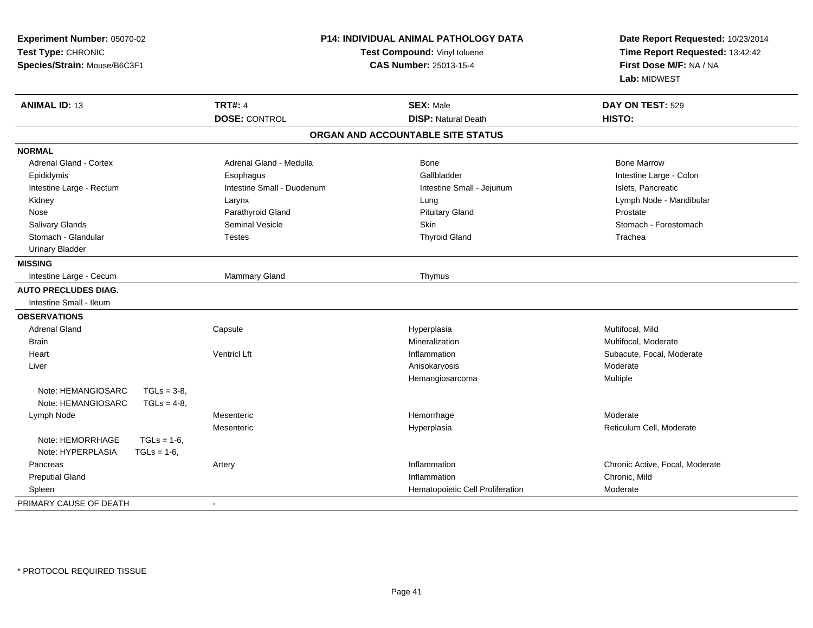| Experiment Number: 05070-02         |                               | P14: INDIVIDUAL ANIMAL PATHOLOGY DATA | Date Report Requested: 10/23/2014<br>Time Report Requested: 13:42:42 |  |
|-------------------------------------|-------------------------------|---------------------------------------|----------------------------------------------------------------------|--|
| Test Type: CHRONIC                  |                               | Test Compound: Vinyl toluene          |                                                                      |  |
| Species/Strain: Mouse/B6C3F1        | <b>CAS Number: 25013-15-4</b> |                                       | First Dose M/F: NA / NA                                              |  |
|                                     |                               |                                       | Lab: MIDWEST                                                         |  |
|                                     |                               |                                       |                                                                      |  |
| <b>ANIMAL ID: 13</b>                | <b>TRT#: 4</b>                | <b>SEX: Male</b>                      | DAY ON TEST: 529                                                     |  |
|                                     | <b>DOSE: CONTROL</b>          | <b>DISP: Natural Death</b>            | HISTO:                                                               |  |
|                                     |                               | ORGAN AND ACCOUNTABLE SITE STATUS     |                                                                      |  |
| <b>NORMAL</b>                       |                               |                                       |                                                                      |  |
| <b>Adrenal Gland - Cortex</b>       | Adrenal Gland - Medulla       | <b>Bone</b>                           | <b>Bone Marrow</b>                                                   |  |
| Epididymis                          | Esophagus                     | Gallbladder                           | Intestine Large - Colon                                              |  |
| Intestine Large - Rectum            | Intestine Small - Duodenum    | Intestine Small - Jejunum             | Islets, Pancreatic                                                   |  |
| Kidney                              | Larynx                        | Lung                                  | Lymph Node - Mandibular                                              |  |
| Nose                                | Parathyroid Gland             | <b>Pituitary Gland</b>                | Prostate                                                             |  |
| Salivary Glands                     | <b>Seminal Vesicle</b>        | <b>Skin</b>                           | Stomach - Forestomach                                                |  |
| Stomach - Glandular                 | <b>Testes</b>                 | <b>Thyroid Gland</b>                  | Trachea                                                              |  |
| <b>Urinary Bladder</b>              |                               |                                       |                                                                      |  |
| <b>MISSING</b>                      |                               |                                       |                                                                      |  |
| Intestine Large - Cecum             | <b>Mammary Gland</b>          | Thymus                                |                                                                      |  |
| <b>AUTO PRECLUDES DIAG.</b>         |                               |                                       |                                                                      |  |
| Intestine Small - Ileum             |                               |                                       |                                                                      |  |
| <b>OBSERVATIONS</b>                 |                               |                                       |                                                                      |  |
| <b>Adrenal Gland</b>                | Capsule                       | Hyperplasia                           | Multifocal, Mild                                                     |  |
| <b>Brain</b>                        |                               | Mineralization                        | Multifocal, Moderate                                                 |  |
| Heart                               | <b>Ventricl Lft</b>           | Inflammation                          | Subacute, Focal, Moderate                                            |  |
| Liver                               |                               | Anisokaryosis                         | Moderate                                                             |  |
|                                     |                               | Hemangiosarcoma                       | Multiple                                                             |  |
| Note: HEMANGIOSARC<br>$TGLs = 3-8$  |                               |                                       |                                                                      |  |
| Note: HEMANGIOSARC<br>$TGLs = 4-8$  |                               |                                       |                                                                      |  |
| Lymph Node                          | Mesenteric                    | Hemorrhage                            | Moderate                                                             |  |
|                                     | Mesenteric                    | Hyperplasia                           | Reticulum Cell, Moderate                                             |  |
| Note: HEMORRHAGE<br>$TGLs = 1-6$ ,  |                               |                                       |                                                                      |  |
| Note: HYPERPLASIA<br>$TGLs = 1-6$ , |                               |                                       |                                                                      |  |
| Pancreas                            | Artery                        | Inflammation                          | Chronic Active, Focal, Moderate                                      |  |
| <b>Preputial Gland</b>              |                               | Inflammation                          | Chronic, Mild                                                        |  |
| Spleen                              |                               | Hematopoietic Cell Proliferation      | Moderate                                                             |  |
| PRIMARY CAUSE OF DEATH              | $\blacksquare$                |                                       |                                                                      |  |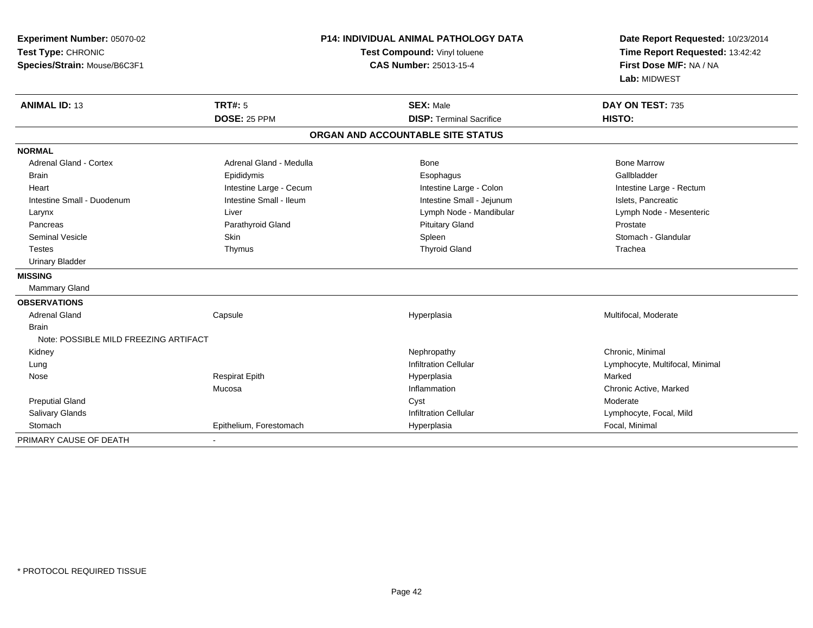| Experiment Number: 05070-02<br>Test Type: CHRONIC<br>Species/Strain: Mouse/B6C3F1 |                         | <b>P14: INDIVIDUAL ANIMAL PATHOLOGY DATA</b><br>Test Compound: Vinyl toluene<br><b>CAS Number: 25013-15-4</b> |                                 |  |
|-----------------------------------------------------------------------------------|-------------------------|---------------------------------------------------------------------------------------------------------------|---------------------------------|--|
| <b>ANIMAL ID: 13</b>                                                              | <b>TRT#: 5</b>          | <b>SEX: Male</b>                                                                                              | DAY ON TEST: 735                |  |
|                                                                                   | <b>DOSE: 25 PPM</b>     | <b>DISP: Terminal Sacrifice</b>                                                                               | HISTO:                          |  |
|                                                                                   |                         | ORGAN AND ACCOUNTABLE SITE STATUS                                                                             |                                 |  |
| <b>NORMAL</b>                                                                     |                         |                                                                                                               |                                 |  |
| Adrenal Gland - Cortex                                                            | Adrenal Gland - Medulla | Bone                                                                                                          | <b>Bone Marrow</b>              |  |
| <b>Brain</b>                                                                      | Epididymis              | Esophagus                                                                                                     | Gallbladder                     |  |
| Heart                                                                             | Intestine Large - Cecum | Intestine Large - Colon                                                                                       | Intestine Large - Rectum        |  |
| Intestine Small - Duodenum                                                        | Intestine Small - Ileum | Intestine Small - Jejunum                                                                                     | Islets, Pancreatic              |  |
| Larynx                                                                            | Liver                   | Lymph Node - Mandibular                                                                                       | Lymph Node - Mesenteric         |  |
| Pancreas                                                                          | Parathyroid Gland       | <b>Pituitary Gland</b>                                                                                        | Prostate                        |  |
| <b>Seminal Vesicle</b>                                                            | Skin                    | Spleen                                                                                                        | Stomach - Glandular             |  |
| <b>Testes</b>                                                                     | Thymus                  | <b>Thyroid Gland</b>                                                                                          | Trachea                         |  |
| <b>Urinary Bladder</b>                                                            |                         |                                                                                                               |                                 |  |
| <b>MISSING</b>                                                                    |                         |                                                                                                               |                                 |  |
| Mammary Gland                                                                     |                         |                                                                                                               |                                 |  |
| <b>OBSERVATIONS</b>                                                               |                         |                                                                                                               |                                 |  |
| <b>Adrenal Gland</b>                                                              | Capsule                 | Hyperplasia                                                                                                   | Multifocal, Moderate            |  |
| <b>Brain</b>                                                                      |                         |                                                                                                               |                                 |  |
| Note: POSSIBLE MILD FREEZING ARTIFACT                                             |                         |                                                                                                               |                                 |  |
| Kidney                                                                            |                         | Nephropathy                                                                                                   | Chronic. Minimal                |  |
| Lung                                                                              |                         | <b>Infiltration Cellular</b>                                                                                  | Lymphocyte, Multifocal, Minimal |  |
| Nose                                                                              | <b>Respirat Epith</b>   | Hyperplasia                                                                                                   | Marked                          |  |
|                                                                                   | Mucosa                  | Inflammation                                                                                                  | Chronic Active, Marked          |  |
| <b>Preputial Gland</b>                                                            |                         | Cyst                                                                                                          | Moderate                        |  |
| Salivary Glands                                                                   |                         | <b>Infiltration Cellular</b>                                                                                  | Lymphocyte, Focal, Mild         |  |
| Stomach                                                                           | Epithelium, Forestomach | Hyperplasia                                                                                                   | Focal, Minimal                  |  |
| PRIMARY CAUSE OF DEATH                                                            |                         |                                                                                                               |                                 |  |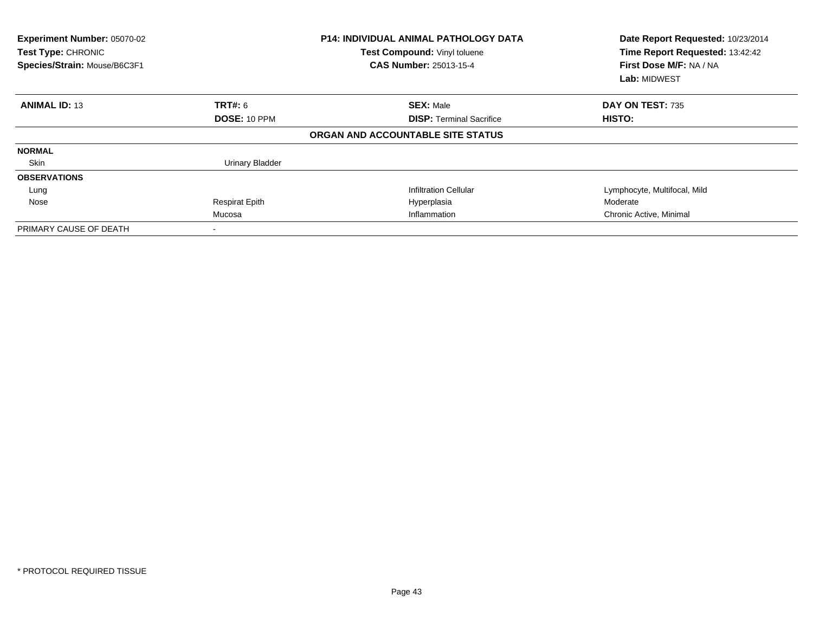| <b>Experiment Number: 05070-02</b><br><b>Test Type: CHRONIC</b><br>Species/Strain: Mouse/B6C3F1 |                        | <b>P14: INDIVIDUAL ANIMAL PATHOLOGY DATA</b><br>Test Compound: Vinyl toluene<br><b>CAS Number: 25013-15-4</b> | Date Report Requested: 10/23/2014<br>Time Report Requested: 13:42:42<br>First Dose M/F: NA / NA<br><b>Lab: MIDWEST</b> |  |
|-------------------------------------------------------------------------------------------------|------------------------|---------------------------------------------------------------------------------------------------------------|------------------------------------------------------------------------------------------------------------------------|--|
| <b>ANIMAL ID: 13</b>                                                                            | TRT#: 6                | <b>SEX: Male</b>                                                                                              | DAY ON TEST: 735                                                                                                       |  |
|                                                                                                 | DOSE: 10 PPM           | <b>DISP: Terminal Sacrifice</b>                                                                               | HISTO:                                                                                                                 |  |
|                                                                                                 |                        | ORGAN AND ACCOUNTABLE SITE STATUS                                                                             |                                                                                                                        |  |
| <b>NORMAL</b>                                                                                   |                        |                                                                                                               |                                                                                                                        |  |
| Skin                                                                                            | <b>Urinary Bladder</b> |                                                                                                               |                                                                                                                        |  |
| <b>OBSERVATIONS</b>                                                                             |                        |                                                                                                               |                                                                                                                        |  |
| Lung                                                                                            |                        | <b>Infiltration Cellular</b>                                                                                  | Lymphocyte, Multifocal, Mild                                                                                           |  |
| Nose                                                                                            | <b>Respirat Epith</b>  | Hyperplasia                                                                                                   | Moderate                                                                                                               |  |
|                                                                                                 | Mucosa                 | Inflammation                                                                                                  | Chronic Active, Minimal                                                                                                |  |
| PRIMARY CAUSE OF DEATH                                                                          |                        |                                                                                                               |                                                                                                                        |  |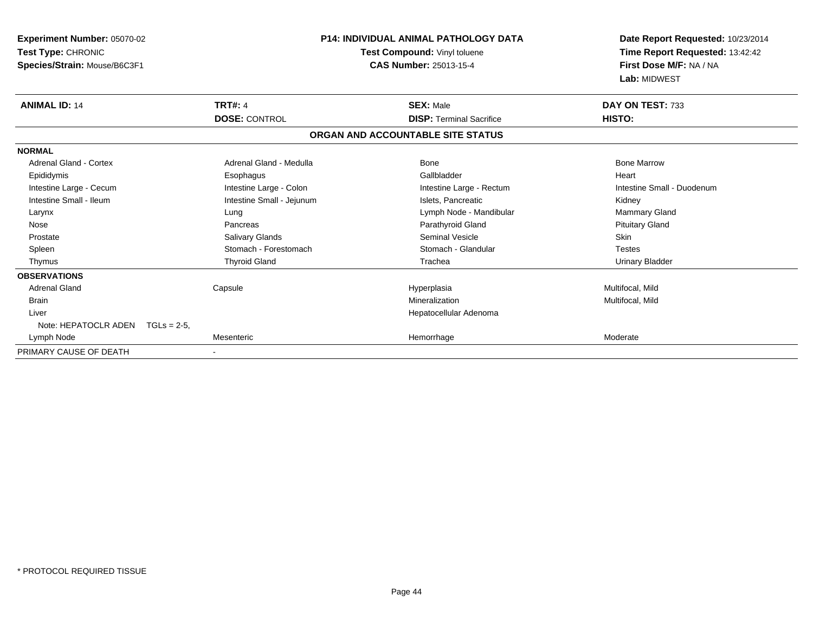| <b>Experiment Number: 05070-02</b><br>Test Type: CHRONIC<br>Species/Strain: Mouse/B6C3F1 |                           | <b>P14: INDIVIDUAL ANIMAL PATHOLOGY DATA</b><br>Test Compound: Vinyl toluene<br><b>CAS Number: 25013-15-4</b> | Date Report Requested: 10/23/2014<br>Time Report Requested: 13:42:42<br>First Dose M/F: NA / NA<br>Lab: MIDWEST |
|------------------------------------------------------------------------------------------|---------------------------|---------------------------------------------------------------------------------------------------------------|-----------------------------------------------------------------------------------------------------------------|
| <b>ANIMAL ID: 14</b>                                                                     | <b>TRT#: 4</b>            | <b>SEX: Male</b>                                                                                              | DAY ON TEST: 733                                                                                                |
|                                                                                          | <b>DOSE: CONTROL</b>      | <b>DISP: Terminal Sacrifice</b>                                                                               | HISTO:                                                                                                          |
|                                                                                          |                           | ORGAN AND ACCOUNTABLE SITE STATUS                                                                             |                                                                                                                 |
| <b>NORMAL</b>                                                                            |                           |                                                                                                               |                                                                                                                 |
| <b>Adrenal Gland - Cortex</b>                                                            | Adrenal Gland - Medulla   | Bone                                                                                                          | <b>Bone Marrow</b>                                                                                              |
| Epididymis                                                                               | Esophagus                 | Gallbladder                                                                                                   | Heart                                                                                                           |
| Intestine Large - Cecum                                                                  | Intestine Large - Colon   | Intestine Large - Rectum                                                                                      | Intestine Small - Duodenum                                                                                      |
| Intestine Small - Ileum                                                                  | Intestine Small - Jejunum | Islets. Pancreatic                                                                                            | Kidney                                                                                                          |
| Larynx                                                                                   | Lung                      | Lymph Node - Mandibular                                                                                       | <b>Mammary Gland</b>                                                                                            |
| Nose                                                                                     | Pancreas                  | Parathyroid Gland                                                                                             | <b>Pituitary Gland</b>                                                                                          |
| Prostate                                                                                 | Salivary Glands           | Seminal Vesicle                                                                                               | <b>Skin</b>                                                                                                     |
| Spleen                                                                                   | Stomach - Forestomach     | Stomach - Glandular                                                                                           | <b>Testes</b>                                                                                                   |
| Thymus                                                                                   | <b>Thyroid Gland</b>      | Trachea                                                                                                       | <b>Urinary Bladder</b>                                                                                          |
| <b>OBSERVATIONS</b>                                                                      |                           |                                                                                                               |                                                                                                                 |
| <b>Adrenal Gland</b>                                                                     | Capsule                   | Hyperplasia                                                                                                   | Multifocal, Mild                                                                                                |
| <b>Brain</b>                                                                             |                           | Mineralization                                                                                                | Multifocal, Mild                                                                                                |
| Liver                                                                                    |                           | Hepatocellular Adenoma                                                                                        |                                                                                                                 |
| Note: HEPATOCLR ADEN                                                                     | $TGLs = 2-5.$             |                                                                                                               |                                                                                                                 |
| Lymph Node                                                                               | Mesenteric                | Hemorrhage                                                                                                    | Moderate                                                                                                        |
| PRIMARY CAUSE OF DEATH                                                                   |                           |                                                                                                               |                                                                                                                 |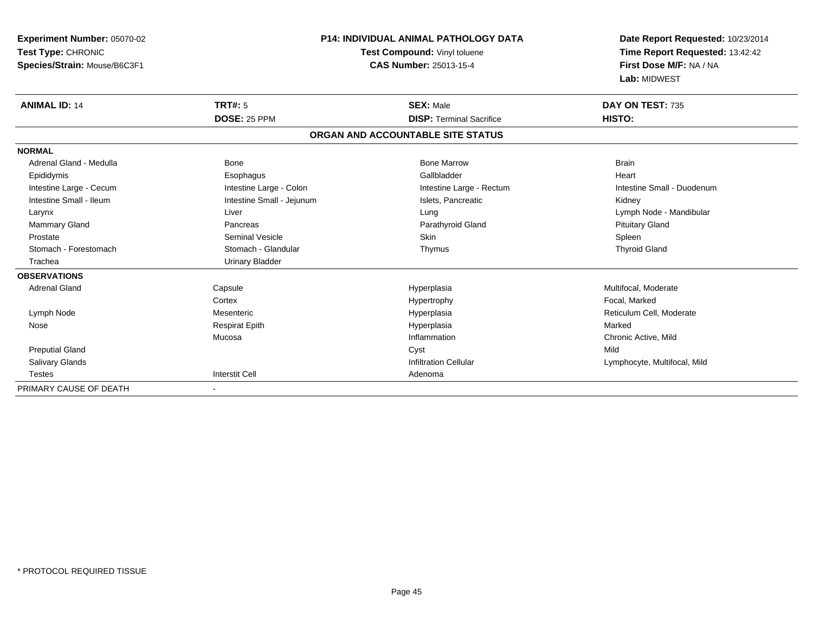| Experiment Number: 05070-02  | <b>P14: INDIVIDUAL ANIMAL PATHOLOGY DATA</b> |                                   | Date Report Requested: 10/23/2014 |  |
|------------------------------|----------------------------------------------|-----------------------------------|-----------------------------------|--|
| Test Type: CHRONIC           |                                              | Test Compound: Vinyl toluene      | Time Report Requested: 13:42:42   |  |
| Species/Strain: Mouse/B6C3F1 |                                              | <b>CAS Number: 25013-15-4</b>     | First Dose M/F: NA / NA           |  |
|                              |                                              |                                   | Lab: MIDWEST                      |  |
| <b>ANIMAL ID: 14</b>         | TRT#: 5                                      | <b>SEX: Male</b>                  | DAY ON TEST: 735                  |  |
|                              | DOSE: 25 PPM                                 | <b>DISP: Terminal Sacrifice</b>   | HISTO:                            |  |
|                              |                                              | ORGAN AND ACCOUNTABLE SITE STATUS |                                   |  |
| <b>NORMAL</b>                |                                              |                                   |                                   |  |
| Adrenal Gland - Medulla      | <b>Bone</b>                                  | <b>Bone Marrow</b>                | <b>Brain</b>                      |  |
| Epididymis                   | Esophagus                                    | Gallbladder                       | Heart                             |  |
| Intestine Large - Cecum      | Intestine Large - Colon                      | Intestine Large - Rectum          | Intestine Small - Duodenum        |  |
| Intestine Small - Ileum      | Intestine Small - Jejunum                    | Islets, Pancreatic                | Kidney                            |  |
| Larynx                       | Liver                                        | Lung                              | Lymph Node - Mandibular           |  |
| <b>Mammary Gland</b>         | Pancreas                                     | Parathyroid Gland                 | <b>Pituitary Gland</b>            |  |
| Prostate                     | <b>Seminal Vesicle</b>                       | Skin                              | Spleen                            |  |
| Stomach - Forestomach        | Stomach - Glandular                          | Thymus                            | <b>Thyroid Gland</b>              |  |
| Trachea                      | <b>Urinary Bladder</b>                       |                                   |                                   |  |
| <b>OBSERVATIONS</b>          |                                              |                                   |                                   |  |
| <b>Adrenal Gland</b>         | Capsule                                      | Hyperplasia                       | Multifocal, Moderate              |  |
|                              | Cortex                                       | Hypertrophy                       | Focal, Marked                     |  |
| Lymph Node                   | Mesenteric                                   | Hyperplasia                       | Reticulum Cell, Moderate          |  |
| Nose                         | <b>Respirat Epith</b>                        | Hyperplasia                       | Marked                            |  |
|                              | Mucosa                                       | Inflammation                      | Chronic Active, Mild              |  |
| <b>Preputial Gland</b>       |                                              | Cyst                              | Mild                              |  |
| Salivary Glands              |                                              | <b>Infiltration Cellular</b>      | Lymphocyte, Multifocal, Mild      |  |
| <b>Testes</b>                | <b>Interstit Cell</b>                        | Adenoma                           |                                   |  |
| PRIMARY CAUSE OF DEATH       |                                              |                                   |                                   |  |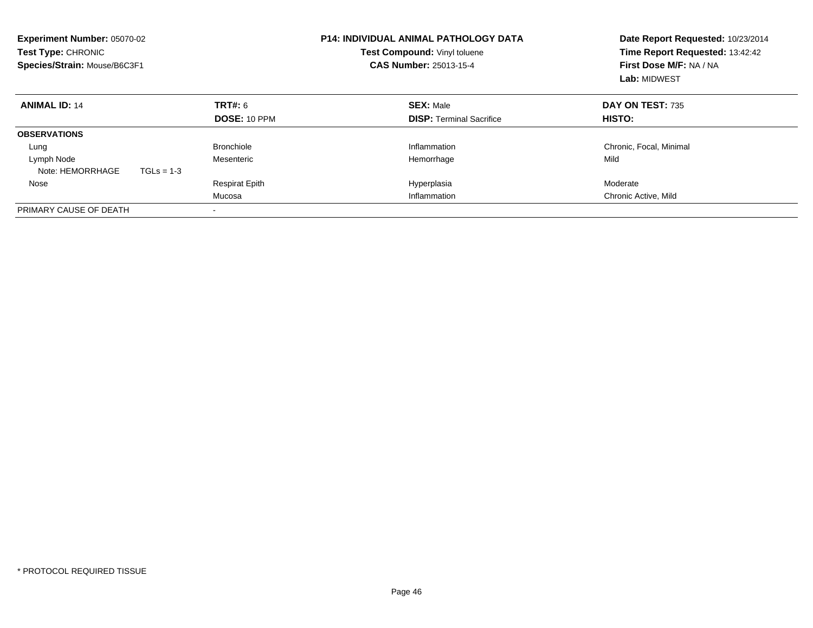| <b>Experiment Number: 05070-02</b><br>Test Type: CHRONIC<br>Species/Strain: Mouse/B6C3F1 |                       | <b>P14: INDIVIDUAL ANIMAL PATHOLOGY DATA</b><br>Test Compound: Vinyl toluene<br>CAS Number: 25013-15-4 | Date Report Requested: 10/23/2014<br>Time Report Requested: 13:42:42<br>First Dose M/F: NA / NA<br>Lab: MIDWEST |
|------------------------------------------------------------------------------------------|-----------------------|--------------------------------------------------------------------------------------------------------|-----------------------------------------------------------------------------------------------------------------|
| <b>ANIMAL ID: 14</b>                                                                     | TRT#: 6               | <b>SEX: Male</b>                                                                                       | DAY ON TEST: 735                                                                                                |
|                                                                                          | DOSE: 10 PPM          | <b>DISP:</b> Terminal Sacrifice                                                                        | HISTO:                                                                                                          |
| <b>OBSERVATIONS</b>                                                                      |                       |                                                                                                        |                                                                                                                 |
| Lung                                                                                     | <b>Bronchiole</b>     | Inflammation                                                                                           | Chronic, Focal, Minimal                                                                                         |
| Lymph Node                                                                               | Mesenteric            | Hemorrhage                                                                                             | Mild                                                                                                            |
| Note: HEMORRHAGE<br>$TGLs = 1-3$                                                         |                       |                                                                                                        |                                                                                                                 |
| Nose                                                                                     | <b>Respirat Epith</b> | Hyperplasia                                                                                            | Moderate                                                                                                        |
|                                                                                          | Mucosa                | Inflammation                                                                                           | Chronic Active, Mild                                                                                            |
| PRIMARY CAUSE OF DEATH                                                                   |                       |                                                                                                        |                                                                                                                 |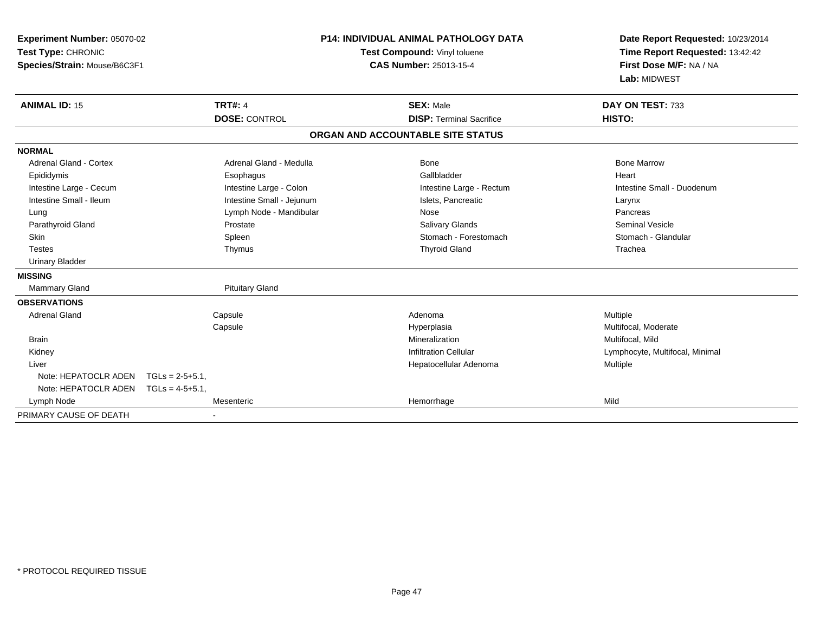| <b>P14: INDIVIDUAL ANIMAL PATHOLOGY DATA</b><br>Experiment Number: 05070-02<br>Test Type: CHRONIC<br>Test Compound: Vinyl toluene<br>Species/Strain: Mouse/B6C3F1<br><b>CAS Number: 25013-15-4</b> |                    |                                        | Date Report Requested: 10/23/2014<br>Time Report Requested: 13:42:42<br>First Dose M/F: NA / NA<br>Lab: MIDWEST |                                                     |                                 |
|----------------------------------------------------------------------------------------------------------------------------------------------------------------------------------------------------|--------------------|----------------------------------------|-----------------------------------------------------------------------------------------------------------------|-----------------------------------------------------|---------------------------------|
| <b>ANIMAL ID: 15</b>                                                                                                                                                                               |                    | <b>TRT#: 4</b><br><b>DOSE: CONTROL</b> |                                                                                                                 | <b>SEX: Male</b><br><b>DISP: Terminal Sacrifice</b> | DAY ON TEST: 733<br>HISTO:      |
|                                                                                                                                                                                                    |                    |                                        |                                                                                                                 | ORGAN AND ACCOUNTABLE SITE STATUS                   |                                 |
| <b>NORMAL</b>                                                                                                                                                                                      |                    |                                        |                                                                                                                 |                                                     |                                 |
| <b>Adrenal Gland - Cortex</b>                                                                                                                                                                      |                    | Adrenal Gland - Medulla                |                                                                                                                 | <b>Bone</b>                                         | <b>Bone Marrow</b>              |
| Epididymis                                                                                                                                                                                         |                    | Esophagus                              |                                                                                                                 | Gallbladder                                         | Heart                           |
| Intestine Large - Cecum                                                                                                                                                                            |                    | Intestine Large - Colon                |                                                                                                                 | Intestine Large - Rectum                            | Intestine Small - Duodenum      |
| Intestine Small - Ileum                                                                                                                                                                            |                    | Intestine Small - Jejunum              |                                                                                                                 | Islets, Pancreatic                                  | Larynx                          |
| Lung                                                                                                                                                                                               |                    | Lymph Node - Mandibular                |                                                                                                                 | Nose                                                | Pancreas                        |
| Parathyroid Gland                                                                                                                                                                                  |                    | Prostate                               |                                                                                                                 | Salivary Glands                                     | <b>Seminal Vesicle</b>          |
| Skin                                                                                                                                                                                               |                    | Spleen                                 |                                                                                                                 | Stomach - Forestomach                               | Stomach - Glandular             |
| Testes                                                                                                                                                                                             |                    | Thymus                                 |                                                                                                                 | <b>Thyroid Gland</b>                                | Trachea                         |
| <b>Urinary Bladder</b>                                                                                                                                                                             |                    |                                        |                                                                                                                 |                                                     |                                 |
| <b>MISSING</b>                                                                                                                                                                                     |                    |                                        |                                                                                                                 |                                                     |                                 |
| <b>Mammary Gland</b>                                                                                                                                                                               |                    | <b>Pituitary Gland</b>                 |                                                                                                                 |                                                     |                                 |
| <b>OBSERVATIONS</b>                                                                                                                                                                                |                    |                                        |                                                                                                                 |                                                     |                                 |
| <b>Adrenal Gland</b>                                                                                                                                                                               |                    | Capsule                                |                                                                                                                 | Adenoma                                             | Multiple                        |
|                                                                                                                                                                                                    |                    | Capsule                                |                                                                                                                 | Hyperplasia                                         | Multifocal, Moderate            |
| <b>Brain</b>                                                                                                                                                                                       |                    |                                        |                                                                                                                 | Mineralization                                      | Multifocal, Mild                |
| Kidney                                                                                                                                                                                             |                    |                                        |                                                                                                                 | <b>Infiltration Cellular</b>                        | Lymphocyte, Multifocal, Minimal |
| Liver                                                                                                                                                                                              |                    |                                        |                                                                                                                 | Hepatocellular Adenoma                              | Multiple                        |
| Note: HEPATOCLR ADEN                                                                                                                                                                               | $TGLs = 2-5+5.1$ . |                                        |                                                                                                                 |                                                     |                                 |
| Note: HEPATOCLR ADEN                                                                                                                                                                               | $TGLs = 4-5+5.1$ . |                                        |                                                                                                                 |                                                     |                                 |
| Lymph Node                                                                                                                                                                                         |                    | Mesenteric                             |                                                                                                                 | Hemorrhage                                          | Mild                            |
| PRIMARY CAUSE OF DEATH                                                                                                                                                                             |                    |                                        |                                                                                                                 |                                                     |                                 |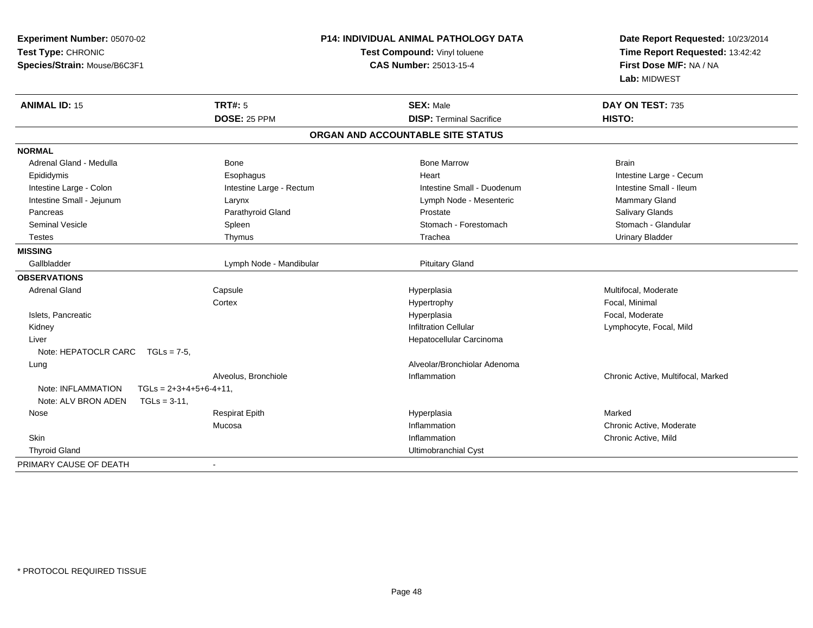| Experiment Number: 05070-02<br>Test Type: CHRONIC<br>Species/Strain: Mouse/B6C3F1 |                          | <b>P14: INDIVIDUAL ANIMAL PATHOLOGY DATA</b><br>Test Compound: Vinyl toluene<br><b>CAS Number: 25013-15-4</b> | Date Report Requested: 10/23/2014<br>Time Report Requested: 13:42:42<br>First Dose M/F: NA / NA<br>Lab: MIDWEST |  |
|-----------------------------------------------------------------------------------|--------------------------|---------------------------------------------------------------------------------------------------------------|-----------------------------------------------------------------------------------------------------------------|--|
| <b>ANIMAL ID: 15</b>                                                              | <b>TRT#: 5</b>           | <b>SEX: Male</b>                                                                                              | DAY ON TEST: 735                                                                                                |  |
|                                                                                   | DOSE: 25 PPM             | <b>DISP: Terminal Sacrifice</b>                                                                               | <b>HISTO:</b>                                                                                                   |  |
|                                                                                   |                          | ORGAN AND ACCOUNTABLE SITE STATUS                                                                             |                                                                                                                 |  |
| <b>NORMAL</b>                                                                     |                          |                                                                                                               |                                                                                                                 |  |
| Adrenal Gland - Medulla                                                           | Bone                     | <b>Bone Marrow</b>                                                                                            | <b>Brain</b>                                                                                                    |  |
| Epididymis                                                                        | Esophagus                | Heart                                                                                                         | Intestine Large - Cecum                                                                                         |  |
| Intestine Large - Colon                                                           | Intestine Large - Rectum | Intestine Small - Duodenum                                                                                    | Intestine Small - Ileum                                                                                         |  |
| Intestine Small - Jejunum                                                         | Larynx                   | Lymph Node - Mesenteric                                                                                       | Mammary Gland                                                                                                   |  |
| Pancreas                                                                          | Parathyroid Gland        | Prostate                                                                                                      | <b>Salivary Glands</b>                                                                                          |  |
| <b>Seminal Vesicle</b>                                                            | Spleen                   | Stomach - Forestomach                                                                                         | Stomach - Glandular                                                                                             |  |
| <b>Testes</b>                                                                     | Thymus                   | Trachea                                                                                                       | <b>Urinary Bladder</b>                                                                                          |  |
| <b>MISSING</b>                                                                    |                          |                                                                                                               |                                                                                                                 |  |
| Gallbladder                                                                       | Lymph Node - Mandibular  | <b>Pituitary Gland</b>                                                                                        |                                                                                                                 |  |
| <b>OBSERVATIONS</b>                                                               |                          |                                                                                                               |                                                                                                                 |  |
| <b>Adrenal Gland</b>                                                              | Capsule                  | Hyperplasia                                                                                                   | Multifocal, Moderate                                                                                            |  |
|                                                                                   | Cortex                   | Hypertrophy                                                                                                   | Focal, Minimal                                                                                                  |  |
| Islets, Pancreatic                                                                |                          | Hyperplasia                                                                                                   | Focal, Moderate                                                                                                 |  |
| Kidney                                                                            |                          | <b>Infiltration Cellular</b>                                                                                  | Lymphocyte, Focal, Mild                                                                                         |  |
| Liver                                                                             |                          | Hepatocellular Carcinoma                                                                                      |                                                                                                                 |  |
| Note: HEPATOCLR CARC<br>$TGLs = 7-5$ ,                                            |                          |                                                                                                               |                                                                                                                 |  |
| Lung                                                                              |                          | Alveolar/Bronchiolar Adenoma                                                                                  |                                                                                                                 |  |
|                                                                                   | Alveolus, Bronchiole     | Inflammation                                                                                                  | Chronic Active, Multifocal, Marked                                                                              |  |
| Note: INFLAMMATION<br>Note: ALV BRON ADEN<br>$TGLs = 3-11$ .                      | $TGLs = 2+3+4+5+6-4+11.$ |                                                                                                               |                                                                                                                 |  |
| Nose                                                                              | <b>Respirat Epith</b>    | Hyperplasia                                                                                                   | Marked                                                                                                          |  |
|                                                                                   | Mucosa                   | Inflammation                                                                                                  | Chronic Active, Moderate                                                                                        |  |
| Skin                                                                              |                          | Inflammation                                                                                                  | Chronic Active, Mild                                                                                            |  |
| <b>Thyroid Gland</b>                                                              |                          | Ultimobranchial Cyst                                                                                          |                                                                                                                 |  |
| PRIMARY CAUSE OF DEATH                                                            | $\blacksquare$           |                                                                                                               |                                                                                                                 |  |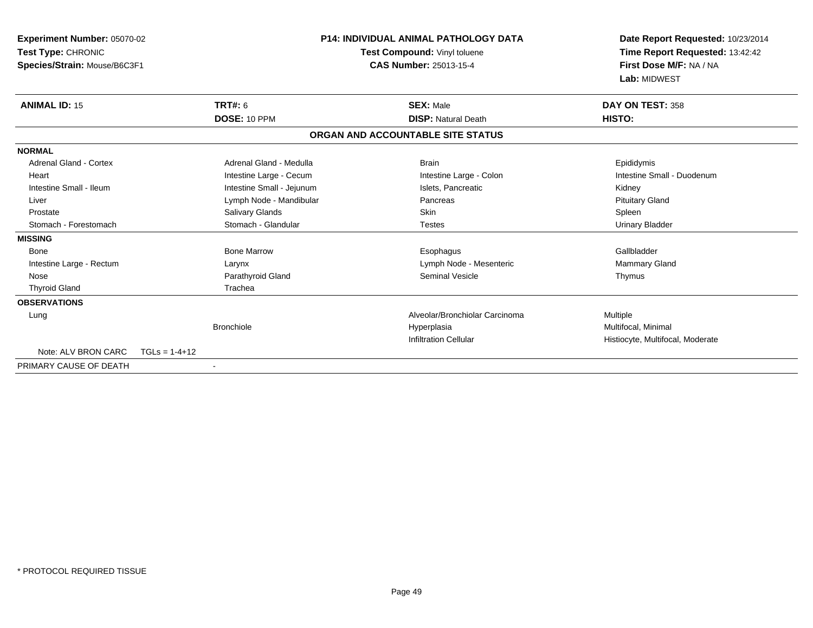| <b>Experiment Number: 05070-02</b><br>Test Type: CHRONIC<br>Species/Strain: Mouse/B6C3F1 |                 |                           | <b>P14: INDIVIDUAL ANIMAL PATHOLOGY DATA</b><br>Test Compound: Vinyl toluene<br><b>CAS Number: 25013-15-4</b> |                                   | Date Report Requested: 10/23/2014<br>Time Report Requested: 13:42:42<br>First Dose M/F: NA / NA<br>Lab: MIDWEST |  |
|------------------------------------------------------------------------------------------|-----------------|---------------------------|---------------------------------------------------------------------------------------------------------------|-----------------------------------|-----------------------------------------------------------------------------------------------------------------|--|
| <b>ANIMAL ID: 15</b>                                                                     |                 | <b>TRT#: 6</b>            |                                                                                                               | <b>SEX: Male</b>                  | DAY ON TEST: 358                                                                                                |  |
|                                                                                          |                 | DOSE: 10 PPM              |                                                                                                               | <b>DISP: Natural Death</b>        | HISTO:                                                                                                          |  |
|                                                                                          |                 |                           |                                                                                                               | ORGAN AND ACCOUNTABLE SITE STATUS |                                                                                                                 |  |
| <b>NORMAL</b>                                                                            |                 |                           |                                                                                                               |                                   |                                                                                                                 |  |
| <b>Adrenal Gland - Cortex</b>                                                            |                 | Adrenal Gland - Medulla   |                                                                                                               | <b>Brain</b>                      | Epididymis                                                                                                      |  |
| Heart                                                                                    |                 | Intestine Large - Cecum   |                                                                                                               | Intestine Large - Colon           | Intestine Small - Duodenum                                                                                      |  |
| Intestine Small - Ileum                                                                  |                 | Intestine Small - Jejunum |                                                                                                               | Islets. Pancreatic                | Kidney                                                                                                          |  |
| Liver                                                                                    |                 | Lymph Node - Mandibular   |                                                                                                               | Pancreas                          | <b>Pituitary Gland</b>                                                                                          |  |
| Prostate                                                                                 |                 | Salivary Glands           |                                                                                                               | <b>Skin</b>                       | Spleen                                                                                                          |  |
| Stomach - Forestomach                                                                    |                 | Stomach - Glandular       |                                                                                                               | <b>Testes</b>                     | <b>Urinary Bladder</b>                                                                                          |  |
| <b>MISSING</b>                                                                           |                 |                           |                                                                                                               |                                   |                                                                                                                 |  |
| <b>Bone</b>                                                                              |                 | <b>Bone Marrow</b>        |                                                                                                               | Esophagus                         | Gallbladder                                                                                                     |  |
| Intestine Large - Rectum                                                                 |                 | Larynx                    |                                                                                                               | Lymph Node - Mesenteric           | Mammary Gland                                                                                                   |  |
| Nose                                                                                     |                 | Parathyroid Gland         |                                                                                                               | Seminal Vesicle                   | Thymus                                                                                                          |  |
| <b>Thyroid Gland</b>                                                                     |                 | Trachea                   |                                                                                                               |                                   |                                                                                                                 |  |
| <b>OBSERVATIONS</b>                                                                      |                 |                           |                                                                                                               |                                   |                                                                                                                 |  |
| Lung                                                                                     |                 |                           |                                                                                                               | Alveolar/Bronchiolar Carcinoma    | Multiple                                                                                                        |  |
|                                                                                          |                 | <b>Bronchiole</b>         |                                                                                                               | Hyperplasia                       | Multifocal, Minimal                                                                                             |  |
|                                                                                          |                 |                           |                                                                                                               | <b>Infiltration Cellular</b>      | Histiocyte, Multifocal, Moderate                                                                                |  |
| Note: ALV BRON CARC                                                                      | $TGLs = 1-4+12$ |                           |                                                                                                               |                                   |                                                                                                                 |  |
| PRIMARY CAUSE OF DEATH                                                                   |                 | $\overline{\phantom{a}}$  |                                                                                                               |                                   |                                                                                                                 |  |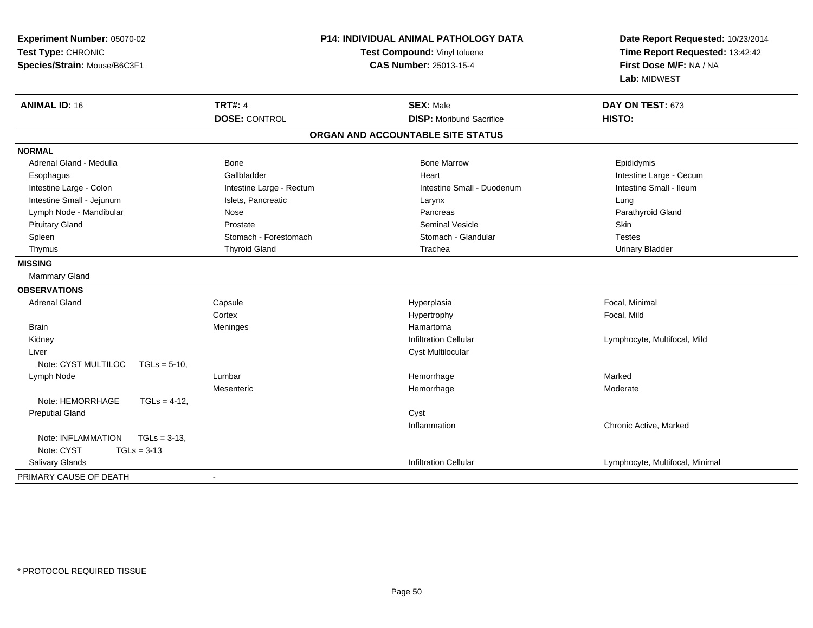| Experiment Number: 05070-02<br>Test Type: CHRONIC<br>Species/Strain: Mouse/B6C3F1 |                          | <b>P14: INDIVIDUAL ANIMAL PATHOLOGY DATA</b><br>Test Compound: Vinyl toluene<br>CAS Number: 25013-15-4 | Date Report Requested: 10/23/2014<br>Time Report Requested: 13:42:42<br>First Dose M/F: NA / NA<br>Lab: MIDWEST |  |
|-----------------------------------------------------------------------------------|--------------------------|--------------------------------------------------------------------------------------------------------|-----------------------------------------------------------------------------------------------------------------|--|
| <b>ANIMAL ID: 16</b>                                                              | <b>TRT#: 4</b>           | <b>SEX: Male</b>                                                                                       | DAY ON TEST: 673                                                                                                |  |
|                                                                                   | <b>DOSE: CONTROL</b>     | <b>DISP:</b> Moribund Sacrifice                                                                        | HISTO:                                                                                                          |  |
|                                                                                   |                          | ORGAN AND ACCOUNTABLE SITE STATUS                                                                      |                                                                                                                 |  |
| <b>NORMAL</b>                                                                     |                          |                                                                                                        |                                                                                                                 |  |
| Adrenal Gland - Medulla                                                           | <b>Bone</b>              | <b>Bone Marrow</b>                                                                                     | Epididymis                                                                                                      |  |
| Esophagus                                                                         | Gallbladder              | Heart                                                                                                  | Intestine Large - Cecum                                                                                         |  |
| Intestine Large - Colon                                                           | Intestine Large - Rectum | Intestine Small - Duodenum                                                                             | Intestine Small - Ileum                                                                                         |  |
| Intestine Small - Jejunum                                                         | Islets, Pancreatic       | Larynx                                                                                                 | Lung                                                                                                            |  |
| Lymph Node - Mandibular                                                           | Nose                     | Pancreas                                                                                               | Parathyroid Gland                                                                                               |  |
| <b>Pituitary Gland</b>                                                            | Prostate                 | <b>Seminal Vesicle</b>                                                                                 | Skin                                                                                                            |  |
| Spleen                                                                            | Stomach - Forestomach    | Stomach - Glandular                                                                                    | <b>Testes</b>                                                                                                   |  |
| Thymus                                                                            | <b>Thyroid Gland</b>     | Trachea                                                                                                | <b>Urinary Bladder</b>                                                                                          |  |
| <b>MISSING</b>                                                                    |                          |                                                                                                        |                                                                                                                 |  |
| Mammary Gland                                                                     |                          |                                                                                                        |                                                                                                                 |  |
| <b>OBSERVATIONS</b>                                                               |                          |                                                                                                        |                                                                                                                 |  |
| <b>Adrenal Gland</b>                                                              | Capsule                  | Hyperplasia                                                                                            | Focal, Minimal                                                                                                  |  |
|                                                                                   | Cortex                   | Hypertrophy                                                                                            | Focal, Mild                                                                                                     |  |
| <b>Brain</b>                                                                      | Meninges                 | Hamartoma                                                                                              |                                                                                                                 |  |
| Kidney                                                                            |                          | <b>Infiltration Cellular</b>                                                                           | Lymphocyte, Multifocal, Mild                                                                                    |  |
| Liver                                                                             |                          | Cyst Multilocular                                                                                      |                                                                                                                 |  |
| Note: CYST MULTILOC<br>$TGLs = 5-10$ ,                                            |                          |                                                                                                        |                                                                                                                 |  |
| Lymph Node                                                                        | Lumbar                   | Hemorrhage                                                                                             | Marked                                                                                                          |  |
|                                                                                   | Mesenteric               | Hemorrhage                                                                                             | Moderate                                                                                                        |  |
| Note: HEMORRHAGE<br>$TGLs = 4-12$ ,                                               |                          |                                                                                                        |                                                                                                                 |  |
| <b>Preputial Gland</b>                                                            |                          | Cyst                                                                                                   |                                                                                                                 |  |
|                                                                                   |                          | Inflammation                                                                                           | Chronic Active, Marked                                                                                          |  |
| Note: INFLAMMATION<br>$TGLs = 3-13$ ,                                             |                          |                                                                                                        |                                                                                                                 |  |
| Note: CYST<br>$TGLs = 3-13$                                                       |                          |                                                                                                        |                                                                                                                 |  |
| Salivary Glands                                                                   |                          | <b>Infiltration Cellular</b>                                                                           | Lymphocyte, Multifocal, Minimal                                                                                 |  |
| PRIMARY CAUSE OF DEATH                                                            | $\overline{\phantom{a}}$ |                                                                                                        |                                                                                                                 |  |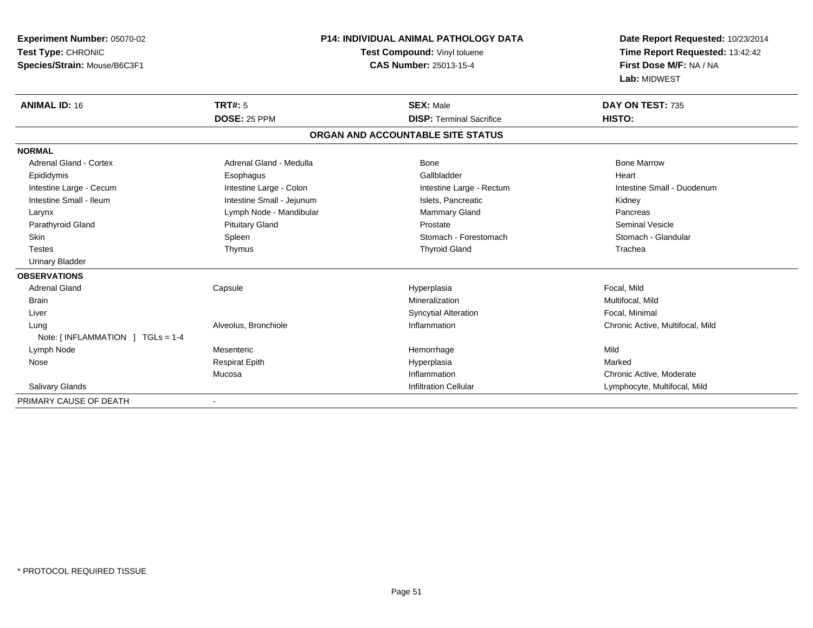| Experiment Number: 05070-02       | <b>P14: INDIVIDUAL ANIMAL PATHOLOGY DATA</b> |                                   | Date Report Requested: 10/23/2014 |
|-----------------------------------|----------------------------------------------|-----------------------------------|-----------------------------------|
| Test Type: CHRONIC                |                                              | Test Compound: Vinyl toluene      | Time Report Requested: 13:42:42   |
| Species/Strain: Mouse/B6C3F1      |                                              | First Dose M/F: NA / NA           |                                   |
|                                   |                                              |                                   | Lab: MIDWEST                      |
| <b>ANIMAL ID: 16</b>              | TRT#: 5                                      | <b>SEX: Male</b>                  | DAY ON TEST: 735                  |
|                                   | DOSE: 25 PPM                                 | <b>DISP: Terminal Sacrifice</b>   | HISTO:                            |
|                                   |                                              | ORGAN AND ACCOUNTABLE SITE STATUS |                                   |
| <b>NORMAL</b>                     |                                              |                                   |                                   |
| Adrenal Gland - Cortex            | Adrenal Gland - Medulla                      | Bone                              | <b>Bone Marrow</b>                |
| Epididymis                        | Esophagus                                    | Gallbladder                       | Heart                             |
| Intestine Large - Cecum           | Intestine Large - Colon                      | Intestine Large - Rectum          | Intestine Small - Duodenum        |
| Intestine Small - Ileum           | Intestine Small - Jejunum                    | Islets, Pancreatic                | Kidney                            |
| Larynx                            | Lymph Node - Mandibular                      | Mammary Gland                     | Pancreas                          |
| Parathyroid Gland                 | <b>Pituitary Gland</b>                       | Prostate                          | Seminal Vesicle                   |
| <b>Skin</b>                       | Spleen                                       | Stomach - Forestomach             | Stomach - Glandular               |
| <b>Testes</b>                     | Thymus                                       | <b>Thyroid Gland</b>              | Trachea                           |
| <b>Urinary Bladder</b>            |                                              |                                   |                                   |
| <b>OBSERVATIONS</b>               |                                              |                                   |                                   |
| <b>Adrenal Gland</b>              | Capsule                                      | Hyperplasia                       | Focal, Mild                       |
| <b>Brain</b>                      |                                              | Mineralization                    | Multifocal, Mild                  |
| Liver                             |                                              | <b>Syncytial Alteration</b>       | Focal, Minimal                    |
| Lung                              | Alveolus, Bronchiole                         | Inflammation                      | Chronic Active, Multifocal, Mild  |
| Note: [ INFLAMMATION ] TGLs = 1-4 |                                              |                                   |                                   |
| Lymph Node                        | Mesenteric                                   | Hemorrhage                        | Mild                              |
| Nose                              | <b>Respirat Epith</b>                        | Hyperplasia                       | Marked                            |
|                                   | Mucosa                                       | Inflammation                      | Chronic Active, Moderate          |
| Salivary Glands                   |                                              | <b>Infiltration Cellular</b>      | Lymphocyte, Multifocal, Mild      |
| PRIMARY CAUSE OF DEATH            |                                              |                                   |                                   |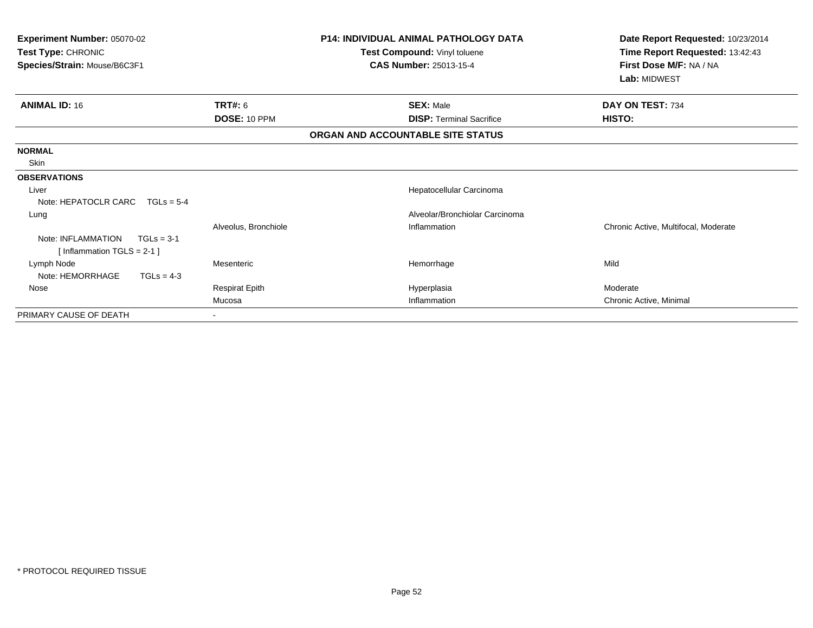| Experiment Number: 05070-02<br>Test Type: CHRONIC<br>Species/Strain: Mouse/B6C3F1 |                       | <b>P14: INDIVIDUAL ANIMAL PATHOLOGY DATA</b><br>Test Compound: Vinyl toluene<br><b>CAS Number: 25013-15-4</b> | Date Report Requested: 10/23/2014<br>Time Report Requested: 13:42:43<br>First Dose M/F: NA / NA<br>Lab: MIDWEST |
|-----------------------------------------------------------------------------------|-----------------------|---------------------------------------------------------------------------------------------------------------|-----------------------------------------------------------------------------------------------------------------|
| <b>ANIMAL ID: 16</b>                                                              | TRT#: 6               | <b>SEX: Male</b>                                                                                              | DAY ON TEST: 734                                                                                                |
|                                                                                   | DOSE: 10 PPM          | <b>DISP: Terminal Sacrifice</b>                                                                               | HISTO:                                                                                                          |
|                                                                                   |                       | ORGAN AND ACCOUNTABLE SITE STATUS                                                                             |                                                                                                                 |
| <b>NORMAL</b>                                                                     |                       |                                                                                                               |                                                                                                                 |
| Skin                                                                              |                       |                                                                                                               |                                                                                                                 |
| <b>OBSERVATIONS</b>                                                               |                       |                                                                                                               |                                                                                                                 |
| Liver                                                                             |                       | Hepatocellular Carcinoma                                                                                      |                                                                                                                 |
| Note: HEPATOCLR CARC<br>$TGLs = 5-4$                                              |                       |                                                                                                               |                                                                                                                 |
| Lung                                                                              |                       | Alveolar/Bronchiolar Carcinoma                                                                                |                                                                                                                 |
|                                                                                   | Alveolus, Bronchiole  | Inflammation                                                                                                  | Chronic Active, Multifocal, Moderate                                                                            |
| Note: INFLAMMATION<br>$TGLs = 3-1$                                                |                       |                                                                                                               |                                                                                                                 |
| [Inflammation TGLS = $2-1$ ]                                                      |                       |                                                                                                               |                                                                                                                 |
| Lymph Node                                                                        | Mesenteric            | Hemorrhage                                                                                                    | Mild                                                                                                            |
| Note: HEMORRHAGE<br>$TGLs = 4-3$                                                  |                       |                                                                                                               |                                                                                                                 |
| Nose                                                                              | <b>Respirat Epith</b> | Hyperplasia                                                                                                   | Moderate                                                                                                        |
|                                                                                   | Mucosa                | Inflammation                                                                                                  | Chronic Active, Minimal                                                                                         |
| PRIMARY CAUSE OF DEATH                                                            |                       |                                                                                                               |                                                                                                                 |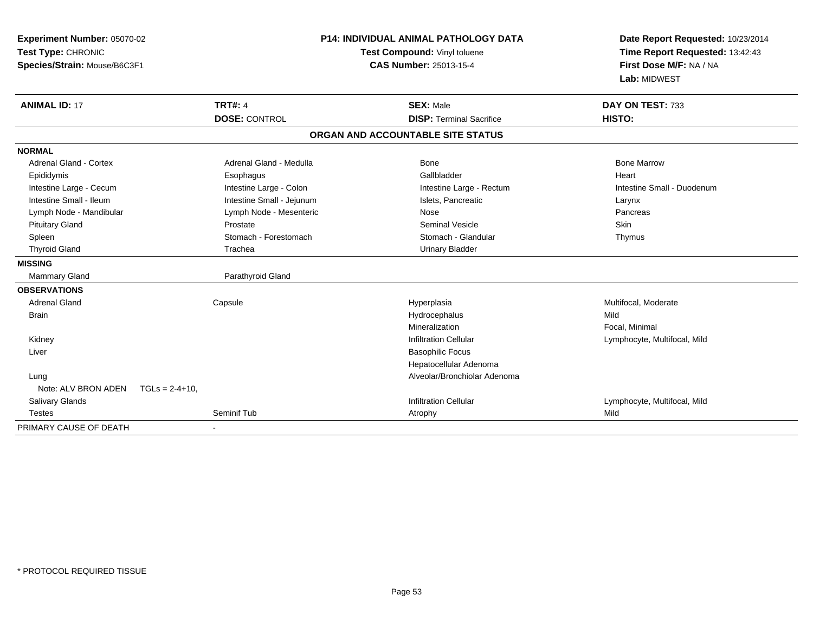| Experiment Number: 05070-02<br>Test Type: CHRONIC<br>Species/Strain: Mouse/B6C3F1 |                   |                           | P14: INDIVIDUAL ANIMAL PATHOLOGY DATA<br>Test Compound: Vinyl toluene<br><b>CAS Number: 25013-15-4</b> | Date Report Requested: 10/23/2014<br>Time Report Requested: 13:42:43<br>First Dose M/F: NA / NA<br>Lab: MIDWEST |  |
|-----------------------------------------------------------------------------------|-------------------|---------------------------|--------------------------------------------------------------------------------------------------------|-----------------------------------------------------------------------------------------------------------------|--|
| <b>ANIMAL ID: 17</b>                                                              | <b>TRT#: 4</b>    |                           | <b>SEX: Male</b>                                                                                       | DAY ON TEST: 733                                                                                                |  |
|                                                                                   |                   | <b>DOSE: CONTROL</b>      | <b>DISP: Terminal Sacrifice</b>                                                                        | HISTO:                                                                                                          |  |
|                                                                                   |                   |                           | ORGAN AND ACCOUNTABLE SITE STATUS                                                                      |                                                                                                                 |  |
| <b>NORMAL</b>                                                                     |                   |                           |                                                                                                        |                                                                                                                 |  |
| <b>Adrenal Gland - Cortex</b>                                                     |                   | Adrenal Gland - Medulla   | Bone                                                                                                   | <b>Bone Marrow</b>                                                                                              |  |
| Epididymis                                                                        |                   | Esophagus                 | Gallbladder                                                                                            | Heart                                                                                                           |  |
| Intestine Large - Cecum                                                           |                   | Intestine Large - Colon   | Intestine Large - Rectum                                                                               | Intestine Small - Duodenum                                                                                      |  |
| Intestine Small - Ileum                                                           |                   | Intestine Small - Jejunum | Islets, Pancreatic                                                                                     | Larynx                                                                                                          |  |
| Lymph Node - Mandibular                                                           |                   | Lymph Node - Mesenteric   | <b>Nose</b>                                                                                            | Pancreas                                                                                                        |  |
| <b>Pituitary Gland</b>                                                            |                   | Prostate                  | <b>Seminal Vesicle</b>                                                                                 | Skin                                                                                                            |  |
| Spleen                                                                            |                   | Stomach - Forestomach     | Stomach - Glandular                                                                                    | Thymus                                                                                                          |  |
| <b>Thyroid Gland</b>                                                              |                   | Trachea                   | <b>Urinary Bladder</b>                                                                                 |                                                                                                                 |  |
| <b>MISSING</b>                                                                    |                   |                           |                                                                                                        |                                                                                                                 |  |
| Mammary Gland                                                                     |                   | Parathyroid Gland         |                                                                                                        |                                                                                                                 |  |
| <b>OBSERVATIONS</b>                                                               |                   |                           |                                                                                                        |                                                                                                                 |  |
| <b>Adrenal Gland</b>                                                              | Capsule           |                           | Hyperplasia                                                                                            | Multifocal, Moderate                                                                                            |  |
| <b>Brain</b>                                                                      |                   |                           | Hydrocephalus                                                                                          | Mild                                                                                                            |  |
|                                                                                   |                   |                           | Mineralization                                                                                         | Focal, Minimal                                                                                                  |  |
| Kidney                                                                            |                   |                           | <b>Infiltration Cellular</b>                                                                           | Lymphocyte, Multifocal, Mild                                                                                    |  |
| Liver                                                                             |                   |                           | <b>Basophilic Focus</b>                                                                                |                                                                                                                 |  |
|                                                                                   |                   |                           | Hepatocellular Adenoma                                                                                 |                                                                                                                 |  |
| Lung                                                                              |                   |                           | Alveolar/Bronchiolar Adenoma                                                                           |                                                                                                                 |  |
| Note: ALV BRON ADEN                                                               | $TGLs = 2-4+10$ , |                           |                                                                                                        |                                                                                                                 |  |
| <b>Salivary Glands</b>                                                            |                   |                           | <b>Infiltration Cellular</b>                                                                           | Lymphocyte, Multifocal, Mild                                                                                    |  |
| <b>Testes</b>                                                                     |                   | Seminif Tub               | Atrophy                                                                                                | Mild                                                                                                            |  |
| PRIMARY CAUSE OF DEATH                                                            |                   |                           |                                                                                                        |                                                                                                                 |  |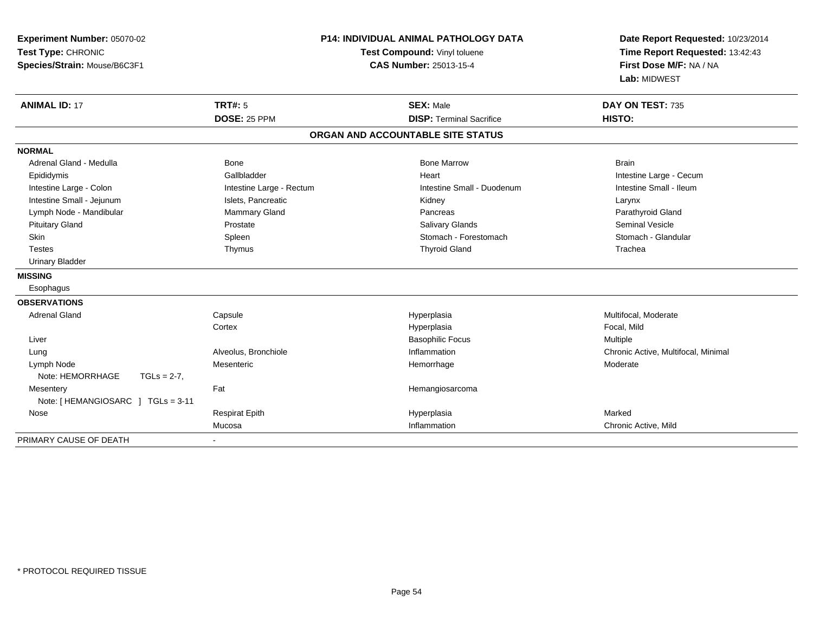| Experiment Number: 05070-02<br>Test Type: CHRONIC<br>Species/Strain: Mouse/B6C3F1 | P14: INDIVIDUAL ANIMAL PATHOLOGY DATA<br>Test Compound: Vinyl toluene<br>CAS Number: 25013-15-4 |                                   | Date Report Requested: 10/23/2014<br>Time Report Requested: 13:42:43<br>First Dose M/F: NA / NA<br>Lab: MIDWEST |  |
|-----------------------------------------------------------------------------------|-------------------------------------------------------------------------------------------------|-----------------------------------|-----------------------------------------------------------------------------------------------------------------|--|
| <b>ANIMAL ID: 17</b>                                                              | <b>TRT#: 5</b>                                                                                  | <b>SEX: Male</b>                  | DAY ON TEST: 735                                                                                                |  |
|                                                                                   | <b>DOSE: 25 PPM</b>                                                                             | <b>DISP: Terminal Sacrifice</b>   | <b>HISTO:</b>                                                                                                   |  |
|                                                                                   |                                                                                                 | ORGAN AND ACCOUNTABLE SITE STATUS |                                                                                                                 |  |
| <b>NORMAL</b>                                                                     |                                                                                                 |                                   |                                                                                                                 |  |
| Adrenal Gland - Medulla                                                           | <b>Bone</b>                                                                                     | <b>Bone Marrow</b>                | <b>Brain</b>                                                                                                    |  |
| Epididymis                                                                        | Gallbladder                                                                                     | Heart                             | Intestine Large - Cecum                                                                                         |  |
| Intestine Large - Colon                                                           | Intestine Large - Rectum                                                                        | Intestine Small - Duodenum        | Intestine Small - Ileum                                                                                         |  |
| Intestine Small - Jejunum                                                         | Islets, Pancreatic                                                                              | Kidney                            | Larynx                                                                                                          |  |
| Lymph Node - Mandibular                                                           | <b>Mammary Gland</b>                                                                            | Pancreas                          | Parathyroid Gland                                                                                               |  |
| <b>Pituitary Gland</b>                                                            | Prostate                                                                                        | <b>Salivary Glands</b>            | <b>Seminal Vesicle</b>                                                                                          |  |
| Skin                                                                              | Spleen                                                                                          | Stomach - Forestomach             | Stomach - Glandular                                                                                             |  |
| <b>Testes</b>                                                                     | Thymus                                                                                          | <b>Thyroid Gland</b>              | Trachea                                                                                                         |  |
| <b>Urinary Bladder</b>                                                            |                                                                                                 |                                   |                                                                                                                 |  |
| <b>MISSING</b>                                                                    |                                                                                                 |                                   |                                                                                                                 |  |
| Esophagus                                                                         |                                                                                                 |                                   |                                                                                                                 |  |
| <b>OBSERVATIONS</b>                                                               |                                                                                                 |                                   |                                                                                                                 |  |
| <b>Adrenal Gland</b>                                                              | Capsule                                                                                         | Hyperplasia                       | Multifocal. Moderate                                                                                            |  |
|                                                                                   | Cortex                                                                                          | Hyperplasia                       | Focal, Mild                                                                                                     |  |
| Liver                                                                             |                                                                                                 | <b>Basophilic Focus</b>           | Multiple                                                                                                        |  |
| Lung                                                                              | Alveolus, Bronchiole                                                                            | Inflammation                      | Chronic Active, Multifocal, Minimal                                                                             |  |
| Lymph Node                                                                        | Mesenteric                                                                                      | Hemorrhage                        | Moderate                                                                                                        |  |
| Note: HEMORRHAGE<br>$TGLs = 2-7$ ,                                                |                                                                                                 |                                   |                                                                                                                 |  |
| Mesentery                                                                         | Fat                                                                                             | Hemangiosarcoma                   |                                                                                                                 |  |
| Note: [HEMANGIOSARC ] TGLs = 3-11                                                 |                                                                                                 |                                   |                                                                                                                 |  |
| Nose                                                                              | <b>Respirat Epith</b>                                                                           | Hyperplasia                       | Marked                                                                                                          |  |
|                                                                                   | Mucosa                                                                                          | Inflammation                      | Chronic Active, Mild                                                                                            |  |
| PRIMARY CAUSE OF DEATH                                                            |                                                                                                 |                                   |                                                                                                                 |  |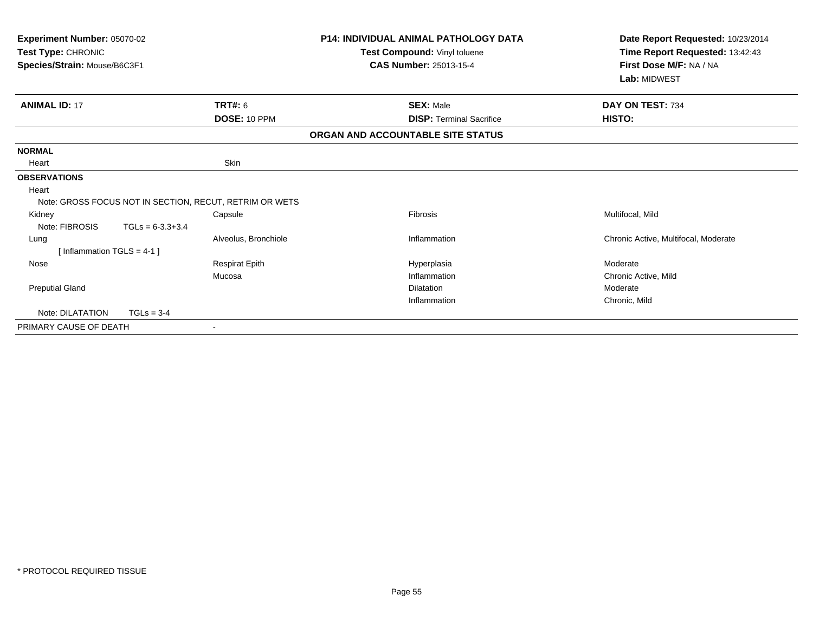| Experiment Number: 05070-02<br>Test Type: CHRONIC<br>Species/Strain: Mouse/B6C3F1 |                    |                                                         | <b>P14: INDIVIDUAL ANIMAL PATHOLOGY DATA</b><br>Test Compound: Vinyl toluene<br><b>CAS Number: 25013-15-4</b> | Date Report Requested: 10/23/2014<br>Time Report Requested: 13:42:43<br>First Dose M/F: NA / NA<br>Lab: MIDWEST |  |
|-----------------------------------------------------------------------------------|--------------------|---------------------------------------------------------|---------------------------------------------------------------------------------------------------------------|-----------------------------------------------------------------------------------------------------------------|--|
| <b>ANIMAL ID: 17</b>                                                              |                    | TRT#: 6                                                 | <b>SEX: Male</b>                                                                                              | DAY ON TEST: 734                                                                                                |  |
|                                                                                   |                    | DOSE: 10 PPM                                            | <b>DISP: Terminal Sacrifice</b>                                                                               | HISTO:                                                                                                          |  |
|                                                                                   |                    |                                                         | ORGAN AND ACCOUNTABLE SITE STATUS                                                                             |                                                                                                                 |  |
| <b>NORMAL</b>                                                                     |                    |                                                         |                                                                                                               |                                                                                                                 |  |
| Heart                                                                             |                    | Skin                                                    |                                                                                                               |                                                                                                                 |  |
| <b>OBSERVATIONS</b>                                                               |                    |                                                         |                                                                                                               |                                                                                                                 |  |
| Heart                                                                             |                    |                                                         |                                                                                                               |                                                                                                                 |  |
|                                                                                   |                    | Note: GROSS FOCUS NOT IN SECTION, RECUT, RETRIM OR WETS |                                                                                                               |                                                                                                                 |  |
| Kidney                                                                            |                    | Capsule                                                 | <b>Fibrosis</b>                                                                                               | Multifocal, Mild                                                                                                |  |
| Note: FIBROSIS                                                                    | $TGLs = 6-3.3+3.4$ |                                                         |                                                                                                               |                                                                                                                 |  |
| Lung                                                                              |                    | Alveolus, Bronchiole                                    | Inflammation                                                                                                  | Chronic Active, Multifocal, Moderate                                                                            |  |
| [Inflammation $TGLS = 4-1$ ]                                                      |                    |                                                         |                                                                                                               |                                                                                                                 |  |
| Nose                                                                              |                    | <b>Respirat Epith</b>                                   | Hyperplasia                                                                                                   | Moderate                                                                                                        |  |
|                                                                                   |                    | Mucosa                                                  | Inflammation                                                                                                  | Chronic Active, Mild                                                                                            |  |
| <b>Preputial Gland</b>                                                            |                    |                                                         | <b>Dilatation</b>                                                                                             | Moderate                                                                                                        |  |
|                                                                                   |                    |                                                         | Inflammation                                                                                                  | Chronic, Mild                                                                                                   |  |
| Note: DILATATION                                                                  | $TGLs = 3-4$       |                                                         |                                                                                                               |                                                                                                                 |  |
| PRIMARY CAUSE OF DEATH                                                            |                    |                                                         |                                                                                                               |                                                                                                                 |  |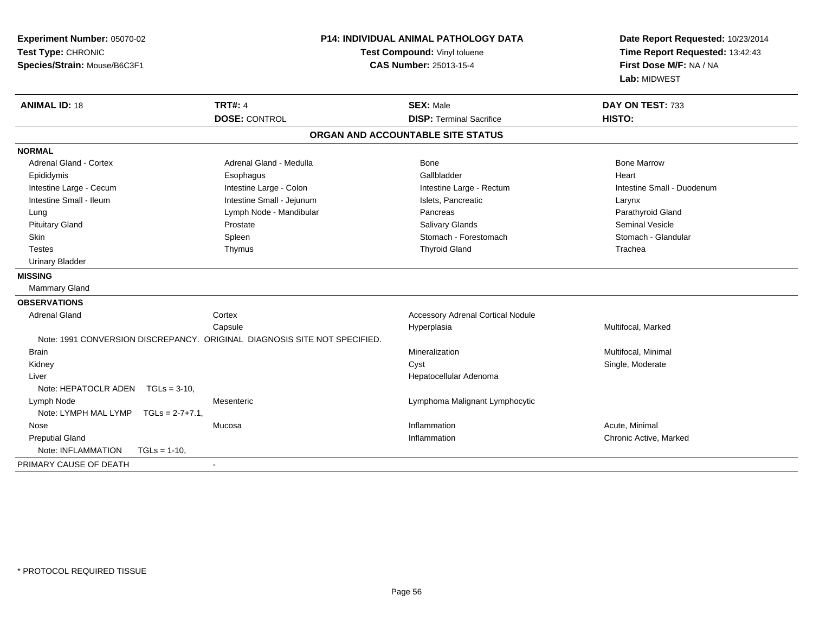| Experiment Number: 05070-02<br>Test Type: CHRONIC<br>Species/Strain: Mouse/B6C3F1 |                           | <b>P14: INDIVIDUAL ANIMAL PATHOLOGY DATA</b><br>Test Compound: Vinyl toluene<br>CAS Number: 25013-15-4 | Date Report Requested: 10/23/2014<br>Time Report Requested: 13:42:43<br>First Dose M/F: NA / NA<br>Lab: MIDWEST |
|-----------------------------------------------------------------------------------|---------------------------|--------------------------------------------------------------------------------------------------------|-----------------------------------------------------------------------------------------------------------------|
| <b>ANIMAL ID: 18</b>                                                              | <b>TRT#: 4</b>            | <b>SEX: Male</b>                                                                                       | DAY ON TEST: 733                                                                                                |
|                                                                                   | <b>DOSE: CONTROL</b>      | <b>DISP: Terminal Sacrifice</b>                                                                        | HISTO:                                                                                                          |
|                                                                                   |                           | ORGAN AND ACCOUNTABLE SITE STATUS                                                                      |                                                                                                                 |
| <b>NORMAL</b>                                                                     |                           |                                                                                                        |                                                                                                                 |
| <b>Adrenal Gland - Cortex</b>                                                     | Adrenal Gland - Medulla   | <b>Bone</b>                                                                                            | <b>Bone Marrow</b>                                                                                              |
| Epididymis                                                                        | Esophagus                 | Gallbladder                                                                                            | Heart                                                                                                           |
| Intestine Large - Cecum                                                           | Intestine Large - Colon   | Intestine Large - Rectum                                                                               | Intestine Small - Duodenum                                                                                      |
| Intestine Small - Ileum                                                           | Intestine Small - Jejunum | Islets, Pancreatic                                                                                     | Larynx                                                                                                          |
| Lung                                                                              | Lymph Node - Mandibular   | Pancreas                                                                                               | Parathyroid Gland                                                                                               |
| <b>Pituitary Gland</b>                                                            | Prostate                  | <b>Salivary Glands</b>                                                                                 | <b>Seminal Vesicle</b>                                                                                          |
| Skin                                                                              | Spleen                    | Stomach - Forestomach                                                                                  | Stomach - Glandular                                                                                             |
| <b>Testes</b>                                                                     | Thymus                    | <b>Thyroid Gland</b>                                                                                   | Trachea                                                                                                         |
| <b>Urinary Bladder</b>                                                            |                           |                                                                                                        |                                                                                                                 |
| <b>MISSING</b>                                                                    |                           |                                                                                                        |                                                                                                                 |
| Mammary Gland                                                                     |                           |                                                                                                        |                                                                                                                 |
| <b>OBSERVATIONS</b>                                                               |                           |                                                                                                        |                                                                                                                 |
| <b>Adrenal Gland</b>                                                              | Cortex                    | <b>Accessory Adrenal Cortical Nodule</b>                                                               |                                                                                                                 |
|                                                                                   | Capsule                   | Hyperplasia                                                                                            | Multifocal, Marked                                                                                              |
| Note: 1991 CONVERSION DISCREPANCY, ORIGINAL DIAGNOSIS SITE NOT SPECIFIED.         |                           |                                                                                                        |                                                                                                                 |
| <b>Brain</b>                                                                      |                           | Mineralization                                                                                         | Multifocal, Minimal                                                                                             |
| Kidney                                                                            |                           | Cyst                                                                                                   | Single, Moderate                                                                                                |
| Liver                                                                             |                           | Hepatocellular Adenoma                                                                                 |                                                                                                                 |
| Note: HEPATOCLR ADEN<br>$TGLs = 3-10,$                                            |                           |                                                                                                        |                                                                                                                 |
| Lymph Node                                                                        | Mesenteric                | Lymphoma Malignant Lymphocytic                                                                         |                                                                                                                 |
| Note: LYMPH MAL LYMP<br>$TGLs = 2-7+7.1$ .                                        |                           |                                                                                                        |                                                                                                                 |
| Nose                                                                              | Mucosa                    | Inflammation                                                                                           | Acute, Minimal                                                                                                  |
| <b>Preputial Gland</b>                                                            |                           | Inflammation                                                                                           | Chronic Active, Marked                                                                                          |
| Note: INFLAMMATION<br>$TGLs = 1-10$ ,                                             |                           |                                                                                                        |                                                                                                                 |
| PRIMARY CAUSE OF DEATH                                                            | $\sim$                    |                                                                                                        |                                                                                                                 |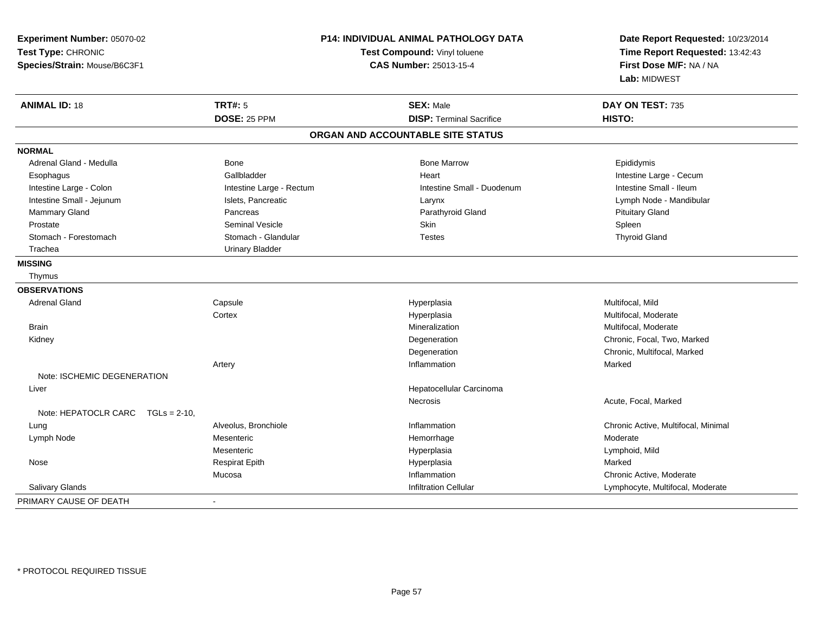| Experiment Number: 05070-02          |                          | <b>P14: INDIVIDUAL ANIMAL PATHOLOGY DATA</b> | Date Report Requested: 10/23/2014<br>Time Report Requested: 13:42:43<br>First Dose M/F: NA / NA<br>Lab: MIDWEST |  |
|--------------------------------------|--------------------------|----------------------------------------------|-----------------------------------------------------------------------------------------------------------------|--|
| Test Type: CHRONIC                   |                          | Test Compound: Vinyl toluene                 |                                                                                                                 |  |
| Species/Strain: Mouse/B6C3F1         |                          | <b>CAS Number: 25013-15-4</b>                |                                                                                                                 |  |
|                                      |                          |                                              |                                                                                                                 |  |
| <b>ANIMAL ID: 18</b>                 | <b>TRT#: 5</b>           | <b>SEX: Male</b>                             | DAY ON TEST: 735                                                                                                |  |
|                                      | DOSE: 25 PPM             | <b>DISP: Terminal Sacrifice</b>              | HISTO:                                                                                                          |  |
|                                      |                          | ORGAN AND ACCOUNTABLE SITE STATUS            |                                                                                                                 |  |
| <b>NORMAL</b>                        |                          |                                              |                                                                                                                 |  |
| Adrenal Gland - Medulla              | <b>Bone</b>              | <b>Bone Marrow</b>                           | Epididymis                                                                                                      |  |
| Esophagus                            | Gallbladder              | Heart                                        | Intestine Large - Cecum                                                                                         |  |
| Intestine Large - Colon              | Intestine Large - Rectum | Intestine Small - Duodenum                   | Intestine Small - Ileum                                                                                         |  |
| Intestine Small - Jejunum            | Islets, Pancreatic       | Larynx                                       | Lymph Node - Mandibular                                                                                         |  |
| Mammary Gland                        | Pancreas                 | Parathyroid Gland                            | <b>Pituitary Gland</b>                                                                                          |  |
| Prostate                             | <b>Seminal Vesicle</b>   | Skin                                         | Spleen                                                                                                          |  |
| Stomach - Forestomach                | Stomach - Glandular      | <b>Testes</b>                                | <b>Thyroid Gland</b>                                                                                            |  |
| Trachea                              | <b>Urinary Bladder</b>   |                                              |                                                                                                                 |  |
| <b>MISSING</b>                       |                          |                                              |                                                                                                                 |  |
| Thymus                               |                          |                                              |                                                                                                                 |  |
| <b>OBSERVATIONS</b>                  |                          |                                              |                                                                                                                 |  |
| <b>Adrenal Gland</b>                 | Capsule                  | Hyperplasia                                  | Multifocal, Mild                                                                                                |  |
|                                      | Cortex                   | Hyperplasia                                  | Multifocal, Moderate                                                                                            |  |
| <b>Brain</b>                         |                          | Mineralization                               | Multifocal, Moderate                                                                                            |  |
| Kidney                               |                          | Degeneration                                 | Chronic, Focal, Two, Marked                                                                                     |  |
|                                      |                          | Degeneration                                 | Chronic, Multifocal, Marked                                                                                     |  |
|                                      | Artery                   | Inflammation                                 | Marked                                                                                                          |  |
| Note: ISCHEMIC DEGENERATION          |                          |                                              |                                                                                                                 |  |
| Liver                                |                          | Hepatocellular Carcinoma                     |                                                                                                                 |  |
|                                      |                          | Necrosis                                     | Acute, Focal, Marked                                                                                            |  |
| Note: HEPATOCLR CARC $TGLs = 2-10$ . |                          |                                              |                                                                                                                 |  |
| Lung                                 | Alveolus, Bronchiole     | Inflammation                                 | Chronic Active, Multifocal, Minimal                                                                             |  |
| Lymph Node                           | Mesenteric               | Hemorrhage                                   | Moderate                                                                                                        |  |
|                                      | Mesenteric               | Hyperplasia                                  | Lymphoid, Mild                                                                                                  |  |
| Nose                                 | <b>Respirat Epith</b>    | Hyperplasia                                  | Marked                                                                                                          |  |
|                                      | Mucosa                   | Inflammation                                 | Chronic Active, Moderate                                                                                        |  |
| <b>Salivary Glands</b>               |                          | <b>Infiltration Cellular</b>                 | Lymphocyte, Multifocal, Moderate                                                                                |  |
| PRIMARY CAUSE OF DEATH               | $\blacksquare$           |                                              |                                                                                                                 |  |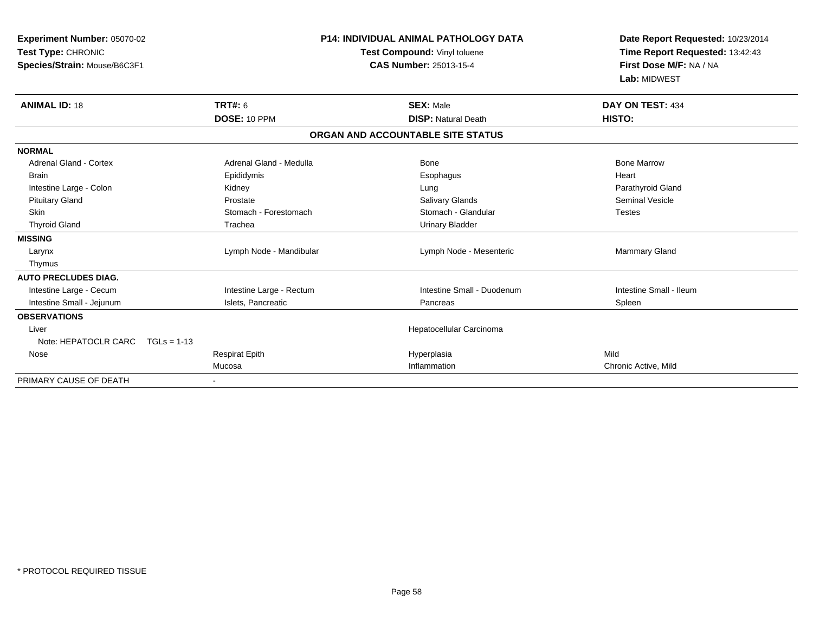| Experiment Number: 05070-02<br>Test Type: CHRONIC<br>Species/Strain: Mouse/B6C3F1 |                          | <b>P14: INDIVIDUAL ANIMAL PATHOLOGY DATA</b><br>Test Compound: Vinyl toluene<br><b>CAS Number: 25013-15-4</b> | Date Report Requested: 10/23/2014<br>Time Report Requested: 13:42:43<br>First Dose M/F: NA / NA<br>Lab: MIDWEST |  |
|-----------------------------------------------------------------------------------|--------------------------|---------------------------------------------------------------------------------------------------------------|-----------------------------------------------------------------------------------------------------------------|--|
| <b>ANIMAL ID: 18</b>                                                              | <b>TRT#: 6</b>           | <b>SEX: Male</b>                                                                                              | DAY ON TEST: 434                                                                                                |  |
|                                                                                   | DOSE: 10 PPM             | <b>DISP: Natural Death</b>                                                                                    | HISTO:                                                                                                          |  |
|                                                                                   |                          | ORGAN AND ACCOUNTABLE SITE STATUS                                                                             |                                                                                                                 |  |
| <b>NORMAL</b>                                                                     |                          |                                                                                                               |                                                                                                                 |  |
| <b>Adrenal Gland - Cortex</b>                                                     | Adrenal Gland - Medulla  | Bone                                                                                                          | <b>Bone Marrow</b>                                                                                              |  |
| <b>Brain</b>                                                                      | Epididymis               | Esophagus                                                                                                     | Heart                                                                                                           |  |
| Intestine Large - Colon                                                           | Kidney                   | Lung                                                                                                          | Parathyroid Gland                                                                                               |  |
| <b>Pituitary Gland</b>                                                            | Prostate                 | Salivary Glands                                                                                               | <b>Seminal Vesicle</b>                                                                                          |  |
| <b>Skin</b>                                                                       | Stomach - Forestomach    | Stomach - Glandular                                                                                           | <b>Testes</b>                                                                                                   |  |
| <b>Thyroid Gland</b>                                                              | Trachea                  | <b>Urinary Bladder</b>                                                                                        |                                                                                                                 |  |
| <b>MISSING</b>                                                                    |                          |                                                                                                               |                                                                                                                 |  |
| Larynx                                                                            | Lymph Node - Mandibular  | Lymph Node - Mesenteric                                                                                       | Mammary Gland                                                                                                   |  |
| Thymus                                                                            |                          |                                                                                                               |                                                                                                                 |  |
| <b>AUTO PRECLUDES DIAG.</b>                                                       |                          |                                                                                                               |                                                                                                                 |  |
| Intestine Large - Cecum                                                           | Intestine Large - Rectum | Intestine Small - Duodenum                                                                                    | Intestine Small - Ileum                                                                                         |  |
| Intestine Small - Jejunum                                                         | Islets, Pancreatic       | Pancreas                                                                                                      | Spleen                                                                                                          |  |
| <b>OBSERVATIONS</b>                                                               |                          |                                                                                                               |                                                                                                                 |  |
| Liver                                                                             |                          | Hepatocellular Carcinoma                                                                                      |                                                                                                                 |  |
| Note: HEPATOCLR CARC<br>$TGLs = 1-13$                                             |                          |                                                                                                               |                                                                                                                 |  |
| Nose                                                                              | <b>Respirat Epith</b>    | Hyperplasia                                                                                                   | Mild                                                                                                            |  |
|                                                                                   | Mucosa                   | Inflammation                                                                                                  | Chronic Active, Mild                                                                                            |  |
| PRIMARY CAUSE OF DEATH                                                            |                          |                                                                                                               |                                                                                                                 |  |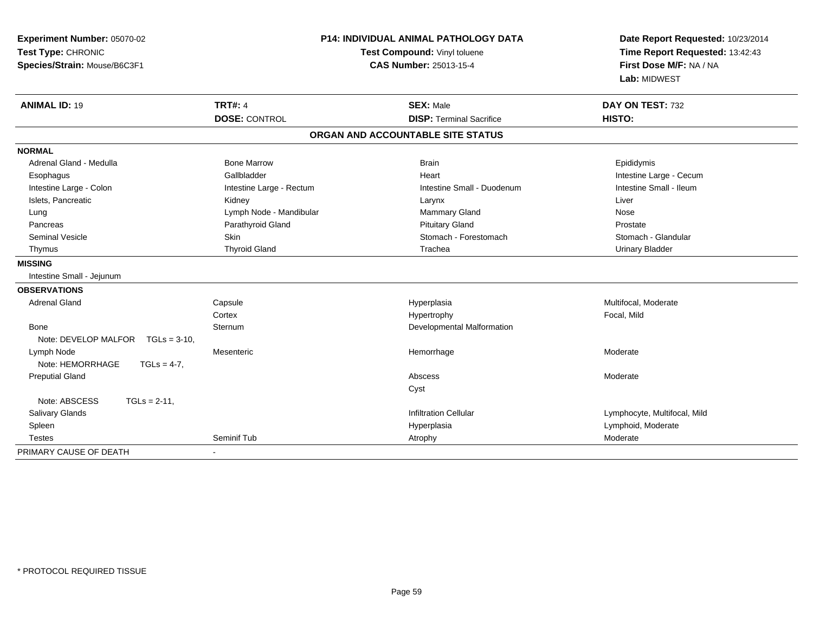| Experiment Number: 05070-02<br>Test Type: CHRONIC<br>Species/Strain: Mouse/B6C3F1 | <b>P14: INDIVIDUAL ANIMAL PATHOLOGY DATA</b><br>Test Compound: Vinyl toluene<br><b>CAS Number: 25013-15-4</b> |                                   | Date Report Requested: 10/23/2014<br>Time Report Requested: 13:42:43<br>First Dose M/F: NA / NA<br>Lab: MIDWEST |  |
|-----------------------------------------------------------------------------------|---------------------------------------------------------------------------------------------------------------|-----------------------------------|-----------------------------------------------------------------------------------------------------------------|--|
| <b>ANIMAL ID: 19</b>                                                              | <b>TRT#: 4</b>                                                                                                | <b>SEX: Male</b>                  | DAY ON TEST: 732                                                                                                |  |
|                                                                                   | <b>DOSE: CONTROL</b>                                                                                          | <b>DISP: Terminal Sacrifice</b>   | HISTO:                                                                                                          |  |
|                                                                                   |                                                                                                               | ORGAN AND ACCOUNTABLE SITE STATUS |                                                                                                                 |  |
| <b>NORMAL</b>                                                                     |                                                                                                               |                                   |                                                                                                                 |  |
| Adrenal Gland - Medulla                                                           | <b>Bone Marrow</b>                                                                                            | <b>Brain</b>                      | Epididymis                                                                                                      |  |
| Esophagus                                                                         | Gallbladder                                                                                                   | Heart                             | Intestine Large - Cecum                                                                                         |  |
| Intestine Large - Colon                                                           | Intestine Large - Rectum                                                                                      | Intestine Small - Duodenum        | Intestine Small - Ileum                                                                                         |  |
| Islets, Pancreatic                                                                | Kidney                                                                                                        | Larynx                            | Liver                                                                                                           |  |
| Lung                                                                              | Lymph Node - Mandibular                                                                                       | <b>Mammary Gland</b>              | Nose                                                                                                            |  |
| Pancreas                                                                          | Parathyroid Gland                                                                                             | <b>Pituitary Gland</b>            | Prostate                                                                                                        |  |
| <b>Seminal Vesicle</b>                                                            | Skin                                                                                                          | Stomach - Forestomach             | Stomach - Glandular                                                                                             |  |
| Thymus                                                                            | <b>Thyroid Gland</b>                                                                                          | Trachea                           | <b>Urinary Bladder</b>                                                                                          |  |
| <b>MISSING</b>                                                                    |                                                                                                               |                                   |                                                                                                                 |  |
| Intestine Small - Jejunum                                                         |                                                                                                               |                                   |                                                                                                                 |  |
| <b>OBSERVATIONS</b>                                                               |                                                                                                               |                                   |                                                                                                                 |  |
| <b>Adrenal Gland</b>                                                              | Capsule                                                                                                       | Hyperplasia                       | Multifocal, Moderate                                                                                            |  |
|                                                                                   | Cortex                                                                                                        | Hypertrophy                       | Focal, Mild                                                                                                     |  |
| Bone                                                                              | Sternum                                                                                                       | Developmental Malformation        |                                                                                                                 |  |
| Note: DEVELOP MALFOR<br>$TGLs = 3-10$ ,                                           |                                                                                                               |                                   |                                                                                                                 |  |
| Lymph Node                                                                        | Mesenteric                                                                                                    | Hemorrhage                        | Moderate                                                                                                        |  |
| Note: HEMORRHAGE<br>$TGLs = 4-7$ ,                                                |                                                                                                               |                                   |                                                                                                                 |  |
| <b>Preputial Gland</b>                                                            |                                                                                                               | Abscess                           | Moderate                                                                                                        |  |
|                                                                                   |                                                                                                               | Cyst                              |                                                                                                                 |  |
| Note: ABSCESS<br>$TGLs = 2-11$ ,                                                  |                                                                                                               |                                   |                                                                                                                 |  |
| Salivary Glands                                                                   |                                                                                                               | <b>Infiltration Cellular</b>      | Lymphocyte, Multifocal, Mild                                                                                    |  |
| Spleen                                                                            |                                                                                                               | Hyperplasia                       | Lymphoid, Moderate                                                                                              |  |
| Testes                                                                            | Seminif Tub                                                                                                   | Atrophy                           | Moderate                                                                                                        |  |
| PRIMARY CAUSE OF DEATH                                                            | $\blacksquare$                                                                                                |                                   |                                                                                                                 |  |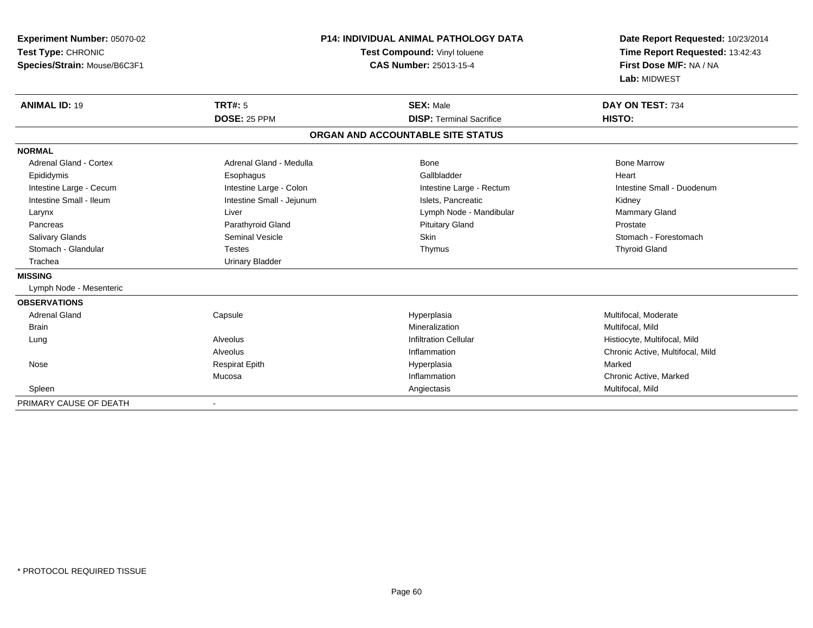| Experiment Number: 05070-02<br>Test Type: CHRONIC<br>Species/Strain: Mouse/B6C3F1 |                           | <b>P14: INDIVIDUAL ANIMAL PATHOLOGY DATA</b><br>Test Compound: Vinyl toluene<br><b>CAS Number: 25013-15-4</b> | Date Report Requested: 10/23/2014<br>Time Report Requested: 13:42:43<br>First Dose M/F: NA / NA<br>Lab: MIDWEST |
|-----------------------------------------------------------------------------------|---------------------------|---------------------------------------------------------------------------------------------------------------|-----------------------------------------------------------------------------------------------------------------|
| <b>ANIMAL ID: 19</b>                                                              | <b>TRT#: 5</b>            | <b>SEX: Male</b>                                                                                              | DAY ON TEST: 734                                                                                                |
|                                                                                   | DOSE: 25 PPM              | <b>DISP: Terminal Sacrifice</b>                                                                               | HISTO:                                                                                                          |
|                                                                                   |                           | ORGAN AND ACCOUNTABLE SITE STATUS                                                                             |                                                                                                                 |
| <b>NORMAL</b>                                                                     |                           |                                                                                                               |                                                                                                                 |
| Adrenal Gland - Cortex                                                            | Adrenal Gland - Medulla   | <b>Bone</b>                                                                                                   | <b>Bone Marrow</b>                                                                                              |
| Epididymis                                                                        | Esophagus                 | Gallbladder                                                                                                   | Heart                                                                                                           |
| Intestine Large - Cecum                                                           | Intestine Large - Colon   | Intestine Large - Rectum                                                                                      | Intestine Small - Duodenum                                                                                      |
| Intestine Small - Ileum                                                           | Intestine Small - Jejunum | Islets. Pancreatic                                                                                            | Kidney                                                                                                          |
| Larynx                                                                            | Liver                     | Lymph Node - Mandibular                                                                                       | Mammary Gland                                                                                                   |
| Pancreas                                                                          | Parathyroid Gland         | <b>Pituitary Gland</b>                                                                                        | Prostate                                                                                                        |
| <b>Salivary Glands</b>                                                            | <b>Seminal Vesicle</b>    | <b>Skin</b>                                                                                                   | Stomach - Forestomach                                                                                           |
| Stomach - Glandular                                                               | <b>Testes</b>             | Thymus                                                                                                        | <b>Thyroid Gland</b>                                                                                            |
| Trachea                                                                           | <b>Urinary Bladder</b>    |                                                                                                               |                                                                                                                 |
| <b>MISSING</b>                                                                    |                           |                                                                                                               |                                                                                                                 |
| Lymph Node - Mesenteric                                                           |                           |                                                                                                               |                                                                                                                 |
| <b>OBSERVATIONS</b>                                                               |                           |                                                                                                               |                                                                                                                 |
| <b>Adrenal Gland</b>                                                              | Capsule                   | Hyperplasia                                                                                                   | Multifocal, Moderate                                                                                            |
| <b>Brain</b>                                                                      |                           | Mineralization                                                                                                | Multifocal, Mild                                                                                                |
| Lung                                                                              | Alveolus                  | <b>Infiltration Cellular</b>                                                                                  | Histiocyte, Multifocal, Mild                                                                                    |
|                                                                                   | Alveolus                  | Inflammation                                                                                                  | Chronic Active, Multifocal, Mild                                                                                |
| Nose                                                                              | <b>Respirat Epith</b>     | Hyperplasia                                                                                                   | Marked                                                                                                          |
|                                                                                   | Mucosa                    | Inflammation                                                                                                  | Chronic Active, Marked                                                                                          |
| Spleen                                                                            |                           | Angiectasis                                                                                                   | Multifocal, Mild                                                                                                |
| PRIMARY CAUSE OF DEATH                                                            |                           |                                                                                                               |                                                                                                                 |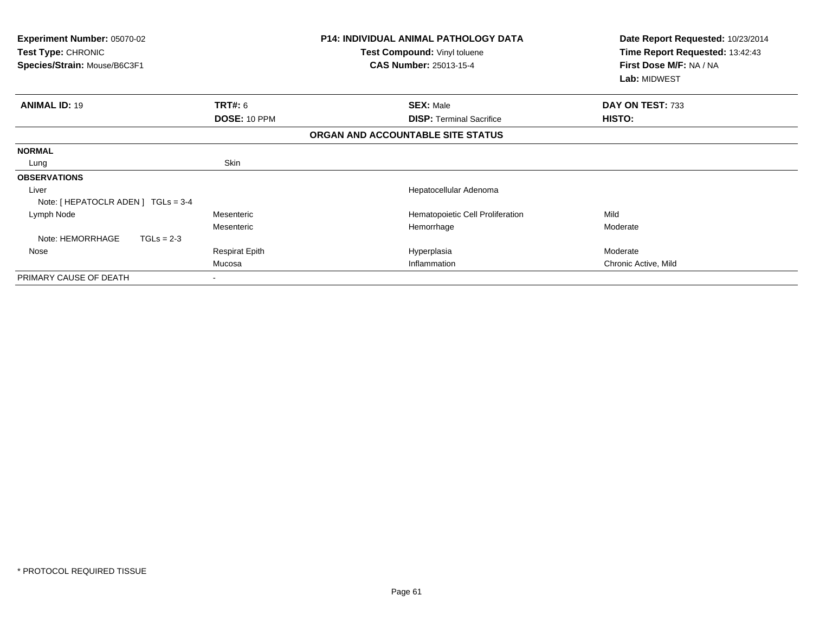| <b>Experiment Number: 05070-02</b><br>Test Type: CHRONIC<br>Species/Strain: Mouse/B6C3F1 |              |                       |                                   | P14: INDIVIDUAL ANIMAL PATHOLOGY DATA<br>Test Compound: Vinyl toluene<br><b>CAS Number: 25013-15-4</b> | Date Report Requested: 10/23/2014<br>Time Report Requested: 13:42:43<br>First Dose M/F: NA / NA<br>Lab: MIDWEST |
|------------------------------------------------------------------------------------------|--------------|-----------------------|-----------------------------------|--------------------------------------------------------------------------------------------------------|-----------------------------------------------------------------------------------------------------------------|
| <b>ANIMAL ID: 19</b>                                                                     |              | <b>TRT#: 6</b>        |                                   | <b>SEX: Male</b>                                                                                       | DAY ON TEST: 733                                                                                                |
|                                                                                          |              | DOSE: 10 PPM          |                                   | <b>DISP: Terminal Sacrifice</b>                                                                        | HISTO:                                                                                                          |
|                                                                                          |              |                       | ORGAN AND ACCOUNTABLE SITE STATUS |                                                                                                        |                                                                                                                 |
| <b>NORMAL</b>                                                                            |              |                       |                                   |                                                                                                        |                                                                                                                 |
| Lung                                                                                     |              | Skin                  |                                   |                                                                                                        |                                                                                                                 |
| <b>OBSERVATIONS</b>                                                                      |              |                       |                                   |                                                                                                        |                                                                                                                 |
| Liver<br>Note: [ HEPATOCLR ADEN ] TGLs = 3-4                                             |              |                       |                                   | Hepatocellular Adenoma                                                                                 |                                                                                                                 |
| Lymph Node                                                                               |              | Mesenteric            |                                   | Hematopoietic Cell Proliferation                                                                       | Mild                                                                                                            |
| Note: HEMORRHAGE                                                                         | $TGLs = 2-3$ | Mesenteric            |                                   | Hemorrhage                                                                                             | Moderate                                                                                                        |
| Nose                                                                                     |              | <b>Respirat Epith</b> |                                   | Hyperplasia                                                                                            | Moderate                                                                                                        |
|                                                                                          |              | Mucosa                |                                   | Inflammation                                                                                           | Chronic Active, Mild                                                                                            |
| PRIMARY CAUSE OF DEATH                                                                   |              |                       |                                   |                                                                                                        |                                                                                                                 |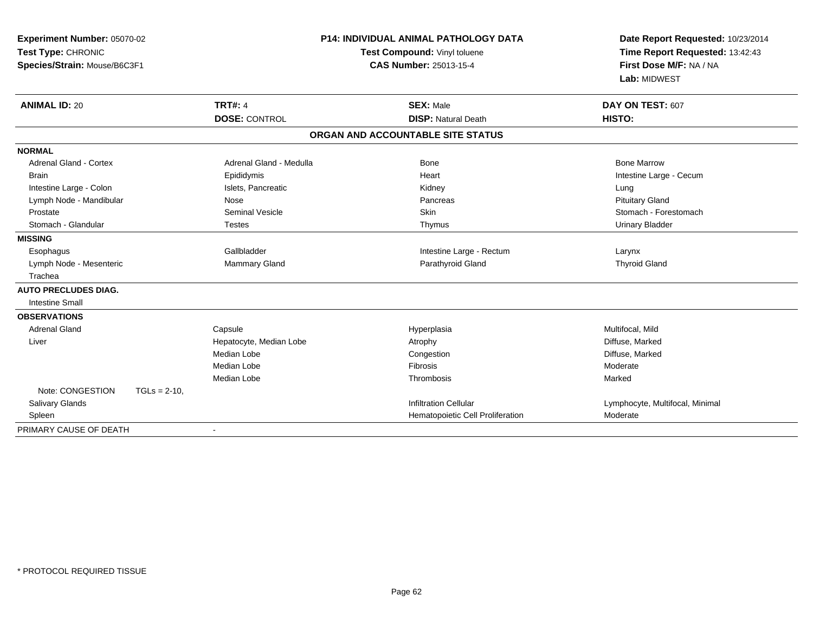| Experiment Number: 05070-02         |                         | <b>P14: INDIVIDUAL ANIMAL PATHOLOGY DATA</b> | Date Report Requested: 10/23/2014                          |
|-------------------------------------|-------------------------|----------------------------------------------|------------------------------------------------------------|
| Test Type: CHRONIC                  |                         | Test Compound: Vinyl toluene                 | Time Report Requested: 13:42:43<br>First Dose M/F: NA / NA |
| Species/Strain: Mouse/B6C3F1        |                         | <b>CAS Number: 25013-15-4</b>                |                                                            |
|                                     |                         |                                              | Lab: MIDWEST                                               |
| <b>ANIMAL ID: 20</b>                | <b>TRT#: 4</b>          | <b>SEX: Male</b>                             | DAY ON TEST: 607                                           |
|                                     | <b>DOSE: CONTROL</b>    | <b>DISP: Natural Death</b>                   | HISTO:                                                     |
|                                     |                         | ORGAN AND ACCOUNTABLE SITE STATUS            |                                                            |
| <b>NORMAL</b>                       |                         |                                              |                                                            |
| <b>Adrenal Gland - Cortex</b>       | Adrenal Gland - Medulla | <b>Bone</b>                                  | <b>Bone Marrow</b>                                         |
| <b>Brain</b>                        | Epididymis              | Heart                                        | Intestine Large - Cecum                                    |
| Intestine Large - Colon             | Islets, Pancreatic      | Kidney                                       | Lung                                                       |
| Lymph Node - Mandibular             | Nose                    | Pancreas                                     | <b>Pituitary Gland</b>                                     |
| Prostate                            | <b>Seminal Vesicle</b>  | Skin                                         | Stomach - Forestomach                                      |
| Stomach - Glandular                 | <b>Testes</b>           | Thymus                                       | <b>Urinary Bladder</b>                                     |
| <b>MISSING</b>                      |                         |                                              |                                                            |
| Esophagus                           | Gallbladder             | Intestine Large - Rectum                     | Larynx                                                     |
| Lymph Node - Mesenteric             | Mammary Gland           | Parathyroid Gland                            | <b>Thyroid Gland</b>                                       |
| Trachea                             |                         |                                              |                                                            |
| <b>AUTO PRECLUDES DIAG.</b>         |                         |                                              |                                                            |
| <b>Intestine Small</b>              |                         |                                              |                                                            |
| <b>OBSERVATIONS</b>                 |                         |                                              |                                                            |
| <b>Adrenal Gland</b>                | Capsule                 | Hyperplasia                                  | Multifocal, Mild                                           |
| Liver                               | Hepatocyte, Median Lobe | Atrophy                                      | Diffuse, Marked                                            |
|                                     | Median Lobe             | Congestion                                   | Diffuse, Marked                                            |
|                                     | Median Lobe             | Fibrosis                                     | Moderate                                                   |
|                                     | Median Lobe             | Thrombosis                                   | Marked                                                     |
| Note: CONGESTION<br>$TGLs = 2-10$ , |                         |                                              |                                                            |
| Salivary Glands                     |                         | <b>Infiltration Cellular</b>                 | Lymphocyte, Multifocal, Minimal                            |
| Spleen                              |                         | Hematopoietic Cell Proliferation             | Moderate                                                   |
| PRIMARY CAUSE OF DEATH              | $\blacksquare$          |                                              |                                                            |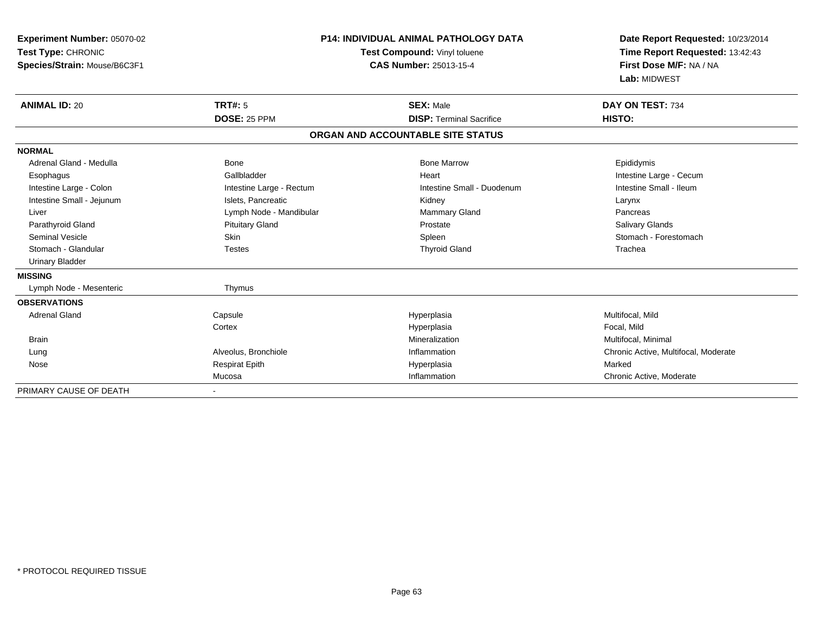| Experiment Number: 05070-02<br>Test Type: CHRONIC<br>Species/Strain: Mouse/B6C3F1 |                                       | <b>P14: INDIVIDUAL ANIMAL PATHOLOGY DATA</b><br>Test Compound: Vinyl toluene<br><b>CAS Number: 25013-15-4</b> | Date Report Requested: 10/23/2014<br>Time Report Requested: 13:42:43<br>First Dose M/F: NA / NA<br>Lab: MIDWEST |
|-----------------------------------------------------------------------------------|---------------------------------------|---------------------------------------------------------------------------------------------------------------|-----------------------------------------------------------------------------------------------------------------|
| <b>ANIMAL ID: 20</b>                                                              | <b>TRT#: 5</b><br><b>DOSE: 25 PPM</b> | <b>SEX: Male</b><br><b>DISP:</b> Terminal Sacrifice                                                           | DAY ON TEST: 734<br>HISTO:                                                                                      |
|                                                                                   |                                       |                                                                                                               |                                                                                                                 |
|                                                                                   |                                       | ORGAN AND ACCOUNTABLE SITE STATUS                                                                             |                                                                                                                 |
| <b>NORMAL</b>                                                                     |                                       |                                                                                                               |                                                                                                                 |
| Adrenal Gland - Medulla                                                           | Bone                                  | <b>Bone Marrow</b>                                                                                            | Epididymis                                                                                                      |
| Esophagus                                                                         | Gallbladder                           | Heart                                                                                                         | Intestine Large - Cecum                                                                                         |
| Intestine Large - Colon                                                           | Intestine Large - Rectum              | Intestine Small - Duodenum                                                                                    | Intestine Small - Ileum                                                                                         |
| Intestine Small - Jejunum                                                         | Islets, Pancreatic                    | Kidney                                                                                                        | Larynx                                                                                                          |
| Liver                                                                             | Lymph Node - Mandibular               | <b>Mammary Gland</b>                                                                                          | Pancreas                                                                                                        |
| Parathyroid Gland                                                                 | <b>Pituitary Gland</b>                | Prostate                                                                                                      | Salivary Glands                                                                                                 |
| <b>Seminal Vesicle</b>                                                            | Skin                                  | Spleen                                                                                                        | Stomach - Forestomach                                                                                           |
| Stomach - Glandular                                                               | <b>Testes</b>                         | <b>Thyroid Gland</b>                                                                                          | Trachea                                                                                                         |
| <b>Urinary Bladder</b>                                                            |                                       |                                                                                                               |                                                                                                                 |
| <b>MISSING</b>                                                                    |                                       |                                                                                                               |                                                                                                                 |
| Lymph Node - Mesenteric                                                           | Thymus                                |                                                                                                               |                                                                                                                 |
| <b>OBSERVATIONS</b>                                                               |                                       |                                                                                                               |                                                                                                                 |
| <b>Adrenal Gland</b>                                                              | Capsule                               | Hyperplasia                                                                                                   | Multifocal, Mild                                                                                                |
|                                                                                   | Cortex                                | Hyperplasia                                                                                                   | Focal, Mild                                                                                                     |
| <b>Brain</b>                                                                      |                                       | Mineralization                                                                                                | Multifocal, Minimal                                                                                             |
| Lung                                                                              | Alveolus, Bronchiole                  | Inflammation                                                                                                  | Chronic Active, Multifocal, Moderate                                                                            |
| Nose                                                                              | <b>Respirat Epith</b>                 | Hyperplasia                                                                                                   | Marked                                                                                                          |
|                                                                                   | Mucosa                                | Inflammation                                                                                                  | Chronic Active, Moderate                                                                                        |
| PRIMARY CAUSE OF DEATH                                                            | $\overline{\phantom{a}}$              |                                                                                                               |                                                                                                                 |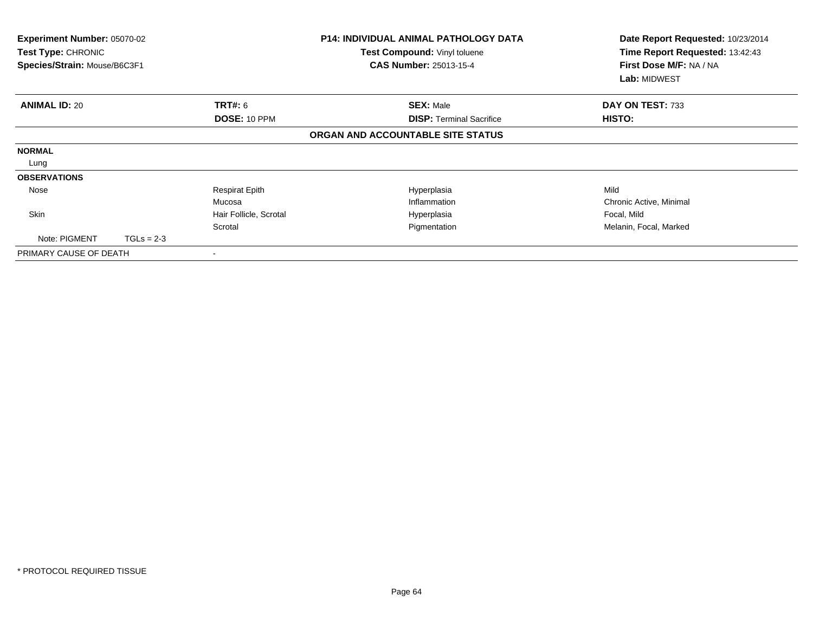| <b>Experiment Number: 05070-02</b><br>Test Type: CHRONIC<br>Species/Strain: Mouse/B6C3F1 |              |                        | <b>P14: INDIVIDUAL ANIMAL PATHOLOGY DATA</b><br>Test Compound: Vinyl toluene<br><b>CAS Number: 25013-15-4</b> | Date Report Requested: 10/23/2014<br>Time Report Requested: 13:42:43<br>First Dose M/F: NA / NA<br>Lab: MIDWEST |
|------------------------------------------------------------------------------------------|--------------|------------------------|---------------------------------------------------------------------------------------------------------------|-----------------------------------------------------------------------------------------------------------------|
| <b>ANIMAL ID: 20</b>                                                                     |              | TRT#: 6                | <b>SEX: Male</b>                                                                                              | DAY ON TEST: 733                                                                                                |
|                                                                                          |              | DOSE: 10 PPM           | <b>DISP: Terminal Sacrifice</b>                                                                               | HISTO:                                                                                                          |
|                                                                                          |              |                        | ORGAN AND ACCOUNTABLE SITE STATUS                                                                             |                                                                                                                 |
| <b>NORMAL</b>                                                                            |              |                        |                                                                                                               |                                                                                                                 |
| Lung                                                                                     |              |                        |                                                                                                               |                                                                                                                 |
| <b>OBSERVATIONS</b>                                                                      |              |                        |                                                                                                               |                                                                                                                 |
| Nose                                                                                     |              | <b>Respirat Epith</b>  | Hyperplasia                                                                                                   | Mild                                                                                                            |
|                                                                                          |              | Mucosa                 | Inflammation                                                                                                  | Chronic Active, Minimal                                                                                         |
| Skin                                                                                     |              | Hair Follicle, Scrotal | Hyperplasia                                                                                                   | Focal, Mild                                                                                                     |
|                                                                                          |              | Scrotal                | Pigmentation                                                                                                  | Melanin, Focal, Marked                                                                                          |
| Note: PIGMENT                                                                            | $TGLs = 2-3$ |                        |                                                                                                               |                                                                                                                 |
| PRIMARY CAUSE OF DEATH                                                                   |              | $\,$                   |                                                                                                               |                                                                                                                 |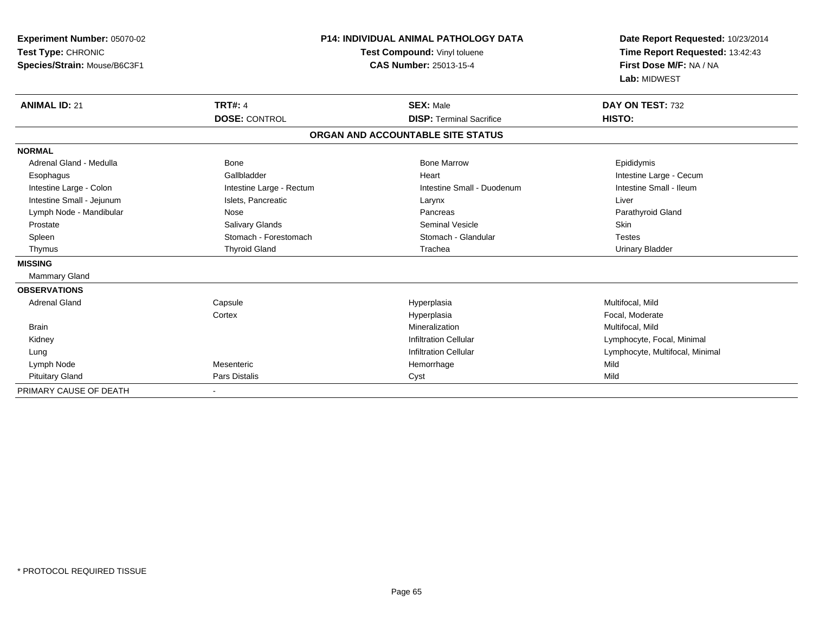| Experiment Number: 05070-02<br>Test Type: CHRONIC<br>Species/Strain: Mouse/B6C3F1 |                          | <b>P14: INDIVIDUAL ANIMAL PATHOLOGY DATA</b><br>Test Compound: Vinyl toluene<br><b>CAS Number: 25013-15-4</b> | Date Report Requested: 10/23/2014<br>Time Report Requested: 13:42:43<br>First Dose M/F: NA / NA<br>Lab: MIDWEST |
|-----------------------------------------------------------------------------------|--------------------------|---------------------------------------------------------------------------------------------------------------|-----------------------------------------------------------------------------------------------------------------|
| <b>ANIMAL ID: 21</b>                                                              | <b>TRT#: 4</b>           | <b>SEX: Male</b>                                                                                              | DAY ON TEST: 732                                                                                                |
|                                                                                   | <b>DOSE: CONTROL</b>     | <b>DISP: Terminal Sacrifice</b>                                                                               | HISTO:                                                                                                          |
|                                                                                   |                          | ORGAN AND ACCOUNTABLE SITE STATUS                                                                             |                                                                                                                 |
| <b>NORMAL</b>                                                                     |                          |                                                                                                               |                                                                                                                 |
| Adrenal Gland - Medulla                                                           | <b>Bone</b>              | <b>Bone Marrow</b>                                                                                            | Epididymis                                                                                                      |
| Esophagus                                                                         | Gallbladder              | Heart                                                                                                         | Intestine Large - Cecum                                                                                         |
| Intestine Large - Colon                                                           | Intestine Large - Rectum | Intestine Small - Duodenum                                                                                    | Intestine Small - Ileum                                                                                         |
| Intestine Small - Jejunum                                                         | Islets, Pancreatic       | Larynx                                                                                                        | Liver                                                                                                           |
| Lymph Node - Mandibular                                                           | Nose                     | Pancreas                                                                                                      | Parathyroid Gland                                                                                               |
| Prostate                                                                          | Salivary Glands          | Seminal Vesicle                                                                                               | <b>Skin</b>                                                                                                     |
| Spleen                                                                            | Stomach - Forestomach    | Stomach - Glandular                                                                                           | <b>Testes</b>                                                                                                   |
| Thymus                                                                            | <b>Thyroid Gland</b>     | Trachea                                                                                                       | <b>Urinary Bladder</b>                                                                                          |
| <b>MISSING</b>                                                                    |                          |                                                                                                               |                                                                                                                 |
| Mammary Gland                                                                     |                          |                                                                                                               |                                                                                                                 |
| <b>OBSERVATIONS</b>                                                               |                          |                                                                                                               |                                                                                                                 |
| <b>Adrenal Gland</b>                                                              | Capsule                  | Hyperplasia                                                                                                   | Multifocal, Mild                                                                                                |
|                                                                                   | Cortex                   | Hyperplasia                                                                                                   | Focal, Moderate                                                                                                 |
| <b>Brain</b>                                                                      |                          | Mineralization                                                                                                | Multifocal, Mild                                                                                                |
| Kidney                                                                            |                          | <b>Infiltration Cellular</b>                                                                                  | Lymphocyte, Focal, Minimal                                                                                      |
| Lung                                                                              |                          | <b>Infiltration Cellular</b>                                                                                  | Lymphocyte, Multifocal, Minimal                                                                                 |
| Lymph Node                                                                        | Mesenteric               | Hemorrhage                                                                                                    | Mild                                                                                                            |
| <b>Pituitary Gland</b>                                                            | Pars Distalis            | Cyst                                                                                                          | Mild                                                                                                            |
| PRIMARY CAUSE OF DEATH                                                            |                          |                                                                                                               |                                                                                                                 |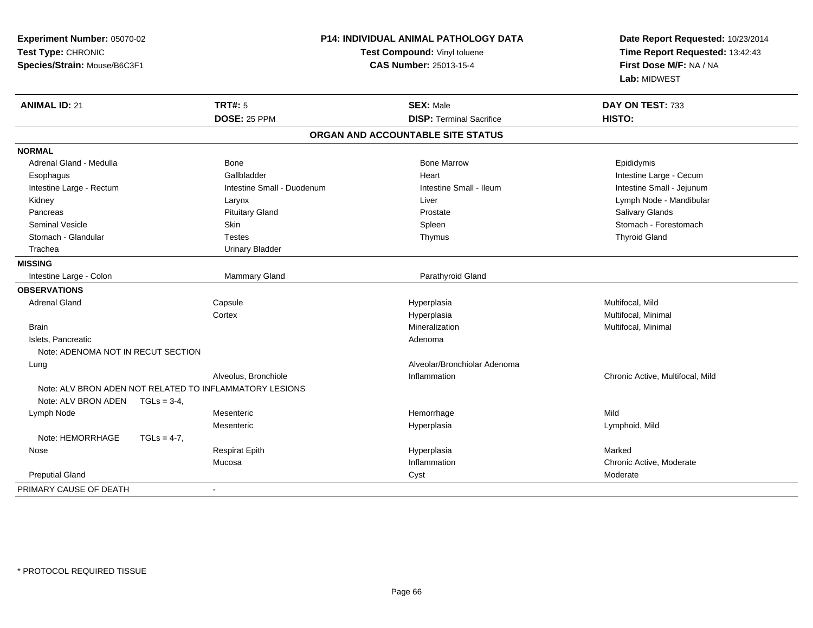| Experiment Number: 05070-02                             |                            | P14: INDIVIDUAL ANIMAL PATHOLOGY DATA | Date Report Requested: 10/23/2014       |  |
|---------------------------------------------------------|----------------------------|---------------------------------------|-----------------------------------------|--|
| Test Type: CHRONIC                                      |                            | Test Compound: Vinyl toluene          | Time Report Requested: 13:42:43         |  |
| Species/Strain: Mouse/B6C3F1                            |                            | <b>CAS Number: 25013-15-4</b>         | First Dose M/F: NA / NA<br>Lab: MIDWEST |  |
|                                                         |                            |                                       |                                         |  |
| <b>ANIMAL ID: 21</b>                                    | <b>TRT#: 5</b>             | <b>SEX: Male</b>                      | DAY ON TEST: 733                        |  |
|                                                         | <b>DOSE: 25 PPM</b>        | <b>DISP: Terminal Sacrifice</b>       | HISTO:                                  |  |
|                                                         |                            | ORGAN AND ACCOUNTABLE SITE STATUS     |                                         |  |
| <b>NORMAL</b>                                           |                            |                                       |                                         |  |
| Adrenal Gland - Medulla                                 | Bone                       | <b>Bone Marrow</b>                    | Epididymis                              |  |
| Esophagus                                               | Gallbladder                | Heart                                 | Intestine Large - Cecum                 |  |
| Intestine Large - Rectum                                | Intestine Small - Duodenum | Intestine Small - Ileum               | Intestine Small - Jejunum               |  |
| Kidney                                                  | Larynx                     | Liver                                 | Lymph Node - Mandibular                 |  |
| Pancreas                                                | <b>Pituitary Gland</b>     | Prostate                              | Salivary Glands                         |  |
| <b>Seminal Vesicle</b>                                  | Skin                       | Spleen                                | Stomach - Forestomach                   |  |
| Stomach - Glandular                                     | <b>Testes</b>              | Thymus                                | <b>Thyroid Gland</b>                    |  |
| Trachea                                                 | <b>Urinary Bladder</b>     |                                       |                                         |  |
| <b>MISSING</b>                                          |                            |                                       |                                         |  |
| Intestine Large - Colon                                 | Mammary Gland              | Parathyroid Gland                     |                                         |  |
| <b>OBSERVATIONS</b>                                     |                            |                                       |                                         |  |
| <b>Adrenal Gland</b>                                    | Capsule                    | Hyperplasia                           | Multifocal, Mild                        |  |
|                                                         | Cortex                     | Hyperplasia                           | Multifocal, Minimal                     |  |
| <b>Brain</b>                                            |                            | Mineralization                        | Multifocal, Minimal                     |  |
| Islets, Pancreatic                                      |                            | Adenoma                               |                                         |  |
| Note: ADENOMA NOT IN RECUT SECTION                      |                            |                                       |                                         |  |
| Lung                                                    |                            | Alveolar/Bronchiolar Adenoma          |                                         |  |
|                                                         | Alveolus, Bronchiole       | Inflammation                          | Chronic Active, Multifocal, Mild        |  |
| Note: ALV BRON ADEN NOT RELATED TO INFLAMMATORY LESIONS |                            |                                       |                                         |  |
| Note: ALV BRON ADEN $TGLs = 3-4$ ,                      |                            |                                       |                                         |  |
| Lymph Node                                              | Mesenteric                 | Hemorrhage                            | Mild                                    |  |
|                                                         | Mesenteric                 | Hyperplasia                           | Lymphoid, Mild                          |  |
| Note: HEMORRHAGE<br>$TGLs = 4-7.$                       |                            |                                       |                                         |  |
| Nose                                                    | <b>Respirat Epith</b>      | Hyperplasia                           | Marked                                  |  |
|                                                         | Mucosa                     | Inflammation                          | Chronic Active, Moderate                |  |
| <b>Preputial Gland</b>                                  |                            | Cyst                                  | Moderate                                |  |
| PRIMARY CAUSE OF DEATH                                  |                            |                                       |                                         |  |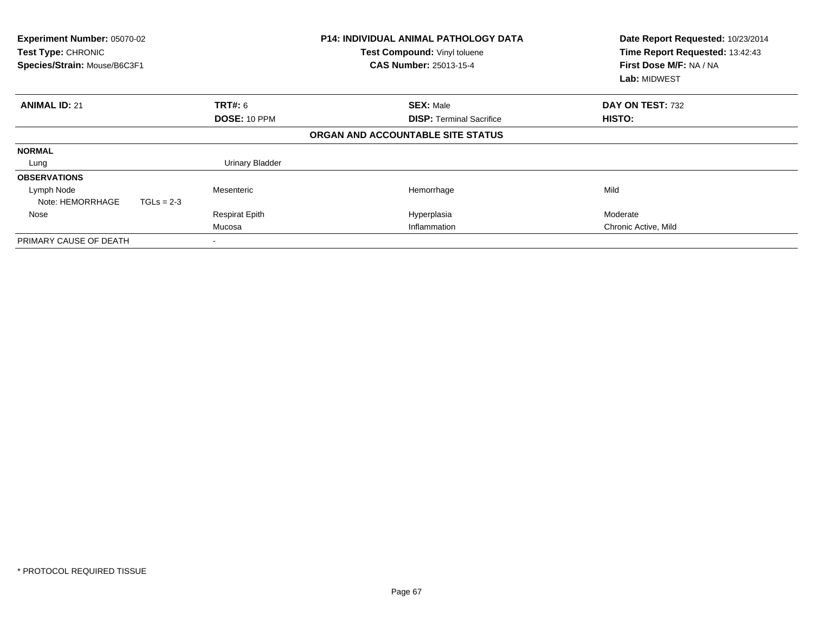| Experiment Number: 05070-02<br>Test Type: CHRONIC<br>Species/Strain: Mouse/B6C3F1 |              |                        | <b>P14: INDIVIDUAL ANIMAL PATHOLOGY DATA</b><br>Test Compound: Vinyl toluene<br><b>CAS Number: 25013-15-4</b> | Date Report Requested: 10/23/2014<br>Time Report Requested: 13:42:43<br>First Dose M/F: NA / NA<br>Lab: MIDWEST |
|-----------------------------------------------------------------------------------|--------------|------------------------|---------------------------------------------------------------------------------------------------------------|-----------------------------------------------------------------------------------------------------------------|
| <b>ANIMAL ID: 21</b>                                                              |              | <b>TRT#: 6</b>         | <b>SEX: Male</b>                                                                                              | DAY ON TEST: 732                                                                                                |
|                                                                                   |              | DOSE: 10 PPM           | <b>DISP:</b> Terminal Sacrifice                                                                               | <b>HISTO:</b>                                                                                                   |
|                                                                                   |              |                        | ORGAN AND ACCOUNTABLE SITE STATUS                                                                             |                                                                                                                 |
| <b>NORMAL</b>                                                                     |              |                        |                                                                                                               |                                                                                                                 |
| Lung                                                                              |              | <b>Urinary Bladder</b> |                                                                                                               |                                                                                                                 |
| <b>OBSERVATIONS</b>                                                               |              |                        |                                                                                                               |                                                                                                                 |
| Lymph Node                                                                        |              | Mesenteric             | Hemorrhage                                                                                                    | Mild                                                                                                            |
| Note: HEMORRHAGE                                                                  | $TGLs = 2-3$ |                        |                                                                                                               |                                                                                                                 |
| Nose                                                                              |              | <b>Respirat Epith</b>  | Hyperplasia                                                                                                   | Moderate                                                                                                        |
|                                                                                   |              | Mucosa                 | Inflammation                                                                                                  | Chronic Active, Mild                                                                                            |
| PRIMARY CAUSE OF DEATH                                                            |              |                        |                                                                                                               |                                                                                                                 |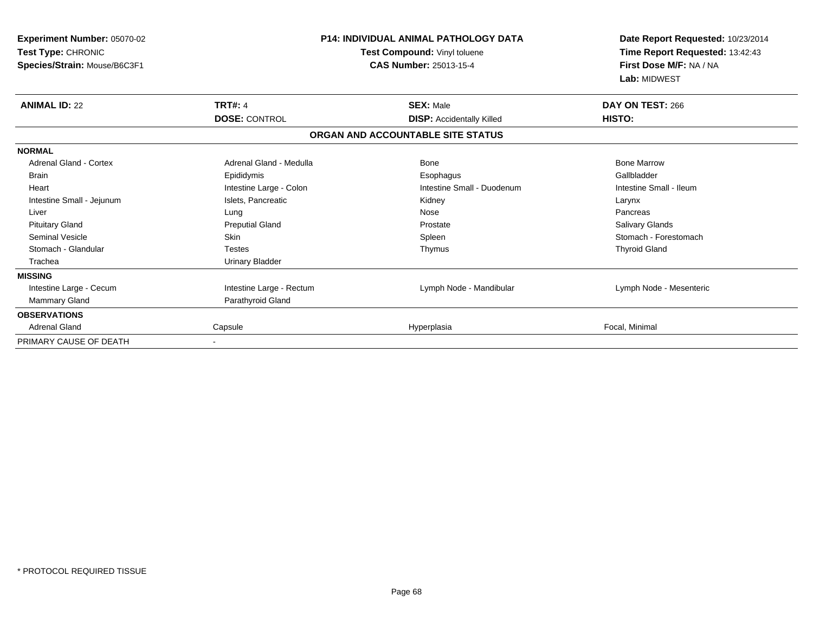| Experiment Number: 05070-02<br>Test Type: CHRONIC<br>Species/Strain: Mouse/B6C3F1 | <b>P14: INDIVIDUAL ANIMAL PATHOLOGY DATA</b><br>Test Compound: Vinyl toluene<br><b>CAS Number: 25013-15-4</b> |                                   | Date Report Requested: 10/23/2014<br>Time Report Requested: 13:42:43<br>First Dose M/F: NA / NA<br>Lab: MIDWEST |
|-----------------------------------------------------------------------------------|---------------------------------------------------------------------------------------------------------------|-----------------------------------|-----------------------------------------------------------------------------------------------------------------|
| <b>ANIMAL ID: 22</b>                                                              | <b>TRT#: 4</b>                                                                                                | <b>SEX: Male</b>                  | DAY ON TEST: 266                                                                                                |
|                                                                                   | <b>DOSE: CONTROL</b>                                                                                          | <b>DISP:</b> Accidentally Killed  | HISTO:                                                                                                          |
|                                                                                   |                                                                                                               | ORGAN AND ACCOUNTABLE SITE STATUS |                                                                                                                 |
| <b>NORMAL</b>                                                                     |                                                                                                               |                                   |                                                                                                                 |
| Adrenal Gland - Cortex                                                            | Adrenal Gland - Medulla                                                                                       | <b>Bone</b>                       | <b>Bone Marrow</b>                                                                                              |
| <b>Brain</b>                                                                      | Epididymis                                                                                                    | Esophagus                         | Gallbladder                                                                                                     |
| Heart                                                                             | Intestine Large - Colon                                                                                       | Intestine Small - Duodenum        | Intestine Small - Ileum                                                                                         |
| Intestine Small - Jejunum                                                         | Islets, Pancreatic                                                                                            | Kidney                            | Larynx                                                                                                          |
| Liver                                                                             | Lung                                                                                                          | Nose                              | Pancreas                                                                                                        |
| <b>Pituitary Gland</b>                                                            | <b>Preputial Gland</b>                                                                                        | Prostate                          | <b>Salivary Glands</b>                                                                                          |
| <b>Seminal Vesicle</b>                                                            | <b>Skin</b>                                                                                                   | Spleen                            | Stomach - Forestomach                                                                                           |
| Stomach - Glandular                                                               | <b>Testes</b>                                                                                                 | Thymus                            | <b>Thyroid Gland</b>                                                                                            |
| Trachea                                                                           | <b>Urinary Bladder</b>                                                                                        |                                   |                                                                                                                 |
| <b>MISSING</b>                                                                    |                                                                                                               |                                   |                                                                                                                 |
| Intestine Large - Cecum                                                           | Intestine Large - Rectum                                                                                      | Lymph Node - Mandibular           | Lymph Node - Mesenteric                                                                                         |
| <b>Mammary Gland</b>                                                              | Parathyroid Gland                                                                                             |                                   |                                                                                                                 |
| <b>OBSERVATIONS</b>                                                               |                                                                                                               |                                   |                                                                                                                 |
| <b>Adrenal Gland</b>                                                              | Capsule                                                                                                       | Hyperplasia                       | Focal, Minimal                                                                                                  |
| PRIMARY CAUSE OF DEATH                                                            |                                                                                                               |                                   |                                                                                                                 |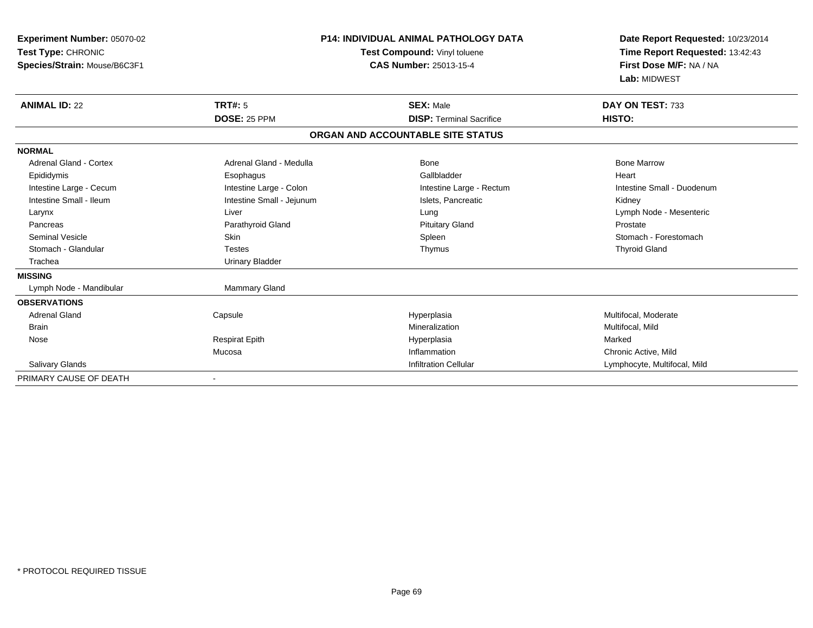| <b>Experiment Number: 05070-02</b><br>Test Type: CHRONIC<br>Species/Strain: Mouse/B6C3F1 |                           | <b>P14: INDIVIDUAL ANIMAL PATHOLOGY DATA</b><br>Test Compound: Vinyl toluene<br><b>CAS Number: 25013-15-4</b> | Date Report Requested: 10/23/2014<br>Time Report Requested: 13:42:43<br>First Dose M/F: NA / NA<br>Lab: MIDWEST |
|------------------------------------------------------------------------------------------|---------------------------|---------------------------------------------------------------------------------------------------------------|-----------------------------------------------------------------------------------------------------------------|
| <b>ANIMAL ID: 22</b>                                                                     | <b>TRT#: 5</b>            | <b>SEX: Male</b>                                                                                              | DAY ON TEST: 733                                                                                                |
|                                                                                          | <b>DOSE: 25 PPM</b>       | <b>DISP: Terminal Sacrifice</b>                                                                               | HISTO:                                                                                                          |
|                                                                                          |                           | ORGAN AND ACCOUNTABLE SITE STATUS                                                                             |                                                                                                                 |
| <b>NORMAL</b>                                                                            |                           |                                                                                                               |                                                                                                                 |
| <b>Adrenal Gland - Cortex</b>                                                            | Adrenal Gland - Medulla   | Bone                                                                                                          | <b>Bone Marrow</b>                                                                                              |
| Epididymis                                                                               | Esophagus                 | Gallbladder                                                                                                   | Heart                                                                                                           |
| Intestine Large - Cecum                                                                  | Intestine Large - Colon   | Intestine Large - Rectum                                                                                      | Intestine Small - Duodenum                                                                                      |
| Intestine Small - Ileum                                                                  | Intestine Small - Jejunum | Islets, Pancreatic                                                                                            | Kidney                                                                                                          |
| Larynx                                                                                   | Liver                     | Lung                                                                                                          | Lymph Node - Mesenteric                                                                                         |
| Pancreas                                                                                 | Parathyroid Gland         | <b>Pituitary Gland</b>                                                                                        | Prostate                                                                                                        |
| Seminal Vesicle                                                                          | Skin                      | Spleen                                                                                                        | Stomach - Forestomach                                                                                           |
| Stomach - Glandular                                                                      | Testes                    | Thymus                                                                                                        | <b>Thyroid Gland</b>                                                                                            |
| Trachea                                                                                  | <b>Urinary Bladder</b>    |                                                                                                               |                                                                                                                 |
| <b>MISSING</b>                                                                           |                           |                                                                                                               |                                                                                                                 |
| Lymph Node - Mandibular                                                                  | <b>Mammary Gland</b>      |                                                                                                               |                                                                                                                 |
| <b>OBSERVATIONS</b>                                                                      |                           |                                                                                                               |                                                                                                                 |
| <b>Adrenal Gland</b>                                                                     | Capsule                   | Hyperplasia                                                                                                   | Multifocal, Moderate                                                                                            |
| <b>Brain</b>                                                                             |                           | Mineralization                                                                                                | Multifocal, Mild                                                                                                |
| Nose                                                                                     | <b>Respirat Epith</b>     | Hyperplasia                                                                                                   | Marked                                                                                                          |
|                                                                                          | Mucosa                    | Inflammation                                                                                                  | Chronic Active, Mild                                                                                            |
| <b>Salivary Glands</b>                                                                   |                           | <b>Infiltration Cellular</b>                                                                                  | Lymphocyte, Multifocal, Mild                                                                                    |
| PRIMARY CAUSE OF DEATH                                                                   | $\overline{\phantom{a}}$  |                                                                                                               |                                                                                                                 |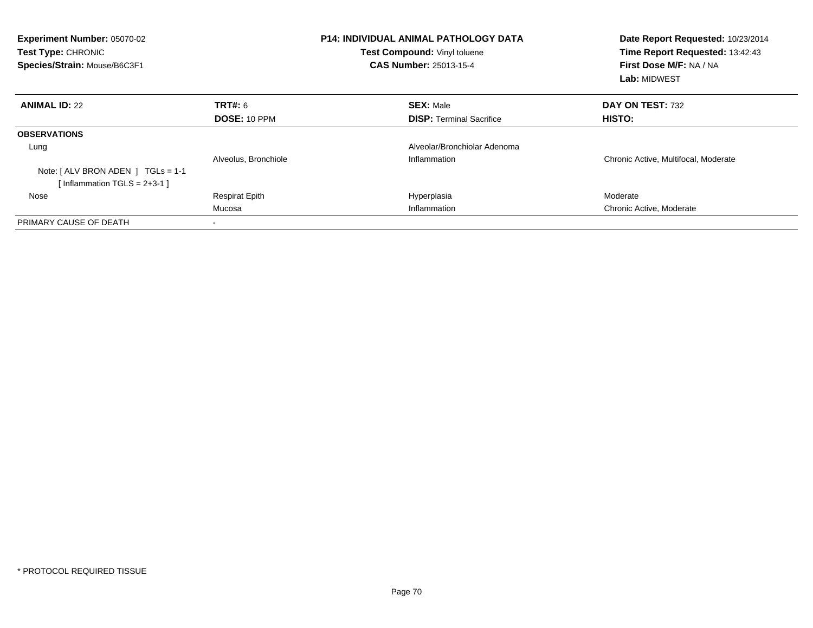| <b>Experiment Number: 05070-02</b><br>Test Type: CHRONIC<br>Species/Strain: Mouse/B6C3F1 |                       | <b>P14: INDIVIDUAL ANIMAL PATHOLOGY DATA</b><br>Test Compound: Vinyl toluene<br><b>CAS Number: 25013-15-4</b> | Date Report Requested: 10/23/2014<br>Time Report Requested: 13:42:43<br>First Dose M/F: NA / NA<br>Lab: MIDWEST |
|------------------------------------------------------------------------------------------|-----------------------|---------------------------------------------------------------------------------------------------------------|-----------------------------------------------------------------------------------------------------------------|
| <b>ANIMAL ID: 22</b>                                                                     | TRT#: 6               | <b>SEX: Male</b>                                                                                              | DAY ON TEST: 732                                                                                                |
|                                                                                          | <b>DOSE: 10 PPM</b>   | <b>DISP:</b> Terminal Sacrifice                                                                               | <b>HISTO:</b>                                                                                                   |
| <b>OBSERVATIONS</b>                                                                      |                       |                                                                                                               |                                                                                                                 |
| Lung                                                                                     |                       | Alveolar/Bronchiolar Adenoma                                                                                  |                                                                                                                 |
|                                                                                          | Alveolus, Bronchiole  | Inflammation                                                                                                  | Chronic Active, Multifocal, Moderate                                                                            |
| Note: $[ALV$ BRON ADEN $]$ TGLs = 1-1                                                    |                       |                                                                                                               |                                                                                                                 |
| [Inflammation TGLS = $2+3-1$ ]                                                           |                       |                                                                                                               |                                                                                                                 |
| Nose                                                                                     | <b>Respirat Epith</b> | Hyperplasia                                                                                                   | Moderate                                                                                                        |
|                                                                                          | Mucosa                | Inflammation                                                                                                  | Chronic Active, Moderate                                                                                        |
| PRIMARY CAUSE OF DEATH                                                                   |                       |                                                                                                               |                                                                                                                 |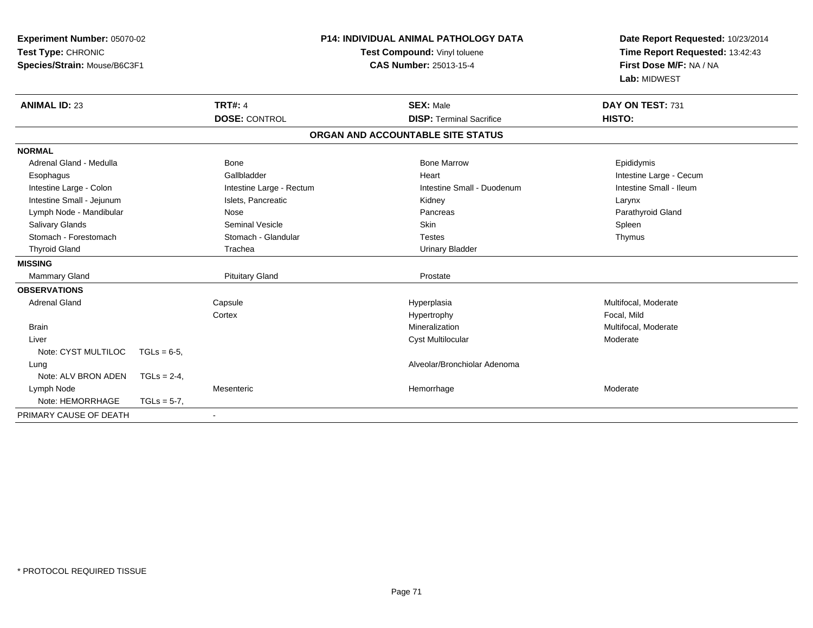| Experiment Number: 05070-02<br>Test Type: CHRONIC<br>Species/Strain: Mouse/B6C3F1<br><b>ANIMAL ID: 23</b> |                | <b>TRT#: 4</b>           | <b>P14: INDIVIDUAL ANIMAL PATHOLOGY DATA</b><br>Test Compound: Vinyl toluene<br><b>CAS Number: 25013-15-4</b><br><b>SEX: Male</b> | Date Report Requested: 10/23/2014<br>Time Report Requested: 13:42:43<br>First Dose M/F: NA / NA<br>Lab: MIDWEST<br>DAY ON TEST: 731 |
|-----------------------------------------------------------------------------------------------------------|----------------|--------------------------|-----------------------------------------------------------------------------------------------------------------------------------|-------------------------------------------------------------------------------------------------------------------------------------|
|                                                                                                           |                | <b>DOSE: CONTROL</b>     | <b>DISP: Terminal Sacrifice</b>                                                                                                   | HISTO:                                                                                                                              |
|                                                                                                           |                |                          | ORGAN AND ACCOUNTABLE SITE STATUS                                                                                                 |                                                                                                                                     |
| <b>NORMAL</b>                                                                                             |                |                          |                                                                                                                                   |                                                                                                                                     |
| Adrenal Gland - Medulla                                                                                   |                | <b>Bone</b>              | <b>Bone Marrow</b>                                                                                                                | Epididymis                                                                                                                          |
| Esophagus                                                                                                 |                | Gallbladder              | Heart                                                                                                                             | Intestine Large - Cecum                                                                                                             |
| Intestine Large - Colon                                                                                   |                | Intestine Large - Rectum | Intestine Small - Duodenum                                                                                                        | Intestine Small - Ileum                                                                                                             |
| Intestine Small - Jejunum                                                                                 |                | Islets, Pancreatic       | Kidney                                                                                                                            | Larynx                                                                                                                              |
| Lymph Node - Mandibular                                                                                   |                | Nose                     | Pancreas                                                                                                                          | Parathyroid Gland                                                                                                                   |
| Salivary Glands                                                                                           |                | <b>Seminal Vesicle</b>   | Skin                                                                                                                              | Spleen                                                                                                                              |
| Stomach - Forestomach                                                                                     |                | Stomach - Glandular      | <b>Testes</b>                                                                                                                     | Thymus                                                                                                                              |
| <b>Thyroid Gland</b>                                                                                      |                | Trachea                  | <b>Urinary Bladder</b>                                                                                                            |                                                                                                                                     |
| <b>MISSING</b>                                                                                            |                |                          |                                                                                                                                   |                                                                                                                                     |
| Mammary Gland                                                                                             |                | <b>Pituitary Gland</b>   | Prostate                                                                                                                          |                                                                                                                                     |
| <b>OBSERVATIONS</b>                                                                                       |                |                          |                                                                                                                                   |                                                                                                                                     |
| <b>Adrenal Gland</b>                                                                                      |                | Capsule                  | Hyperplasia                                                                                                                       | Multifocal, Moderate                                                                                                                |
|                                                                                                           |                | Cortex                   | Hypertrophy                                                                                                                       | Focal, Mild                                                                                                                         |
| <b>Brain</b>                                                                                              |                |                          | Mineralization                                                                                                                    | Multifocal, Moderate                                                                                                                |
| Liver                                                                                                     |                |                          | Cyst Multilocular                                                                                                                 | Moderate                                                                                                                            |
| Note: CYST MULTILOC                                                                                       | $TGLs = 6-5$ , |                          |                                                                                                                                   |                                                                                                                                     |
| Lung                                                                                                      |                |                          | Alveolar/Bronchiolar Adenoma                                                                                                      |                                                                                                                                     |
| Note: ALV BRON ADEN                                                                                       | $TGLs = 2-4.$  |                          |                                                                                                                                   |                                                                                                                                     |
| Lymph Node                                                                                                |                | Mesenteric               | Hemorrhage                                                                                                                        | Moderate                                                                                                                            |
| Note: HEMORRHAGE                                                                                          | $TGLs = 5-7$ , |                          |                                                                                                                                   |                                                                                                                                     |
| PRIMARY CAUSE OF DEATH                                                                                    |                |                          |                                                                                                                                   |                                                                                                                                     |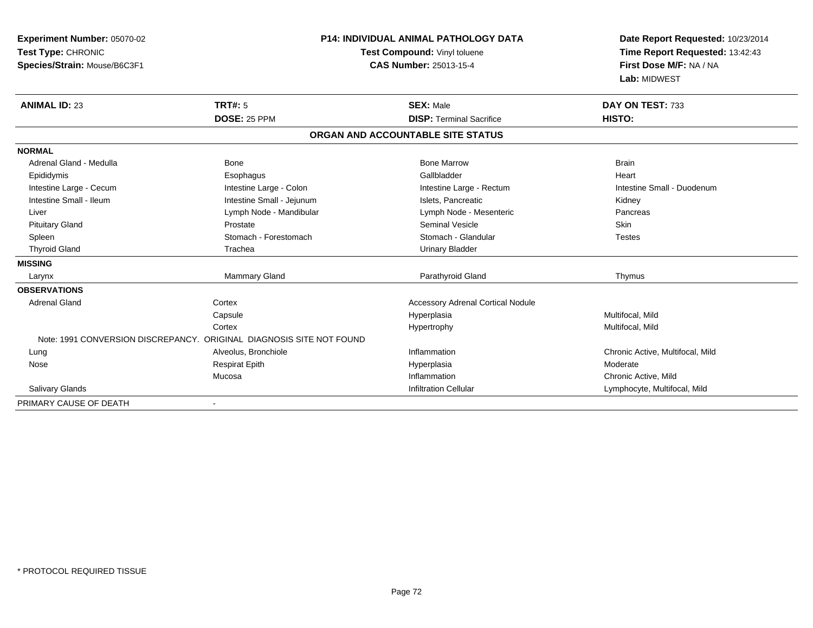| Experiment Number: 05070-02<br>Test Type: CHRONIC<br>Species/Strain: Mouse/B6C3F1 |                                                                      | <b>P14: INDIVIDUAL ANIMAL PATHOLOGY DATA</b><br>Test Compound: Vinyl toluene<br><b>CAS Number: 25013-15-4</b> | Date Report Requested: 10/23/2014<br>Time Report Requested: 13:42:43<br>First Dose M/F: NA / NA<br>Lab: MIDWEST |
|-----------------------------------------------------------------------------------|----------------------------------------------------------------------|---------------------------------------------------------------------------------------------------------------|-----------------------------------------------------------------------------------------------------------------|
| <b>ANIMAL ID: 23</b>                                                              | <b>TRT#: 5</b>                                                       | <b>SEX: Male</b>                                                                                              | DAY ON TEST: 733                                                                                                |
|                                                                                   | <b>DOSE: 25 PPM</b>                                                  | <b>DISP: Terminal Sacrifice</b>                                                                               | HISTO:                                                                                                          |
|                                                                                   |                                                                      | ORGAN AND ACCOUNTABLE SITE STATUS                                                                             |                                                                                                                 |
| <b>NORMAL</b>                                                                     |                                                                      |                                                                                                               |                                                                                                                 |
| Adrenal Gland - Medulla                                                           | <b>Bone</b>                                                          | <b>Bone Marrow</b>                                                                                            | <b>Brain</b>                                                                                                    |
| Epididymis                                                                        | Esophagus                                                            | Gallbladder                                                                                                   | Heart                                                                                                           |
| Intestine Large - Cecum                                                           | Intestine Large - Colon                                              | Intestine Large - Rectum                                                                                      | Intestine Small - Duodenum                                                                                      |
| Intestine Small - Ileum                                                           | Intestine Small - Jejunum                                            | Islets. Pancreatic                                                                                            | Kidney                                                                                                          |
| Liver                                                                             | Lymph Node - Mandibular                                              | Lymph Node - Mesenteric                                                                                       | Pancreas                                                                                                        |
| <b>Pituitary Gland</b>                                                            | Prostate                                                             | <b>Seminal Vesicle</b>                                                                                        | Skin                                                                                                            |
| Spleen                                                                            | Stomach - Forestomach                                                | Stomach - Glandular                                                                                           | <b>Testes</b>                                                                                                   |
| <b>Thyroid Gland</b>                                                              | Trachea                                                              | <b>Urinary Bladder</b>                                                                                        |                                                                                                                 |
| <b>MISSING</b>                                                                    |                                                                      |                                                                                                               |                                                                                                                 |
| Larynx                                                                            | Mammary Gland                                                        | Parathyroid Gland                                                                                             | Thymus                                                                                                          |
| <b>OBSERVATIONS</b>                                                               |                                                                      |                                                                                                               |                                                                                                                 |
| <b>Adrenal Gland</b>                                                              | Cortex                                                               | <b>Accessory Adrenal Cortical Nodule</b>                                                                      |                                                                                                                 |
|                                                                                   | Capsule                                                              | Hyperplasia                                                                                                   | Multifocal, Mild                                                                                                |
|                                                                                   | Cortex                                                               | Hypertrophy                                                                                                   | Multifocal, Mild                                                                                                |
|                                                                                   | Note: 1991 CONVERSION DISCREPANCY. ORIGINAL DIAGNOSIS SITE NOT FOUND |                                                                                                               |                                                                                                                 |
| Lung                                                                              | Alveolus, Bronchiole                                                 | Inflammation                                                                                                  | Chronic Active, Multifocal, Mild                                                                                |
| Nose                                                                              | <b>Respirat Epith</b>                                                | Hyperplasia                                                                                                   | Moderate                                                                                                        |
|                                                                                   | Mucosa                                                               | Inflammation                                                                                                  | Chronic Active, Mild                                                                                            |
| Salivary Glands                                                                   |                                                                      | <b>Infiltration Cellular</b>                                                                                  | Lymphocyte, Multifocal, Mild                                                                                    |
| PRIMARY CAUSE OF DEATH                                                            |                                                                      |                                                                                                               |                                                                                                                 |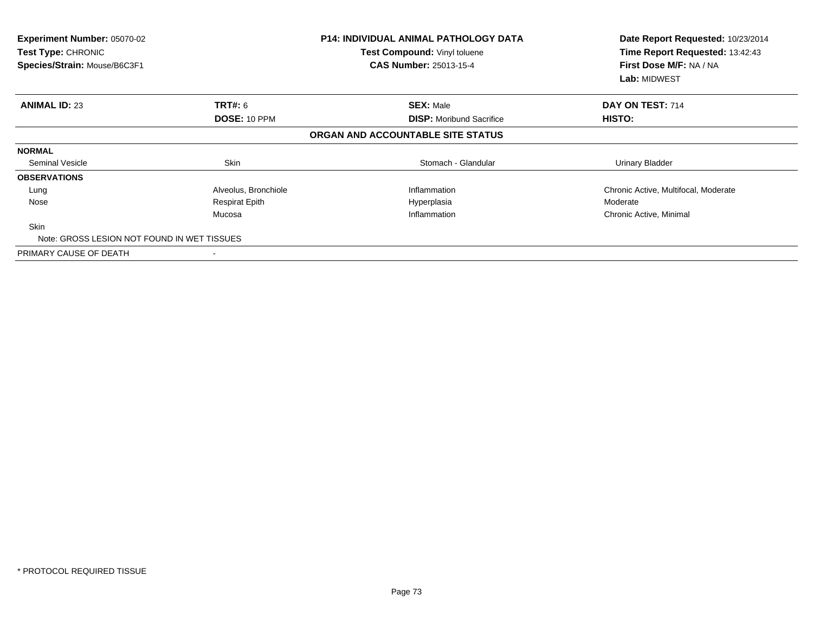| <b>Experiment Number: 05070-02</b><br>Test Type: CHRONIC<br>Species/Strain: Mouse/B6C3F1 |                       | <b>P14: INDIVIDUAL ANIMAL PATHOLOGY DATA</b><br>Test Compound: Vinyl toluene<br><b>CAS Number: 25013-15-4</b> | Date Report Requested: 10/23/2014<br>Time Report Requested: 13:42:43<br>First Dose M/F: NA / NA<br><b>Lab: MIDWEST</b> |
|------------------------------------------------------------------------------------------|-----------------------|---------------------------------------------------------------------------------------------------------------|------------------------------------------------------------------------------------------------------------------------|
| <b>ANIMAL ID: 23</b>                                                                     | <b>TRT#: 6</b>        | <b>SEX: Male</b>                                                                                              | DAY ON TEST: 714                                                                                                       |
|                                                                                          | DOSE: 10 PPM          | <b>DISP:</b> Moribund Sacrifice                                                                               | HISTO:                                                                                                                 |
|                                                                                          |                       | ORGAN AND ACCOUNTABLE SITE STATUS                                                                             |                                                                                                                        |
| <b>NORMAL</b>                                                                            |                       |                                                                                                               |                                                                                                                        |
| <b>Seminal Vesicle</b>                                                                   | Skin                  | Stomach - Glandular                                                                                           | Urinary Bladder                                                                                                        |
| <b>OBSERVATIONS</b>                                                                      |                       |                                                                                                               |                                                                                                                        |
| Lung                                                                                     | Alveolus, Bronchiole  | Inflammation                                                                                                  | Chronic Active, Multifocal, Moderate                                                                                   |
| Nose                                                                                     | <b>Respirat Epith</b> | Hyperplasia                                                                                                   | Moderate                                                                                                               |
|                                                                                          | Mucosa                | Inflammation                                                                                                  | Chronic Active, Minimal                                                                                                |
| <b>Skin</b>                                                                              |                       |                                                                                                               |                                                                                                                        |
| Note: GROSS LESION NOT FOUND IN WET TISSUES                                              |                       |                                                                                                               |                                                                                                                        |
| PRIMARY CAUSE OF DEATH                                                                   |                       |                                                                                                               |                                                                                                                        |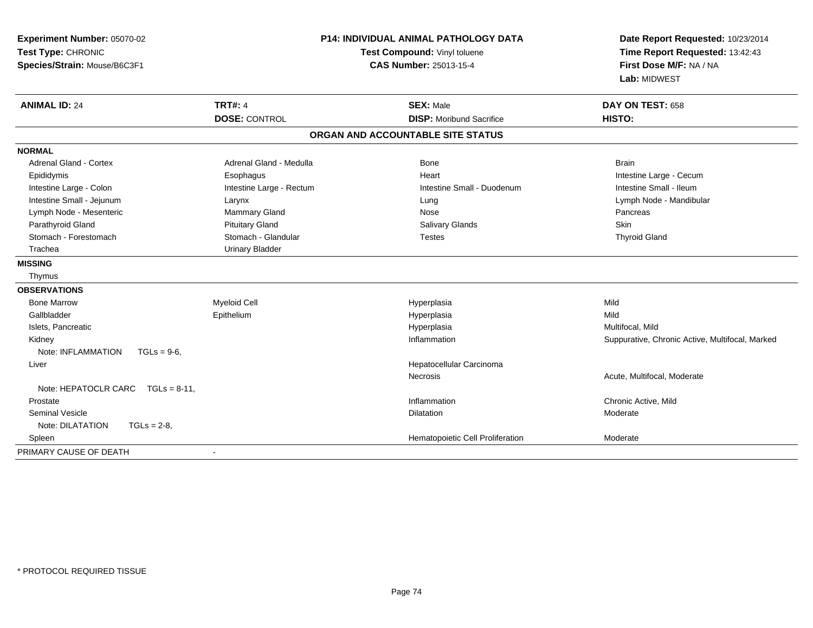| Experiment Number: 05070-02<br>Test Type: CHRONIC<br>Species/Strain: Mouse/B6C3F1 | P14: INDIVIDUAL ANIMAL PATHOLOGY DATA<br>Test Compound: Vinyl toluene<br><b>CAS Number: 25013-15-4</b> |                                   | Date Report Requested: 10/23/2014<br>Time Report Requested: 13:42:43<br>First Dose M/F: NA / NA<br>Lab: MIDWEST |
|-----------------------------------------------------------------------------------|--------------------------------------------------------------------------------------------------------|-----------------------------------|-----------------------------------------------------------------------------------------------------------------|
| <b>ANIMAL ID: 24</b>                                                              | <b>TRT#: 4</b>                                                                                         | <b>SEX: Male</b>                  | DAY ON TEST: 658                                                                                                |
|                                                                                   | <b>DOSE: CONTROL</b>                                                                                   | <b>DISP: Moribund Sacrifice</b>   | HISTO:                                                                                                          |
|                                                                                   |                                                                                                        | ORGAN AND ACCOUNTABLE SITE STATUS |                                                                                                                 |
| <b>NORMAL</b>                                                                     |                                                                                                        |                                   |                                                                                                                 |
| <b>Adrenal Gland - Cortex</b>                                                     | Adrenal Gland - Medulla                                                                                | Bone                              | <b>Brain</b>                                                                                                    |
| Epididymis                                                                        | Esophagus                                                                                              | Heart                             | Intestine Large - Cecum                                                                                         |
| Intestine Large - Colon                                                           | Intestine Large - Rectum                                                                               | Intestine Small - Duodenum        | Intestine Small - Ileum                                                                                         |
| Intestine Small - Jejunum                                                         | Larynx                                                                                                 | Lung                              | Lymph Node - Mandibular                                                                                         |
| Lymph Node - Mesenteric                                                           | <b>Mammary Gland</b>                                                                                   | Nose                              | Pancreas                                                                                                        |
| Parathyroid Gland                                                                 | <b>Pituitary Gland</b>                                                                                 | Salivary Glands                   | Skin                                                                                                            |
| Stomach - Forestomach                                                             | Stomach - Glandular                                                                                    | <b>Testes</b>                     | <b>Thyroid Gland</b>                                                                                            |
| Trachea                                                                           | <b>Urinary Bladder</b>                                                                                 |                                   |                                                                                                                 |
| <b>MISSING</b>                                                                    |                                                                                                        |                                   |                                                                                                                 |
| Thymus                                                                            |                                                                                                        |                                   |                                                                                                                 |
| <b>OBSERVATIONS</b>                                                               |                                                                                                        |                                   |                                                                                                                 |
| <b>Bone Marrow</b>                                                                | <b>Myeloid Cell</b>                                                                                    | Hyperplasia                       | Mild                                                                                                            |
| Gallbladder                                                                       | Epithelium                                                                                             | Hyperplasia                       | Mild                                                                                                            |
| Islets, Pancreatic                                                                |                                                                                                        | Hyperplasia                       | Multifocal, Mild                                                                                                |
| Kidney                                                                            |                                                                                                        | Inflammation                      | Suppurative, Chronic Active, Multifocal, Marked                                                                 |
| Note: INFLAMMATION<br>$TGLs = 9-6$                                                |                                                                                                        |                                   |                                                                                                                 |
| Liver                                                                             |                                                                                                        | Hepatocellular Carcinoma          |                                                                                                                 |
|                                                                                   |                                                                                                        | Necrosis                          | Acute, Multifocal, Moderate                                                                                     |
| Note: HEPATOCLR CARC TGLs = 8-11,                                                 |                                                                                                        |                                   |                                                                                                                 |
| Prostate                                                                          |                                                                                                        | Inflammation                      | Chronic Active, Mild                                                                                            |
| <b>Seminal Vesicle</b>                                                            |                                                                                                        | Dilatation                        | Moderate                                                                                                        |
| Note: DILATATION<br>$TGLs = 2-8$ ,                                                |                                                                                                        |                                   |                                                                                                                 |
| Spleen                                                                            |                                                                                                        | Hematopoietic Cell Proliferation  | Moderate                                                                                                        |
| PRIMARY CAUSE OF DEATH                                                            | $\overline{\phantom{a}}$                                                                               |                                   |                                                                                                                 |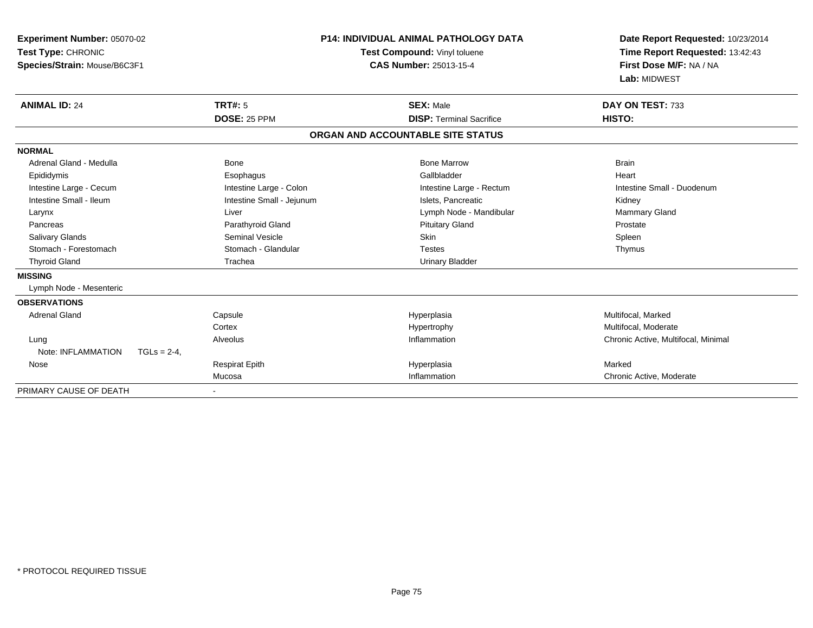| Experiment Number: 05070-02<br>Test Type: CHRONIC<br>Species/Strain: Mouse/B6C3F1 |                                | <b>P14: INDIVIDUAL ANIMAL PATHOLOGY DATA</b><br>Test Compound: Vinyl toluene<br>CAS Number: 25013-15-4 | Date Report Requested: 10/23/2014<br>Time Report Requested: 13:42:43<br>First Dose M/F: NA / NA<br>Lab: MIDWEST |
|-----------------------------------------------------------------------------------|--------------------------------|--------------------------------------------------------------------------------------------------------|-----------------------------------------------------------------------------------------------------------------|
| <b>ANIMAL ID: 24</b>                                                              | <b>TRT#: 5</b><br>DOSE: 25 PPM | <b>SEX: Male</b><br><b>DISP: Terminal Sacrifice</b>                                                    | DAY ON TEST: 733<br>HISTO:                                                                                      |
|                                                                                   |                                | ORGAN AND ACCOUNTABLE SITE STATUS                                                                      |                                                                                                                 |
| <b>NORMAL</b>                                                                     |                                |                                                                                                        |                                                                                                                 |
| Adrenal Gland - Medulla                                                           | Bone                           | <b>Bone Marrow</b>                                                                                     | <b>Brain</b>                                                                                                    |
| Epididymis                                                                        | Esophagus                      | Gallbladder                                                                                            | Heart                                                                                                           |
| Intestine Large - Cecum                                                           | Intestine Large - Colon        | Intestine Large - Rectum                                                                               | Intestine Small - Duodenum                                                                                      |
| Intestine Small - Ileum                                                           | Intestine Small - Jejunum      | Islets. Pancreatic                                                                                     | Kidney                                                                                                          |
| Larynx                                                                            | Liver                          | Lymph Node - Mandibular                                                                                | <b>Mammary Gland</b>                                                                                            |
| Pancreas                                                                          | Parathyroid Gland              | <b>Pituitary Gland</b>                                                                                 | Prostate                                                                                                        |
| <b>Salivary Glands</b>                                                            | Seminal Vesicle                | <b>Skin</b>                                                                                            | Spleen                                                                                                          |
| Stomach - Forestomach                                                             | Stomach - Glandular            | <b>Testes</b>                                                                                          | Thymus                                                                                                          |
| <b>Thyroid Gland</b>                                                              | Trachea                        | <b>Urinary Bladder</b>                                                                                 |                                                                                                                 |
| <b>MISSING</b>                                                                    |                                |                                                                                                        |                                                                                                                 |
| Lymph Node - Mesenteric                                                           |                                |                                                                                                        |                                                                                                                 |
| <b>OBSERVATIONS</b>                                                               |                                |                                                                                                        |                                                                                                                 |
| <b>Adrenal Gland</b>                                                              | Capsule                        | Hyperplasia                                                                                            | Multifocal, Marked                                                                                              |
|                                                                                   | Cortex                         | Hypertrophy                                                                                            | Multifocal, Moderate                                                                                            |
| Lung                                                                              | Alveolus                       | Inflammation                                                                                           | Chronic Active, Multifocal, Minimal                                                                             |
| Note: INFLAMMATION<br>$TGLs = 2-4$ ,                                              |                                |                                                                                                        |                                                                                                                 |
| Nose                                                                              | <b>Respirat Epith</b>          | Hyperplasia                                                                                            | Marked                                                                                                          |
|                                                                                   | Mucosa                         | Inflammation                                                                                           | Chronic Active, Moderate                                                                                        |
| PRIMARY CAUSE OF DEATH                                                            |                                |                                                                                                        |                                                                                                                 |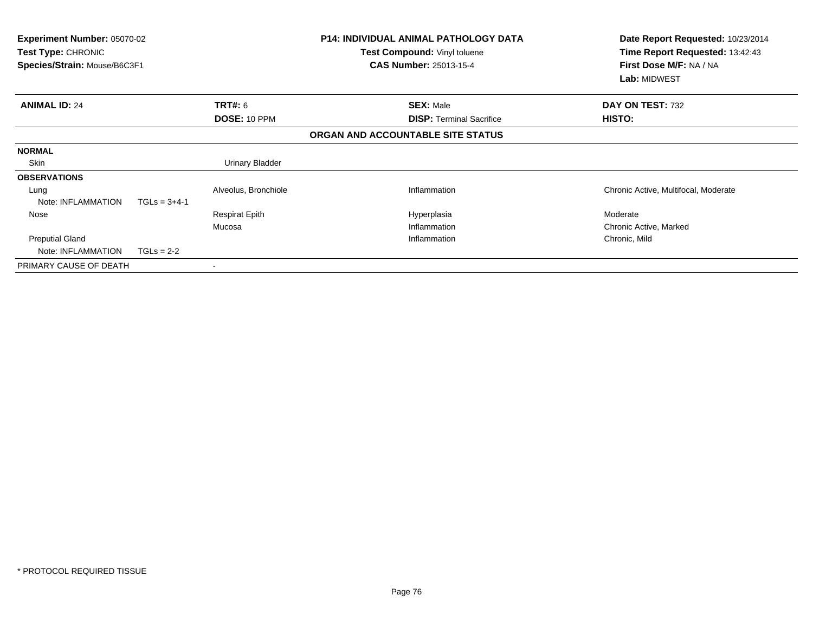| Experiment Number: 05070-02<br><b>Test Type: CHRONIC</b><br>Species/Strain: Mouse/B6C3F1 |                | <b>P14: INDIVIDUAL ANIMAL PATHOLOGY DATA</b><br><b>Test Compound: Vinyl toluene</b><br><b>CAS Number: 25013-15-4</b> | Date Report Requested: 10/23/2014<br>Time Report Requested: 13:42:43<br>First Dose M/F: NA / NA<br>Lab: MIDWEST |                                      |
|------------------------------------------------------------------------------------------|----------------|----------------------------------------------------------------------------------------------------------------------|-----------------------------------------------------------------------------------------------------------------|--------------------------------------|
| <b>ANIMAL ID: 24</b>                                                                     |                | TRT#: 6                                                                                                              | <b>SEX: Male</b>                                                                                                | DAY ON TEST: 732                     |
|                                                                                          |                | <b>DOSE: 10 PPM</b>                                                                                                  | <b>DISP: Terminal Sacrifice</b>                                                                                 | HISTO:                               |
|                                                                                          |                |                                                                                                                      | ORGAN AND ACCOUNTABLE SITE STATUS                                                                               |                                      |
| <b>NORMAL</b>                                                                            |                |                                                                                                                      |                                                                                                                 |                                      |
| Skin                                                                                     |                | <b>Urinary Bladder</b>                                                                                               |                                                                                                                 |                                      |
| <b>OBSERVATIONS</b>                                                                      |                |                                                                                                                      |                                                                                                                 |                                      |
| Lung                                                                                     |                | Alveolus, Bronchiole                                                                                                 | Inflammation                                                                                                    | Chronic Active, Multifocal, Moderate |
| Note: INFLAMMATION                                                                       | $TGLs = 3+4-1$ |                                                                                                                      |                                                                                                                 |                                      |
| Nose                                                                                     |                | <b>Respirat Epith</b>                                                                                                | Hyperplasia                                                                                                     | Moderate                             |
|                                                                                          |                | Mucosa                                                                                                               | Inflammation                                                                                                    | Chronic Active, Marked               |
| <b>Preputial Gland</b>                                                                   |                |                                                                                                                      | Inflammation                                                                                                    | Chronic, Mild                        |
| Note: INFLAMMATION                                                                       | $TGLs = 2-2$   |                                                                                                                      |                                                                                                                 |                                      |
| PRIMARY CAUSE OF DEATH                                                                   |                |                                                                                                                      |                                                                                                                 |                                      |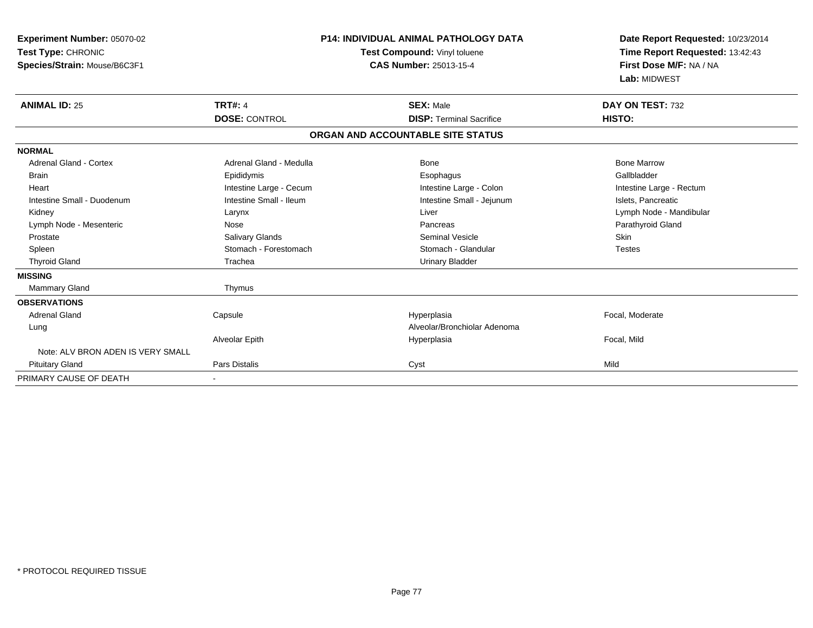| <b>Experiment Number: 05070-02</b><br>Test Type: CHRONIC<br>Species/Strain: Mouse/B6C3F1 | <b>P14: INDIVIDUAL ANIMAL PATHOLOGY DATA</b><br>Test Compound: Vinyl toluene<br><b>CAS Number: 25013-15-4</b> |                                   | Date Report Requested: 10/23/2014<br>Time Report Requested: 13:42:43<br>First Dose M/F: NA / NA<br>Lab: MIDWEST |
|------------------------------------------------------------------------------------------|---------------------------------------------------------------------------------------------------------------|-----------------------------------|-----------------------------------------------------------------------------------------------------------------|
| <b>ANIMAL ID: 25</b>                                                                     | <b>TRT#: 4</b>                                                                                                | <b>SEX: Male</b>                  | DAY ON TEST: 732                                                                                                |
|                                                                                          | <b>DOSE: CONTROL</b>                                                                                          | <b>DISP: Terminal Sacrifice</b>   | HISTO:                                                                                                          |
|                                                                                          |                                                                                                               | ORGAN AND ACCOUNTABLE SITE STATUS |                                                                                                                 |
| <b>NORMAL</b>                                                                            |                                                                                                               |                                   |                                                                                                                 |
| <b>Adrenal Gland - Cortex</b>                                                            | Adrenal Gland - Medulla                                                                                       | Bone                              | <b>Bone Marrow</b>                                                                                              |
| <b>Brain</b>                                                                             | Epididymis                                                                                                    | Esophagus                         | Gallbladder                                                                                                     |
| Heart                                                                                    | Intestine Large - Cecum                                                                                       | Intestine Large - Colon           | Intestine Large - Rectum                                                                                        |
| Intestine Small - Duodenum                                                               | Intestine Small - Ileum                                                                                       | Intestine Small - Jejunum         | Islets, Pancreatic                                                                                              |
| Kidney                                                                                   | Larynx                                                                                                        | Liver                             | Lymph Node - Mandibular                                                                                         |
| Lymph Node - Mesenteric                                                                  | Nose                                                                                                          | Pancreas                          | Parathyroid Gland                                                                                               |
| Prostate                                                                                 | <b>Salivary Glands</b>                                                                                        | <b>Seminal Vesicle</b>            | Skin                                                                                                            |
| Spleen                                                                                   | Stomach - Forestomach                                                                                         | Stomach - Glandular               | <b>Testes</b>                                                                                                   |
| <b>Thyroid Gland</b>                                                                     | Trachea                                                                                                       | <b>Urinary Bladder</b>            |                                                                                                                 |
| <b>MISSING</b>                                                                           |                                                                                                               |                                   |                                                                                                                 |
| Mammary Gland                                                                            | Thymus                                                                                                        |                                   |                                                                                                                 |
| <b>OBSERVATIONS</b>                                                                      |                                                                                                               |                                   |                                                                                                                 |
| <b>Adrenal Gland</b>                                                                     | Capsule                                                                                                       | Hyperplasia                       | Focal, Moderate                                                                                                 |
| Lung                                                                                     |                                                                                                               | Alveolar/Bronchiolar Adenoma      |                                                                                                                 |
|                                                                                          | Alveolar Epith                                                                                                | Hyperplasia                       | Focal, Mild                                                                                                     |
| Note: ALV BRON ADEN IS VERY SMALL                                                        |                                                                                                               |                                   |                                                                                                                 |
| <b>Pituitary Gland</b>                                                                   | <b>Pars Distalis</b>                                                                                          | Cyst                              | Mild                                                                                                            |
| PRIMARY CAUSE OF DEATH                                                                   |                                                                                                               |                                   |                                                                                                                 |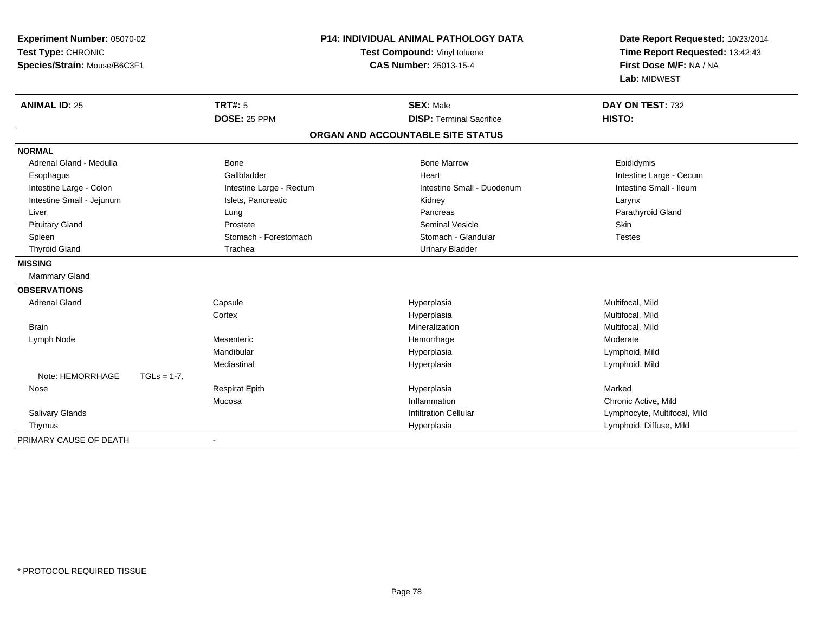| Experiment Number: 05070-02<br>Test Type: CHRONIC |                          | P14: INDIVIDUAL ANIMAL PATHOLOGY DATA<br>Test Compound: Vinyl toluene | Date Report Requested: 10/23/2014<br>Time Report Requested: 13:42:43 |
|---------------------------------------------------|--------------------------|-----------------------------------------------------------------------|----------------------------------------------------------------------|
| Species/Strain: Mouse/B6C3F1                      |                          | <b>CAS Number: 25013-15-4</b>                                         | First Dose M/F: NA / NA                                              |
|                                                   |                          |                                                                       | Lab: MIDWEST                                                         |
| <b>ANIMAL ID: 25</b>                              | <b>TRT#: 5</b>           | <b>SEX: Male</b>                                                      | DAY ON TEST: 732                                                     |
|                                                   | <b>DOSE: 25 PPM</b>      | <b>DISP: Terminal Sacrifice</b>                                       | HISTO:                                                               |
|                                                   |                          | ORGAN AND ACCOUNTABLE SITE STATUS                                     |                                                                      |
| <b>NORMAL</b>                                     |                          |                                                                       |                                                                      |
| Adrenal Gland - Medulla                           | Bone                     | <b>Bone Marrow</b>                                                    | Epididymis                                                           |
| Esophagus                                         | Gallbladder              | Heart                                                                 | Intestine Large - Cecum                                              |
| Intestine Large - Colon                           | Intestine Large - Rectum | Intestine Small - Duodenum                                            | Intestine Small - Ileum                                              |
| Intestine Small - Jejunum                         | Islets, Pancreatic       | Kidney                                                                | Larynx                                                               |
| Liver                                             | Lung                     | Pancreas                                                              | Parathyroid Gland                                                    |
| <b>Pituitary Gland</b>                            | Prostate                 | <b>Seminal Vesicle</b>                                                | Skin                                                                 |
| Spleen                                            | Stomach - Forestomach    | Stomach - Glandular                                                   | <b>Testes</b>                                                        |
| <b>Thyroid Gland</b>                              | Trachea                  | <b>Urinary Bladder</b>                                                |                                                                      |
| <b>MISSING</b>                                    |                          |                                                                       |                                                                      |
| <b>Mammary Gland</b>                              |                          |                                                                       |                                                                      |
| <b>OBSERVATIONS</b>                               |                          |                                                                       |                                                                      |
| <b>Adrenal Gland</b>                              | Capsule                  | Hyperplasia                                                           | Multifocal, Mild                                                     |
|                                                   | Cortex                   | Hyperplasia                                                           | Multifocal, Mild                                                     |
| <b>Brain</b>                                      |                          | Mineralization                                                        | Multifocal, Mild                                                     |
| Lymph Node                                        | Mesenteric               | Hemorrhage                                                            | Moderate                                                             |
|                                                   | Mandibular               | Hyperplasia                                                           | Lymphoid, Mild                                                       |
|                                                   | Mediastinal              | Hyperplasia                                                           | Lymphoid, Mild                                                       |
| Note: HEMORRHAGE<br>$TGLs = 1-7$ ,                |                          |                                                                       |                                                                      |
| Nose                                              | <b>Respirat Epith</b>    | Hyperplasia                                                           | Marked                                                               |
|                                                   | Mucosa                   | Inflammation                                                          | Chronic Active, Mild                                                 |
| Salivary Glands                                   |                          | <b>Infiltration Cellular</b>                                          | Lymphocyte, Multifocal, Mild                                         |
| Thymus                                            |                          | Hyperplasia                                                           | Lymphoid, Diffuse, Mild                                              |
| PRIMARY CAUSE OF DEATH                            |                          |                                                                       |                                                                      |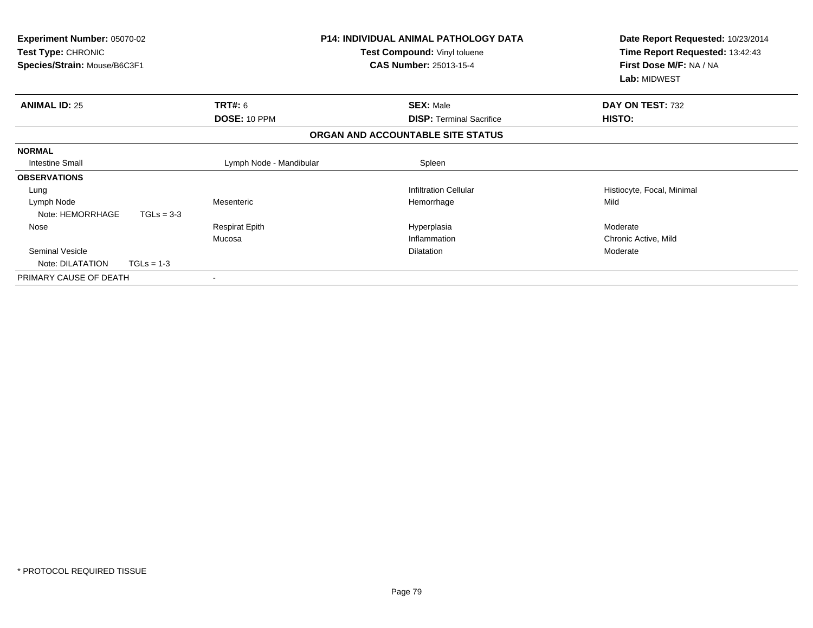| <b>Experiment Number: 05070-02</b><br><b>Test Type: CHRONIC</b><br>Species/Strain: Mouse/B6C3F1 |              |                         | <b>P14: INDIVIDUAL ANIMAL PATHOLOGY DATA</b><br>Test Compound: Vinyl toluene<br><b>CAS Number: 25013-15-4</b> | Date Report Requested: 10/23/2014<br>Time Report Requested: 13:42:43<br>First Dose M/F: NA / NA<br>Lab: MIDWEST |
|-------------------------------------------------------------------------------------------------|--------------|-------------------------|---------------------------------------------------------------------------------------------------------------|-----------------------------------------------------------------------------------------------------------------|
| <b>ANIMAL ID: 25</b>                                                                            |              | <b>TRT#: 6</b>          | <b>SEX: Male</b>                                                                                              | DAY ON TEST: 732                                                                                                |
|                                                                                                 |              | DOSE: 10 PPM            | <b>DISP: Terminal Sacrifice</b>                                                                               | <b>HISTO:</b>                                                                                                   |
|                                                                                                 |              |                         | ORGAN AND ACCOUNTABLE SITE STATUS                                                                             |                                                                                                                 |
| <b>NORMAL</b>                                                                                   |              |                         |                                                                                                               |                                                                                                                 |
| <b>Intestine Small</b>                                                                          |              | Lymph Node - Mandibular | Spleen                                                                                                        |                                                                                                                 |
| <b>OBSERVATIONS</b>                                                                             |              |                         |                                                                                                               |                                                                                                                 |
| Lung                                                                                            |              |                         | <b>Infiltration Cellular</b>                                                                                  | Histiocyte, Focal, Minimal                                                                                      |
| Lymph Node                                                                                      |              | Mesenteric              | Hemorrhage                                                                                                    | Mild                                                                                                            |
| Note: HEMORRHAGE                                                                                | $TGLs = 3-3$ |                         |                                                                                                               |                                                                                                                 |
| Nose                                                                                            |              | <b>Respirat Epith</b>   | Hyperplasia                                                                                                   | Moderate                                                                                                        |
|                                                                                                 |              | Mucosa                  | Inflammation                                                                                                  | Chronic Active, Mild                                                                                            |
| <b>Seminal Vesicle</b>                                                                          |              |                         | <b>Dilatation</b>                                                                                             | Moderate                                                                                                        |
| Note: DILATATION                                                                                | $TGLs = 1-3$ |                         |                                                                                                               |                                                                                                                 |
| PRIMARY CAUSE OF DEATH                                                                          |              |                         |                                                                                                               |                                                                                                                 |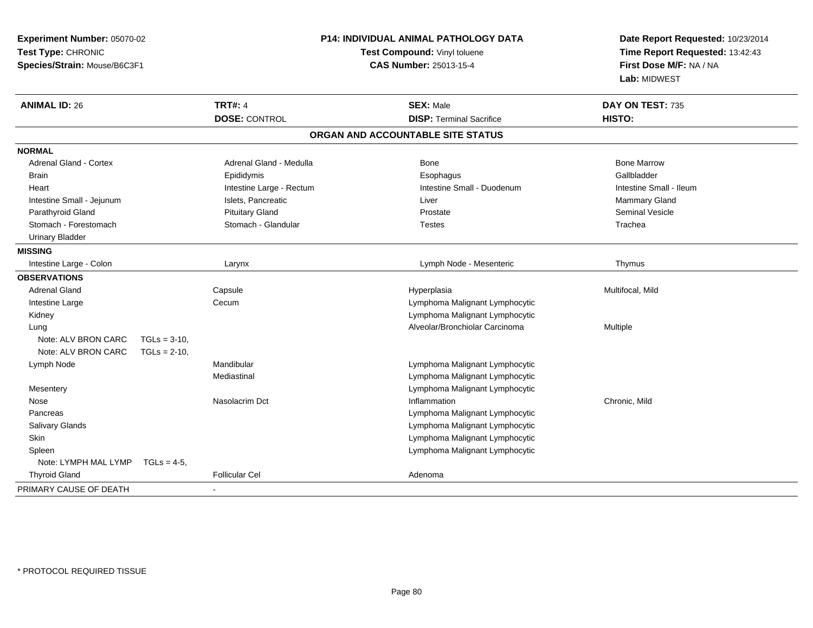| Experiment Number: 05070-02<br>Test Type: CHRONIC<br>Species/Strain: Mouse/B6C3F1 |                 | <b>P14: INDIVIDUAL ANIMAL PATHOLOGY DATA</b><br>Test Compound: Vinyl toluene<br><b>CAS Number: 25013-15-4</b> |                                   | Date Report Requested: 10/23/2014<br>Time Report Requested: 13:42:43<br>First Dose M/F: NA / NA<br>Lab: MIDWEST |
|-----------------------------------------------------------------------------------|-----------------|---------------------------------------------------------------------------------------------------------------|-----------------------------------|-----------------------------------------------------------------------------------------------------------------|
| <b>ANIMAL ID: 26</b>                                                              |                 | <b>TRT#: 4</b>                                                                                                | <b>SEX: Male</b>                  | DAY ON TEST: 735                                                                                                |
|                                                                                   |                 | <b>DOSE: CONTROL</b>                                                                                          | <b>DISP: Terminal Sacrifice</b>   | HISTO:                                                                                                          |
|                                                                                   |                 |                                                                                                               | ORGAN AND ACCOUNTABLE SITE STATUS |                                                                                                                 |
| <b>NORMAL</b>                                                                     |                 |                                                                                                               |                                   |                                                                                                                 |
| <b>Adrenal Gland - Cortex</b>                                                     |                 | Adrenal Gland - Medulla                                                                                       | <b>Bone</b>                       | <b>Bone Marrow</b>                                                                                              |
| <b>Brain</b>                                                                      |                 | Epididymis                                                                                                    | Esophagus                         | Gallbladder                                                                                                     |
| Heart                                                                             |                 | Intestine Large - Rectum                                                                                      | Intestine Small - Duodenum        | Intestine Small - Ileum                                                                                         |
| Intestine Small - Jejunum                                                         |                 | Islets, Pancreatic                                                                                            | Liver                             | Mammary Gland                                                                                                   |
| Parathyroid Gland                                                                 |                 | <b>Pituitary Gland</b>                                                                                        | Prostate                          | Seminal Vesicle                                                                                                 |
| Stomach - Forestomach                                                             |                 | Stomach - Glandular                                                                                           | <b>Testes</b>                     | Trachea                                                                                                         |
| <b>Urinary Bladder</b>                                                            |                 |                                                                                                               |                                   |                                                                                                                 |
| <b>MISSING</b>                                                                    |                 |                                                                                                               |                                   |                                                                                                                 |
| Intestine Large - Colon                                                           |                 | Larynx                                                                                                        | Lymph Node - Mesenteric           | Thymus                                                                                                          |
| <b>OBSERVATIONS</b>                                                               |                 |                                                                                                               |                                   |                                                                                                                 |
| <b>Adrenal Gland</b>                                                              |                 | Capsule                                                                                                       | Hyperplasia                       | Multifocal, Mild                                                                                                |
| Intestine Large                                                                   |                 | Cecum                                                                                                         | Lymphoma Malignant Lymphocytic    |                                                                                                                 |
| Kidney                                                                            |                 |                                                                                                               | Lymphoma Malignant Lymphocytic    |                                                                                                                 |
| Lung                                                                              |                 |                                                                                                               | Alveolar/Bronchiolar Carcinoma    | Multiple                                                                                                        |
| Note: ALV BRON CARC                                                               | $TGLs = 3-10,$  |                                                                                                               |                                   |                                                                                                                 |
| Note: ALV BRON CARC                                                               | $TGLs = 2-10$ , |                                                                                                               |                                   |                                                                                                                 |
| Lymph Node                                                                        |                 | Mandibular                                                                                                    | Lymphoma Malignant Lymphocytic    |                                                                                                                 |
|                                                                                   |                 | Mediastinal                                                                                                   | Lymphoma Malignant Lymphocytic    |                                                                                                                 |
| Mesentery                                                                         |                 |                                                                                                               | Lymphoma Malignant Lymphocytic    |                                                                                                                 |
| Nose                                                                              |                 | Nasolacrim Dct                                                                                                | Inflammation                      | Chronic, Mild                                                                                                   |
| Pancreas                                                                          |                 |                                                                                                               | Lymphoma Malignant Lymphocytic    |                                                                                                                 |
| Salivary Glands                                                                   |                 |                                                                                                               | Lymphoma Malignant Lymphocytic    |                                                                                                                 |
| Skin                                                                              |                 |                                                                                                               | Lymphoma Malignant Lymphocytic    |                                                                                                                 |
| Spleen                                                                            |                 |                                                                                                               | Lymphoma Malignant Lymphocytic    |                                                                                                                 |
| Note: LYMPH MAL LYMP                                                              | $TGLs = 4-5$    |                                                                                                               |                                   |                                                                                                                 |
| <b>Thyroid Gland</b>                                                              |                 | Follicular Cel                                                                                                | Adenoma                           |                                                                                                                 |
| PRIMARY CAUSE OF DEATH                                                            |                 |                                                                                                               |                                   |                                                                                                                 |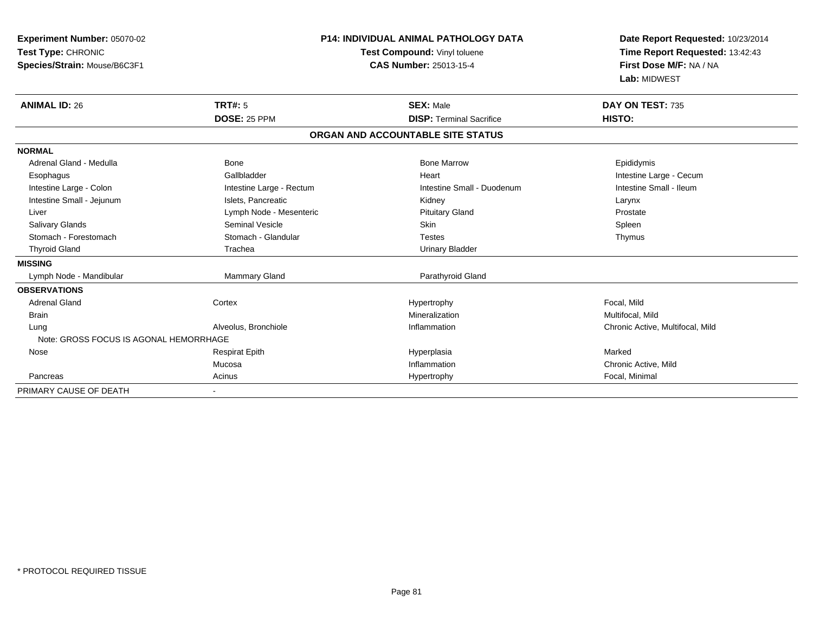| Experiment Number: 05070-02<br>Test Type: CHRONIC<br>Species/Strain: Mouse/B6C3F1 |                                | <b>P14: INDIVIDUAL ANIMAL PATHOLOGY DATA</b><br>Test Compound: Vinyl toluene<br><b>CAS Number: 25013-15-4</b> | Date Report Requested: 10/23/2014<br>Time Report Requested: 13:42:43<br>First Dose M/F: NA / NA<br>Lab: MIDWEST |
|-----------------------------------------------------------------------------------|--------------------------------|---------------------------------------------------------------------------------------------------------------|-----------------------------------------------------------------------------------------------------------------|
| <b>ANIMAL ID: 26</b>                                                              | <b>TRT#: 5</b><br>DOSE: 25 PPM | <b>SEX: Male</b><br><b>DISP: Terminal Sacrifice</b>                                                           | DAY ON TEST: 735<br>HISTO:                                                                                      |
|                                                                                   |                                | ORGAN AND ACCOUNTABLE SITE STATUS                                                                             |                                                                                                                 |
| <b>NORMAL</b>                                                                     |                                |                                                                                                               |                                                                                                                 |
| Adrenal Gland - Medulla                                                           | Bone                           | <b>Bone Marrow</b>                                                                                            | Epididymis                                                                                                      |
| Esophagus                                                                         | Gallbladder                    | Heart                                                                                                         | Intestine Large - Cecum                                                                                         |
| Intestine Large - Colon                                                           | Intestine Large - Rectum       | Intestine Small - Duodenum                                                                                    | Intestine Small - Ileum                                                                                         |
| Intestine Small - Jejunum                                                         | Islets, Pancreatic             | Kidney                                                                                                        | Larynx                                                                                                          |
| Liver                                                                             | Lymph Node - Mesenteric        | <b>Pituitary Gland</b>                                                                                        | Prostate                                                                                                        |
| <b>Salivary Glands</b>                                                            | Seminal Vesicle                | <b>Skin</b>                                                                                                   | Spleen                                                                                                          |
| Stomach - Forestomach                                                             | Stomach - Glandular            | <b>Testes</b>                                                                                                 | Thymus                                                                                                          |
| <b>Thyroid Gland</b>                                                              | Trachea                        | <b>Urinary Bladder</b>                                                                                        |                                                                                                                 |
| <b>MISSING</b>                                                                    |                                |                                                                                                               |                                                                                                                 |
| Lymph Node - Mandibular                                                           | <b>Mammary Gland</b>           | Parathyroid Gland                                                                                             |                                                                                                                 |
| <b>OBSERVATIONS</b>                                                               |                                |                                                                                                               |                                                                                                                 |
| <b>Adrenal Gland</b>                                                              | Cortex                         | Hypertrophy                                                                                                   | Focal, Mild                                                                                                     |
| <b>Brain</b>                                                                      |                                | Mineralization                                                                                                | Multifocal, Mild                                                                                                |
| Lung                                                                              | Alveolus, Bronchiole           | Inflammation                                                                                                  | Chronic Active, Multifocal, Mild                                                                                |
| Note: GROSS FOCUS IS AGONAL HEMORRHAGE                                            |                                |                                                                                                               |                                                                                                                 |
| Nose                                                                              | <b>Respirat Epith</b>          | Hyperplasia                                                                                                   | Marked                                                                                                          |
|                                                                                   | Mucosa                         | Inflammation                                                                                                  | Chronic Active, Mild                                                                                            |
| Pancreas                                                                          | Acinus                         | Hypertrophy                                                                                                   | Focal, Minimal                                                                                                  |
| PRIMARY CAUSE OF DEATH                                                            |                                |                                                                                                               |                                                                                                                 |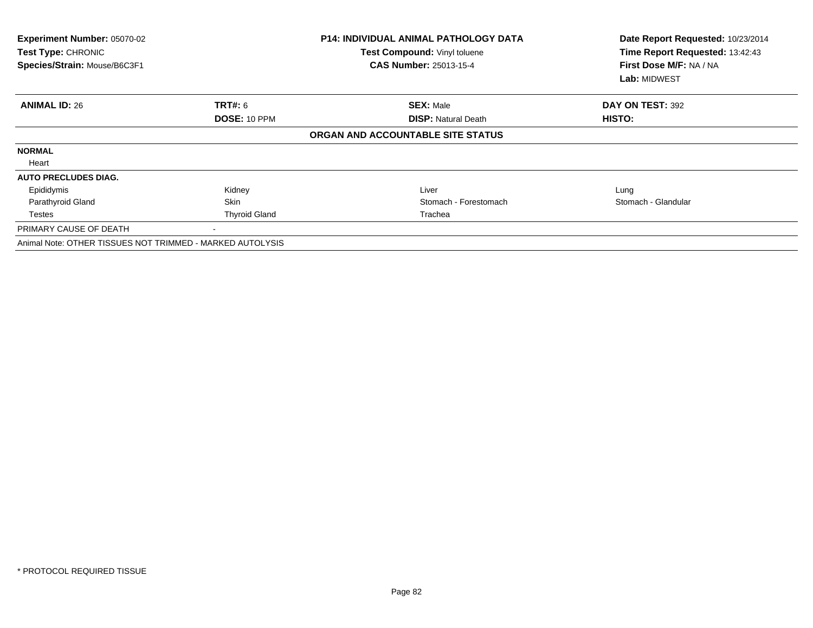| Experiment Number: 05070-02<br>Test Type: CHRONIC<br>Species/Strain: Mouse/B6C3F1 |                      | <b>P14: INDIVIDUAL ANIMAL PATHOLOGY DATA</b><br>Test Compound: Vinyl toluene<br>CAS Number: 25013-15-4 | Date Report Requested: 10/23/2014<br>Time Report Requested: 13:42:43<br>First Dose M/F: NA / NA<br>Lab: MIDWEST |  |
|-----------------------------------------------------------------------------------|----------------------|--------------------------------------------------------------------------------------------------------|-----------------------------------------------------------------------------------------------------------------|--|
| <b>ANIMAL ID: 26</b>                                                              | <b>TRT#: 6</b>       | <b>SEX: Male</b>                                                                                       | DAY ON TEST: 392                                                                                                |  |
|                                                                                   | <b>DOSE: 10 PPM</b>  | <b>DISP:</b> Natural Death                                                                             | HISTO:                                                                                                          |  |
|                                                                                   |                      | ORGAN AND ACCOUNTABLE SITE STATUS                                                                      |                                                                                                                 |  |
| <b>NORMAL</b>                                                                     |                      |                                                                                                        |                                                                                                                 |  |
| Heart                                                                             |                      |                                                                                                        |                                                                                                                 |  |
| <b>AUTO PRECLUDES DIAG.</b>                                                       |                      |                                                                                                        |                                                                                                                 |  |
| Epididymis                                                                        | Kidney               | Liver                                                                                                  | Lung                                                                                                            |  |
| Parathyroid Gland                                                                 | <b>Skin</b>          | Stomach - Forestomach                                                                                  | Stomach - Glandular                                                                                             |  |
| <b>Testes</b>                                                                     | <b>Thyroid Gland</b> | Trachea                                                                                                |                                                                                                                 |  |
| PRIMARY CAUSE OF DEATH                                                            |                      |                                                                                                        |                                                                                                                 |  |
| Animal Note: OTHER TISSUES NOT TRIMMED - MARKED AUTOLYSIS                         |                      |                                                                                                        |                                                                                                                 |  |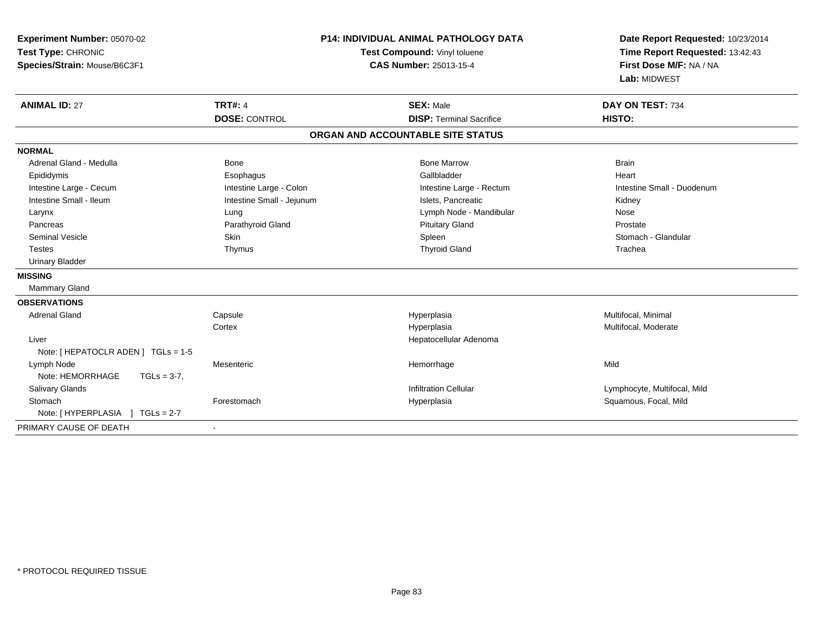| Experiment Number: 05070-02<br>Test Type: CHRONIC<br>Species/Strain: Mouse/B6C3F1                                                                                                                                  | P14: INDIVIDUAL ANIMAL PATHOLOGY DATA<br>Test Compound: Vinyl toluene<br><b>CAS Number: 25013-15-4</b>                   |                                                                                                                                                                            | Date Report Requested: 10/23/2014<br>Time Report Requested: 13:42:43<br>First Dose M/F: NA / NA<br>Lab: MIDWEST     |  |
|--------------------------------------------------------------------------------------------------------------------------------------------------------------------------------------------------------------------|--------------------------------------------------------------------------------------------------------------------------|----------------------------------------------------------------------------------------------------------------------------------------------------------------------------|---------------------------------------------------------------------------------------------------------------------|--|
| <b>ANIMAL ID: 27</b>                                                                                                                                                                                               | <b>TRT#: 4</b><br><b>DOSE: CONTROL</b>                                                                                   | <b>SEX: Male</b><br><b>DISP: Terminal Sacrifice</b>                                                                                                                        | DAY ON TEST: 734<br>HISTO:                                                                                          |  |
|                                                                                                                                                                                                                    |                                                                                                                          | ORGAN AND ACCOUNTABLE SITE STATUS                                                                                                                                          |                                                                                                                     |  |
| <b>NORMAL</b>                                                                                                                                                                                                      |                                                                                                                          |                                                                                                                                                                            |                                                                                                                     |  |
| Adrenal Gland - Medulla<br>Epididymis<br>Intestine Large - Cecum<br>Intestine Small - Ileum<br>Larynx<br>Pancreas<br>Seminal Vesicle<br><b>Testes</b><br><b>Urinary Bladder</b><br><b>MISSING</b><br>Mammary Gland | Bone<br>Esophagus<br>Intestine Large - Colon<br>Intestine Small - Jejunum<br>Lung<br>Parathyroid Gland<br>Skin<br>Thymus | <b>Bone Marrow</b><br>Gallbladder<br>Intestine Large - Rectum<br>Islets, Pancreatic<br>Lymph Node - Mandibular<br><b>Pituitary Gland</b><br>Spleen<br><b>Thyroid Gland</b> | <b>Brain</b><br>Heart<br>Intestine Small - Duodenum<br>Kidney<br>Nose<br>Prostate<br>Stomach - Glandular<br>Trachea |  |
| <b>OBSERVATIONS</b><br><b>Adrenal Gland</b>                                                                                                                                                                        | Capsule                                                                                                                  | Hyperplasia                                                                                                                                                                | Multifocal, Minimal                                                                                                 |  |
| Liver<br>Note: [ HEPATOCLR ADEN ] TGLs = 1-5                                                                                                                                                                       | Cortex                                                                                                                   | Hyperplasia<br>Hepatocellular Adenoma                                                                                                                                      | Multifocal, Moderate                                                                                                |  |
| Lymph Node<br>Note: HEMORRHAGE<br>$TGLs = 3-7$ ,                                                                                                                                                                   | Mesenteric                                                                                                               | Hemorrhage                                                                                                                                                                 | Mild                                                                                                                |  |
| <b>Salivary Glands</b><br>Stomach<br>Note: [HYPERPLASIA ] TGLs = 2-7                                                                                                                                               | Forestomach                                                                                                              | <b>Infiltration Cellular</b><br>Hyperplasia                                                                                                                                | Lymphocyte, Multifocal, Mild<br>Squamous, Focal, Mild                                                               |  |
| PRIMARY CAUSE OF DEATH                                                                                                                                                                                             | $\blacksquare$                                                                                                           |                                                                                                                                                                            |                                                                                                                     |  |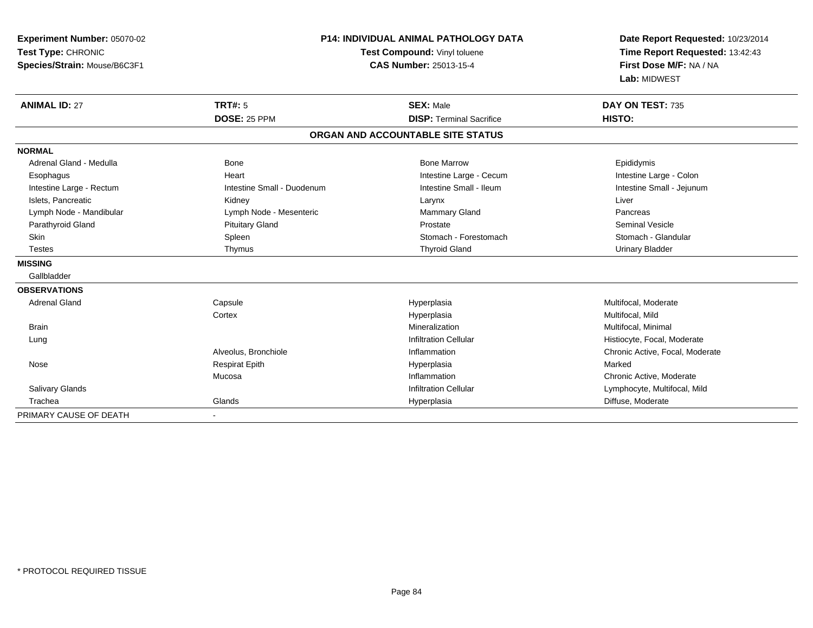| Experiment Number: 05070-02  |                            | <b>P14: INDIVIDUAL ANIMAL PATHOLOGY DATA</b><br>Test Compound: Vinyl toluene |                                                            |
|------------------------------|----------------------------|------------------------------------------------------------------------------|------------------------------------------------------------|
| Test Type: CHRONIC           |                            |                                                                              |                                                            |
| Species/Strain: Mouse/B6C3F1 |                            | <b>CAS Number: 25013-15-4</b>                                                | Time Report Requested: 13:42:43<br>First Dose M/F: NA / NA |
|                              |                            |                                                                              | Lab: MIDWEST                                               |
| <b>ANIMAL ID: 27</b>         | TRT#: 5                    | <b>SEX: Male</b>                                                             | DAY ON TEST: 735                                           |
|                              | <b>DOSE: 25 PPM</b>        | <b>DISP: Terminal Sacrifice</b>                                              | HISTO:                                                     |
|                              |                            | ORGAN AND ACCOUNTABLE SITE STATUS                                            |                                                            |
| <b>NORMAL</b>                |                            |                                                                              |                                                            |
| Adrenal Gland - Medulla      | Bone                       | <b>Bone Marrow</b>                                                           | Epididymis                                                 |
| Esophagus                    | Heart                      | Intestine Large - Cecum                                                      | Intestine Large - Colon                                    |
| Intestine Large - Rectum     | Intestine Small - Duodenum | Intestine Small - Ileum                                                      | Intestine Small - Jejunum                                  |
| Islets, Pancreatic           | Kidney                     | Larynx                                                                       | Liver                                                      |
| Lymph Node - Mandibular      | Lymph Node - Mesenteric    | <b>Mammary Gland</b>                                                         | Pancreas                                                   |
| Parathyroid Gland            | <b>Pituitary Gland</b>     | Prostate                                                                     | <b>Seminal Vesicle</b>                                     |
| <b>Skin</b>                  | Spleen                     | Stomach - Forestomach                                                        | Stomach - Glandular                                        |
| <b>Testes</b>                | Thymus                     | <b>Thyroid Gland</b>                                                         | <b>Urinary Bladder</b>                                     |
| <b>MISSING</b>               |                            |                                                                              |                                                            |
| Gallbladder                  |                            |                                                                              |                                                            |
| <b>OBSERVATIONS</b>          |                            |                                                                              |                                                            |
| <b>Adrenal Gland</b>         | Capsule                    | Hyperplasia                                                                  | Multifocal, Moderate                                       |
|                              | Cortex                     | Hyperplasia                                                                  | Multifocal, Mild                                           |
| <b>Brain</b>                 |                            | Mineralization                                                               | Multifocal, Minimal                                        |
| Lung                         |                            | <b>Infiltration Cellular</b>                                                 | Histiocyte, Focal, Moderate                                |
|                              | Alveolus, Bronchiole       | Inflammation                                                                 | Chronic Active, Focal, Moderate                            |
| Nose                         | <b>Respirat Epith</b>      | Hyperplasia                                                                  | Marked                                                     |
|                              | Mucosa                     | Inflammation                                                                 | Chronic Active, Moderate                                   |
| <b>Salivary Glands</b>       |                            | <b>Infiltration Cellular</b>                                                 | Lymphocyte, Multifocal, Mild                               |
| Trachea                      | Glands                     | Hyperplasia                                                                  | Diffuse, Moderate                                          |
| PRIMARY CAUSE OF DEATH       | $\blacksquare$             |                                                                              |                                                            |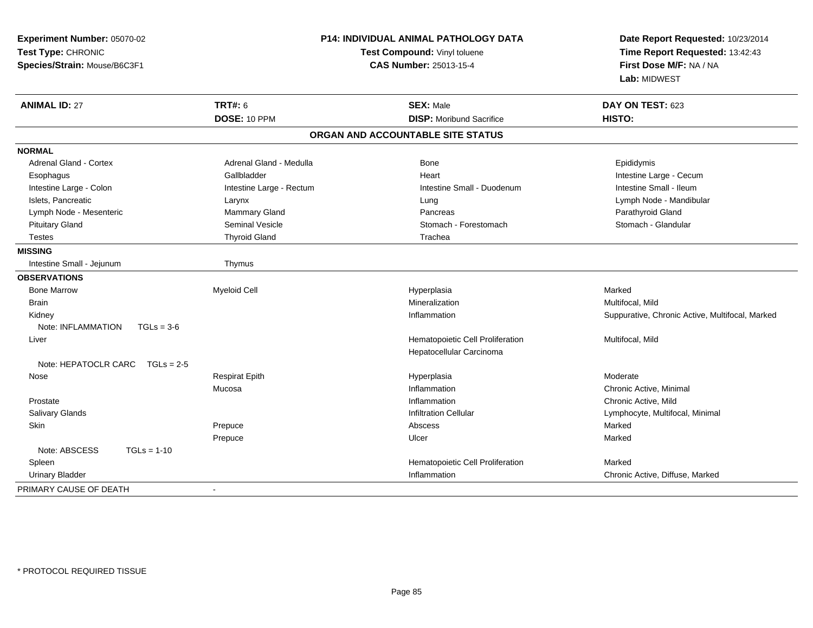| Experiment Number: 05070-02<br>Test Type: CHRONIC<br>Species/Strain: Mouse/B6C3F1 |                          | <b>P14: INDIVIDUAL ANIMAL PATHOLOGY DATA</b><br>Test Compound: Vinyl toluene<br><b>CAS Number: 25013-15-4</b> | Date Report Requested: 10/23/2014<br>Time Report Requested: 13:42:43<br>First Dose M/F: NA / NA<br>Lab: MIDWEST |  |
|-----------------------------------------------------------------------------------|--------------------------|---------------------------------------------------------------------------------------------------------------|-----------------------------------------------------------------------------------------------------------------|--|
| <b>ANIMAL ID: 27</b>                                                              | <b>TRT#: 6</b>           | <b>SEX: Male</b>                                                                                              | DAY ON TEST: 623                                                                                                |  |
|                                                                                   | DOSE: 10 PPM             | <b>DISP:</b> Moribund Sacrifice                                                                               | HISTO:                                                                                                          |  |
|                                                                                   |                          | ORGAN AND ACCOUNTABLE SITE STATUS                                                                             |                                                                                                                 |  |
| <b>NORMAL</b>                                                                     |                          |                                                                                                               |                                                                                                                 |  |
| <b>Adrenal Gland - Cortex</b>                                                     | Adrenal Gland - Medulla  | Bone                                                                                                          | Epididymis                                                                                                      |  |
| Esophagus                                                                         | Gallbladder              | Heart                                                                                                         | Intestine Large - Cecum                                                                                         |  |
| Intestine Large - Colon                                                           | Intestine Large - Rectum | Intestine Small - Duodenum                                                                                    | Intestine Small - Ileum                                                                                         |  |
| Islets, Pancreatic                                                                | Larynx                   | Lung                                                                                                          | Lymph Node - Mandibular                                                                                         |  |
| Lymph Node - Mesenteric                                                           | Mammary Gland            | Pancreas                                                                                                      | Parathyroid Gland                                                                                               |  |
| <b>Pituitary Gland</b>                                                            | <b>Seminal Vesicle</b>   | Stomach - Forestomach                                                                                         | Stomach - Glandular                                                                                             |  |
| <b>Testes</b>                                                                     | <b>Thyroid Gland</b>     | Trachea                                                                                                       |                                                                                                                 |  |
| <b>MISSING</b>                                                                    |                          |                                                                                                               |                                                                                                                 |  |
| Intestine Small - Jejunum                                                         | Thymus                   |                                                                                                               |                                                                                                                 |  |
| <b>OBSERVATIONS</b>                                                               |                          |                                                                                                               |                                                                                                                 |  |
| <b>Bone Marrow</b>                                                                | Myeloid Cell             | Hyperplasia                                                                                                   | Marked                                                                                                          |  |
| <b>Brain</b>                                                                      |                          | Mineralization                                                                                                | Multifocal, Mild                                                                                                |  |
| Kidney                                                                            |                          | Inflammation                                                                                                  | Suppurative, Chronic Active, Multifocal, Marked                                                                 |  |
| Note: INFLAMMATION<br>$TGLs = 3-6$                                                |                          |                                                                                                               |                                                                                                                 |  |
| Liver                                                                             |                          | Hematopoietic Cell Proliferation                                                                              | Multifocal, Mild                                                                                                |  |
|                                                                                   |                          | Hepatocellular Carcinoma                                                                                      |                                                                                                                 |  |
| Note: HEPATOCLR CARC<br>$TGLs = 2-5$                                              |                          |                                                                                                               |                                                                                                                 |  |
| Nose                                                                              | <b>Respirat Epith</b>    | Hyperplasia                                                                                                   | Moderate                                                                                                        |  |
|                                                                                   | Mucosa                   | Inflammation                                                                                                  | Chronic Active, Minimal                                                                                         |  |
| Prostate                                                                          |                          | Inflammation                                                                                                  | Chronic Active, Mild                                                                                            |  |
| Salivary Glands                                                                   |                          | <b>Infiltration Cellular</b>                                                                                  | Lymphocyte, Multifocal, Minimal                                                                                 |  |
| Skin                                                                              | Prepuce                  | Abscess                                                                                                       | Marked                                                                                                          |  |
|                                                                                   | Prepuce                  | Ulcer                                                                                                         | Marked                                                                                                          |  |
| Note: ABSCESS<br>$TGLs = 1-10$                                                    |                          |                                                                                                               |                                                                                                                 |  |
| Spleen                                                                            |                          | Hematopoietic Cell Proliferation                                                                              | Marked                                                                                                          |  |
| <b>Urinary Bladder</b>                                                            |                          | Inflammation                                                                                                  | Chronic Active, Diffuse, Marked                                                                                 |  |
| PRIMARY CAUSE OF DEATH                                                            |                          |                                                                                                               |                                                                                                                 |  |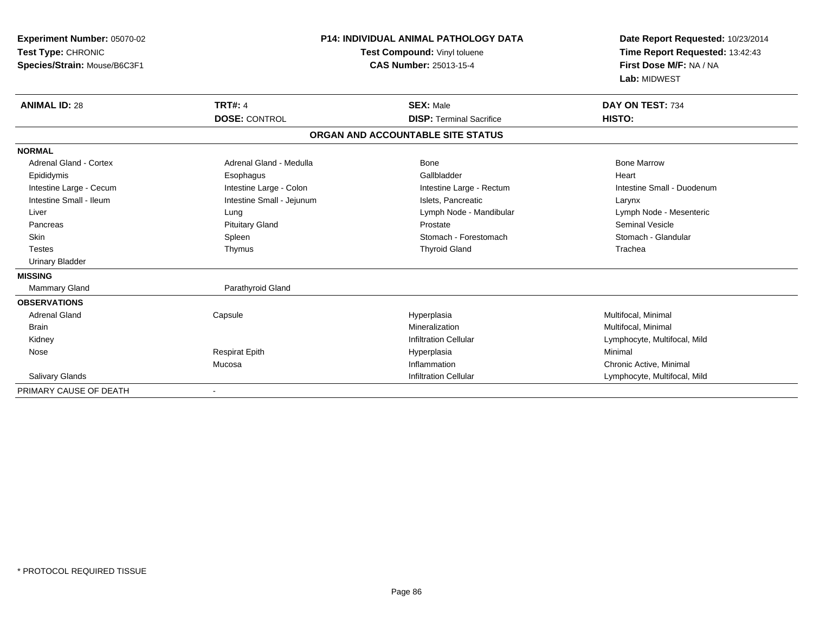| <b>Experiment Number: 05070-02</b><br>Test Type: CHRONIC<br>Species/Strain: Mouse/B6C3F1 |                           | <b>P14: INDIVIDUAL ANIMAL PATHOLOGY DATA</b><br>Test Compound: Vinyl toluene<br><b>CAS Number: 25013-15-4</b> | Date Report Requested: 10/23/2014<br>Time Report Requested: 13:42:43<br>First Dose M/F: NA / NA<br>Lab: MIDWEST |
|------------------------------------------------------------------------------------------|---------------------------|---------------------------------------------------------------------------------------------------------------|-----------------------------------------------------------------------------------------------------------------|
| <b>ANIMAL ID: 28</b>                                                                     | <b>TRT#: 4</b>            | <b>SEX: Male</b>                                                                                              | DAY ON TEST: 734                                                                                                |
|                                                                                          | <b>DOSE: CONTROL</b>      | <b>DISP: Terminal Sacrifice</b>                                                                               | HISTO:                                                                                                          |
|                                                                                          |                           | ORGAN AND ACCOUNTABLE SITE STATUS                                                                             |                                                                                                                 |
| <b>NORMAL</b>                                                                            |                           |                                                                                                               |                                                                                                                 |
| <b>Adrenal Gland - Cortex</b>                                                            | Adrenal Gland - Medulla   | <b>Bone</b>                                                                                                   | <b>Bone Marrow</b>                                                                                              |
| Epididymis                                                                               | Esophagus                 | Gallbladder                                                                                                   | Heart                                                                                                           |
| Intestine Large - Cecum                                                                  | Intestine Large - Colon   | Intestine Large - Rectum                                                                                      | Intestine Small - Duodenum                                                                                      |
| Intestine Small - Ileum                                                                  | Intestine Small - Jejunum | Islets, Pancreatic                                                                                            | Larynx                                                                                                          |
| Liver                                                                                    | Lung                      | Lymph Node - Mandibular                                                                                       | Lymph Node - Mesenteric                                                                                         |
| Pancreas                                                                                 | <b>Pituitary Gland</b>    | Prostate                                                                                                      | <b>Seminal Vesicle</b>                                                                                          |
| <b>Skin</b>                                                                              | Spleen                    | Stomach - Forestomach                                                                                         | Stomach - Glandular                                                                                             |
| <b>Testes</b>                                                                            | Thymus                    | <b>Thyroid Gland</b>                                                                                          | Trachea                                                                                                         |
| <b>Urinary Bladder</b>                                                                   |                           |                                                                                                               |                                                                                                                 |
| <b>MISSING</b>                                                                           |                           |                                                                                                               |                                                                                                                 |
| <b>Mammary Gland</b>                                                                     | Parathyroid Gland         |                                                                                                               |                                                                                                                 |
| <b>OBSERVATIONS</b>                                                                      |                           |                                                                                                               |                                                                                                                 |
| <b>Adrenal Gland</b>                                                                     | Capsule                   | Hyperplasia                                                                                                   | Multifocal, Minimal                                                                                             |
| Brain                                                                                    |                           | Mineralization                                                                                                | Multifocal, Minimal                                                                                             |
| Kidney                                                                                   |                           | <b>Infiltration Cellular</b>                                                                                  | Lymphocyte, Multifocal, Mild                                                                                    |
| Nose                                                                                     | <b>Respirat Epith</b>     | Hyperplasia                                                                                                   | Minimal                                                                                                         |
|                                                                                          | Mucosa                    | Inflammation                                                                                                  | Chronic Active, Minimal                                                                                         |
| Salivary Glands                                                                          |                           | <b>Infiltration Cellular</b>                                                                                  | Lymphocyte, Multifocal, Mild                                                                                    |
| PRIMARY CAUSE OF DEATH                                                                   |                           |                                                                                                               |                                                                                                                 |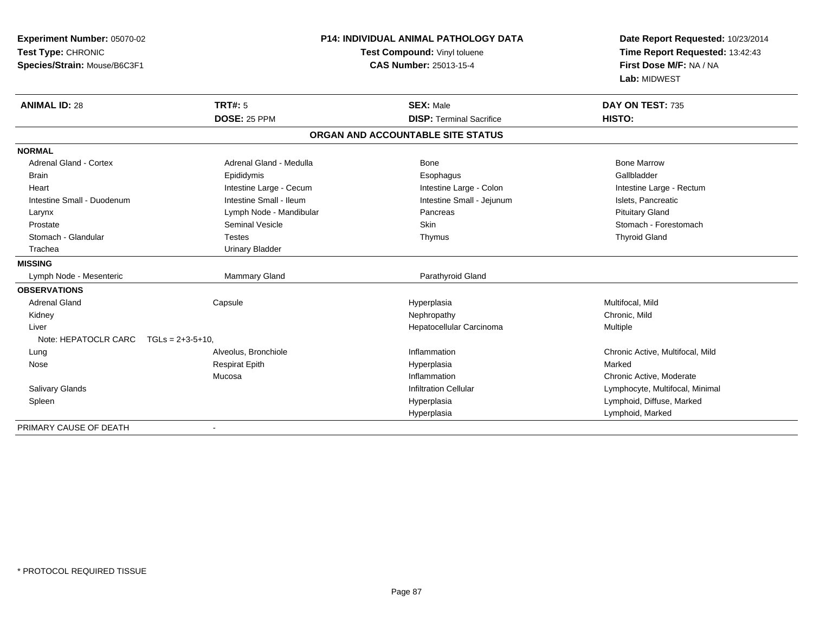| Experiment Number: 05070-02                        | <b>P14: INDIVIDUAL ANIMAL PATHOLOGY DATA</b> |                                   | Date Report Requested: 10/23/2014 |  |
|----------------------------------------------------|----------------------------------------------|-----------------------------------|-----------------------------------|--|
| Test Compound: Vinyl toluene<br>Test Type: CHRONIC |                                              |                                   | Time Report Requested: 13:42:43   |  |
| Species/Strain: Mouse/B6C3F1                       |                                              | <b>CAS Number: 25013-15-4</b>     | First Dose M/F: NA / NA           |  |
|                                                    |                                              |                                   | Lab: MIDWEST                      |  |
| <b>ANIMAL ID: 28</b>                               | <b>TRT#: 5</b>                               | <b>SEX: Male</b>                  | DAY ON TEST: 735                  |  |
|                                                    | <b>DOSE: 25 PPM</b>                          | <b>DISP: Terminal Sacrifice</b>   | HISTO:                            |  |
|                                                    |                                              | ORGAN AND ACCOUNTABLE SITE STATUS |                                   |  |
| <b>NORMAL</b>                                      |                                              |                                   |                                   |  |
| <b>Adrenal Gland - Cortex</b>                      | Adrenal Gland - Medulla                      | <b>Bone</b>                       | <b>Bone Marrow</b>                |  |
| <b>Brain</b>                                       | Epididymis                                   | Esophagus                         | Gallbladder                       |  |
| Heart                                              | Intestine Large - Cecum                      | Intestine Large - Colon           | Intestine Large - Rectum          |  |
| Intestine Small - Duodenum                         | Intestine Small - Ileum                      | Intestine Small - Jejunum         | Islets, Pancreatic                |  |
| Larynx                                             | Lymph Node - Mandibular                      | Pancreas                          | <b>Pituitary Gland</b>            |  |
| Prostate                                           | <b>Seminal Vesicle</b>                       | Skin                              | Stomach - Forestomach             |  |
| Stomach - Glandular                                | <b>Testes</b>                                | Thymus                            | <b>Thyroid Gland</b>              |  |
| Trachea                                            | <b>Urinary Bladder</b>                       |                                   |                                   |  |
| <b>MISSING</b>                                     |                                              |                                   |                                   |  |
| Lymph Node - Mesenteric                            | <b>Mammary Gland</b>                         | Parathyroid Gland                 |                                   |  |
| <b>OBSERVATIONS</b>                                |                                              |                                   |                                   |  |
| <b>Adrenal Gland</b>                               | Capsule                                      | Hyperplasia                       | Multifocal, Mild                  |  |
| Kidney                                             |                                              | Nephropathy                       | Chronic, Mild                     |  |
| Liver                                              |                                              | Hepatocellular Carcinoma          | Multiple                          |  |
| Note: HEPATOCLR CARC                               | $TGLs = 2+3-5+10.$                           |                                   |                                   |  |
| Lung                                               | Alveolus, Bronchiole                         | Inflammation                      | Chronic Active, Multifocal, Mild  |  |
| Nose                                               | <b>Respirat Epith</b>                        | Hyperplasia                       | Marked                            |  |
|                                                    | Mucosa                                       | Inflammation                      | Chronic Active, Moderate          |  |
| <b>Salivary Glands</b>                             |                                              | <b>Infiltration Cellular</b>      | Lymphocyte, Multifocal, Minimal   |  |
| Spleen                                             |                                              | Hyperplasia                       | Lymphoid, Diffuse, Marked         |  |
|                                                    |                                              | Hyperplasia                       | Lymphoid, Marked                  |  |
| PRIMARY CAUSE OF DEATH                             | $\blacksquare$                               |                                   |                                   |  |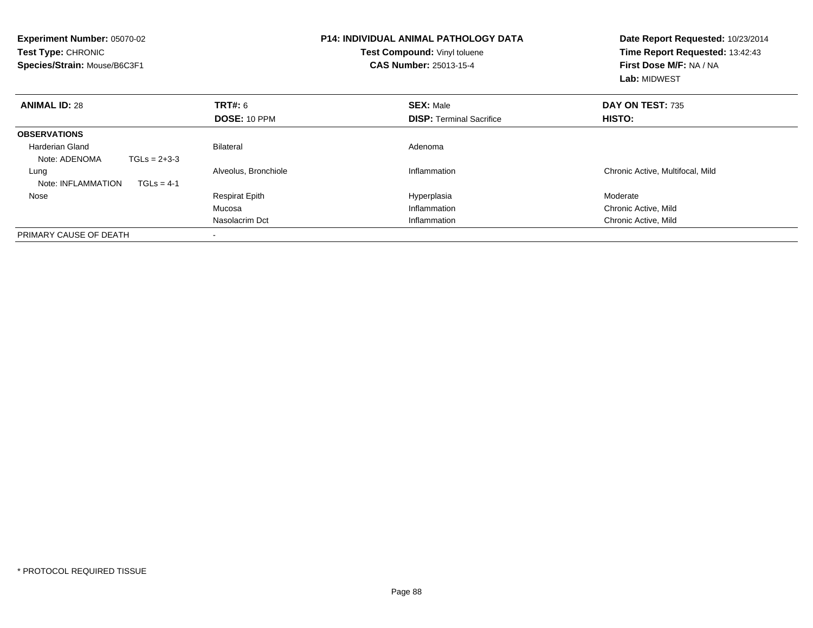| <b>Experiment Number: 05070-02</b><br>Test Type: CHRONIC<br>Species/Strain: Mouse/B6C3F1 |                                | <b>P14: INDIVIDUAL ANIMAL PATHOLOGY DATA</b><br>Test Compound: Vinyl toluene<br><b>CAS Number: 25013-15-4</b> | Date Report Requested: 10/23/2014<br>Time Report Requested: 13:42:43<br>First Dose M/F: NA / NA<br>Lab: MIDWEST |
|------------------------------------------------------------------------------------------|--------------------------------|---------------------------------------------------------------------------------------------------------------|-----------------------------------------------------------------------------------------------------------------|
| <b>ANIMAL ID: 28</b>                                                                     | <b>TRT#:</b> 6<br>DOSE: 10 PPM | <b>SEX: Male</b><br><b>DISP:</b> Terminal Sacrifice                                                           | DAY ON TEST: 735<br>HISTO:                                                                                      |
| <b>OBSERVATIONS</b>                                                                      |                                |                                                                                                               |                                                                                                                 |
| Harderian Gland<br>Note: ADENOMA<br>$TGLs = 2+3-3$                                       | Bilateral                      | Adenoma                                                                                                       |                                                                                                                 |
| Lung<br>Note: INFLAMMATION<br>$TGLS = 4-1$                                               | Alveolus, Bronchiole           | Inflammation                                                                                                  | Chronic Active, Multifocal, Mild                                                                                |
| Nose                                                                                     | <b>Respirat Epith</b>          | Hyperplasia                                                                                                   | Moderate                                                                                                        |
|                                                                                          | Mucosa                         | Inflammation                                                                                                  | Chronic Active, Mild                                                                                            |
|                                                                                          | Nasolacrim Dct                 | Inflammation                                                                                                  | Chronic Active, Mild                                                                                            |
| PRIMARY CAUSE OF DEATH                                                                   |                                |                                                                                                               |                                                                                                                 |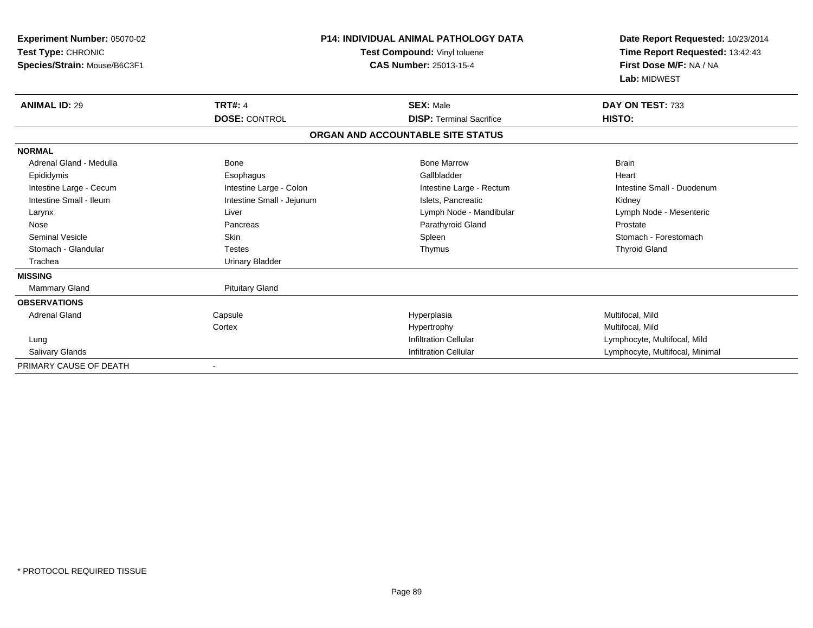| <b>Experiment Number: 05070-02</b><br>Test Type: CHRONIC<br>Species/Strain: Mouse/B6C3F1 |                           | <b>P14: INDIVIDUAL ANIMAL PATHOLOGY DATA</b><br>Test Compound: Vinyl toluene<br><b>CAS Number: 25013-15-4</b> | Date Report Requested: 10/23/2014<br>Time Report Requested: 13:42:43<br>First Dose M/F: NA / NA<br>Lab: MIDWEST |  |
|------------------------------------------------------------------------------------------|---------------------------|---------------------------------------------------------------------------------------------------------------|-----------------------------------------------------------------------------------------------------------------|--|
| <b>ANIMAL ID: 29</b>                                                                     | <b>TRT#: 4</b>            | <b>SEX: Male</b>                                                                                              | DAY ON TEST: 733                                                                                                |  |
|                                                                                          | <b>DOSE: CONTROL</b>      | <b>DISP: Terminal Sacrifice</b>                                                                               | HISTO:                                                                                                          |  |
|                                                                                          |                           | ORGAN AND ACCOUNTABLE SITE STATUS                                                                             |                                                                                                                 |  |
| <b>NORMAL</b>                                                                            |                           |                                                                                                               |                                                                                                                 |  |
| Adrenal Gland - Medulla                                                                  | Bone                      | <b>Bone Marrow</b>                                                                                            | <b>Brain</b>                                                                                                    |  |
| Epididymis                                                                               | Esophagus                 | Gallbladder                                                                                                   | Heart                                                                                                           |  |
| Intestine Large - Cecum                                                                  | Intestine Large - Colon   | Intestine Large - Rectum                                                                                      | Intestine Small - Duodenum                                                                                      |  |
| Intestine Small - Ileum                                                                  | Intestine Small - Jejunum | Islets, Pancreatic                                                                                            | Kidney                                                                                                          |  |
| Larynx                                                                                   | Liver                     | Lymph Node - Mandibular                                                                                       | Lymph Node - Mesenteric                                                                                         |  |
| Nose                                                                                     | Pancreas                  | Parathyroid Gland                                                                                             | Prostate                                                                                                        |  |
| <b>Seminal Vesicle</b>                                                                   | <b>Skin</b>               | Spleen                                                                                                        | Stomach - Forestomach                                                                                           |  |
| Stomach - Glandular                                                                      | <b>Testes</b>             | Thymus                                                                                                        | <b>Thyroid Gland</b>                                                                                            |  |
| Trachea                                                                                  | <b>Urinary Bladder</b>    |                                                                                                               |                                                                                                                 |  |
| <b>MISSING</b>                                                                           |                           |                                                                                                               |                                                                                                                 |  |
| Mammary Gland                                                                            | <b>Pituitary Gland</b>    |                                                                                                               |                                                                                                                 |  |
| <b>OBSERVATIONS</b>                                                                      |                           |                                                                                                               |                                                                                                                 |  |
| <b>Adrenal Gland</b>                                                                     | Capsule                   | Hyperplasia                                                                                                   | Multifocal, Mild                                                                                                |  |
|                                                                                          | Cortex                    | Hypertrophy                                                                                                   | Multifocal, Mild                                                                                                |  |
| Lung                                                                                     |                           | <b>Infiltration Cellular</b>                                                                                  | Lymphocyte, Multifocal, Mild                                                                                    |  |
| Salivary Glands                                                                          |                           | <b>Infiltration Cellular</b>                                                                                  | Lymphocyte, Multifocal, Minimal                                                                                 |  |
| PRIMARY CAUSE OF DEATH                                                                   | $\blacksquare$            |                                                                                                               |                                                                                                                 |  |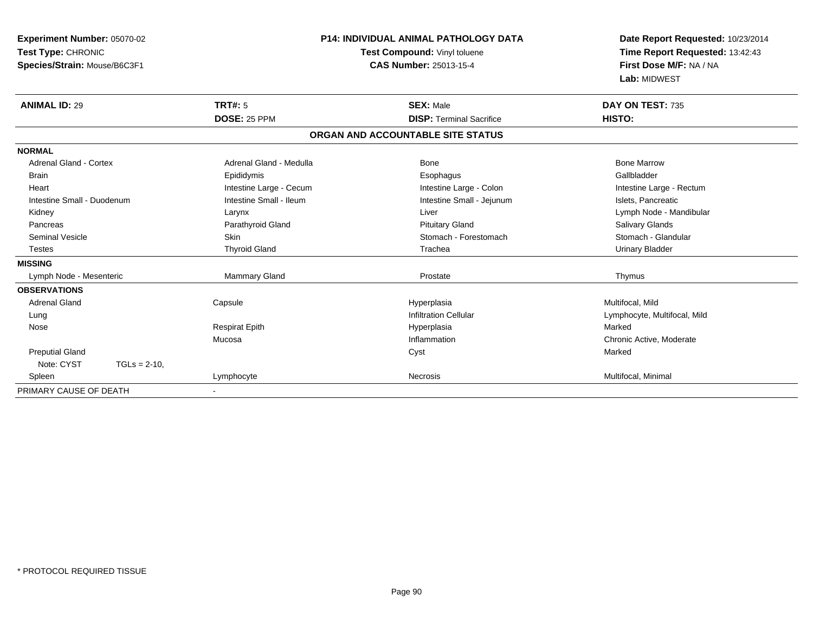| Experiment Number: 05070-02  |                 |                         | <b>P14: INDIVIDUAL ANIMAL PATHOLOGY DATA</b> | Date Report Requested: 10/23/2014 |  |
|------------------------------|-----------------|-------------------------|----------------------------------------------|-----------------------------------|--|
| Test Type: CHRONIC           |                 |                         | Test Compound: Vinyl toluene                 | Time Report Requested: 13:42:43   |  |
| Species/Strain: Mouse/B6C3F1 |                 |                         | <b>CAS Number: 25013-15-4</b>                | First Dose M/F: NA / NA           |  |
|                              |                 |                         |                                              | Lab: MIDWEST                      |  |
| <b>ANIMAL ID: 29</b>         |                 | <b>TRT#: 5</b>          | <b>SEX: Male</b>                             | DAY ON TEST: 735                  |  |
|                              |                 | DOSE: 25 PPM            | <b>DISP: Terminal Sacrifice</b>              | HISTO:                            |  |
|                              |                 |                         | ORGAN AND ACCOUNTABLE SITE STATUS            |                                   |  |
| <b>NORMAL</b>                |                 |                         |                                              |                                   |  |
| Adrenal Gland - Cortex       |                 | Adrenal Gland - Medulla | Bone                                         | <b>Bone Marrow</b>                |  |
| <b>Brain</b>                 |                 | Epididymis              | Esophagus                                    | Gallbladder                       |  |
| Heart                        |                 | Intestine Large - Cecum | Intestine Large - Colon                      | Intestine Large - Rectum          |  |
| Intestine Small - Duodenum   |                 | Intestine Small - Ileum | Intestine Small - Jejunum                    | Islets, Pancreatic                |  |
| Kidney                       |                 | Larynx                  | Liver                                        | Lymph Node - Mandibular           |  |
| Pancreas                     |                 | Parathyroid Gland       | <b>Pituitary Gland</b>                       | Salivary Glands                   |  |
| <b>Seminal Vesicle</b>       |                 | <b>Skin</b>             | Stomach - Forestomach                        | Stomach - Glandular               |  |
| <b>Testes</b>                |                 | <b>Thyroid Gland</b>    | Trachea                                      | <b>Urinary Bladder</b>            |  |
| <b>MISSING</b>               |                 |                         |                                              |                                   |  |
| Lymph Node - Mesenteric      |                 | <b>Mammary Gland</b>    | Prostate                                     | Thymus                            |  |
| <b>OBSERVATIONS</b>          |                 |                         |                                              |                                   |  |
| <b>Adrenal Gland</b>         |                 | Capsule                 | Hyperplasia                                  | Multifocal, Mild                  |  |
| Lung                         |                 |                         | <b>Infiltration Cellular</b>                 | Lymphocyte, Multifocal, Mild      |  |
| Nose                         |                 | <b>Respirat Epith</b>   | Hyperplasia                                  | Marked                            |  |
|                              |                 | Mucosa                  | Inflammation                                 | Chronic Active, Moderate          |  |
| <b>Preputial Gland</b>       |                 |                         | Cyst                                         | Marked                            |  |
| Note: CYST                   | $TGLs = 2-10$ , |                         |                                              |                                   |  |
| Spleen                       |                 | Lymphocyte              | Necrosis                                     | Multifocal, Minimal               |  |
| PRIMARY CAUSE OF DEATH       |                 |                         |                                              |                                   |  |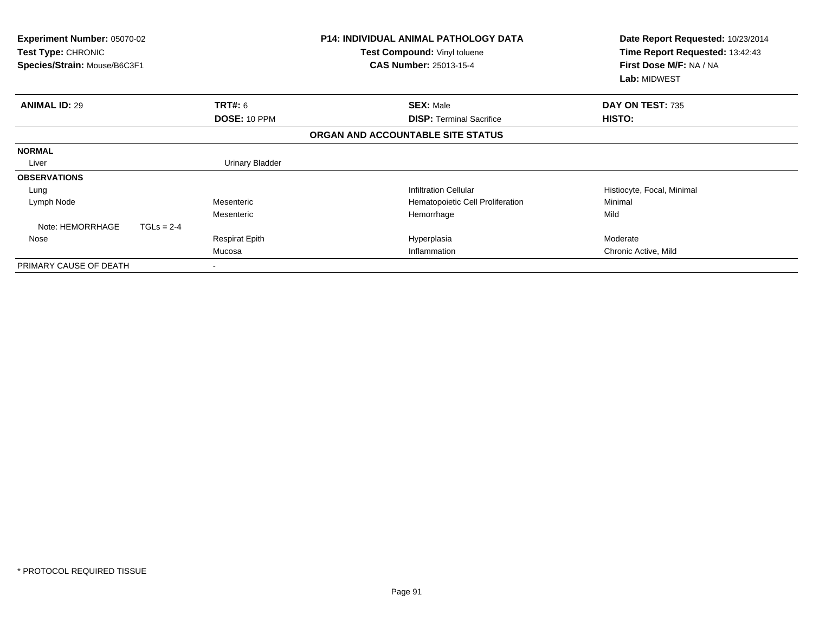| Experiment Number: 05070-02<br><b>Test Type: CHRONIC</b><br>Species/Strain: Mouse/B6C3F1 |              |                       | <b>P14: INDIVIDUAL ANIMAL PATHOLOGY DATA</b><br><b>Test Compound: Vinyl toluene</b><br><b>CAS Number: 25013-15-4</b> | Date Report Requested: 10/23/2014<br>Time Report Requested: 13:42:43<br>First Dose M/F: NA / NA<br>Lab: MIDWEST |
|------------------------------------------------------------------------------------------|--------------|-----------------------|----------------------------------------------------------------------------------------------------------------------|-----------------------------------------------------------------------------------------------------------------|
| <b>ANIMAL ID: 29</b>                                                                     |              | <b>TRT#: 6</b>        | <b>SEX: Male</b>                                                                                                     | DAY ON TEST: 735                                                                                                |
|                                                                                          |              | DOSE: 10 PPM          | <b>DISP: Terminal Sacrifice</b>                                                                                      | HISTO:                                                                                                          |
|                                                                                          |              |                       | ORGAN AND ACCOUNTABLE SITE STATUS                                                                                    |                                                                                                                 |
| <b>NORMAL</b>                                                                            |              |                       |                                                                                                                      |                                                                                                                 |
| Liver                                                                                    |              | Urinary Bladder       |                                                                                                                      |                                                                                                                 |
| <b>OBSERVATIONS</b>                                                                      |              |                       |                                                                                                                      |                                                                                                                 |
| Lung                                                                                     |              |                       | Infiltration Cellular                                                                                                | Histiocyte, Focal, Minimal                                                                                      |
| Lymph Node                                                                               |              | Mesenteric            | Hematopoietic Cell Proliferation                                                                                     | Minimal                                                                                                         |
|                                                                                          |              | Mesenteric            | Hemorrhage                                                                                                           | Mild                                                                                                            |
| Note: HEMORRHAGE                                                                         | $TGLs = 2-4$ |                       |                                                                                                                      |                                                                                                                 |
| Nose                                                                                     |              | <b>Respirat Epith</b> | Hyperplasia                                                                                                          | Moderate                                                                                                        |
|                                                                                          |              | Mucosa                | Inflammation                                                                                                         | Chronic Active, Mild                                                                                            |
| PRIMARY CAUSE OF DEATH                                                                   |              |                       |                                                                                                                      |                                                                                                                 |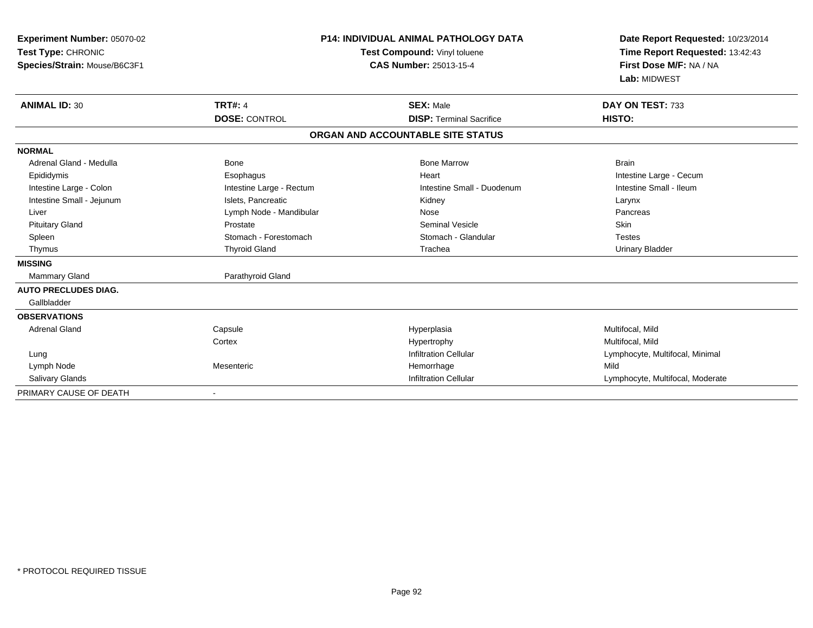| Experiment Number: 05070-02<br>Test Type: CHRONIC<br>Species/Strain: Mouse/B6C3F1                                                                                                                               | <b>P14: INDIVIDUAL ANIMAL PATHOLOGY DATA</b><br>Test Compound: Vinyl toluene<br><b>CAS Number: 25013-15-4</b>                                                                           |                                                                                                                                         | Date Report Requested: 10/23/2014<br>Time Report Requested: 13:42:43<br>First Dose M/F: NA / NA<br>Lab: MIDWEST                                    |
|-----------------------------------------------------------------------------------------------------------------------------------------------------------------------------------------------------------------|-----------------------------------------------------------------------------------------------------------------------------------------------------------------------------------------|-----------------------------------------------------------------------------------------------------------------------------------------|----------------------------------------------------------------------------------------------------------------------------------------------------|
| <b>ANIMAL ID: 30</b>                                                                                                                                                                                            | <b>TRT#: 4</b><br><b>DOSE: CONTROL</b>                                                                                                                                                  | <b>SEX: Male</b><br><b>DISP: Terminal Sacrifice</b>                                                                                     | DAY ON TEST: 733<br>HISTO:                                                                                                                         |
|                                                                                                                                                                                                                 |                                                                                                                                                                                         | ORGAN AND ACCOUNTABLE SITE STATUS                                                                                                       |                                                                                                                                                    |
|                                                                                                                                                                                                                 |                                                                                                                                                                                         |                                                                                                                                         |                                                                                                                                                    |
| <b>NORMAL</b><br>Adrenal Gland - Medulla<br>Epididymis<br>Intestine Large - Colon<br>Intestine Small - Jejunum<br>Liver<br><b>Pituitary Gland</b><br>Spleen<br>Thymus<br><b>MISSING</b><br><b>Mammary Gland</b> | <b>Bone</b><br>Esophagus<br>Intestine Large - Rectum<br>Islets, Pancreatic<br>Lymph Node - Mandibular<br>Prostate<br>Stomach - Forestomach<br><b>Thyroid Gland</b><br>Parathyroid Gland | <b>Bone Marrow</b><br>Heart<br>Intestine Small - Duodenum<br>Kidney<br>Nose<br><b>Seminal Vesicle</b><br>Stomach - Glandular<br>Trachea | <b>Brain</b><br>Intestine Large - Cecum<br>Intestine Small - Ileum<br>Larynx<br>Pancreas<br><b>Skin</b><br><b>Testes</b><br><b>Urinary Bladder</b> |
| <b>AUTO PRECLUDES DIAG.</b>                                                                                                                                                                                     |                                                                                                                                                                                         |                                                                                                                                         |                                                                                                                                                    |
| Gallbladder                                                                                                                                                                                                     |                                                                                                                                                                                         |                                                                                                                                         |                                                                                                                                                    |
| <b>OBSERVATIONS</b>                                                                                                                                                                                             |                                                                                                                                                                                         |                                                                                                                                         |                                                                                                                                                    |
| <b>Adrenal Gland</b>                                                                                                                                                                                            | Capsule                                                                                                                                                                                 | Hyperplasia                                                                                                                             | Multifocal, Mild                                                                                                                                   |
| Lung<br>Lymph Node<br>Salivary Glands                                                                                                                                                                           | Cortex<br>Mesenteric                                                                                                                                                                    | Hypertrophy<br><b>Infiltration Cellular</b><br>Hemorrhage<br><b>Infiltration Cellular</b>                                               | Multifocal, Mild<br>Lymphocyte, Multifocal, Minimal<br>Mild<br>Lymphocyte, Multifocal, Moderate                                                    |
| PRIMARY CAUSE OF DEATH                                                                                                                                                                                          |                                                                                                                                                                                         |                                                                                                                                         |                                                                                                                                                    |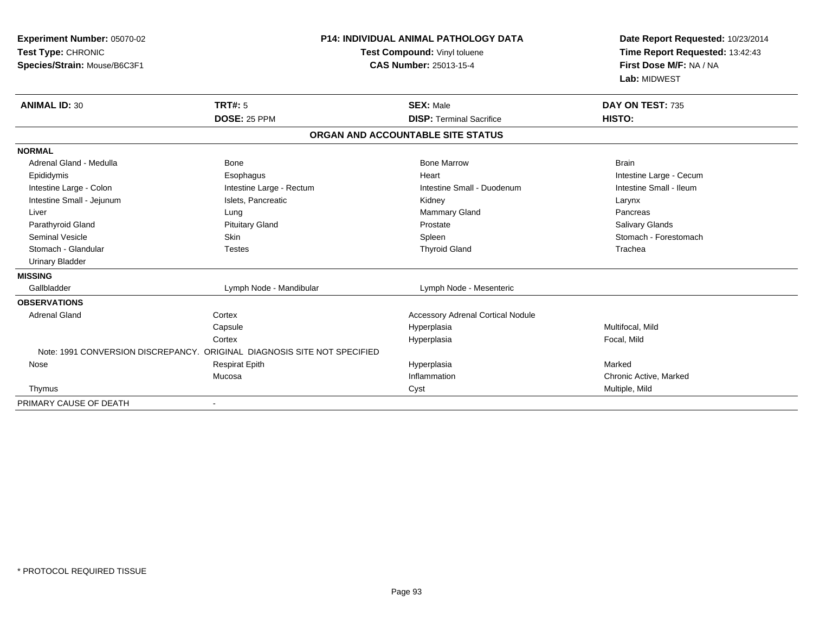| <b>Experiment Number: 05070-02</b><br>Test Type: CHRONIC<br>Species/Strain: Mouse/B6C3F1 |                                                                          | <b>P14: INDIVIDUAL ANIMAL PATHOLOGY DATA</b><br>Test Compound: Vinyl toluene<br><b>CAS Number: 25013-15-4</b> | Date Report Requested: 10/23/2014<br>Time Report Requested: 13:42:43<br>First Dose M/F: NA / NA<br>Lab: MIDWEST |
|------------------------------------------------------------------------------------------|--------------------------------------------------------------------------|---------------------------------------------------------------------------------------------------------------|-----------------------------------------------------------------------------------------------------------------|
| <b>ANIMAL ID: 30</b>                                                                     | <b>TRT#: 5</b><br>DOSE: 25 PPM                                           | <b>SEX: Male</b><br><b>DISP: Terminal Sacrifice</b>                                                           | DAY ON TEST: 735<br>HISTO:                                                                                      |
|                                                                                          |                                                                          |                                                                                                               |                                                                                                                 |
|                                                                                          |                                                                          | ORGAN AND ACCOUNTABLE SITE STATUS                                                                             |                                                                                                                 |
| <b>NORMAL</b>                                                                            |                                                                          |                                                                                                               |                                                                                                                 |
| Adrenal Gland - Medulla                                                                  | Bone                                                                     | <b>Bone Marrow</b>                                                                                            | <b>Brain</b>                                                                                                    |
| Epididymis                                                                               | Esophagus                                                                | Heart                                                                                                         | Intestine Large - Cecum                                                                                         |
| Intestine Large - Colon                                                                  | Intestine Large - Rectum                                                 | Intestine Small - Duodenum                                                                                    | Intestine Small - Ileum                                                                                         |
| Intestine Small - Jejunum                                                                | Islets, Pancreatic                                                       | Kidney                                                                                                        | Larynx                                                                                                          |
| Liver                                                                                    | Lung                                                                     | <b>Mammary Gland</b>                                                                                          | Pancreas                                                                                                        |
| Parathyroid Gland                                                                        | <b>Pituitary Gland</b>                                                   | Prostate                                                                                                      | <b>Salivary Glands</b>                                                                                          |
| <b>Seminal Vesicle</b>                                                                   | <b>Skin</b>                                                              | Spleen                                                                                                        | Stomach - Forestomach                                                                                           |
| Stomach - Glandular                                                                      | <b>Testes</b>                                                            | <b>Thyroid Gland</b>                                                                                          | Trachea                                                                                                         |
| <b>Urinary Bladder</b>                                                                   |                                                                          |                                                                                                               |                                                                                                                 |
| <b>MISSING</b>                                                                           |                                                                          |                                                                                                               |                                                                                                                 |
| Gallbladder                                                                              | Lymph Node - Mandibular                                                  | Lymph Node - Mesenteric                                                                                       |                                                                                                                 |
| <b>OBSERVATIONS</b>                                                                      |                                                                          |                                                                                                               |                                                                                                                 |
| <b>Adrenal Gland</b>                                                                     | Cortex                                                                   | <b>Accessory Adrenal Cortical Nodule</b>                                                                      |                                                                                                                 |
|                                                                                          | Capsule                                                                  | Hyperplasia                                                                                                   | Multifocal, Mild                                                                                                |
|                                                                                          | Cortex                                                                   | Hyperplasia                                                                                                   | Focal, Mild                                                                                                     |
|                                                                                          | Note: 1991 CONVERSION DISCREPANCY. ORIGINAL DIAGNOSIS SITE NOT SPECIFIED |                                                                                                               |                                                                                                                 |
| Nose                                                                                     | <b>Respirat Epith</b>                                                    | Hyperplasia                                                                                                   | Marked                                                                                                          |
|                                                                                          | Mucosa                                                                   | Inflammation                                                                                                  | Chronic Active, Marked                                                                                          |
| Thymus                                                                                   |                                                                          | Cyst                                                                                                          | Multiple, Mild                                                                                                  |
| PRIMARY CAUSE OF DEATH                                                                   |                                                                          |                                                                                                               |                                                                                                                 |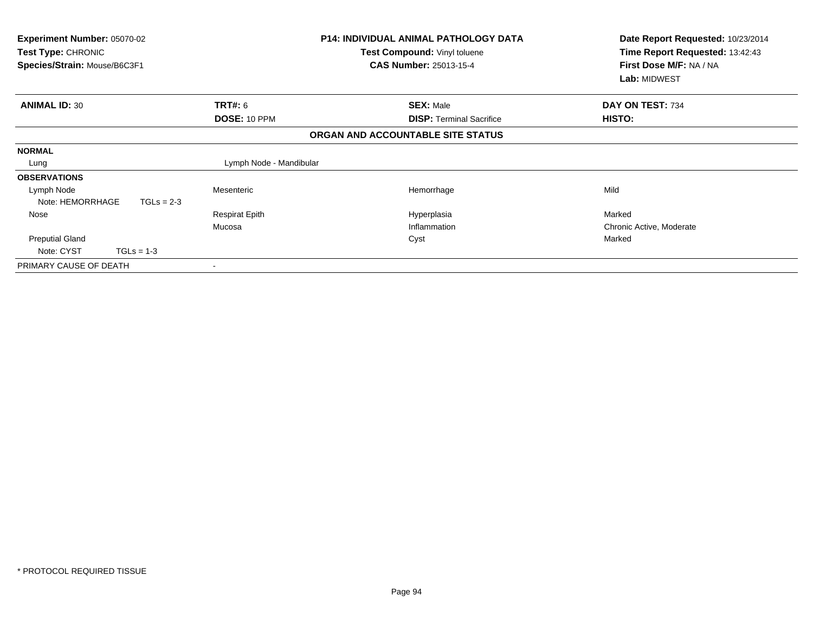| <b>Experiment Number: 05070-02</b><br><b>Test Type: CHRONIC</b><br>Species/Strain: Mouse/B6C3F1 |                         | <b>P14: INDIVIDUAL ANIMAL PATHOLOGY DATA</b><br>Test Compound: Vinyl toluene<br><b>CAS Number: 25013-15-4</b> | Date Report Requested: 10/23/2014<br>Time Report Requested: 13:42:43<br>First Dose M/F: NA / NA<br>Lab: MIDWEST |
|-------------------------------------------------------------------------------------------------|-------------------------|---------------------------------------------------------------------------------------------------------------|-----------------------------------------------------------------------------------------------------------------|
| <b>ANIMAL ID: 30</b>                                                                            | <b>TRT#: 6</b>          | <b>SEX: Male</b>                                                                                              | DAY ON TEST: 734                                                                                                |
|                                                                                                 | DOSE: 10 PPM            | <b>DISP:</b> Terminal Sacrifice                                                                               | HISTO:                                                                                                          |
|                                                                                                 |                         | ORGAN AND ACCOUNTABLE SITE STATUS                                                                             |                                                                                                                 |
| <b>NORMAL</b>                                                                                   |                         |                                                                                                               |                                                                                                                 |
| Lung                                                                                            | Lymph Node - Mandibular |                                                                                                               |                                                                                                                 |
| <b>OBSERVATIONS</b>                                                                             |                         |                                                                                                               |                                                                                                                 |
| Lymph Node                                                                                      | Mesenteric              | Hemorrhage                                                                                                    | Mild                                                                                                            |
| Note: HEMORRHAGE<br>$TGLs = 2-3$                                                                |                         |                                                                                                               |                                                                                                                 |
| Nose                                                                                            | <b>Respirat Epith</b>   | Hyperplasia                                                                                                   | Marked                                                                                                          |
|                                                                                                 | Mucosa                  | Inflammation                                                                                                  | Chronic Active, Moderate                                                                                        |
| <b>Preputial Gland</b>                                                                          |                         | Cyst                                                                                                          | Marked                                                                                                          |
| Note: CYST<br>$TGLs = 1-3$                                                                      |                         |                                                                                                               |                                                                                                                 |
| PRIMARY CAUSE OF DEATH                                                                          |                         |                                                                                                               |                                                                                                                 |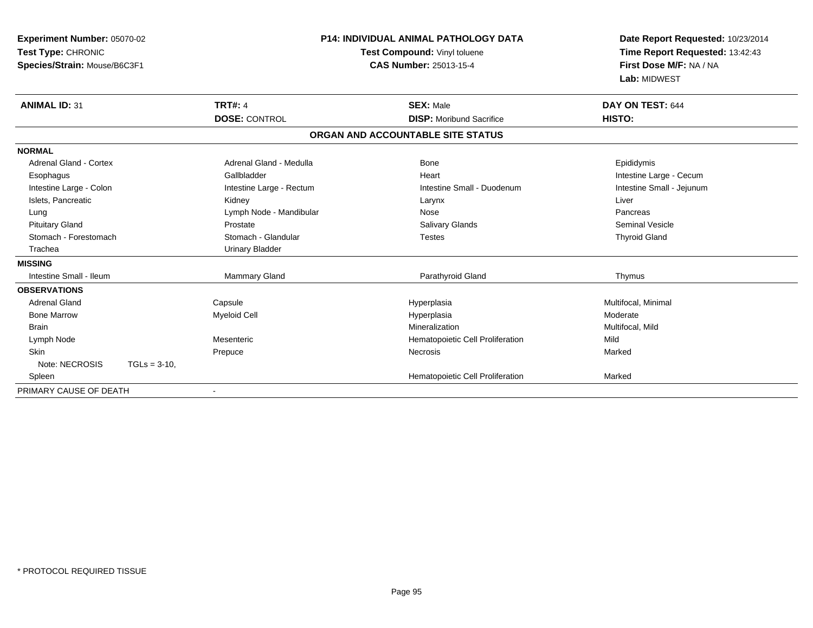| <b>Experiment Number: 05070-02</b><br>Test Type: CHRONIC<br>Species/Strain: Mouse/B6C3F1 |                 |                          | <b>P14: INDIVIDUAL ANIMAL PATHOLOGY DATA</b><br>Test Compound: Vinyl toluene<br><b>CAS Number: 25013-15-4</b> |                                   | Date Report Requested: 10/23/2014<br>Time Report Requested: 13:42:43<br>First Dose M/F: NA / NA<br>Lab: MIDWEST |  |
|------------------------------------------------------------------------------------------|-----------------|--------------------------|---------------------------------------------------------------------------------------------------------------|-----------------------------------|-----------------------------------------------------------------------------------------------------------------|--|
| <b>ANIMAL ID: 31</b>                                                                     |                 | <b>TRT#: 4</b>           |                                                                                                               | <b>SEX: Male</b>                  | DAY ON TEST: 644                                                                                                |  |
|                                                                                          |                 | <b>DOSE: CONTROL</b>     |                                                                                                               | <b>DISP:</b> Moribund Sacrifice   | HISTO:                                                                                                          |  |
|                                                                                          |                 |                          |                                                                                                               | ORGAN AND ACCOUNTABLE SITE STATUS |                                                                                                                 |  |
| <b>NORMAL</b>                                                                            |                 |                          |                                                                                                               |                                   |                                                                                                                 |  |
| <b>Adrenal Gland - Cortex</b>                                                            |                 | Adrenal Gland - Medulla  |                                                                                                               | Bone                              | Epididymis                                                                                                      |  |
| Esophagus                                                                                |                 | Gallbladder              |                                                                                                               | Heart                             | Intestine Large - Cecum                                                                                         |  |
| Intestine Large - Colon                                                                  |                 | Intestine Large - Rectum |                                                                                                               | Intestine Small - Duodenum        | Intestine Small - Jejunum                                                                                       |  |
| Islets, Pancreatic                                                                       |                 | Kidney                   |                                                                                                               | Larynx                            | Liver                                                                                                           |  |
| Lung                                                                                     |                 | Lymph Node - Mandibular  |                                                                                                               | Nose                              | Pancreas                                                                                                        |  |
| <b>Pituitary Gland</b>                                                                   |                 | Prostate                 |                                                                                                               | <b>Salivary Glands</b>            | <b>Seminal Vesicle</b>                                                                                          |  |
| Stomach - Forestomach                                                                    |                 | Stomach - Glandular      |                                                                                                               | <b>Testes</b>                     | <b>Thyroid Gland</b>                                                                                            |  |
| Trachea                                                                                  |                 | <b>Urinary Bladder</b>   |                                                                                                               |                                   |                                                                                                                 |  |
| <b>MISSING</b>                                                                           |                 |                          |                                                                                                               |                                   |                                                                                                                 |  |
| Intestine Small - Ileum                                                                  |                 | <b>Mammary Gland</b>     |                                                                                                               | Parathyroid Gland                 | Thymus                                                                                                          |  |
| <b>OBSERVATIONS</b>                                                                      |                 |                          |                                                                                                               |                                   |                                                                                                                 |  |
| <b>Adrenal Gland</b>                                                                     |                 | Capsule                  |                                                                                                               | Hyperplasia                       | Multifocal, Minimal                                                                                             |  |
| <b>Bone Marrow</b>                                                                       |                 | <b>Myeloid Cell</b>      |                                                                                                               | Hyperplasia                       | Moderate                                                                                                        |  |
| <b>Brain</b>                                                                             |                 |                          |                                                                                                               | Mineralization                    | Multifocal, Mild                                                                                                |  |
| Lymph Node                                                                               |                 | Mesenteric               |                                                                                                               | Hematopoietic Cell Proliferation  | Mild                                                                                                            |  |
| <b>Skin</b>                                                                              |                 | Prepuce                  |                                                                                                               | <b>Necrosis</b>                   | Marked                                                                                                          |  |
| Note: NECROSIS                                                                           | $TGLs = 3-10$ , |                          |                                                                                                               |                                   |                                                                                                                 |  |
| Spleen                                                                                   |                 |                          |                                                                                                               | Hematopoietic Cell Proliferation  | Marked                                                                                                          |  |
| PRIMARY CAUSE OF DEATH                                                                   |                 |                          |                                                                                                               |                                   |                                                                                                                 |  |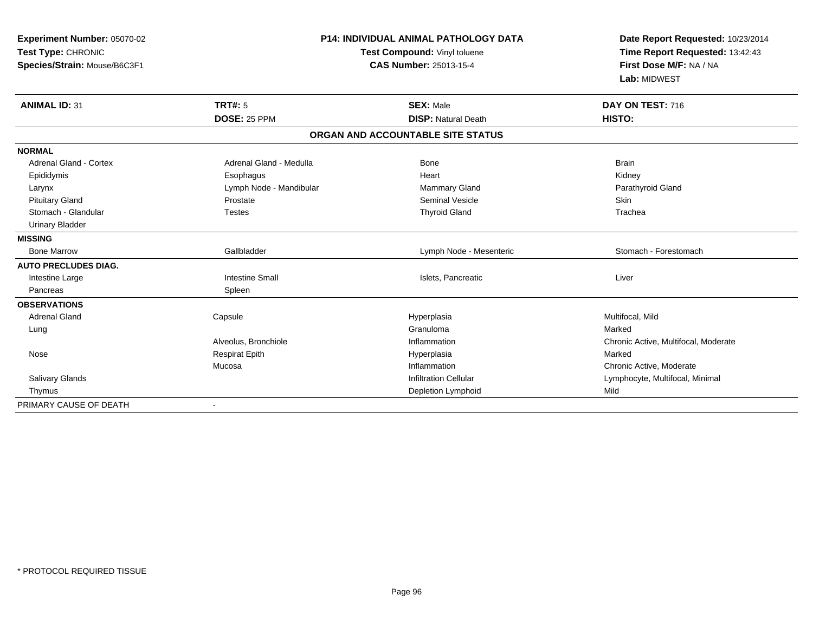| Experiment Number: 05070-02<br>Test Type: CHRONIC<br>Species/Strain: Mouse/B6C3F1 |                         | <b>P14: INDIVIDUAL ANIMAL PATHOLOGY DATA</b><br>Test Compound: Vinyl toluene<br><b>CAS Number: 25013-15-4</b> | Date Report Requested: 10/23/2014<br>Time Report Requested: 13:42:43<br>First Dose M/F: NA / NA<br>Lab: MIDWEST |  |
|-----------------------------------------------------------------------------------|-------------------------|---------------------------------------------------------------------------------------------------------------|-----------------------------------------------------------------------------------------------------------------|--|
| <b>ANIMAL ID: 31</b>                                                              | <b>TRT#: 5</b>          | <b>SEX: Male</b>                                                                                              | DAY ON TEST: 716                                                                                                |  |
|                                                                                   | DOSE: 25 PPM            | <b>DISP: Natural Death</b>                                                                                    | HISTO:                                                                                                          |  |
|                                                                                   |                         | ORGAN AND ACCOUNTABLE SITE STATUS                                                                             |                                                                                                                 |  |
| <b>NORMAL</b>                                                                     |                         |                                                                                                               |                                                                                                                 |  |
| <b>Adrenal Gland - Cortex</b>                                                     | Adrenal Gland - Medulla | Bone                                                                                                          | <b>Brain</b>                                                                                                    |  |
| Epididymis                                                                        | Esophagus               | Heart                                                                                                         | Kidney                                                                                                          |  |
| Larynx                                                                            | Lymph Node - Mandibular | <b>Mammary Gland</b>                                                                                          | Parathyroid Gland                                                                                               |  |
| <b>Pituitary Gland</b>                                                            | Prostate                | <b>Seminal Vesicle</b>                                                                                        | Skin                                                                                                            |  |
| Stomach - Glandular                                                               | <b>Testes</b>           | <b>Thyroid Gland</b>                                                                                          | Trachea                                                                                                         |  |
| <b>Urinary Bladder</b>                                                            |                         |                                                                                                               |                                                                                                                 |  |
| <b>MISSING</b>                                                                    |                         |                                                                                                               |                                                                                                                 |  |
| <b>Bone Marrow</b>                                                                | Gallbladder             | Lymph Node - Mesenteric                                                                                       | Stomach - Forestomach                                                                                           |  |
| <b>AUTO PRECLUDES DIAG.</b>                                                       |                         |                                                                                                               |                                                                                                                 |  |
| Intestine Large                                                                   | <b>Intestine Small</b>  | Islets, Pancreatic                                                                                            | Liver                                                                                                           |  |
| Pancreas                                                                          | Spleen                  |                                                                                                               |                                                                                                                 |  |
| <b>OBSERVATIONS</b>                                                               |                         |                                                                                                               |                                                                                                                 |  |
| <b>Adrenal Gland</b>                                                              | Capsule                 | Hyperplasia                                                                                                   | Multifocal, Mild                                                                                                |  |
| Lung                                                                              |                         | Granuloma                                                                                                     | Marked                                                                                                          |  |
|                                                                                   | Alveolus, Bronchiole    | Inflammation                                                                                                  | Chronic Active, Multifocal, Moderate                                                                            |  |
| Nose                                                                              | <b>Respirat Epith</b>   | Hyperplasia                                                                                                   | Marked                                                                                                          |  |
|                                                                                   | Mucosa                  | Inflammation                                                                                                  | Chronic Active, Moderate                                                                                        |  |
| Salivary Glands                                                                   |                         | <b>Infiltration Cellular</b>                                                                                  | Lymphocyte, Multifocal, Minimal                                                                                 |  |
| Thymus                                                                            |                         | Depletion Lymphoid                                                                                            | Mild                                                                                                            |  |
| PRIMARY CAUSE OF DEATH                                                            | $\blacksquare$          |                                                                                                               |                                                                                                                 |  |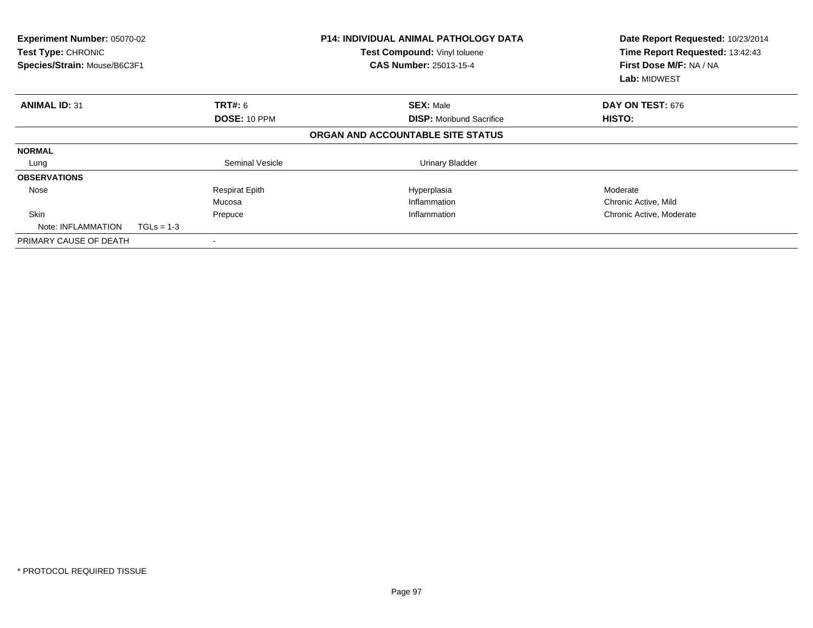| Experiment Number: 05070-02<br>Test Type: CHRONIC<br>Species/Strain: Mouse/B6C3F1 |                       | <b>P14: INDIVIDUAL ANIMAL PATHOLOGY DATA</b><br>Test Compound: Vinyl toluene<br><b>CAS Number: 25013-15-4</b> | Date Report Requested: 10/23/2014<br>Time Report Requested: 13:42:43<br>First Dose M/F: NA / NA<br>Lab: MIDWEST |
|-----------------------------------------------------------------------------------|-----------------------|---------------------------------------------------------------------------------------------------------------|-----------------------------------------------------------------------------------------------------------------|
| <b>ANIMAL ID: 31</b>                                                              | <b>TRT#: 6</b>        | <b>SEX: Male</b>                                                                                              | DAY ON TEST: 676                                                                                                |
|                                                                                   | DOSE: 10 PPM          | <b>DISP:</b> Moribund Sacrifice                                                                               | HISTO:                                                                                                          |
|                                                                                   |                       | ORGAN AND ACCOUNTABLE SITE STATUS                                                                             |                                                                                                                 |
| <b>NORMAL</b>                                                                     |                       |                                                                                                               |                                                                                                                 |
| Lung                                                                              | Seminal Vesicle       | <b>Urinary Bladder</b>                                                                                        |                                                                                                                 |
| <b>OBSERVATIONS</b>                                                               |                       |                                                                                                               |                                                                                                                 |
| Nose                                                                              | <b>Respirat Epith</b> | Hyperplasia                                                                                                   | Moderate                                                                                                        |
|                                                                                   | Mucosa                | Inflammation                                                                                                  | Chronic Active, Mild                                                                                            |
| <b>Skin</b>                                                                       | Prepuce               | Inflammation                                                                                                  | Chronic Active, Moderate                                                                                        |
| $TGLs = 1-3$<br>Note: INFLAMMATION                                                |                       |                                                                                                               |                                                                                                                 |
| PRIMARY CAUSE OF DEATH                                                            |                       |                                                                                                               |                                                                                                                 |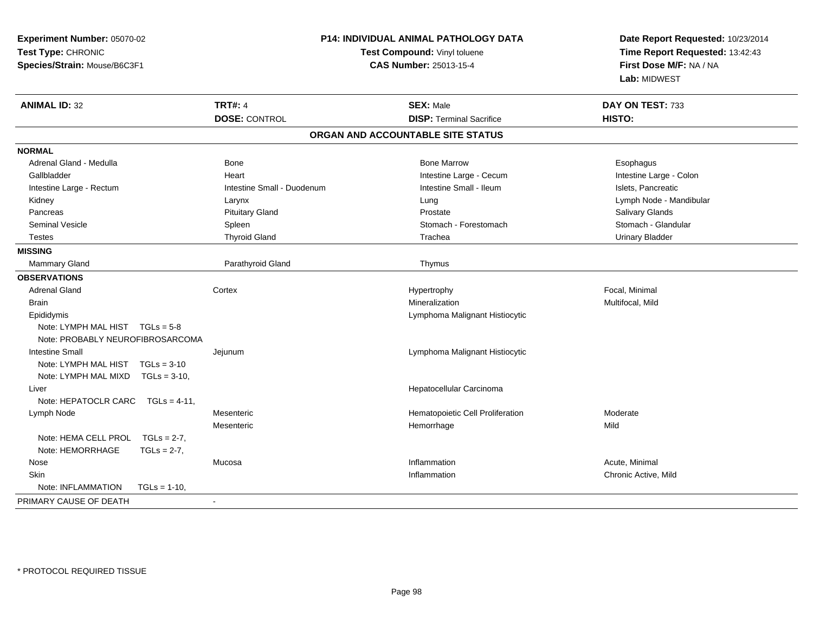| Experiment Number: 05070-02            |                                                               | P14: INDIVIDUAL ANIMAL PATHOLOGY DATA | Date Report Requested: 10/23/2014 |  |
|----------------------------------------|---------------------------------------------------------------|---------------------------------------|-----------------------------------|--|
| Test Type: CHRONIC                     | Test Compound: Vinyl toluene<br><b>CAS Number: 25013-15-4</b> |                                       | Time Report Requested: 13:42:43   |  |
| Species/Strain: Mouse/B6C3F1           |                                                               |                                       | First Dose M/F: NA / NA           |  |
|                                        |                                                               |                                       | Lab: MIDWEST                      |  |
| <b>ANIMAL ID: 32</b>                   | <b>TRT#: 4</b>                                                | <b>SEX: Male</b>                      | DAY ON TEST: 733                  |  |
|                                        | <b>DOSE: CONTROL</b>                                          | <b>DISP: Terminal Sacrifice</b>       | <b>HISTO:</b>                     |  |
|                                        |                                                               | ORGAN AND ACCOUNTABLE SITE STATUS     |                                   |  |
| <b>NORMAL</b>                          |                                                               |                                       |                                   |  |
| Adrenal Gland - Medulla                | <b>Bone</b>                                                   | <b>Bone Marrow</b>                    | Esophagus                         |  |
| Gallbladder                            | Heart                                                         | Intestine Large - Cecum               | Intestine Large - Colon           |  |
| Intestine Large - Rectum               | Intestine Small - Duodenum                                    | Intestine Small - Ileum               | Islets, Pancreatic                |  |
| Kidney                                 | Larynx                                                        | Lung                                  | Lymph Node - Mandibular           |  |
| Pancreas                               | <b>Pituitary Gland</b>                                        | Prostate                              | Salivary Glands                   |  |
| <b>Seminal Vesicle</b>                 | Spleen                                                        | Stomach - Forestomach                 | Stomach - Glandular               |  |
| <b>Testes</b>                          | <b>Thyroid Gland</b>                                          | Trachea                               | <b>Urinary Bladder</b>            |  |
| <b>MISSING</b>                         |                                                               |                                       |                                   |  |
| Mammary Gland                          | Parathyroid Gland                                             | Thymus                                |                                   |  |
| <b>OBSERVATIONS</b>                    |                                                               |                                       |                                   |  |
| <b>Adrenal Gland</b>                   | Cortex                                                        | Hypertrophy                           | Focal, Minimal                    |  |
| <b>Brain</b>                           |                                                               | Mineralization                        | Multifocal, Mild                  |  |
| Epididymis                             |                                                               | Lymphoma Malignant Histiocytic        |                                   |  |
| Note: LYMPH MAL HIST TGLs = 5-8        |                                                               |                                       |                                   |  |
| Note: PROBABLY NEUROFIBROSARCOMA       |                                                               |                                       |                                   |  |
| <b>Intestine Small</b>                 | Jejunum                                                       | Lymphoma Malignant Histiocytic        |                                   |  |
| Note: LYMPH MAL HIST<br>$TGLs = 3-10$  |                                                               |                                       |                                   |  |
| Note: LYMPH MAL MIXD TGLs = 3-10,      |                                                               |                                       |                                   |  |
| Liver                                  |                                                               | Hepatocellular Carcinoma              |                                   |  |
| Note: HEPATOCLR CARC<br>$TGLs = 4-11$  |                                                               |                                       |                                   |  |
| Lymph Node                             | Mesenteric                                                    | Hematopoietic Cell Proliferation      | Moderate                          |  |
|                                        | Mesenteric                                                    | Hemorrhage                            | Mild                              |  |
| Note: HEMA CELL PROL<br>$TGLs = 2-7$ , |                                                               |                                       |                                   |  |
| Note: HEMORRHAGE<br>$TGLs = 2-7$ ,     |                                                               |                                       |                                   |  |
| Nose                                   | Mucosa                                                        | Inflammation                          | Acute, Minimal                    |  |
| <b>Skin</b>                            |                                                               | Inflammation                          | Chronic Active, Mild              |  |
| Note: INFLAMMATION<br>$TGLs = 1-10$    |                                                               |                                       |                                   |  |
| PRIMARY CAUSE OF DEATH                 |                                                               |                                       |                                   |  |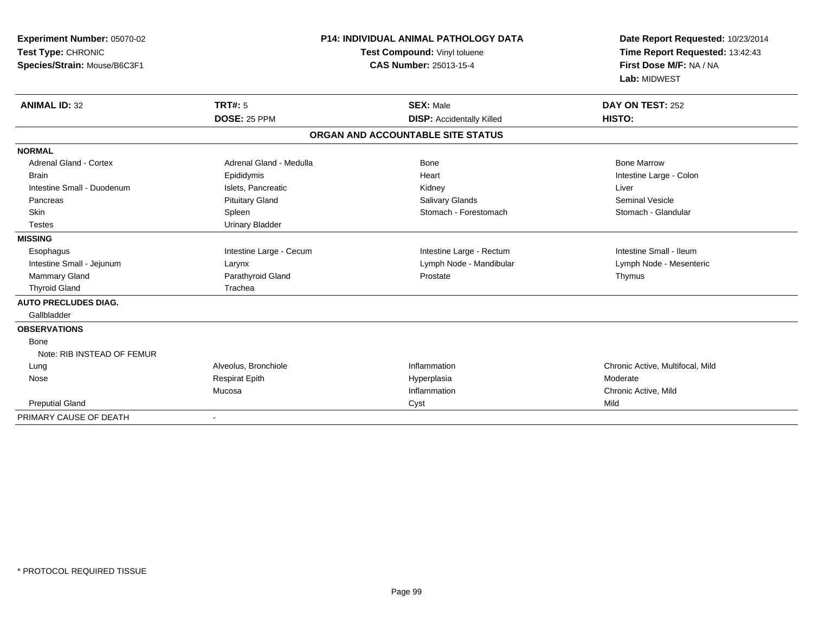| Experiment Number: 05070-02<br>Test Type: CHRONIC<br>Species/Strain: Mouse/B6C3F1 |                                | <b>P14: INDIVIDUAL ANIMAL PATHOLOGY DATA</b><br>Test Compound: Vinyl toluene<br><b>CAS Number: 25013-15-4</b> | Date Report Requested: 10/23/2014<br>Time Report Requested: 13:42:43<br>First Dose M/F: NA / NA<br>Lab: MIDWEST |
|-----------------------------------------------------------------------------------|--------------------------------|---------------------------------------------------------------------------------------------------------------|-----------------------------------------------------------------------------------------------------------------|
| <b>ANIMAL ID: 32</b>                                                              | <b>TRT#: 5</b><br>DOSE: 25 PPM | <b>SEX: Male</b><br><b>DISP:</b> Accidentally Killed                                                          | DAY ON TEST: 252<br>HISTO:                                                                                      |
|                                                                                   |                                | ORGAN AND ACCOUNTABLE SITE STATUS                                                                             |                                                                                                                 |
| <b>NORMAL</b>                                                                     |                                |                                                                                                               |                                                                                                                 |
| <b>Adrenal Gland - Cortex</b>                                                     | Adrenal Gland - Medulla        | <b>Bone</b>                                                                                                   | <b>Bone Marrow</b>                                                                                              |
| <b>Brain</b>                                                                      | Epididymis                     | Heart                                                                                                         | Intestine Large - Colon                                                                                         |
| Intestine Small - Duodenum                                                        | Islets, Pancreatic             | Kidney                                                                                                        | Liver                                                                                                           |
| Pancreas                                                                          | <b>Pituitary Gland</b>         | Salivary Glands                                                                                               | Seminal Vesicle                                                                                                 |
| <b>Skin</b>                                                                       | Spleen                         | Stomach - Forestomach                                                                                         | Stomach - Glandular                                                                                             |
| <b>Testes</b>                                                                     | <b>Urinary Bladder</b>         |                                                                                                               |                                                                                                                 |
| <b>MISSING</b>                                                                    |                                |                                                                                                               |                                                                                                                 |
| Esophagus                                                                         | Intestine Large - Cecum        | Intestine Large - Rectum                                                                                      | Intestine Small - Ileum                                                                                         |
| Intestine Small - Jejunum                                                         | Larynx                         | Lymph Node - Mandibular                                                                                       | Lymph Node - Mesenteric                                                                                         |
| Mammary Gland                                                                     | Parathyroid Gland              | Prostate                                                                                                      | Thymus                                                                                                          |
| <b>Thyroid Gland</b>                                                              | Trachea                        |                                                                                                               |                                                                                                                 |
| <b>AUTO PRECLUDES DIAG.</b>                                                       |                                |                                                                                                               |                                                                                                                 |
| Gallbladder                                                                       |                                |                                                                                                               |                                                                                                                 |
| <b>OBSERVATIONS</b>                                                               |                                |                                                                                                               |                                                                                                                 |
| <b>Bone</b>                                                                       |                                |                                                                                                               |                                                                                                                 |
| Note: RIB INSTEAD OF FEMUR                                                        |                                |                                                                                                               |                                                                                                                 |
| Lung                                                                              | Alveolus, Bronchiole           | Inflammation                                                                                                  | Chronic Active, Multifocal, Mild                                                                                |
| Nose                                                                              | <b>Respirat Epith</b>          | Hyperplasia                                                                                                   | Moderate                                                                                                        |
|                                                                                   | Mucosa                         | Inflammation                                                                                                  | Chronic Active, Mild                                                                                            |
| <b>Preputial Gland</b>                                                            |                                | Cyst                                                                                                          | Mild                                                                                                            |
| PRIMARY CAUSE OF DEATH                                                            | $\overline{\phantom{a}}$       |                                                                                                               |                                                                                                                 |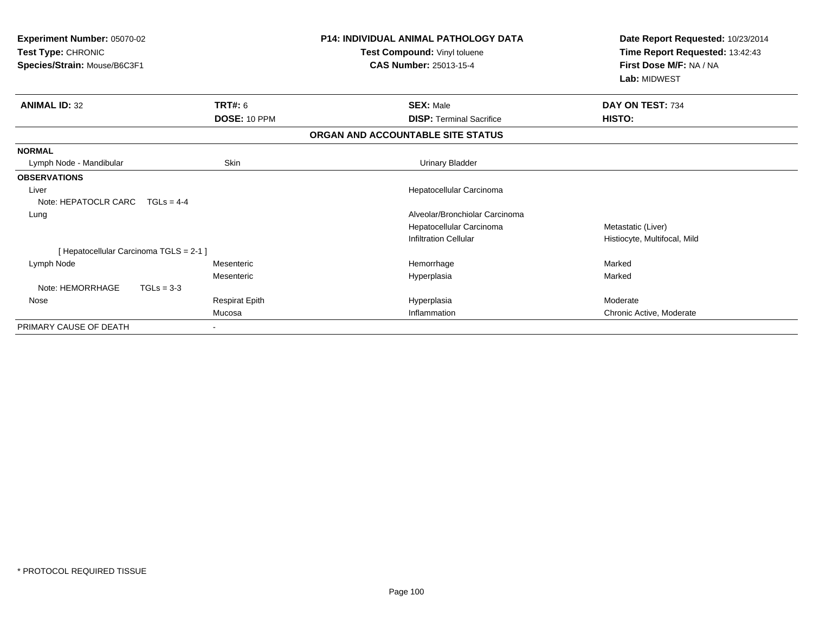| Experiment Number: 05070-02<br>Test Type: CHRONIC |              |                       | <b>P14: INDIVIDUAL ANIMAL PATHOLOGY DATA</b><br>Test Compound: Vinyl toluene | Date Report Requested: 10/23/2014<br>Time Report Requested: 13:42:43 |
|---------------------------------------------------|--------------|-----------------------|------------------------------------------------------------------------------|----------------------------------------------------------------------|
| Species/Strain: Mouse/B6C3F1                      |              |                       | <b>CAS Number: 25013-15-4</b>                                                | First Dose M/F: NA / NA                                              |
|                                                   |              |                       |                                                                              | Lab: MIDWEST                                                         |
| <b>ANIMAL ID: 32</b>                              |              | <b>TRT#: 6</b>        | <b>SEX: Male</b>                                                             | DAY ON TEST: 734                                                     |
|                                                   |              | DOSE: 10 PPM          | <b>DISP:</b> Terminal Sacrifice                                              | <b>HISTO:</b>                                                        |
|                                                   |              |                       | ORGAN AND ACCOUNTABLE SITE STATUS                                            |                                                                      |
| <b>NORMAL</b>                                     |              |                       |                                                                              |                                                                      |
| Lymph Node - Mandibular                           |              | Skin                  | <b>Urinary Bladder</b>                                                       |                                                                      |
| <b>OBSERVATIONS</b>                               |              |                       |                                                                              |                                                                      |
| Liver                                             |              |                       | Hepatocellular Carcinoma                                                     |                                                                      |
| Note: HEPATOCLR CARC                              | $TGLS = 4-4$ |                       |                                                                              |                                                                      |
| Lung                                              |              |                       | Alveolar/Bronchiolar Carcinoma                                               |                                                                      |
|                                                   |              |                       | Hepatocellular Carcinoma                                                     | Metastatic (Liver)                                                   |
|                                                   |              |                       | <b>Infiltration Cellular</b>                                                 | Histiocyte, Multifocal, Mild                                         |
| [ Hepatocellular Carcinoma TGLS = 2-1 ]           |              |                       |                                                                              |                                                                      |
| Lymph Node                                        |              | Mesenteric            | Hemorrhage                                                                   | Marked                                                               |
|                                                   |              | Mesenteric            | Hyperplasia                                                                  | Marked                                                               |
| Note: HEMORRHAGE                                  | $TGLs = 3-3$ |                       |                                                                              |                                                                      |
| Nose                                              |              | <b>Respirat Epith</b> | Hyperplasia                                                                  | Moderate                                                             |
|                                                   |              | Mucosa                | Inflammation                                                                 | Chronic Active, Moderate                                             |
| PRIMARY CAUSE OF DEATH                            |              |                       |                                                                              |                                                                      |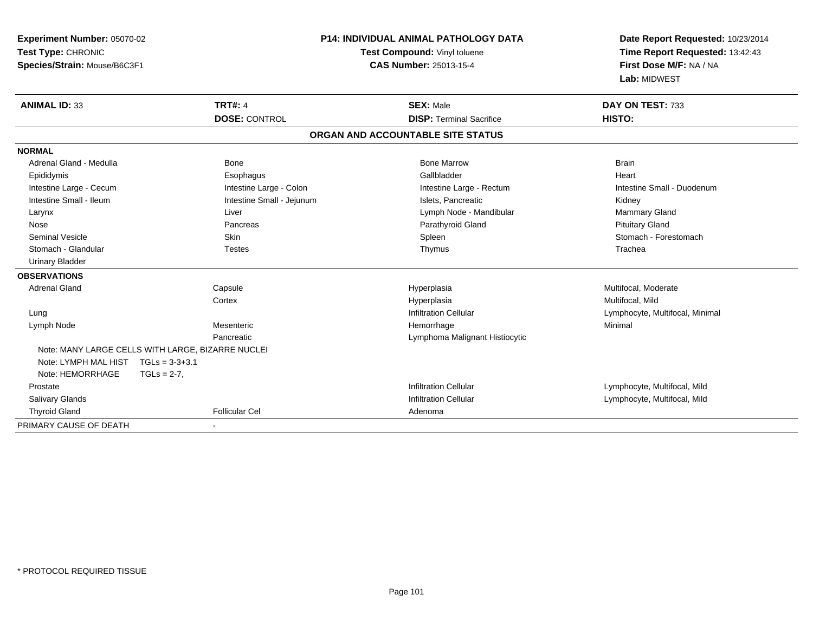| Experiment Number: 05070-02         |                                                   | <b>P14: INDIVIDUAL ANIMAL PATHOLOGY DATA</b> | Date Report Requested: 10/23/2014 |
|-------------------------------------|---------------------------------------------------|----------------------------------------------|-----------------------------------|
| Test Type: CHRONIC                  |                                                   | Test Compound: Vinyl toluene                 | Time Report Requested: 13:42:43   |
| Species/Strain: Mouse/B6C3F1        |                                                   | CAS Number: 25013-15-4                       | First Dose M/F: NA / NA           |
|                                     |                                                   |                                              | Lab: MIDWEST                      |
| <b>ANIMAL ID: 33</b>                | <b>TRT#: 4</b>                                    | <b>SEX: Male</b>                             | DAY ON TEST: 733                  |
|                                     | <b>DOSE: CONTROL</b>                              | <b>DISP: Terminal Sacrifice</b>              | HISTO:                            |
|                                     |                                                   | ORGAN AND ACCOUNTABLE SITE STATUS            |                                   |
| <b>NORMAL</b>                       |                                                   |                                              |                                   |
| Adrenal Gland - Medulla             | Bone                                              | <b>Bone Marrow</b>                           | <b>Brain</b>                      |
| Epididymis                          | Esophagus                                         | Gallbladder                                  | Heart                             |
| Intestine Large - Cecum             | Intestine Large - Colon                           | Intestine Large - Rectum                     | Intestine Small - Duodenum        |
| Intestine Small - Ileum             | Intestine Small - Jejunum                         | Islets, Pancreatic                           | Kidney                            |
| Larynx                              | Liver                                             | Lymph Node - Mandibular                      | Mammary Gland                     |
| Nose                                | Pancreas                                          | Parathyroid Gland                            | <b>Pituitary Gland</b>            |
| <b>Seminal Vesicle</b>              | Skin                                              | Spleen                                       | Stomach - Forestomach             |
| Stomach - Glandular                 | <b>Testes</b>                                     | Thymus                                       | Trachea                           |
| <b>Urinary Bladder</b>              |                                                   |                                              |                                   |
| <b>OBSERVATIONS</b>                 |                                                   |                                              |                                   |
| <b>Adrenal Gland</b>                | Capsule                                           | Hyperplasia                                  | Multifocal. Moderate              |
|                                     | Cortex                                            | Hyperplasia                                  | Multifocal, Mild                  |
| Lung                                |                                                   | <b>Infiltration Cellular</b>                 | Lymphocyte, Multifocal, Minimal   |
| Lymph Node                          | Mesenteric                                        | Hemorrhage                                   | Minimal                           |
|                                     | Pancreatic                                        | Lymphoma Malignant Histiocytic               |                                   |
|                                     | Note: MANY LARGE CELLS WITH LARGE, BIZARRE NUCLEI |                                              |                                   |
| Note: LYMPH MAL HIST TGLs = 3-3+3.1 |                                                   |                                              |                                   |
| Note: HEMORRHAGE                    | $TGLs = 2-7$ .                                    |                                              |                                   |
| Prostate                            |                                                   | <b>Infiltration Cellular</b>                 | Lymphocyte, Multifocal, Mild      |
| <b>Salivary Glands</b>              |                                                   | <b>Infiltration Cellular</b>                 | Lymphocyte, Multifocal, Mild      |
| <b>Thyroid Gland</b>                | <b>Follicular Cel</b>                             | Adenoma                                      |                                   |
| PRIMARY CAUSE OF DEATH              |                                                   |                                              |                                   |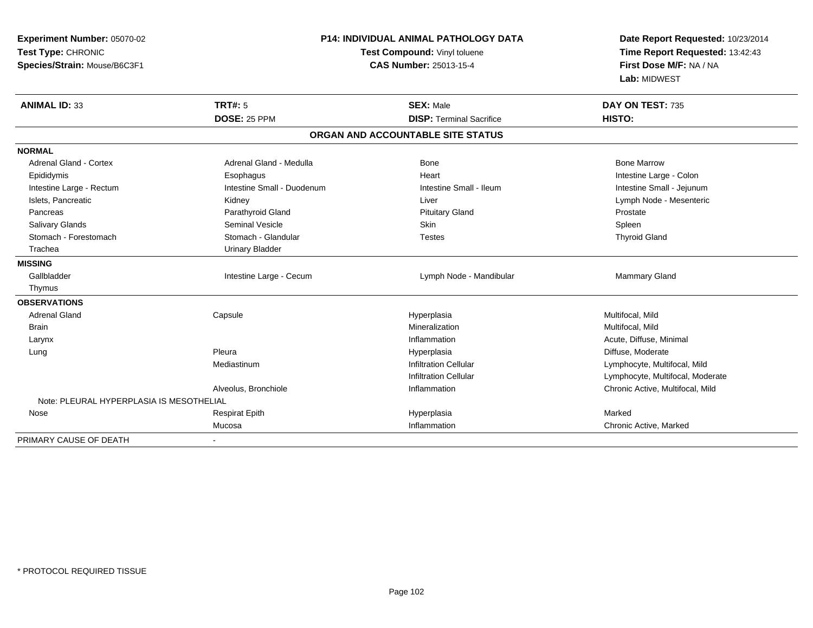| <b>Experiment Number: 05070-02</b><br>Test Type: CHRONIC<br>Species/Strain: Mouse/B6C3F1 | <b>P14: INDIVIDUAL ANIMAL PATHOLOGY DATA</b><br>Test Compound: Vinyl toluene<br><b>CAS Number: 25013-15-4</b> |                                   | Date Report Requested: 10/23/2014<br>Time Report Requested: 13:42:43<br>First Dose M/F: NA / NA<br>Lab: MIDWEST |  |
|------------------------------------------------------------------------------------------|---------------------------------------------------------------------------------------------------------------|-----------------------------------|-----------------------------------------------------------------------------------------------------------------|--|
| <b>ANIMAL ID: 33</b>                                                                     | <b>TRT#: 5</b>                                                                                                | <b>SEX: Male</b>                  | DAY ON TEST: 735                                                                                                |  |
|                                                                                          | DOSE: 25 PPM                                                                                                  | <b>DISP: Terminal Sacrifice</b>   | HISTO:                                                                                                          |  |
|                                                                                          |                                                                                                               | ORGAN AND ACCOUNTABLE SITE STATUS |                                                                                                                 |  |
| <b>NORMAL</b>                                                                            |                                                                                                               |                                   |                                                                                                                 |  |
| Adrenal Gland - Cortex                                                                   | Adrenal Gland - Medulla                                                                                       | Bone                              | <b>Bone Marrow</b>                                                                                              |  |
| Epididymis                                                                               | Esophagus                                                                                                     | Heart                             | Intestine Large - Colon                                                                                         |  |
| Intestine Large - Rectum                                                                 | Intestine Small - Duodenum                                                                                    | Intestine Small - Ileum           | Intestine Small - Jejunum                                                                                       |  |
| Islets, Pancreatic                                                                       | Kidney                                                                                                        | Liver                             | Lymph Node - Mesenteric                                                                                         |  |
| Pancreas                                                                                 | Parathyroid Gland                                                                                             | <b>Pituitary Gland</b>            | Prostate                                                                                                        |  |
| <b>Salivary Glands</b>                                                                   | <b>Seminal Vesicle</b>                                                                                        | Skin                              | Spleen                                                                                                          |  |
| Stomach - Forestomach                                                                    | Stomach - Glandular                                                                                           | <b>Testes</b>                     | <b>Thyroid Gland</b>                                                                                            |  |
| Trachea                                                                                  | <b>Urinary Bladder</b>                                                                                        |                                   |                                                                                                                 |  |
| <b>MISSING</b>                                                                           |                                                                                                               |                                   |                                                                                                                 |  |
| Gallbladder                                                                              | Intestine Large - Cecum                                                                                       | Lymph Node - Mandibular           | <b>Mammary Gland</b>                                                                                            |  |
| Thymus                                                                                   |                                                                                                               |                                   |                                                                                                                 |  |
| <b>OBSERVATIONS</b>                                                                      |                                                                                                               |                                   |                                                                                                                 |  |
| <b>Adrenal Gland</b>                                                                     | Capsule                                                                                                       | Hyperplasia                       | Multifocal, Mild                                                                                                |  |
| <b>Brain</b>                                                                             |                                                                                                               | Mineralization                    | Multifocal, Mild                                                                                                |  |
| Larynx                                                                                   |                                                                                                               | Inflammation                      | Acute, Diffuse, Minimal                                                                                         |  |
| Lung                                                                                     | Pleura                                                                                                        | Hyperplasia                       | Diffuse, Moderate                                                                                               |  |
|                                                                                          | Mediastinum                                                                                                   | <b>Infiltration Cellular</b>      | Lymphocyte, Multifocal, Mild                                                                                    |  |
|                                                                                          |                                                                                                               | <b>Infiltration Cellular</b>      | Lymphocyte, Multifocal, Moderate                                                                                |  |
|                                                                                          | Alveolus, Bronchiole                                                                                          | Inflammation                      | Chronic Active, Multifocal, Mild                                                                                |  |
| Note: PLEURAL HYPERPLASIA IS MESOTHELIAL                                                 |                                                                                                               |                                   |                                                                                                                 |  |
| Nose                                                                                     | <b>Respirat Epith</b>                                                                                         | Hyperplasia                       | Marked                                                                                                          |  |
|                                                                                          | Mucosa                                                                                                        | Inflammation                      | Chronic Active, Marked                                                                                          |  |
| PRIMARY CAUSE OF DEATH                                                                   | $\blacksquare$                                                                                                |                                   |                                                                                                                 |  |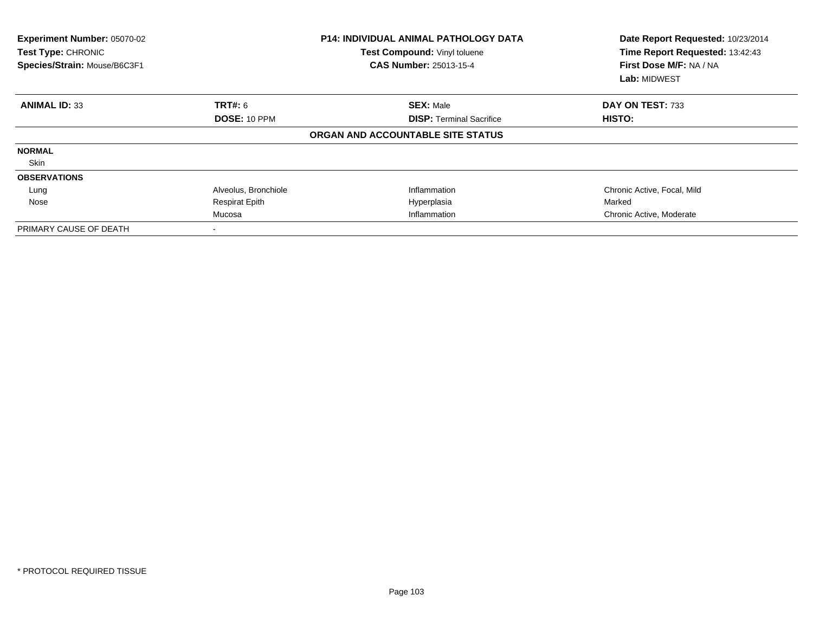| <b>Experiment Number: 05070-02</b><br>Test Type: CHRONIC<br>Species/Strain: Mouse/B6C3F1 |                       | <b>P14: INDIVIDUAL ANIMAL PATHOLOGY DATA</b><br>Test Compound: Vinyl toluene<br><b>CAS Number: 25013-15-4</b> | Date Report Requested: 10/23/2014<br>Time Report Requested: 13:42:43<br>First Dose M/F: NA / NA<br>Lab: MIDWEST |
|------------------------------------------------------------------------------------------|-----------------------|---------------------------------------------------------------------------------------------------------------|-----------------------------------------------------------------------------------------------------------------|
| <b>ANIMAL ID: 33</b>                                                                     | <b>TRT#: 6</b>        | <b>SEX: Male</b>                                                                                              | DAY ON TEST: 733                                                                                                |
|                                                                                          | DOSE: 10 PPM          | <b>DISP:</b> Terminal Sacrifice                                                                               | HISTO:                                                                                                          |
|                                                                                          |                       | ORGAN AND ACCOUNTABLE SITE STATUS                                                                             |                                                                                                                 |
| <b>NORMAL</b>                                                                            |                       |                                                                                                               |                                                                                                                 |
| Skin                                                                                     |                       |                                                                                                               |                                                                                                                 |
| <b>OBSERVATIONS</b>                                                                      |                       |                                                                                                               |                                                                                                                 |
| Lung                                                                                     | Alveolus, Bronchiole  | Inflammation                                                                                                  | Chronic Active, Focal, Mild                                                                                     |
| Nose                                                                                     | <b>Respirat Epith</b> | Hyperplasia                                                                                                   | Marked                                                                                                          |
|                                                                                          | Mucosa                | Inflammation                                                                                                  | Chronic Active, Moderate                                                                                        |
| PRIMARY CAUSE OF DEATH                                                                   | $\blacksquare$        |                                                                                                               |                                                                                                                 |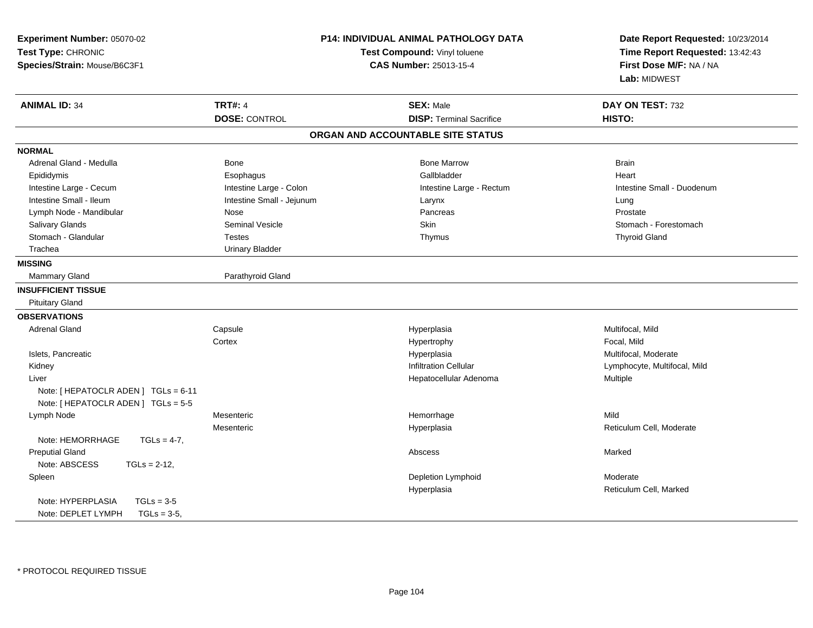| <b>TRT#: 4</b><br><b>ANIMAL ID: 34</b><br><b>SEX: Male</b><br><b>DOSE: CONTROL</b><br><b>DISP: Terminal Sacrifice</b><br>ORGAN AND ACCOUNTABLE SITE STATUS<br><b>NORMAL</b><br>Adrenal Gland - Medulla<br>Bone<br><b>Bone Marrow</b><br>Gallbladder<br>Epididymis<br>Esophagus<br>Intestine Large - Cecum<br>Intestine Large - Colon<br>Intestine Large - Rectum<br>Intestine Small - Ileum<br>Intestine Small - Jejunum<br>Larynx<br>Lymph Node - Mandibular<br>Nose<br>Pancreas<br><b>Salivary Glands</b><br><b>Seminal Vesicle</b><br><b>Skin</b><br>Stomach - Glandular<br>Testes<br>Thymus<br>Trachea<br><b>Urinary Bladder</b><br><b>MISSING</b><br>Parathyroid Gland<br><b>Mammary Gland</b><br><b>INSUFFICIENT TISSUE</b><br><b>Pituitary Gland</b><br><b>OBSERVATIONS</b><br>Capsule<br><b>Adrenal Gland</b><br>Hyperplasia<br>Cortex<br>Hypertrophy<br>Islets, Pancreatic<br>Hyperplasia | DAY ON TEST: 732<br>HISTO:<br><b>Brain</b><br>Heart<br>Intestine Small - Duodenum<br>Lung<br>Prostate |
|----------------------------------------------------------------------------------------------------------------------------------------------------------------------------------------------------------------------------------------------------------------------------------------------------------------------------------------------------------------------------------------------------------------------------------------------------------------------------------------------------------------------------------------------------------------------------------------------------------------------------------------------------------------------------------------------------------------------------------------------------------------------------------------------------------------------------------------------------------------------------------------------------|-------------------------------------------------------------------------------------------------------|
|                                                                                                                                                                                                                                                                                                                                                                                                                                                                                                                                                                                                                                                                                                                                                                                                                                                                                                    |                                                                                                       |
|                                                                                                                                                                                                                                                                                                                                                                                                                                                                                                                                                                                                                                                                                                                                                                                                                                                                                                    |                                                                                                       |
|                                                                                                                                                                                                                                                                                                                                                                                                                                                                                                                                                                                                                                                                                                                                                                                                                                                                                                    |                                                                                                       |
|                                                                                                                                                                                                                                                                                                                                                                                                                                                                                                                                                                                                                                                                                                                                                                                                                                                                                                    |                                                                                                       |
|                                                                                                                                                                                                                                                                                                                                                                                                                                                                                                                                                                                                                                                                                                                                                                                                                                                                                                    |                                                                                                       |
|                                                                                                                                                                                                                                                                                                                                                                                                                                                                                                                                                                                                                                                                                                                                                                                                                                                                                                    |                                                                                                       |
|                                                                                                                                                                                                                                                                                                                                                                                                                                                                                                                                                                                                                                                                                                                                                                                                                                                                                                    |                                                                                                       |
|                                                                                                                                                                                                                                                                                                                                                                                                                                                                                                                                                                                                                                                                                                                                                                                                                                                                                                    |                                                                                                       |
|                                                                                                                                                                                                                                                                                                                                                                                                                                                                                                                                                                                                                                                                                                                                                                                                                                                                                                    |                                                                                                       |
|                                                                                                                                                                                                                                                                                                                                                                                                                                                                                                                                                                                                                                                                                                                                                                                                                                                                                                    | Stomach - Forestomach                                                                                 |
|                                                                                                                                                                                                                                                                                                                                                                                                                                                                                                                                                                                                                                                                                                                                                                                                                                                                                                    | <b>Thyroid Gland</b>                                                                                  |
|                                                                                                                                                                                                                                                                                                                                                                                                                                                                                                                                                                                                                                                                                                                                                                                                                                                                                                    |                                                                                                       |
|                                                                                                                                                                                                                                                                                                                                                                                                                                                                                                                                                                                                                                                                                                                                                                                                                                                                                                    |                                                                                                       |
|                                                                                                                                                                                                                                                                                                                                                                                                                                                                                                                                                                                                                                                                                                                                                                                                                                                                                                    |                                                                                                       |
|                                                                                                                                                                                                                                                                                                                                                                                                                                                                                                                                                                                                                                                                                                                                                                                                                                                                                                    |                                                                                                       |
|                                                                                                                                                                                                                                                                                                                                                                                                                                                                                                                                                                                                                                                                                                                                                                                                                                                                                                    |                                                                                                       |
|                                                                                                                                                                                                                                                                                                                                                                                                                                                                                                                                                                                                                                                                                                                                                                                                                                                                                                    |                                                                                                       |
|                                                                                                                                                                                                                                                                                                                                                                                                                                                                                                                                                                                                                                                                                                                                                                                                                                                                                                    | Multifocal, Mild                                                                                      |
|                                                                                                                                                                                                                                                                                                                                                                                                                                                                                                                                                                                                                                                                                                                                                                                                                                                                                                    | Focal, Mild                                                                                           |
|                                                                                                                                                                                                                                                                                                                                                                                                                                                                                                                                                                                                                                                                                                                                                                                                                                                                                                    | Multifocal, Moderate                                                                                  |
| Kidney<br><b>Infiltration Cellular</b>                                                                                                                                                                                                                                                                                                                                                                                                                                                                                                                                                                                                                                                                                                                                                                                                                                                             | Lymphocyte, Multifocal, Mild                                                                          |
| Liver<br>Hepatocellular Adenoma                                                                                                                                                                                                                                                                                                                                                                                                                                                                                                                                                                                                                                                                                                                                                                                                                                                                    | <b>Multiple</b>                                                                                       |
| Note: [ HEPATOCLR ADEN ] TGLs = 6-11                                                                                                                                                                                                                                                                                                                                                                                                                                                                                                                                                                                                                                                                                                                                                                                                                                                               |                                                                                                       |
| Note: [ HEPATOCLR ADEN ] TGLs = 5-5                                                                                                                                                                                                                                                                                                                                                                                                                                                                                                                                                                                                                                                                                                                                                                                                                                                                |                                                                                                       |
| Lymph Node<br>Mesenteric<br>Hemorrhage                                                                                                                                                                                                                                                                                                                                                                                                                                                                                                                                                                                                                                                                                                                                                                                                                                                             | Mild                                                                                                  |
| Mesenteric<br>Hyperplasia                                                                                                                                                                                                                                                                                                                                                                                                                                                                                                                                                                                                                                                                                                                                                                                                                                                                          | Reticulum Cell, Moderate                                                                              |
| Note: HEMORRHAGE<br>$TGLs = 4-7$ ,                                                                                                                                                                                                                                                                                                                                                                                                                                                                                                                                                                                                                                                                                                                                                                                                                                                                 |                                                                                                       |
| <b>Preputial Gland</b><br>Abscess                                                                                                                                                                                                                                                                                                                                                                                                                                                                                                                                                                                                                                                                                                                                                                                                                                                                  | Marked                                                                                                |
| Note: ABSCESS<br>$TGLs = 2-12$ .                                                                                                                                                                                                                                                                                                                                                                                                                                                                                                                                                                                                                                                                                                                                                                                                                                                                   |                                                                                                       |
| Depletion Lymphoid<br>Spleen                                                                                                                                                                                                                                                                                                                                                                                                                                                                                                                                                                                                                                                                                                                                                                                                                                                                       | Moderate                                                                                              |
| Hyperplasia                                                                                                                                                                                                                                                                                                                                                                                                                                                                                                                                                                                                                                                                                                                                                                                                                                                                                        | Reticulum Cell, Marked                                                                                |
| Note: HYPERPLASIA<br>$TGLs = 3-5$                                                                                                                                                                                                                                                                                                                                                                                                                                                                                                                                                                                                                                                                                                                                                                                                                                                                  |                                                                                                       |
| Note: DEPLET LYMPH<br>$TGLs = 3-5$                                                                                                                                                                                                                                                                                                                                                                                                                                                                                                                                                                                                                                                                                                                                                                                                                                                                 |                                                                                                       |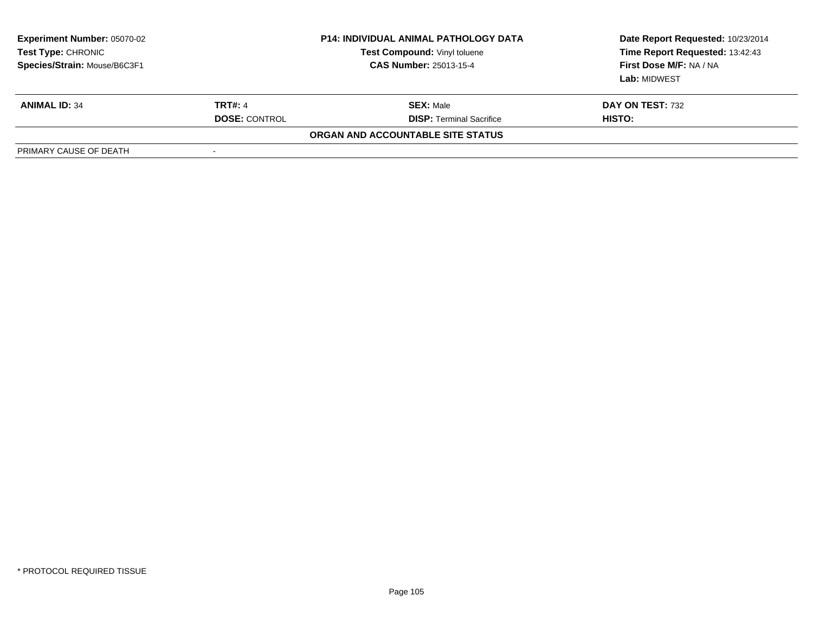| <b>Experiment Number: 05070-02</b><br>Test Type: CHRONIC<br>Species/Strain: Mouse/B6C3F1 |                          | <b>P14: INDIVIDUAL ANIMAL PATHOLOGY DATA</b><br>Test Compound: Vinyl toluene<br><b>CAS Number: 25013-15-4</b> | Date Report Requested: 10/23/2014<br>Time Report Requested: 13:42:43<br>First Dose M/F: NA / NA<br>Lab: MIDWEST |
|------------------------------------------------------------------------------------------|--------------------------|---------------------------------------------------------------------------------------------------------------|-----------------------------------------------------------------------------------------------------------------|
| <b>ANIMAL ID: 34</b>                                                                     | <b>TRT#: 4</b>           | <b>SEX: Male</b>                                                                                              | DAY ON TEST: 732                                                                                                |
|                                                                                          | <b>DOSE: CONTROL</b>     | <b>DISP:</b> Terminal Sacrifice                                                                               | HISTO:                                                                                                          |
|                                                                                          |                          | ORGAN AND ACCOUNTABLE SITE STATUS                                                                             |                                                                                                                 |
| PRIMARY CAUSE OF DEATH                                                                   | $\overline{\phantom{a}}$ |                                                                                                               |                                                                                                                 |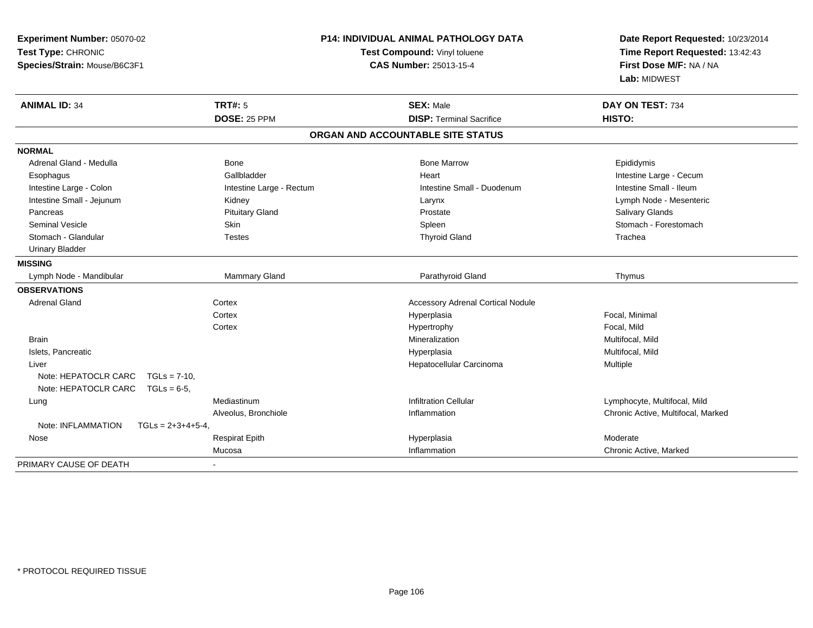| Experiment Number: 05070-02<br>Test Type: CHRONIC<br>Species/Strain: Mouse/B6C3F1 | <b>P14: INDIVIDUAL ANIMAL PATHOLOGY DATA</b><br>Test Compound: Vinyl toluene<br><b>CAS Number: 25013-15-4</b> |                                          | Date Report Requested: 10/23/2014<br>Time Report Requested: 13:42:43<br>First Dose M/F: NA / NA<br>Lab: MIDWEST |  |
|-----------------------------------------------------------------------------------|---------------------------------------------------------------------------------------------------------------|------------------------------------------|-----------------------------------------------------------------------------------------------------------------|--|
| <b>ANIMAL ID: 34</b>                                                              | <b>TRT#: 5</b>                                                                                                | <b>SEX: Male</b>                         | DAY ON TEST: 734                                                                                                |  |
|                                                                                   | <b>DOSE: 25 PPM</b>                                                                                           | <b>DISP: Terminal Sacrifice</b>          | HISTO:                                                                                                          |  |
|                                                                                   |                                                                                                               | ORGAN AND ACCOUNTABLE SITE STATUS        |                                                                                                                 |  |
| <b>NORMAL</b>                                                                     |                                                                                                               |                                          |                                                                                                                 |  |
| Adrenal Gland - Medulla                                                           | <b>Bone</b>                                                                                                   | <b>Bone Marrow</b>                       | Epididymis                                                                                                      |  |
| Esophagus                                                                         | Gallbladder                                                                                                   | Heart                                    | Intestine Large - Cecum                                                                                         |  |
| Intestine Large - Colon                                                           | Intestine Large - Rectum                                                                                      | Intestine Small - Duodenum               | Intestine Small - Ileum                                                                                         |  |
| Intestine Small - Jejunum                                                         | Kidney                                                                                                        | Larynx                                   | Lymph Node - Mesenteric                                                                                         |  |
| Pancreas                                                                          | <b>Pituitary Gland</b>                                                                                        | Prostate                                 | Salivary Glands                                                                                                 |  |
| Seminal Vesicle                                                                   | Skin                                                                                                          | Spleen                                   | Stomach - Forestomach                                                                                           |  |
| Stomach - Glandular                                                               | <b>Testes</b>                                                                                                 | <b>Thyroid Gland</b>                     | Trachea                                                                                                         |  |
| <b>Urinary Bladder</b>                                                            |                                                                                                               |                                          |                                                                                                                 |  |
| <b>MISSING</b>                                                                    |                                                                                                               |                                          |                                                                                                                 |  |
| Lymph Node - Mandibular                                                           | Mammary Gland                                                                                                 | Parathyroid Gland                        | Thymus                                                                                                          |  |
| <b>OBSERVATIONS</b>                                                               |                                                                                                               |                                          |                                                                                                                 |  |
| <b>Adrenal Gland</b>                                                              | Cortex                                                                                                        | <b>Accessory Adrenal Cortical Nodule</b> |                                                                                                                 |  |
|                                                                                   | Cortex                                                                                                        | Hyperplasia                              | Focal, Minimal                                                                                                  |  |
|                                                                                   | Cortex                                                                                                        | Hypertrophy                              | Focal, Mild                                                                                                     |  |
| <b>Brain</b>                                                                      |                                                                                                               | Mineralization                           | Multifocal, Mild                                                                                                |  |
| Islets, Pancreatic                                                                |                                                                                                               | Hyperplasia                              | Multifocal, Mild                                                                                                |  |
| Liver                                                                             |                                                                                                               | Hepatocellular Carcinoma                 | Multiple                                                                                                        |  |
| Note: HEPATOCLR CARC<br>$TGLs = 7-10$ ,<br>Note: HEPATOCLR CARC<br>$TGLs = 6-5$   |                                                                                                               |                                          |                                                                                                                 |  |
| Lung                                                                              | Mediastinum                                                                                                   | <b>Infiltration Cellular</b>             | Lymphocyte, Multifocal, Mild                                                                                    |  |
|                                                                                   | Alveolus, Bronchiole                                                                                          | Inflammation                             | Chronic Active, Multifocal, Marked                                                                              |  |
| Note: INFLAMMATION<br>$TGLs = 2+3+4+5-4$                                          |                                                                                                               |                                          |                                                                                                                 |  |
| Nose                                                                              | <b>Respirat Epith</b>                                                                                         | Hyperplasia                              | Moderate                                                                                                        |  |
|                                                                                   | Mucosa                                                                                                        | Inflammation                             | Chronic Active, Marked                                                                                          |  |
| PRIMARY CAUSE OF DEATH                                                            |                                                                                                               |                                          |                                                                                                                 |  |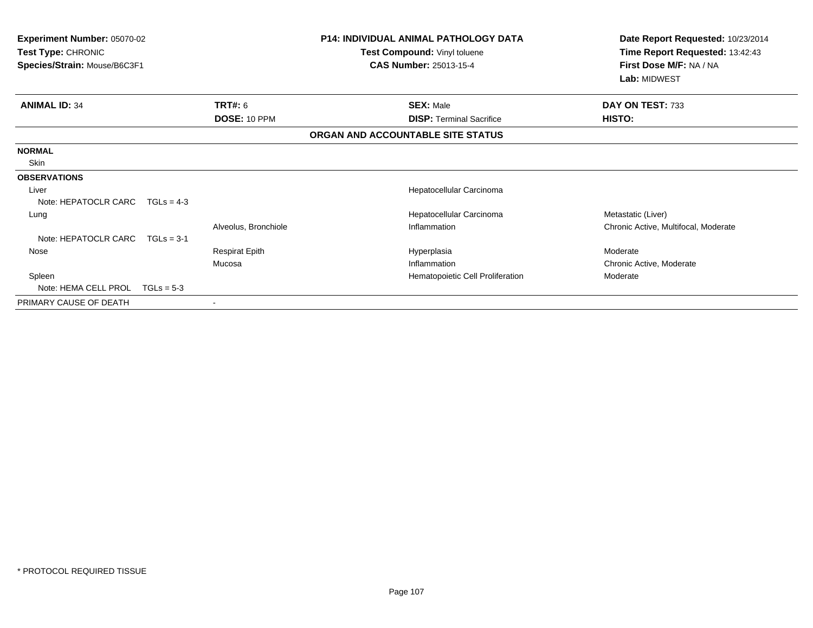| <b>Experiment Number: 05070-02</b><br>Test Type: CHRONIC<br>Species/Strain: Mouse/B6C3F1 |              |                         | P14: INDIVIDUAL ANIMAL PATHOLOGY DATA<br>Test Compound: Vinyl toluene<br><b>CAS Number: 25013-15-4</b> | Date Report Requested: 10/23/2014<br>Time Report Requested: 13:42:43<br>First Dose M/F: NA / NA<br>Lab: MIDWEST |
|------------------------------------------------------------------------------------------|--------------|-------------------------|--------------------------------------------------------------------------------------------------------|-----------------------------------------------------------------------------------------------------------------|
| <b>ANIMAL ID: 34</b>                                                                     |              | TRT#: 6<br>DOSE: 10 PPM | <b>SEX: Male</b><br><b>DISP: Terminal Sacrifice</b>                                                    | DAY ON TEST: 733<br><b>HISTO:</b>                                                                               |
|                                                                                          |              |                         | ORGAN AND ACCOUNTABLE SITE STATUS                                                                      |                                                                                                                 |
| <b>NORMAL</b>                                                                            |              |                         |                                                                                                        |                                                                                                                 |
| Skin                                                                                     |              |                         |                                                                                                        |                                                                                                                 |
| <b>OBSERVATIONS</b>                                                                      |              |                         |                                                                                                        |                                                                                                                 |
| Liver                                                                                    |              |                         | Hepatocellular Carcinoma                                                                               |                                                                                                                 |
| Note: HEPATOCLR CARC                                                                     | $TGLs = 4-3$ |                         |                                                                                                        |                                                                                                                 |
| Lung                                                                                     |              |                         | Hepatocellular Carcinoma                                                                               | Metastatic (Liver)                                                                                              |
|                                                                                          |              | Alveolus, Bronchiole    | Inflammation                                                                                           | Chronic Active, Multifocal, Moderate                                                                            |
| Note: HEPATOCLR CARC $TGLs = 3-1$                                                        |              |                         |                                                                                                        |                                                                                                                 |
| Nose                                                                                     |              | <b>Respirat Epith</b>   | Hyperplasia                                                                                            | Moderate                                                                                                        |
|                                                                                          |              | Mucosa                  | Inflammation                                                                                           | Chronic Active, Moderate                                                                                        |
| Spleen                                                                                   |              |                         | Hematopoietic Cell Proliferation                                                                       | Moderate                                                                                                        |
| Note: HEMA CELL PROL $TGLs = 5-3$                                                        |              |                         |                                                                                                        |                                                                                                                 |
| PRIMARY CAUSE OF DEATH                                                                   |              |                         |                                                                                                        |                                                                                                                 |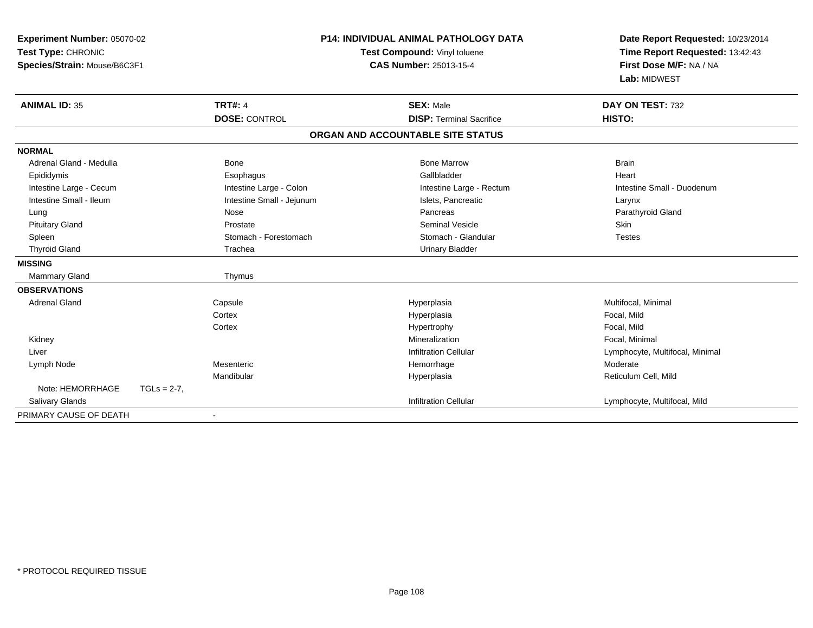| Experiment Number: 05070-02<br>Test Type: CHRONIC<br>Species/Strain: Mouse/B6C3F1 |                      | <b>P14: INDIVIDUAL ANIMAL PATHOLOGY DATA</b><br>Test Compound: Vinyl toluene<br><b>CAS Number: 25013-15-4</b> |                                   | Date Report Requested: 10/23/2014<br>Time Report Requested: 13:42:43<br>First Dose M/F: NA / NA<br>Lab: MIDWEST |  |
|-----------------------------------------------------------------------------------|----------------------|---------------------------------------------------------------------------------------------------------------|-----------------------------------|-----------------------------------------------------------------------------------------------------------------|--|
| <b>ANIMAL ID: 35</b>                                                              | <b>TRT#: 4</b>       |                                                                                                               | <b>SEX: Male</b>                  | DAY ON TEST: 732                                                                                                |  |
|                                                                                   | <b>DOSE: CONTROL</b> |                                                                                                               | <b>DISP: Terminal Sacrifice</b>   | HISTO:                                                                                                          |  |
|                                                                                   |                      |                                                                                                               | ORGAN AND ACCOUNTABLE SITE STATUS |                                                                                                                 |  |
| <b>NORMAL</b>                                                                     |                      |                                                                                                               |                                   |                                                                                                                 |  |
| Adrenal Gland - Medulla                                                           | <b>Bone</b>          |                                                                                                               | <b>Bone Marrow</b>                | <b>Brain</b>                                                                                                    |  |
| Epididymis                                                                        | Esophagus            |                                                                                                               | Gallbladder                       | Heart                                                                                                           |  |
| Intestine Large - Cecum                                                           |                      | Intestine Large - Colon                                                                                       | Intestine Large - Rectum          | Intestine Small - Duodenum                                                                                      |  |
| Intestine Small - Ileum                                                           |                      | Intestine Small - Jejunum                                                                                     | Islets, Pancreatic                | Larynx                                                                                                          |  |
| Lung                                                                              | Nose                 |                                                                                                               | Pancreas                          | Parathyroid Gland                                                                                               |  |
| <b>Pituitary Gland</b>                                                            | Prostate             |                                                                                                               | <b>Seminal Vesicle</b>            | Skin                                                                                                            |  |
| Spleen                                                                            |                      | Stomach - Forestomach                                                                                         | Stomach - Glandular               | <b>Testes</b>                                                                                                   |  |
| <b>Thyroid Gland</b>                                                              | Trachea              |                                                                                                               | <b>Urinary Bladder</b>            |                                                                                                                 |  |
| <b>MISSING</b>                                                                    |                      |                                                                                                               |                                   |                                                                                                                 |  |
| Mammary Gland                                                                     | Thymus               |                                                                                                               |                                   |                                                                                                                 |  |
| <b>OBSERVATIONS</b>                                                               |                      |                                                                                                               |                                   |                                                                                                                 |  |
| <b>Adrenal Gland</b>                                                              | Capsule              |                                                                                                               | Hyperplasia                       | Multifocal, Minimal                                                                                             |  |
|                                                                                   | Cortex               |                                                                                                               | Hyperplasia                       | Focal, Mild                                                                                                     |  |
|                                                                                   | Cortex               |                                                                                                               | Hypertrophy                       | Focal, Mild                                                                                                     |  |
| Kidney                                                                            |                      |                                                                                                               | Mineralization                    | Focal, Minimal                                                                                                  |  |
| Liver                                                                             |                      |                                                                                                               | <b>Infiltration Cellular</b>      | Lymphocyte, Multifocal, Minimal                                                                                 |  |
| Lymph Node                                                                        | Mesenteric           |                                                                                                               | Hemorrhage                        | Moderate                                                                                                        |  |
|                                                                                   | Mandibular           |                                                                                                               | Hyperplasia                       | Reticulum Cell, Mild                                                                                            |  |
| Note: HEMORRHAGE                                                                  | $TGLs = 2-7$ ,       |                                                                                                               |                                   |                                                                                                                 |  |
| Salivary Glands                                                                   |                      |                                                                                                               | <b>Infiltration Cellular</b>      | Lymphocyte, Multifocal, Mild                                                                                    |  |
| PRIMARY CAUSE OF DEATH                                                            | $\blacksquare$       |                                                                                                               |                                   |                                                                                                                 |  |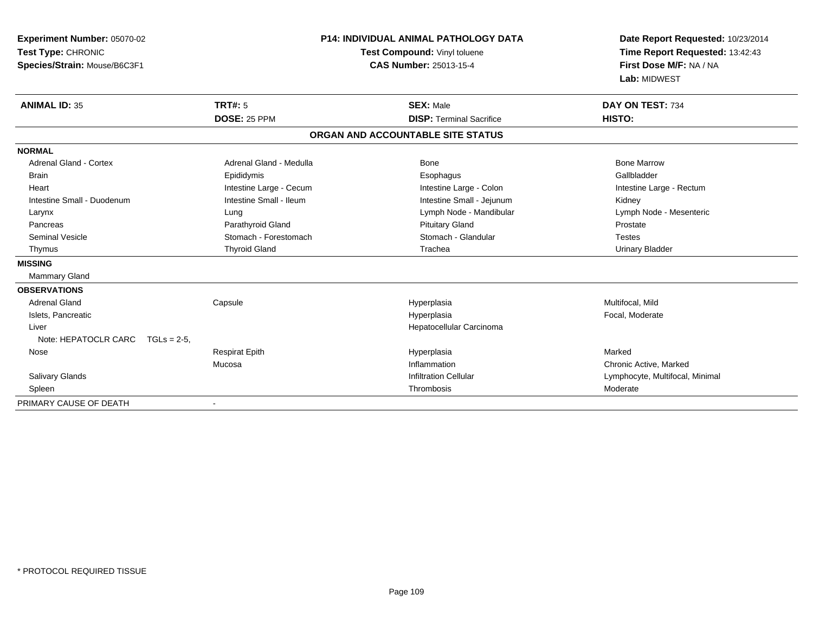| <b>Experiment Number: 05070-02</b><br>Test Type: CHRONIC |                         | <b>P14: INDIVIDUAL ANIMAL PATHOLOGY DATA</b><br>Test Compound: Vinyl toluene | Date Report Requested: 10/23/2014<br>Time Report Requested: 13:42:43<br>First Dose M/F: NA / NA<br>Lab: MIDWEST |  |
|----------------------------------------------------------|-------------------------|------------------------------------------------------------------------------|-----------------------------------------------------------------------------------------------------------------|--|
| Species/Strain: Mouse/B6C3F1                             |                         | <b>CAS Number: 25013-15-4</b>                                                |                                                                                                                 |  |
| <b>ANIMAL ID: 35</b>                                     | <b>TRT#: 5</b>          | <b>SEX: Male</b>                                                             | DAY ON TEST: 734                                                                                                |  |
|                                                          | DOSE: 25 PPM            | <b>DISP: Terminal Sacrifice</b>                                              | HISTO:                                                                                                          |  |
|                                                          |                         | ORGAN AND ACCOUNTABLE SITE STATUS                                            |                                                                                                                 |  |
| <b>NORMAL</b>                                            |                         |                                                                              |                                                                                                                 |  |
| <b>Adrenal Gland - Cortex</b>                            | Adrenal Gland - Medulla | Bone                                                                         | <b>Bone Marrow</b>                                                                                              |  |
| <b>Brain</b>                                             | Epididymis              | Esophagus                                                                    | Gallbladder                                                                                                     |  |
| Heart                                                    | Intestine Large - Cecum | Intestine Large - Colon                                                      | Intestine Large - Rectum                                                                                        |  |
| Intestine Small - Duodenum                               | Intestine Small - Ileum | Intestine Small - Jejunum                                                    | Kidney                                                                                                          |  |
| Larynx                                                   | Lung                    | Lymph Node - Mandibular                                                      | Lymph Node - Mesenteric                                                                                         |  |
| Pancreas                                                 | Parathyroid Gland       | <b>Pituitary Gland</b>                                                       | Prostate                                                                                                        |  |
| <b>Seminal Vesicle</b>                                   | Stomach - Forestomach   | Stomach - Glandular                                                          | <b>Testes</b>                                                                                                   |  |
| Thymus                                                   | <b>Thyroid Gland</b>    | Trachea                                                                      | <b>Urinary Bladder</b>                                                                                          |  |
| <b>MISSING</b>                                           |                         |                                                                              |                                                                                                                 |  |
| Mammary Gland                                            |                         |                                                                              |                                                                                                                 |  |
| <b>OBSERVATIONS</b>                                      |                         |                                                                              |                                                                                                                 |  |
| <b>Adrenal Gland</b>                                     | Capsule                 | Hyperplasia                                                                  | Multifocal, Mild                                                                                                |  |
| Islets, Pancreatic                                       |                         | Hyperplasia                                                                  | Focal, Moderate                                                                                                 |  |
| Liver                                                    |                         | Hepatocellular Carcinoma                                                     |                                                                                                                 |  |
| Note: HEPATOCLR CARC $TGLs = 2-5$ .                      |                         |                                                                              |                                                                                                                 |  |
| Nose                                                     | <b>Respirat Epith</b>   | Hyperplasia                                                                  | Marked                                                                                                          |  |
|                                                          | Mucosa                  | Inflammation                                                                 | Chronic Active, Marked                                                                                          |  |
| Salivary Glands                                          |                         | <b>Infiltration Cellular</b>                                                 | Lymphocyte, Multifocal, Minimal                                                                                 |  |
| Spleen                                                   |                         | Thrombosis                                                                   | Moderate                                                                                                        |  |
| PRIMARY CAUSE OF DEATH                                   |                         |                                                                              |                                                                                                                 |  |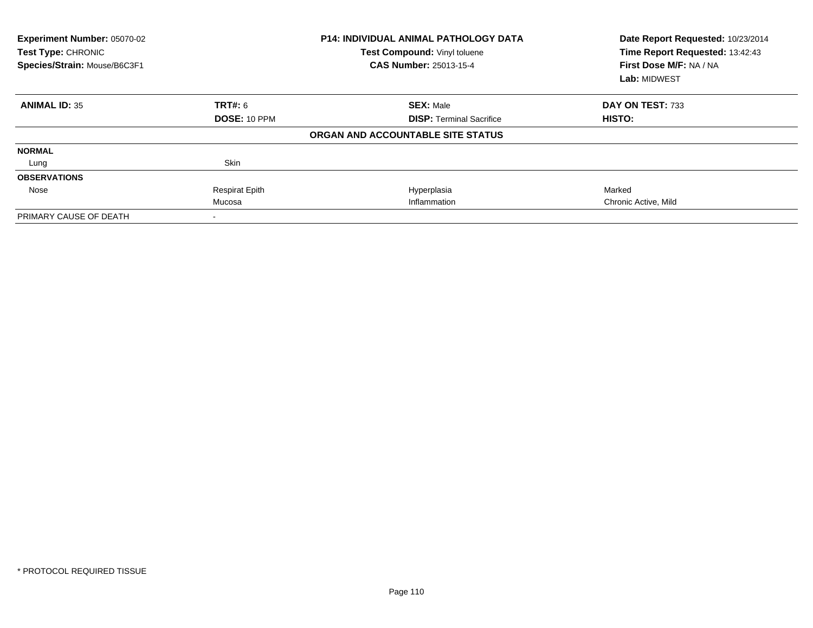| Experiment Number: 05070-02<br>Test Type: CHRONIC<br>Species/Strain: Mouse/B6C3F1 |                       | <b>P14: INDIVIDUAL ANIMAL PATHOLOGY DATA</b><br>Test Compound: Vinyl toluene<br><b>CAS Number: 25013-15-4</b> | Date Report Requested: 10/23/2014<br>Time Report Requested: 13:42:43<br>First Dose M/F: NA / NA<br>Lab: MIDWEST |
|-----------------------------------------------------------------------------------|-----------------------|---------------------------------------------------------------------------------------------------------------|-----------------------------------------------------------------------------------------------------------------|
| <b>ANIMAL ID: 35</b>                                                              | <b>TRT#: 6</b>        | <b>SEX: Male</b>                                                                                              | DAY ON TEST: 733                                                                                                |
|                                                                                   | DOSE: 10 PPM          | <b>DISP: Terminal Sacrifice</b>                                                                               | <b>HISTO:</b>                                                                                                   |
|                                                                                   |                       | ORGAN AND ACCOUNTABLE SITE STATUS                                                                             |                                                                                                                 |
| <b>NORMAL</b>                                                                     |                       |                                                                                                               |                                                                                                                 |
| Lung                                                                              | Skin                  |                                                                                                               |                                                                                                                 |
| <b>OBSERVATIONS</b>                                                               |                       |                                                                                                               |                                                                                                                 |
| Nose                                                                              | <b>Respirat Epith</b> | Hyperplasia                                                                                                   | Marked                                                                                                          |
|                                                                                   | Mucosa                | Inflammation                                                                                                  | Chronic Active, Mild                                                                                            |
| PRIMARY CAUSE OF DEATH                                                            |                       |                                                                                                               |                                                                                                                 |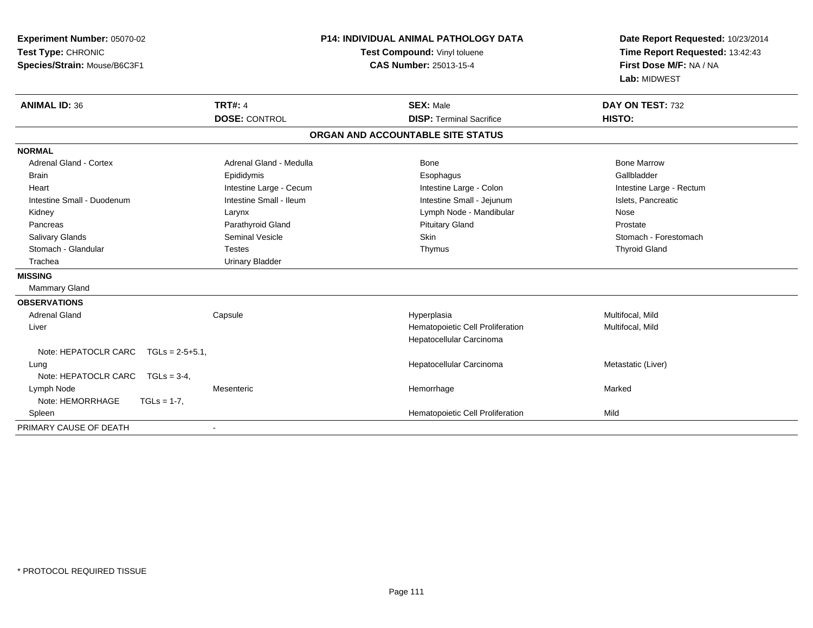| Experiment Number: 05070-02<br>Test Type: CHRONIC<br>Species/Strain: Mouse/B6C3F1 | P14: INDIVIDUAL ANIMAL PATHOLOGY DATA<br>Test Compound: Vinyl toluene<br><b>CAS Number: 25013-15-4</b> |                                                     | Date Report Requested: 10/23/2014<br>Time Report Requested: 13:42:43<br>First Dose M/F: NA / NA<br>Lab: MIDWEST |  |
|-----------------------------------------------------------------------------------|--------------------------------------------------------------------------------------------------------|-----------------------------------------------------|-----------------------------------------------------------------------------------------------------------------|--|
| <b>ANIMAL ID: 36</b>                                                              | <b>TRT#: 4</b><br><b>DOSE: CONTROL</b>                                                                 | <b>SEX: Male</b><br><b>DISP: Terminal Sacrifice</b> | DAY ON TEST: 732<br>HISTO:                                                                                      |  |
|                                                                                   |                                                                                                        | ORGAN AND ACCOUNTABLE SITE STATUS                   |                                                                                                                 |  |
| <b>NORMAL</b>                                                                     |                                                                                                        |                                                     |                                                                                                                 |  |
| <b>Adrenal Gland - Cortex</b>                                                     | Adrenal Gland - Medulla                                                                                | Bone                                                | <b>Bone Marrow</b>                                                                                              |  |
| <b>Brain</b>                                                                      | Epididymis                                                                                             | Esophagus                                           | Gallbladder                                                                                                     |  |
| Heart                                                                             | Intestine Large - Cecum                                                                                | Intestine Large - Colon                             | Intestine Large - Rectum                                                                                        |  |
| Intestine Small - Duodenum                                                        | Intestine Small - Ileum                                                                                | Intestine Small - Jejunum                           | Islets, Pancreatic                                                                                              |  |
| Kidney                                                                            | Larynx                                                                                                 | Lymph Node - Mandibular                             | Nose                                                                                                            |  |
| Pancreas                                                                          | Parathyroid Gland                                                                                      | <b>Pituitary Gland</b>                              | Prostate                                                                                                        |  |
| <b>Salivary Glands</b>                                                            | <b>Seminal Vesicle</b>                                                                                 | Skin                                                | Stomach - Forestomach                                                                                           |  |
| Stomach - Glandular                                                               | <b>Testes</b>                                                                                          | Thymus                                              | <b>Thyroid Gland</b>                                                                                            |  |
| Trachea                                                                           | <b>Urinary Bladder</b>                                                                                 |                                                     |                                                                                                                 |  |
| <b>MISSING</b>                                                                    |                                                                                                        |                                                     |                                                                                                                 |  |
| Mammary Gland                                                                     |                                                                                                        |                                                     |                                                                                                                 |  |
| <b>OBSERVATIONS</b>                                                               |                                                                                                        |                                                     |                                                                                                                 |  |
| <b>Adrenal Gland</b>                                                              | Capsule                                                                                                | Hyperplasia                                         | Multifocal, Mild                                                                                                |  |
| Liver                                                                             |                                                                                                        | Hematopoietic Cell Proliferation                    | Multifocal, Mild                                                                                                |  |
|                                                                                   |                                                                                                        | Hepatocellular Carcinoma                            |                                                                                                                 |  |
| Note: HEPATOCLR CARC<br>$TGLs = 2-5+5.1$                                          |                                                                                                        |                                                     |                                                                                                                 |  |
| Lung                                                                              |                                                                                                        | Hepatocellular Carcinoma                            | Metastatic (Liver)                                                                                              |  |
| Note: HEPATOCLR CARC<br>$TGLs = 3-4$                                              |                                                                                                        |                                                     |                                                                                                                 |  |
| Lymph Node                                                                        | Mesenteric                                                                                             | Hemorrhage                                          | Marked                                                                                                          |  |
| Note: HEMORRHAGE<br>$TGLs = 1-7$ ,                                                |                                                                                                        |                                                     |                                                                                                                 |  |
| Spleen                                                                            |                                                                                                        | Hematopoietic Cell Proliferation                    | Mild                                                                                                            |  |
| PRIMARY CAUSE OF DEATH                                                            | $\blacksquare$                                                                                         |                                                     |                                                                                                                 |  |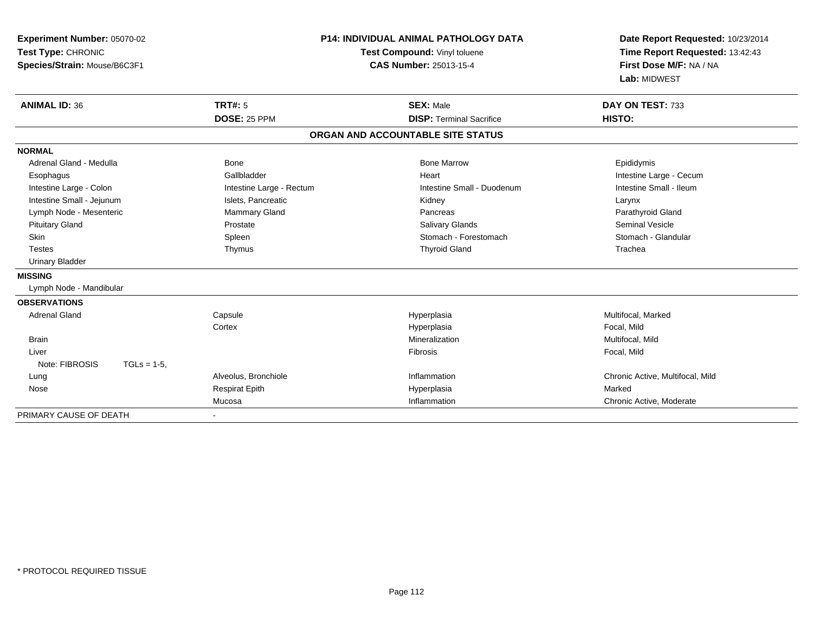| Experiment Number: 05070-02<br>Test Type: CHRONIC<br>Species/Strain: Mouse/B6C3F1 |                                       | <b>P14: INDIVIDUAL ANIMAL PATHOLOGY DATA</b><br>Test Compound: Vinyl toluene<br><b>CAS Number: 25013-15-4</b> | Date Report Requested: 10/23/2014<br>Time Report Requested: 13:42:43<br>First Dose M/F: NA / NA<br>Lab: MIDWEST |
|-----------------------------------------------------------------------------------|---------------------------------------|---------------------------------------------------------------------------------------------------------------|-----------------------------------------------------------------------------------------------------------------|
| <b>ANIMAL ID: 36</b>                                                              | <b>TRT#: 5</b><br><b>DOSE: 25 PPM</b> | <b>SEX: Male</b><br><b>DISP: Terminal Sacrifice</b>                                                           | DAY ON TEST: 733<br>HISTO:                                                                                      |
|                                                                                   |                                       | ORGAN AND ACCOUNTABLE SITE STATUS                                                                             |                                                                                                                 |
| <b>NORMAL</b>                                                                     |                                       |                                                                                                               |                                                                                                                 |
| Adrenal Gland - Medulla                                                           | Bone                                  | <b>Bone Marrow</b>                                                                                            | Epididymis                                                                                                      |
| Esophagus                                                                         | Gallbladder                           | Heart                                                                                                         | Intestine Large - Cecum                                                                                         |
| Intestine Large - Colon                                                           | Intestine Large - Rectum              | Intestine Small - Duodenum                                                                                    | Intestine Small - Ileum                                                                                         |
| Intestine Small - Jejunum                                                         | Islets, Pancreatic                    | Kidney                                                                                                        | Larynx                                                                                                          |
| Lymph Node - Mesenteric                                                           | Mammary Gland                         | Pancreas                                                                                                      | Parathyroid Gland                                                                                               |
| <b>Pituitary Gland</b>                                                            | Prostate                              | Salivary Glands                                                                                               | Seminal Vesicle                                                                                                 |
| <b>Skin</b>                                                                       | Spleen                                | Stomach - Forestomach                                                                                         | Stomach - Glandular                                                                                             |
| <b>Testes</b>                                                                     | Thymus                                | <b>Thyroid Gland</b>                                                                                          | Trachea                                                                                                         |
| <b>Urinary Bladder</b>                                                            |                                       |                                                                                                               |                                                                                                                 |
| <b>MISSING</b>                                                                    |                                       |                                                                                                               |                                                                                                                 |
| Lymph Node - Mandibular                                                           |                                       |                                                                                                               |                                                                                                                 |
| <b>OBSERVATIONS</b>                                                               |                                       |                                                                                                               |                                                                                                                 |
| <b>Adrenal Gland</b>                                                              | Capsule                               | Hyperplasia                                                                                                   | Multifocal, Marked                                                                                              |
|                                                                                   | Cortex                                | Hyperplasia                                                                                                   | Focal, Mild                                                                                                     |
| <b>Brain</b>                                                                      |                                       | Mineralization                                                                                                | Multifocal, Mild                                                                                                |
| Liver                                                                             |                                       | Fibrosis                                                                                                      | Focal, Mild                                                                                                     |
| Note: FIBROSIS<br>$TGLs = 1-5$ ,                                                  |                                       |                                                                                                               |                                                                                                                 |
| Lung                                                                              | Alveolus, Bronchiole                  | Inflammation                                                                                                  | Chronic Active, Multifocal, Mild                                                                                |
| Nose                                                                              | <b>Respirat Epith</b>                 | Hyperplasia                                                                                                   | Marked                                                                                                          |
|                                                                                   | Mucosa                                | Inflammation                                                                                                  | Chronic Active, Moderate                                                                                        |
| PRIMARY CAUSE OF DEATH                                                            |                                       |                                                                                                               |                                                                                                                 |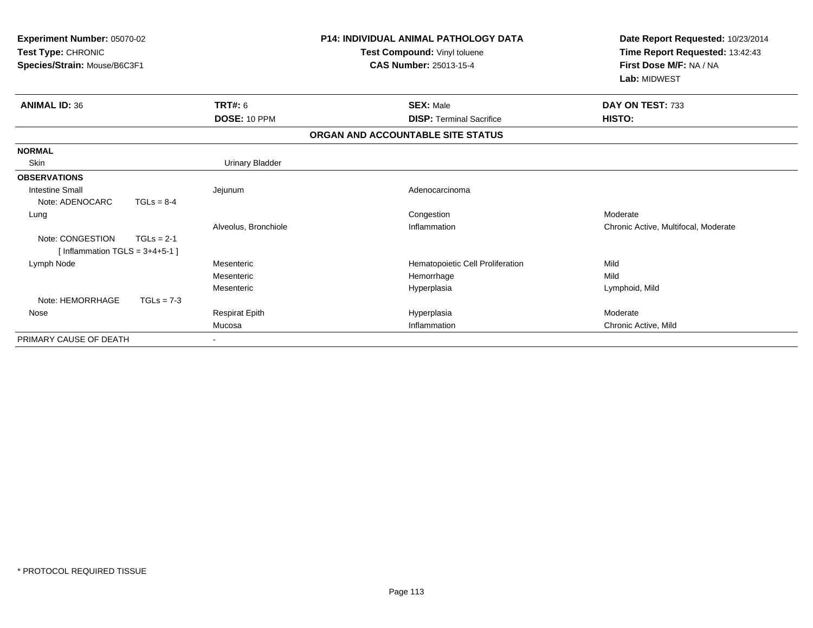| <b>Experiment Number: 05070-02</b><br>Test Type: CHRONIC<br>Species/Strain: Mouse/B6C3F1 |              |                        | <b>P14: INDIVIDUAL ANIMAL PATHOLOGY DATA</b><br>Date Report Requested: 10/23/2014<br>Time Report Requested: 13:42:43<br>Test Compound: Vinyl toluene<br>First Dose M/F: NA / NA<br><b>CAS Number: 25013-15-4</b><br>Lab: MIDWEST |                                      |
|------------------------------------------------------------------------------------------|--------------|------------------------|----------------------------------------------------------------------------------------------------------------------------------------------------------------------------------------------------------------------------------|--------------------------------------|
| <b>ANIMAL ID: 36</b>                                                                     |              | <b>TRT#: 6</b>         | <b>SEX: Male</b>                                                                                                                                                                                                                 | DAY ON TEST: 733                     |
|                                                                                          |              | DOSE: 10 PPM           | <b>DISP: Terminal Sacrifice</b>                                                                                                                                                                                                  | HISTO:                               |
|                                                                                          |              |                        | ORGAN AND ACCOUNTABLE SITE STATUS                                                                                                                                                                                                |                                      |
| <b>NORMAL</b>                                                                            |              |                        |                                                                                                                                                                                                                                  |                                      |
| Skin                                                                                     |              | <b>Urinary Bladder</b> |                                                                                                                                                                                                                                  |                                      |
| <b>OBSERVATIONS</b>                                                                      |              |                        |                                                                                                                                                                                                                                  |                                      |
| <b>Intestine Small</b>                                                                   |              | Jejunum                | Adenocarcinoma                                                                                                                                                                                                                   |                                      |
| Note: ADENOCARC                                                                          | $TGLs = 8-4$ |                        |                                                                                                                                                                                                                                  |                                      |
| Lung                                                                                     |              |                        | Congestion                                                                                                                                                                                                                       | Moderate                             |
|                                                                                          |              | Alveolus, Bronchiole   | Inflammation                                                                                                                                                                                                                     | Chronic Active, Multifocal, Moderate |
| Note: CONGESTION                                                                         | $TGLs = 2-1$ |                        |                                                                                                                                                                                                                                  |                                      |
| [Inflammation TGLS = $3+4+5-1$ ]                                                         |              |                        |                                                                                                                                                                                                                                  |                                      |
| Lymph Node                                                                               |              | Mesenteric             | Hematopoietic Cell Proliferation                                                                                                                                                                                                 | Mild                                 |
|                                                                                          |              | Mesenteric             | Hemorrhage                                                                                                                                                                                                                       | Mild                                 |
|                                                                                          |              | Mesenteric             | Hyperplasia                                                                                                                                                                                                                      | Lymphoid, Mild                       |
| Note: HEMORRHAGE                                                                         | $TGLs = 7-3$ |                        |                                                                                                                                                                                                                                  |                                      |
| Nose                                                                                     |              | <b>Respirat Epith</b>  | Hyperplasia                                                                                                                                                                                                                      | Moderate                             |
|                                                                                          |              | Mucosa                 | Inflammation                                                                                                                                                                                                                     | Chronic Active, Mild                 |
| PRIMARY CAUSE OF DEATH                                                                   |              |                        |                                                                                                                                                                                                                                  |                                      |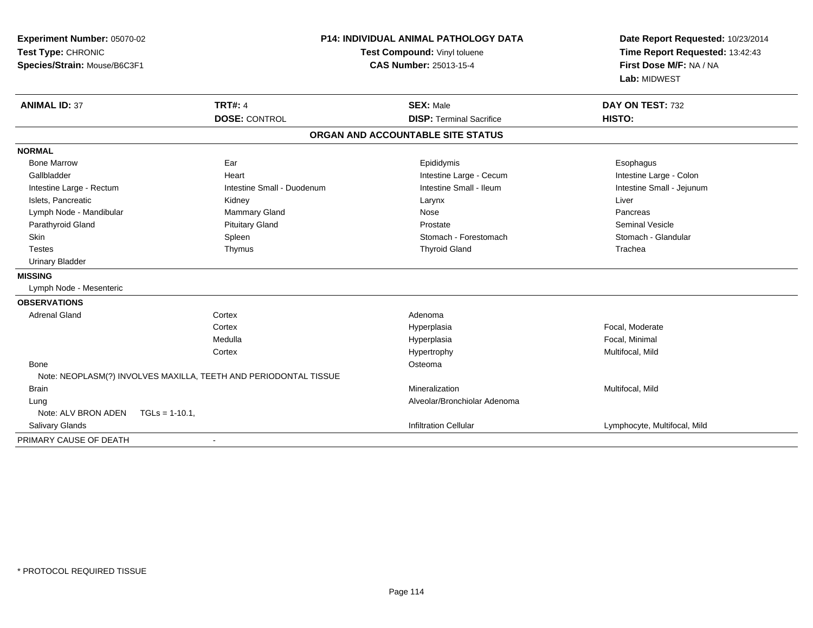| Experiment Number: 05070-02<br>Test Type: CHRONIC<br>Species/Strain: Mouse/B6C3F1 |                                                                  | <b>P14: INDIVIDUAL ANIMAL PATHOLOGY DATA</b><br>Test Compound: Vinyl toluene<br><b>CAS Number: 25013-15-4</b> | Date Report Requested: 10/23/2014<br>Time Report Requested: 13:42:43<br>First Dose M/F: NA / NA<br>Lab: MIDWEST |  |
|-----------------------------------------------------------------------------------|------------------------------------------------------------------|---------------------------------------------------------------------------------------------------------------|-----------------------------------------------------------------------------------------------------------------|--|
| <b>ANIMAL ID: 37</b>                                                              | <b>TRT#: 4</b><br><b>DOSE: CONTROL</b>                           | <b>SEX: Male</b><br><b>DISP: Terminal Sacrifice</b>                                                           | DAY ON TEST: 732<br>HISTO:                                                                                      |  |
|                                                                                   |                                                                  | ORGAN AND ACCOUNTABLE SITE STATUS                                                                             |                                                                                                                 |  |
| <b>NORMAL</b>                                                                     |                                                                  |                                                                                                               |                                                                                                                 |  |
| <b>Bone Marrow</b>                                                                | Ear                                                              | Epididymis                                                                                                    | Esophagus                                                                                                       |  |
| Gallbladder                                                                       | Heart                                                            | Intestine Large - Cecum                                                                                       | Intestine Large - Colon                                                                                         |  |
| Intestine Large - Rectum                                                          | Intestine Small - Duodenum                                       | Intestine Small - Ileum                                                                                       | Intestine Small - Jejunum                                                                                       |  |
| Islets, Pancreatic                                                                | Kidney                                                           | Larynx                                                                                                        | Liver                                                                                                           |  |
| Lymph Node - Mandibular                                                           | <b>Mammary Gland</b>                                             | Nose                                                                                                          | Pancreas                                                                                                        |  |
| Parathyroid Gland                                                                 | <b>Pituitary Gland</b>                                           | Prostate                                                                                                      | <b>Seminal Vesicle</b>                                                                                          |  |
| <b>Skin</b>                                                                       | Spleen                                                           | Stomach - Forestomach                                                                                         | Stomach - Glandular                                                                                             |  |
| <b>Testes</b>                                                                     | Thymus                                                           | <b>Thyroid Gland</b>                                                                                          | Trachea                                                                                                         |  |
| <b>Urinary Bladder</b>                                                            |                                                                  |                                                                                                               |                                                                                                                 |  |
| <b>MISSING</b>                                                                    |                                                                  |                                                                                                               |                                                                                                                 |  |
| Lymph Node - Mesenteric                                                           |                                                                  |                                                                                                               |                                                                                                                 |  |
| <b>OBSERVATIONS</b>                                                               |                                                                  |                                                                                                               |                                                                                                                 |  |
| <b>Adrenal Gland</b>                                                              | Cortex                                                           | Adenoma                                                                                                       |                                                                                                                 |  |
|                                                                                   | Cortex                                                           | Hyperplasia                                                                                                   | Focal, Moderate                                                                                                 |  |
|                                                                                   | Medulla                                                          | Hyperplasia                                                                                                   | Focal, Minimal                                                                                                  |  |
|                                                                                   | Cortex                                                           | Hypertrophy                                                                                                   | Multifocal, Mild                                                                                                |  |
| <b>Bone</b>                                                                       |                                                                  | Osteoma                                                                                                       |                                                                                                                 |  |
|                                                                                   | Note: NEOPLASM(?) INVOLVES MAXILLA, TEETH AND PERIODONTAL TISSUE |                                                                                                               |                                                                                                                 |  |
| <b>Brain</b>                                                                      |                                                                  | Mineralization                                                                                                | Multifocal, Mild                                                                                                |  |
| Lung                                                                              |                                                                  | Alveolar/Bronchiolar Adenoma                                                                                  |                                                                                                                 |  |
| Note: ALV BRON ADEN<br>$TGLs = 1-10.1$ ,                                          |                                                                  |                                                                                                               |                                                                                                                 |  |
| Salivary Glands                                                                   |                                                                  | <b>Infiltration Cellular</b>                                                                                  | Lymphocyte, Multifocal, Mild                                                                                    |  |
| PRIMARY CAUSE OF DEATH                                                            | $\blacksquare$                                                   |                                                                                                               |                                                                                                                 |  |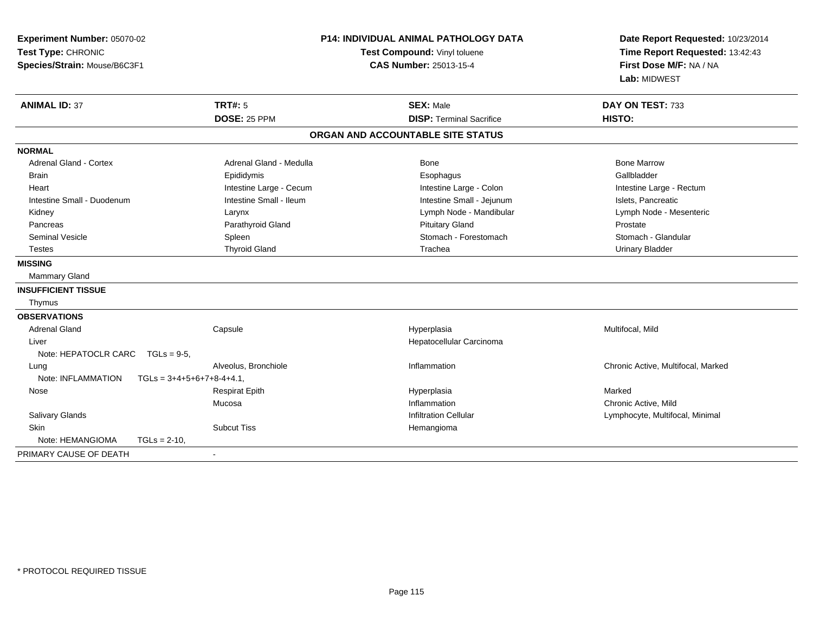| Experiment Number: 05070-02<br>Test Type: CHRONIC<br>Species/Strain: Mouse/B6C3F1 | <b>P14: INDIVIDUAL ANIMAL PATHOLOGY DATA</b><br>Test Compound: Vinyl toluene<br>CAS Number: 25013-15-4 |                                   | Date Report Requested: 10/23/2014<br>Time Report Requested: 13:42:43<br>First Dose M/F: NA / NA<br>Lab: MIDWEST |  |
|-----------------------------------------------------------------------------------|--------------------------------------------------------------------------------------------------------|-----------------------------------|-----------------------------------------------------------------------------------------------------------------|--|
| <b>ANIMAL ID: 37</b>                                                              | <b>TRT#: 5</b>                                                                                         | <b>SEX: Male</b>                  | DAY ON TEST: 733                                                                                                |  |
|                                                                                   | <b>DOSE: 25 PPM</b>                                                                                    | <b>DISP: Terminal Sacrifice</b>   | HISTO:                                                                                                          |  |
|                                                                                   |                                                                                                        | ORGAN AND ACCOUNTABLE SITE STATUS |                                                                                                                 |  |
| <b>NORMAL</b>                                                                     |                                                                                                        |                                   |                                                                                                                 |  |
| <b>Adrenal Gland - Cortex</b>                                                     | Adrenal Gland - Medulla                                                                                | Bone                              | <b>Bone Marrow</b>                                                                                              |  |
| <b>Brain</b>                                                                      | Epididymis                                                                                             | Esophagus                         | Gallbladder                                                                                                     |  |
| Heart                                                                             | Intestine Large - Cecum                                                                                | Intestine Large - Colon           | Intestine Large - Rectum                                                                                        |  |
| Intestine Small - Duodenum                                                        | Intestine Small - Ileum                                                                                | Intestine Small - Jejunum         | Islets, Pancreatic                                                                                              |  |
| Kidney                                                                            | Larynx                                                                                                 | Lymph Node - Mandibular           | Lymph Node - Mesenteric                                                                                         |  |
| Pancreas                                                                          | Parathyroid Gland                                                                                      | <b>Pituitary Gland</b>            | Prostate                                                                                                        |  |
| <b>Seminal Vesicle</b>                                                            | Spleen                                                                                                 | Stomach - Forestomach             | Stomach - Glandular                                                                                             |  |
| Testes                                                                            | <b>Thyroid Gland</b>                                                                                   | Trachea                           | <b>Urinary Bladder</b>                                                                                          |  |
| <b>MISSING</b>                                                                    |                                                                                                        |                                   |                                                                                                                 |  |
| <b>Mammary Gland</b>                                                              |                                                                                                        |                                   |                                                                                                                 |  |
| <b>INSUFFICIENT TISSUE</b>                                                        |                                                                                                        |                                   |                                                                                                                 |  |
| Thymus                                                                            |                                                                                                        |                                   |                                                                                                                 |  |
| <b>OBSERVATIONS</b>                                                               |                                                                                                        |                                   |                                                                                                                 |  |
| <b>Adrenal Gland</b>                                                              | Capsule                                                                                                | Hyperplasia                       | Multifocal, Mild                                                                                                |  |
| Liver                                                                             |                                                                                                        | Hepatocellular Carcinoma          |                                                                                                                 |  |
| Note: HEPATOCLR CARC<br>$TGLs = 9-5$                                              |                                                                                                        |                                   |                                                                                                                 |  |
| Lung                                                                              | Alveolus, Bronchiole                                                                                   | Inflammation                      | Chronic Active, Multifocal, Marked                                                                              |  |
| Note: INFLAMMATION                                                                | $TGLs = 3+4+5+6+7+8-4+4.1$ .                                                                           |                                   |                                                                                                                 |  |
| Nose                                                                              | <b>Respirat Epith</b>                                                                                  | Hyperplasia                       | Marked                                                                                                          |  |
|                                                                                   | Mucosa                                                                                                 | Inflammation                      | Chronic Active, Mild                                                                                            |  |
| Salivary Glands                                                                   |                                                                                                        | <b>Infiltration Cellular</b>      | Lymphocyte, Multifocal, Minimal                                                                                 |  |
| Skin                                                                              | <b>Subcut Tiss</b>                                                                                     | Hemangioma                        |                                                                                                                 |  |
| Note: HEMANGIOMA<br>$TGLs = 2-10$                                                 |                                                                                                        |                                   |                                                                                                                 |  |
| PRIMARY CAUSE OF DEATH                                                            |                                                                                                        |                                   |                                                                                                                 |  |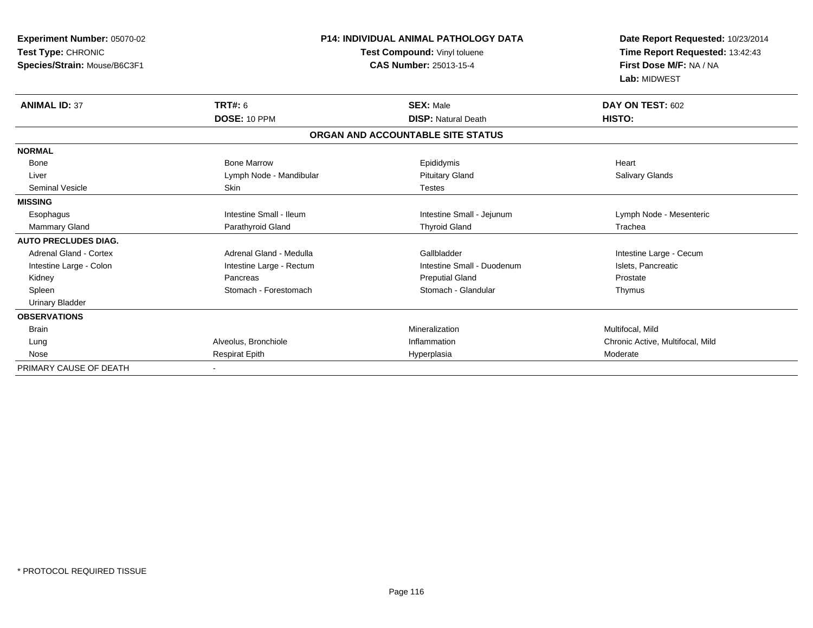| Experiment Number: 05070-02   | <b>P14: INDIVIDUAL ANIMAL PATHOLOGY DATA</b><br>Test Compound: Vinyl toluene |                                   | Date Report Requested: 10/23/2014 |  |
|-------------------------------|------------------------------------------------------------------------------|-----------------------------------|-----------------------------------|--|
| Test Type: CHRONIC            |                                                                              |                                   | Time Report Requested: 13:42:43   |  |
| Species/Strain: Mouse/B6C3F1  | <b>CAS Number: 25013-15-4</b>                                                |                                   | First Dose M/F: NA / NA           |  |
|                               |                                                                              |                                   | Lab: MIDWEST                      |  |
| <b>ANIMAL ID: 37</b>          | <b>TRT#: 6</b>                                                               | <b>SEX: Male</b>                  | DAY ON TEST: 602                  |  |
|                               | DOSE: 10 PPM                                                                 | <b>DISP: Natural Death</b>        | HISTO:                            |  |
|                               |                                                                              | ORGAN AND ACCOUNTABLE SITE STATUS |                                   |  |
| <b>NORMAL</b>                 |                                                                              |                                   |                                   |  |
| <b>Bone</b>                   | <b>Bone Marrow</b>                                                           | Epididymis                        | Heart                             |  |
| Liver                         | Lymph Node - Mandibular                                                      | <b>Pituitary Gland</b>            | <b>Salivary Glands</b>            |  |
| <b>Seminal Vesicle</b>        | <b>Skin</b>                                                                  | <b>Testes</b>                     |                                   |  |
| <b>MISSING</b>                |                                                                              |                                   |                                   |  |
| Esophagus                     | Intestine Small - Ileum                                                      | Intestine Small - Jejunum         | Lymph Node - Mesenteric           |  |
| <b>Mammary Gland</b>          | Parathyroid Gland                                                            | <b>Thyroid Gland</b>              | Trachea                           |  |
| <b>AUTO PRECLUDES DIAG.</b>   |                                                                              |                                   |                                   |  |
| <b>Adrenal Gland - Cortex</b> | Adrenal Gland - Medulla                                                      | Gallbladder                       | Intestine Large - Cecum           |  |
| Intestine Large - Colon       | Intestine Large - Rectum                                                     | Intestine Small - Duodenum        | Islets, Pancreatic                |  |
| Kidney                        | Pancreas                                                                     | <b>Preputial Gland</b>            | Prostate                          |  |
| Spleen                        | Stomach - Forestomach                                                        | Stomach - Glandular               | Thymus                            |  |
| <b>Urinary Bladder</b>        |                                                                              |                                   |                                   |  |
| <b>OBSERVATIONS</b>           |                                                                              |                                   |                                   |  |
| <b>Brain</b>                  |                                                                              | Mineralization                    | Multifocal, Mild                  |  |
| Lung                          | Alveolus, Bronchiole                                                         | Inflammation                      | Chronic Active, Multifocal, Mild  |  |
| Nose                          | <b>Respirat Epith</b>                                                        | Hyperplasia                       | Moderate                          |  |
| PRIMARY CAUSE OF DEATH        |                                                                              |                                   |                                   |  |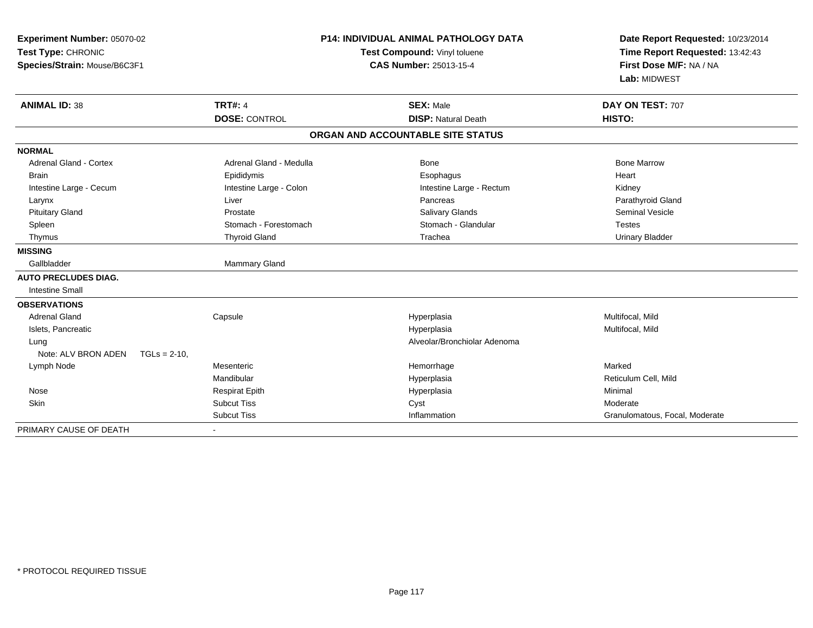| Experiment Number: 05070-02<br>Test Type: CHRONIC<br>Species/Strain: Mouse/B6C3F1 |                          | <b>P14: INDIVIDUAL ANIMAL PATHOLOGY DATA</b><br>Test Compound: Vinyl toluene<br><b>CAS Number: 25013-15-4</b> | Date Report Requested: 10/23/2014<br>Time Report Requested: 13:42:43<br>First Dose M/F: NA / NA<br>Lab: MIDWEST |
|-----------------------------------------------------------------------------------|--------------------------|---------------------------------------------------------------------------------------------------------------|-----------------------------------------------------------------------------------------------------------------|
| <b>ANIMAL ID: 38</b>                                                              | <b>TRT#: 4</b>           | <b>SEX: Male</b>                                                                                              | DAY ON TEST: 707                                                                                                |
|                                                                                   | <b>DOSE: CONTROL</b>     | <b>DISP: Natural Death</b>                                                                                    | HISTO:                                                                                                          |
|                                                                                   |                          | ORGAN AND ACCOUNTABLE SITE STATUS                                                                             |                                                                                                                 |
| <b>NORMAL</b>                                                                     |                          |                                                                                                               |                                                                                                                 |
| <b>Adrenal Gland - Cortex</b>                                                     | Adrenal Gland - Medulla  | Bone                                                                                                          | <b>Bone Marrow</b>                                                                                              |
| <b>Brain</b>                                                                      | Epididymis               | Esophagus                                                                                                     | Heart                                                                                                           |
| Intestine Large - Cecum                                                           | Intestine Large - Colon  | Intestine Large - Rectum                                                                                      | Kidney                                                                                                          |
| Larynx                                                                            | Liver                    | Pancreas                                                                                                      | Parathyroid Gland                                                                                               |
| <b>Pituitary Gland</b>                                                            | Prostate                 | <b>Salivary Glands</b>                                                                                        | <b>Seminal Vesicle</b>                                                                                          |
| Spleen                                                                            | Stomach - Forestomach    | Stomach - Glandular                                                                                           | Testes                                                                                                          |
| Thymus                                                                            | <b>Thyroid Gland</b>     | Trachea                                                                                                       | <b>Urinary Bladder</b>                                                                                          |
| <b>MISSING</b>                                                                    |                          |                                                                                                               |                                                                                                                 |
| Gallbladder                                                                       | <b>Mammary Gland</b>     |                                                                                                               |                                                                                                                 |
| <b>AUTO PRECLUDES DIAG.</b><br><b>Intestine Small</b>                             |                          |                                                                                                               |                                                                                                                 |
| <b>OBSERVATIONS</b>                                                               |                          |                                                                                                               |                                                                                                                 |
| <b>Adrenal Gland</b>                                                              | Capsule                  | Hyperplasia                                                                                                   | Multifocal, Mild                                                                                                |
| Islets, Pancreatic                                                                |                          | Hyperplasia                                                                                                   | Multifocal, Mild                                                                                                |
| Lung                                                                              |                          | Alveolar/Bronchiolar Adenoma                                                                                  |                                                                                                                 |
| Note: ALV BRON ADEN<br>$TGLs = 2-10.$                                             |                          |                                                                                                               |                                                                                                                 |
| Lymph Node                                                                        | Mesenteric               | Hemorrhage                                                                                                    | Marked                                                                                                          |
|                                                                                   | Mandibular               | Hyperplasia                                                                                                   | Reticulum Cell, Mild                                                                                            |
| Nose                                                                              | <b>Respirat Epith</b>    | Hyperplasia                                                                                                   | Minimal                                                                                                         |
| Skin                                                                              | <b>Subcut Tiss</b>       | Cyst                                                                                                          | Moderate                                                                                                        |
|                                                                                   | <b>Subcut Tiss</b>       | Inflammation                                                                                                  | Granulomatous, Focal, Moderate                                                                                  |
| PRIMARY CAUSE OF DEATH                                                            | $\overline{\phantom{a}}$ |                                                                                                               |                                                                                                                 |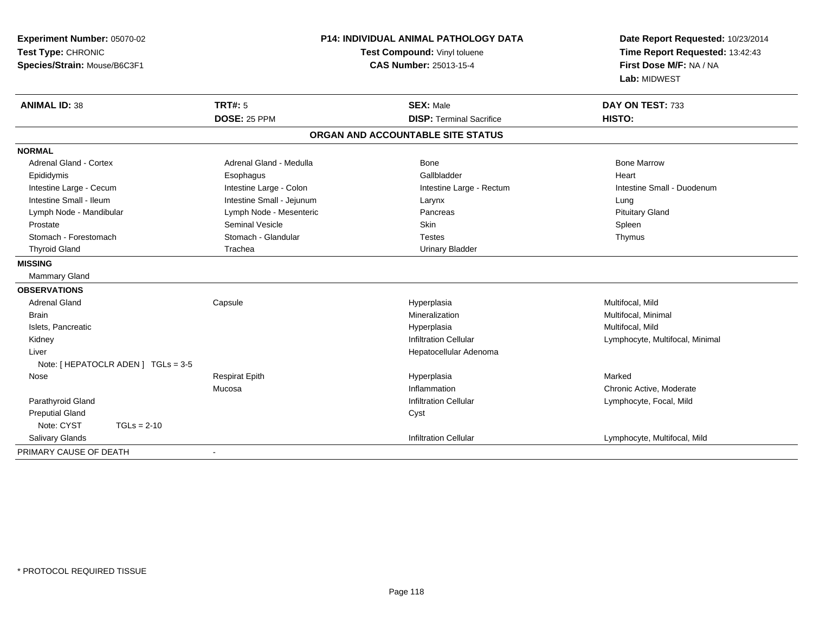| Experiment Number: 05070-02<br>Test Type: CHRONIC<br>Species/Strain: Mouse/B6C3F1 |                                | <b>P14: INDIVIDUAL ANIMAL PATHOLOGY DATA</b><br>Test Compound: Vinyl toluene<br><b>CAS Number: 25013-15-4</b> | Date Report Requested: 10/23/2014<br>Time Report Requested: 13:42:43<br>First Dose M/F: NA / NA<br>Lab: MIDWEST |
|-----------------------------------------------------------------------------------|--------------------------------|---------------------------------------------------------------------------------------------------------------|-----------------------------------------------------------------------------------------------------------------|
| <b>ANIMAL ID: 38</b>                                                              | <b>TRT#: 5</b><br>DOSE: 25 PPM | <b>SEX: Male</b><br><b>DISP: Terminal Sacrifice</b>                                                           | DAY ON TEST: 733<br>HISTO:                                                                                      |
|                                                                                   |                                |                                                                                                               |                                                                                                                 |
|                                                                                   |                                | ORGAN AND ACCOUNTABLE SITE STATUS                                                                             |                                                                                                                 |
| <b>NORMAL</b>                                                                     |                                |                                                                                                               |                                                                                                                 |
| Adrenal Gland - Cortex                                                            | Adrenal Gland - Medulla        | Bone                                                                                                          | <b>Bone Marrow</b>                                                                                              |
| Epididymis                                                                        | Esophagus                      | Gallbladder                                                                                                   | Heart                                                                                                           |
| Intestine Large - Cecum                                                           | Intestine Large - Colon        | Intestine Large - Rectum                                                                                      | Intestine Small - Duodenum                                                                                      |
| Intestine Small - Ileum                                                           | Intestine Small - Jejunum      | Larynx                                                                                                        | Lung                                                                                                            |
| Lymph Node - Mandibular                                                           | Lymph Node - Mesenteric        | Pancreas                                                                                                      | <b>Pituitary Gland</b>                                                                                          |
| Prostate                                                                          | <b>Seminal Vesicle</b>         | Skin                                                                                                          | Spleen                                                                                                          |
| Stomach - Forestomach                                                             | Stomach - Glandular            | <b>Testes</b>                                                                                                 | Thymus                                                                                                          |
| <b>Thyroid Gland</b>                                                              | Trachea                        | <b>Urinary Bladder</b>                                                                                        |                                                                                                                 |
| <b>MISSING</b>                                                                    |                                |                                                                                                               |                                                                                                                 |
| Mammary Gland                                                                     |                                |                                                                                                               |                                                                                                                 |
| <b>OBSERVATIONS</b>                                                               |                                |                                                                                                               |                                                                                                                 |
| <b>Adrenal Gland</b>                                                              | Capsule                        | Hyperplasia                                                                                                   | Multifocal, Mild                                                                                                |
| <b>Brain</b>                                                                      |                                | Mineralization                                                                                                | Multifocal, Minimal                                                                                             |
| Islets, Pancreatic                                                                |                                | Hyperplasia                                                                                                   | Multifocal, Mild                                                                                                |
| Kidney                                                                            |                                | <b>Infiltration Cellular</b>                                                                                  | Lymphocyte, Multifocal, Minimal                                                                                 |
| Liver                                                                             |                                | Hepatocellular Adenoma                                                                                        |                                                                                                                 |
| Note: [ HEPATOCLR ADEN ] TGLs = 3-5                                               |                                |                                                                                                               |                                                                                                                 |
| Nose                                                                              | <b>Respirat Epith</b>          | Hyperplasia                                                                                                   | Marked                                                                                                          |
|                                                                                   | Mucosa                         | Inflammation                                                                                                  | Chronic Active, Moderate                                                                                        |
| Parathyroid Gland                                                                 |                                | <b>Infiltration Cellular</b>                                                                                  | Lymphocyte, Focal, Mild                                                                                         |
| <b>Preputial Gland</b>                                                            |                                | Cyst                                                                                                          |                                                                                                                 |
| Note: CYST<br>$TGLs = 2-10$                                                       |                                |                                                                                                               |                                                                                                                 |
| Salivary Glands                                                                   |                                | <b>Infiltration Cellular</b>                                                                                  | Lymphocyte, Multifocal, Mild                                                                                    |
| PRIMARY CAUSE OF DEATH                                                            | $\blacksquare$                 |                                                                                                               |                                                                                                                 |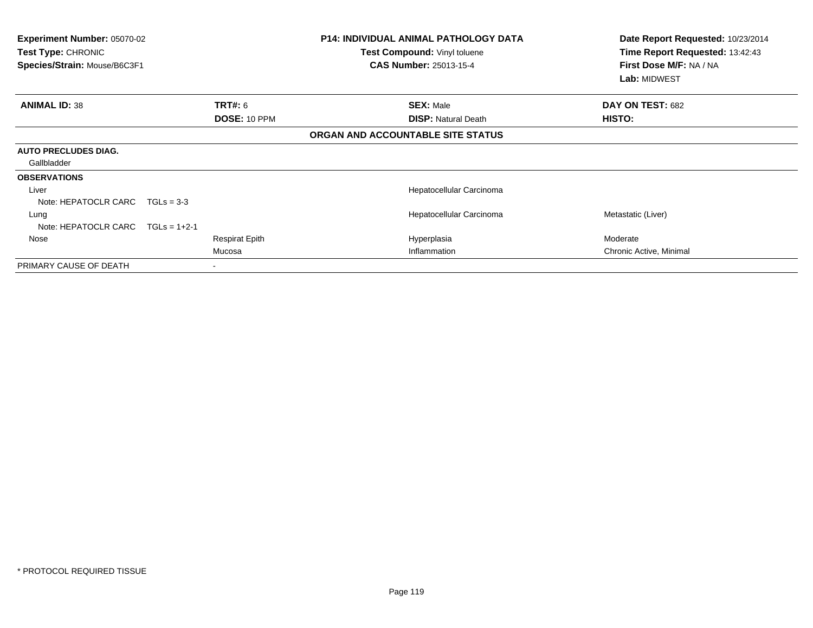| Experiment Number: 05070-02<br>Test Type: CHRONIC<br>Species/Strain: Mouse/B6C3F1 |                |                       | <b>P14: INDIVIDUAL ANIMAL PATHOLOGY DATA</b><br>Test Compound: Vinyl toluene<br><b>CAS Number: 25013-15-4</b> |                                   | Date Report Requested: 10/23/2014<br>Time Report Requested: 13:42:43<br>First Dose M/F: NA / NA<br>Lab: MIDWEST |
|-----------------------------------------------------------------------------------|----------------|-----------------------|---------------------------------------------------------------------------------------------------------------|-----------------------------------|-----------------------------------------------------------------------------------------------------------------|
| <b>ANIMAL ID: 38</b>                                                              |                | <b>TRT#: 6</b>        |                                                                                                               | <b>SEX: Male</b>                  | DAY ON TEST: 682                                                                                                |
|                                                                                   |                | <b>DOSE: 10 PPM</b>   |                                                                                                               | <b>DISP: Natural Death</b>        | <b>HISTO:</b>                                                                                                   |
|                                                                                   |                |                       |                                                                                                               | ORGAN AND ACCOUNTABLE SITE STATUS |                                                                                                                 |
| <b>AUTO PRECLUDES DIAG.</b>                                                       |                |                       |                                                                                                               |                                   |                                                                                                                 |
| Gallbladder                                                                       |                |                       |                                                                                                               |                                   |                                                                                                                 |
| <b>OBSERVATIONS</b>                                                               |                |                       |                                                                                                               |                                   |                                                                                                                 |
| Liver                                                                             |                |                       |                                                                                                               | Hepatocellular Carcinoma          |                                                                                                                 |
| Note: HEPATOCLR CARC                                                              | $TGLs = 3-3$   |                       |                                                                                                               |                                   |                                                                                                                 |
| Lung                                                                              |                |                       |                                                                                                               | Hepatocellular Carcinoma          | Metastatic (Liver)                                                                                              |
| Note: HEPATOCLR CARC                                                              | $TGLs = 1+2-1$ |                       |                                                                                                               |                                   |                                                                                                                 |
| Nose                                                                              |                | <b>Respirat Epith</b> |                                                                                                               | Hyperplasia                       | Moderate                                                                                                        |
|                                                                                   |                | Mucosa                |                                                                                                               | Inflammation                      | Chronic Active, Minimal                                                                                         |
| PRIMARY CAUSE OF DEATH                                                            |                |                       |                                                                                                               |                                   |                                                                                                                 |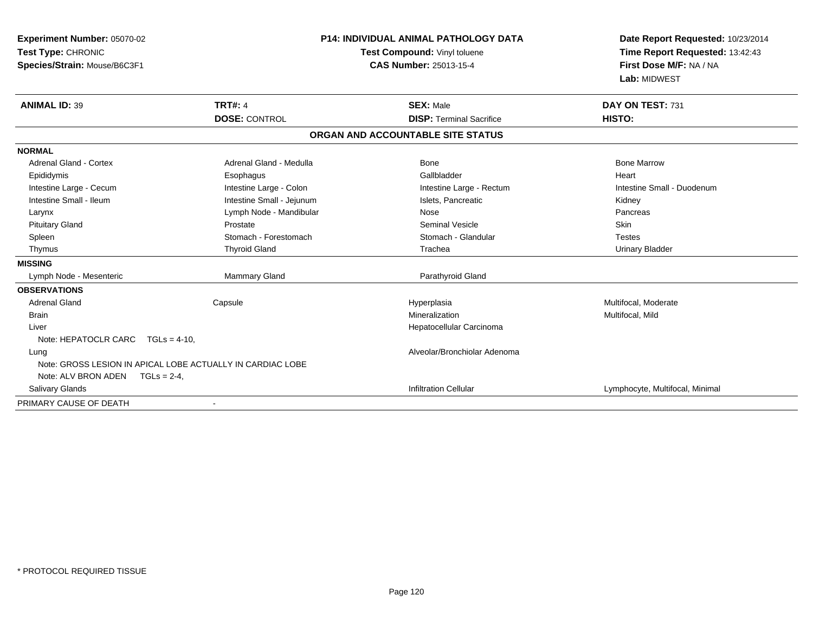| Experiment Number: 05070-02<br>Test Type: CHRONIC<br>Species/Strain: Mouse/B6C3F1 |                           | <b>P14: INDIVIDUAL ANIMAL PATHOLOGY DATA</b><br>Test Compound: Vinyl toluene<br><b>CAS Number: 25013-15-4</b> | Date Report Requested: 10/23/2014<br>Time Report Requested: 13:42:43<br>First Dose M/F: NA / NA |  |
|-----------------------------------------------------------------------------------|---------------------------|---------------------------------------------------------------------------------------------------------------|-------------------------------------------------------------------------------------------------|--|
|                                                                                   |                           |                                                                                                               | Lab: MIDWEST                                                                                    |  |
| <b>ANIMAL ID: 39</b>                                                              | <b>TRT#: 4</b>            | <b>SEX: Male</b>                                                                                              | DAY ON TEST: 731                                                                                |  |
|                                                                                   | <b>DOSE: CONTROL</b>      | <b>DISP: Terminal Sacrifice</b>                                                                               | HISTO:                                                                                          |  |
|                                                                                   |                           | ORGAN AND ACCOUNTABLE SITE STATUS                                                                             |                                                                                                 |  |
| <b>NORMAL</b>                                                                     |                           |                                                                                                               |                                                                                                 |  |
| <b>Adrenal Gland - Cortex</b>                                                     | Adrenal Gland - Medulla   | <b>Bone</b>                                                                                                   | <b>Bone Marrow</b>                                                                              |  |
| Epididymis                                                                        | Esophagus                 | Gallbladder                                                                                                   | Heart                                                                                           |  |
| Intestine Large - Cecum                                                           | Intestine Large - Colon   | Intestine Large - Rectum                                                                                      | Intestine Small - Duodenum                                                                      |  |
| Intestine Small - Ileum                                                           | Intestine Small - Jejunum | Islets. Pancreatic                                                                                            | Kidney                                                                                          |  |
| Larynx                                                                            | Lymph Node - Mandibular   | Nose                                                                                                          | Pancreas                                                                                        |  |
| <b>Pituitary Gland</b>                                                            | Prostate                  | <b>Seminal Vesicle</b>                                                                                        | Skin                                                                                            |  |
| Spleen                                                                            | Stomach - Forestomach     | Stomach - Glandular                                                                                           | <b>Testes</b>                                                                                   |  |
| Thymus                                                                            | <b>Thyroid Gland</b>      | Trachea                                                                                                       | <b>Urinary Bladder</b>                                                                          |  |
| <b>MISSING</b>                                                                    |                           |                                                                                                               |                                                                                                 |  |
| Lymph Node - Mesenteric                                                           | Mammary Gland             | Parathyroid Gland                                                                                             |                                                                                                 |  |
| <b>OBSERVATIONS</b>                                                               |                           |                                                                                                               |                                                                                                 |  |
| <b>Adrenal Gland</b>                                                              | Capsule                   | Hyperplasia                                                                                                   | Multifocal, Moderate                                                                            |  |
| <b>Brain</b>                                                                      |                           | Mineralization                                                                                                | Multifocal, Mild                                                                                |  |
| Liver                                                                             |                           | Hepatocellular Carcinoma                                                                                      |                                                                                                 |  |
| Note: HEPATOCLR CARC $TGLs = 4-10$ ,                                              |                           |                                                                                                               |                                                                                                 |  |
| Lung                                                                              |                           | Alveolar/Bronchiolar Adenoma                                                                                  |                                                                                                 |  |
| Note: GROSS LESION IN APICAL LOBE ACTUALLY IN CARDIAC LOBE                        |                           |                                                                                                               |                                                                                                 |  |
| Note: ALV BRON ADEN $TGLs = 2-4$ ,                                                |                           |                                                                                                               |                                                                                                 |  |
| Salivary Glands                                                                   |                           | <b>Infiltration Cellular</b>                                                                                  | Lymphocyte, Multifocal, Minimal                                                                 |  |
| PRIMARY CAUSE OF DEATH                                                            |                           |                                                                                                               |                                                                                                 |  |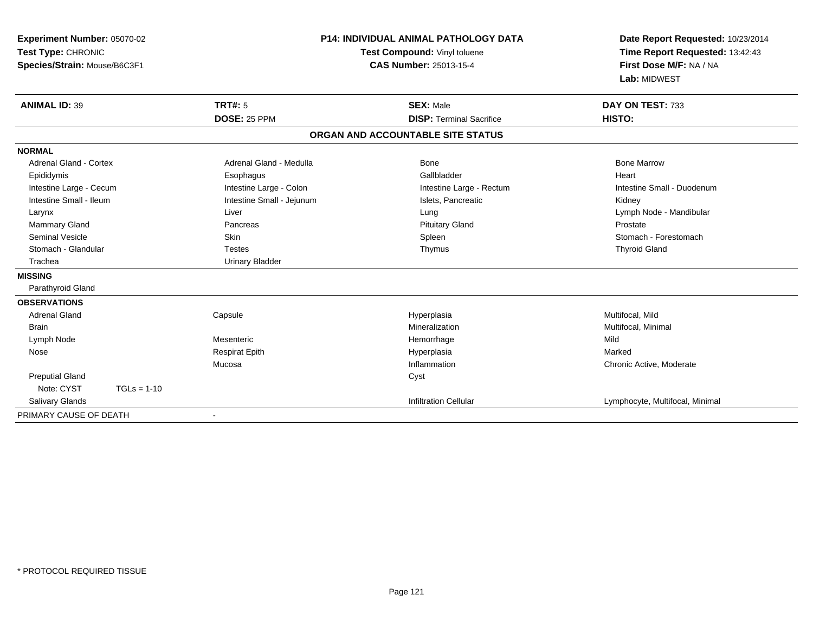| <b>Experiment Number: 05070-02</b><br>Test Type: CHRONIC<br>Species/Strain: Mouse/B6C3F1 |                                | <b>P14: INDIVIDUAL ANIMAL PATHOLOGY DATA</b><br>Test Compound: Vinyl toluene<br><b>CAS Number: 25013-15-4</b> | Date Report Requested: 10/23/2014<br>Time Report Requested: 13:42:43<br>First Dose M/F: NA / NA<br>Lab: MIDWEST |  |
|------------------------------------------------------------------------------------------|--------------------------------|---------------------------------------------------------------------------------------------------------------|-----------------------------------------------------------------------------------------------------------------|--|
|                                                                                          |                                |                                                                                                               |                                                                                                                 |  |
| <b>ANIMAL ID: 39</b>                                                                     | <b>TRT#: 5</b><br>DOSE: 25 PPM | <b>SEX: Male</b><br><b>DISP: Terminal Sacrifice</b>                                                           | DAY ON TEST: 733<br>HISTO:                                                                                      |  |
|                                                                                          |                                |                                                                                                               |                                                                                                                 |  |
|                                                                                          |                                | ORGAN AND ACCOUNTABLE SITE STATUS                                                                             |                                                                                                                 |  |
| <b>NORMAL</b>                                                                            |                                |                                                                                                               |                                                                                                                 |  |
| <b>Adrenal Gland - Cortex</b>                                                            | Adrenal Gland - Medulla        | Bone                                                                                                          | <b>Bone Marrow</b>                                                                                              |  |
| Epididymis                                                                               | Esophagus                      | Gallbladder                                                                                                   | Heart                                                                                                           |  |
| Intestine Large - Cecum                                                                  | Intestine Large - Colon        | Intestine Large - Rectum                                                                                      | Intestine Small - Duodenum                                                                                      |  |
| Intestine Small - Ileum                                                                  | Intestine Small - Jejunum      | Islets, Pancreatic                                                                                            | Kidney                                                                                                          |  |
| Larynx                                                                                   | Liver                          | Lung                                                                                                          | Lymph Node - Mandibular                                                                                         |  |
| Mammary Gland                                                                            | Pancreas                       | <b>Pituitary Gland</b>                                                                                        | Prostate                                                                                                        |  |
| <b>Seminal Vesicle</b>                                                                   | <b>Skin</b>                    | Spleen                                                                                                        | Stomach - Forestomach                                                                                           |  |
| Stomach - Glandular                                                                      | <b>Testes</b>                  | Thymus                                                                                                        | <b>Thyroid Gland</b>                                                                                            |  |
| Trachea                                                                                  | <b>Urinary Bladder</b>         |                                                                                                               |                                                                                                                 |  |
| <b>MISSING</b>                                                                           |                                |                                                                                                               |                                                                                                                 |  |
| Parathyroid Gland                                                                        |                                |                                                                                                               |                                                                                                                 |  |
| <b>OBSERVATIONS</b>                                                                      |                                |                                                                                                               |                                                                                                                 |  |
| <b>Adrenal Gland</b>                                                                     | Capsule                        | Hyperplasia                                                                                                   | Multifocal, Mild                                                                                                |  |
| <b>Brain</b>                                                                             |                                | Mineralization                                                                                                | Multifocal, Minimal                                                                                             |  |
| Lymph Node                                                                               | Mesenteric                     | Hemorrhage                                                                                                    | Mild                                                                                                            |  |
| Nose                                                                                     | <b>Respirat Epith</b>          | Hyperplasia                                                                                                   | Marked                                                                                                          |  |
|                                                                                          | Mucosa                         | Inflammation                                                                                                  | Chronic Active, Moderate                                                                                        |  |
| <b>Preputial Gland</b>                                                                   |                                | Cyst                                                                                                          |                                                                                                                 |  |
| Note: CYST<br>$TGLs = 1-10$                                                              |                                |                                                                                                               |                                                                                                                 |  |
| Salivary Glands                                                                          |                                | <b>Infiltration Cellular</b>                                                                                  | Lymphocyte, Multifocal, Minimal                                                                                 |  |
| PRIMARY CAUSE OF DEATH                                                                   |                                |                                                                                                               |                                                                                                                 |  |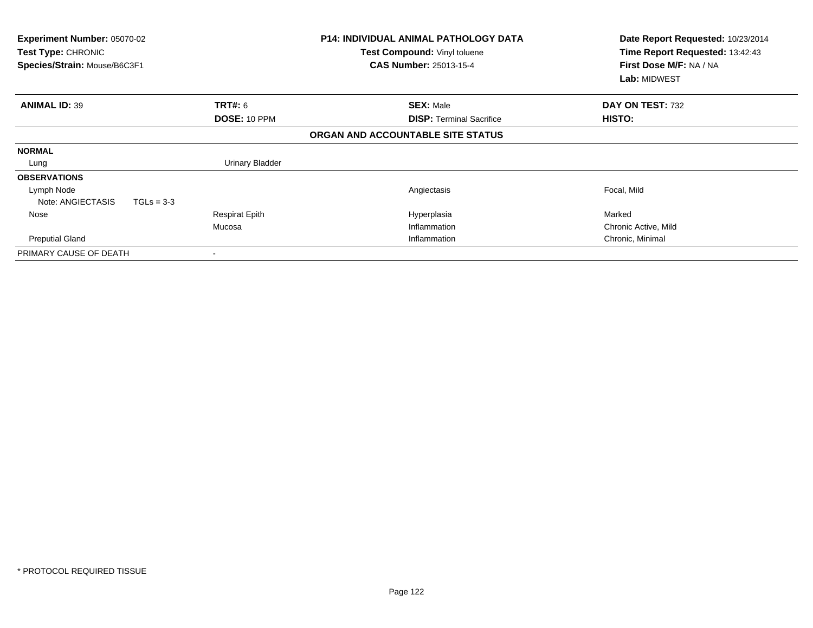| Experiment Number: 05070-02<br>Test Type: CHRONIC<br>Species/Strain: Mouse/B6C3F1 |              |                        | <b>P14: INDIVIDUAL ANIMAL PATHOLOGY DATA</b><br>Test Compound: Vinyl toluene<br><b>CAS Number: 25013-15-4</b> | Date Report Requested: 10/23/2014<br>Time Report Requested: 13:42:43<br>First Dose M/F: NA / NA<br>Lab: MIDWEST |
|-----------------------------------------------------------------------------------|--------------|------------------------|---------------------------------------------------------------------------------------------------------------|-----------------------------------------------------------------------------------------------------------------|
| <b>ANIMAL ID: 39</b>                                                              |              | TRT#: 6                | <b>SEX: Male</b>                                                                                              | DAY ON TEST: 732                                                                                                |
|                                                                                   |              | DOSE: 10 PPM           | <b>DISP:</b> Terminal Sacrifice                                                                               | HISTO:                                                                                                          |
|                                                                                   |              |                        | ORGAN AND ACCOUNTABLE SITE STATUS                                                                             |                                                                                                                 |
| <b>NORMAL</b>                                                                     |              |                        |                                                                                                               |                                                                                                                 |
| Lung                                                                              |              | <b>Urinary Bladder</b> |                                                                                                               |                                                                                                                 |
| <b>OBSERVATIONS</b>                                                               |              |                        |                                                                                                               |                                                                                                                 |
| Lymph Node                                                                        |              |                        | Angiectasis                                                                                                   | Focal, Mild                                                                                                     |
| Note: ANGIECTASIS                                                                 | $TGLs = 3-3$ |                        |                                                                                                               |                                                                                                                 |
| Nose                                                                              |              | <b>Respirat Epith</b>  | Hyperplasia                                                                                                   | Marked                                                                                                          |
|                                                                                   |              | Mucosa                 | Inflammation                                                                                                  | Chronic Active, Mild                                                                                            |
| <b>Preputial Gland</b>                                                            |              |                        | Inflammation                                                                                                  | Chronic, Minimal                                                                                                |
| PRIMARY CAUSE OF DEATH                                                            |              |                        |                                                                                                               |                                                                                                                 |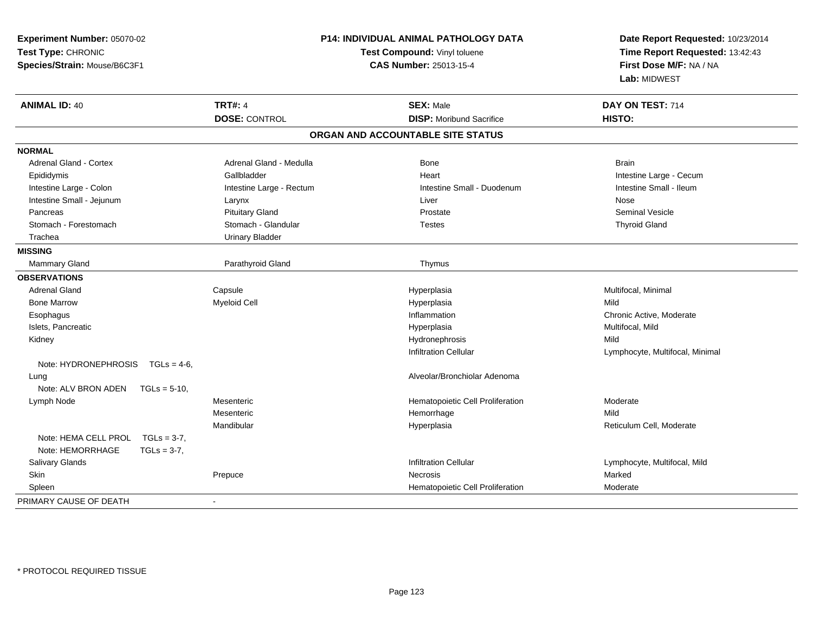| Experiment Number: 05070-02<br>Test Type: CHRONIC<br>Species/Strain: Mouse/B6C3F1 | P14: INDIVIDUAL ANIMAL PATHOLOGY DATA<br>Test Compound: Vinyl toluene<br><b>CAS Number: 25013-15-4</b> |                                                     | Date Report Requested: 10/23/2014<br>Time Report Requested: 13:42:43<br>First Dose M/F: NA / NA<br>Lab: MIDWEST |  |
|-----------------------------------------------------------------------------------|--------------------------------------------------------------------------------------------------------|-----------------------------------------------------|-----------------------------------------------------------------------------------------------------------------|--|
| <b>ANIMAL ID: 40</b>                                                              | <b>TRT#: 4</b>                                                                                         | <b>SEX: Male</b>                                    | DAY ON TEST: 714                                                                                                |  |
|                                                                                   | <b>DOSE: CONTROL</b>                                                                                   | <b>DISP:</b> Moribund Sacrifice                     | HISTO:                                                                                                          |  |
|                                                                                   |                                                                                                        | ORGAN AND ACCOUNTABLE SITE STATUS                   |                                                                                                                 |  |
| <b>NORMAL</b>                                                                     |                                                                                                        |                                                     |                                                                                                                 |  |
| Adrenal Gland - Cortex                                                            | Adrenal Gland - Medulla                                                                                | <b>Bone</b>                                         | <b>Brain</b>                                                                                                    |  |
| Epididymis                                                                        | Gallbladder                                                                                            | Heart                                               | Intestine Large - Cecum                                                                                         |  |
| Intestine Large - Colon                                                           | Intestine Large - Rectum                                                                               | Intestine Small - Duodenum                          | Intestine Small - Ileum                                                                                         |  |
| Intestine Small - Jejunum                                                         | Larynx                                                                                                 | Liver                                               | Nose                                                                                                            |  |
| Pancreas                                                                          | <b>Pituitary Gland</b>                                                                                 | Prostate                                            | <b>Seminal Vesicle</b>                                                                                          |  |
| Stomach - Forestomach                                                             | Stomach - Glandular                                                                                    | <b>Testes</b>                                       | <b>Thyroid Gland</b>                                                                                            |  |
| Trachea                                                                           | <b>Urinary Bladder</b>                                                                                 |                                                     |                                                                                                                 |  |
| <b>MISSING</b>                                                                    |                                                                                                        |                                                     |                                                                                                                 |  |
| <b>Mammary Gland</b>                                                              | Parathyroid Gland                                                                                      | Thymus                                              |                                                                                                                 |  |
| <b>OBSERVATIONS</b>                                                               |                                                                                                        |                                                     |                                                                                                                 |  |
| <b>Adrenal Gland</b>                                                              | Capsule                                                                                                | Hyperplasia                                         | Multifocal, Minimal                                                                                             |  |
| <b>Bone Marrow</b>                                                                | <b>Myeloid Cell</b>                                                                                    | Hyperplasia                                         | Mild                                                                                                            |  |
| Esophagus                                                                         |                                                                                                        | Inflammation                                        | Chronic Active, Moderate                                                                                        |  |
| Islets, Pancreatic                                                                |                                                                                                        | Hyperplasia                                         | Multifocal, Mild                                                                                                |  |
| Kidney                                                                            |                                                                                                        | Hydronephrosis                                      | Mild                                                                                                            |  |
|                                                                                   |                                                                                                        | <b>Infiltration Cellular</b>                        | Lymphocyte, Multifocal, Minimal                                                                                 |  |
| Note: HYDRONEPHROSIS<br>$TGLs = 4-6$                                              |                                                                                                        |                                                     |                                                                                                                 |  |
| Lung                                                                              |                                                                                                        | Alveolar/Bronchiolar Adenoma                        |                                                                                                                 |  |
| Note: ALV BRON ADEN<br>$TGLs = 5-10$ ,                                            |                                                                                                        |                                                     |                                                                                                                 |  |
| Lymph Node                                                                        | Mesenteric                                                                                             | Hematopoietic Cell Proliferation                    | Moderate                                                                                                        |  |
|                                                                                   | Mesenteric                                                                                             | Hemorrhage                                          | Mild                                                                                                            |  |
|                                                                                   | Mandibular                                                                                             | Hyperplasia                                         | Reticulum Cell, Moderate                                                                                        |  |
| Note: HEMA CELL PROL<br>$TGLs = 3-7,$<br>Note: HEMORRHAGE                         |                                                                                                        |                                                     |                                                                                                                 |  |
| $TGLs = 3-7$ ,                                                                    |                                                                                                        |                                                     |                                                                                                                 |  |
| Salivary Glands                                                                   |                                                                                                        | Infiltration Cellular                               | Lymphocyte, Multifocal, Mild<br>Marked                                                                          |  |
| Skin                                                                              | Prepuce                                                                                                | <b>Necrosis</b><br>Hematopoietic Cell Proliferation | Moderate                                                                                                        |  |
| Spleen                                                                            |                                                                                                        |                                                     |                                                                                                                 |  |
| PRIMARY CAUSE OF DEATH                                                            | $\blacksquare$                                                                                         |                                                     |                                                                                                                 |  |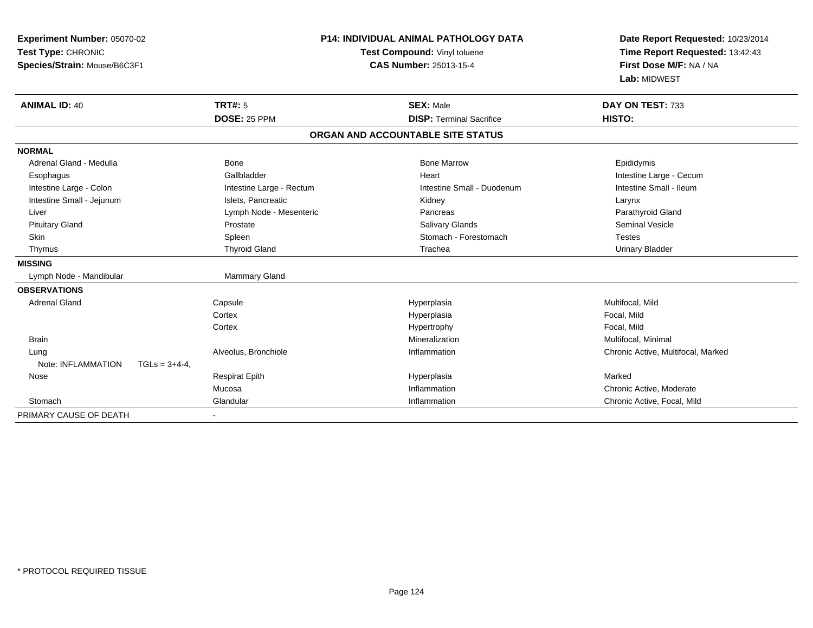| <b>Experiment Number: 05070-02</b><br>Test Type: CHRONIC<br>Species/Strain: Mouse/B6C3F1 |                 | <b>P14: INDIVIDUAL ANIMAL PATHOLOGY DATA</b><br>Test Compound: Vinyl toluene<br><b>CAS Number: 25013-15-4</b> |  | Date Report Requested: 10/23/2014<br>Time Report Requested: 13:42:43<br>First Dose M/F: NA / NA<br>Lab: MIDWEST |                                    |
|------------------------------------------------------------------------------------------|-----------------|---------------------------------------------------------------------------------------------------------------|--|-----------------------------------------------------------------------------------------------------------------|------------------------------------|
| <b>ANIMAL ID: 40</b>                                                                     |                 | <b>TRT#: 5</b>                                                                                                |  | <b>SEX: Male</b>                                                                                                | DAY ON TEST: 733                   |
|                                                                                          |                 | DOSE: 25 PPM                                                                                                  |  | <b>DISP: Terminal Sacrifice</b>                                                                                 | HISTO:                             |
|                                                                                          |                 |                                                                                                               |  | ORGAN AND ACCOUNTABLE SITE STATUS                                                                               |                                    |
| <b>NORMAL</b>                                                                            |                 |                                                                                                               |  |                                                                                                                 |                                    |
| Adrenal Gland - Medulla                                                                  |                 | <b>Bone</b>                                                                                                   |  | <b>Bone Marrow</b>                                                                                              | Epididymis                         |
| Esophagus                                                                                |                 | Gallbladder                                                                                                   |  | Heart                                                                                                           | Intestine Large - Cecum            |
| Intestine Large - Colon                                                                  |                 | Intestine Large - Rectum                                                                                      |  | Intestine Small - Duodenum                                                                                      | Intestine Small - Ileum            |
| Intestine Small - Jejunum                                                                |                 | Islets, Pancreatic                                                                                            |  | Kidney                                                                                                          | Larynx                             |
| Liver                                                                                    |                 | Lymph Node - Mesenteric                                                                                       |  | Pancreas                                                                                                        | Parathyroid Gland                  |
| <b>Pituitary Gland</b>                                                                   |                 | Prostate                                                                                                      |  | Salivary Glands                                                                                                 | Seminal Vesicle                    |
| <b>Skin</b>                                                                              |                 | Spleen                                                                                                        |  | Stomach - Forestomach                                                                                           | <b>Testes</b>                      |
| Thymus                                                                                   |                 | <b>Thyroid Gland</b>                                                                                          |  | Trachea                                                                                                         | <b>Urinary Bladder</b>             |
| <b>MISSING</b>                                                                           |                 |                                                                                                               |  |                                                                                                                 |                                    |
| Lymph Node - Mandibular                                                                  |                 | <b>Mammary Gland</b>                                                                                          |  |                                                                                                                 |                                    |
| <b>OBSERVATIONS</b>                                                                      |                 |                                                                                                               |  |                                                                                                                 |                                    |
| <b>Adrenal Gland</b>                                                                     |                 | Capsule                                                                                                       |  | Hyperplasia                                                                                                     | Multifocal, Mild                   |
|                                                                                          |                 | Cortex                                                                                                        |  | Hyperplasia                                                                                                     | Focal, Mild                        |
|                                                                                          |                 | Cortex                                                                                                        |  | Hypertrophy                                                                                                     | Focal, Mild                        |
| <b>Brain</b>                                                                             |                 |                                                                                                               |  | Mineralization                                                                                                  | Multifocal, Minimal                |
| Lung                                                                                     |                 | Alveolus, Bronchiole                                                                                          |  | Inflammation                                                                                                    | Chronic Active, Multifocal, Marked |
| Note: INFLAMMATION                                                                       | $TGLs = 3+4-4.$ |                                                                                                               |  |                                                                                                                 |                                    |
| Nose                                                                                     |                 | <b>Respirat Epith</b>                                                                                         |  | Hyperplasia                                                                                                     | Marked                             |
|                                                                                          |                 | Mucosa                                                                                                        |  | Inflammation                                                                                                    | Chronic Active, Moderate           |
| Stomach                                                                                  |                 | Glandular                                                                                                     |  | Inflammation                                                                                                    | Chronic Active, Focal, Mild        |
| PRIMARY CAUSE OF DEATH                                                                   |                 |                                                                                                               |  |                                                                                                                 |                                    |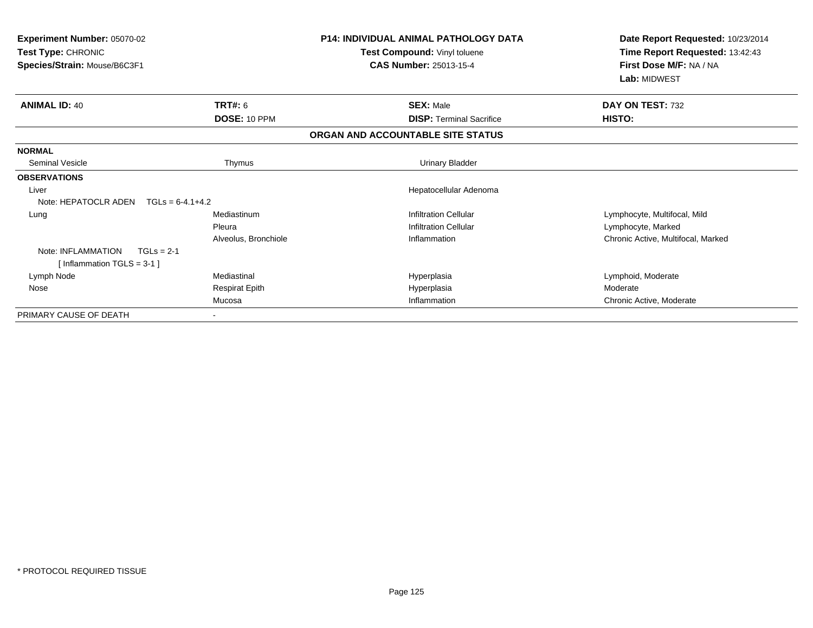| <b>Experiment Number: 05070-02</b><br>Test Type: CHRONIC<br>Species/Strain: Mouse/B6C3F1 |                       | <b>P14: INDIVIDUAL ANIMAL PATHOLOGY DATA</b><br>Test Compound: Vinyl toluene<br><b>CAS Number: 25013-15-4</b> | Date Report Requested: 10/23/2014<br>Time Report Requested: 13:42:43<br>First Dose M/F: NA / NA |  |
|------------------------------------------------------------------------------------------|-----------------------|---------------------------------------------------------------------------------------------------------------|-------------------------------------------------------------------------------------------------|--|
|                                                                                          |                       |                                                                                                               | Lab: MIDWEST                                                                                    |  |
| <b>ANIMAL ID: 40</b>                                                                     | TRT#: 6               | <b>SEX: Male</b>                                                                                              | DAY ON TEST: 732                                                                                |  |
|                                                                                          | <b>DOSE: 10 PPM</b>   | <b>DISP: Terminal Sacrifice</b>                                                                               | HISTO:                                                                                          |  |
|                                                                                          |                       | ORGAN AND ACCOUNTABLE SITE STATUS                                                                             |                                                                                                 |  |
| <b>NORMAL</b>                                                                            |                       |                                                                                                               |                                                                                                 |  |
| <b>Seminal Vesicle</b>                                                                   | Thymus                | <b>Urinary Bladder</b>                                                                                        |                                                                                                 |  |
| <b>OBSERVATIONS</b>                                                                      |                       |                                                                                                               |                                                                                                 |  |
| Liver                                                                                    |                       | Hepatocellular Adenoma                                                                                        |                                                                                                 |  |
| Note: HEPATOCLR ADEN<br>$TGLs = 6-4.1+4.2$                                               |                       |                                                                                                               |                                                                                                 |  |
| Lung                                                                                     | Mediastinum           | <b>Infiltration Cellular</b>                                                                                  | Lymphocyte, Multifocal, Mild                                                                    |  |
|                                                                                          | Pleura                | <b>Infiltration Cellular</b>                                                                                  | Lymphocyte, Marked                                                                              |  |
|                                                                                          | Alveolus, Bronchiole  | Inflammation                                                                                                  | Chronic Active, Multifocal, Marked                                                              |  |
| Note: INFLAMMATION<br>$TGLs = 2-1$                                                       |                       |                                                                                                               |                                                                                                 |  |
| [Inflammation TGLS = $3-1$ ]                                                             |                       |                                                                                                               |                                                                                                 |  |
| Lymph Node                                                                               | Mediastinal           | Hyperplasia                                                                                                   | Lymphoid, Moderate                                                                              |  |
| Nose                                                                                     | <b>Respirat Epith</b> | Hyperplasia                                                                                                   | Moderate                                                                                        |  |
|                                                                                          | Mucosa                | Inflammation                                                                                                  | Chronic Active, Moderate                                                                        |  |
| PRIMARY CAUSE OF DEATH                                                                   |                       |                                                                                                               |                                                                                                 |  |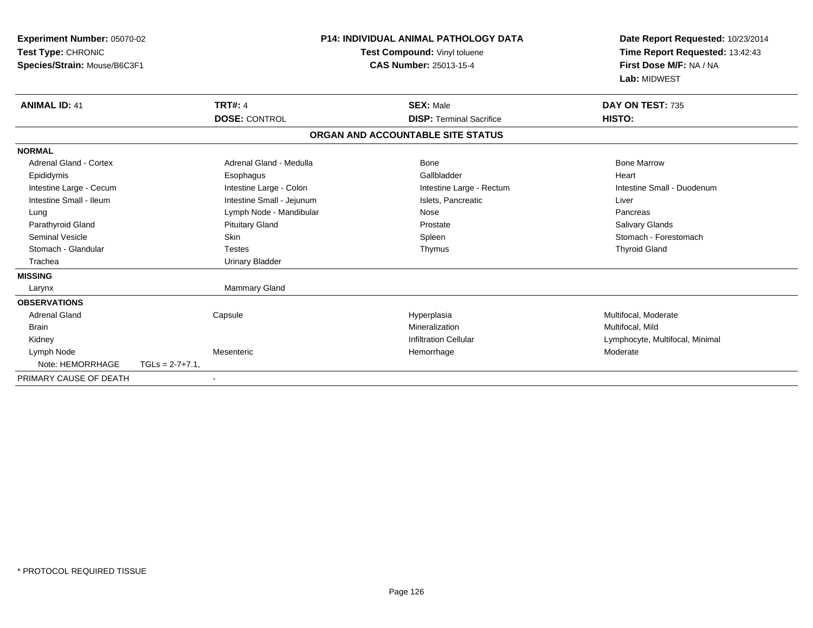| Experiment Number: 05070-02<br>Test Type: CHRONIC<br>Species/Strain: Mouse/B6C3F1 |                    |                           | <b>P14: INDIVIDUAL ANIMAL PATHOLOGY DATA</b><br>Test Compound: Vinyl toluene<br><b>CAS Number: 25013-15-4</b> |                                   | Date Report Requested: 10/23/2014<br>Time Report Requested: 13:42:43<br>First Dose M/F: NA / NA<br>Lab: MIDWEST |  |
|-----------------------------------------------------------------------------------|--------------------|---------------------------|---------------------------------------------------------------------------------------------------------------|-----------------------------------|-----------------------------------------------------------------------------------------------------------------|--|
| <b>ANIMAL ID: 41</b>                                                              |                    | <b>TRT#: 4</b>            |                                                                                                               | <b>SEX: Male</b>                  | DAY ON TEST: 735                                                                                                |  |
|                                                                                   |                    | <b>DOSE: CONTROL</b>      |                                                                                                               | <b>DISP: Terminal Sacrifice</b>   | HISTO:                                                                                                          |  |
|                                                                                   |                    |                           |                                                                                                               | ORGAN AND ACCOUNTABLE SITE STATUS |                                                                                                                 |  |
| <b>NORMAL</b>                                                                     |                    |                           |                                                                                                               |                                   |                                                                                                                 |  |
| Adrenal Gland - Cortex                                                            |                    | Adrenal Gland - Medulla   |                                                                                                               | Bone                              | <b>Bone Marrow</b>                                                                                              |  |
| Epididymis                                                                        |                    | Esophagus                 |                                                                                                               | Gallbladder                       | Heart                                                                                                           |  |
| Intestine Large - Cecum                                                           |                    | Intestine Large - Colon   |                                                                                                               | Intestine Large - Rectum          | Intestine Small - Duodenum                                                                                      |  |
| Intestine Small - Ileum                                                           |                    | Intestine Small - Jejunum |                                                                                                               | Islets, Pancreatic                | Liver                                                                                                           |  |
| Lung                                                                              |                    | Lymph Node - Mandibular   |                                                                                                               | Nose                              | Pancreas                                                                                                        |  |
| Parathyroid Gland                                                                 |                    | <b>Pituitary Gland</b>    |                                                                                                               | Prostate                          | <b>Salivary Glands</b>                                                                                          |  |
| <b>Seminal Vesicle</b>                                                            |                    | Skin                      |                                                                                                               | Spleen                            | Stomach - Forestomach                                                                                           |  |
| Stomach - Glandular                                                               |                    | <b>Testes</b>             |                                                                                                               | Thymus                            | <b>Thyroid Gland</b>                                                                                            |  |
| Trachea                                                                           |                    | <b>Urinary Bladder</b>    |                                                                                                               |                                   |                                                                                                                 |  |
| <b>MISSING</b>                                                                    |                    |                           |                                                                                                               |                                   |                                                                                                                 |  |
| Larynx                                                                            |                    | <b>Mammary Gland</b>      |                                                                                                               |                                   |                                                                                                                 |  |
| <b>OBSERVATIONS</b>                                                               |                    |                           |                                                                                                               |                                   |                                                                                                                 |  |
| <b>Adrenal Gland</b>                                                              |                    | Capsule                   |                                                                                                               | Hyperplasia                       | Multifocal, Moderate                                                                                            |  |
| <b>Brain</b>                                                                      |                    |                           |                                                                                                               | Mineralization                    | Multifocal, Mild                                                                                                |  |
| Kidney                                                                            |                    |                           |                                                                                                               | <b>Infiltration Cellular</b>      | Lymphocyte, Multifocal, Minimal                                                                                 |  |
| Lymph Node                                                                        |                    | Mesenteric                |                                                                                                               | Hemorrhage                        | Moderate                                                                                                        |  |
| Note: HEMORRHAGE                                                                  | $TGLs = 2-7+7.1$ , |                           |                                                                                                               |                                   |                                                                                                                 |  |
| PRIMARY CAUSE OF DEATH                                                            |                    |                           |                                                                                                               |                                   |                                                                                                                 |  |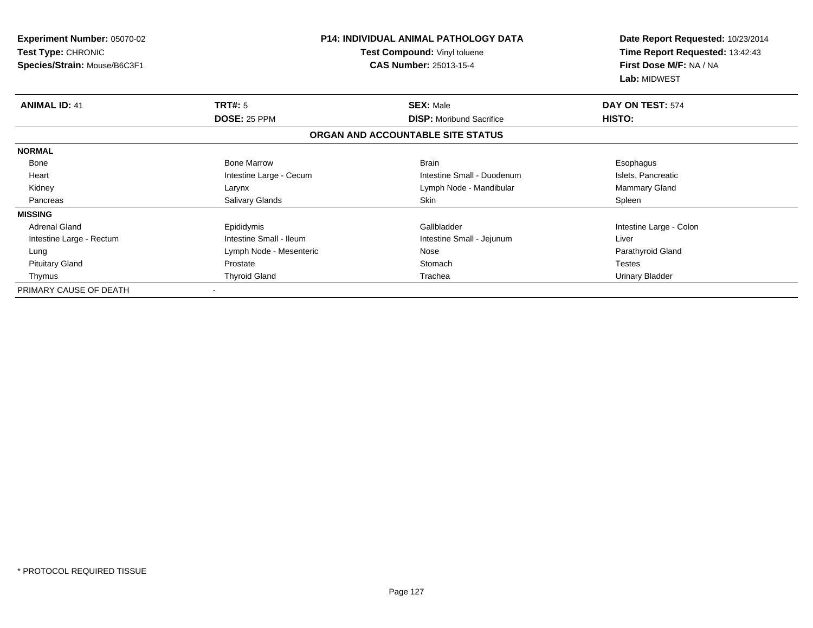| Experiment Number: 05070-02<br>Test Type: CHRONIC<br>Species/Strain: Mouse/B6C3F1 |                         | <b>P14: INDIVIDUAL ANIMAL PATHOLOGY DATA</b><br>Test Compound: Vinyl toluene<br><b>CAS Number: 25013-15-4</b> | Date Report Requested: 10/23/2014<br>Time Report Requested: 13:42:43<br>First Dose M/F: NA / NA<br>Lab: MIDWEST |
|-----------------------------------------------------------------------------------|-------------------------|---------------------------------------------------------------------------------------------------------------|-----------------------------------------------------------------------------------------------------------------|
| <b>ANIMAL ID: 41</b>                                                              | <b>TRT#: 5</b>          | <b>SEX: Male</b>                                                                                              | DAY ON TEST: 574                                                                                                |
|                                                                                   | DOSE: 25 PPM            | <b>DISP:</b> Moribund Sacrifice                                                                               | HISTO:                                                                                                          |
|                                                                                   |                         | ORGAN AND ACCOUNTABLE SITE STATUS                                                                             |                                                                                                                 |
| <b>NORMAL</b>                                                                     |                         |                                                                                                               |                                                                                                                 |
| Bone                                                                              | <b>Bone Marrow</b>      | <b>Brain</b>                                                                                                  | Esophagus                                                                                                       |
| Heart                                                                             | Intestine Large - Cecum | Intestine Small - Duodenum                                                                                    | Islets, Pancreatic                                                                                              |
| Kidney                                                                            | Larynx                  | Lymph Node - Mandibular                                                                                       | <b>Mammary Gland</b>                                                                                            |
| Pancreas                                                                          | <b>Salivary Glands</b>  | Skin                                                                                                          | Spleen                                                                                                          |
| <b>MISSING</b>                                                                    |                         |                                                                                                               |                                                                                                                 |
| <b>Adrenal Gland</b>                                                              | Epididymis              | Gallbladder                                                                                                   | Intestine Large - Colon                                                                                         |
| Intestine Large - Rectum                                                          | Intestine Small - Ileum | Intestine Small - Jejunum                                                                                     | Liver                                                                                                           |
| Lung                                                                              | Lymph Node - Mesenteric | Nose                                                                                                          | Parathyroid Gland                                                                                               |
| <b>Pituitary Gland</b>                                                            | Prostate                | Stomach                                                                                                       | <b>Testes</b>                                                                                                   |
| Thymus                                                                            | <b>Thyroid Gland</b>    | Trachea                                                                                                       | <b>Urinary Bladder</b>                                                                                          |
| PRIMARY CAUSE OF DEATH                                                            |                         |                                                                                                               |                                                                                                                 |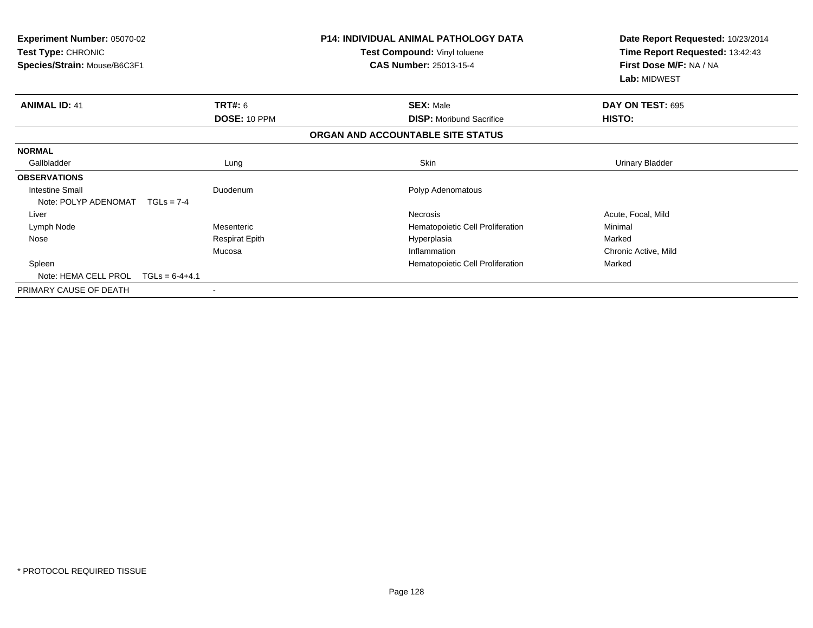| <b>Experiment Number: 05070-02</b><br>Test Type: CHRONIC<br>Species/Strain: Mouse/B6C3F1 |                                | <b>P14: INDIVIDUAL ANIMAL PATHOLOGY DATA</b><br>Test Compound: Vinyl toluene<br><b>CAS Number: 25013-15-4</b> | Date Report Requested: 10/23/2014<br>Time Report Requested: 13:42:43<br>First Dose M/F: NA / NA<br>Lab: MIDWEST |
|------------------------------------------------------------------------------------------|--------------------------------|---------------------------------------------------------------------------------------------------------------|-----------------------------------------------------------------------------------------------------------------|
| <b>ANIMAL ID: 41</b>                                                                     | <b>TRT#:</b> 6<br>DOSE: 10 PPM | <b>SEX: Male</b><br><b>DISP:</b> Moribund Sacrifice                                                           | DAY ON TEST: 695<br>HISTO:                                                                                      |
|                                                                                          |                                | ORGAN AND ACCOUNTABLE SITE STATUS                                                                             |                                                                                                                 |
| <b>NORMAL</b>                                                                            |                                |                                                                                                               |                                                                                                                 |
| Gallbladder                                                                              | Lung                           | Skin                                                                                                          | <b>Urinary Bladder</b>                                                                                          |
| <b>OBSERVATIONS</b>                                                                      |                                |                                                                                                               |                                                                                                                 |
| <b>Intestine Small</b>                                                                   | Duodenum                       | Polyp Adenomatous                                                                                             |                                                                                                                 |
| Note: POLYP ADENOMAT                                                                     | $TGLs = 7-4$                   |                                                                                                               |                                                                                                                 |
| Liver                                                                                    |                                | <b>Necrosis</b>                                                                                               | Acute, Focal, Mild                                                                                              |
| Lymph Node                                                                               | Mesenteric                     | Hematopoietic Cell Proliferation                                                                              | Minimal                                                                                                         |
| Nose                                                                                     | <b>Respirat Epith</b>          | Hyperplasia                                                                                                   | Marked                                                                                                          |
|                                                                                          | Mucosa                         | Inflammation                                                                                                  | Chronic Active, Mild                                                                                            |
| Spleen                                                                                   |                                | Hematopoietic Cell Proliferation                                                                              | Marked                                                                                                          |
| Note: HEMA CELL PROL                                                                     | $TGLs = 6-4+4.1$               |                                                                                                               |                                                                                                                 |
| PRIMARY CAUSE OF DEATH                                                                   |                                |                                                                                                               |                                                                                                                 |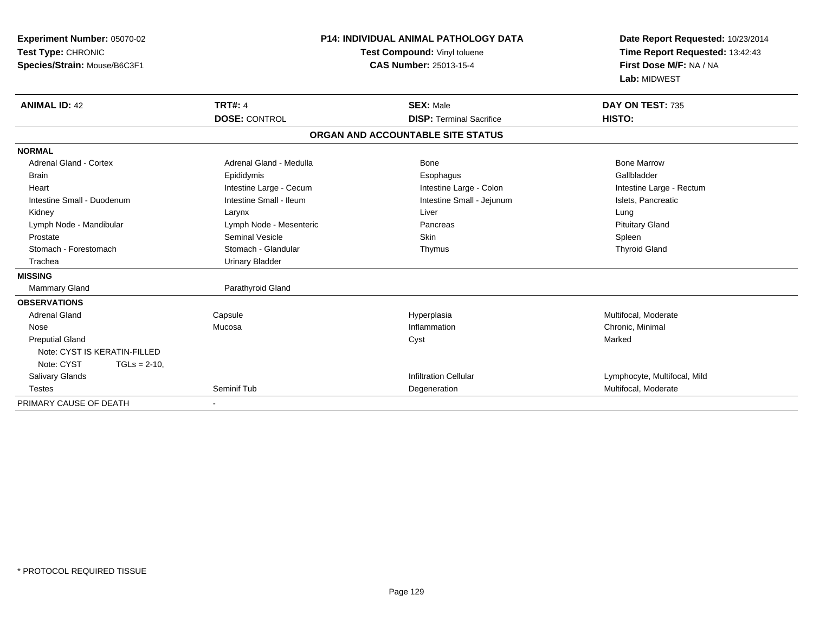| Experiment Number: 05070-02<br>Test Type: CHRONIC<br>Species/Strain: Mouse/B6C3F1 |                                        | <b>P14: INDIVIDUAL ANIMAL PATHOLOGY DATA</b><br>Test Compound: Vinyl toluene<br><b>CAS Number: 25013-15-4</b> | Date Report Requested: 10/23/2014<br>Time Report Requested: 13:42:43<br>First Dose M/F: NA / NA<br>Lab: MIDWEST |
|-----------------------------------------------------------------------------------|----------------------------------------|---------------------------------------------------------------------------------------------------------------|-----------------------------------------------------------------------------------------------------------------|
| <b>ANIMAL ID: 42</b>                                                              | <b>TRT#: 4</b><br><b>DOSE: CONTROL</b> | <b>SEX: Male</b><br><b>DISP: Terminal Sacrifice</b>                                                           | DAY ON TEST: 735<br>HISTO:                                                                                      |
|                                                                                   |                                        |                                                                                                               |                                                                                                                 |
|                                                                                   |                                        | ORGAN AND ACCOUNTABLE SITE STATUS                                                                             |                                                                                                                 |
| <b>NORMAL</b>                                                                     |                                        |                                                                                                               |                                                                                                                 |
| Adrenal Gland - Cortex                                                            | Adrenal Gland - Medulla                | Bone                                                                                                          | <b>Bone Marrow</b>                                                                                              |
| <b>Brain</b>                                                                      | Epididymis                             | Esophagus                                                                                                     | Gallbladder                                                                                                     |
| Heart                                                                             | Intestine Large - Cecum                | Intestine Large - Colon                                                                                       | Intestine Large - Rectum                                                                                        |
| Intestine Small - Duodenum                                                        | Intestine Small - Ileum                | Intestine Small - Jejunum                                                                                     | Islets, Pancreatic                                                                                              |
| Kidney                                                                            | Larynx                                 | Liver                                                                                                         | Lung                                                                                                            |
| Lymph Node - Mandibular                                                           | Lymph Node - Mesenteric                | Pancreas                                                                                                      | <b>Pituitary Gland</b>                                                                                          |
| Prostate                                                                          | Seminal Vesicle                        | Skin                                                                                                          | Spleen                                                                                                          |
| Stomach - Forestomach                                                             | Stomach - Glandular                    | Thymus                                                                                                        | <b>Thyroid Gland</b>                                                                                            |
| Trachea                                                                           | <b>Urinary Bladder</b>                 |                                                                                                               |                                                                                                                 |
| <b>MISSING</b>                                                                    |                                        |                                                                                                               |                                                                                                                 |
| <b>Mammary Gland</b>                                                              | Parathyroid Gland                      |                                                                                                               |                                                                                                                 |
| <b>OBSERVATIONS</b>                                                               |                                        |                                                                                                               |                                                                                                                 |
| Adrenal Gland                                                                     | Capsule                                | Hyperplasia                                                                                                   | Multifocal, Moderate                                                                                            |
| Nose                                                                              | Mucosa                                 | Inflammation                                                                                                  | Chronic, Minimal                                                                                                |
| <b>Preputial Gland</b>                                                            |                                        | Cyst                                                                                                          | Marked                                                                                                          |
| Note: CYST IS KERATIN-FILLED                                                      |                                        |                                                                                                               |                                                                                                                 |
| Note: CYST<br>$TGLs = 2-10$ ,                                                     |                                        |                                                                                                               |                                                                                                                 |
| Salivary Glands                                                                   |                                        | <b>Infiltration Cellular</b>                                                                                  | Lymphocyte, Multifocal, Mild                                                                                    |
| <b>Testes</b>                                                                     | Seminif Tub                            | Degeneration                                                                                                  | Multifocal, Moderate                                                                                            |
| PRIMARY CAUSE OF DEATH                                                            |                                        |                                                                                                               |                                                                                                                 |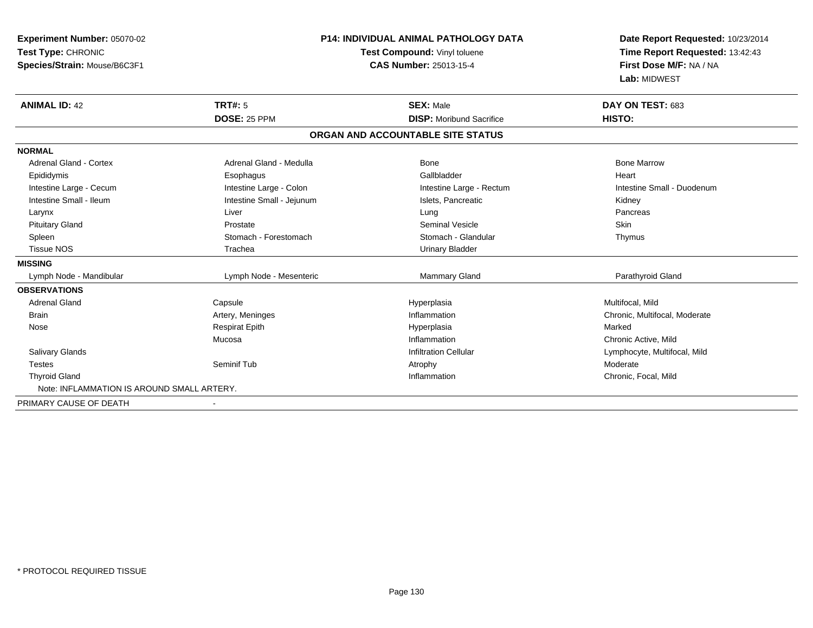| <b>Experiment Number: 05070-02</b>         | P14: INDIVIDUAL ANIMAL PATHOLOGY DATA |                                   | Date Report Requested: 10/23/2014 |
|--------------------------------------------|---------------------------------------|-----------------------------------|-----------------------------------|
| Test Type: CHRONIC                         |                                       | Test Compound: Vinyl toluene      | Time Report Requested: 13:42:43   |
| Species/Strain: Mouse/B6C3F1               |                                       | <b>CAS Number: 25013-15-4</b>     | First Dose M/F: NA / NA           |
|                                            |                                       |                                   | Lab: MIDWEST                      |
| <b>ANIMAL ID: 42</b>                       | <b>TRT#: 5</b>                        | <b>SEX: Male</b>                  | DAY ON TEST: 683                  |
|                                            | <b>DOSE: 25 PPM</b>                   | <b>DISP:</b> Moribund Sacrifice   | HISTO:                            |
|                                            |                                       | ORGAN AND ACCOUNTABLE SITE STATUS |                                   |
| <b>NORMAL</b>                              |                                       |                                   |                                   |
| <b>Adrenal Gland - Cortex</b>              | Adrenal Gland - Medulla               | <b>Bone</b>                       | <b>Bone Marrow</b>                |
| Epididymis                                 | Esophagus                             | Gallbladder                       | Heart                             |
| Intestine Large - Cecum                    | Intestine Large - Colon               | Intestine Large - Rectum          | Intestine Small - Duodenum        |
| Intestine Small - Ileum                    | Intestine Small - Jejunum             | Islets, Pancreatic                | Kidney                            |
| Larynx                                     | Liver                                 | Lung                              | Pancreas                          |
| <b>Pituitary Gland</b>                     | Prostate                              | <b>Seminal Vesicle</b>            | <b>Skin</b>                       |
| Spleen                                     | Stomach - Forestomach                 | Stomach - Glandular               | Thymus                            |
| <b>Tissue NOS</b>                          | Trachea                               | <b>Urinary Bladder</b>            |                                   |
| <b>MISSING</b>                             |                                       |                                   |                                   |
| Lymph Node - Mandibular                    | Lymph Node - Mesenteric               | <b>Mammary Gland</b>              | Parathyroid Gland                 |
| <b>OBSERVATIONS</b>                        |                                       |                                   |                                   |
| <b>Adrenal Gland</b>                       | Capsule                               | Hyperplasia                       | Multifocal, Mild                  |
| <b>Brain</b>                               | Artery, Meninges                      | Inflammation                      | Chronic, Multifocal, Moderate     |
| Nose                                       | <b>Respirat Epith</b>                 | Hyperplasia                       | Marked                            |
|                                            | Mucosa                                | Inflammation                      | Chronic Active, Mild              |
| <b>Salivary Glands</b>                     |                                       | <b>Infiltration Cellular</b>      | Lymphocyte, Multifocal, Mild      |
| <b>Testes</b>                              | Seminif Tub                           | Atrophy                           | Moderate                          |
| <b>Thyroid Gland</b>                       |                                       | Inflammation                      | Chronic, Focal, Mild              |
| Note: INFLAMMATION IS AROUND SMALL ARTERY. |                                       |                                   |                                   |
| PRIMARY CAUSE OF DEATH                     |                                       |                                   |                                   |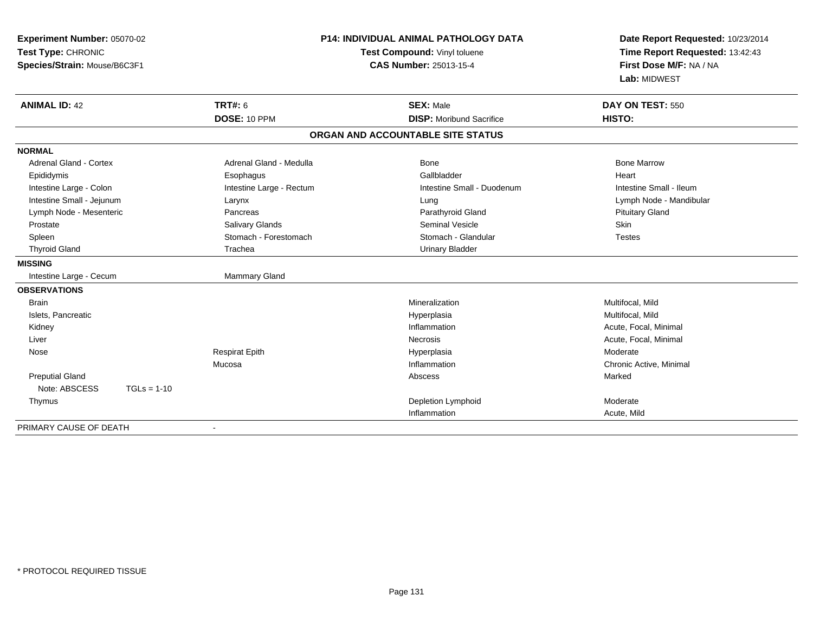| Experiment Number: 05070-02<br>Test Type: CHRONIC<br>Species/Strain: Mouse/B6C3F1 |                                | <b>P14: INDIVIDUAL ANIMAL PATHOLOGY DATA</b><br>Test Compound: Vinyl toluene<br><b>CAS Number: 25013-15-4</b> | Date Report Requested: 10/23/2014<br>Time Report Requested: 13:42:43<br>First Dose M/F: NA / NA<br>Lab: MIDWEST |  |
|-----------------------------------------------------------------------------------|--------------------------------|---------------------------------------------------------------------------------------------------------------|-----------------------------------------------------------------------------------------------------------------|--|
| <b>ANIMAL ID: 42</b>                                                              | <b>TRT#: 6</b><br>DOSE: 10 PPM | <b>SEX: Male</b><br><b>DISP:</b> Moribund Sacrifice                                                           | DAY ON TEST: 550<br>HISTO:                                                                                      |  |
|                                                                                   |                                | ORGAN AND ACCOUNTABLE SITE STATUS                                                                             |                                                                                                                 |  |
| <b>NORMAL</b>                                                                     |                                |                                                                                                               |                                                                                                                 |  |
| Adrenal Gland - Cortex                                                            | Adrenal Gland - Medulla        | <b>Bone</b>                                                                                                   | <b>Bone Marrow</b>                                                                                              |  |
| Epididymis                                                                        | Esophagus                      | Gallbladder                                                                                                   | Heart                                                                                                           |  |
| Intestine Large - Colon                                                           | Intestine Large - Rectum       | Intestine Small - Duodenum                                                                                    | Intestine Small - Ileum                                                                                         |  |
| Intestine Small - Jejunum                                                         | Larynx                         | Lung                                                                                                          | Lymph Node - Mandibular                                                                                         |  |
| Lymph Node - Mesenteric                                                           | Pancreas                       | Parathyroid Gland                                                                                             | <b>Pituitary Gland</b>                                                                                          |  |
| Prostate                                                                          | <b>Salivary Glands</b>         | <b>Seminal Vesicle</b>                                                                                        | Skin                                                                                                            |  |
| Spleen                                                                            | Stomach - Forestomach          | Stomach - Glandular                                                                                           | <b>Testes</b>                                                                                                   |  |
| <b>Thyroid Gland</b>                                                              | Trachea                        | <b>Urinary Bladder</b>                                                                                        |                                                                                                                 |  |
| <b>MISSING</b>                                                                    |                                |                                                                                                               |                                                                                                                 |  |
| Intestine Large - Cecum                                                           | Mammary Gland                  |                                                                                                               |                                                                                                                 |  |
| <b>OBSERVATIONS</b>                                                               |                                |                                                                                                               |                                                                                                                 |  |
| <b>Brain</b>                                                                      |                                | Mineralization                                                                                                | Multifocal, Mild                                                                                                |  |
| Islets, Pancreatic                                                                |                                | Hyperplasia                                                                                                   | Multifocal, Mild                                                                                                |  |
| Kidney                                                                            |                                | Inflammation                                                                                                  | Acute, Focal, Minimal                                                                                           |  |
| Liver                                                                             |                                | Necrosis                                                                                                      | Acute, Focal, Minimal                                                                                           |  |
| Nose                                                                              | <b>Respirat Epith</b>          | Hyperplasia                                                                                                   | Moderate                                                                                                        |  |
|                                                                                   | Mucosa                         | Inflammation                                                                                                  | Chronic Active, Minimal                                                                                         |  |
| <b>Preputial Gland</b>                                                            |                                | Abscess                                                                                                       | Marked                                                                                                          |  |
| Note: ABSCESS<br>$TGLs = 1-10$                                                    |                                |                                                                                                               |                                                                                                                 |  |
| Thymus                                                                            |                                | Depletion Lymphoid                                                                                            | Moderate                                                                                                        |  |
|                                                                                   |                                | Inflammation                                                                                                  | Acute, Mild                                                                                                     |  |
| PRIMARY CAUSE OF DEATH                                                            | $\overline{\phantom{a}}$       |                                                                                                               |                                                                                                                 |  |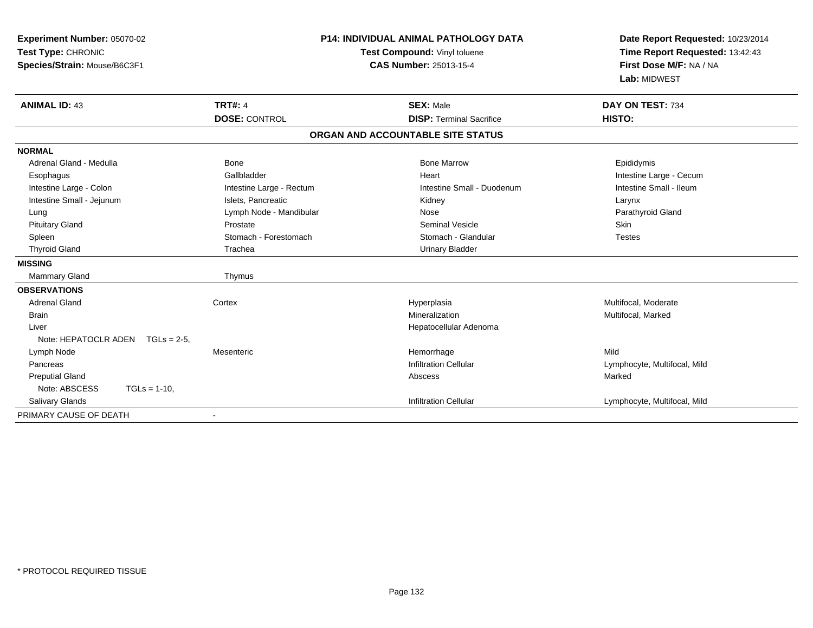| Experiment Number: 05070-02<br>Test Type: CHRONIC<br>Species/Strain: Mouse/B6C3F1 | <b>P14: INDIVIDUAL ANIMAL PATHOLOGY DATA</b><br>Test Compound: Vinyl toluene<br><b>CAS Number: 25013-15-4</b> |                                   | Date Report Requested: 10/23/2014<br>Time Report Requested: 13:42:43<br>First Dose M/F: NA / NA<br>Lab: MIDWEST |  |
|-----------------------------------------------------------------------------------|---------------------------------------------------------------------------------------------------------------|-----------------------------------|-----------------------------------------------------------------------------------------------------------------|--|
| <b>ANIMAL ID: 43</b>                                                              | <b>TRT#: 4</b>                                                                                                | <b>SEX: Male</b>                  | DAY ON TEST: 734                                                                                                |  |
|                                                                                   | <b>DOSE: CONTROL</b>                                                                                          | <b>DISP: Terminal Sacrifice</b>   | HISTO:                                                                                                          |  |
|                                                                                   |                                                                                                               | ORGAN AND ACCOUNTABLE SITE STATUS |                                                                                                                 |  |
| <b>NORMAL</b>                                                                     |                                                                                                               |                                   |                                                                                                                 |  |
| Adrenal Gland - Medulla                                                           | Bone                                                                                                          | <b>Bone Marrow</b>                | Epididymis                                                                                                      |  |
| Esophagus                                                                         | Gallbladder                                                                                                   | Heart                             | Intestine Large - Cecum                                                                                         |  |
| Intestine Large - Colon                                                           | Intestine Large - Rectum                                                                                      | Intestine Small - Duodenum        | Intestine Small - Ileum                                                                                         |  |
| Intestine Small - Jejunum                                                         | Islets, Pancreatic                                                                                            | Kidney                            | Larynx                                                                                                          |  |
| Lung                                                                              | Lymph Node - Mandibular                                                                                       | Nose                              | Parathyroid Gland                                                                                               |  |
| <b>Pituitary Gland</b>                                                            | Prostate                                                                                                      | Seminal Vesicle                   | <b>Skin</b>                                                                                                     |  |
| Spleen                                                                            | Stomach - Forestomach                                                                                         | Stomach - Glandular               | <b>Testes</b>                                                                                                   |  |
| <b>Thyroid Gland</b>                                                              | Trachea                                                                                                       | <b>Urinary Bladder</b>            |                                                                                                                 |  |
| <b>MISSING</b>                                                                    |                                                                                                               |                                   |                                                                                                                 |  |
| Mammary Gland                                                                     | Thymus                                                                                                        |                                   |                                                                                                                 |  |
| <b>OBSERVATIONS</b>                                                               |                                                                                                               |                                   |                                                                                                                 |  |
| <b>Adrenal Gland</b>                                                              | Cortex                                                                                                        | Hyperplasia                       | Multifocal, Moderate                                                                                            |  |
| <b>Brain</b>                                                                      |                                                                                                               | Mineralization                    | Multifocal, Marked                                                                                              |  |
| Liver                                                                             |                                                                                                               | Hepatocellular Adenoma            |                                                                                                                 |  |
| Note: HEPATOCLR ADEN<br>$TGLs = 2-5$                                              |                                                                                                               |                                   |                                                                                                                 |  |
| Lymph Node                                                                        | Mesenteric                                                                                                    | Hemorrhage                        | Mild                                                                                                            |  |
| Pancreas                                                                          |                                                                                                               | <b>Infiltration Cellular</b>      | Lymphocyte, Multifocal, Mild                                                                                    |  |
| <b>Preputial Gland</b>                                                            |                                                                                                               | Abscess                           | Marked                                                                                                          |  |
| Note: ABSCESS<br>$TGLs = 1-10$ ,                                                  |                                                                                                               |                                   |                                                                                                                 |  |
| Salivary Glands                                                                   |                                                                                                               | <b>Infiltration Cellular</b>      | Lymphocyte, Multifocal, Mild                                                                                    |  |
| PRIMARY CAUSE OF DEATH                                                            |                                                                                                               |                                   |                                                                                                                 |  |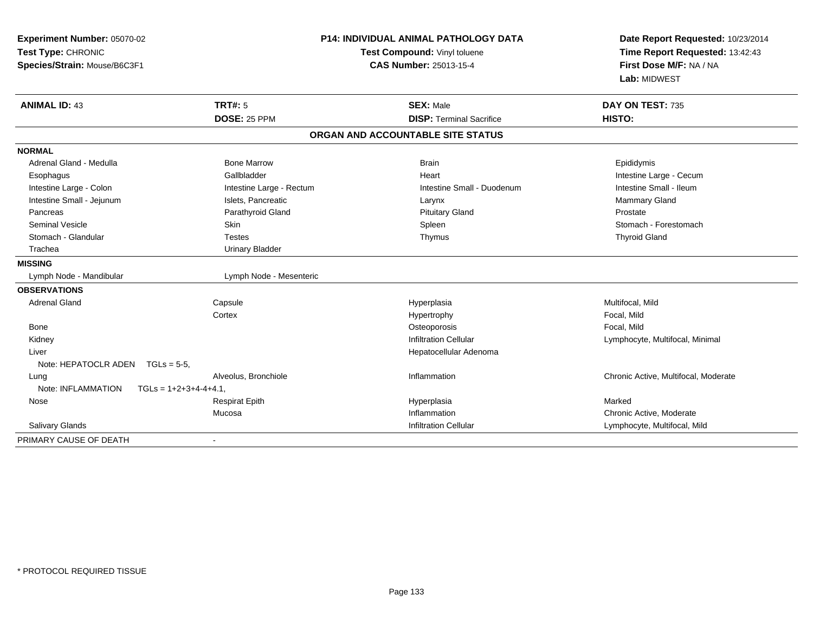| Experiment Number: 05070-02<br>Test Type: CHRONIC<br>Species/Strain: Mouse/B6C3F1 |                          | <b>P14: INDIVIDUAL ANIMAL PATHOLOGY DATA</b><br>Test Compound: Vinyl toluene<br><b>CAS Number: 25013-15-4</b> | Date Report Requested: 10/23/2014<br>Time Report Requested: 13:42:43<br>First Dose M/F: NA / NA<br>Lab: MIDWEST |  |
|-----------------------------------------------------------------------------------|--------------------------|---------------------------------------------------------------------------------------------------------------|-----------------------------------------------------------------------------------------------------------------|--|
| <b>ANIMAL ID: 43</b>                                                              | <b>TRT#: 5</b>           | <b>SEX: Male</b>                                                                                              | DAY ON TEST: 735                                                                                                |  |
|                                                                                   | DOSE: 25 PPM             | <b>DISP: Terminal Sacrifice</b>                                                                               | <b>HISTO:</b>                                                                                                   |  |
|                                                                                   |                          | ORGAN AND ACCOUNTABLE SITE STATUS                                                                             |                                                                                                                 |  |
| <b>NORMAL</b>                                                                     |                          |                                                                                                               |                                                                                                                 |  |
| Adrenal Gland - Medulla                                                           | <b>Bone Marrow</b>       | <b>Brain</b>                                                                                                  | Epididymis                                                                                                      |  |
| Esophagus                                                                         | Gallbladder              | Heart                                                                                                         | Intestine Large - Cecum                                                                                         |  |
| Intestine Large - Colon                                                           | Intestine Large - Rectum | Intestine Small - Duodenum                                                                                    | Intestine Small - Ileum                                                                                         |  |
| Intestine Small - Jejunum                                                         | Islets, Pancreatic       | Larynx                                                                                                        | Mammary Gland                                                                                                   |  |
| Pancreas                                                                          | Parathyroid Gland        | <b>Pituitary Gland</b>                                                                                        | Prostate                                                                                                        |  |
| <b>Seminal Vesicle</b>                                                            | Skin                     | Spleen                                                                                                        | Stomach - Forestomach                                                                                           |  |
| Stomach - Glandular                                                               | <b>Testes</b>            | Thymus                                                                                                        | <b>Thyroid Gland</b>                                                                                            |  |
| Trachea                                                                           | <b>Urinary Bladder</b>   |                                                                                                               |                                                                                                                 |  |
| <b>MISSING</b>                                                                    |                          |                                                                                                               |                                                                                                                 |  |
| Lymph Node - Mandibular                                                           | Lymph Node - Mesenteric  |                                                                                                               |                                                                                                                 |  |
| <b>OBSERVATIONS</b>                                                               |                          |                                                                                                               |                                                                                                                 |  |
| <b>Adrenal Gland</b>                                                              | Capsule                  | Hyperplasia                                                                                                   | Multifocal, Mild                                                                                                |  |
|                                                                                   | Cortex                   | Hypertrophy                                                                                                   | Focal, Mild                                                                                                     |  |
| <b>Bone</b>                                                                       |                          | Osteoporosis                                                                                                  | Focal, Mild                                                                                                     |  |
| Kidney                                                                            |                          | <b>Infiltration Cellular</b>                                                                                  | Lymphocyte, Multifocal, Minimal                                                                                 |  |
| Liver                                                                             |                          | Hepatocellular Adenoma                                                                                        |                                                                                                                 |  |
| Note: HEPATOCLR ADEN TGLs = 5-5,                                                  |                          |                                                                                                               |                                                                                                                 |  |
| Lung                                                                              | Alveolus, Bronchiole     | Inflammation                                                                                                  | Chronic Active, Multifocal, Moderate                                                                            |  |
| Note: INFLAMMATION                                                                | $TGLs = 1+2+3+4-4+4.1$ . |                                                                                                               |                                                                                                                 |  |
| Nose                                                                              | <b>Respirat Epith</b>    | Hyperplasia                                                                                                   | Marked                                                                                                          |  |
|                                                                                   | Mucosa                   | Inflammation                                                                                                  | Chronic Active, Moderate                                                                                        |  |
| <b>Salivary Glands</b>                                                            |                          | <b>Infiltration Cellular</b>                                                                                  | Lymphocyte, Multifocal, Mild                                                                                    |  |
| PRIMARY CAUSE OF DEATH                                                            |                          |                                                                                                               |                                                                                                                 |  |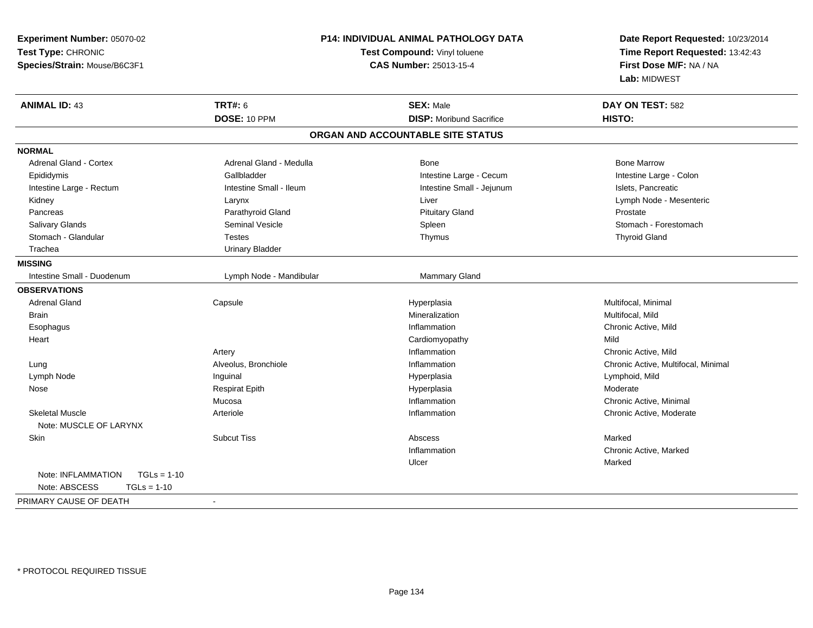| Experiment Number: 05070-02         | <b>P14: INDIVIDUAL ANIMAL PATHOLOGY DATA</b><br>Test Compound: Vinyl toluene<br>CAS Number: 25013-15-4 |                                   | Date Report Requested: 10/23/2014<br>Time Report Requested: 13:42:43<br>First Dose M/F: NA / NA |  |
|-------------------------------------|--------------------------------------------------------------------------------------------------------|-----------------------------------|-------------------------------------------------------------------------------------------------|--|
| Test Type: CHRONIC                  |                                                                                                        |                                   |                                                                                                 |  |
| Species/Strain: Mouse/B6C3F1        |                                                                                                        |                                   |                                                                                                 |  |
|                                     |                                                                                                        |                                   | Lab: MIDWEST                                                                                    |  |
| <b>ANIMAL ID: 43</b>                | <b>TRT#: 6</b>                                                                                         | <b>SEX: Male</b>                  | DAY ON TEST: 582                                                                                |  |
|                                     | DOSE: 10 PPM                                                                                           | <b>DISP:</b> Moribund Sacrifice   | HISTO:                                                                                          |  |
|                                     |                                                                                                        | ORGAN AND ACCOUNTABLE SITE STATUS |                                                                                                 |  |
| <b>NORMAL</b>                       |                                                                                                        |                                   |                                                                                                 |  |
| <b>Adrenal Gland - Cortex</b>       | Adrenal Gland - Medulla                                                                                | Bone                              | <b>Bone Marrow</b>                                                                              |  |
| Epididymis                          | Gallbladder                                                                                            | Intestine Large - Cecum           | Intestine Large - Colon                                                                         |  |
| Intestine Large - Rectum            | Intestine Small - Ileum                                                                                | Intestine Small - Jejunum         | Islets, Pancreatic                                                                              |  |
| Kidney                              | Larynx                                                                                                 | Liver                             | Lymph Node - Mesenteric                                                                         |  |
| Pancreas                            | Parathyroid Gland                                                                                      | <b>Pituitary Gland</b>            | Prostate                                                                                        |  |
| <b>Salivary Glands</b>              | <b>Seminal Vesicle</b>                                                                                 | Spleen                            | Stomach - Forestomach                                                                           |  |
| Stomach - Glandular                 | <b>Testes</b>                                                                                          | Thymus                            | <b>Thyroid Gland</b>                                                                            |  |
| Trachea                             | <b>Urinary Bladder</b>                                                                                 |                                   |                                                                                                 |  |
| <b>MISSING</b>                      |                                                                                                        |                                   |                                                                                                 |  |
| Intestine Small - Duodenum          | Lymph Node - Mandibular                                                                                | Mammary Gland                     |                                                                                                 |  |
| <b>OBSERVATIONS</b>                 |                                                                                                        |                                   |                                                                                                 |  |
| <b>Adrenal Gland</b>                | Capsule                                                                                                | Hyperplasia                       | Multifocal, Minimal                                                                             |  |
| <b>Brain</b>                        |                                                                                                        | Mineralization                    | Multifocal, Mild                                                                                |  |
| Esophagus                           |                                                                                                        | Inflammation                      | Chronic Active, Mild                                                                            |  |
| Heart                               |                                                                                                        | Cardiomyopathy                    | Mild                                                                                            |  |
|                                     | Artery                                                                                                 | Inflammation                      | Chronic Active, Mild                                                                            |  |
| Lung                                | Alveolus, Bronchiole                                                                                   | Inflammation                      | Chronic Active, Multifocal, Minimal                                                             |  |
| Lymph Node                          | Inguinal                                                                                               | Hyperplasia                       | Lymphoid, Mild                                                                                  |  |
| Nose                                | <b>Respirat Epith</b>                                                                                  | Hyperplasia                       | Moderate                                                                                        |  |
|                                     | Mucosa                                                                                                 | Inflammation                      | Chronic Active, Minimal                                                                         |  |
| <b>Skeletal Muscle</b>              | Arteriole                                                                                              | Inflammation                      | Chronic Active, Moderate                                                                        |  |
| Note: MUSCLE OF LARYNX              |                                                                                                        |                                   |                                                                                                 |  |
| Skin                                | <b>Subcut Tiss</b>                                                                                     | Abscess                           | Marked                                                                                          |  |
|                                     |                                                                                                        | Inflammation                      | Chronic Active, Marked                                                                          |  |
|                                     |                                                                                                        | Ulcer                             | Marked                                                                                          |  |
| $TGLs = 1-10$<br>Note: INFLAMMATION |                                                                                                        |                                   |                                                                                                 |  |
| Note: ABSCESS<br>$TGLs = 1-10$      |                                                                                                        |                                   |                                                                                                 |  |
| PRIMARY CAUSE OF DEATH              | $\overline{\phantom{a}}$                                                                               |                                   |                                                                                                 |  |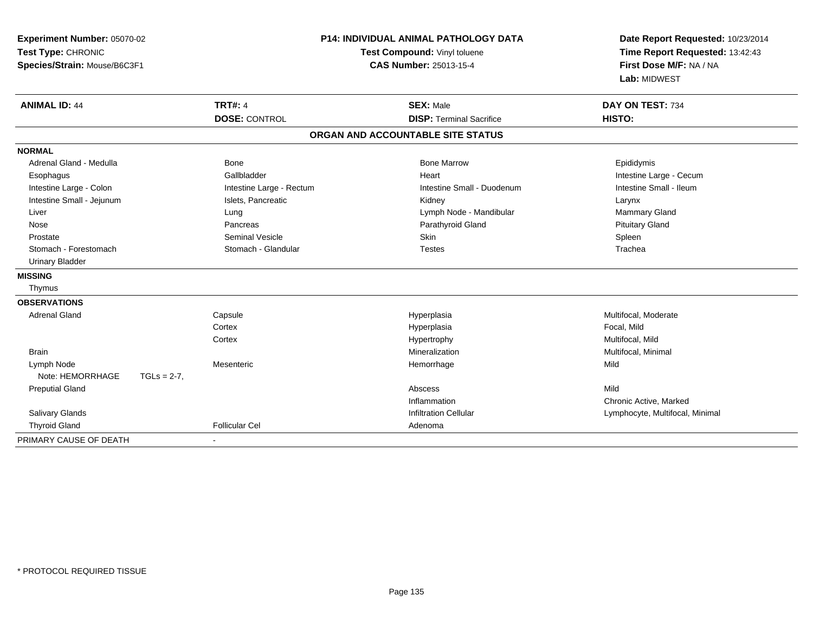| Experiment Number: 05070-02<br>Test Type: CHRONIC<br>Species/Strain: Mouse/B6C3F1 |                | P14: INDIVIDUAL ANIMAL PATHOLOGY DATA<br>Test Compound: Vinyl toluene<br><b>CAS Number: 25013-15-4</b> |                                   | Date Report Requested: 10/23/2014<br>Time Report Requested: 13:42:43<br>First Dose M/F: NA / NA<br>Lab: MIDWEST |
|-----------------------------------------------------------------------------------|----------------|--------------------------------------------------------------------------------------------------------|-----------------------------------|-----------------------------------------------------------------------------------------------------------------|
| <b>ANIMAL ID: 44</b>                                                              |                | <b>TRT#: 4</b>                                                                                         | <b>SEX: Male</b>                  | DAY ON TEST: 734                                                                                                |
|                                                                                   |                | <b>DOSE: CONTROL</b>                                                                                   | <b>DISP: Terminal Sacrifice</b>   | HISTO:                                                                                                          |
|                                                                                   |                |                                                                                                        | ORGAN AND ACCOUNTABLE SITE STATUS |                                                                                                                 |
| <b>NORMAL</b>                                                                     |                |                                                                                                        |                                   |                                                                                                                 |
| Adrenal Gland - Medulla                                                           |                | Bone                                                                                                   | <b>Bone Marrow</b>                | Epididymis                                                                                                      |
| Esophagus                                                                         |                | Gallbladder                                                                                            | Heart                             | Intestine Large - Cecum                                                                                         |
| Intestine Large - Colon                                                           |                | Intestine Large - Rectum                                                                               | Intestine Small - Duodenum        | Intestine Small - Ileum                                                                                         |
| Intestine Small - Jejunum                                                         |                | Islets, Pancreatic                                                                                     | Kidney                            | Larynx                                                                                                          |
| Liver                                                                             |                | Lung                                                                                                   | Lymph Node - Mandibular           | Mammary Gland                                                                                                   |
| Nose                                                                              |                | Pancreas                                                                                               | Parathyroid Gland                 | <b>Pituitary Gland</b>                                                                                          |
| Prostate                                                                          |                | <b>Seminal Vesicle</b>                                                                                 | <b>Skin</b>                       | Spleen                                                                                                          |
| Stomach - Forestomach                                                             |                | Stomach - Glandular                                                                                    | <b>Testes</b>                     | Trachea                                                                                                         |
| <b>Urinary Bladder</b>                                                            |                |                                                                                                        |                                   |                                                                                                                 |
| <b>MISSING</b>                                                                    |                |                                                                                                        |                                   |                                                                                                                 |
| Thymus                                                                            |                |                                                                                                        |                                   |                                                                                                                 |
| <b>OBSERVATIONS</b>                                                               |                |                                                                                                        |                                   |                                                                                                                 |
| <b>Adrenal Gland</b>                                                              |                | Capsule                                                                                                | Hyperplasia                       | Multifocal, Moderate                                                                                            |
|                                                                                   |                | Cortex                                                                                                 | Hyperplasia                       | Focal, Mild                                                                                                     |
|                                                                                   |                | Cortex                                                                                                 | Hypertrophy                       | Multifocal, Mild                                                                                                |
| <b>Brain</b>                                                                      |                |                                                                                                        | Mineralization                    | Multifocal, Minimal                                                                                             |
| Lymph Node                                                                        |                | Mesenteric                                                                                             | Hemorrhage                        | Mild                                                                                                            |
| Note: HEMORRHAGE                                                                  | $TGLs = 2-7$ , |                                                                                                        |                                   |                                                                                                                 |
| <b>Preputial Gland</b>                                                            |                |                                                                                                        | Abscess                           | Mild                                                                                                            |
|                                                                                   |                |                                                                                                        | Inflammation                      | Chronic Active, Marked                                                                                          |
| Salivary Glands                                                                   |                |                                                                                                        | <b>Infiltration Cellular</b>      | Lymphocyte, Multifocal, Minimal                                                                                 |
| <b>Thyroid Gland</b>                                                              |                | <b>Follicular Cel</b>                                                                                  | Adenoma                           |                                                                                                                 |
| PRIMARY CAUSE OF DEATH                                                            |                |                                                                                                        |                                   |                                                                                                                 |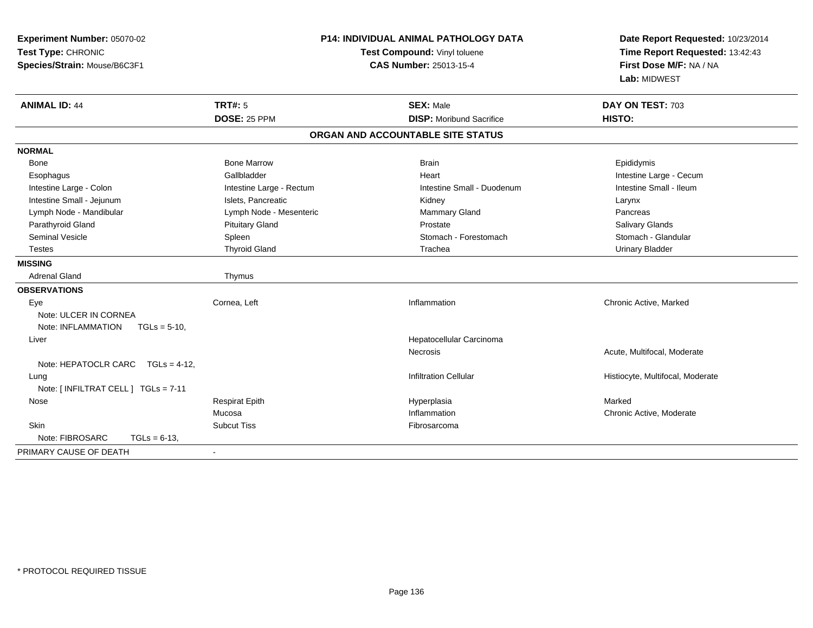| Experiment Number: 05070-02<br>Test Type: CHRONIC<br>Species/Strain: Mouse/B6C3F1 |                          | P14: INDIVIDUAL ANIMAL PATHOLOGY DATA<br>Test Compound: Vinyl toluene<br>CAS Number: 25013-15-4 | Date Report Requested: 10/23/2014<br>Time Report Requested: 13:42:43<br>First Dose M/F: NA / NA<br>Lab: MIDWEST |
|-----------------------------------------------------------------------------------|--------------------------|-------------------------------------------------------------------------------------------------|-----------------------------------------------------------------------------------------------------------------|
| <b>ANIMAL ID: 44</b>                                                              | TRT#: 5                  | <b>SEX: Male</b>                                                                                | DAY ON TEST: 703                                                                                                |
|                                                                                   | DOSE: 25 PPM             | <b>DISP: Moribund Sacrifice</b>                                                                 | HISTO:                                                                                                          |
|                                                                                   |                          | ORGAN AND ACCOUNTABLE SITE STATUS                                                               |                                                                                                                 |
| <b>NORMAL</b>                                                                     |                          |                                                                                                 |                                                                                                                 |
| Bone                                                                              | <b>Bone Marrow</b>       | <b>Brain</b>                                                                                    | Epididymis                                                                                                      |
| Esophagus                                                                         | Gallbladder              | Heart                                                                                           | Intestine Large - Cecum                                                                                         |
| Intestine Large - Colon                                                           | Intestine Large - Rectum | Intestine Small - Duodenum                                                                      | Intestine Small - Ileum                                                                                         |
| Intestine Small - Jejunum                                                         | Islets, Pancreatic       | Kidney                                                                                          | Larynx                                                                                                          |
| Lymph Node - Mandibular                                                           | Lymph Node - Mesenteric  | Mammary Gland                                                                                   | Pancreas                                                                                                        |
| Parathyroid Gland                                                                 | <b>Pituitary Gland</b>   | Prostate                                                                                        | <b>Salivary Glands</b>                                                                                          |
| <b>Seminal Vesicle</b>                                                            | Spleen                   | Stomach - Forestomach                                                                           | Stomach - Glandular                                                                                             |
| <b>Testes</b>                                                                     | <b>Thyroid Gland</b>     | Trachea                                                                                         | <b>Urinary Bladder</b>                                                                                          |
| <b>MISSING</b>                                                                    |                          |                                                                                                 |                                                                                                                 |
| <b>Adrenal Gland</b>                                                              | Thymus                   |                                                                                                 |                                                                                                                 |
| <b>OBSERVATIONS</b>                                                               |                          |                                                                                                 |                                                                                                                 |
| Eye                                                                               | Cornea, Left             | Inflammation                                                                                    | Chronic Active, Marked                                                                                          |
| Note: ULCER IN CORNEA                                                             |                          |                                                                                                 |                                                                                                                 |
| Note: INFLAMMATION<br>$TGLs = 5-10$ ,                                             |                          |                                                                                                 |                                                                                                                 |
| Liver                                                                             |                          | Hepatocellular Carcinoma                                                                        |                                                                                                                 |
|                                                                                   |                          | Necrosis                                                                                        | Acute, Multifocal, Moderate                                                                                     |
| Note: HEPATOCLR CARC $TGLs = 4-12$ ,                                              |                          |                                                                                                 |                                                                                                                 |
| Lung                                                                              |                          | <b>Infiltration Cellular</b>                                                                    | Histiocyte, Multifocal, Moderate                                                                                |
| Note: [ INFILTRAT CELL ] TGLs = 7-11                                              |                          |                                                                                                 |                                                                                                                 |
| Nose                                                                              | <b>Respirat Epith</b>    | Hyperplasia                                                                                     | Marked                                                                                                          |
|                                                                                   | Mucosa                   | Inflammation                                                                                    | Chronic Active, Moderate                                                                                        |
| Skin                                                                              | <b>Subcut Tiss</b>       | Fibrosarcoma                                                                                    |                                                                                                                 |
| Note: FIBROSARC<br>$TGLs = 6-13$ ,                                                |                          |                                                                                                 |                                                                                                                 |
| PRIMARY CAUSE OF DEATH                                                            | $\blacksquare$           |                                                                                                 |                                                                                                                 |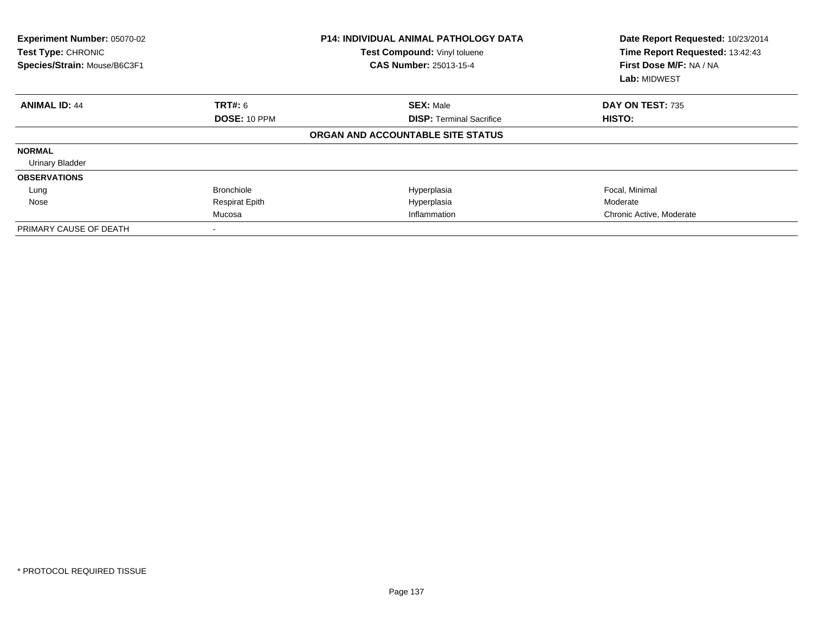| <b>Experiment Number: 05070-02</b><br>Test Type: CHRONIC<br>Species/Strain: Mouse/B6C3F1 |                       | <b>P14: INDIVIDUAL ANIMAL PATHOLOGY DATA</b><br>Test Compound: Vinyl toluene<br><b>CAS Number: 25013-15-4</b> | Date Report Requested: 10/23/2014<br>Time Report Requested: 13:42:43<br>First Dose M/F: NA / NA<br>Lab: MIDWEST |
|------------------------------------------------------------------------------------------|-----------------------|---------------------------------------------------------------------------------------------------------------|-----------------------------------------------------------------------------------------------------------------|
| <b>ANIMAL ID: 44</b>                                                                     | TRT#: 6               | <b>SEX: Male</b>                                                                                              | DAY ON TEST: 735                                                                                                |
|                                                                                          | <b>DOSE: 10 PPM</b>   | <b>DISP:</b> Terminal Sacrifice                                                                               | <b>HISTO:</b>                                                                                                   |
|                                                                                          |                       | ORGAN AND ACCOUNTABLE SITE STATUS                                                                             |                                                                                                                 |
| <b>NORMAL</b>                                                                            |                       |                                                                                                               |                                                                                                                 |
| <b>Urinary Bladder</b>                                                                   |                       |                                                                                                               |                                                                                                                 |
| <b>OBSERVATIONS</b>                                                                      |                       |                                                                                                               |                                                                                                                 |
| Lung                                                                                     | <b>Bronchiole</b>     | Hyperplasia                                                                                                   | Focal, Minimal                                                                                                  |
| Nose                                                                                     | <b>Respirat Epith</b> | Hyperplasia                                                                                                   | Moderate                                                                                                        |
|                                                                                          | Mucosa                | Inflammation                                                                                                  | Chronic Active, Moderate                                                                                        |
| PRIMARY CAUSE OF DEATH                                                                   |                       |                                                                                                               |                                                                                                                 |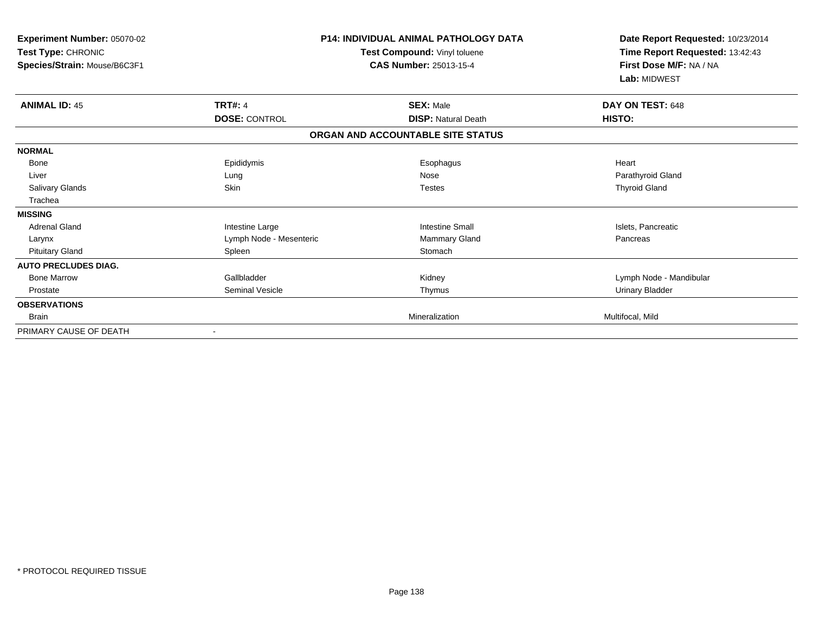| Experiment Number: 05070-02<br>Test Type: CHRONIC<br>Species/Strain: Mouse/B6C3F1 |                         | <b>P14: INDIVIDUAL ANIMAL PATHOLOGY DATA</b><br>Test Compound: Vinyl toluene<br><b>CAS Number: 25013-15-4</b> | Date Report Requested: 10/23/2014<br>Time Report Requested: 13:42:43<br>First Dose M/F: NA / NA<br>Lab: MIDWEST |
|-----------------------------------------------------------------------------------|-------------------------|---------------------------------------------------------------------------------------------------------------|-----------------------------------------------------------------------------------------------------------------|
| <b>ANIMAL ID: 45</b>                                                              | <b>TRT#: 4</b>          | <b>SEX: Male</b>                                                                                              | DAY ON TEST: 648<br>HISTO:                                                                                      |
|                                                                                   | <b>DOSE: CONTROL</b>    | <b>DISP: Natural Death</b><br>ORGAN AND ACCOUNTABLE SITE STATUS                                               |                                                                                                                 |
| <b>NORMAL</b>                                                                     |                         |                                                                                                               |                                                                                                                 |
| Bone                                                                              | Epididymis              | Esophagus                                                                                                     | Heart                                                                                                           |
| Liver                                                                             | Lung                    | Nose                                                                                                          | Parathyroid Gland                                                                                               |
| <b>Salivary Glands</b>                                                            | Skin                    | <b>Testes</b>                                                                                                 | <b>Thyroid Gland</b>                                                                                            |
| Trachea                                                                           |                         |                                                                                                               |                                                                                                                 |
| <b>MISSING</b>                                                                    |                         |                                                                                                               |                                                                                                                 |
| <b>Adrenal Gland</b>                                                              | Intestine Large         | <b>Intestine Small</b>                                                                                        | Islets, Pancreatic                                                                                              |
| Larynx                                                                            | Lymph Node - Mesenteric | Mammary Gland                                                                                                 | Pancreas                                                                                                        |
| <b>Pituitary Gland</b>                                                            | Spleen                  | Stomach                                                                                                       |                                                                                                                 |
| <b>AUTO PRECLUDES DIAG.</b>                                                       |                         |                                                                                                               |                                                                                                                 |
| <b>Bone Marrow</b>                                                                | Gallbladder             | Kidney                                                                                                        | Lymph Node - Mandibular                                                                                         |
| Prostate                                                                          | <b>Seminal Vesicle</b>  | Thymus                                                                                                        | Urinary Bladder                                                                                                 |
| <b>OBSERVATIONS</b>                                                               |                         |                                                                                                               |                                                                                                                 |
| <b>Brain</b>                                                                      |                         | Mineralization                                                                                                | Multifocal, Mild                                                                                                |
| PRIMARY CAUSE OF DEATH                                                            | $\blacksquare$          |                                                                                                               |                                                                                                                 |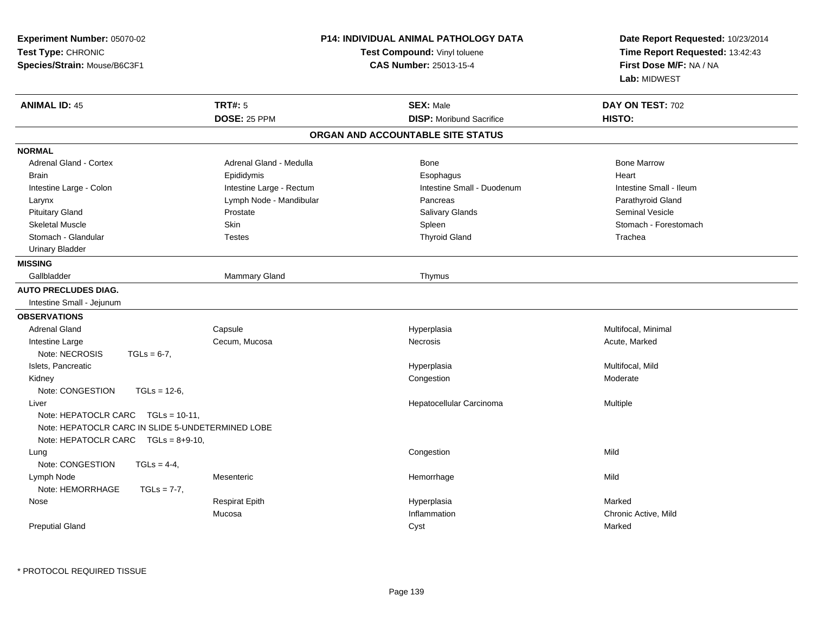| Experiment Number: 05070-02<br>Test Type: CHRONIC<br>Species/Strain: Mouse/B6C3F1 |                          | P14: INDIVIDUAL ANIMAL PATHOLOGY DATA<br>Test Compound: Vinyl toluene<br><b>CAS Number: 25013-15-4</b> | Date Report Requested: 10/23/2014<br>Time Report Requested: 13:42:43<br>First Dose M/F: NA / NA<br>Lab: MIDWEST |
|-----------------------------------------------------------------------------------|--------------------------|--------------------------------------------------------------------------------------------------------|-----------------------------------------------------------------------------------------------------------------|
| <b>ANIMAL ID: 45</b>                                                              | <b>TRT#: 5</b>           | <b>SEX: Male</b>                                                                                       | DAY ON TEST: 702                                                                                                |
|                                                                                   | DOSE: 25 PPM             | <b>DISP:</b> Moribund Sacrifice                                                                        | HISTO:                                                                                                          |
|                                                                                   |                          | ORGAN AND ACCOUNTABLE SITE STATUS                                                                      |                                                                                                                 |
| <b>NORMAL</b>                                                                     |                          |                                                                                                        |                                                                                                                 |
| Adrenal Gland - Cortex                                                            | Adrenal Gland - Medulla  | Bone                                                                                                   | <b>Bone Marrow</b>                                                                                              |
| <b>Brain</b>                                                                      | Epididymis               | Esophagus                                                                                              | Heart                                                                                                           |
| Intestine Large - Colon                                                           | Intestine Large - Rectum | Intestine Small - Duodenum                                                                             | Intestine Small - Ileum                                                                                         |
| Larynx                                                                            | Lymph Node - Mandibular  | Pancreas                                                                                               | Parathyroid Gland                                                                                               |
| <b>Pituitary Gland</b>                                                            | Prostate                 | <b>Salivary Glands</b>                                                                                 | Seminal Vesicle                                                                                                 |
| <b>Skeletal Muscle</b>                                                            | Skin                     | Spleen                                                                                                 | Stomach - Forestomach                                                                                           |
| Stomach - Glandular                                                               | <b>Testes</b>            | <b>Thyroid Gland</b>                                                                                   | Trachea                                                                                                         |
| <b>Urinary Bladder</b>                                                            |                          |                                                                                                        |                                                                                                                 |
| <b>MISSING</b>                                                                    |                          |                                                                                                        |                                                                                                                 |
| Gallbladder                                                                       | Mammary Gland            | Thymus                                                                                                 |                                                                                                                 |
| <b>AUTO PRECLUDES DIAG.</b>                                                       |                          |                                                                                                        |                                                                                                                 |
| Intestine Small - Jejunum                                                         |                          |                                                                                                        |                                                                                                                 |
| <b>OBSERVATIONS</b>                                                               |                          |                                                                                                        |                                                                                                                 |
| <b>Adrenal Gland</b>                                                              | Capsule                  | Hyperplasia                                                                                            | Multifocal, Minimal                                                                                             |
| Intestine Large                                                                   | Cecum, Mucosa            | Necrosis                                                                                               | Acute, Marked                                                                                                   |
| Note: NECROSIS<br>$TGLs = 6-7$ ,                                                  |                          |                                                                                                        |                                                                                                                 |
| Islets, Pancreatic                                                                |                          | Hyperplasia                                                                                            | Multifocal, Mild                                                                                                |
| Kidney                                                                            |                          | Congestion                                                                                             | Moderate                                                                                                        |
| Note: CONGESTION<br>$TGLs = 12-6$                                                 |                          |                                                                                                        |                                                                                                                 |
| Liver                                                                             |                          | Hepatocellular Carcinoma                                                                               | Multiple                                                                                                        |
| Note: HEPATOCLR CARC TGLs = 10-11,                                                |                          |                                                                                                        |                                                                                                                 |
| Note: HEPATOCLR CARC IN SLIDE 5-UNDETERMINED LOBE                                 |                          |                                                                                                        |                                                                                                                 |
| Note: HEPATOCLR CARC $TGLs = 8+9-10$ ,                                            |                          |                                                                                                        |                                                                                                                 |
| Lung                                                                              |                          | Congestion                                                                                             | Mild                                                                                                            |
| Note: CONGESTION<br>$TGLs = 4-4$ ,                                                |                          |                                                                                                        |                                                                                                                 |
| Lymph Node                                                                        | Mesenteric               | Hemorrhage                                                                                             | Mild                                                                                                            |
| Note: HEMORRHAGE<br>$TGLs = 7-7$ ,                                                |                          |                                                                                                        |                                                                                                                 |
| Nose                                                                              | <b>Respirat Epith</b>    | Hyperplasia                                                                                            | Marked                                                                                                          |
|                                                                                   | Mucosa                   | Inflammation                                                                                           | Chronic Active, Mild                                                                                            |
| <b>Preputial Gland</b>                                                            |                          | Cyst                                                                                                   | Marked                                                                                                          |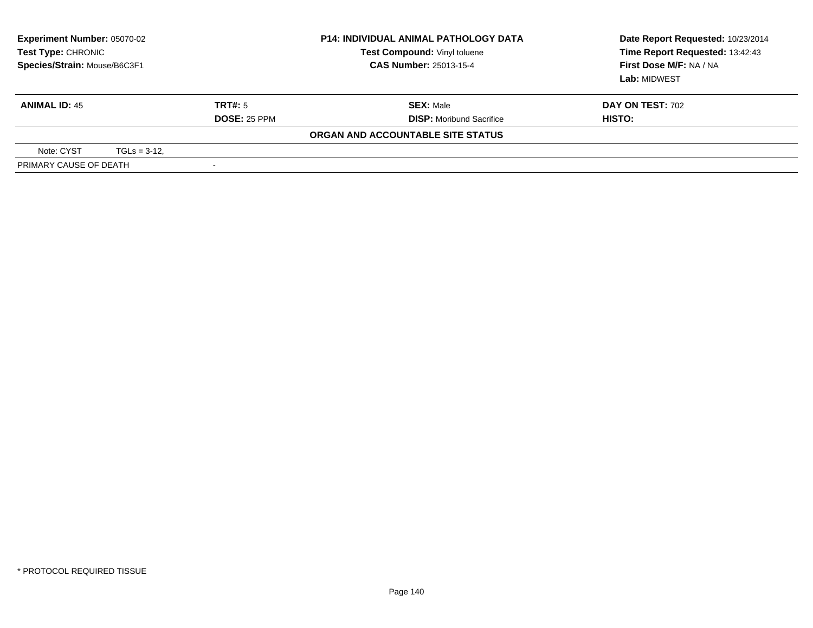| <b>Experiment Number: 05070-02</b><br><b>Test Type: CHRONIC</b><br>Species/Strain: Mouse/B6C3F1 |                |                                       | <b>P14: INDIVIDUAL ANIMAL PATHOLOGY DATA</b><br>Test Compound: Vinyl toluene<br><b>CAS Number: 25013-15-4</b> | Date Report Requested: 10/23/2014<br>Time Report Requested: 13:42:43<br>First Dose M/F: NA / NA<br>Lab: MIDWEST |
|-------------------------------------------------------------------------------------------------|----------------|---------------------------------------|---------------------------------------------------------------------------------------------------------------|-----------------------------------------------------------------------------------------------------------------|
| <b>ANIMAL ID: 45</b>                                                                            |                | <b>TRT#:</b> 5<br><b>DOSE: 25 PPM</b> | <b>SEX: Male</b><br><b>DISP:</b> Moribund Sacrifice                                                           | <b>DAY ON TEST: 702</b><br>HISTO:                                                                               |
|                                                                                                 |                |                                       | ORGAN AND ACCOUNTABLE SITE STATUS                                                                             |                                                                                                                 |
| Note: CYST                                                                                      | $TGLs = 3-12.$ |                                       |                                                                                                               |                                                                                                                 |
| PRIMARY CAUSE OF DEATH                                                                          |                |                                       |                                                                                                               |                                                                                                                 |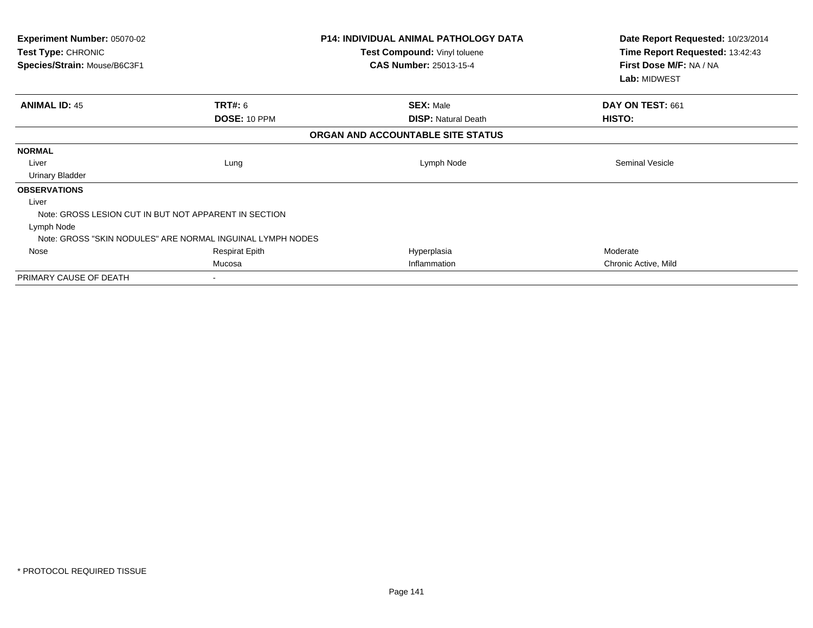| <b>Experiment Number: 05070-02</b><br>Test Type: CHRONIC   |                       | <b>P14: INDIVIDUAL ANIMAL PATHOLOGY DATA</b><br>Test Compound: Vinyl toluene<br><b>CAS Number: 25013-15-4</b> | Date Report Requested: 10/23/2014<br>Time Report Requested: 13:42:43<br>First Dose M/F: NA / NA |
|------------------------------------------------------------|-----------------------|---------------------------------------------------------------------------------------------------------------|-------------------------------------------------------------------------------------------------|
| Species/Strain: Mouse/B6C3F1                               |                       |                                                                                                               | Lab: MIDWEST                                                                                    |
| <b>ANIMAL ID: 45</b>                                       | TRT#: 6               | <b>SEX: Male</b>                                                                                              | DAY ON TEST: 661                                                                                |
|                                                            | DOSE: 10 PPM          | <b>DISP: Natural Death</b>                                                                                    | <b>HISTO:</b>                                                                                   |
|                                                            |                       | ORGAN AND ACCOUNTABLE SITE STATUS                                                                             |                                                                                                 |
| <b>NORMAL</b>                                              |                       |                                                                                                               |                                                                                                 |
| Liver                                                      | Lung                  | Lymph Node                                                                                                    | <b>Seminal Vesicle</b>                                                                          |
| Urinary Bladder                                            |                       |                                                                                                               |                                                                                                 |
| <b>OBSERVATIONS</b>                                        |                       |                                                                                                               |                                                                                                 |
| Liver                                                      |                       |                                                                                                               |                                                                                                 |
| Note: GROSS LESION CUT IN BUT NOT APPARENT IN SECTION      |                       |                                                                                                               |                                                                                                 |
| Lymph Node                                                 |                       |                                                                                                               |                                                                                                 |
| Note: GROSS "SKIN NODULES" ARE NORMAL INGUINAL LYMPH NODES |                       |                                                                                                               |                                                                                                 |
| Nose                                                       | <b>Respirat Epith</b> | Hyperplasia                                                                                                   | Moderate                                                                                        |
|                                                            | Mucosa                | Inflammation                                                                                                  | Chronic Active, Mild                                                                            |
| PRIMARY CAUSE OF DEATH                                     |                       |                                                                                                               |                                                                                                 |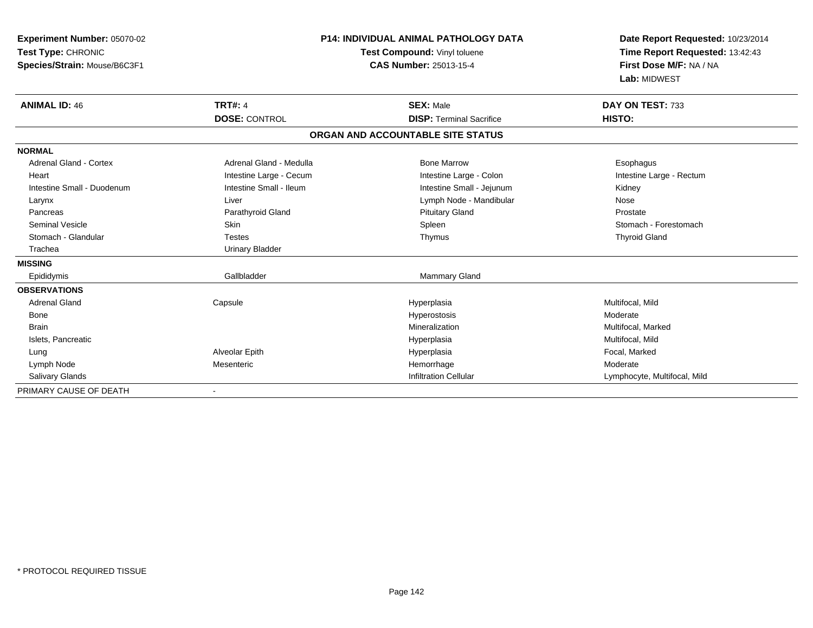| Experiment Number: 05070-02<br>Test Type: CHRONIC<br>Species/Strain: Mouse/B6C3F1<br><b>ANIMAL ID: 46</b> | <b>TRT#: 4</b>          | <b>P14: INDIVIDUAL ANIMAL PATHOLOGY DATA</b><br>Test Compound: Vinyl toluene<br><b>CAS Number: 25013-15-4</b><br><b>SEX: Male</b> | Date Report Requested: 10/23/2014<br>Time Report Requested: 13:42:43<br>First Dose M/F: NA / NA<br>Lab: MIDWEST<br>DAY ON TEST: 733 |
|-----------------------------------------------------------------------------------------------------------|-------------------------|-----------------------------------------------------------------------------------------------------------------------------------|-------------------------------------------------------------------------------------------------------------------------------------|
|                                                                                                           | <b>DOSE: CONTROL</b>    | <b>DISP:</b> Terminal Sacrifice                                                                                                   | HISTO:                                                                                                                              |
|                                                                                                           |                         | ORGAN AND ACCOUNTABLE SITE STATUS                                                                                                 |                                                                                                                                     |
| <b>NORMAL</b>                                                                                             |                         |                                                                                                                                   |                                                                                                                                     |
| <b>Adrenal Gland - Cortex</b>                                                                             | Adrenal Gland - Medulla | <b>Bone Marrow</b>                                                                                                                | Esophagus                                                                                                                           |
| Heart                                                                                                     | Intestine Large - Cecum | Intestine Large - Colon                                                                                                           | Intestine Large - Rectum                                                                                                            |
| Intestine Small - Duodenum                                                                                | Intestine Small - Ileum | Intestine Small - Jejunum                                                                                                         | Kidney                                                                                                                              |
| Larynx                                                                                                    | Liver                   | Lymph Node - Mandibular                                                                                                           | Nose                                                                                                                                |
| Pancreas                                                                                                  | Parathyroid Gland       | <b>Pituitary Gland</b>                                                                                                            | Prostate                                                                                                                            |
| <b>Seminal Vesicle</b>                                                                                    | Skin                    | Spleen                                                                                                                            | Stomach - Forestomach                                                                                                               |
| Stomach - Glandular                                                                                       | <b>Testes</b>           | Thymus                                                                                                                            | <b>Thyroid Gland</b>                                                                                                                |
| Trachea                                                                                                   | <b>Urinary Bladder</b>  |                                                                                                                                   |                                                                                                                                     |
| <b>MISSING</b>                                                                                            |                         |                                                                                                                                   |                                                                                                                                     |
| Epididymis                                                                                                | Gallbladder             | <b>Mammary Gland</b>                                                                                                              |                                                                                                                                     |
| <b>OBSERVATIONS</b>                                                                                       |                         |                                                                                                                                   |                                                                                                                                     |
| <b>Adrenal Gland</b>                                                                                      | Capsule                 | Hyperplasia                                                                                                                       | Multifocal, Mild                                                                                                                    |
| Bone                                                                                                      |                         | Hyperostosis                                                                                                                      | Moderate                                                                                                                            |
| <b>Brain</b>                                                                                              |                         | Mineralization                                                                                                                    | Multifocal, Marked                                                                                                                  |
| Islets, Pancreatic                                                                                        |                         | Hyperplasia                                                                                                                       | Multifocal, Mild                                                                                                                    |
| Lung                                                                                                      | Alveolar Epith          | Hyperplasia                                                                                                                       | Focal, Marked                                                                                                                       |
| Lymph Node                                                                                                | Mesenteric              | Hemorrhage                                                                                                                        | Moderate                                                                                                                            |
| Salivary Glands                                                                                           |                         | <b>Infiltration Cellular</b>                                                                                                      | Lymphocyte, Multifocal, Mild                                                                                                        |
| PRIMARY CAUSE OF DEATH                                                                                    |                         |                                                                                                                                   |                                                                                                                                     |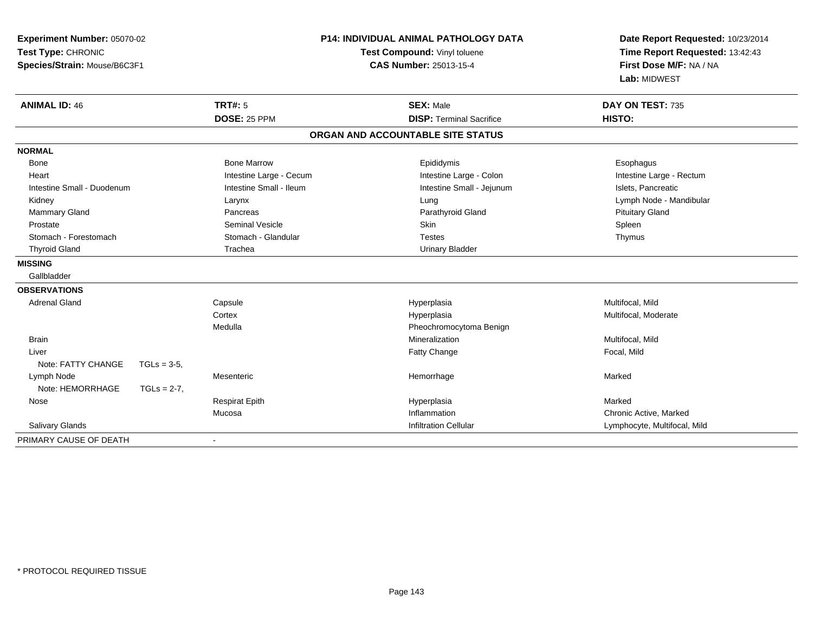| <b>Experiment Number: 05070-02</b>                 | <b>P14: INDIVIDUAL ANIMAL PATHOLOGY DATA</b> |                              | Date Report Requested: 10/23/2014 |                                 |
|----------------------------------------------------|----------------------------------------------|------------------------------|-----------------------------------|---------------------------------|
| Test Type: CHRONIC<br>Species/Strain: Mouse/B6C3F1 |                                              | Test Compound: Vinyl toluene |                                   | Time Report Requested: 13:42:43 |
|                                                    |                                              |                              | <b>CAS Number: 25013-15-4</b>     | First Dose M/F: NA / NA         |
|                                                    |                                              |                              |                                   | Lab: MIDWEST                    |
| <b>ANIMAL ID: 46</b>                               |                                              | <b>TRT#: 5</b>               | <b>SEX: Male</b>                  | DAY ON TEST: 735                |
|                                                    |                                              | DOSE: 25 PPM                 | <b>DISP: Terminal Sacrifice</b>   | HISTO:                          |
|                                                    |                                              |                              | ORGAN AND ACCOUNTABLE SITE STATUS |                                 |
| <b>NORMAL</b>                                      |                                              |                              |                                   |                                 |
| <b>Bone</b>                                        |                                              | <b>Bone Marrow</b>           | Epididymis                        | Esophagus                       |
| Heart                                              |                                              | Intestine Large - Cecum      | Intestine Large - Colon           | Intestine Large - Rectum        |
| Intestine Small - Duodenum                         |                                              | Intestine Small - Ileum      | Intestine Small - Jejunum         | Islets, Pancreatic              |
| Kidney                                             |                                              | Larynx                       | Lung                              | Lymph Node - Mandibular         |
| Mammary Gland                                      |                                              | Pancreas                     | Parathyroid Gland                 | <b>Pituitary Gland</b>          |
| Prostate                                           |                                              | <b>Seminal Vesicle</b>       | Skin                              | Spleen                          |
| Stomach - Forestomach                              |                                              | Stomach - Glandular          | <b>Testes</b>                     | Thymus                          |
| <b>Thyroid Gland</b>                               |                                              | Trachea                      | <b>Urinary Bladder</b>            |                                 |
| <b>MISSING</b>                                     |                                              |                              |                                   |                                 |
| Gallbladder                                        |                                              |                              |                                   |                                 |
| <b>OBSERVATIONS</b>                                |                                              |                              |                                   |                                 |
| <b>Adrenal Gland</b>                               |                                              | Capsule                      | Hyperplasia                       | Multifocal, Mild                |
|                                                    |                                              | Cortex                       | Hyperplasia                       | Multifocal, Moderate            |
|                                                    |                                              | Medulla                      | Pheochromocytoma Benign           |                                 |
| <b>Brain</b>                                       |                                              |                              | Mineralization                    | Multifocal, Mild                |
| Liver                                              |                                              |                              | <b>Fatty Change</b>               | Focal, Mild                     |
| Note: FATTY CHANGE                                 | $TGLs = 3-5.$                                |                              |                                   |                                 |
| Lymph Node                                         |                                              | Mesenteric                   | Hemorrhage                        | Marked                          |
| Note: HEMORRHAGE                                   | $TGLs = 2-7$ ,                               |                              |                                   |                                 |
| Nose                                               |                                              | <b>Respirat Epith</b>        | Hyperplasia                       | Marked                          |
|                                                    |                                              | Mucosa                       | Inflammation                      | Chronic Active, Marked          |
| Salivary Glands                                    |                                              |                              | <b>Infiltration Cellular</b>      | Lymphocyte, Multifocal, Mild    |
| PRIMARY CAUSE OF DEATH                             |                                              |                              |                                   |                                 |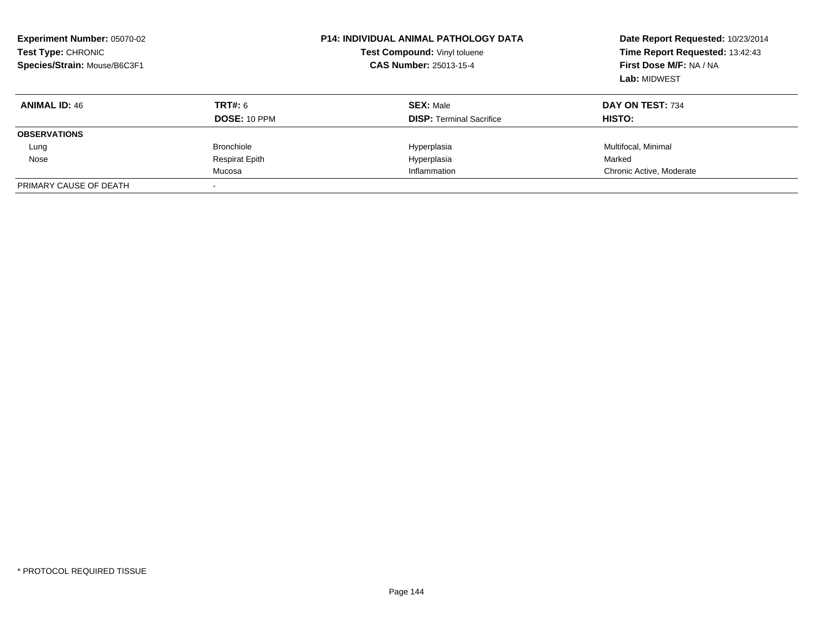| <b>Experiment Number: 05070-02</b><br>Test Type: CHRONIC<br>Species/Strain: Mouse/B6C3F1 |                       | <b>P14: INDIVIDUAL ANIMAL PATHOLOGY DATA</b><br>Test Compound: Vinyl toluene<br><b>CAS Number: 25013-15-4</b> | Date Report Requested: 10/23/2014<br>Time Report Requested: 13:42:43<br>First Dose M/F: NA / NA<br>Lab: MIDWEST |
|------------------------------------------------------------------------------------------|-----------------------|---------------------------------------------------------------------------------------------------------------|-----------------------------------------------------------------------------------------------------------------|
| <b>ANIMAL ID: 46</b>                                                                     | TRT#: 6               | <b>SEX: Male</b>                                                                                              | DAY ON TEST: 734                                                                                                |
|                                                                                          | DOSE: 10 PPM          | <b>DISP:</b> Terminal Sacrifice                                                                               | HISTO:                                                                                                          |
| <b>OBSERVATIONS</b>                                                                      |                       |                                                                                                               |                                                                                                                 |
| Lung                                                                                     | <b>Bronchiole</b>     | Hyperplasia                                                                                                   | Multifocal, Minimal                                                                                             |
| Nose                                                                                     | <b>Respirat Epith</b> | Hyperplasia                                                                                                   | Marked                                                                                                          |
|                                                                                          | Mucosa                | Inflammation                                                                                                  | Chronic Active, Moderate                                                                                        |
| PRIMARY CAUSE OF DEATH                                                                   |                       |                                                                                                               |                                                                                                                 |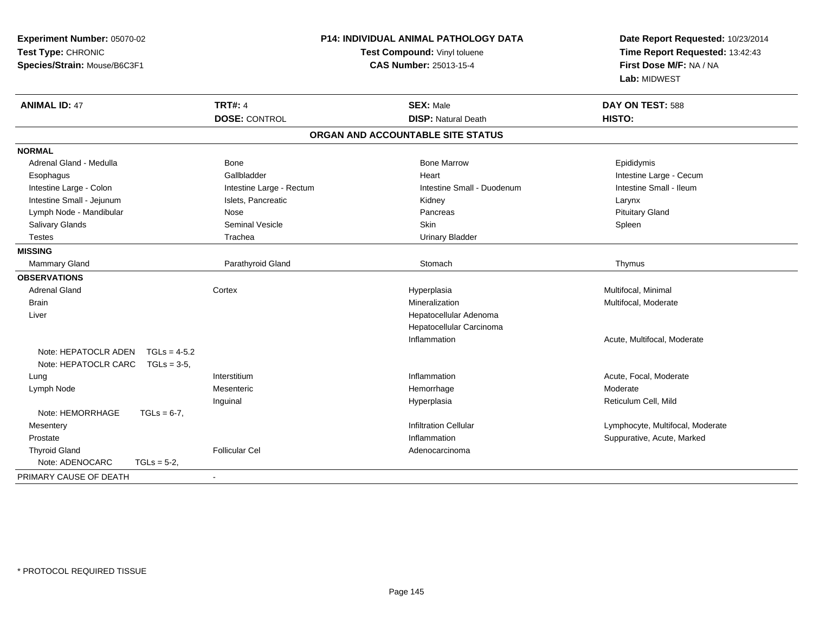| Experiment Number: 05070-02<br>Test Type: CHRONIC<br>Species/Strain: Mouse/B6C3F1 | <b>P14: INDIVIDUAL ANIMAL PATHOLOGY DATA</b><br>Test Compound: Vinyl toluene<br><b>CAS Number: 25013-15-4</b> |                                   | Date Report Requested: 10/23/2014<br>Time Report Requested: 13:42:43<br>First Dose M/F: NA / NA<br>Lab: MIDWEST |
|-----------------------------------------------------------------------------------|---------------------------------------------------------------------------------------------------------------|-----------------------------------|-----------------------------------------------------------------------------------------------------------------|
| <b>ANIMAL ID: 47</b>                                                              | <b>TRT#: 4</b>                                                                                                | <b>SEX: Male</b>                  | DAY ON TEST: 588                                                                                                |
|                                                                                   | <b>DOSE: CONTROL</b>                                                                                          | <b>DISP: Natural Death</b>        | HISTO:                                                                                                          |
|                                                                                   |                                                                                                               | ORGAN AND ACCOUNTABLE SITE STATUS |                                                                                                                 |
| <b>NORMAL</b>                                                                     |                                                                                                               |                                   |                                                                                                                 |
| Adrenal Gland - Medulla                                                           | <b>Bone</b>                                                                                                   | <b>Bone Marrow</b>                | Epididymis                                                                                                      |
| Esophagus                                                                         | Gallbladder                                                                                                   | Heart                             | Intestine Large - Cecum                                                                                         |
| Intestine Large - Colon                                                           | Intestine Large - Rectum                                                                                      | Intestine Small - Duodenum        | Intestine Small - Ileum                                                                                         |
| Intestine Small - Jejunum                                                         | Islets, Pancreatic                                                                                            | Kidney                            | Larynx                                                                                                          |
| Lymph Node - Mandibular                                                           | Nose                                                                                                          | Pancreas                          | <b>Pituitary Gland</b>                                                                                          |
| Salivary Glands                                                                   | Seminal Vesicle                                                                                               | Skin                              | Spleen                                                                                                          |
| <b>Testes</b>                                                                     | Trachea                                                                                                       | <b>Urinary Bladder</b>            |                                                                                                                 |
| <b>MISSING</b>                                                                    |                                                                                                               |                                   |                                                                                                                 |
| Mammary Gland                                                                     | Parathyroid Gland                                                                                             | Stomach                           | Thymus                                                                                                          |
| <b>OBSERVATIONS</b>                                                               |                                                                                                               |                                   |                                                                                                                 |
| <b>Adrenal Gland</b>                                                              | Cortex                                                                                                        | Hyperplasia                       | Multifocal, Minimal                                                                                             |
| <b>Brain</b>                                                                      |                                                                                                               | Mineralization                    | Multifocal, Moderate                                                                                            |
| Liver                                                                             |                                                                                                               | Hepatocellular Adenoma            |                                                                                                                 |
|                                                                                   |                                                                                                               | Hepatocellular Carcinoma          |                                                                                                                 |
|                                                                                   |                                                                                                               | Inflammation                      | Acute, Multifocal, Moderate                                                                                     |
| Note: HEPATOCLR ADEN<br>$TGLs = 4-5.2$                                            |                                                                                                               |                                   |                                                                                                                 |
| Note: HEPATOCLR CARC<br>$TGLs = 3-5$                                              |                                                                                                               |                                   |                                                                                                                 |
| Lung                                                                              | Interstitium                                                                                                  | Inflammation                      | Acute, Focal, Moderate                                                                                          |
| Lymph Node                                                                        | Mesenteric                                                                                                    | Hemorrhage                        | Moderate                                                                                                        |
|                                                                                   | Inguinal                                                                                                      | Hyperplasia                       | Reticulum Cell, Mild                                                                                            |
| Note: HEMORRHAGE<br>$TGLs = 6-7$ ,                                                |                                                                                                               |                                   |                                                                                                                 |
| Mesentery                                                                         |                                                                                                               | <b>Infiltration Cellular</b>      | Lymphocyte, Multifocal, Moderate                                                                                |
| Prostate                                                                          |                                                                                                               | Inflammation                      | Suppurative, Acute, Marked                                                                                      |
| <b>Thyroid Gland</b>                                                              | <b>Follicular Cel</b>                                                                                         | Adenocarcinoma                    |                                                                                                                 |
| Note: ADENOCARC<br>$TGLs = 5-2$ ,                                                 |                                                                                                               |                                   |                                                                                                                 |
| PRIMARY CAUSE OF DEATH                                                            | $\blacksquare$                                                                                                |                                   |                                                                                                                 |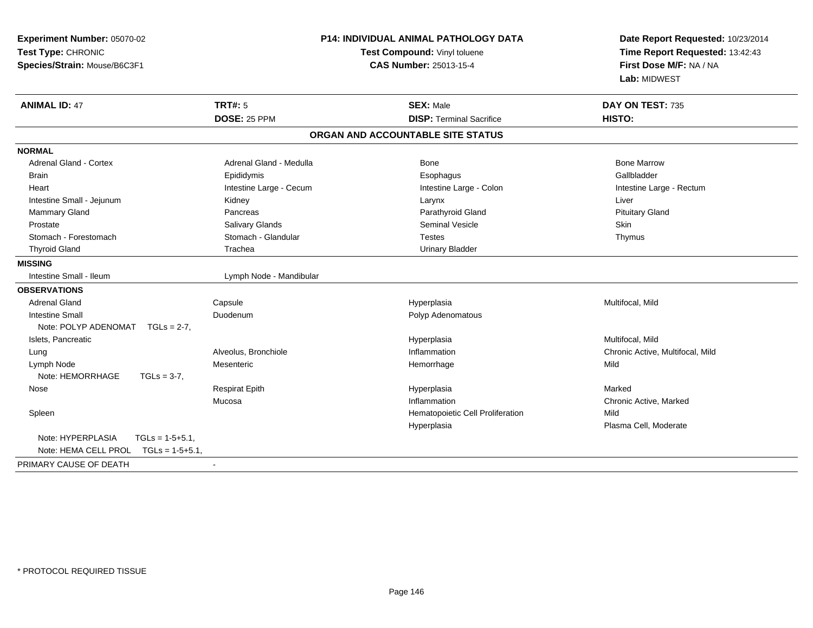| Experiment Number: 05070-02<br>Test Type: CHRONIC<br>Species/Strain: Mouse/B6C3F1   | <b>P14: INDIVIDUAL ANIMAL PATHOLOGY DATA</b><br>Test Compound: Vinyl toluene<br><b>CAS Number: 25013-15-4</b> |                                                     | Date Report Requested: 10/23/2014<br>Time Report Requested: 13:42:43<br>First Dose M/F: NA / NA<br>Lab: MIDWEST |
|-------------------------------------------------------------------------------------|---------------------------------------------------------------------------------------------------------------|-----------------------------------------------------|-----------------------------------------------------------------------------------------------------------------|
| <b>ANIMAL ID: 47</b>                                                                | <b>TRT#: 5</b><br>DOSE: 25 PPM                                                                                | <b>SEX: Male</b><br><b>DISP: Terminal Sacrifice</b> | DAY ON TEST: 735<br><b>HISTO:</b>                                                                               |
|                                                                                     |                                                                                                               |                                                     |                                                                                                                 |
|                                                                                     |                                                                                                               | ORGAN AND ACCOUNTABLE SITE STATUS                   |                                                                                                                 |
| <b>NORMAL</b>                                                                       |                                                                                                               |                                                     |                                                                                                                 |
| Adrenal Gland - Cortex                                                              | Adrenal Gland - Medulla                                                                                       | Bone                                                | <b>Bone Marrow</b>                                                                                              |
| <b>Brain</b>                                                                        | Epididymis                                                                                                    | Esophagus                                           | Gallbladder                                                                                                     |
| Heart                                                                               | Intestine Large - Cecum                                                                                       | Intestine Large - Colon                             | Intestine Large - Rectum                                                                                        |
| Intestine Small - Jejunum                                                           | Kidney                                                                                                        | Larynx                                              | Liver                                                                                                           |
| Mammary Gland<br>Prostate                                                           | Pancreas                                                                                                      | Parathyroid Gland<br><b>Seminal Vesicle</b>         | <b>Pituitary Gland</b><br>Skin                                                                                  |
| Stomach - Forestomach                                                               | <b>Salivary Glands</b><br>Stomach - Glandular                                                                 | <b>Testes</b>                                       | Thymus                                                                                                          |
| <b>Thyroid Gland</b>                                                                | Trachea                                                                                                       | <b>Urinary Bladder</b>                              |                                                                                                                 |
| <b>MISSING</b>                                                                      |                                                                                                               |                                                     |                                                                                                                 |
| Intestine Small - Ileum                                                             | Lymph Node - Mandibular                                                                                       |                                                     |                                                                                                                 |
| <b>OBSERVATIONS</b>                                                                 |                                                                                                               |                                                     |                                                                                                                 |
| <b>Adrenal Gland</b>                                                                | Capsule                                                                                                       | Hyperplasia                                         | Multifocal, Mild                                                                                                |
| <b>Intestine Small</b>                                                              | Duodenum                                                                                                      | Polyp Adenomatous                                   |                                                                                                                 |
| Note: POLYP ADENOMAT<br>$TGLs = 2-7$ ,                                              |                                                                                                               |                                                     |                                                                                                                 |
| Islets, Pancreatic                                                                  |                                                                                                               | Hyperplasia                                         | Multifocal, Mild                                                                                                |
| Lung                                                                                | Alveolus, Bronchiole                                                                                          | Inflammation                                        | Chronic Active, Multifocal, Mild                                                                                |
| Lymph Node                                                                          | Mesenteric                                                                                                    | Hemorrhage                                          | Mild                                                                                                            |
| Note: HEMORRHAGE<br>$TGLs = 3-7$ ,                                                  |                                                                                                               |                                                     |                                                                                                                 |
| Nose                                                                                | <b>Respirat Epith</b>                                                                                         | Hyperplasia                                         | Marked                                                                                                          |
|                                                                                     | Mucosa                                                                                                        | Inflammation                                        | Chronic Active, Marked                                                                                          |
| Spleen                                                                              |                                                                                                               | Hematopoietic Cell Proliferation                    | Mild                                                                                                            |
|                                                                                     |                                                                                                               | Hyperplasia                                         | Plasma Cell, Moderate                                                                                           |
| Note: HYPERPLASIA<br>$TGLs = 1-5+5.1$ ,<br>Note: HEMA CELL PROL<br>$TGLs = 1-5+5.1$ |                                                                                                               |                                                     |                                                                                                                 |
|                                                                                     |                                                                                                               |                                                     |                                                                                                                 |
| PRIMARY CAUSE OF DEATH                                                              | $\blacksquare$                                                                                                |                                                     |                                                                                                                 |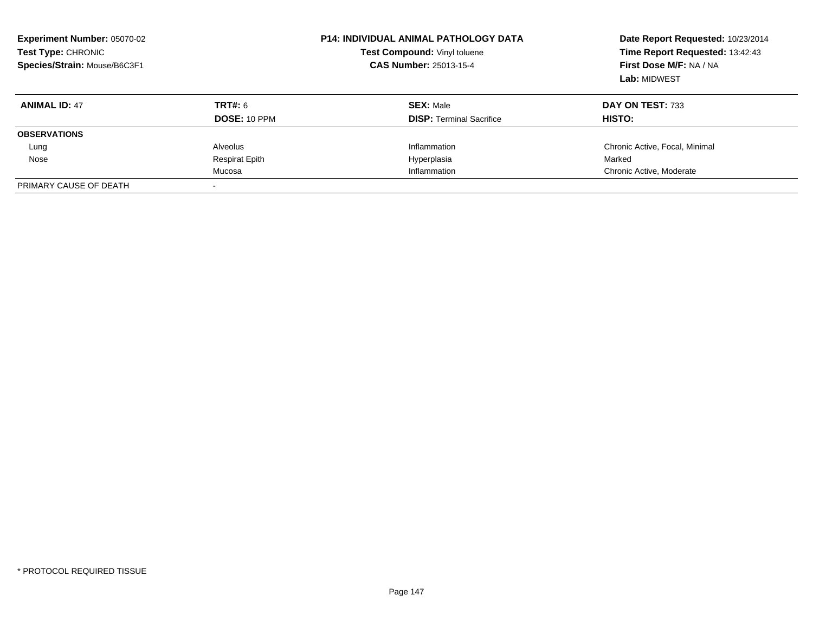| <b>Experiment Number: 05070-02</b><br>Test Type: CHRONIC<br>Species/Strain: Mouse/B6C3F1 |                       | <b>P14: INDIVIDUAL ANIMAL PATHOLOGY DATA</b><br>Test Compound: Vinyl toluene<br><b>CAS Number: 25013-15-4</b> | Date Report Requested: 10/23/2014<br>Time Report Requested: 13:42:43<br>First Dose M/F: NA / NA<br>Lab: MIDWEST |
|------------------------------------------------------------------------------------------|-----------------------|---------------------------------------------------------------------------------------------------------------|-----------------------------------------------------------------------------------------------------------------|
| <b>ANIMAL ID: 47</b>                                                                     | TRT#: 6               | <b>SEX: Male</b>                                                                                              | DAY ON TEST: 733                                                                                                |
|                                                                                          | DOSE: 10 PPM          | <b>DISP:</b> Terminal Sacrifice                                                                               | HISTO:                                                                                                          |
| <b>OBSERVATIONS</b>                                                                      |                       |                                                                                                               |                                                                                                                 |
| Lung                                                                                     | Alveolus              | Inflammation                                                                                                  | Chronic Active, Focal, Minimal                                                                                  |
| Nose                                                                                     | <b>Respirat Epith</b> | Hyperplasia                                                                                                   | Marked                                                                                                          |
|                                                                                          | Mucosa                | Inflammation                                                                                                  | Chronic Active, Moderate                                                                                        |
| PRIMARY CAUSE OF DEATH                                                                   |                       |                                                                                                               |                                                                                                                 |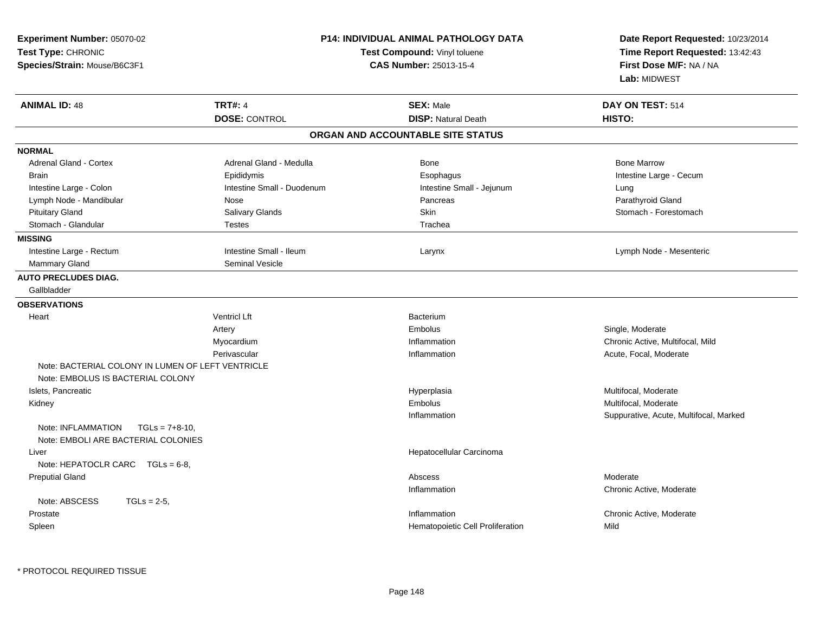| <b>TRT#: 4</b><br><b>ANIMAL ID: 48</b><br><b>SEX: Male</b><br><b>DOSE: CONTROL</b><br><b>DISP: Natural Death</b><br>HISTO:<br>ORGAN AND ACCOUNTABLE SITE STATUS<br><b>NORMAL</b><br><b>Adrenal Gland - Cortex</b><br>Adrenal Gland - Medulla<br><b>Bone Marrow</b><br>Bone<br><b>Brain</b><br>Epididymis<br>Esophagus<br>Intestine Large - Colon<br>Intestine Small - Duodenum<br>Intestine Small - Jejunum<br>Lung<br>Lymph Node - Mandibular<br>Nose<br>Pancreas<br><b>Pituitary Gland</b><br>Salivary Glands<br>Skin<br>Stomach - Glandular<br><b>Testes</b><br>Trachea<br><b>MISSING</b><br>Intestine Small - Ileum<br>Intestine Large - Rectum<br>Larynx<br>Seminal Vesicle<br><b>Mammary Gland</b><br><b>AUTO PRECLUDES DIAG.</b><br>Gallbladder<br><b>OBSERVATIONS</b><br>Heart<br><b>Ventricl Lft</b><br>Bacterium<br>Single, Moderate<br>Artery<br>Embolus<br>Myocardium<br>Inflammation<br>Perivascular<br>Inflammation<br>Note: BACTERIAL COLONY IN LUMEN OF LEFT VENTRICLE<br>Note: EMBOLUS IS BACTERIAL COLONY<br>Islets, Pancreatic<br>Hyperplasia<br>Multifocal, Moderate<br>Embolus<br>Multifocal, Moderate<br>Kidney<br>Inflammation<br>Note: INFLAMMATION<br>$TGLs = 7 + 8 - 10$ ,<br>Note: EMBOLI ARE BACTERIAL COLONIES<br>Hepatocellular Carcinoma<br>Liver | Date Report Requested: 10/23/2014<br>Time Report Requested: 13:42:43<br>First Dose M/F: NA / NA<br><b>Lab: MIDWEST</b> |
|----------------------------------------------------------------------------------------------------------------------------------------------------------------------------------------------------------------------------------------------------------------------------------------------------------------------------------------------------------------------------------------------------------------------------------------------------------------------------------------------------------------------------------------------------------------------------------------------------------------------------------------------------------------------------------------------------------------------------------------------------------------------------------------------------------------------------------------------------------------------------------------------------------------------------------------------------------------------------------------------------------------------------------------------------------------------------------------------------------------------------------------------------------------------------------------------------------------------------------------------------------------------------------|------------------------------------------------------------------------------------------------------------------------|
|                                                                                                                                                                                                                                                                                                                                                                                                                                                                                                                                                                                                                                                                                                                                                                                                                                                                                                                                                                                                                                                                                                                                                                                                                                                                                  | DAY ON TEST: 514                                                                                                       |
|                                                                                                                                                                                                                                                                                                                                                                                                                                                                                                                                                                                                                                                                                                                                                                                                                                                                                                                                                                                                                                                                                                                                                                                                                                                                                  |                                                                                                                        |
|                                                                                                                                                                                                                                                                                                                                                                                                                                                                                                                                                                                                                                                                                                                                                                                                                                                                                                                                                                                                                                                                                                                                                                                                                                                                                  |                                                                                                                        |
|                                                                                                                                                                                                                                                                                                                                                                                                                                                                                                                                                                                                                                                                                                                                                                                                                                                                                                                                                                                                                                                                                                                                                                                                                                                                                  |                                                                                                                        |
|                                                                                                                                                                                                                                                                                                                                                                                                                                                                                                                                                                                                                                                                                                                                                                                                                                                                                                                                                                                                                                                                                                                                                                                                                                                                                  |                                                                                                                        |
|                                                                                                                                                                                                                                                                                                                                                                                                                                                                                                                                                                                                                                                                                                                                                                                                                                                                                                                                                                                                                                                                                                                                                                                                                                                                                  | Intestine Large - Cecum                                                                                                |
|                                                                                                                                                                                                                                                                                                                                                                                                                                                                                                                                                                                                                                                                                                                                                                                                                                                                                                                                                                                                                                                                                                                                                                                                                                                                                  |                                                                                                                        |
|                                                                                                                                                                                                                                                                                                                                                                                                                                                                                                                                                                                                                                                                                                                                                                                                                                                                                                                                                                                                                                                                                                                                                                                                                                                                                  | Parathyroid Gland                                                                                                      |
|                                                                                                                                                                                                                                                                                                                                                                                                                                                                                                                                                                                                                                                                                                                                                                                                                                                                                                                                                                                                                                                                                                                                                                                                                                                                                  | Stomach - Forestomach                                                                                                  |
|                                                                                                                                                                                                                                                                                                                                                                                                                                                                                                                                                                                                                                                                                                                                                                                                                                                                                                                                                                                                                                                                                                                                                                                                                                                                                  |                                                                                                                        |
|                                                                                                                                                                                                                                                                                                                                                                                                                                                                                                                                                                                                                                                                                                                                                                                                                                                                                                                                                                                                                                                                                                                                                                                                                                                                                  |                                                                                                                        |
|                                                                                                                                                                                                                                                                                                                                                                                                                                                                                                                                                                                                                                                                                                                                                                                                                                                                                                                                                                                                                                                                                                                                                                                                                                                                                  | Lymph Node - Mesenteric                                                                                                |
|                                                                                                                                                                                                                                                                                                                                                                                                                                                                                                                                                                                                                                                                                                                                                                                                                                                                                                                                                                                                                                                                                                                                                                                                                                                                                  |                                                                                                                        |
|                                                                                                                                                                                                                                                                                                                                                                                                                                                                                                                                                                                                                                                                                                                                                                                                                                                                                                                                                                                                                                                                                                                                                                                                                                                                                  |                                                                                                                        |
|                                                                                                                                                                                                                                                                                                                                                                                                                                                                                                                                                                                                                                                                                                                                                                                                                                                                                                                                                                                                                                                                                                                                                                                                                                                                                  |                                                                                                                        |
|                                                                                                                                                                                                                                                                                                                                                                                                                                                                                                                                                                                                                                                                                                                                                                                                                                                                                                                                                                                                                                                                                                                                                                                                                                                                                  |                                                                                                                        |
|                                                                                                                                                                                                                                                                                                                                                                                                                                                                                                                                                                                                                                                                                                                                                                                                                                                                                                                                                                                                                                                                                                                                                                                                                                                                                  |                                                                                                                        |
|                                                                                                                                                                                                                                                                                                                                                                                                                                                                                                                                                                                                                                                                                                                                                                                                                                                                                                                                                                                                                                                                                                                                                                                                                                                                                  |                                                                                                                        |
|                                                                                                                                                                                                                                                                                                                                                                                                                                                                                                                                                                                                                                                                                                                                                                                                                                                                                                                                                                                                                                                                                                                                                                                                                                                                                  | Chronic Active, Multifocal, Mild                                                                                       |
|                                                                                                                                                                                                                                                                                                                                                                                                                                                                                                                                                                                                                                                                                                                                                                                                                                                                                                                                                                                                                                                                                                                                                                                                                                                                                  | Acute, Focal, Moderate                                                                                                 |
|                                                                                                                                                                                                                                                                                                                                                                                                                                                                                                                                                                                                                                                                                                                                                                                                                                                                                                                                                                                                                                                                                                                                                                                                                                                                                  |                                                                                                                        |
|                                                                                                                                                                                                                                                                                                                                                                                                                                                                                                                                                                                                                                                                                                                                                                                                                                                                                                                                                                                                                                                                                                                                                                                                                                                                                  |                                                                                                                        |
|                                                                                                                                                                                                                                                                                                                                                                                                                                                                                                                                                                                                                                                                                                                                                                                                                                                                                                                                                                                                                                                                                                                                                                                                                                                                                  |                                                                                                                        |
|                                                                                                                                                                                                                                                                                                                                                                                                                                                                                                                                                                                                                                                                                                                                                                                                                                                                                                                                                                                                                                                                                                                                                                                                                                                                                  | Suppurative, Acute, Multifocal, Marked                                                                                 |
|                                                                                                                                                                                                                                                                                                                                                                                                                                                                                                                                                                                                                                                                                                                                                                                                                                                                                                                                                                                                                                                                                                                                                                                                                                                                                  |                                                                                                                        |
|                                                                                                                                                                                                                                                                                                                                                                                                                                                                                                                                                                                                                                                                                                                                                                                                                                                                                                                                                                                                                                                                                                                                                                                                                                                                                  |                                                                                                                        |
| Note: HEPATOCLR CARC $TGLs = 6-8$ .                                                                                                                                                                                                                                                                                                                                                                                                                                                                                                                                                                                                                                                                                                                                                                                                                                                                                                                                                                                                                                                                                                                                                                                                                                              |                                                                                                                        |
| <b>Preputial Gland</b><br>Abscess<br>Moderate                                                                                                                                                                                                                                                                                                                                                                                                                                                                                                                                                                                                                                                                                                                                                                                                                                                                                                                                                                                                                                                                                                                                                                                                                                    |                                                                                                                        |
| Inflammation                                                                                                                                                                                                                                                                                                                                                                                                                                                                                                                                                                                                                                                                                                                                                                                                                                                                                                                                                                                                                                                                                                                                                                                                                                                                     | Chronic Active, Moderate                                                                                               |
| Note: ABSCESS<br>$TGLs = 2-5,$                                                                                                                                                                                                                                                                                                                                                                                                                                                                                                                                                                                                                                                                                                                                                                                                                                                                                                                                                                                                                                                                                                                                                                                                                                                   |                                                                                                                        |
| Prostate<br>Inflammation                                                                                                                                                                                                                                                                                                                                                                                                                                                                                                                                                                                                                                                                                                                                                                                                                                                                                                                                                                                                                                                                                                                                                                                                                                                         | Chronic Active, Moderate                                                                                               |
| Spleen<br>Hematopoietic Cell Proliferation<br>Mild                                                                                                                                                                                                                                                                                                                                                                                                                                                                                                                                                                                                                                                                                                                                                                                                                                                                                                                                                                                                                                                                                                                                                                                                                               |                                                                                                                        |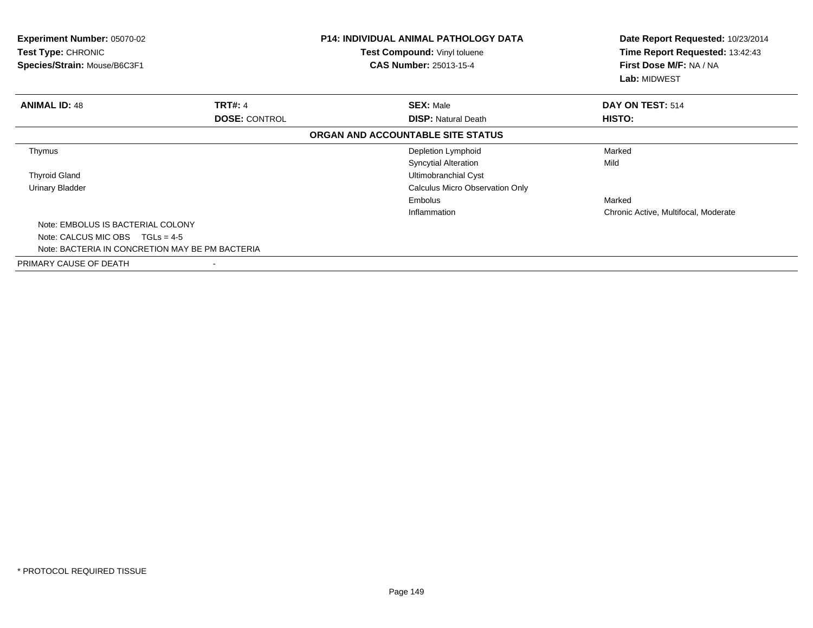| <b>Experiment Number: 05070-02</b><br><b>Test Type: CHRONIC</b><br>Species/Strain: Mouse/B6C3F1 |                      | <b>P14: INDIVIDUAL ANIMAL PATHOLOGY DATA</b><br>Test Compound: Vinyl toluene<br><b>CAS Number: 25013-15-4</b> | Date Report Requested: 10/23/2014<br>Time Report Requested: 13:42:43<br>First Dose M/F: NA / NA<br>Lab: MIDWEST |
|-------------------------------------------------------------------------------------------------|----------------------|---------------------------------------------------------------------------------------------------------------|-----------------------------------------------------------------------------------------------------------------|
| <b>ANIMAL ID: 48</b>                                                                            | <b>TRT#: 4</b>       | <b>SEX: Male</b>                                                                                              | DAY ON TEST: 514                                                                                                |
|                                                                                                 | <b>DOSE: CONTROL</b> | <b>DISP: Natural Death</b>                                                                                    | HISTO:                                                                                                          |
|                                                                                                 |                      | ORGAN AND ACCOUNTABLE SITE STATUS                                                                             |                                                                                                                 |
| Thymus                                                                                          |                      | Depletion Lymphoid                                                                                            | Marked                                                                                                          |
|                                                                                                 |                      | <b>Syncytial Alteration</b>                                                                                   | Mild                                                                                                            |
| <b>Thyroid Gland</b>                                                                            |                      | Ultimobranchial Cyst                                                                                          |                                                                                                                 |
| <b>Urinary Bladder</b>                                                                          |                      | <b>Calculus Micro Observation Only</b>                                                                        |                                                                                                                 |
|                                                                                                 |                      | Embolus                                                                                                       | Marked                                                                                                          |
|                                                                                                 |                      | Inflammation                                                                                                  | Chronic Active, Multifocal, Moderate                                                                            |
| Note: EMBOLUS IS BACTERIAL COLONY                                                               |                      |                                                                                                               |                                                                                                                 |
| Note: CALCUS MIC OBS<br>$TGLs = 4-5$                                                            |                      |                                                                                                               |                                                                                                                 |
| Note: BACTERIA IN CONCRETION MAY BE PM BACTERIA                                                 |                      |                                                                                                               |                                                                                                                 |
| PRIMARY CAUSE OF DEATH                                                                          |                      |                                                                                                               |                                                                                                                 |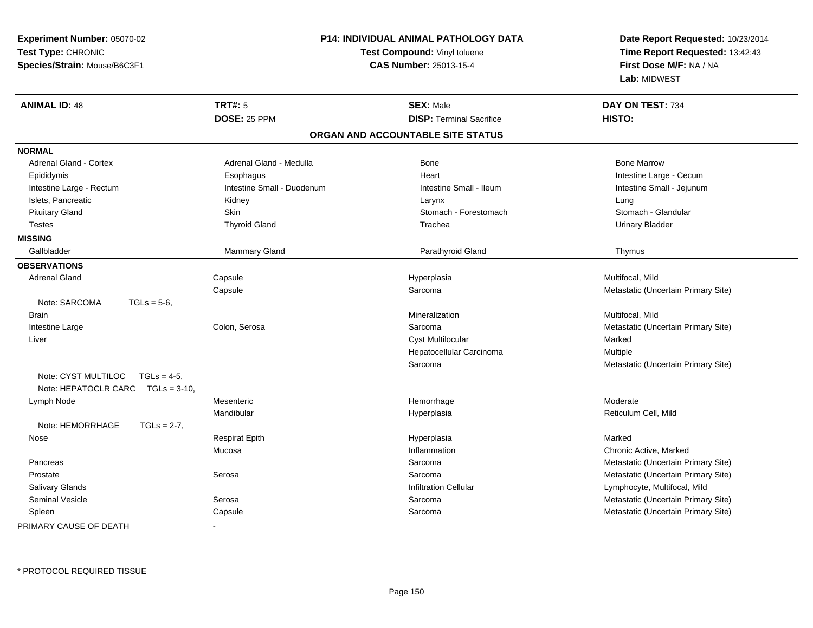| Experiment Number: 05070-02<br>Test Type: CHRONIC<br>Species/Strain: Mouse/B6C3F1 | P14: INDIVIDUAL ANIMAL PATHOLOGY DATA<br>Test Compound: Vinyl toluene<br><b>CAS Number: 25013-15-4</b> |                                                                      | Date Report Requested: 10/23/2014<br>Time Report Requested: 13:42:43<br>First Dose M/F: NA / NA<br>Lab: MIDWEST |
|-----------------------------------------------------------------------------------|--------------------------------------------------------------------------------------------------------|----------------------------------------------------------------------|-----------------------------------------------------------------------------------------------------------------|
| <b>ANIMAL ID: 48</b>                                                              | <b>TRT#: 5</b><br>DOSE: 25 PPM                                                                         | <b>SEX: Male</b>                                                     | DAY ON TEST: 734                                                                                                |
|                                                                                   |                                                                                                        | <b>DISP: Terminal Sacrifice</b><br>ORGAN AND ACCOUNTABLE SITE STATUS | HISTO:                                                                                                          |
|                                                                                   |                                                                                                        |                                                                      |                                                                                                                 |
| <b>NORMAL</b>                                                                     |                                                                                                        |                                                                      |                                                                                                                 |
| <b>Adrenal Gland - Cortex</b>                                                     | Adrenal Gland - Medulla                                                                                | <b>Bone</b>                                                          | <b>Bone Marrow</b>                                                                                              |
| Epididymis                                                                        | Esophagus                                                                                              | Heart                                                                | Intestine Large - Cecum                                                                                         |
| Intestine Large - Rectum                                                          | Intestine Small - Duodenum                                                                             | Intestine Small - Ileum                                              | Intestine Small - Jejunum                                                                                       |
| Islets, Pancreatic                                                                | Kidney                                                                                                 | Larynx                                                               | Lung                                                                                                            |
| <b>Pituitary Gland</b>                                                            | Skin                                                                                                   | Stomach - Forestomach                                                | Stomach - Glandular                                                                                             |
| <b>Testes</b>                                                                     | <b>Thyroid Gland</b>                                                                                   | Trachea                                                              | <b>Urinary Bladder</b>                                                                                          |
| <b>MISSING</b>                                                                    |                                                                                                        |                                                                      |                                                                                                                 |
| Gallbladder                                                                       | <b>Mammary Gland</b>                                                                                   | Parathyroid Gland                                                    | Thymus                                                                                                          |
| <b>OBSERVATIONS</b>                                                               |                                                                                                        |                                                                      |                                                                                                                 |
| <b>Adrenal Gland</b>                                                              | Capsule                                                                                                | Hyperplasia                                                          | Multifocal, Mild                                                                                                |
|                                                                                   | Capsule                                                                                                | Sarcoma                                                              | Metastatic (Uncertain Primary Site)                                                                             |
| Note: SARCOMA<br>$TGLs = 5-6$                                                     |                                                                                                        |                                                                      |                                                                                                                 |
| <b>Brain</b>                                                                      |                                                                                                        | Mineralization                                                       | Multifocal, Mild                                                                                                |
| Intestine Large                                                                   | Colon, Serosa                                                                                          | Sarcoma                                                              | Metastatic (Uncertain Primary Site)                                                                             |
| Liver                                                                             |                                                                                                        | Cyst Multilocular                                                    | Marked                                                                                                          |
|                                                                                   |                                                                                                        | Hepatocellular Carcinoma                                             | Multiple                                                                                                        |
|                                                                                   |                                                                                                        | Sarcoma                                                              | Metastatic (Uncertain Primary Site)                                                                             |
| Note: CYST MULTILOC<br>$TGLs = 4-5$<br>Note: HEPATOCLR CARC<br>$TGLs = 3-10$      |                                                                                                        |                                                                      |                                                                                                                 |
| Lymph Node                                                                        | Mesenteric                                                                                             | Hemorrhage                                                           | Moderate                                                                                                        |
|                                                                                   | Mandibular                                                                                             | Hyperplasia                                                          | Reticulum Cell, Mild                                                                                            |
| Note: HEMORRHAGE<br>$TGLs = 2-7$ ,                                                |                                                                                                        |                                                                      |                                                                                                                 |
| Nose                                                                              | <b>Respirat Epith</b>                                                                                  | Hyperplasia                                                          | Marked                                                                                                          |
|                                                                                   | Mucosa                                                                                                 | Inflammation                                                         | Chronic Active, Marked                                                                                          |
| Pancreas                                                                          |                                                                                                        | Sarcoma                                                              | Metastatic (Uncertain Primary Site)                                                                             |
| Prostate                                                                          | Serosa                                                                                                 | Sarcoma                                                              | Metastatic (Uncertain Primary Site)                                                                             |
| <b>Salivary Glands</b>                                                            |                                                                                                        | <b>Infiltration Cellular</b>                                         | Lymphocyte, Multifocal, Mild                                                                                    |
| <b>Seminal Vesicle</b>                                                            | Serosa                                                                                                 | Sarcoma                                                              | Metastatic (Uncertain Primary Site)                                                                             |
| Spleen                                                                            | Capsule                                                                                                | Sarcoma                                                              | Metastatic (Uncertain Primary Site)                                                                             |

PRIMARY CAUSE OF DEATH-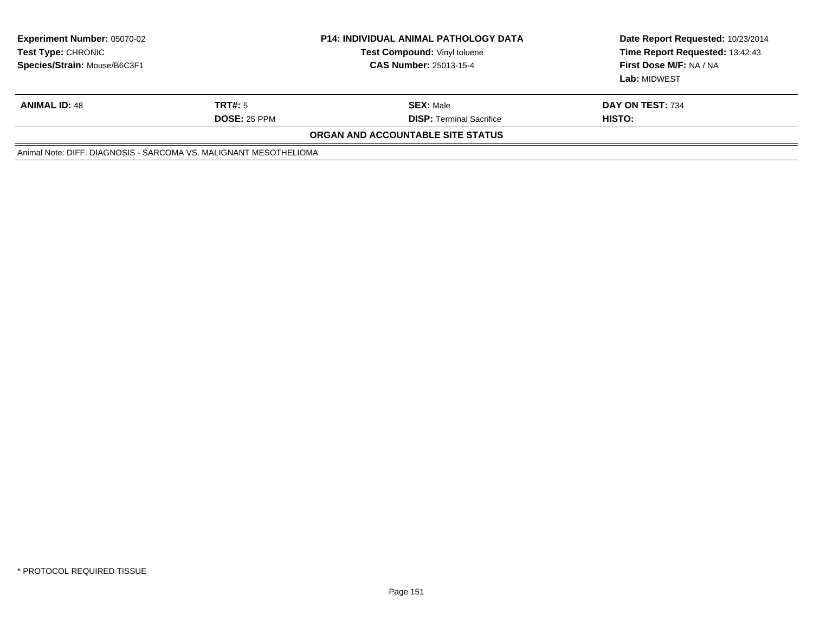| <b>Experiment Number: 05070-02</b><br><b>Test Type: CHRONIC</b><br>Species/Strain: Mouse/B6C3F1 |                     | <b>P14: INDIVIDUAL ANIMAL PATHOLOGY DATA</b><br>Test Compound: Vinyl toluene<br><b>CAS Number: 25013-15-4</b> | Date Report Requested: 10/23/2014<br>Time Report Requested: 13:42:43<br>First Dose M/F: NA / NA<br>Lab: MIDWEST |
|-------------------------------------------------------------------------------------------------|---------------------|---------------------------------------------------------------------------------------------------------------|-----------------------------------------------------------------------------------------------------------------|
| <b>ANIMAL ID: 48</b>                                                                            | TRT#: 5             | <b>SEX: Male</b>                                                                                              | DAY ON TEST: 734                                                                                                |
|                                                                                                 | <b>DOSE: 25 PPM</b> | <b>DISP:</b> Terminal Sacrifice                                                                               | HISTO:                                                                                                          |
|                                                                                                 |                     | ORGAN AND ACCOUNTABLE SITE STATUS                                                                             |                                                                                                                 |
| Animal Note: DIFF, DIAGNOSIS - SARCOMA VS, MALIGNANT MESOTHELIOMA                               |                     |                                                                                                               |                                                                                                                 |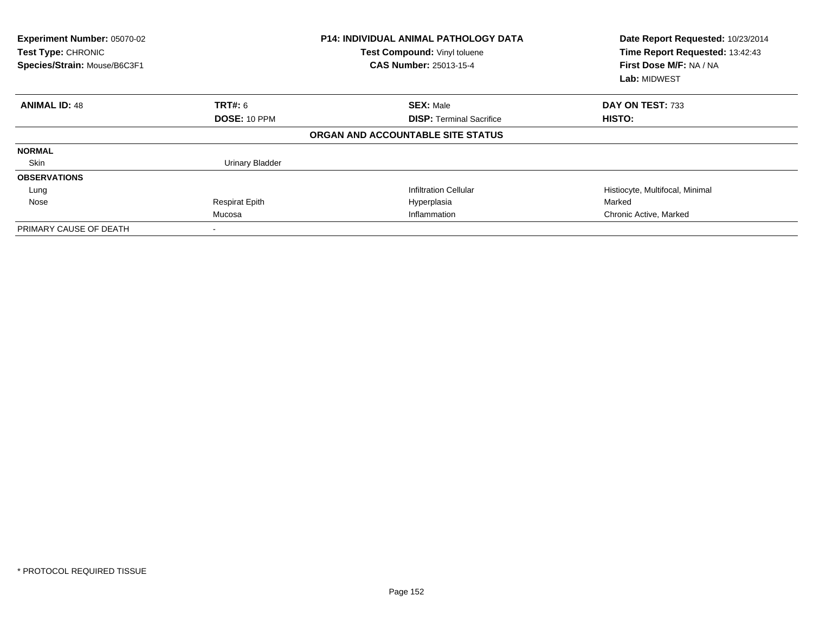| Experiment Number: 05070-02<br>Test Type: CHRONIC<br>Species/Strain: Mouse/B6C3F1 |                        | <b>P14: INDIVIDUAL ANIMAL PATHOLOGY DATA</b><br>Test Compound: Vinyl toluene<br><b>CAS Number: 25013-15-4</b> | Date Report Requested: 10/23/2014<br>Time Report Requested: 13:42:43<br>First Dose M/F: NA / NA<br><b>Lab: MIDWEST</b> |
|-----------------------------------------------------------------------------------|------------------------|---------------------------------------------------------------------------------------------------------------|------------------------------------------------------------------------------------------------------------------------|
| <b>ANIMAL ID: 48</b>                                                              | <b>TRT#: 6</b>         | <b>SEX: Male</b>                                                                                              | DAY ON TEST: 733                                                                                                       |
|                                                                                   | DOSE: 10 PPM           | <b>DISP: Terminal Sacrifice</b>                                                                               | HISTO:                                                                                                                 |
|                                                                                   |                        | ORGAN AND ACCOUNTABLE SITE STATUS                                                                             |                                                                                                                        |
| <b>NORMAL</b>                                                                     |                        |                                                                                                               |                                                                                                                        |
| Skin                                                                              | <b>Urinary Bladder</b> |                                                                                                               |                                                                                                                        |
| <b>OBSERVATIONS</b>                                                               |                        |                                                                                                               |                                                                                                                        |
| Lung                                                                              |                        | <b>Infiltration Cellular</b>                                                                                  | Histiocyte, Multifocal, Minimal                                                                                        |
| Nose                                                                              | <b>Respirat Epith</b>  | Hyperplasia                                                                                                   | Marked                                                                                                                 |
|                                                                                   | Mucosa                 | Inflammation                                                                                                  | Chronic Active, Marked                                                                                                 |
| PRIMARY CAUSE OF DEATH                                                            |                        |                                                                                                               |                                                                                                                        |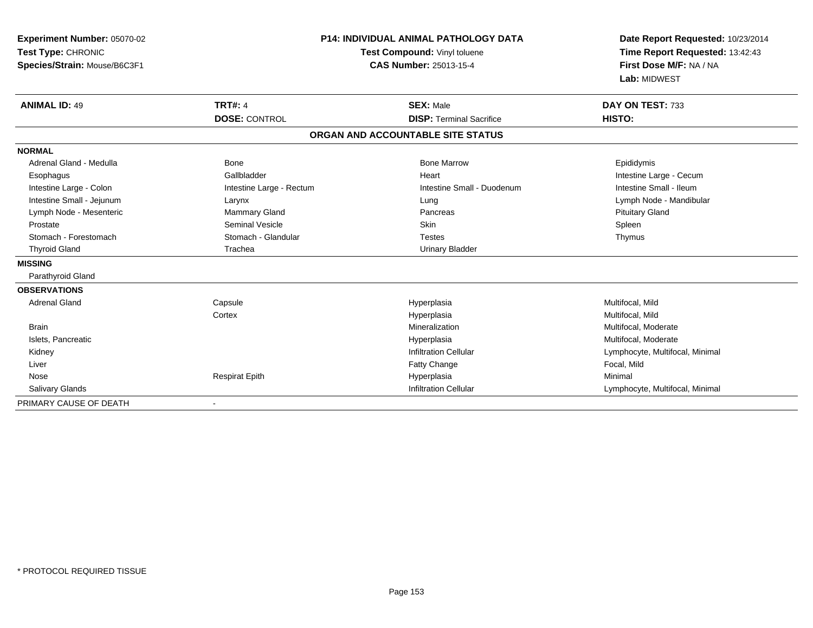| Experiment Number: 05070-02<br>Test Type: CHRONIC<br>Species/Strain: Mouse/B6C3F1<br><b>ANIMAL ID: 49</b> | <b>TRT#: 4</b>           | <b>P14: INDIVIDUAL ANIMAL PATHOLOGY DATA</b><br>Test Compound: Vinyl toluene<br><b>CAS Number: 25013-15-4</b><br><b>SEX: Male</b> | Date Report Requested: 10/23/2014<br>Time Report Requested: 13:42:43<br>First Dose M/F: NA / NA<br>Lab: MIDWEST<br>DAY ON TEST: 733 |
|-----------------------------------------------------------------------------------------------------------|--------------------------|-----------------------------------------------------------------------------------------------------------------------------------|-------------------------------------------------------------------------------------------------------------------------------------|
|                                                                                                           | <b>DOSE: CONTROL</b>     | <b>DISP: Terminal Sacrifice</b>                                                                                                   | HISTO:                                                                                                                              |
|                                                                                                           |                          | ORGAN AND ACCOUNTABLE SITE STATUS                                                                                                 |                                                                                                                                     |
| <b>NORMAL</b>                                                                                             |                          |                                                                                                                                   |                                                                                                                                     |
| Adrenal Gland - Medulla                                                                                   | Bone                     | <b>Bone Marrow</b>                                                                                                                | Epididymis                                                                                                                          |
| Esophagus                                                                                                 | Gallbladder              | Heart                                                                                                                             | Intestine Large - Cecum                                                                                                             |
| Intestine Large - Colon                                                                                   | Intestine Large - Rectum | Intestine Small - Duodenum                                                                                                        | Intestine Small - Ileum                                                                                                             |
| Intestine Small - Jejunum                                                                                 | Larynx                   | Lung                                                                                                                              | Lymph Node - Mandibular                                                                                                             |
| Lymph Node - Mesenteric                                                                                   | Mammary Gland            | Pancreas                                                                                                                          | <b>Pituitary Gland</b>                                                                                                              |
| Prostate                                                                                                  | Seminal Vesicle          | <b>Skin</b>                                                                                                                       | Spleen                                                                                                                              |
| Stomach - Forestomach                                                                                     | Stomach - Glandular      | <b>Testes</b>                                                                                                                     | Thymus                                                                                                                              |
| <b>Thyroid Gland</b>                                                                                      | Trachea                  | <b>Urinary Bladder</b>                                                                                                            |                                                                                                                                     |
| <b>MISSING</b>                                                                                            |                          |                                                                                                                                   |                                                                                                                                     |
| Parathyroid Gland                                                                                         |                          |                                                                                                                                   |                                                                                                                                     |
| <b>OBSERVATIONS</b>                                                                                       |                          |                                                                                                                                   |                                                                                                                                     |
| <b>Adrenal Gland</b>                                                                                      | Capsule                  | Hyperplasia                                                                                                                       | Multifocal, Mild                                                                                                                    |
|                                                                                                           | Cortex                   | Hyperplasia                                                                                                                       | Multifocal, Mild                                                                                                                    |
| <b>Brain</b>                                                                                              |                          | Mineralization                                                                                                                    | Multifocal, Moderate                                                                                                                |
| Islets, Pancreatic                                                                                        |                          | Hyperplasia                                                                                                                       | Multifocal, Moderate                                                                                                                |
| Kidney                                                                                                    |                          | <b>Infiltration Cellular</b>                                                                                                      | Lymphocyte, Multifocal, Minimal                                                                                                     |
| Liver                                                                                                     |                          | Fatty Change                                                                                                                      | Focal, Mild                                                                                                                         |
| Nose                                                                                                      | <b>Respirat Epith</b>    | Hyperplasia                                                                                                                       | Minimal                                                                                                                             |
| Salivary Glands                                                                                           |                          | <b>Infiltration Cellular</b>                                                                                                      | Lymphocyte, Multifocal, Minimal                                                                                                     |
| PRIMARY CAUSE OF DEATH                                                                                    |                          |                                                                                                                                   |                                                                                                                                     |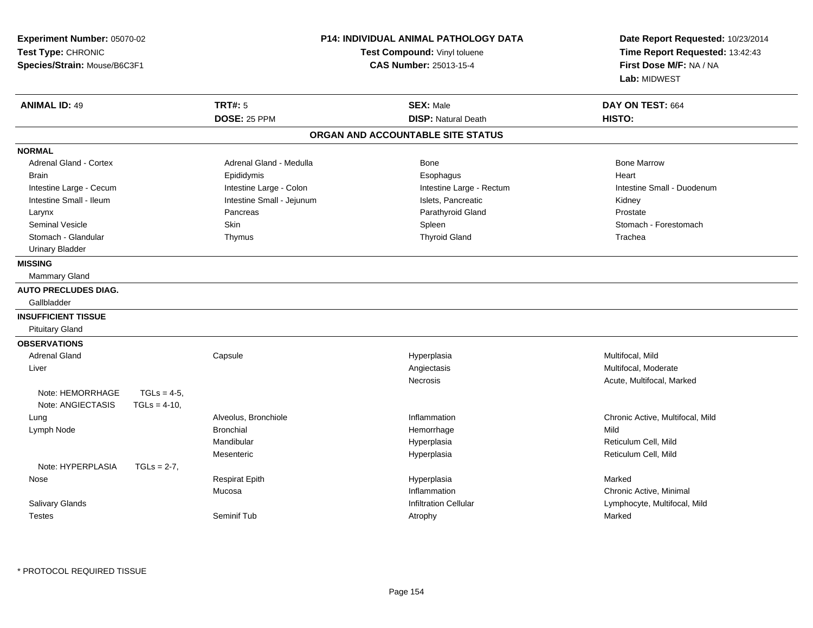| <b>Experiment Number: 05070-02</b><br>Test Type: CHRONIC<br>Species/Strain: Mouse/B6C3F1 |                 | P14: INDIVIDUAL ANIMAL PATHOLOGY DATA<br>Test Compound: Vinyl toluene<br><b>CAS Number: 25013-15-4</b> |                                   | Date Report Requested: 10/23/2014<br>Time Report Requested: 13:42:43<br>First Dose M/F: NA / NA<br>Lab: MIDWEST |
|------------------------------------------------------------------------------------------|-----------------|--------------------------------------------------------------------------------------------------------|-----------------------------------|-----------------------------------------------------------------------------------------------------------------|
| <b>ANIMAL ID: 49</b>                                                                     |                 | <b>TRT#: 5</b>                                                                                         | <b>SEX: Male</b>                  | DAY ON TEST: 664                                                                                                |
|                                                                                          |                 | DOSE: 25 PPM                                                                                           | <b>DISP: Natural Death</b>        | HISTO:                                                                                                          |
|                                                                                          |                 |                                                                                                        | ORGAN AND ACCOUNTABLE SITE STATUS |                                                                                                                 |
| <b>NORMAL</b>                                                                            |                 |                                                                                                        |                                   |                                                                                                                 |
| <b>Adrenal Gland - Cortex</b>                                                            |                 | Adrenal Gland - Medulla                                                                                | Bone                              | <b>Bone Marrow</b>                                                                                              |
| <b>Brain</b>                                                                             |                 | Epididymis                                                                                             | Esophagus                         | Heart                                                                                                           |
| Intestine Large - Cecum                                                                  |                 | Intestine Large - Colon                                                                                | Intestine Large - Rectum          | Intestine Small - Duodenum                                                                                      |
| Intestine Small - Ileum                                                                  |                 | Intestine Small - Jejunum                                                                              | Islets, Pancreatic                | Kidney                                                                                                          |
| Larynx                                                                                   |                 | Pancreas                                                                                               | Parathyroid Gland                 | Prostate                                                                                                        |
| <b>Seminal Vesicle</b>                                                                   |                 | Skin                                                                                                   | Spleen                            | Stomach - Forestomach                                                                                           |
| Stomach - Glandular                                                                      |                 | Thymus                                                                                                 | <b>Thyroid Gland</b>              | Trachea                                                                                                         |
| <b>Urinary Bladder</b>                                                                   |                 |                                                                                                        |                                   |                                                                                                                 |
| <b>MISSING</b>                                                                           |                 |                                                                                                        |                                   |                                                                                                                 |
| <b>Mammary Gland</b>                                                                     |                 |                                                                                                        |                                   |                                                                                                                 |
| <b>AUTO PRECLUDES DIAG.</b>                                                              |                 |                                                                                                        |                                   |                                                                                                                 |
| Gallbladder                                                                              |                 |                                                                                                        |                                   |                                                                                                                 |
| <b>INSUFFICIENT TISSUE</b>                                                               |                 |                                                                                                        |                                   |                                                                                                                 |
| <b>Pituitary Gland</b>                                                                   |                 |                                                                                                        |                                   |                                                                                                                 |
|                                                                                          |                 |                                                                                                        |                                   |                                                                                                                 |
| <b>OBSERVATIONS</b>                                                                      |                 |                                                                                                        |                                   |                                                                                                                 |
| <b>Adrenal Gland</b>                                                                     |                 | Capsule                                                                                                | Hyperplasia                       | Multifocal, Mild                                                                                                |
| Liver                                                                                    |                 |                                                                                                        | Angiectasis                       | Multifocal, Moderate                                                                                            |
|                                                                                          |                 |                                                                                                        | <b>Necrosis</b>                   | Acute, Multifocal, Marked                                                                                       |
| Note: HEMORRHAGE                                                                         | $TGLs = 4-5$ ,  |                                                                                                        |                                   |                                                                                                                 |
| Note: ANGIECTASIS                                                                        | $TGLs = 4-10$ , |                                                                                                        |                                   |                                                                                                                 |
| Lung                                                                                     |                 | Alveolus, Bronchiole                                                                                   | Inflammation                      | Chronic Active, Multifocal, Mild                                                                                |
| Lymph Node                                                                               |                 | <b>Bronchial</b><br>Mandibular                                                                         | Hemorrhage                        | Mild<br>Reticulum Cell, Mild                                                                                    |
|                                                                                          |                 |                                                                                                        | Hyperplasia                       |                                                                                                                 |
| Note: HYPERPLASIA                                                                        | $TGLs = 2-7$ ,  | Mesenteric                                                                                             | Hyperplasia                       | Reticulum Cell, Mild                                                                                            |
|                                                                                          |                 |                                                                                                        |                                   | Marked                                                                                                          |
| Nose                                                                                     |                 | <b>Respirat Epith</b>                                                                                  | Hyperplasia                       |                                                                                                                 |
|                                                                                          |                 | Mucosa                                                                                                 | Inflammation                      | Chronic Active, Minimal                                                                                         |
| Salivary Glands                                                                          |                 |                                                                                                        | <b>Infiltration Cellular</b>      | Lymphocyte, Multifocal, Mild                                                                                    |
| <b>Testes</b>                                                                            |                 | Seminif Tub                                                                                            | Atrophy                           | Marked                                                                                                          |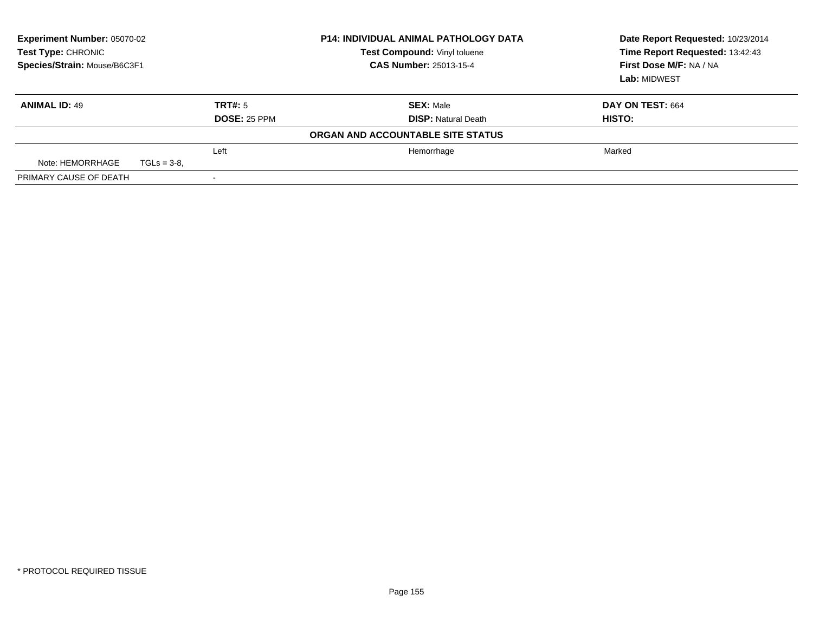| <b>Experiment Number: 05070-02</b><br>Test Type: CHRONIC<br>Species/Strain: Mouse/B6C3F1 | <b>P14: INDIVIDUAL ANIMAL PATHOLOGY DATA</b><br>Test Compound: Vinyl toluene<br><b>CAS Number: 25013-15-4</b> |                     | Date Report Requested: 10/23/2014<br>Time Report Requested: 13:42:43<br>First Dose M/F: NA / NA<br>Lab: MIDWEST |                  |
|------------------------------------------------------------------------------------------|---------------------------------------------------------------------------------------------------------------|---------------------|-----------------------------------------------------------------------------------------------------------------|------------------|
| <b>ANIMAL ID: 49</b>                                                                     |                                                                                                               | TRT#: 5             | <b>SEX: Male</b>                                                                                                | DAY ON TEST: 664 |
|                                                                                          |                                                                                                               | <b>DOSE: 25 PPM</b> | <b>DISP: Natural Death</b>                                                                                      | HISTO:           |
|                                                                                          |                                                                                                               |                     | ORGAN AND ACCOUNTABLE SITE STATUS                                                                               |                  |
|                                                                                          |                                                                                                               | Left                | Hemorrhage                                                                                                      | Marked           |
| Note: HEMORRHAGE                                                                         | $TGLs = 3-8.$                                                                                                 |                     |                                                                                                                 |                  |
| PRIMARY CAUSE OF DEATH                                                                   |                                                                                                               |                     |                                                                                                                 |                  |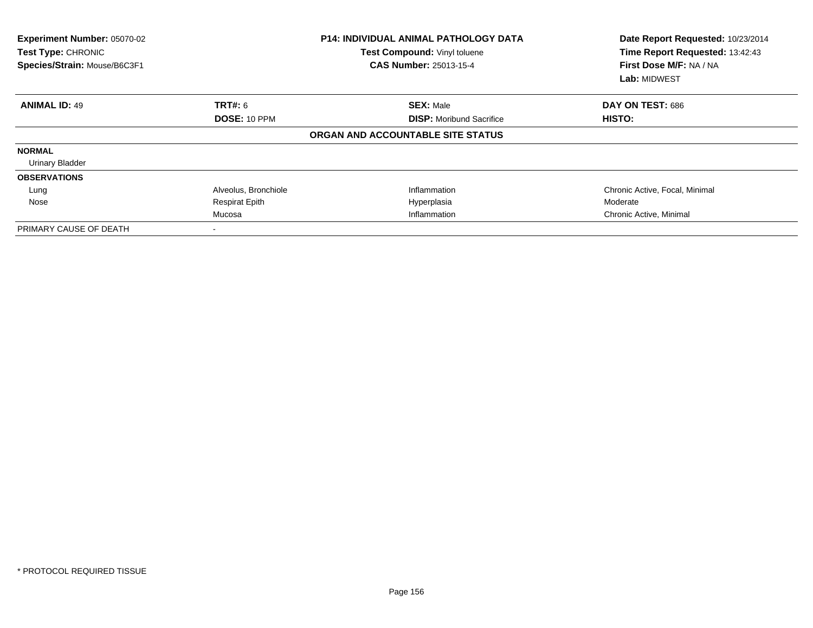| Experiment Number: 05070-02<br>Test Type: CHRONIC<br>Species/Strain: Mouse/B6C3F1 | <b>P14: INDIVIDUAL ANIMAL PATHOLOGY DATA</b><br>Test Compound: Vinyl toluene<br><b>CAS Number: 25013-15-4</b> |                                   | Date Report Requested: 10/23/2014<br>Time Report Requested: 13:42:43<br>First Dose M/F: NA / NA<br><b>Lab: MIDWEST</b> |  |
|-----------------------------------------------------------------------------------|---------------------------------------------------------------------------------------------------------------|-----------------------------------|------------------------------------------------------------------------------------------------------------------------|--|
| <b>ANIMAL ID: 49</b>                                                              | <b>TRT#: 6</b>                                                                                                | <b>SEX: Male</b>                  | DAY ON TEST: 686                                                                                                       |  |
|                                                                                   | <b>DOSE: 10 PPM</b>                                                                                           | <b>DISP:</b> Moribund Sacrifice   | HISTO:                                                                                                                 |  |
|                                                                                   |                                                                                                               | ORGAN AND ACCOUNTABLE SITE STATUS |                                                                                                                        |  |
| <b>NORMAL</b>                                                                     |                                                                                                               |                                   |                                                                                                                        |  |
| <b>Urinary Bladder</b>                                                            |                                                                                                               |                                   |                                                                                                                        |  |
| <b>OBSERVATIONS</b>                                                               |                                                                                                               |                                   |                                                                                                                        |  |
| Lung                                                                              | Alveolus, Bronchiole                                                                                          | Inflammation                      | Chronic Active, Focal, Minimal                                                                                         |  |
| Nose                                                                              | <b>Respirat Epith</b>                                                                                         | Hyperplasia                       | Moderate                                                                                                               |  |
|                                                                                   | Mucosa                                                                                                        | Inflammation                      | Chronic Active, Minimal                                                                                                |  |
| PRIMARY CAUSE OF DEATH                                                            | $\overline{\phantom{a}}$                                                                                      |                                   |                                                                                                                        |  |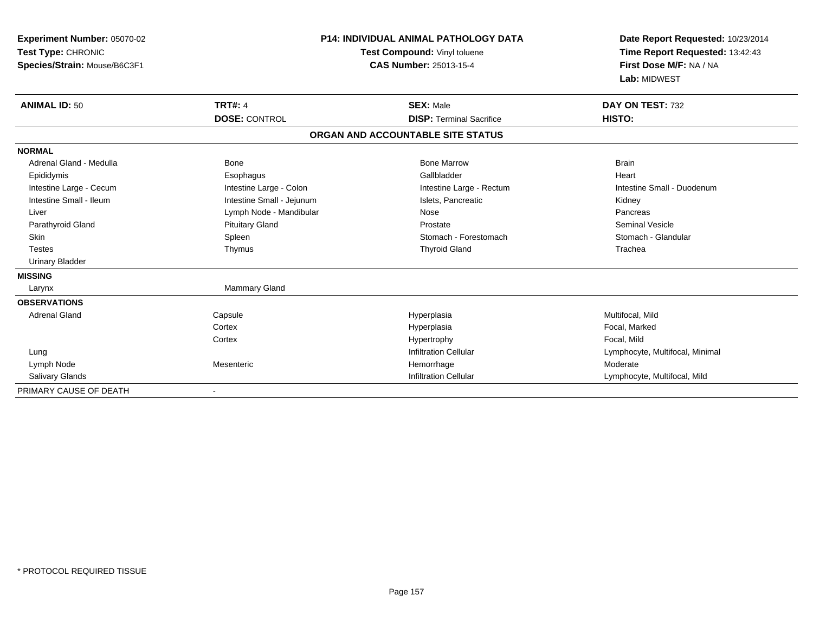| <b>Experiment Number: 05070-02</b><br>Test Type: CHRONIC<br>Species/Strain: Mouse/B6C3F1<br><b>ANIMAL ID: 50</b> | <b>TRT#: 4</b>            | <b>P14: INDIVIDUAL ANIMAL PATHOLOGY DATA</b><br>Test Compound: Vinyl toluene<br><b>CAS Number: 25013-15-4</b><br><b>SEX: Male</b> | Date Report Requested: 10/23/2014<br>Time Report Requested: 13:42:43<br>First Dose M/F: NA / NA<br>Lab: MIDWEST<br>DAY ON TEST: 732 |
|------------------------------------------------------------------------------------------------------------------|---------------------------|-----------------------------------------------------------------------------------------------------------------------------------|-------------------------------------------------------------------------------------------------------------------------------------|
|                                                                                                                  | <b>DOSE: CONTROL</b>      | <b>DISP: Terminal Sacrifice</b>                                                                                                   | HISTO:                                                                                                                              |
|                                                                                                                  |                           | ORGAN AND ACCOUNTABLE SITE STATUS                                                                                                 |                                                                                                                                     |
| <b>NORMAL</b>                                                                                                    |                           |                                                                                                                                   |                                                                                                                                     |
| Adrenal Gland - Medulla                                                                                          | <b>Bone</b>               | <b>Bone Marrow</b>                                                                                                                | <b>Brain</b>                                                                                                                        |
| Epididymis                                                                                                       | Esophagus                 | Gallbladder                                                                                                                       | Heart                                                                                                                               |
| Intestine Large - Cecum                                                                                          | Intestine Large - Colon   | Intestine Large - Rectum                                                                                                          | Intestine Small - Duodenum                                                                                                          |
| Intestine Small - Ileum                                                                                          | Intestine Small - Jejunum | Islets. Pancreatic                                                                                                                | Kidney                                                                                                                              |
| Liver                                                                                                            | Lymph Node - Mandibular   | Nose                                                                                                                              | Pancreas                                                                                                                            |
| Parathyroid Gland                                                                                                | <b>Pituitary Gland</b>    | Prostate                                                                                                                          | <b>Seminal Vesicle</b>                                                                                                              |
| <b>Skin</b>                                                                                                      | Spleen                    | Stomach - Forestomach                                                                                                             | Stomach - Glandular                                                                                                                 |
| <b>Testes</b>                                                                                                    | Thymus                    | <b>Thyroid Gland</b>                                                                                                              | Trachea                                                                                                                             |
| <b>Urinary Bladder</b>                                                                                           |                           |                                                                                                                                   |                                                                                                                                     |
| <b>MISSING</b>                                                                                                   |                           |                                                                                                                                   |                                                                                                                                     |
| Larynx                                                                                                           | Mammary Gland             |                                                                                                                                   |                                                                                                                                     |
| <b>OBSERVATIONS</b>                                                                                              |                           |                                                                                                                                   |                                                                                                                                     |
| <b>Adrenal Gland</b>                                                                                             | Capsule                   | Hyperplasia                                                                                                                       | Multifocal, Mild                                                                                                                    |
|                                                                                                                  | Cortex                    | Hyperplasia                                                                                                                       | Focal, Marked                                                                                                                       |
|                                                                                                                  | Cortex                    | Hypertrophy                                                                                                                       | Focal, Mild                                                                                                                         |
| Lung                                                                                                             |                           | <b>Infiltration Cellular</b>                                                                                                      | Lymphocyte, Multifocal, Minimal                                                                                                     |
| Lymph Node                                                                                                       | Mesenteric                | Hemorrhage                                                                                                                        | Moderate                                                                                                                            |
| Salivary Glands                                                                                                  |                           | Infiltration Cellular                                                                                                             | Lymphocyte, Multifocal, Mild                                                                                                        |
| PRIMARY CAUSE OF DEATH                                                                                           |                           |                                                                                                                                   |                                                                                                                                     |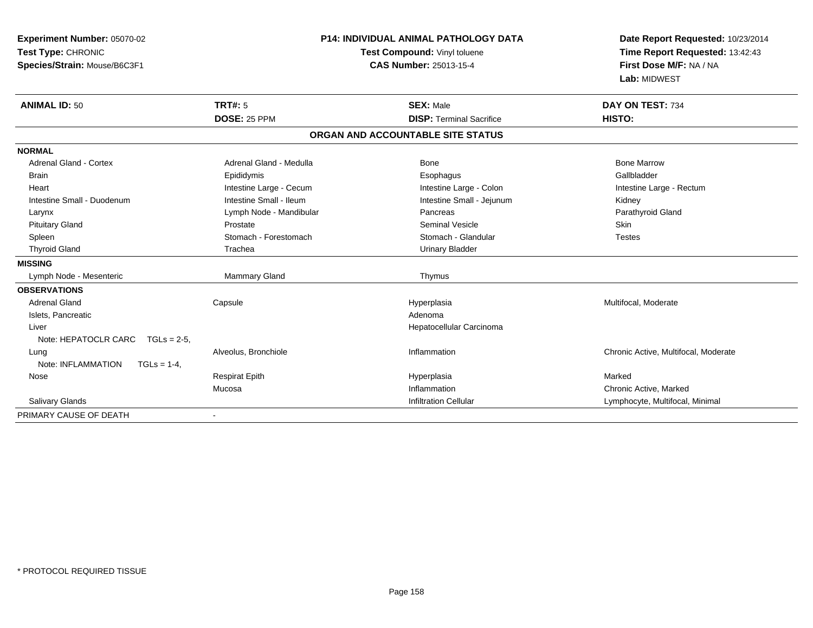| Experiment Number: 05070-02          |                              | <b>P14: INDIVIDUAL ANIMAL PATHOLOGY DATA</b> | Date Report Requested: 10/23/2014    |
|--------------------------------------|------------------------------|----------------------------------------------|--------------------------------------|
| Test Type: CHRONIC                   | Test Compound: Vinyl toluene |                                              | Time Report Requested: 13:42:43      |
| Species/Strain: Mouse/B6C3F1         |                              | <b>CAS Number: 25013-15-4</b>                | First Dose M/F: NA / NA              |
|                                      |                              |                                              | Lab: MIDWEST                         |
| <b>ANIMAL ID: 50</b>                 | <b>TRT#: 5</b>               | <b>SEX: Male</b>                             | DAY ON TEST: 734                     |
|                                      | <b>DOSE: 25 PPM</b>          | <b>DISP: Terminal Sacrifice</b>              | HISTO:                               |
|                                      |                              | ORGAN AND ACCOUNTABLE SITE STATUS            |                                      |
| <b>NORMAL</b>                        |                              |                                              |                                      |
| <b>Adrenal Gland - Cortex</b>        | Adrenal Gland - Medulla      | Bone                                         | <b>Bone Marrow</b>                   |
| <b>Brain</b>                         | Epididymis                   | Esophagus                                    | Gallbladder                          |
| Heart                                | Intestine Large - Cecum      | Intestine Large - Colon                      | Intestine Large - Rectum             |
| Intestine Small - Duodenum           | Intestine Small - Ileum      | Intestine Small - Jejunum                    | Kidney                               |
| Larynx                               | Lymph Node - Mandibular      | Pancreas                                     | Parathyroid Gland                    |
| <b>Pituitary Gland</b>               | Prostate                     | <b>Seminal Vesicle</b>                       | <b>Skin</b>                          |
| Spleen                               | Stomach - Forestomach        | Stomach - Glandular                          | <b>Testes</b>                        |
| <b>Thyroid Gland</b>                 | Trachea                      | <b>Urinary Bladder</b>                       |                                      |
| <b>MISSING</b>                       |                              |                                              |                                      |
| Lymph Node - Mesenteric              | Mammary Gland                | Thymus                                       |                                      |
| <b>OBSERVATIONS</b>                  |                              |                                              |                                      |
| <b>Adrenal Gland</b>                 | Capsule                      | Hyperplasia                                  | Multifocal, Moderate                 |
| Islets, Pancreatic                   |                              | Adenoma                                      |                                      |
| Liver                                |                              | Hepatocellular Carcinoma                     |                                      |
| Note: HEPATOCLR CARC TGLs = 2-5,     |                              |                                              |                                      |
| Lung                                 | Alveolus, Bronchiole         | Inflammation                                 | Chronic Active, Multifocal, Moderate |
| Note: INFLAMMATION<br>$TGLs = 1-4$ , |                              |                                              |                                      |
| Nose                                 | <b>Respirat Epith</b>        | Hyperplasia                                  | Marked                               |
|                                      | Mucosa                       | Inflammation                                 | Chronic Active, Marked               |
| <b>Salivary Glands</b>               |                              | <b>Infiltration Cellular</b>                 | Lymphocyte, Multifocal, Minimal      |
| PRIMARY CAUSE OF DEATH               | $\blacksquare$               |                                              |                                      |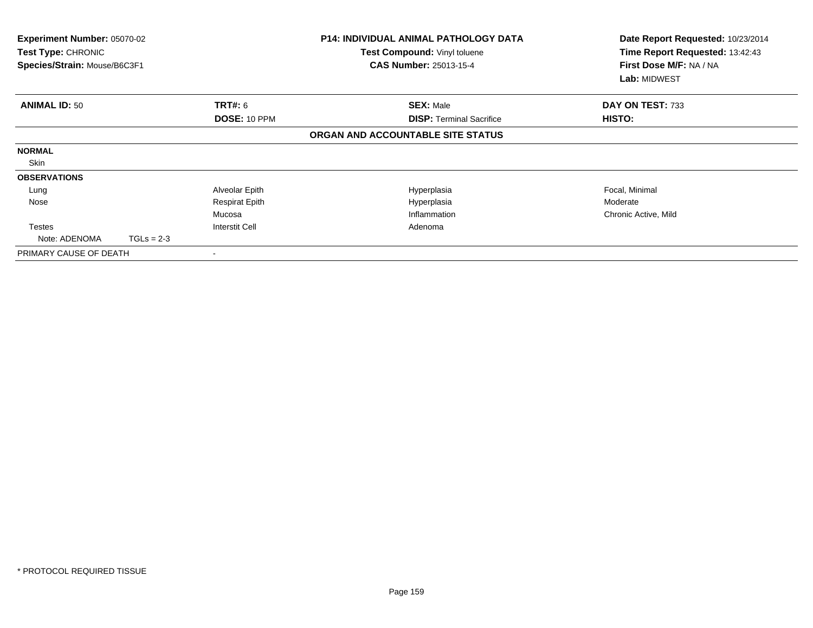| Experiment Number: 05070-02<br>Test Type: CHRONIC<br>Species/Strain: Mouse/B6C3F1 |              | <b>P14: INDIVIDUAL ANIMAL PATHOLOGY DATA</b><br>Test Compound: Vinyl toluene<br><b>CAS Number: 25013-15-4</b> | Date Report Requested: 10/23/2014<br>Time Report Requested: 13:42:43<br>First Dose M/F: NA / NA<br>Lab: MIDWEST |                      |
|-----------------------------------------------------------------------------------|--------------|---------------------------------------------------------------------------------------------------------------|-----------------------------------------------------------------------------------------------------------------|----------------------|
| <b>ANIMAL ID: 50</b>                                                              |              | TRT#: 6                                                                                                       | <b>SEX: Male</b>                                                                                                | DAY ON TEST: 733     |
|                                                                                   |              | <b>DOSE: 10 PPM</b>                                                                                           | <b>DISP:</b> Terminal Sacrifice                                                                                 | <b>HISTO:</b>        |
|                                                                                   |              |                                                                                                               | ORGAN AND ACCOUNTABLE SITE STATUS                                                                               |                      |
| <b>NORMAL</b>                                                                     |              |                                                                                                               |                                                                                                                 |                      |
| Skin                                                                              |              |                                                                                                               |                                                                                                                 |                      |
| <b>OBSERVATIONS</b>                                                               |              |                                                                                                               |                                                                                                                 |                      |
| Lung                                                                              |              | Alveolar Epith                                                                                                | Hyperplasia                                                                                                     | Focal, Minimal       |
| Nose                                                                              |              | <b>Respirat Epith</b>                                                                                         | Hyperplasia                                                                                                     | Moderate             |
|                                                                                   |              | Mucosa                                                                                                        | Inflammation                                                                                                    | Chronic Active, Mild |
| <b>Testes</b>                                                                     |              | <b>Interstit Cell</b>                                                                                         | Adenoma                                                                                                         |                      |
| Note: ADENOMA                                                                     | $TGLs = 2-3$ |                                                                                                               |                                                                                                                 |                      |
| PRIMARY CAUSE OF DEATH                                                            |              |                                                                                                               |                                                                                                                 |                      |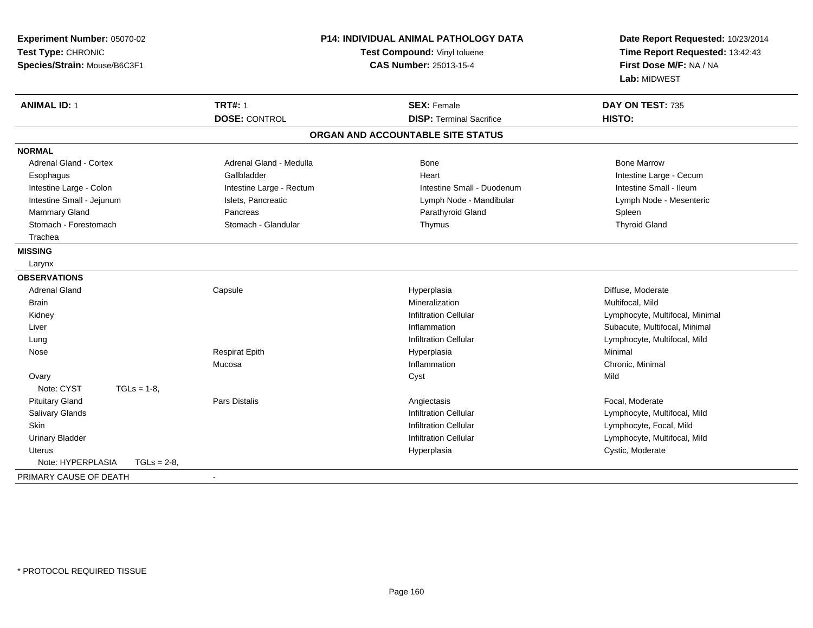| Experiment Number: 05070-02<br>Test Type: CHRONIC<br>Species/Strain: Mouse/B6C3F1 | P14: INDIVIDUAL ANIMAL PATHOLOGY DATA<br>Test Compound: Vinyl toluene<br>CAS Number: 25013-15-4 |                                   | Date Report Requested: 10/23/2014<br>Time Report Requested: 13:42:43<br>First Dose M/F: NA / NA<br>Lab: MIDWEST |
|-----------------------------------------------------------------------------------|-------------------------------------------------------------------------------------------------|-----------------------------------|-----------------------------------------------------------------------------------------------------------------|
| <b>ANIMAL ID: 1</b>                                                               | <b>TRT#: 1</b>                                                                                  | <b>SEX: Female</b>                | DAY ON TEST: 735                                                                                                |
|                                                                                   | <b>DOSE: CONTROL</b>                                                                            | <b>DISP: Terminal Sacrifice</b>   | HISTO:                                                                                                          |
|                                                                                   |                                                                                                 | ORGAN AND ACCOUNTABLE SITE STATUS |                                                                                                                 |
| <b>NORMAL</b>                                                                     |                                                                                                 |                                   |                                                                                                                 |
| Adrenal Gland - Cortex                                                            | Adrenal Gland - Medulla                                                                         | <b>Bone</b>                       | <b>Bone Marrow</b>                                                                                              |
| Esophagus                                                                         | Gallbladder                                                                                     | Heart                             | Intestine Large - Cecum                                                                                         |
| Intestine Large - Colon                                                           | Intestine Large - Rectum                                                                        | Intestine Small - Duodenum        | Intestine Small - Ileum                                                                                         |
| Intestine Small - Jejunum                                                         | Islets, Pancreatic                                                                              | Lymph Node - Mandibular           | Lymph Node - Mesenteric                                                                                         |
| Mammary Gland                                                                     | Pancreas                                                                                        | Parathyroid Gland                 | Spleen                                                                                                          |
| Stomach - Forestomach                                                             | Stomach - Glandular                                                                             | Thymus                            | <b>Thyroid Gland</b>                                                                                            |
| Trachea                                                                           |                                                                                                 |                                   |                                                                                                                 |
| <b>MISSING</b>                                                                    |                                                                                                 |                                   |                                                                                                                 |
| Larynx                                                                            |                                                                                                 |                                   |                                                                                                                 |
| <b>OBSERVATIONS</b>                                                               |                                                                                                 |                                   |                                                                                                                 |
| Adrenal Gland                                                                     | Capsule                                                                                         | Hyperplasia                       | Diffuse, Moderate                                                                                               |
| <b>Brain</b>                                                                      |                                                                                                 | Mineralization                    | Multifocal, Mild                                                                                                |
| Kidney                                                                            |                                                                                                 | <b>Infiltration Cellular</b>      | Lymphocyte, Multifocal, Minimal                                                                                 |
| Liver                                                                             |                                                                                                 | Inflammation                      | Subacute, Multifocal, Minimal                                                                                   |
| Lung                                                                              |                                                                                                 | <b>Infiltration Cellular</b>      | Lymphocyte, Multifocal, Mild                                                                                    |
| Nose                                                                              | <b>Respirat Epith</b>                                                                           | Hyperplasia                       | Minimal                                                                                                         |
|                                                                                   | Mucosa                                                                                          | Inflammation                      | Chronic, Minimal                                                                                                |
| Ovary                                                                             |                                                                                                 | Cyst                              | Mild                                                                                                            |
| Note: CYST<br>$TGLs = 1-8.$                                                       |                                                                                                 |                                   |                                                                                                                 |
| <b>Pituitary Gland</b>                                                            | Pars Distalis                                                                                   | Angiectasis                       | Focal, Moderate                                                                                                 |
| Salivary Glands                                                                   |                                                                                                 | <b>Infiltration Cellular</b>      | Lymphocyte, Multifocal, Mild                                                                                    |
| Skin                                                                              |                                                                                                 | <b>Infiltration Cellular</b>      | Lymphocyte, Focal, Mild                                                                                         |
| <b>Urinary Bladder</b>                                                            |                                                                                                 | <b>Infiltration Cellular</b>      | Lymphocyte, Multifocal, Mild                                                                                    |
| <b>Uterus</b>                                                                     |                                                                                                 | Hyperplasia                       | Cystic, Moderate                                                                                                |
| Note: HYPERPLASIA<br>$TGLs = 2-8,$                                                |                                                                                                 |                                   |                                                                                                                 |
| PRIMARY CAUSE OF DEATH                                                            | $\blacksquare$                                                                                  |                                   |                                                                                                                 |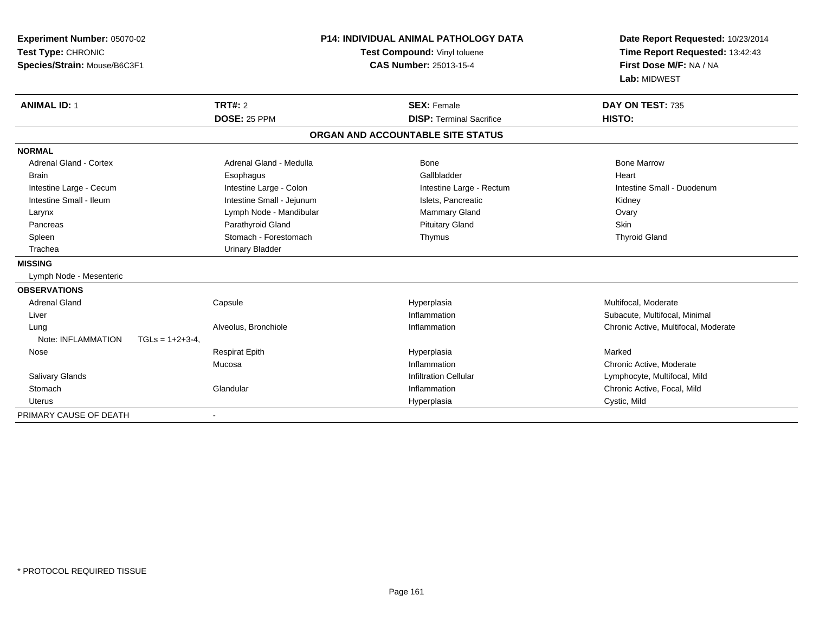| Experiment Number: 05070-02<br>Test Type: CHRONIC<br>Species/Strain: Mouse/B6C3F1 |                           | <b>P14: INDIVIDUAL ANIMAL PATHOLOGY DATA</b><br>Test Compound: Vinyl toluene<br>CAS Number: 25013-15-4 | Date Report Requested: 10/23/2014<br>Time Report Requested: 13:42:43<br>First Dose M/F: NA / NA<br>Lab: MIDWEST |  |
|-----------------------------------------------------------------------------------|---------------------------|--------------------------------------------------------------------------------------------------------|-----------------------------------------------------------------------------------------------------------------|--|
| <b>ANIMAL ID: 1</b>                                                               | <b>TRT#: 2</b>            | <b>SEX: Female</b>                                                                                     | DAY ON TEST: 735                                                                                                |  |
|                                                                                   | <b>DOSE: 25 PPM</b>       | <b>DISP: Terminal Sacrifice</b>                                                                        | <b>HISTO:</b>                                                                                                   |  |
|                                                                                   |                           | ORGAN AND ACCOUNTABLE SITE STATUS                                                                      |                                                                                                                 |  |
| <b>NORMAL</b>                                                                     |                           |                                                                                                        |                                                                                                                 |  |
| <b>Adrenal Gland - Cortex</b>                                                     | Adrenal Gland - Medulla   | Bone                                                                                                   | <b>Bone Marrow</b>                                                                                              |  |
| Brain                                                                             | Esophagus                 | Gallbladder                                                                                            | Heart                                                                                                           |  |
| Intestine Large - Cecum                                                           | Intestine Large - Colon   | Intestine Large - Rectum                                                                               | Intestine Small - Duodenum                                                                                      |  |
| Intestine Small - Ileum                                                           | Intestine Small - Jejunum | Islets, Pancreatic                                                                                     | Kidney                                                                                                          |  |
| Larynx                                                                            | Lymph Node - Mandibular   | Mammary Gland                                                                                          | Ovary                                                                                                           |  |
| Pancreas                                                                          | Parathyroid Gland         | <b>Pituitary Gland</b>                                                                                 | Skin                                                                                                            |  |
| Spleen                                                                            | Stomach - Forestomach     | Thymus                                                                                                 | <b>Thyroid Gland</b>                                                                                            |  |
| Trachea                                                                           | <b>Urinary Bladder</b>    |                                                                                                        |                                                                                                                 |  |
| <b>MISSING</b>                                                                    |                           |                                                                                                        |                                                                                                                 |  |
| Lymph Node - Mesenteric                                                           |                           |                                                                                                        |                                                                                                                 |  |
| <b>OBSERVATIONS</b>                                                               |                           |                                                                                                        |                                                                                                                 |  |
| <b>Adrenal Gland</b>                                                              | Capsule                   | Hyperplasia                                                                                            | Multifocal, Moderate                                                                                            |  |
| Liver                                                                             |                           | Inflammation                                                                                           | Subacute, Multifocal, Minimal                                                                                   |  |
| Lung                                                                              | Alveolus, Bronchiole      | Inflammation                                                                                           | Chronic Active, Multifocal, Moderate                                                                            |  |
| Note: INFLAMMATION<br>$TGLs = 1+2+3-4.$                                           |                           |                                                                                                        |                                                                                                                 |  |
| Nose                                                                              | <b>Respirat Epith</b>     | Hyperplasia                                                                                            | Marked                                                                                                          |  |
|                                                                                   | Mucosa                    | Inflammation                                                                                           | Chronic Active, Moderate                                                                                        |  |
| <b>Salivary Glands</b>                                                            |                           | <b>Infiltration Cellular</b>                                                                           | Lymphocyte, Multifocal, Mild                                                                                    |  |
| Stomach                                                                           | Glandular                 | Inflammation                                                                                           | Chronic Active, Focal, Mild                                                                                     |  |
| <b>Uterus</b>                                                                     |                           | Hyperplasia                                                                                            | Cystic, Mild                                                                                                    |  |
| PRIMARY CAUSE OF DEATH                                                            |                           |                                                                                                        |                                                                                                                 |  |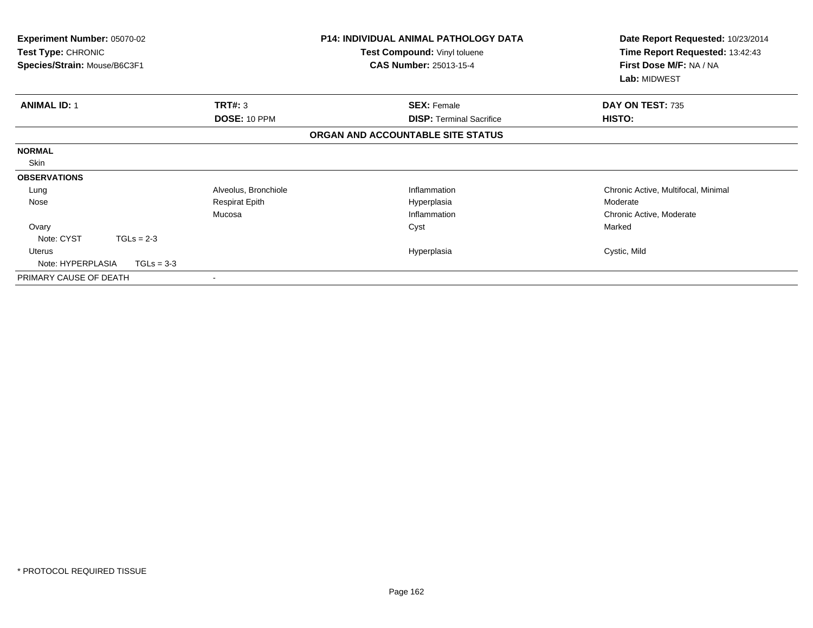| <b>Experiment Number: 05070-02</b><br><b>Test Type: CHRONIC</b><br>Species/Strain: Mouse/B6C3F1 |                          | <b>P14: INDIVIDUAL ANIMAL PATHOLOGY DATA</b><br><b>Test Compound: Vinyl toluene</b><br><b>CAS Number: 25013-15-4</b> | Date Report Requested: 10/23/2014<br>Time Report Requested: 13:42:43<br>First Dose M/F: NA / NA<br>Lab: MIDWEST |
|-------------------------------------------------------------------------------------------------|--------------------------|----------------------------------------------------------------------------------------------------------------------|-----------------------------------------------------------------------------------------------------------------|
| <b>ANIMAL ID: 1</b>                                                                             | TRT#: 3                  | <b>SEX: Female</b>                                                                                                   | DAY ON TEST: 735                                                                                                |
|                                                                                                 | DOSE: 10 PPM             | <b>DISP:</b> Terminal Sacrifice                                                                                      | HISTO:                                                                                                          |
|                                                                                                 |                          | ORGAN AND ACCOUNTABLE SITE STATUS                                                                                    |                                                                                                                 |
| <b>NORMAL</b>                                                                                   |                          |                                                                                                                      |                                                                                                                 |
| Skin                                                                                            |                          |                                                                                                                      |                                                                                                                 |
| <b>OBSERVATIONS</b>                                                                             |                          |                                                                                                                      |                                                                                                                 |
| Lung                                                                                            | Alveolus, Bronchiole     | Inflammation                                                                                                         | Chronic Active, Multifocal, Minimal                                                                             |
| Nose                                                                                            | <b>Respirat Epith</b>    | Hyperplasia                                                                                                          | Moderate                                                                                                        |
|                                                                                                 | Mucosa                   | Inflammation                                                                                                         | Chronic Active, Moderate                                                                                        |
| Ovary                                                                                           |                          | Cyst                                                                                                                 | Marked                                                                                                          |
| Note: CYST<br>$TGLs = 2-3$                                                                      |                          |                                                                                                                      |                                                                                                                 |
| Uterus                                                                                          |                          | Hyperplasia                                                                                                          | Cystic, Mild                                                                                                    |
| Note: HYPERPLASIA<br>$TGLs = 3-3$                                                               |                          |                                                                                                                      |                                                                                                                 |
| PRIMARY CAUSE OF DEATH                                                                          | $\overline{\phantom{a}}$ |                                                                                                                      |                                                                                                                 |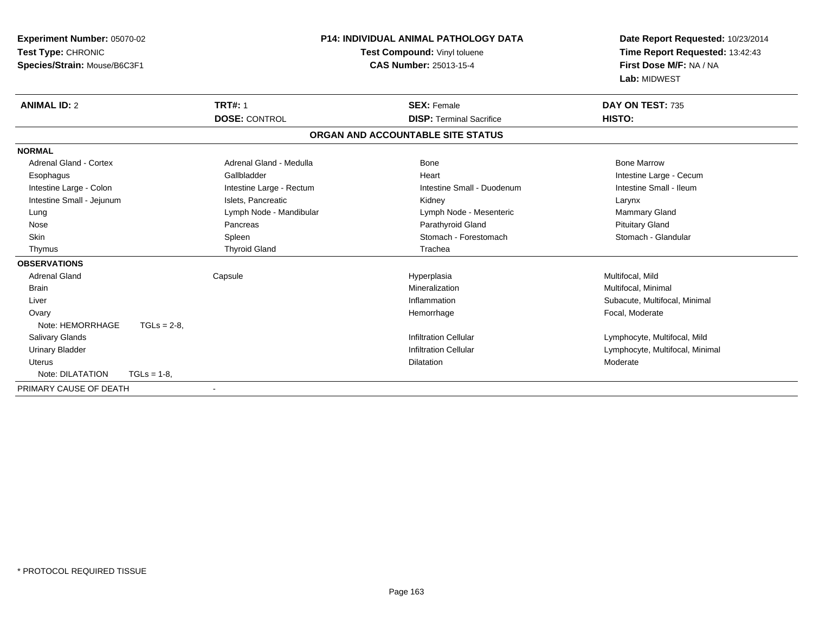| <b>P14: INDIVIDUAL ANIMAL PATHOLOGY DATA</b><br>Experiment Number: 05070-02<br>Test Type: CHRONIC<br>Test Compound: Vinyl toluene<br>Species/Strain: Mouse/B6C3F1<br>CAS Number: 25013-15-4 |                |                          | Date Report Requested: 10/23/2014<br>Time Report Requested: 13:42:43<br>First Dose M/F: NA / NA<br>Lab: MIDWEST |                                   |                                 |
|---------------------------------------------------------------------------------------------------------------------------------------------------------------------------------------------|----------------|--------------------------|-----------------------------------------------------------------------------------------------------------------|-----------------------------------|---------------------------------|
| <b>ANIMAL ID: 2</b>                                                                                                                                                                         |                | <b>TRT#: 1</b>           |                                                                                                                 | <b>SEX: Female</b>                | DAY ON TEST: 735                |
|                                                                                                                                                                                             |                | <b>DOSE: CONTROL</b>     |                                                                                                                 | <b>DISP: Terminal Sacrifice</b>   | HISTO:                          |
|                                                                                                                                                                                             |                |                          |                                                                                                                 | ORGAN AND ACCOUNTABLE SITE STATUS |                                 |
| <b>NORMAL</b>                                                                                                                                                                               |                |                          |                                                                                                                 |                                   |                                 |
| <b>Adrenal Gland - Cortex</b>                                                                                                                                                               |                | Adrenal Gland - Medulla  |                                                                                                                 | <b>Bone</b>                       | <b>Bone Marrow</b>              |
| Esophagus                                                                                                                                                                                   |                | Gallbladder              |                                                                                                                 | Heart                             | Intestine Large - Cecum         |
| Intestine Large - Colon                                                                                                                                                                     |                | Intestine Large - Rectum |                                                                                                                 | Intestine Small - Duodenum        | Intestine Small - Ileum         |
| Intestine Small - Jejunum                                                                                                                                                                   |                | Islets, Pancreatic       |                                                                                                                 | Kidney                            | Larynx                          |
| Lung                                                                                                                                                                                        |                | Lymph Node - Mandibular  |                                                                                                                 | Lymph Node - Mesenteric           | <b>Mammary Gland</b>            |
| Nose                                                                                                                                                                                        |                | Pancreas                 |                                                                                                                 | Parathyroid Gland                 | <b>Pituitary Gland</b>          |
| Skin                                                                                                                                                                                        |                | Spleen                   |                                                                                                                 | Stomach - Forestomach             | Stomach - Glandular             |
| Thymus                                                                                                                                                                                      |                | <b>Thyroid Gland</b>     |                                                                                                                 | Trachea                           |                                 |
| <b>OBSERVATIONS</b>                                                                                                                                                                         |                |                          |                                                                                                                 |                                   |                                 |
| <b>Adrenal Gland</b>                                                                                                                                                                        |                | Capsule                  |                                                                                                                 | Hyperplasia                       | Multifocal, Mild                |
| <b>Brain</b>                                                                                                                                                                                |                |                          |                                                                                                                 | Mineralization                    | Multifocal, Minimal             |
| Liver                                                                                                                                                                                       |                |                          |                                                                                                                 | Inflammation                      | Subacute, Multifocal, Minimal   |
| Ovary                                                                                                                                                                                       |                |                          |                                                                                                                 | Hemorrhage                        | Focal, Moderate                 |
| Note: HEMORRHAGE                                                                                                                                                                            | $TGLs = 2-8$   |                          |                                                                                                                 |                                   |                                 |
| <b>Salivary Glands</b>                                                                                                                                                                      |                |                          |                                                                                                                 | <b>Infiltration Cellular</b>      | Lymphocyte, Multifocal, Mild    |
| <b>Urinary Bladder</b>                                                                                                                                                                      |                |                          |                                                                                                                 | <b>Infiltration Cellular</b>      | Lymphocyte, Multifocal, Minimal |
| <b>Uterus</b>                                                                                                                                                                               |                |                          |                                                                                                                 | Dilatation                        | Moderate                        |
| Note: DILATATION                                                                                                                                                                            | $TGLs = 1-8$ , |                          |                                                                                                                 |                                   |                                 |
| PRIMARY CAUSE OF DEATH                                                                                                                                                                      |                |                          |                                                                                                                 |                                   |                                 |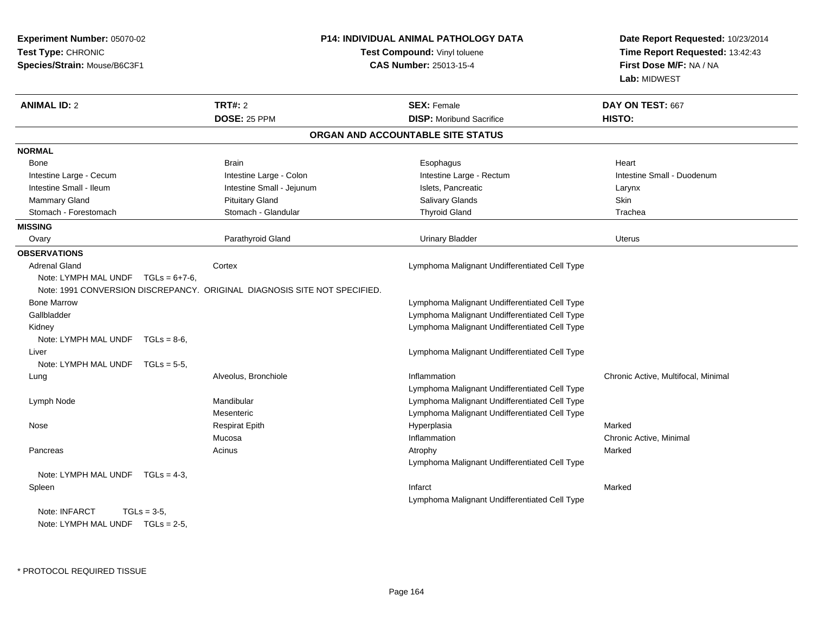| Experiment Number: 05070-02<br>Test Type: CHRONIC<br>Species/Strain: Mouse/B6C3F1 |                                                                           | <b>P14: INDIVIDUAL ANIMAL PATHOLOGY DATA</b><br>Test Compound: Vinyl toluene<br><b>CAS Number: 25013-15-4</b> | Date Report Requested: 10/23/2014<br>Time Report Requested: 13:42:43<br>First Dose M/F: NA / NA<br>Lab: MIDWEST |
|-----------------------------------------------------------------------------------|---------------------------------------------------------------------------|---------------------------------------------------------------------------------------------------------------|-----------------------------------------------------------------------------------------------------------------|
| <b>ANIMAL ID: 2</b>                                                               | <b>TRT#: 2</b>                                                            | <b>SEX: Female</b>                                                                                            | DAY ON TEST: 667                                                                                                |
|                                                                                   | DOSE: 25 PPM                                                              | <b>DISP:</b> Moribund Sacrifice                                                                               | HISTO:                                                                                                          |
|                                                                                   |                                                                           | ORGAN AND ACCOUNTABLE SITE STATUS                                                                             |                                                                                                                 |
| <b>NORMAL</b>                                                                     |                                                                           |                                                                                                               |                                                                                                                 |
| Bone                                                                              | <b>Brain</b>                                                              | Esophagus                                                                                                     | Heart                                                                                                           |
| Intestine Large - Cecum                                                           | Intestine Large - Colon                                                   | Intestine Large - Rectum                                                                                      | Intestine Small - Duodenum                                                                                      |
| Intestine Small - Ileum                                                           | Intestine Small - Jejunum                                                 | Islets, Pancreatic                                                                                            | Larynx                                                                                                          |
| Mammary Gland                                                                     | <b>Pituitary Gland</b>                                                    | <b>Salivary Glands</b>                                                                                        | Skin                                                                                                            |
| Stomach - Forestomach                                                             | Stomach - Glandular                                                       | <b>Thyroid Gland</b>                                                                                          | Trachea                                                                                                         |
| <b>MISSING</b>                                                                    |                                                                           |                                                                                                               |                                                                                                                 |
| Ovary                                                                             | Parathyroid Gland                                                         | <b>Urinary Bladder</b>                                                                                        | Uterus                                                                                                          |
| <b>OBSERVATIONS</b>                                                               |                                                                           |                                                                                                               |                                                                                                                 |
| <b>Adrenal Gland</b>                                                              | Cortex                                                                    | Lymphoma Malignant Undifferentiated Cell Type                                                                 |                                                                                                                 |
| Note: LYMPH MAL UNDF $TGLs = 6+7-6$ ,                                             |                                                                           |                                                                                                               |                                                                                                                 |
|                                                                                   | Note: 1991 CONVERSION DISCREPANCY. ORIGINAL DIAGNOSIS SITE NOT SPECIFIED. |                                                                                                               |                                                                                                                 |
| <b>Bone Marrow</b>                                                                |                                                                           | Lymphoma Malignant Undifferentiated Cell Type                                                                 |                                                                                                                 |
| Gallbladder                                                                       |                                                                           | Lymphoma Malignant Undifferentiated Cell Type                                                                 |                                                                                                                 |
| Kidney                                                                            |                                                                           | Lymphoma Malignant Undifferentiated Cell Type                                                                 |                                                                                                                 |
| Note: LYMPH MAL UNDF $TGLs = 8-6$ ,                                               |                                                                           |                                                                                                               |                                                                                                                 |
| Liver                                                                             |                                                                           | Lymphoma Malignant Undifferentiated Cell Type                                                                 |                                                                                                                 |
| Note: LYMPH MAL UNDF TGLs = 5-5,                                                  |                                                                           |                                                                                                               |                                                                                                                 |
| Lung                                                                              | Alveolus, Bronchiole                                                      | Inflammation                                                                                                  | Chronic Active, Multifocal, Minimal                                                                             |
|                                                                                   |                                                                           | Lymphoma Malignant Undifferentiated Cell Type                                                                 |                                                                                                                 |
| Lymph Node                                                                        | Mandibular                                                                | Lymphoma Malignant Undifferentiated Cell Type                                                                 |                                                                                                                 |
|                                                                                   | Mesenteric                                                                | Lymphoma Malignant Undifferentiated Cell Type                                                                 |                                                                                                                 |
| Nose                                                                              | <b>Respirat Epith</b>                                                     | Hyperplasia                                                                                                   | Marked                                                                                                          |
|                                                                                   | Mucosa                                                                    | Inflammation                                                                                                  | Chronic Active, Minimal                                                                                         |
| Pancreas                                                                          | Acinus                                                                    | Atrophy                                                                                                       | Marked                                                                                                          |
|                                                                                   |                                                                           | Lymphoma Malignant Undifferentiated Cell Type                                                                 |                                                                                                                 |
| Note: LYMPH MAL UNDF $TGLs = 4-3$ ,                                               |                                                                           |                                                                                                               |                                                                                                                 |
| Spleen                                                                            |                                                                           | Infarct                                                                                                       | Marked                                                                                                          |
|                                                                                   |                                                                           | Lymphoma Malignant Undifferentiated Cell Type                                                                 |                                                                                                                 |
| Note: INFARCT<br>$TGLs = 3-5.$                                                    |                                                                           |                                                                                                               |                                                                                                                 |
| Note: LYMPH MAL UNDF TGLs = 2-5,                                                  |                                                                           |                                                                                                               |                                                                                                                 |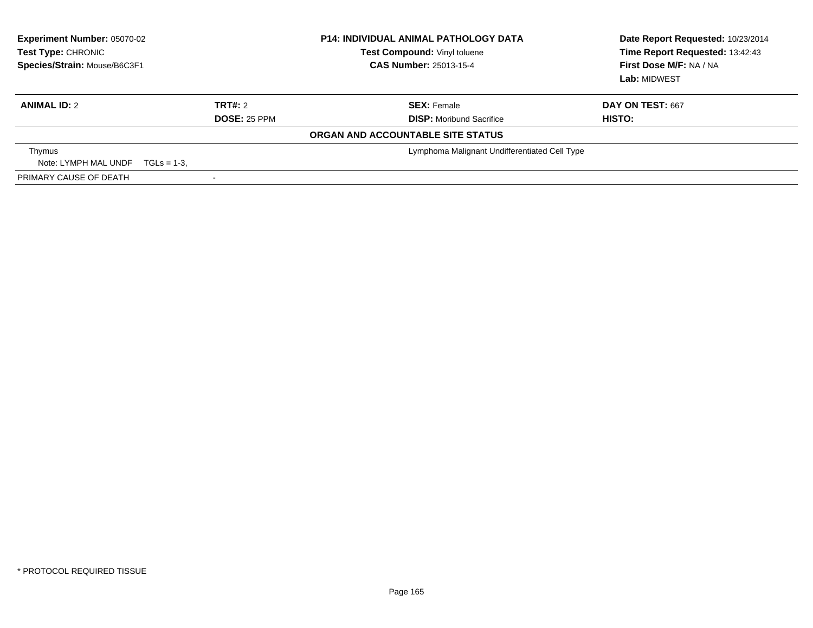| <b>Experiment Number: 05070-02</b><br>Test Type: CHRONIC<br>Species/Strain: Mouse/B6C3F1 |                     | <b>P14: INDIVIDUAL ANIMAL PATHOLOGY DATA</b><br>Test Compound: Vinyl toluene<br><b>CAS Number: 25013-15-4</b> | Date Report Requested: 10/23/2014<br>Time Report Requested: 13:42:43<br>First Dose M/F: NA / NA<br>Lab: MIDWEST |
|------------------------------------------------------------------------------------------|---------------------|---------------------------------------------------------------------------------------------------------------|-----------------------------------------------------------------------------------------------------------------|
| <b>ANIMAL ID: 2</b>                                                                      | TRT#: 2             | <b>SEX: Female</b>                                                                                            | <b>DAY ON TEST: 667</b>                                                                                         |
|                                                                                          | <b>DOSE: 25 PPM</b> | <b>DISP:</b> Moribund Sacrifice                                                                               | HISTO:                                                                                                          |
|                                                                                          |                     | ORGAN AND ACCOUNTABLE SITE STATUS                                                                             |                                                                                                                 |
| Thymus                                                                                   |                     | Lymphoma Malignant Undifferentiated Cell Type                                                                 |                                                                                                                 |
| Note: LYMPH MAL UNDF $TGLS = 1-3$ .                                                      |                     |                                                                                                               |                                                                                                                 |
| PRIMARY CAUSE OF DEATH                                                                   |                     |                                                                                                               |                                                                                                                 |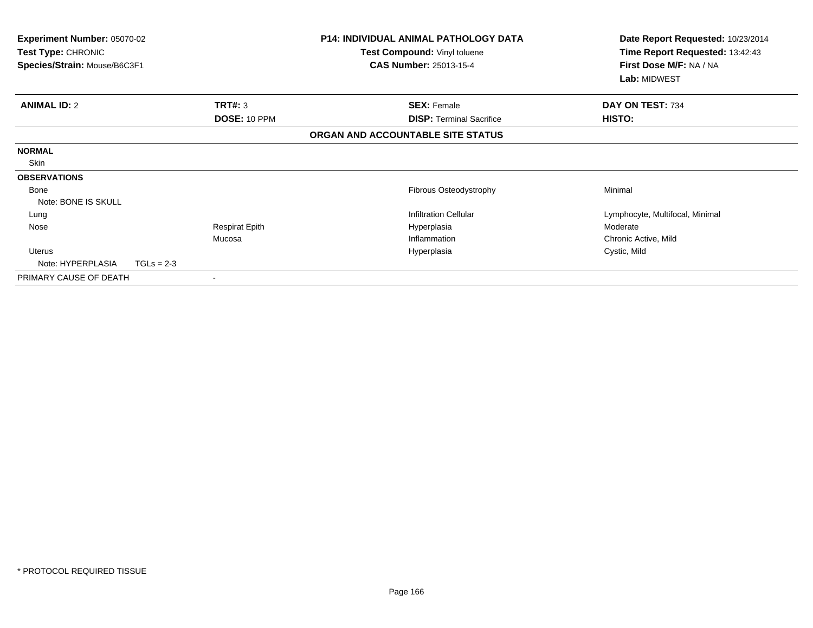| Experiment Number: 05070-02<br>Test Type: CHRONIC<br>Species/Strain: Mouse/B6C3F1 |                       | <b>P14: INDIVIDUAL ANIMAL PATHOLOGY DATA</b><br>Test Compound: Vinyl toluene<br><b>CAS Number: 25013-15-4</b> | Date Report Requested: 10/23/2014<br>Time Report Requested: 13:42:43<br>First Dose M/F: NA / NA<br>Lab: MIDWEST |
|-----------------------------------------------------------------------------------|-----------------------|---------------------------------------------------------------------------------------------------------------|-----------------------------------------------------------------------------------------------------------------|
| <b>ANIMAL ID: 2</b>                                                               | TRT#: 3               | <b>SEX: Female</b>                                                                                            | DAY ON TEST: 734                                                                                                |
|                                                                                   | DOSE: 10 PPM          | <b>DISP: Terminal Sacrifice</b>                                                                               | HISTO:                                                                                                          |
|                                                                                   |                       | ORGAN AND ACCOUNTABLE SITE STATUS                                                                             |                                                                                                                 |
| <b>NORMAL</b>                                                                     |                       |                                                                                                               |                                                                                                                 |
| Skin                                                                              |                       |                                                                                                               |                                                                                                                 |
| <b>OBSERVATIONS</b>                                                               |                       |                                                                                                               |                                                                                                                 |
| Bone                                                                              |                       | Fibrous Osteodystrophy                                                                                        | Minimal                                                                                                         |
| Note: BONE IS SKULL                                                               |                       |                                                                                                               |                                                                                                                 |
| Lung                                                                              |                       | <b>Infiltration Cellular</b>                                                                                  | Lymphocyte, Multifocal, Minimal                                                                                 |
| Nose                                                                              | <b>Respirat Epith</b> | Hyperplasia                                                                                                   | Moderate                                                                                                        |
|                                                                                   | Mucosa                | Inflammation                                                                                                  | Chronic Active, Mild                                                                                            |
| Uterus                                                                            |                       | Hyperplasia                                                                                                   | Cystic, Mild                                                                                                    |
| Note: HYPERPLASIA                                                                 | $TGLs = 2-3$          |                                                                                                               |                                                                                                                 |
| PRIMARY CAUSE OF DEATH                                                            |                       |                                                                                                               |                                                                                                                 |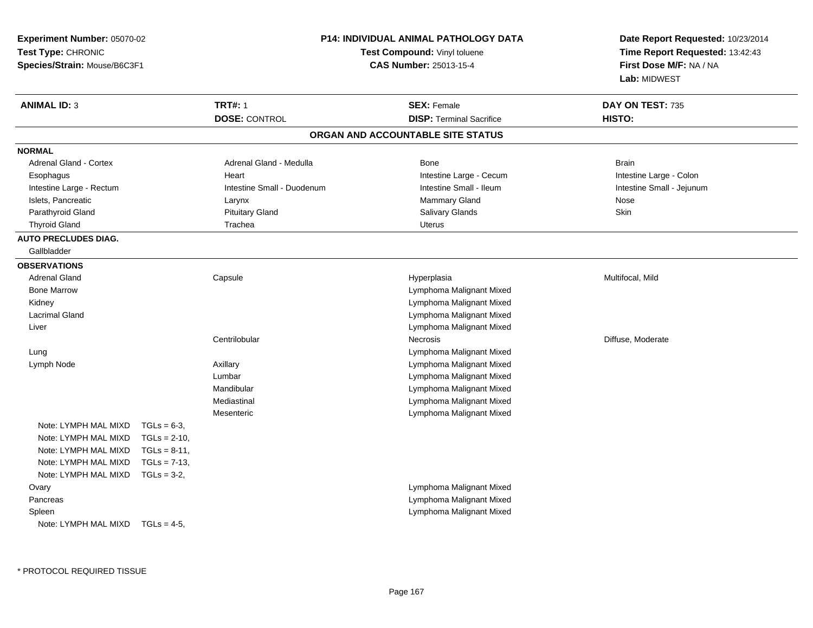| Experiment Number: 05070-02<br>Test Type: CHRONIC<br>Species/Strain: Mouse/B6C3F1 |                 |                            | <b>P14: INDIVIDUAL ANIMAL PATHOLOGY DATA</b><br>Test Compound: Vinyl toluene<br><b>CAS Number: 25013-15-4</b> | Date Report Requested: 10/23/2014<br>Time Report Requested: 13:42:43<br>First Dose M/F: NA / NA<br>Lab: MIDWEST |
|-----------------------------------------------------------------------------------|-----------------|----------------------------|---------------------------------------------------------------------------------------------------------------|-----------------------------------------------------------------------------------------------------------------|
| <b>ANIMAL ID: 3</b>                                                               |                 | <b>TRT#: 1</b>             | <b>SEX: Female</b>                                                                                            | DAY ON TEST: 735                                                                                                |
|                                                                                   |                 | <b>DOSE: CONTROL</b>       | <b>DISP: Terminal Sacrifice</b>                                                                               | HISTO:                                                                                                          |
|                                                                                   |                 |                            | ORGAN AND ACCOUNTABLE SITE STATUS                                                                             |                                                                                                                 |
| <b>NORMAL</b>                                                                     |                 |                            |                                                                                                               |                                                                                                                 |
| <b>Adrenal Gland - Cortex</b>                                                     |                 | Adrenal Gland - Medulla    | Bone                                                                                                          | <b>Brain</b>                                                                                                    |
| Esophagus                                                                         |                 | Heart                      | Intestine Large - Cecum                                                                                       | Intestine Large - Colon                                                                                         |
| Intestine Large - Rectum                                                          |                 | Intestine Small - Duodenum | Intestine Small - Ileum                                                                                       | Intestine Small - Jejunum                                                                                       |
| Islets, Pancreatic                                                                |                 | Larynx                     | <b>Mammary Gland</b>                                                                                          | Nose                                                                                                            |
| Parathyroid Gland                                                                 |                 | <b>Pituitary Gland</b>     | <b>Salivary Glands</b>                                                                                        | Skin                                                                                                            |
| <b>Thyroid Gland</b>                                                              |                 | Trachea                    | <b>Uterus</b>                                                                                                 |                                                                                                                 |
| <b>AUTO PRECLUDES DIAG.</b>                                                       |                 |                            |                                                                                                               |                                                                                                                 |
| Gallbladder                                                                       |                 |                            |                                                                                                               |                                                                                                                 |
| <b>OBSERVATIONS</b>                                                               |                 |                            |                                                                                                               |                                                                                                                 |
| <b>Adrenal Gland</b>                                                              |                 | Capsule                    | Hyperplasia                                                                                                   | Multifocal, Mild                                                                                                |
| <b>Bone Marrow</b>                                                                |                 |                            | Lymphoma Malignant Mixed                                                                                      |                                                                                                                 |
| Kidney                                                                            |                 |                            | Lymphoma Malignant Mixed                                                                                      |                                                                                                                 |
| <b>Lacrimal Gland</b>                                                             |                 |                            | Lymphoma Malignant Mixed                                                                                      |                                                                                                                 |
| Liver                                                                             |                 |                            | Lymphoma Malignant Mixed                                                                                      |                                                                                                                 |
|                                                                                   |                 | Centrilobular              | <b>Necrosis</b>                                                                                               | Diffuse, Moderate                                                                                               |
| Lung                                                                              |                 |                            | Lymphoma Malignant Mixed                                                                                      |                                                                                                                 |
| Lymph Node                                                                        |                 | Axillary                   | Lymphoma Malignant Mixed                                                                                      |                                                                                                                 |
|                                                                                   |                 | Lumbar                     | Lymphoma Malignant Mixed                                                                                      |                                                                                                                 |
|                                                                                   |                 | Mandibular                 | Lymphoma Malignant Mixed                                                                                      |                                                                                                                 |
|                                                                                   |                 | Mediastinal                | Lymphoma Malignant Mixed                                                                                      |                                                                                                                 |
|                                                                                   |                 | Mesenteric                 | Lymphoma Malignant Mixed                                                                                      |                                                                                                                 |
| Note: LYMPH MAL MIXD                                                              | $TGLs = 6-3$    |                            |                                                                                                               |                                                                                                                 |
| Note: LYMPH MAL MIXD                                                              | $TGLs = 2-10$ , |                            |                                                                                                               |                                                                                                                 |
| Note: LYMPH MAL MIXD                                                              | $TGLs = 8-11$ , |                            |                                                                                                               |                                                                                                                 |
| Note: LYMPH MAL MIXD                                                              | $TGLs = 7-13$ , |                            |                                                                                                               |                                                                                                                 |
| Note: LYMPH MAL MIXD                                                              | $TGLs = 3-2$    |                            |                                                                                                               |                                                                                                                 |
| Ovary                                                                             |                 |                            | Lymphoma Malignant Mixed                                                                                      |                                                                                                                 |
| Pancreas                                                                          |                 |                            | Lymphoma Malignant Mixed                                                                                      |                                                                                                                 |
| Spleen                                                                            |                 |                            | Lymphoma Malignant Mixed                                                                                      |                                                                                                                 |
| Note: LYMPH MAL MIXD                                                              | $TGLs = 4-5$    |                            |                                                                                                               |                                                                                                                 |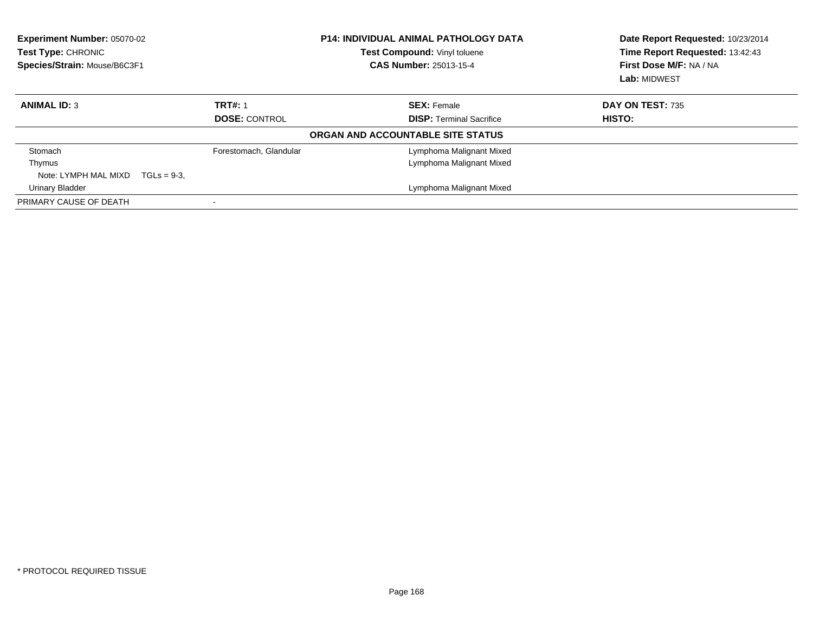| Experiment Number: 05070-02<br>Test Type: CHRONIC<br>Species/Strain: Mouse/B6C3F1 |                        | <b>P14: INDIVIDUAL ANIMAL PATHOLOGY DATA</b><br>Test Compound: Vinyl toluene<br><b>CAS Number: 25013-15-4</b> | Date Report Requested: 10/23/2014<br>Time Report Requested: 13:42:43<br>First Dose M/F: NA / NA<br>Lab: MIDWEST |
|-----------------------------------------------------------------------------------|------------------------|---------------------------------------------------------------------------------------------------------------|-----------------------------------------------------------------------------------------------------------------|
| <b>ANIMAL ID: 3</b>                                                               | <b>TRT#: 1</b>         | <b>SEX: Female</b>                                                                                            | DAY ON TEST: 735                                                                                                |
|                                                                                   | <b>DOSE: CONTROL</b>   | <b>DISP: Terminal Sacrifice</b>                                                                               | HISTO:                                                                                                          |
|                                                                                   |                        | ORGAN AND ACCOUNTABLE SITE STATUS                                                                             |                                                                                                                 |
| Stomach                                                                           | Forestomach, Glandular | Lymphoma Malignant Mixed                                                                                      |                                                                                                                 |
| Thymus                                                                            |                        | Lymphoma Malignant Mixed                                                                                      |                                                                                                                 |
| Note: LYMPH MAL MIXD $TGLs = 9-3$ .                                               |                        |                                                                                                               |                                                                                                                 |
| Urinary Bladder                                                                   |                        | Lymphoma Malignant Mixed                                                                                      |                                                                                                                 |
| PRIMARY CAUSE OF DEATH                                                            |                        |                                                                                                               |                                                                                                                 |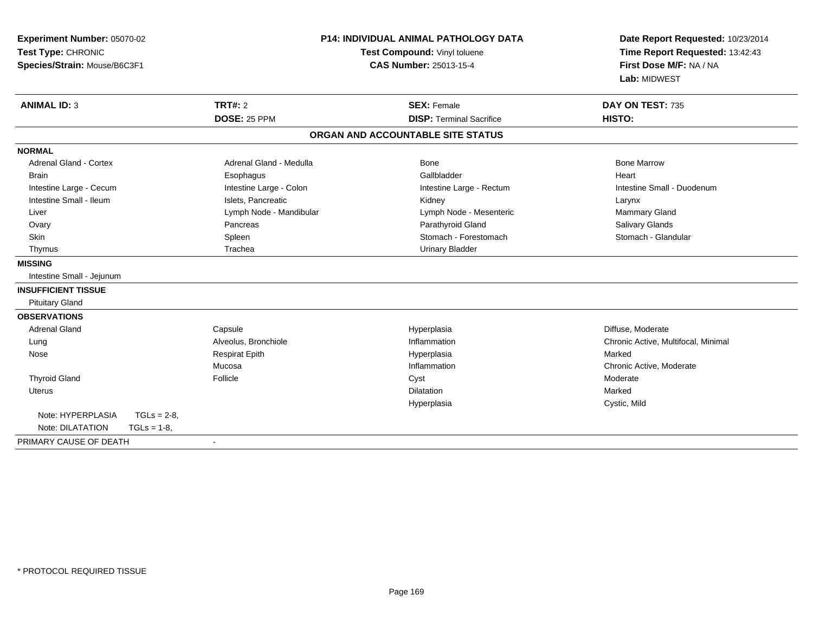| Experiment Number: 05070-02<br>Test Type: CHRONIC<br>Species/Strain: Mouse/B6C3F1 | <b>P14: INDIVIDUAL ANIMAL PATHOLOGY DATA</b><br>Test Compound: Vinyl toluene<br><b>CAS Number: 25013-15-4</b> |                                                       | Date Report Requested: 10/23/2014<br>Time Report Requested: 13:42:43<br>First Dose M/F: NA / NA<br>Lab: MIDWEST |
|-----------------------------------------------------------------------------------|---------------------------------------------------------------------------------------------------------------|-------------------------------------------------------|-----------------------------------------------------------------------------------------------------------------|
| <b>ANIMAL ID: 3</b>                                                               | <b>TRT#: 2</b><br>DOSE: 25 PPM                                                                                | <b>SEX: Female</b><br><b>DISP: Terminal Sacrifice</b> | DAY ON TEST: 735<br>HISTO:                                                                                      |
|                                                                                   |                                                                                                               | ORGAN AND ACCOUNTABLE SITE STATUS                     |                                                                                                                 |
| <b>NORMAL</b>                                                                     |                                                                                                               |                                                       |                                                                                                                 |
| Adrenal Gland - Cortex                                                            | Adrenal Gland - Medulla                                                                                       | Bone                                                  | <b>Bone Marrow</b>                                                                                              |
| Brain                                                                             | Esophagus                                                                                                     | Gallbladder                                           | Heart                                                                                                           |
| Intestine Large - Cecum                                                           | Intestine Large - Colon                                                                                       | Intestine Large - Rectum                              | Intestine Small - Duodenum                                                                                      |
| Intestine Small - Ileum                                                           | Islets, Pancreatic                                                                                            | Kidney                                                | Larynx                                                                                                          |
| Liver                                                                             | Lymph Node - Mandibular                                                                                       | Lymph Node - Mesenteric                               | <b>Mammary Gland</b>                                                                                            |
| Ovary                                                                             | Pancreas                                                                                                      | Parathyroid Gland                                     | Salivary Glands                                                                                                 |
| Skin                                                                              | Spleen                                                                                                        | Stomach - Forestomach                                 | Stomach - Glandular                                                                                             |
| Thymus                                                                            | Trachea                                                                                                       | <b>Urinary Bladder</b>                                |                                                                                                                 |
| <b>MISSING</b>                                                                    |                                                                                                               |                                                       |                                                                                                                 |
| Intestine Small - Jejunum                                                         |                                                                                                               |                                                       |                                                                                                                 |
| <b>INSUFFICIENT TISSUE</b>                                                        |                                                                                                               |                                                       |                                                                                                                 |
| <b>Pituitary Gland</b>                                                            |                                                                                                               |                                                       |                                                                                                                 |
| <b>OBSERVATIONS</b>                                                               |                                                                                                               |                                                       |                                                                                                                 |
| <b>Adrenal Gland</b>                                                              | Capsule                                                                                                       | Hyperplasia                                           | Diffuse, Moderate                                                                                               |
| Lung                                                                              | Alveolus, Bronchiole                                                                                          | Inflammation                                          | Chronic Active, Multifocal, Minimal                                                                             |
| Nose                                                                              | <b>Respirat Epith</b>                                                                                         | Hyperplasia                                           | Marked                                                                                                          |
|                                                                                   | Mucosa                                                                                                        | Inflammation                                          | Chronic Active, Moderate                                                                                        |
| <b>Thyroid Gland</b>                                                              | Follicle                                                                                                      | Cyst                                                  | Moderate                                                                                                        |
| Uterus                                                                            |                                                                                                               | Dilatation                                            | Marked                                                                                                          |
|                                                                                   |                                                                                                               | Hyperplasia                                           | Cystic, Mild                                                                                                    |
| Note: HYPERPLASIA<br>$TGLs = 2-8$                                                 |                                                                                                               |                                                       |                                                                                                                 |
| Note: DILATATION<br>$TGLs = 1-8$                                                  |                                                                                                               |                                                       |                                                                                                                 |
| PRIMARY CAUSE OF DEATH                                                            | $\sim$                                                                                                        |                                                       |                                                                                                                 |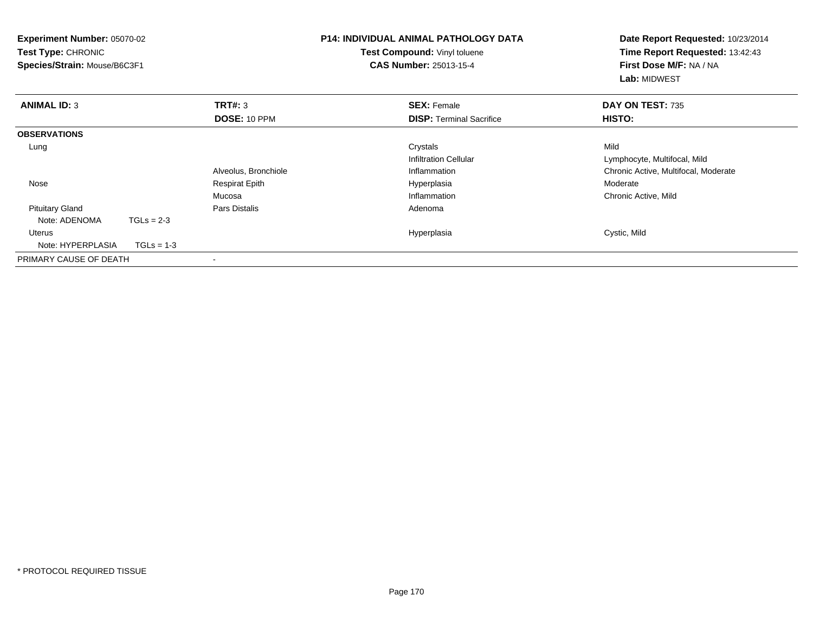| <b>Experiment Number: 05070-02</b><br><b>Test Type: CHRONIC</b><br>Species/Strain: Mouse/B6C3F1 |              |                       | <b>P14: INDIVIDUAL ANIMAL PATHOLOGY DATA</b><br>Test Compound: Vinyl toluene<br><b>CAS Number: 25013-15-4</b> | Date Report Requested: 10/23/2014<br>Time Report Requested: 13:42:43<br>First Dose M/F: NA / NA<br>Lab: MIDWEST |
|-------------------------------------------------------------------------------------------------|--------------|-----------------------|---------------------------------------------------------------------------------------------------------------|-----------------------------------------------------------------------------------------------------------------|
| <b>ANIMAL ID: 3</b>                                                                             |              | TRT#: 3               | <b>SEX: Female</b>                                                                                            | DAY ON TEST: 735                                                                                                |
|                                                                                                 |              | DOSE: 10 PPM          | <b>DISP:</b> Terminal Sacrifice                                                                               | HISTO:                                                                                                          |
| <b>OBSERVATIONS</b>                                                                             |              |                       |                                                                                                               |                                                                                                                 |
| Lung                                                                                            |              |                       | Crystals                                                                                                      | Mild                                                                                                            |
|                                                                                                 |              |                       | <b>Infiltration Cellular</b>                                                                                  | Lymphocyte, Multifocal, Mild                                                                                    |
|                                                                                                 |              | Alveolus, Bronchiole  | Inflammation                                                                                                  | Chronic Active, Multifocal, Moderate                                                                            |
| Nose                                                                                            |              | <b>Respirat Epith</b> | Hyperplasia                                                                                                   | Moderate                                                                                                        |
|                                                                                                 |              | Mucosa                | Inflammation                                                                                                  | Chronic Active, Mild                                                                                            |
| <b>Pituitary Gland</b>                                                                          |              | Pars Distalis         | Adenoma                                                                                                       |                                                                                                                 |
| Note: ADENOMA                                                                                   | $TGLs = 2-3$ |                       |                                                                                                               |                                                                                                                 |
| Uterus                                                                                          |              |                       | Hyperplasia                                                                                                   | Cystic, Mild                                                                                                    |
| Note: HYPERPLASIA                                                                               | $TGLs = 1-3$ |                       |                                                                                                               |                                                                                                                 |
| PRIMARY CAUSE OF DEATH                                                                          |              |                       |                                                                                                               |                                                                                                                 |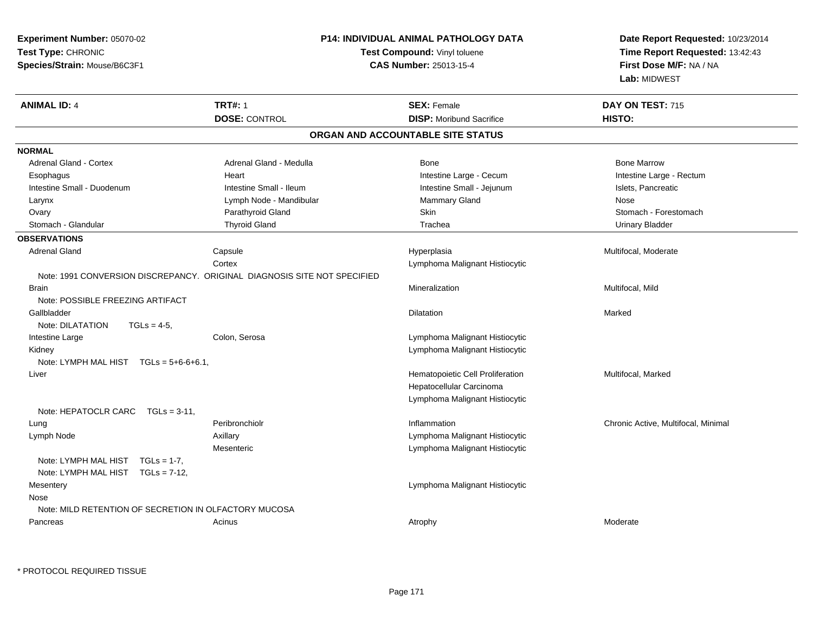| Experiment Number: 05070-02                           |                                                                          | <b>P14: INDIVIDUAL ANIMAL PATHOLOGY DATA</b> | Date Report Requested: 10/23/2014   |  |
|-------------------------------------------------------|--------------------------------------------------------------------------|----------------------------------------------|-------------------------------------|--|
| Test Type: CHRONIC                                    |                                                                          | Test Compound: Vinyl toluene                 | Time Report Requested: 13:42:43     |  |
| Species/Strain: Mouse/B6C3F1                          | <b>CAS Number: 25013-15-4</b>                                            |                                              | First Dose M/F: NA / NA             |  |
|                                                       |                                                                          |                                              | Lab: MIDWEST                        |  |
| <b>ANIMAL ID: 4</b>                                   | <b>TRT#: 1</b>                                                           | <b>SEX: Female</b>                           | DAY ON TEST: 715                    |  |
|                                                       | <b>DOSE: CONTROL</b>                                                     | <b>DISP:</b> Moribund Sacrifice              | HISTO:                              |  |
|                                                       |                                                                          | ORGAN AND ACCOUNTABLE SITE STATUS            |                                     |  |
| <b>NORMAL</b>                                         |                                                                          |                                              |                                     |  |
| Adrenal Gland - Cortex                                | Adrenal Gland - Medulla                                                  | Bone                                         | <b>Bone Marrow</b>                  |  |
| Esophagus                                             | Heart                                                                    | Intestine Large - Cecum                      | Intestine Large - Rectum            |  |
| Intestine Small - Duodenum                            | Intestine Small - Ileum                                                  | Intestine Small - Jejunum                    | Islets, Pancreatic                  |  |
| Larynx                                                | Lymph Node - Mandibular                                                  | Mammary Gland                                | Nose                                |  |
| Ovary                                                 | Parathyroid Gland                                                        | <b>Skin</b>                                  | Stomach - Forestomach               |  |
| Stomach - Glandular                                   | <b>Thyroid Gland</b>                                                     | Trachea                                      | <b>Urinary Bladder</b>              |  |
| <b>OBSERVATIONS</b>                                   |                                                                          |                                              |                                     |  |
| <b>Adrenal Gland</b>                                  | Capsule                                                                  | Hyperplasia                                  | Multifocal, Moderate                |  |
|                                                       | Cortex                                                                   | Lymphoma Malignant Histiocytic               |                                     |  |
|                                                       | Note: 1991 CONVERSION DISCREPANCY. ORIGINAL DIAGNOSIS SITE NOT SPECIFIED |                                              |                                     |  |
| <b>Brain</b>                                          |                                                                          | Mineralization                               | Multifocal, Mild                    |  |
| Note: POSSIBLE FREEZING ARTIFACT                      |                                                                          |                                              |                                     |  |
| Gallbladder                                           |                                                                          | Dilatation                                   | Marked                              |  |
| Note: DILATATION<br>$TGLs = 4-5$ ,                    |                                                                          |                                              |                                     |  |
| Intestine Large                                       | Colon, Serosa                                                            | Lymphoma Malignant Histiocytic               |                                     |  |
| Kidney                                                |                                                                          | Lymphoma Malignant Histiocytic               |                                     |  |
| Note: LYMPH MAL HIST $TGLs = 5+6-6+6.1$ ,             |                                                                          |                                              |                                     |  |
| Liver                                                 |                                                                          | Hematopoietic Cell Proliferation             | Multifocal, Marked                  |  |
|                                                       |                                                                          | Hepatocellular Carcinoma                     |                                     |  |
|                                                       |                                                                          | Lymphoma Malignant Histiocytic               |                                     |  |
| Note: HEPATOCLR CARC<br>$TGLs = 3-11$ ,               |                                                                          |                                              |                                     |  |
| Lung                                                  | Peribronchiolr                                                           | Inflammation                                 | Chronic Active, Multifocal, Minimal |  |
| Lymph Node                                            | Axillary                                                                 | Lymphoma Malignant Histiocytic               |                                     |  |
|                                                       | Mesenteric                                                               | Lymphoma Malignant Histiocytic               |                                     |  |
| Note: LYMPH MAL HIST<br>$TGLs = 1-7$ ,                |                                                                          |                                              |                                     |  |
| Note: LYMPH MAL HIST TGLs = 7-12,                     |                                                                          |                                              |                                     |  |
| Mesentery                                             |                                                                          | Lymphoma Malignant Histiocytic               |                                     |  |
| Nose                                                  |                                                                          |                                              |                                     |  |
| Note: MILD RETENTION OF SECRETION IN OLFACTORY MUCOSA |                                                                          |                                              |                                     |  |
| Pancreas                                              | Acinus                                                                   | Atrophy                                      | Moderate                            |  |
|                                                       |                                                                          |                                              |                                     |  |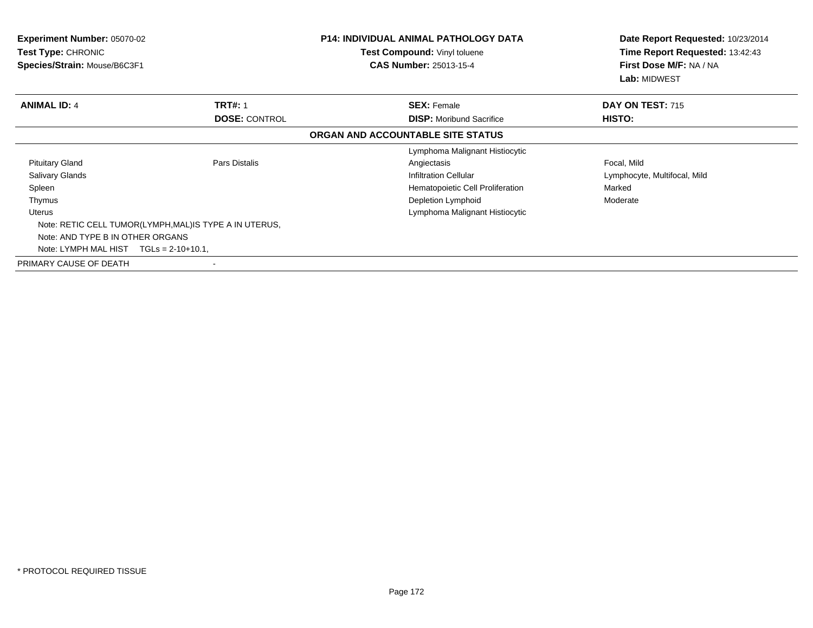| <b>Experiment Number: 05070-02</b><br><b>Test Type: CHRONIC</b><br>Species/Strain: Mouse/B6C3F1 |                                                         | <b>P14: INDIVIDUAL ANIMAL PATHOLOGY DATA</b><br><b>Test Compound: Vinyl toluene</b><br><b>CAS Number: 25013-15-4</b> | Date Report Requested: 10/23/2014<br>Time Report Requested: 13:42:43<br>First Dose M/F: NA / NA<br>Lab: MIDWEST |
|-------------------------------------------------------------------------------------------------|---------------------------------------------------------|----------------------------------------------------------------------------------------------------------------------|-----------------------------------------------------------------------------------------------------------------|
| <b>ANIMAL ID: 4</b>                                                                             | <b>TRT#: 1</b>                                          | <b>SEX: Female</b>                                                                                                   | <b>DAY ON TEST: 715</b>                                                                                         |
|                                                                                                 | <b>DOSE: CONTROL</b>                                    | <b>DISP:</b> Moribund Sacrifice                                                                                      | HISTO:                                                                                                          |
|                                                                                                 |                                                         | ORGAN AND ACCOUNTABLE SITE STATUS                                                                                    |                                                                                                                 |
|                                                                                                 |                                                         | Lymphoma Malignant Histiocytic                                                                                       |                                                                                                                 |
| <b>Pituitary Gland</b>                                                                          | Pars Distalis                                           | Angiectasis                                                                                                          | Focal, Mild                                                                                                     |
| <b>Salivary Glands</b>                                                                          |                                                         | <b>Infiltration Cellular</b>                                                                                         | Lymphocyte, Multifocal, Mild                                                                                    |
| Spleen                                                                                          |                                                         | Hematopoietic Cell Proliferation                                                                                     | Marked                                                                                                          |
| Thymus                                                                                          |                                                         | Depletion Lymphoid                                                                                                   | Moderate                                                                                                        |
| Uterus                                                                                          |                                                         | Lymphoma Malignant Histiocytic                                                                                       |                                                                                                                 |
|                                                                                                 | Note: RETIC CELL TUMOR(LYMPH, MAL) IS TYPE A IN UTERUS, |                                                                                                                      |                                                                                                                 |
| Note: AND TYPE B IN OTHER ORGANS                                                                |                                                         |                                                                                                                      |                                                                                                                 |
| Note: LYMPH MAL HIST $TGLs = 2-10+10.1$ ,                                                       |                                                         |                                                                                                                      |                                                                                                                 |
| PRIMARY CAUSE OF DEATH                                                                          |                                                         |                                                                                                                      |                                                                                                                 |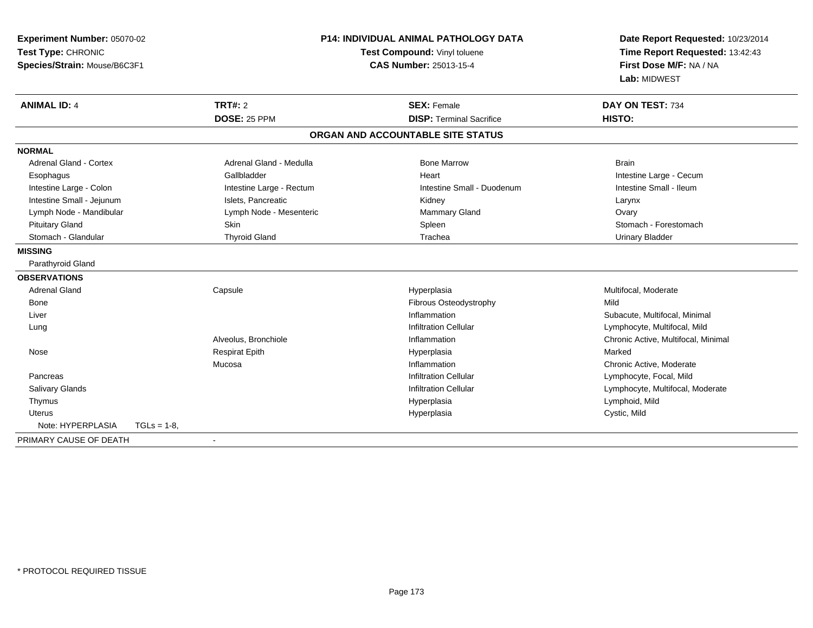| Experiment Number: 05070-02<br>Test Type: CHRONIC<br>Species/Strain: Mouse/B6C3F1 |                          | <b>P14: INDIVIDUAL ANIMAL PATHOLOGY DATA</b><br>Test Compound: Vinyl toluene<br><b>CAS Number: 25013-15-4</b> | Date Report Requested: 10/23/2014<br>Time Report Requested: 13:42:43<br>First Dose M/F: NA / NA<br>Lab: MIDWEST |
|-----------------------------------------------------------------------------------|--------------------------|---------------------------------------------------------------------------------------------------------------|-----------------------------------------------------------------------------------------------------------------|
| <b>ANIMAL ID: 4</b>                                                               | TRT#: 2<br>DOSE: 25 PPM  | <b>SEX: Female</b><br><b>DISP: Terminal Sacrifice</b>                                                         | DAY ON TEST: 734<br>HISTO:                                                                                      |
|                                                                                   |                          | ORGAN AND ACCOUNTABLE SITE STATUS                                                                             |                                                                                                                 |
| <b>NORMAL</b>                                                                     |                          |                                                                                                               |                                                                                                                 |
| <b>Adrenal Gland - Cortex</b>                                                     | Adrenal Gland - Medulla  | <b>Bone Marrow</b>                                                                                            | <b>Brain</b>                                                                                                    |
| Esophagus                                                                         | Gallbladder              | Heart                                                                                                         | Intestine Large - Cecum                                                                                         |
| Intestine Large - Colon                                                           | Intestine Large - Rectum | Intestine Small - Duodenum                                                                                    | Intestine Small - Ileum                                                                                         |
| Intestine Small - Jejunum                                                         | Islets, Pancreatic       | Kidney                                                                                                        | Larynx                                                                                                          |
| Lymph Node - Mandibular                                                           | Lymph Node - Mesenteric  | <b>Mammary Gland</b>                                                                                          | Ovary                                                                                                           |
| <b>Pituitary Gland</b>                                                            | Skin                     | Spleen                                                                                                        | Stomach - Forestomach                                                                                           |
| Stomach - Glandular                                                               | <b>Thyroid Gland</b>     | Trachea                                                                                                       | <b>Urinary Bladder</b>                                                                                          |
| <b>MISSING</b>                                                                    |                          |                                                                                                               |                                                                                                                 |
| Parathyroid Gland                                                                 |                          |                                                                                                               |                                                                                                                 |
| <b>OBSERVATIONS</b>                                                               |                          |                                                                                                               |                                                                                                                 |
| <b>Adrenal Gland</b>                                                              | Capsule                  | Hyperplasia                                                                                                   | Multifocal, Moderate                                                                                            |
| Bone                                                                              |                          | Fibrous Osteodystrophy                                                                                        | Mild                                                                                                            |
| Liver                                                                             |                          | Inflammation                                                                                                  | Subacute, Multifocal, Minimal                                                                                   |
| Lung                                                                              |                          | <b>Infiltration Cellular</b>                                                                                  | Lymphocyte, Multifocal, Mild                                                                                    |
|                                                                                   | Alveolus, Bronchiole     | Inflammation                                                                                                  | Chronic Active, Multifocal, Minimal                                                                             |
| Nose                                                                              | <b>Respirat Epith</b>    | Hyperplasia                                                                                                   | Marked                                                                                                          |
|                                                                                   | Mucosa                   | Inflammation                                                                                                  | Chronic Active, Moderate                                                                                        |
| Pancreas                                                                          |                          | <b>Infiltration Cellular</b>                                                                                  | Lymphocyte, Focal, Mild                                                                                         |
| <b>Salivary Glands</b>                                                            |                          | <b>Infiltration Cellular</b>                                                                                  | Lymphocyte, Multifocal, Moderate                                                                                |
| Thymus                                                                            |                          | Hyperplasia                                                                                                   | Lymphoid, Mild                                                                                                  |
| <b>Uterus</b>                                                                     |                          | Hyperplasia                                                                                                   | Cystic, Mild                                                                                                    |
| Note: HYPERPLASIA<br>$TGLs = 1-8$ .                                               |                          |                                                                                                               |                                                                                                                 |
| PRIMARY CAUSE OF DEATH                                                            |                          |                                                                                                               |                                                                                                                 |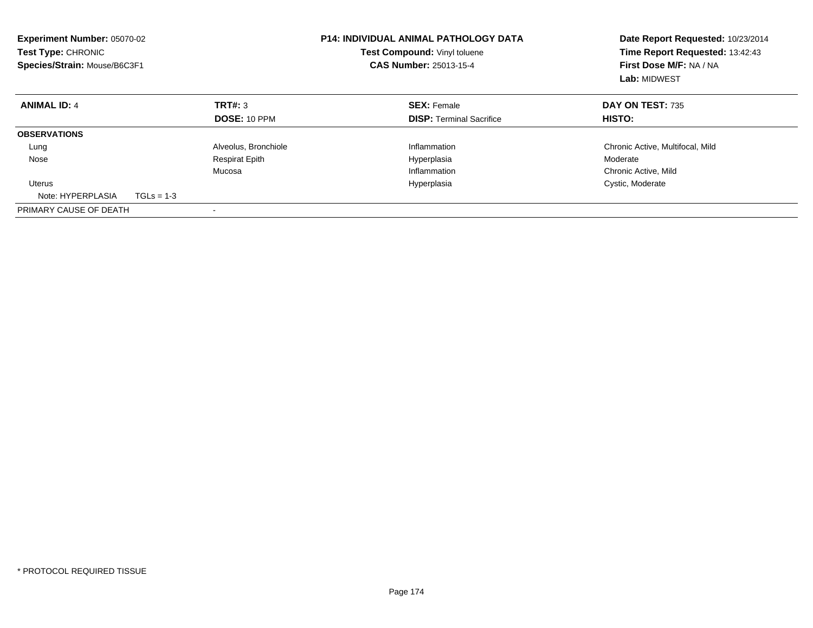| <b>Experiment Number: 05070-02</b><br>Test Type: CHRONIC<br>Species/Strain: Mouse/B6C3F1 |              |                       | <b>P14: INDIVIDUAL ANIMAL PATHOLOGY DATA</b><br>Test Compound: Vinyl toluene<br><b>CAS Number: 25013-15-4</b> | Date Report Requested: 10/23/2014<br>Time Report Requested: 13:42:43<br>First Dose M/F: NA / NA<br>Lab: MIDWEST |
|------------------------------------------------------------------------------------------|--------------|-----------------------|---------------------------------------------------------------------------------------------------------------|-----------------------------------------------------------------------------------------------------------------|
| <b>ANIMAL ID: 4</b>                                                                      |              | TRT#: 3               | <b>SEX: Female</b>                                                                                            | DAY ON TEST: 735                                                                                                |
|                                                                                          |              | DOSE: 10 PPM          | <b>DISP:</b> Terminal Sacrifice                                                                               | <b>HISTO:</b>                                                                                                   |
| <b>OBSERVATIONS</b>                                                                      |              |                       |                                                                                                               |                                                                                                                 |
| Lung                                                                                     |              | Alveolus, Bronchiole  | Inflammation                                                                                                  | Chronic Active, Multifocal, Mild                                                                                |
| Nose                                                                                     |              | <b>Respirat Epith</b> | Hyperplasia                                                                                                   | Moderate                                                                                                        |
|                                                                                          |              | Mucosa                | Inflammation                                                                                                  | Chronic Active, Mild                                                                                            |
| Uterus                                                                                   |              |                       | Hyperplasia                                                                                                   | Cystic, Moderate                                                                                                |
| Note: HYPERPLASIA                                                                        | $TGLs = 1-3$ |                       |                                                                                                               |                                                                                                                 |
| PRIMARY CAUSE OF DEATH                                                                   |              |                       |                                                                                                               |                                                                                                                 |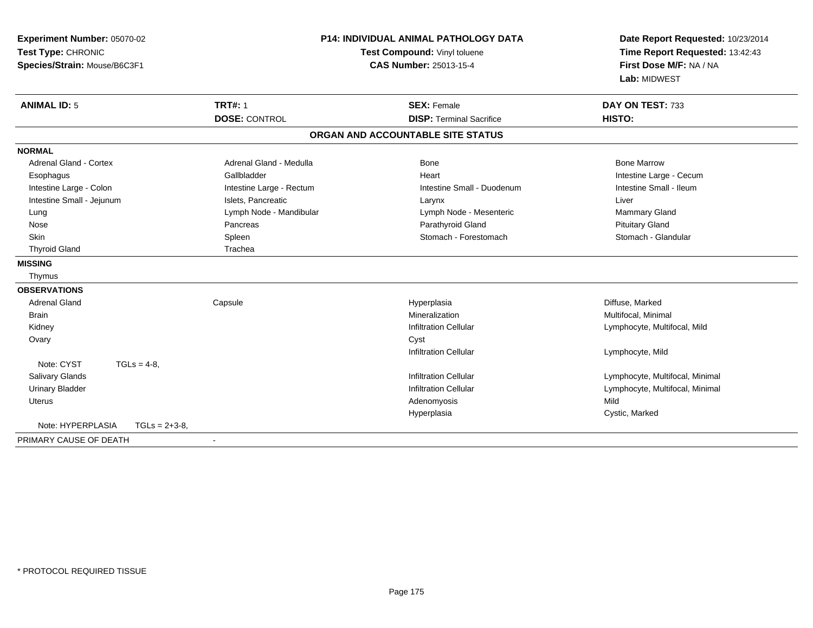| Experiment Number: 05070-02<br>Test Type: CHRONIC<br>Species/Strain: Mouse/B6C3F1 |                                        | <b>P14: INDIVIDUAL ANIMAL PATHOLOGY DATA</b><br>Test Compound: Vinyl toluene<br><b>CAS Number: 25013-15-4</b> | Date Report Requested: 10/23/2014<br>Time Report Requested: 13:42:43<br>First Dose M/F: NA / NA<br>Lab: MIDWEST |
|-----------------------------------------------------------------------------------|----------------------------------------|---------------------------------------------------------------------------------------------------------------|-----------------------------------------------------------------------------------------------------------------|
| <b>ANIMAL ID: 5</b>                                                               | <b>TRT#: 1</b><br><b>DOSE: CONTROL</b> | <b>SEX: Female</b><br><b>DISP: Terminal Sacrifice</b>                                                         | DAY ON TEST: 733<br>HISTO:                                                                                      |
|                                                                                   |                                        | ORGAN AND ACCOUNTABLE SITE STATUS                                                                             |                                                                                                                 |
| <b>NORMAL</b>                                                                     |                                        |                                                                                                               |                                                                                                                 |
| <b>Adrenal Gland - Cortex</b>                                                     | Adrenal Gland - Medulla                | <b>Bone</b>                                                                                                   | <b>Bone Marrow</b>                                                                                              |
| Esophagus                                                                         | Gallbladder                            | Heart                                                                                                         | Intestine Large - Cecum                                                                                         |
| Intestine Large - Colon                                                           | Intestine Large - Rectum               | Intestine Small - Duodenum                                                                                    | Intestine Small - Ileum                                                                                         |
| Intestine Small - Jejunum                                                         | Islets, Pancreatic                     | Larynx                                                                                                        | Liver                                                                                                           |
| Lung                                                                              | Lymph Node - Mandibular                | Lymph Node - Mesenteric                                                                                       | <b>Mammary Gland</b>                                                                                            |
| Nose                                                                              | Pancreas                               | Parathyroid Gland                                                                                             | <b>Pituitary Gland</b>                                                                                          |
| <b>Skin</b>                                                                       | Spleen                                 | Stomach - Forestomach                                                                                         | Stomach - Glandular                                                                                             |
| <b>Thyroid Gland</b>                                                              | Trachea                                |                                                                                                               |                                                                                                                 |
| <b>MISSING</b>                                                                    |                                        |                                                                                                               |                                                                                                                 |
| Thymus                                                                            |                                        |                                                                                                               |                                                                                                                 |
| <b>OBSERVATIONS</b>                                                               |                                        |                                                                                                               |                                                                                                                 |
| <b>Adrenal Gland</b>                                                              | Capsule                                | Hyperplasia                                                                                                   | Diffuse, Marked                                                                                                 |
| <b>Brain</b>                                                                      |                                        | Mineralization                                                                                                | Multifocal, Minimal                                                                                             |
| Kidney                                                                            |                                        | <b>Infiltration Cellular</b>                                                                                  | Lymphocyte, Multifocal, Mild                                                                                    |
| Ovary                                                                             |                                        | Cyst                                                                                                          |                                                                                                                 |
|                                                                                   |                                        | <b>Infiltration Cellular</b>                                                                                  | Lymphocyte, Mild                                                                                                |
| Note: CYST<br>$TGLs = 4-8$                                                        |                                        |                                                                                                               |                                                                                                                 |
| Salivary Glands                                                                   |                                        | <b>Infiltration Cellular</b>                                                                                  | Lymphocyte, Multifocal, Minimal                                                                                 |
| <b>Urinary Bladder</b>                                                            |                                        | <b>Infiltration Cellular</b>                                                                                  | Lymphocyte, Multifocal, Minimal                                                                                 |
| Uterus                                                                            |                                        | Adenomyosis                                                                                                   | Mild                                                                                                            |
|                                                                                   |                                        | Hyperplasia                                                                                                   | Cystic, Marked                                                                                                  |
| Note: HYPERPLASIA<br>$TGLs = 2+3-8$                                               |                                        |                                                                                                               |                                                                                                                 |
| PRIMARY CAUSE OF DEATH                                                            |                                        |                                                                                                               |                                                                                                                 |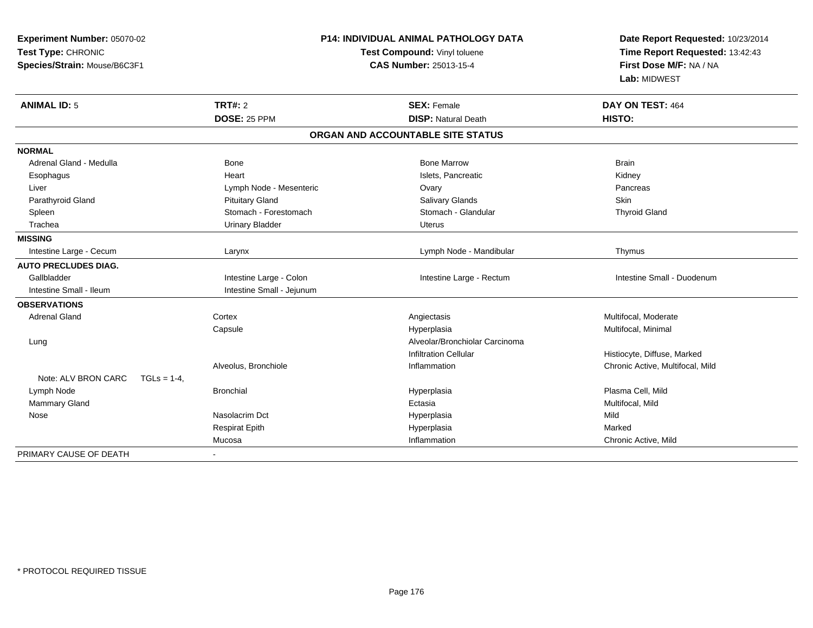| Experiment Number: 05070-02<br>Test Type: CHRONIC<br>Species/Strain: Mouse/B6C3F1 |                |                           | <b>P14: INDIVIDUAL ANIMAL PATHOLOGY DATA</b><br>Test Compound: Vinyl toluene<br><b>CAS Number: 25013-15-4</b> | Date Report Requested: 10/23/2014<br>Time Report Requested: 13:42:43<br>First Dose M/F: NA / NA<br>Lab: MIDWEST |
|-----------------------------------------------------------------------------------|----------------|---------------------------|---------------------------------------------------------------------------------------------------------------|-----------------------------------------------------------------------------------------------------------------|
| <b>ANIMAL ID: 5</b>                                                               |                | <b>TRT#: 2</b>            | <b>SEX: Female</b>                                                                                            | DAY ON TEST: 464                                                                                                |
|                                                                                   |                | DOSE: 25 PPM              | <b>DISP: Natural Death</b>                                                                                    | HISTO:                                                                                                          |
|                                                                                   |                |                           | ORGAN AND ACCOUNTABLE SITE STATUS                                                                             |                                                                                                                 |
| <b>NORMAL</b>                                                                     |                |                           |                                                                                                               |                                                                                                                 |
| Adrenal Gland - Medulla                                                           |                | Bone                      | <b>Bone Marrow</b>                                                                                            | <b>Brain</b>                                                                                                    |
| Esophagus                                                                         |                | Heart                     | Islets, Pancreatic                                                                                            | Kidney                                                                                                          |
| Liver                                                                             |                | Lymph Node - Mesenteric   | Ovary                                                                                                         | Pancreas                                                                                                        |
| Parathyroid Gland                                                                 |                | <b>Pituitary Gland</b>    | <b>Salivary Glands</b>                                                                                        | Skin                                                                                                            |
| Spleen                                                                            |                | Stomach - Forestomach     | Stomach - Glandular                                                                                           | <b>Thyroid Gland</b>                                                                                            |
| Trachea                                                                           |                | <b>Urinary Bladder</b>    | <b>Uterus</b>                                                                                                 |                                                                                                                 |
| <b>MISSING</b>                                                                    |                |                           |                                                                                                               |                                                                                                                 |
| Intestine Large - Cecum                                                           |                | Larynx                    | Lymph Node - Mandibular                                                                                       | Thymus                                                                                                          |
| <b>AUTO PRECLUDES DIAG.</b>                                                       |                |                           |                                                                                                               |                                                                                                                 |
| Gallbladder                                                                       |                | Intestine Large - Colon   | Intestine Large - Rectum                                                                                      | Intestine Small - Duodenum                                                                                      |
| Intestine Small - Ileum                                                           |                | Intestine Small - Jejunum |                                                                                                               |                                                                                                                 |
| <b>OBSERVATIONS</b>                                                               |                |                           |                                                                                                               |                                                                                                                 |
| <b>Adrenal Gland</b>                                                              |                | Cortex                    | Angiectasis                                                                                                   | Multifocal, Moderate                                                                                            |
|                                                                                   |                | Capsule                   | Hyperplasia                                                                                                   | Multifocal, Minimal                                                                                             |
| Lung                                                                              |                |                           | Alveolar/Bronchiolar Carcinoma                                                                                |                                                                                                                 |
|                                                                                   |                |                           | <b>Infiltration Cellular</b>                                                                                  | Histiocyte, Diffuse, Marked                                                                                     |
|                                                                                   |                | Alveolus, Bronchiole      | Inflammation                                                                                                  | Chronic Active, Multifocal, Mild                                                                                |
| Note: ALV BRON CARC                                                               | $TGLs = 1-4$ , |                           |                                                                                                               |                                                                                                                 |
| Lymph Node                                                                        |                | <b>Bronchial</b>          | Hyperplasia                                                                                                   | Plasma Cell, Mild                                                                                               |
| Mammary Gland                                                                     |                |                           | Ectasia                                                                                                       | Multifocal, Mild                                                                                                |
| Nose                                                                              |                | Nasolacrim Dct            | Hyperplasia                                                                                                   | Mild                                                                                                            |
|                                                                                   |                | <b>Respirat Epith</b>     | Hyperplasia                                                                                                   | Marked                                                                                                          |
|                                                                                   |                | Mucosa                    | Inflammation                                                                                                  | Chronic Active, Mild                                                                                            |
| PRIMARY CAUSE OF DEATH                                                            |                | $\blacksquare$            |                                                                                                               |                                                                                                                 |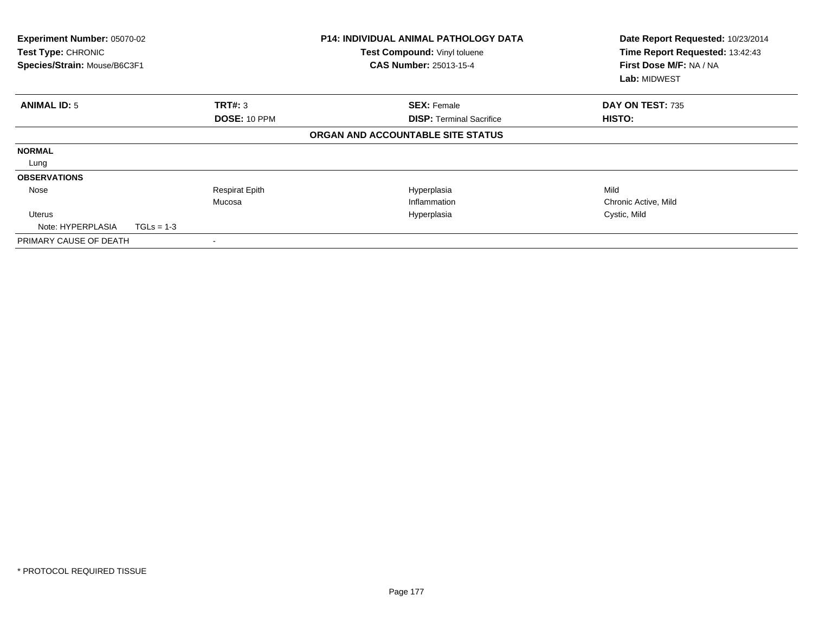| Experiment Number: 05070-02<br>Test Type: CHRONIC<br>Species/Strain: Mouse/B6C3F1 |              |                       | <b>P14: INDIVIDUAL ANIMAL PATHOLOGY DATA</b><br>Test Compound: Vinyl toluene<br><b>CAS Number: 25013-15-4</b> | Date Report Requested: 10/23/2014<br>Time Report Requested: 13:42:43<br>First Dose M/F: NA / NA<br>Lab: MIDWEST |
|-----------------------------------------------------------------------------------|--------------|-----------------------|---------------------------------------------------------------------------------------------------------------|-----------------------------------------------------------------------------------------------------------------|
| <b>ANIMAL ID: 5</b>                                                               |              | TRT#: 3               | <b>SEX: Female</b>                                                                                            | DAY ON TEST: 735                                                                                                |
|                                                                                   |              | DOSE: 10 PPM          | <b>DISP: Terminal Sacrifice</b>                                                                               | HISTO:                                                                                                          |
|                                                                                   |              |                       | ORGAN AND ACCOUNTABLE SITE STATUS                                                                             |                                                                                                                 |
| <b>NORMAL</b>                                                                     |              |                       |                                                                                                               |                                                                                                                 |
| Lung                                                                              |              |                       |                                                                                                               |                                                                                                                 |
| <b>OBSERVATIONS</b>                                                               |              |                       |                                                                                                               |                                                                                                                 |
| Nose                                                                              |              | <b>Respirat Epith</b> | Hyperplasia                                                                                                   | Mild                                                                                                            |
|                                                                                   |              | Mucosa                | Inflammation                                                                                                  | Chronic Active, Mild                                                                                            |
| Uterus                                                                            |              |                       | Hyperplasia                                                                                                   | Cystic, Mild                                                                                                    |
| Note: HYPERPLASIA                                                                 | $TGLs = 1-3$ |                       |                                                                                                               |                                                                                                                 |
| PRIMARY CAUSE OF DEATH                                                            |              |                       |                                                                                                               |                                                                                                                 |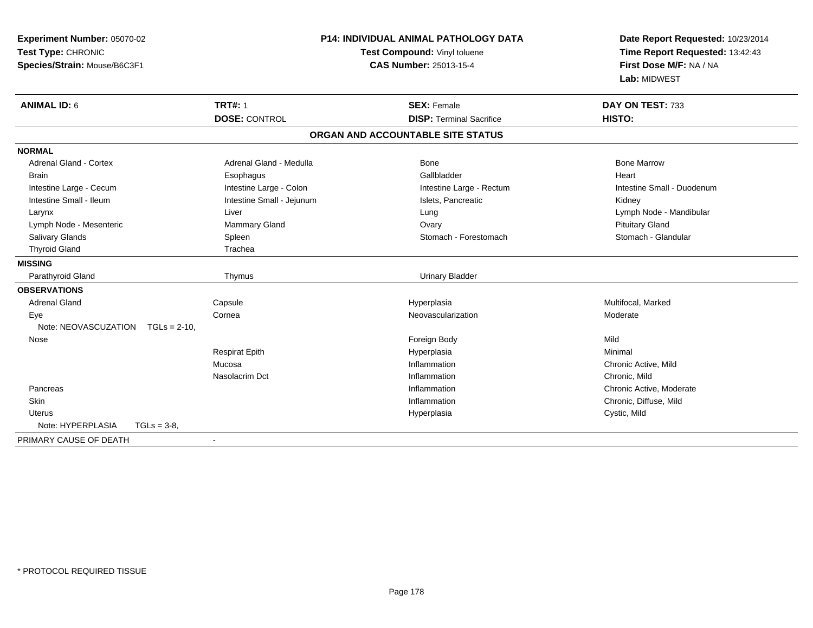| Experiment Number: 05070-02             |                           | <b>P14: INDIVIDUAL ANIMAL PATHOLOGY DATA</b> | Date Report Requested: 10/23/2014 |  |
|-----------------------------------------|---------------------------|----------------------------------------------|-----------------------------------|--|
| Test Type: CHRONIC                      |                           | Test Compound: Vinyl toluene                 | Time Report Requested: 13:42:43   |  |
| Species/Strain: Mouse/B6C3F1            |                           | <b>CAS Number: 25013-15-4</b>                | First Dose M/F: NA / NA           |  |
|                                         |                           |                                              | Lab: MIDWEST                      |  |
| <b>ANIMAL ID: 6</b>                     | <b>TRT#: 1</b>            | <b>SEX: Female</b>                           | DAY ON TEST: 733                  |  |
|                                         | <b>DOSE: CONTROL</b>      | <b>DISP: Terminal Sacrifice</b>              | HISTO:                            |  |
|                                         |                           | ORGAN AND ACCOUNTABLE SITE STATUS            |                                   |  |
| <b>NORMAL</b>                           |                           |                                              |                                   |  |
| Adrenal Gland - Cortex                  | Adrenal Gland - Medulla   | Bone                                         | <b>Bone Marrow</b>                |  |
| <b>Brain</b>                            | Esophagus                 | Gallbladder                                  | Heart                             |  |
| Intestine Large - Cecum                 | Intestine Large - Colon   | Intestine Large - Rectum                     | Intestine Small - Duodenum        |  |
| Intestine Small - Ileum                 | Intestine Small - Jejunum | Islets, Pancreatic                           | Kidney                            |  |
| Larynx                                  | Liver                     | Lung                                         | Lymph Node - Mandibular           |  |
| Lymph Node - Mesenteric                 | Mammary Gland             | Ovary                                        | <b>Pituitary Gland</b>            |  |
| Salivary Glands                         | Spleen                    | Stomach - Forestomach                        | Stomach - Glandular               |  |
| <b>Thyroid Gland</b>                    | Trachea                   |                                              |                                   |  |
| <b>MISSING</b>                          |                           |                                              |                                   |  |
| Parathyroid Gland                       | Thymus                    | <b>Urinary Bladder</b>                       |                                   |  |
| <b>OBSERVATIONS</b>                     |                           |                                              |                                   |  |
| <b>Adrenal Gland</b>                    | Capsule                   | Hyperplasia                                  | Multifocal, Marked                |  |
| Eye                                     | Cornea                    | Neovascularization                           | Moderate                          |  |
| Note: NEOVASCUZATION<br>$TGLs = 2-10$ , |                           |                                              |                                   |  |
| Nose                                    |                           | Foreign Body                                 | Mild                              |  |
|                                         | Respirat Epith            | Hyperplasia                                  | Minimal                           |  |
|                                         | Mucosa                    | Inflammation                                 | Chronic Active, Mild              |  |
|                                         | Nasolacrim Dct            | Inflammation                                 | Chronic, Mild                     |  |
| Pancreas                                |                           | Inflammation                                 | Chronic Active, Moderate          |  |
| Skin                                    |                           | Inflammation                                 | Chronic, Diffuse, Mild            |  |
| <b>Uterus</b>                           |                           | Hyperplasia                                  | Cystic, Mild                      |  |
| Note: HYPERPLASIA<br>$TGLs = 3-8$ ,     |                           |                                              |                                   |  |
| PRIMARY CAUSE OF DEATH                  | $\blacksquare$            |                                              |                                   |  |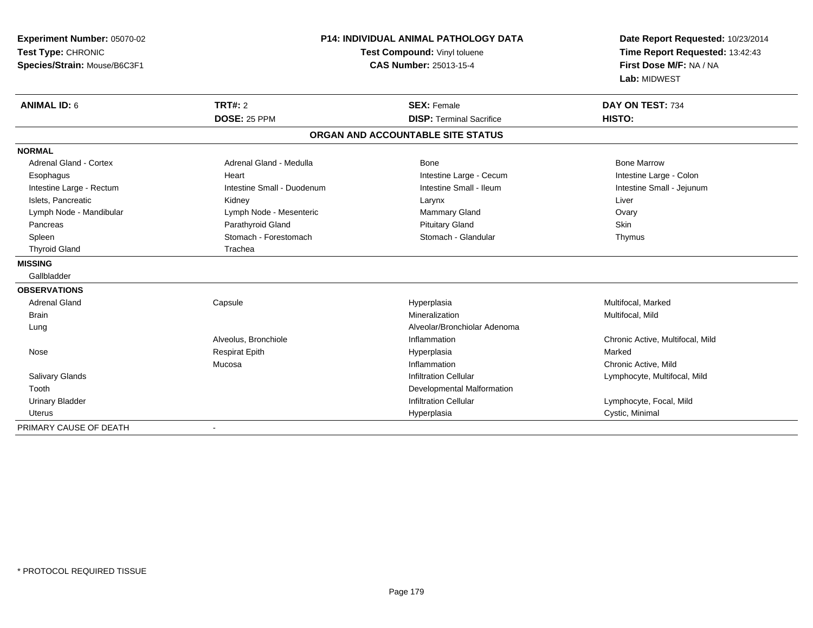| Experiment Number: 05070-02   |                            | <b>P14: INDIVIDUAL ANIMAL PATHOLOGY DATA</b> | Date Report Requested: 10/23/2014<br>Time Report Requested: 13:42:43 |
|-------------------------------|----------------------------|----------------------------------------------|----------------------------------------------------------------------|
| Test Type: CHRONIC            |                            | Test Compound: Vinyl toluene                 |                                                                      |
| Species/Strain: Mouse/B6C3F1  |                            | <b>CAS Number: 25013-15-4</b>                | First Dose M/F: NA / NA<br>Lab: MIDWEST                              |
| <b>ANIMAL ID: 6</b>           | <b>TRT#: 2</b>             | <b>SEX: Female</b>                           | DAY ON TEST: 734                                                     |
|                               | DOSE: 25 PPM               | <b>DISP: Terminal Sacrifice</b>              | HISTO:                                                               |
|                               |                            | ORGAN AND ACCOUNTABLE SITE STATUS            |                                                                      |
| <b>NORMAL</b>                 |                            |                                              |                                                                      |
| <b>Adrenal Gland - Cortex</b> | Adrenal Gland - Medulla    | <b>Bone</b>                                  | <b>Bone Marrow</b>                                                   |
| Esophagus                     | Heart                      | Intestine Large - Cecum                      | Intestine Large - Colon                                              |
| Intestine Large - Rectum      | Intestine Small - Duodenum | Intestine Small - Ileum                      | Intestine Small - Jejunum                                            |
| Islets, Pancreatic            | Kidney                     | Larynx                                       | Liver                                                                |
| Lymph Node - Mandibular       | Lymph Node - Mesenteric    | <b>Mammary Gland</b>                         | Ovary                                                                |
| Pancreas                      | Parathyroid Gland          | <b>Pituitary Gland</b>                       | <b>Skin</b>                                                          |
| Spleen                        | Stomach - Forestomach      | Stomach - Glandular                          | Thymus                                                               |
| <b>Thyroid Gland</b>          | Trachea                    |                                              |                                                                      |
| <b>MISSING</b>                |                            |                                              |                                                                      |
| Gallbladder                   |                            |                                              |                                                                      |
| <b>OBSERVATIONS</b>           |                            |                                              |                                                                      |
| <b>Adrenal Gland</b>          | Capsule                    | Hyperplasia                                  | Multifocal, Marked                                                   |
| <b>Brain</b>                  |                            | Mineralization                               | Multifocal, Mild                                                     |
| Lung                          |                            | Alveolar/Bronchiolar Adenoma                 |                                                                      |
|                               | Alveolus, Bronchiole       | Inflammation                                 | Chronic Active, Multifocal, Mild                                     |
| Nose                          | <b>Respirat Epith</b>      | Hyperplasia                                  | Marked                                                               |
|                               | Mucosa                     | Inflammation                                 | Chronic Active, Mild                                                 |
| Salivary Glands               |                            | <b>Infiltration Cellular</b>                 | Lymphocyte, Multifocal, Mild                                         |
| Tooth                         |                            | Developmental Malformation                   |                                                                      |
| <b>Urinary Bladder</b>        |                            | <b>Infiltration Cellular</b>                 | Lymphocyte, Focal, Mild                                              |
| <b>Uterus</b>                 |                            | Hyperplasia                                  | Cystic, Minimal                                                      |
| PRIMARY CAUSE OF DEATH        |                            |                                              |                                                                      |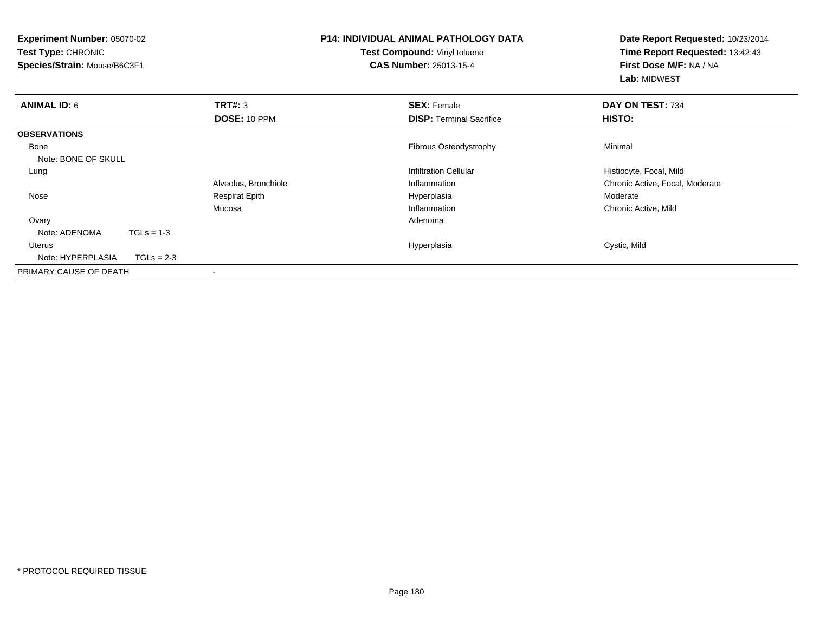| Experiment Number: 05070-02<br>Test Type: CHRONIC<br>Species/Strain: Mouse/B6C3F1 |                         | <b>P14: INDIVIDUAL ANIMAL PATHOLOGY DATA</b><br>Test Compound: Vinyl toluene<br><b>CAS Number: 25013-15-4</b> | Date Report Requested: 10/23/2014<br>Time Report Requested: 13:42:43<br>First Dose M/F: NA / NA |  |
|-----------------------------------------------------------------------------------|-------------------------|---------------------------------------------------------------------------------------------------------------|-------------------------------------------------------------------------------------------------|--|
|                                                                                   |                         |                                                                                                               | Lab: MIDWEST                                                                                    |  |
| <b>ANIMAL ID: 6</b>                                                               | TRT#: 3<br>DOSE: 10 PPM | <b>SEX: Female</b><br><b>DISP:</b> Terminal Sacrifice                                                         | DAY ON TEST: 734<br>HISTO:                                                                      |  |
| <b>OBSERVATIONS</b>                                                               |                         |                                                                                                               |                                                                                                 |  |
| Bone<br>Note: BONE OF SKULL                                                       |                         | Fibrous Osteodystrophy                                                                                        | Minimal                                                                                         |  |
| Lung                                                                              |                         | <b>Infiltration Cellular</b>                                                                                  | Histiocyte, Focal, Mild                                                                         |  |
|                                                                                   | Alveolus, Bronchiole    | Inflammation                                                                                                  | Chronic Active, Focal, Moderate                                                                 |  |
| Nose                                                                              | <b>Respirat Epith</b>   | Hyperplasia                                                                                                   | Moderate                                                                                        |  |
|                                                                                   | Mucosa                  | Inflammation                                                                                                  | Chronic Active, Mild                                                                            |  |
| Ovary                                                                             |                         | Adenoma                                                                                                       |                                                                                                 |  |
| Note: ADENOMA<br>$TGLs = 1-3$                                                     |                         |                                                                                                               |                                                                                                 |  |
| Uterus                                                                            |                         | Hyperplasia                                                                                                   | Cystic, Mild                                                                                    |  |
| Note: HYPERPLASIA<br>$TGLs = 2-3$                                                 |                         |                                                                                                               |                                                                                                 |  |
| PRIMARY CAUSE OF DEATH                                                            |                         |                                                                                                               |                                                                                                 |  |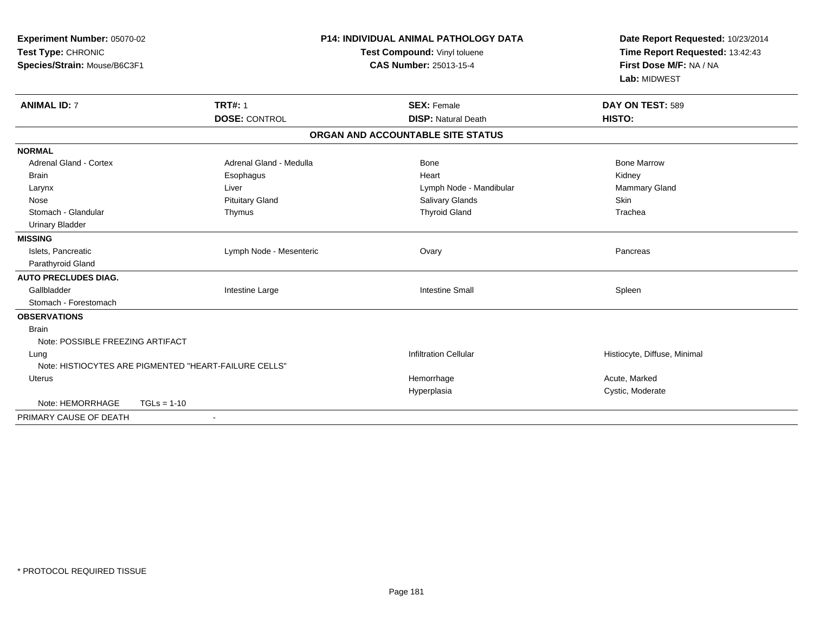| Experiment Number: 05070-02<br>Test Type: CHRONIC<br>Species/Strain: Mouse/B6C3F1<br><b>ANIMAL ID: 7</b> | <b>TRT#: 1</b>                                        | <b>P14: INDIVIDUAL ANIMAL PATHOLOGY DATA</b><br>Test Compound: Vinyl toluene<br><b>CAS Number: 25013-15-4</b><br><b>SEX: Female</b> | Date Report Requested: 10/23/2014<br>Time Report Requested: 13:42:43<br>First Dose M/F: NA / NA<br>Lab: MIDWEST<br>DAY ON TEST: 589 |
|----------------------------------------------------------------------------------------------------------|-------------------------------------------------------|-------------------------------------------------------------------------------------------------------------------------------------|-------------------------------------------------------------------------------------------------------------------------------------|
|                                                                                                          | <b>DOSE: CONTROL</b>                                  | <b>DISP: Natural Death</b>                                                                                                          | HISTO:                                                                                                                              |
|                                                                                                          |                                                       | ORGAN AND ACCOUNTABLE SITE STATUS                                                                                                   |                                                                                                                                     |
| <b>NORMAL</b>                                                                                            |                                                       |                                                                                                                                     |                                                                                                                                     |
| Adrenal Gland - Cortex                                                                                   | Adrenal Gland - Medulla                               | <b>Bone</b>                                                                                                                         | <b>Bone Marrow</b>                                                                                                                  |
| <b>Brain</b>                                                                                             | Esophagus                                             | Heart                                                                                                                               | Kidney                                                                                                                              |
| Larynx                                                                                                   | Liver                                                 | Lymph Node - Mandibular                                                                                                             | <b>Mammary Gland</b>                                                                                                                |
| Nose                                                                                                     | <b>Pituitary Gland</b>                                | <b>Salivary Glands</b>                                                                                                              | Skin                                                                                                                                |
| Stomach - Glandular                                                                                      | Thymus                                                | <b>Thyroid Gland</b>                                                                                                                | Trachea                                                                                                                             |
| <b>Urinary Bladder</b>                                                                                   |                                                       |                                                                                                                                     |                                                                                                                                     |
| <b>MISSING</b>                                                                                           |                                                       |                                                                                                                                     |                                                                                                                                     |
| Islets, Pancreatic                                                                                       | Lymph Node - Mesenteric                               | Ovary                                                                                                                               | Pancreas                                                                                                                            |
| Parathyroid Gland                                                                                        |                                                       |                                                                                                                                     |                                                                                                                                     |
| <b>AUTO PRECLUDES DIAG.</b>                                                                              |                                                       |                                                                                                                                     |                                                                                                                                     |
| Gallbladder                                                                                              | Intestine Large                                       | <b>Intestine Small</b>                                                                                                              | Spleen                                                                                                                              |
| Stomach - Forestomach                                                                                    |                                                       |                                                                                                                                     |                                                                                                                                     |
| <b>OBSERVATIONS</b>                                                                                      |                                                       |                                                                                                                                     |                                                                                                                                     |
| <b>Brain</b>                                                                                             |                                                       |                                                                                                                                     |                                                                                                                                     |
| Note: POSSIBLE FREEZING ARTIFACT                                                                         |                                                       |                                                                                                                                     |                                                                                                                                     |
| Lung                                                                                                     |                                                       | <b>Infiltration Cellular</b>                                                                                                        | Histiocyte, Diffuse, Minimal                                                                                                        |
|                                                                                                          | Note: HISTIOCYTES ARE PIGMENTED "HEART-FAILURE CELLS" |                                                                                                                                     |                                                                                                                                     |
| <b>Uterus</b>                                                                                            |                                                       | Hemorrhage                                                                                                                          | Acute, Marked                                                                                                                       |
|                                                                                                          |                                                       | Hyperplasia                                                                                                                         | Cystic, Moderate                                                                                                                    |
| Note: HEMORRHAGE                                                                                         | $TGLs = 1-10$                                         |                                                                                                                                     |                                                                                                                                     |
| PRIMARY CAUSE OF DEATH                                                                                   |                                                       |                                                                                                                                     |                                                                                                                                     |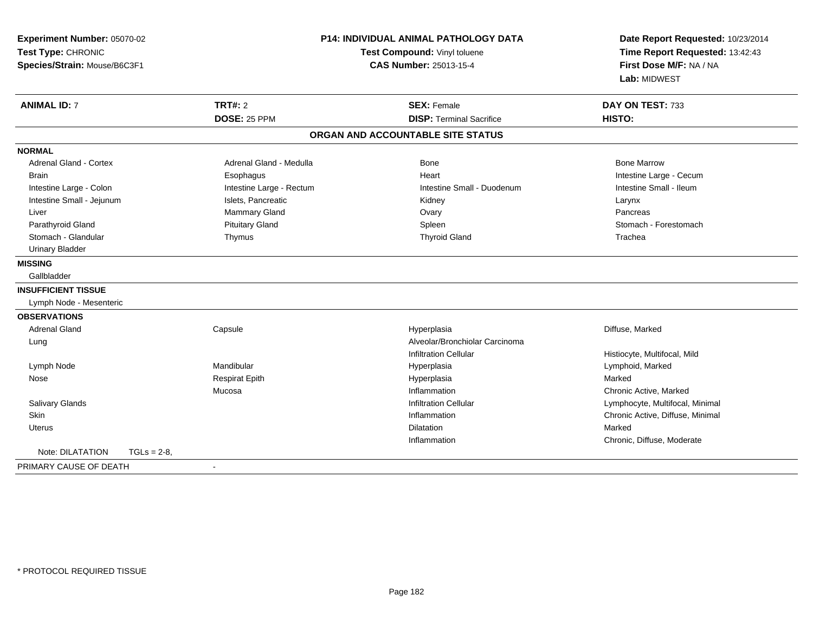| <b>P14: INDIVIDUAL ANIMAL PATHOLOGY DATA</b><br>Experiment Number: 05070-02<br>Test Type: CHRONIC<br>Test Compound: Vinyl toluene<br>Species/Strain: Mouse/B6C3F1<br><b>CAS Number: 25013-15-4</b> |                          |                                   | Date Report Requested: 10/23/2014<br>Time Report Requested: 13:42:43<br>First Dose M/F: NA / NA<br>Lab: MIDWEST |  |
|----------------------------------------------------------------------------------------------------------------------------------------------------------------------------------------------------|--------------------------|-----------------------------------|-----------------------------------------------------------------------------------------------------------------|--|
| <b>ANIMAL ID: 7</b>                                                                                                                                                                                | TRT#: 2                  | <b>SEX: Female</b>                | DAY ON TEST: 733                                                                                                |  |
|                                                                                                                                                                                                    | DOSE: 25 PPM             | <b>DISP: Terminal Sacrifice</b>   | HISTO:                                                                                                          |  |
|                                                                                                                                                                                                    |                          | ORGAN AND ACCOUNTABLE SITE STATUS |                                                                                                                 |  |
| <b>NORMAL</b>                                                                                                                                                                                      |                          |                                   |                                                                                                                 |  |
| Adrenal Gland - Cortex                                                                                                                                                                             | Adrenal Gland - Medulla  | Bone                              | <b>Bone Marrow</b>                                                                                              |  |
| <b>Brain</b>                                                                                                                                                                                       | Esophagus                | Heart                             | Intestine Large - Cecum                                                                                         |  |
| Intestine Large - Colon                                                                                                                                                                            | Intestine Large - Rectum | Intestine Small - Duodenum        | Intestine Small - Ileum                                                                                         |  |
| Intestine Small - Jejunum                                                                                                                                                                          | Islets, Pancreatic       | Kidney                            | Larynx                                                                                                          |  |
| Liver                                                                                                                                                                                              | Mammary Gland            | Ovary                             | Pancreas                                                                                                        |  |
| Parathyroid Gland                                                                                                                                                                                  | <b>Pituitary Gland</b>   | Spleen                            | Stomach - Forestomach                                                                                           |  |
| Stomach - Glandular                                                                                                                                                                                | Thymus                   | <b>Thyroid Gland</b>              | Trachea                                                                                                         |  |
| <b>Urinary Bladder</b>                                                                                                                                                                             |                          |                                   |                                                                                                                 |  |
| <b>MISSING</b>                                                                                                                                                                                     |                          |                                   |                                                                                                                 |  |
| Gallbladder                                                                                                                                                                                        |                          |                                   |                                                                                                                 |  |
| <b>INSUFFICIENT TISSUE</b>                                                                                                                                                                         |                          |                                   |                                                                                                                 |  |
| Lymph Node - Mesenteric                                                                                                                                                                            |                          |                                   |                                                                                                                 |  |
| <b>OBSERVATIONS</b>                                                                                                                                                                                |                          |                                   |                                                                                                                 |  |
| <b>Adrenal Gland</b>                                                                                                                                                                               | Capsule                  | Hyperplasia                       | Diffuse, Marked                                                                                                 |  |
| Lung                                                                                                                                                                                               |                          | Alveolar/Bronchiolar Carcinoma    |                                                                                                                 |  |
|                                                                                                                                                                                                    |                          | <b>Infiltration Cellular</b>      | Histiocyte, Multifocal, Mild                                                                                    |  |
| Lymph Node                                                                                                                                                                                         | Mandibular               | Hyperplasia                       | Lymphoid, Marked                                                                                                |  |
| Nose                                                                                                                                                                                               | <b>Respirat Epith</b>    | Hyperplasia                       | Marked                                                                                                          |  |
|                                                                                                                                                                                                    | Mucosa                   | Inflammation                      | Chronic Active, Marked                                                                                          |  |
| Salivary Glands                                                                                                                                                                                    |                          | <b>Infiltration Cellular</b>      | Lymphocyte, Multifocal, Minimal                                                                                 |  |
| Skin                                                                                                                                                                                               |                          | Inflammation                      | Chronic Active, Diffuse, Minimal                                                                                |  |
| Uterus                                                                                                                                                                                             |                          | <b>Dilatation</b>                 | Marked                                                                                                          |  |
|                                                                                                                                                                                                    |                          | Inflammation                      | Chronic, Diffuse, Moderate                                                                                      |  |
| Note: DILATATION<br>$TGLs = 2-8$                                                                                                                                                                   |                          |                                   |                                                                                                                 |  |
| PRIMARY CAUSE OF DEATH                                                                                                                                                                             | $\blacksquare$           |                                   |                                                                                                                 |  |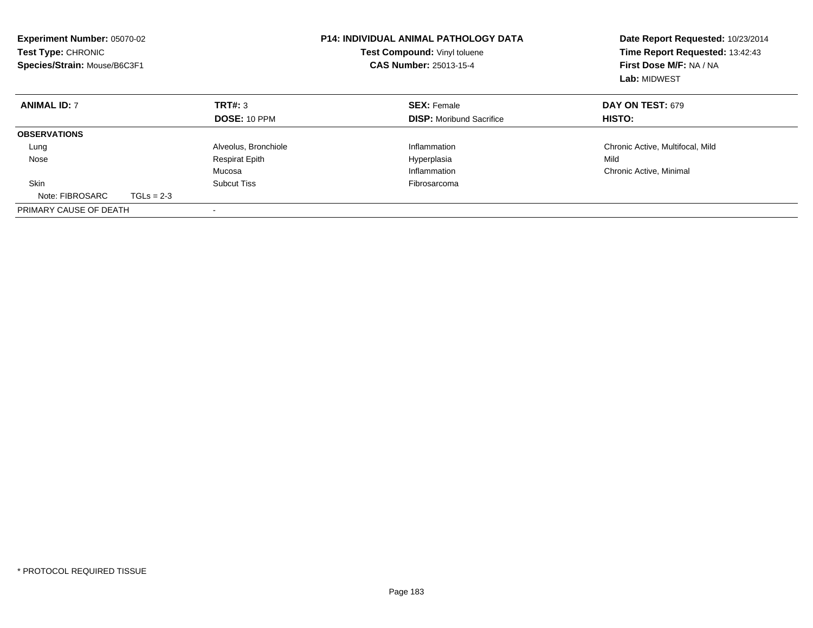| <b>Experiment Number: 05070-02</b><br>Test Type: CHRONIC<br>Species/Strain: Mouse/B6C3F1 |                         | <b>P14: INDIVIDUAL ANIMAL PATHOLOGY DATA</b><br>Test Compound: Vinyl toluene<br><b>CAS Number: 25013-15-4</b> | Date Report Requested: 10/23/2014<br>Time Report Requested: 13:42:43<br>First Dose M/F: NA / NA<br>Lab: MIDWEST |
|------------------------------------------------------------------------------------------|-------------------------|---------------------------------------------------------------------------------------------------------------|-----------------------------------------------------------------------------------------------------------------|
| <b>ANIMAL ID: 7</b>                                                                      | TRT#: 3<br>DOSE: 10 PPM | <b>SEX: Female</b><br><b>DISP:</b> Moribund Sacrifice                                                         | DAY ON TEST: 679<br>HISTO:                                                                                      |
| <b>OBSERVATIONS</b>                                                                      |                         |                                                                                                               |                                                                                                                 |
| Lung                                                                                     | Alveolus, Bronchiole    | Inflammation                                                                                                  | Chronic Active, Multifocal, Mild                                                                                |
| Nose                                                                                     | <b>Respirat Epith</b>   | Hyperplasia                                                                                                   | Mild                                                                                                            |
|                                                                                          | Mucosa                  | Inflammation                                                                                                  | Chronic Active, Minimal                                                                                         |
| <b>Skin</b><br>Note: FIBROSARC<br>$TGLs = 2-3$                                           | Subcut Tiss             | Fibrosarcoma                                                                                                  |                                                                                                                 |
| PRIMARY CAUSE OF DEATH                                                                   |                         |                                                                                                               |                                                                                                                 |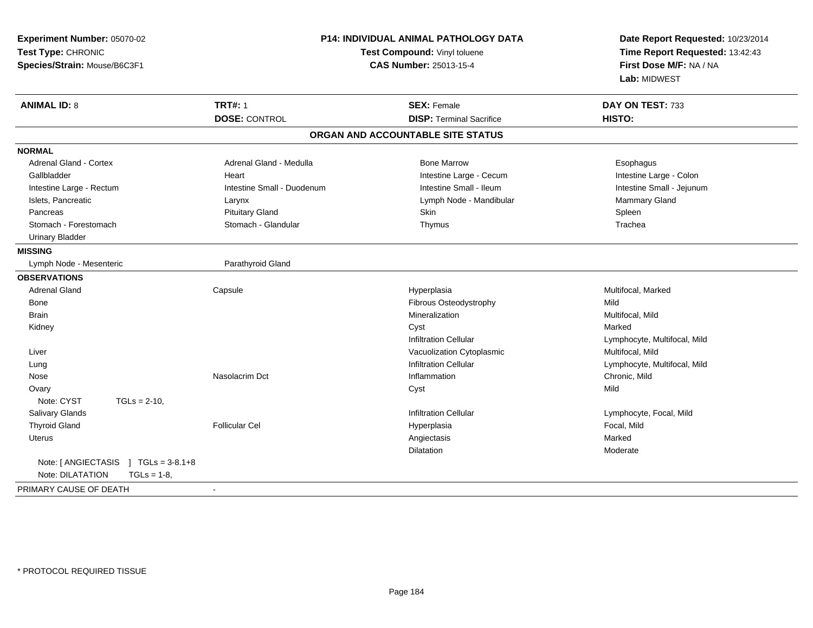| Experiment Number: 05070-02                       | <b>P14: INDIVIDUAL ANIMAL PATHOLOGY DATA</b><br>Test Compound: Vinyl toluene |                                   | Date Report Requested: 10/23/2014 |  |
|---------------------------------------------------|------------------------------------------------------------------------------|-----------------------------------|-----------------------------------|--|
| Test Type: CHRONIC                                |                                                                              |                                   | Time Report Requested: 13:42:43   |  |
| Species/Strain: Mouse/B6C3F1                      |                                                                              | <b>CAS Number: 25013-15-4</b>     | First Dose M/F: NA / NA           |  |
|                                                   |                                                                              |                                   | Lab: MIDWEST                      |  |
| <b>ANIMAL ID: 8</b>                               | <b>TRT#: 1</b>                                                               | <b>SEX: Female</b>                | DAY ON TEST: 733                  |  |
|                                                   | <b>DOSE: CONTROL</b>                                                         | <b>DISP: Terminal Sacrifice</b>   | HISTO:                            |  |
|                                                   |                                                                              | ORGAN AND ACCOUNTABLE SITE STATUS |                                   |  |
| <b>NORMAL</b>                                     |                                                                              |                                   |                                   |  |
| <b>Adrenal Gland - Cortex</b>                     | Adrenal Gland - Medulla                                                      | <b>Bone Marrow</b>                | Esophagus                         |  |
| Gallbladder                                       | Heart                                                                        | Intestine Large - Cecum           | Intestine Large - Colon           |  |
| Intestine Large - Rectum                          | Intestine Small - Duodenum                                                   | Intestine Small - Ileum           | Intestine Small - Jejunum         |  |
| Islets, Pancreatic                                | Larynx                                                                       | Lymph Node - Mandibular           | Mammary Gland                     |  |
| Pancreas                                          | <b>Pituitary Gland</b>                                                       | Skin                              | Spleen                            |  |
| Stomach - Forestomach                             | Stomach - Glandular                                                          | Thymus                            | Trachea                           |  |
| <b>Urinary Bladder</b>                            |                                                                              |                                   |                                   |  |
| <b>MISSING</b>                                    |                                                                              |                                   |                                   |  |
| Lymph Node - Mesenteric                           | Parathyroid Gland                                                            |                                   |                                   |  |
| <b>OBSERVATIONS</b>                               |                                                                              |                                   |                                   |  |
| <b>Adrenal Gland</b>                              | Capsule                                                                      | Hyperplasia                       | Multifocal, Marked                |  |
| Bone                                              |                                                                              | Fibrous Osteodystrophy            | Mild                              |  |
| <b>Brain</b>                                      |                                                                              | Mineralization                    | Multifocal, Mild                  |  |
| Kidney                                            |                                                                              | Cyst                              | Marked                            |  |
|                                                   |                                                                              | <b>Infiltration Cellular</b>      | Lymphocyte, Multifocal, Mild      |  |
| Liver                                             |                                                                              | Vacuolization Cytoplasmic         | Multifocal, Mild                  |  |
| Lung                                              |                                                                              | <b>Infiltration Cellular</b>      | Lymphocyte, Multifocal, Mild      |  |
| Nose                                              | Nasolacrim Dct                                                               | Inflammation                      | Chronic, Mild                     |  |
| Ovary                                             |                                                                              | Cyst                              | Mild                              |  |
| Note: CYST<br>$TGLs = 2-10$ ,                     |                                                                              |                                   |                                   |  |
| Salivary Glands                                   |                                                                              | <b>Infiltration Cellular</b>      | Lymphocyte, Focal, Mild           |  |
| <b>Thyroid Gland</b>                              | <b>Follicular Cel</b>                                                        | Hyperplasia                       | Focal, Mild                       |  |
| <b>Uterus</b>                                     |                                                                              | Angiectasis                       | Marked                            |  |
|                                                   |                                                                              | <b>Dilatation</b>                 | Moderate                          |  |
| Note: [ ANGIECTASIS<br>$1 \text{ TGLs} = 3-8.1+8$ |                                                                              |                                   |                                   |  |
| Note: DILATATION<br>$TGLs = 1-8$                  |                                                                              |                                   |                                   |  |
| PRIMARY CAUSE OF DEATH                            | $\sim$                                                                       |                                   |                                   |  |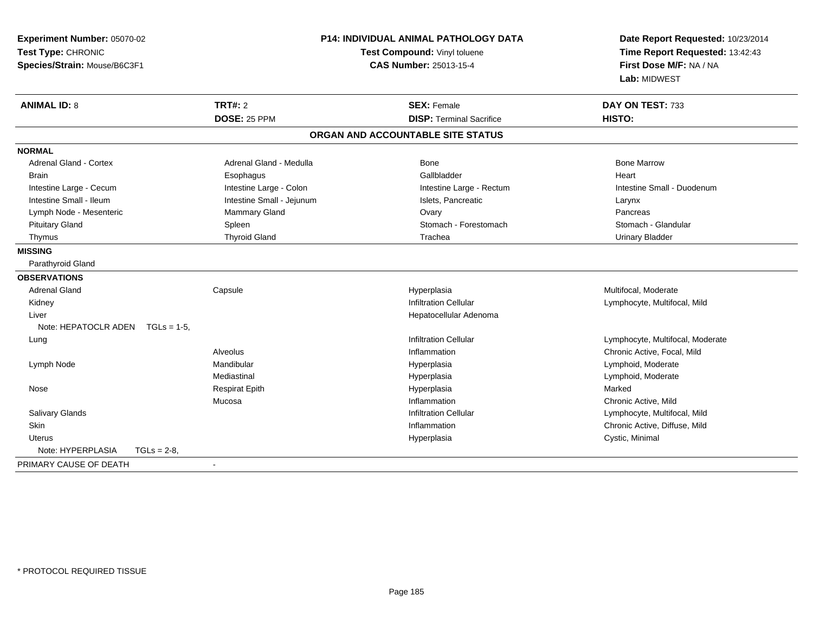| Experiment Number: 05070-02<br>Test Type: CHRONIC<br>Species/Strain: Mouse/B6C3F1 | <b>P14: INDIVIDUAL ANIMAL PATHOLOGY DATA</b><br>Test Compound: Vinyl toluene<br><b>CAS Number: 25013-15-4</b> |                                   | Date Report Requested: 10/23/2014<br>Time Report Requested: 13:42:43<br>First Dose M/F: NA / NA<br>Lab: MIDWEST |
|-----------------------------------------------------------------------------------|---------------------------------------------------------------------------------------------------------------|-----------------------------------|-----------------------------------------------------------------------------------------------------------------|
| <b>ANIMAL ID: 8</b>                                                               | TRT#: 2                                                                                                       | <b>SEX: Female</b>                | DAY ON TEST: 733                                                                                                |
|                                                                                   | <b>DOSE: 25 PPM</b>                                                                                           | <b>DISP: Terminal Sacrifice</b>   | HISTO:                                                                                                          |
|                                                                                   |                                                                                                               | ORGAN AND ACCOUNTABLE SITE STATUS |                                                                                                                 |
| <b>NORMAL</b>                                                                     |                                                                                                               |                                   |                                                                                                                 |
| Adrenal Gland - Cortex                                                            | Adrenal Gland - Medulla                                                                                       | Bone                              | <b>Bone Marrow</b>                                                                                              |
| <b>Brain</b>                                                                      | Esophagus                                                                                                     | Gallbladder                       | Heart                                                                                                           |
| Intestine Large - Cecum                                                           | Intestine Large - Colon                                                                                       | Intestine Large - Rectum          | Intestine Small - Duodenum                                                                                      |
| Intestine Small - Ileum                                                           | Intestine Small - Jejunum                                                                                     | Islets, Pancreatic                | Larynx                                                                                                          |
| Lymph Node - Mesenteric                                                           | Mammary Gland                                                                                                 | Ovary                             | Pancreas                                                                                                        |
| <b>Pituitary Gland</b>                                                            | Spleen                                                                                                        | Stomach - Forestomach             | Stomach - Glandular                                                                                             |
| Thymus                                                                            | <b>Thyroid Gland</b>                                                                                          | Trachea                           | <b>Urinary Bladder</b>                                                                                          |
| <b>MISSING</b>                                                                    |                                                                                                               |                                   |                                                                                                                 |
| Parathyroid Gland                                                                 |                                                                                                               |                                   |                                                                                                                 |
| <b>OBSERVATIONS</b>                                                               |                                                                                                               |                                   |                                                                                                                 |
| <b>Adrenal Gland</b>                                                              | Capsule                                                                                                       | Hyperplasia                       | Multifocal, Moderate                                                                                            |
| Kidney                                                                            |                                                                                                               | <b>Infiltration Cellular</b>      | Lymphocyte, Multifocal, Mild                                                                                    |
| Liver                                                                             |                                                                                                               | Hepatocellular Adenoma            |                                                                                                                 |
| Note: HEPATOCLR ADEN<br>$TGLs = 1-5$                                              |                                                                                                               |                                   |                                                                                                                 |
| Lung                                                                              |                                                                                                               | <b>Infiltration Cellular</b>      | Lymphocyte, Multifocal, Moderate                                                                                |
|                                                                                   | Alveolus                                                                                                      | Inflammation                      | Chronic Active, Focal, Mild                                                                                     |
| Lymph Node                                                                        | Mandibular                                                                                                    | Hyperplasia                       | Lymphoid, Moderate                                                                                              |
|                                                                                   | Mediastinal                                                                                                   | Hyperplasia                       | Lymphoid, Moderate                                                                                              |
| Nose                                                                              | <b>Respirat Epith</b>                                                                                         | Hyperplasia                       | Marked                                                                                                          |
|                                                                                   | Mucosa                                                                                                        | Inflammation                      | Chronic Active, Mild                                                                                            |
| Salivary Glands                                                                   |                                                                                                               | <b>Infiltration Cellular</b>      | Lymphocyte, Multifocal, Mild                                                                                    |
| Skin                                                                              |                                                                                                               | Inflammation                      | Chronic Active, Diffuse, Mild                                                                                   |
| Uterus                                                                            |                                                                                                               | Hyperplasia                       | Cystic, Minimal                                                                                                 |
| Note: HYPERPLASIA<br>$TGLs = 2-8$                                                 |                                                                                                               |                                   |                                                                                                                 |
| PRIMARY CAUSE OF DEATH                                                            |                                                                                                               |                                   |                                                                                                                 |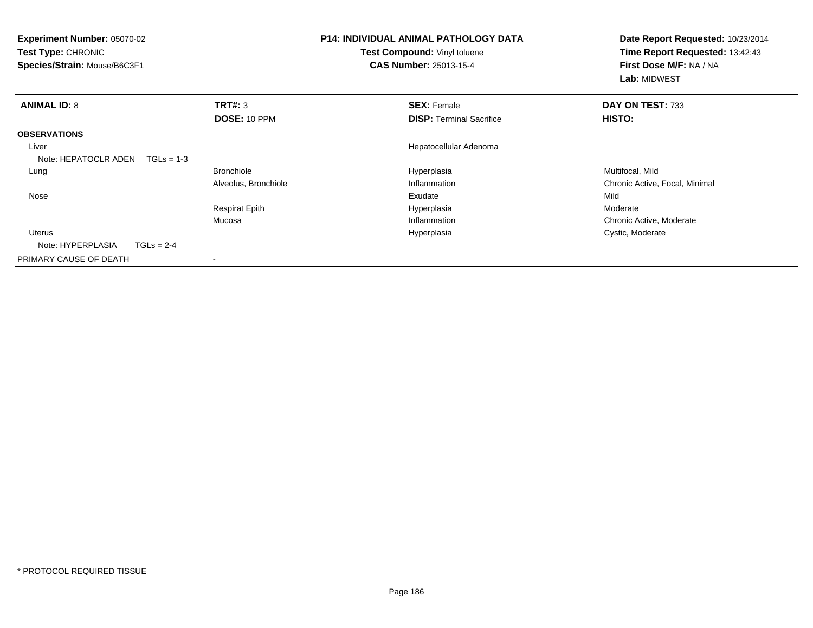| <b>Experiment Number: 05070-02</b><br>Test Type: CHRONIC<br>Species/Strain: Mouse/B6C3F1 |                          | <b>P14: INDIVIDUAL ANIMAL PATHOLOGY DATA</b><br>Test Compound: Vinyl toluene<br><b>CAS Number: 25013-15-4</b> | Date Report Requested: 10/23/2014<br>Time Report Requested: 13:42:43<br>First Dose M/F: NA / NA<br>Lab: MIDWEST |  |
|------------------------------------------------------------------------------------------|--------------------------|---------------------------------------------------------------------------------------------------------------|-----------------------------------------------------------------------------------------------------------------|--|
| <b>ANIMAL ID: 8</b>                                                                      | TRT#: 3                  | <b>SEX: Female</b>                                                                                            | DAY ON TEST: 733                                                                                                |  |
|                                                                                          | DOSE: 10 PPM             | <b>DISP:</b> Terminal Sacrifice                                                                               | <b>HISTO:</b>                                                                                                   |  |
| <b>OBSERVATIONS</b>                                                                      |                          |                                                                                                               |                                                                                                                 |  |
| Liver<br>Note: HEPATOCLR ADEN                                                            | $TGLs = 1-3$             | Hepatocellular Adenoma                                                                                        |                                                                                                                 |  |
| Lung                                                                                     | <b>Bronchiole</b>        | Hyperplasia                                                                                                   | Multifocal, Mild                                                                                                |  |
|                                                                                          | Alveolus, Bronchiole     | Inflammation                                                                                                  | Chronic Active, Focal, Minimal                                                                                  |  |
| Nose                                                                                     |                          | Exudate                                                                                                       | Mild                                                                                                            |  |
|                                                                                          | <b>Respirat Epith</b>    | Hyperplasia                                                                                                   | Moderate                                                                                                        |  |
|                                                                                          | Mucosa                   | Inflammation                                                                                                  | Chronic Active, Moderate                                                                                        |  |
| <b>Uterus</b>                                                                            |                          | Hyperplasia                                                                                                   | Cystic, Moderate                                                                                                |  |
| Note: HYPERPLASIA                                                                        | $TGLs = 2-4$             |                                                                                                               |                                                                                                                 |  |
| PRIMARY CAUSE OF DEATH                                                                   | $\overline{\phantom{a}}$ |                                                                                                               |                                                                                                                 |  |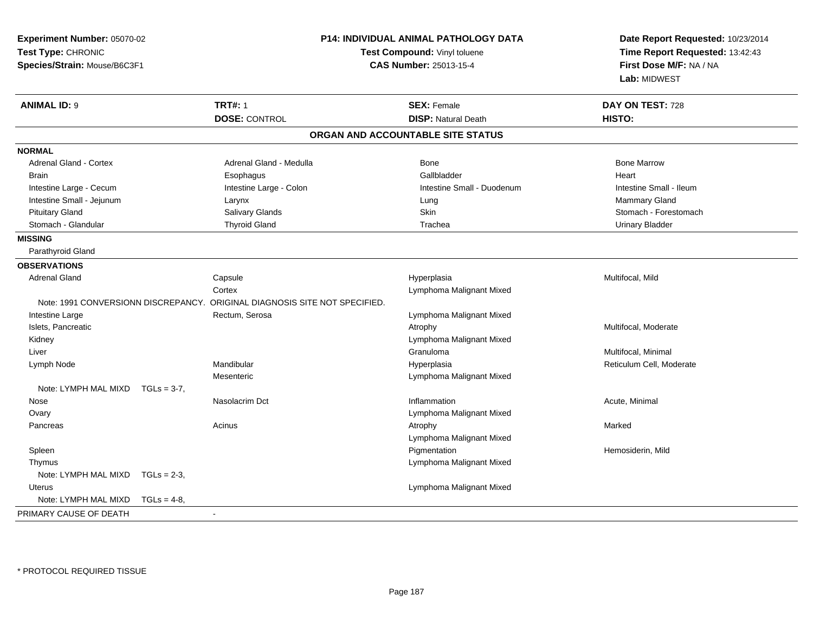| Experiment Number: 05070-02<br>Test Type: CHRONIC<br>Species/Strain: Mouse/B6C3F1 |                         |                                        | <b>P14: INDIVIDUAL ANIMAL PATHOLOGY DATA</b><br>Test Compound: Vinyl toluene<br><b>CAS Number: 25013-15-4</b> | Date Report Requested: 10/23/2014<br>Time Report Requested: 13:42:43<br>First Dose M/F: NA / NA<br>Lab: MIDWEST |
|-----------------------------------------------------------------------------------|-------------------------|----------------------------------------|---------------------------------------------------------------------------------------------------------------|-----------------------------------------------------------------------------------------------------------------|
| <b>ANIMAL ID: 9</b>                                                               | <b>TRT#: 1</b>          |                                        | <b>SEX: Female</b>                                                                                            | DAY ON TEST: 728                                                                                                |
|                                                                                   | <b>DOSE: CONTROL</b>    |                                        | <b>DISP: Natural Death</b>                                                                                    | HISTO:                                                                                                          |
|                                                                                   |                         |                                        | ORGAN AND ACCOUNTABLE SITE STATUS                                                                             |                                                                                                                 |
| <b>NORMAL</b>                                                                     |                         |                                        |                                                                                                               |                                                                                                                 |
| <b>Adrenal Gland - Cortex</b>                                                     | Adrenal Gland - Medulla |                                        | <b>Bone</b>                                                                                                   | <b>Bone Marrow</b>                                                                                              |
| <b>Brain</b>                                                                      | Esophagus               |                                        | Gallbladder                                                                                                   | Heart                                                                                                           |
| Intestine Large - Cecum                                                           | Intestine Large - Colon |                                        | Intestine Small - Duodenum                                                                                    | Intestine Small - Ileum                                                                                         |
| Intestine Small - Jejunum                                                         | Larynx                  |                                        | Lung                                                                                                          | Mammary Gland                                                                                                   |
| <b>Pituitary Gland</b>                                                            | <b>Salivary Glands</b>  |                                        | Skin                                                                                                          | Stomach - Forestomach                                                                                           |
| Stomach - Glandular                                                               | <b>Thyroid Gland</b>    |                                        | Trachea                                                                                                       | <b>Urinary Bladder</b>                                                                                          |
| <b>MISSING</b>                                                                    |                         |                                        |                                                                                                               |                                                                                                                 |
| Parathyroid Gland                                                                 |                         |                                        |                                                                                                               |                                                                                                                 |
| <b>OBSERVATIONS</b>                                                               |                         |                                        |                                                                                                               |                                                                                                                 |
| <b>Adrenal Gland</b>                                                              | Capsule                 |                                        | Hyperplasia                                                                                                   | Multifocal, Mild                                                                                                |
|                                                                                   | Cortex                  |                                        | Lymphoma Malignant Mixed                                                                                      |                                                                                                                 |
| Note: 1991 CONVERSIONN DISCREPANCY.                                               |                         | ORIGINAL DIAGNOSIS SITE NOT SPECIFIED. |                                                                                                               |                                                                                                                 |
| Intestine Large                                                                   | Rectum, Serosa          |                                        | Lymphoma Malignant Mixed                                                                                      |                                                                                                                 |
| Islets, Pancreatic                                                                |                         |                                        | Atrophy                                                                                                       | Multifocal, Moderate                                                                                            |
| Kidney                                                                            |                         |                                        | Lymphoma Malignant Mixed                                                                                      |                                                                                                                 |
| Liver                                                                             |                         |                                        | Granuloma                                                                                                     | Multifocal, Minimal                                                                                             |
| Lymph Node                                                                        | Mandibular              |                                        | Hyperplasia                                                                                                   | Reticulum Cell, Moderate                                                                                        |
|                                                                                   | Mesenteric              |                                        | Lymphoma Malignant Mixed                                                                                      |                                                                                                                 |
| Note: LYMPH MAL MIXD                                                              | $TGLs = 3-7$            |                                        |                                                                                                               |                                                                                                                 |
| Nose                                                                              | Nasolacrim Dct          |                                        | Inflammation                                                                                                  | Acute, Minimal                                                                                                  |
| Ovary                                                                             |                         |                                        | Lymphoma Malignant Mixed                                                                                      |                                                                                                                 |
| Pancreas                                                                          | Acinus                  |                                        | Atrophy                                                                                                       | Marked                                                                                                          |
|                                                                                   |                         |                                        | Lymphoma Malignant Mixed                                                                                      |                                                                                                                 |
| Spleen                                                                            |                         |                                        | Pigmentation                                                                                                  | Hemosiderin, Mild                                                                                               |
| Thymus                                                                            |                         |                                        | Lymphoma Malignant Mixed                                                                                      |                                                                                                                 |
| Note: LYMPH MAL MIXD                                                              | $TGLs = 2-3$            |                                        |                                                                                                               |                                                                                                                 |
| Uterus                                                                            |                         |                                        | Lymphoma Malignant Mixed                                                                                      |                                                                                                                 |
| Note: LYMPH MAL MIXD                                                              | $TGLs = 4-8$            |                                        |                                                                                                               |                                                                                                                 |
| PRIMARY CAUSE OF DEATH                                                            | $\blacksquare$          |                                        |                                                                                                               |                                                                                                                 |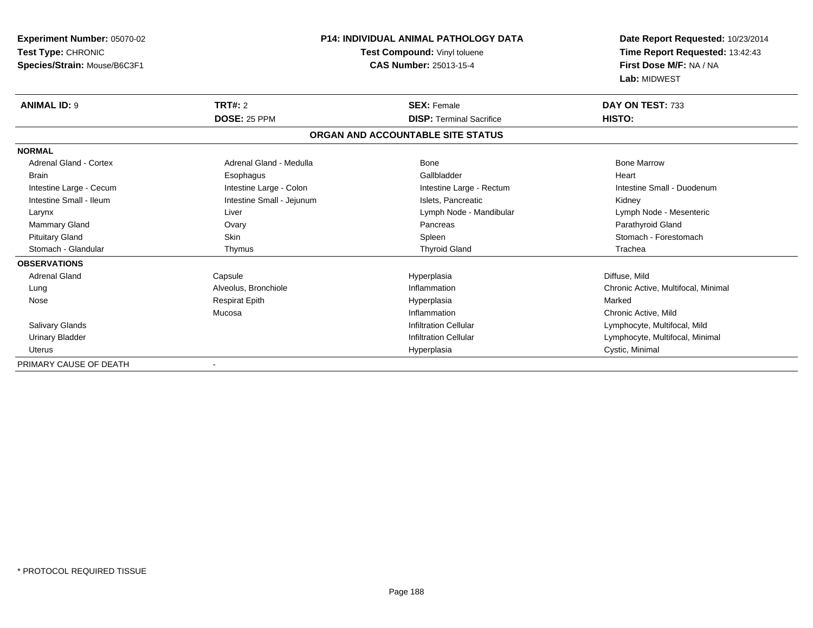| <b>Experiment Number: 05070-02</b><br>Test Type: CHRONIC |                           | <b>P14: INDIVIDUAL ANIMAL PATHOLOGY DATA</b> | Date Report Requested: 10/23/2014<br>Time Report Requested: 13:42:43 |  |
|----------------------------------------------------------|---------------------------|----------------------------------------------|----------------------------------------------------------------------|--|
|                                                          |                           | Test Compound: Vinyl toluene                 |                                                                      |  |
| Species/Strain: Mouse/B6C3F1                             |                           | <b>CAS Number: 25013-15-4</b>                | First Dose M/F: NA / NA                                              |  |
|                                                          |                           |                                              | Lab: MIDWEST                                                         |  |
| <b>ANIMAL ID: 9</b>                                      | TRT#: 2                   | <b>SEX: Female</b>                           | DAY ON TEST: 733                                                     |  |
|                                                          | DOSE: 25 PPM              | <b>DISP: Terminal Sacrifice</b>              | HISTO:                                                               |  |
|                                                          |                           | ORGAN AND ACCOUNTABLE SITE STATUS            |                                                                      |  |
| <b>NORMAL</b>                                            |                           |                                              |                                                                      |  |
| Adrenal Gland - Cortex                                   | Adrenal Gland - Medulla   | Bone                                         | <b>Bone Marrow</b>                                                   |  |
| <b>Brain</b>                                             | Esophagus                 | Gallbladder                                  | Heart                                                                |  |
| Intestine Large - Cecum                                  | Intestine Large - Colon   | Intestine Large - Rectum                     | Intestine Small - Duodenum                                           |  |
| Intestine Small - Ileum                                  | Intestine Small - Jejunum | Islets. Pancreatic                           | Kidney                                                               |  |
| Larynx                                                   | Liver                     | Lymph Node - Mandibular                      | Lymph Node - Mesenteric                                              |  |
| Mammary Gland                                            | Ovary                     | Pancreas                                     | Parathyroid Gland                                                    |  |
| <b>Pituitary Gland</b>                                   | <b>Skin</b>               | Spleen                                       | Stomach - Forestomach                                                |  |
| Stomach - Glandular                                      | Thymus                    | <b>Thyroid Gland</b>                         | Trachea                                                              |  |
| <b>OBSERVATIONS</b>                                      |                           |                                              |                                                                      |  |
| Adrenal Gland                                            | Capsule                   | Hyperplasia                                  | Diffuse, Mild                                                        |  |
| Lung                                                     | Alveolus, Bronchiole      | Inflammation                                 | Chronic Active, Multifocal, Minimal                                  |  |
| Nose                                                     | <b>Respirat Epith</b>     | Hyperplasia                                  | Marked                                                               |  |
|                                                          | Mucosa                    | Inflammation                                 | Chronic Active, Mild                                                 |  |
| <b>Salivary Glands</b>                                   |                           | <b>Infiltration Cellular</b>                 | Lymphocyte, Multifocal, Mild                                         |  |
| <b>Urinary Bladder</b>                                   |                           | <b>Infiltration Cellular</b>                 | Lymphocyte, Multifocal, Minimal                                      |  |
| <b>Uterus</b>                                            |                           | Hyperplasia                                  | Cystic, Minimal                                                      |  |
| PRIMARY CAUSE OF DEATH                                   |                           |                                              |                                                                      |  |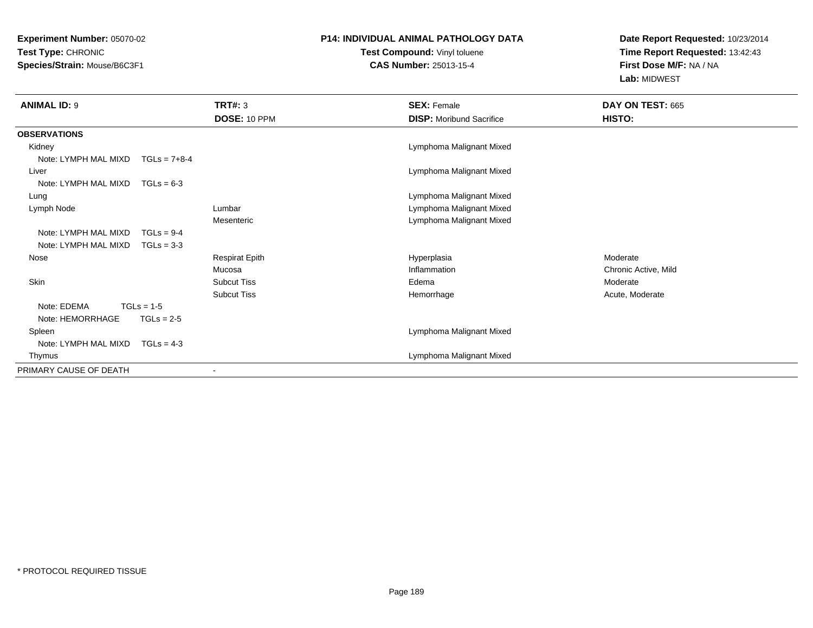**Experiment Number:** 05070-02**Test Type:** CHRONIC**Species/Strain:** Mouse/B6C3F1

## **P14: INDIVIDUAL ANIMAL PATHOLOGY DATA**

**Test Compound:** Vinyl toluene**CAS Number:** 25013-15-4

**Date Report Requested:** 10/23/2014**Time Report Requested:** 13:42:43**First Dose M/F:** NA / NA**Lab:** MIDWEST

| <b>ANIMAL ID: 9</b>    |                | <b>TRT#: 3</b>        | <b>SEX: Female</b>              | DAY ON TEST: 665     |
|------------------------|----------------|-----------------------|---------------------------------|----------------------|
|                        |                | DOSE: 10 PPM          | <b>DISP:</b> Moribund Sacrifice | HISTO:               |
| <b>OBSERVATIONS</b>    |                |                       |                                 |                      |
| Kidney                 |                |                       | Lymphoma Malignant Mixed        |                      |
| Note: LYMPH MAL MIXD   | $TGLs = 7+8-4$ |                       |                                 |                      |
| Liver                  |                |                       | Lymphoma Malignant Mixed        |                      |
| Note: LYMPH MAL MIXD   | $TGLs = 6-3$   |                       |                                 |                      |
| Lung                   |                |                       | Lymphoma Malignant Mixed        |                      |
| Lymph Node             |                | Lumbar                | Lymphoma Malignant Mixed        |                      |
|                        |                | Mesenteric            | Lymphoma Malignant Mixed        |                      |
| Note: LYMPH MAL MIXD   | $TGLs = 9-4$   |                       |                                 |                      |
| Note: LYMPH MAL MIXD   | $TGLs = 3-3$   |                       |                                 |                      |
| Nose                   |                | <b>Respirat Epith</b> | Hyperplasia                     | Moderate             |
|                        |                | Mucosa                | Inflammation                    | Chronic Active, Mild |
| Skin                   |                | <b>Subcut Tiss</b>    | Edema                           | Moderate             |
|                        |                | <b>Subcut Tiss</b>    | Hemorrhage                      | Acute, Moderate      |
| Note: EDEMA            | $TGLs = 1-5$   |                       |                                 |                      |
| Note: HEMORRHAGE       | $TGLs = 2-5$   |                       |                                 |                      |
| Spleen                 |                |                       | Lymphoma Malignant Mixed        |                      |
| Note: LYMPH MAL MIXD   | $TGLs = 4-3$   |                       |                                 |                      |
| Thymus                 |                |                       | Lymphoma Malignant Mixed        |                      |
| PRIMARY CAUSE OF DEATH |                |                       |                                 |                      |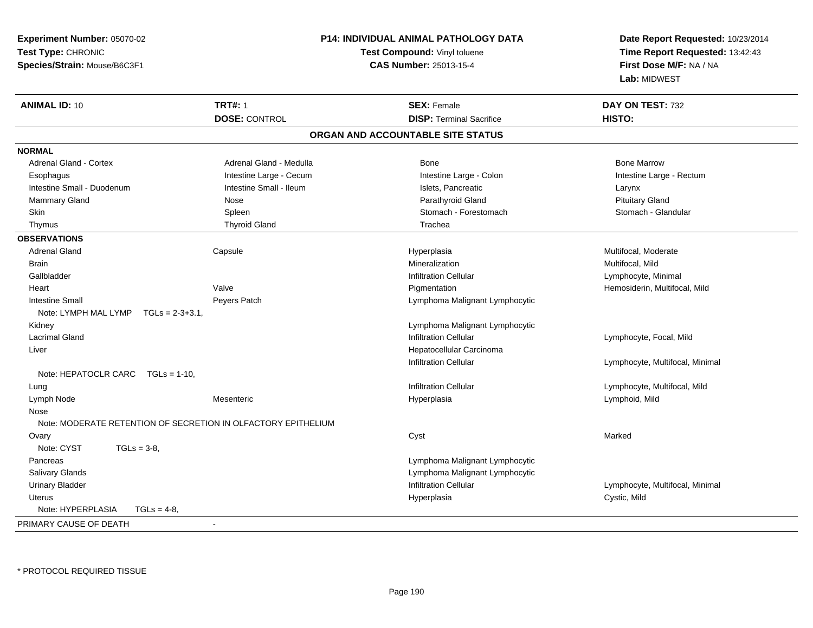| Experiment Number: 05070-02                                   |                               | <b>P14: INDIVIDUAL ANIMAL PATHOLOGY DATA</b> | Date Report Requested: 10/23/2014 |  |
|---------------------------------------------------------------|-------------------------------|----------------------------------------------|-----------------------------------|--|
| Test Type: CHRONIC                                            |                               | Test Compound: Vinyl toluene                 | Time Report Requested: 13:42:43   |  |
| Species/Strain: Mouse/B6C3F1                                  | <b>CAS Number: 25013-15-4</b> |                                              | First Dose M/F: NA / NA           |  |
|                                                               |                               |                                              | Lab: MIDWEST                      |  |
| <b>ANIMAL ID: 10</b>                                          | <b>TRT#: 1</b>                | <b>SEX: Female</b>                           | DAY ON TEST: 732                  |  |
|                                                               | <b>DOSE: CONTROL</b>          | <b>DISP: Terminal Sacrifice</b>              | HISTO:                            |  |
|                                                               |                               | ORGAN AND ACCOUNTABLE SITE STATUS            |                                   |  |
| <b>NORMAL</b>                                                 |                               |                                              |                                   |  |
| Adrenal Gland - Cortex                                        | Adrenal Gland - Medulla       | <b>Bone</b>                                  | <b>Bone Marrow</b>                |  |
| Esophagus                                                     | Intestine Large - Cecum       | Intestine Large - Colon                      | Intestine Large - Rectum          |  |
| Intestine Small - Duodenum                                    | Intestine Small - Ileum       | Islets, Pancreatic                           | Larynx                            |  |
| <b>Mammary Gland</b>                                          | Nose                          | Parathyroid Gland                            | <b>Pituitary Gland</b>            |  |
| Skin                                                          | Spleen                        | Stomach - Forestomach                        | Stomach - Glandular               |  |
| Thymus                                                        | <b>Thyroid Gland</b>          | Trachea                                      |                                   |  |
| <b>OBSERVATIONS</b>                                           |                               |                                              |                                   |  |
| <b>Adrenal Gland</b>                                          | Capsule                       | Hyperplasia                                  | Multifocal, Moderate              |  |
| <b>Brain</b>                                                  |                               | Mineralization                               | Multifocal, Mild                  |  |
| Gallbladder                                                   |                               | <b>Infiltration Cellular</b>                 | Lymphocyte, Minimal               |  |
| Heart                                                         | Valve                         | Pigmentation                                 | Hemosiderin, Multifocal, Mild     |  |
| <b>Intestine Small</b>                                        | Peyers Patch                  | Lymphoma Malignant Lymphocytic               |                                   |  |
| Note: LYMPH MAL LYMP<br>$TGLs = 2-3+3.1$                      |                               |                                              |                                   |  |
| Kidney                                                        |                               | Lymphoma Malignant Lymphocytic               |                                   |  |
| <b>Lacrimal Gland</b>                                         |                               | <b>Infiltration Cellular</b>                 | Lymphocyte, Focal, Mild           |  |
| Liver                                                         |                               | Hepatocellular Carcinoma                     |                                   |  |
|                                                               |                               | <b>Infiltration Cellular</b>                 | Lymphocyte, Multifocal, Minimal   |  |
| Note: HEPATOCLR CARC TGLs = 1-10,                             |                               |                                              |                                   |  |
| Lung                                                          |                               | <b>Infiltration Cellular</b>                 | Lymphocyte, Multifocal, Mild      |  |
| Lymph Node                                                    | Mesenteric                    | Hyperplasia                                  | Lymphoid, Mild                    |  |
| Nose                                                          |                               |                                              |                                   |  |
| Note: MODERATE RETENTION OF SECRETION IN OLFACTORY EPITHELIUM |                               |                                              |                                   |  |
| Ovary                                                         |                               | Cyst                                         | Marked                            |  |
| Note: CYST<br>$TGLs = 3-8$                                    |                               |                                              |                                   |  |
| Pancreas                                                      |                               | Lymphoma Malignant Lymphocytic               |                                   |  |
| Salivary Glands                                               |                               | Lymphoma Malignant Lymphocytic               |                                   |  |
| <b>Urinary Bladder</b>                                        |                               | <b>Infiltration Cellular</b>                 | Lymphocyte, Multifocal, Minimal   |  |
| <b>Uterus</b>                                                 |                               | Hyperplasia                                  | Cystic, Mild                      |  |
| Note: HYPERPLASIA<br>$TGLs = 4-8,$                            |                               |                                              |                                   |  |
| PRIMARY CAUSE OF DEATH                                        |                               |                                              |                                   |  |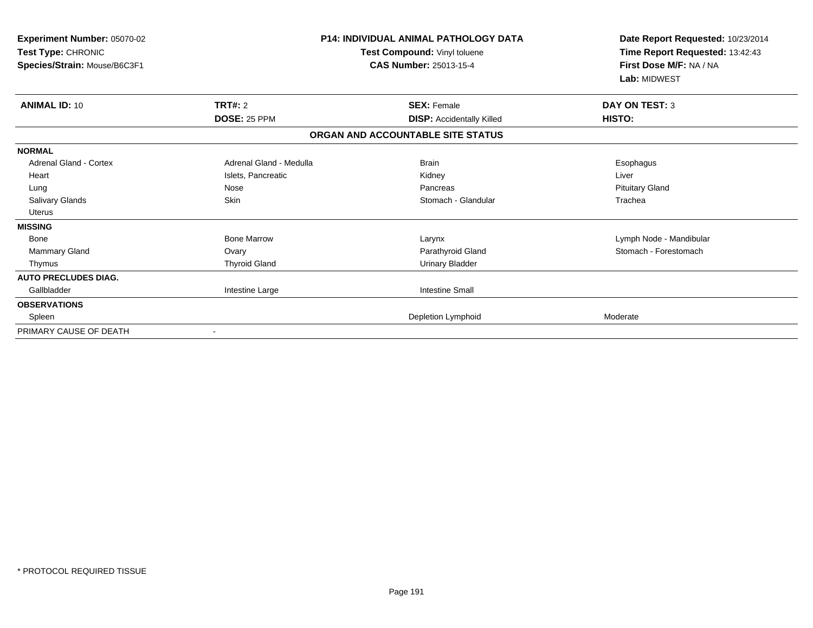| Experiment Number: 05070-02<br>Test Type: CHRONIC<br>Species/Strain: Mouse/B6C3F1 |                         | <b>P14: INDIVIDUAL ANIMAL PATHOLOGY DATA</b><br>Test Compound: Vinyl toluene<br><b>CAS Number: 25013-15-4</b> | Date Report Requested: 10/23/2014<br>Time Report Requested: 13:42:43<br>First Dose M/F: NA / NA<br>Lab: MIDWEST |  |
|-----------------------------------------------------------------------------------|-------------------------|---------------------------------------------------------------------------------------------------------------|-----------------------------------------------------------------------------------------------------------------|--|
| <b>ANIMAL ID: 10</b>                                                              | TRT#: 2                 | <b>SEX: Female</b>                                                                                            | <b>DAY ON TEST: 3</b>                                                                                           |  |
|                                                                                   | DOSE: 25 PPM            | <b>DISP:</b> Accidentally Killed                                                                              | HISTO:                                                                                                          |  |
|                                                                                   |                         | ORGAN AND ACCOUNTABLE SITE STATUS                                                                             |                                                                                                                 |  |
| <b>NORMAL</b>                                                                     |                         |                                                                                                               |                                                                                                                 |  |
| Adrenal Gland - Cortex                                                            | Adrenal Gland - Medulla | <b>Brain</b>                                                                                                  | Esophagus                                                                                                       |  |
| Heart                                                                             | Islets, Pancreatic      | Kidney                                                                                                        | Liver                                                                                                           |  |
| Lung                                                                              | Nose                    | Pancreas                                                                                                      | <b>Pituitary Gland</b>                                                                                          |  |
| Salivary Glands                                                                   | <b>Skin</b>             | Stomach - Glandular                                                                                           | Trachea                                                                                                         |  |
| <b>Uterus</b>                                                                     |                         |                                                                                                               |                                                                                                                 |  |
| <b>MISSING</b>                                                                    |                         |                                                                                                               |                                                                                                                 |  |
| <b>Bone</b>                                                                       | <b>Bone Marrow</b>      | Larynx                                                                                                        | Lymph Node - Mandibular                                                                                         |  |
| Mammary Gland                                                                     | Ovary                   | Parathyroid Gland                                                                                             | Stomach - Forestomach                                                                                           |  |
| Thymus                                                                            | <b>Thyroid Gland</b>    | <b>Urinary Bladder</b>                                                                                        |                                                                                                                 |  |
| <b>AUTO PRECLUDES DIAG.</b>                                                       |                         |                                                                                                               |                                                                                                                 |  |
| Gallbladder                                                                       | Intestine Large         | Intestine Small                                                                                               |                                                                                                                 |  |
| <b>OBSERVATIONS</b>                                                               |                         |                                                                                                               |                                                                                                                 |  |
| Spleen                                                                            |                         | Depletion Lymphoid                                                                                            | Moderate                                                                                                        |  |
| PRIMARY CAUSE OF DEATH                                                            |                         |                                                                                                               |                                                                                                                 |  |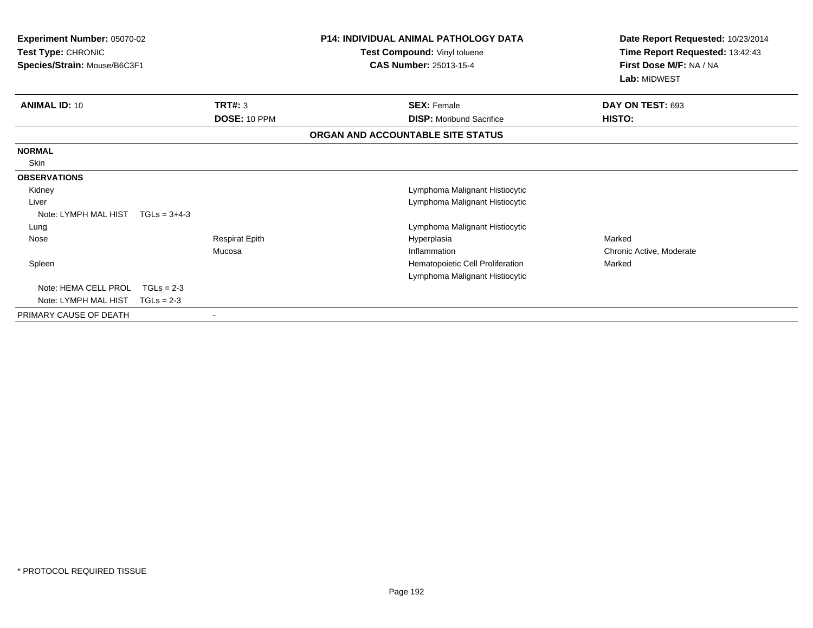| Experiment Number: 05070-02<br>Test Type: CHRONIC<br>Species/Strain: Mouse/B6C3F1 |                | <b>P14: INDIVIDUAL ANIMAL PATHOLOGY DATA</b><br>Test Compound: Vinyl toluene<br><b>CAS Number: 25013-15-4</b> |  | Date Report Requested: 10/23/2014<br>Time Report Requested: 13:42:43<br>First Dose M/F: NA / NA<br>Lab: MIDWEST |                          |
|-----------------------------------------------------------------------------------|----------------|---------------------------------------------------------------------------------------------------------------|--|-----------------------------------------------------------------------------------------------------------------|--------------------------|
| <b>ANIMAL ID: 10</b>                                                              |                | TRT#: 3                                                                                                       |  | <b>SEX: Female</b>                                                                                              | DAY ON TEST: 693         |
|                                                                                   |                | DOSE: 10 PPM                                                                                                  |  | <b>DISP:</b> Moribund Sacrifice                                                                                 | HISTO:                   |
|                                                                                   |                |                                                                                                               |  | ORGAN AND ACCOUNTABLE SITE STATUS                                                                               |                          |
| <b>NORMAL</b>                                                                     |                |                                                                                                               |  |                                                                                                                 |                          |
| Skin                                                                              |                |                                                                                                               |  |                                                                                                                 |                          |
| <b>OBSERVATIONS</b>                                                               |                |                                                                                                               |  |                                                                                                                 |                          |
| Kidney                                                                            |                |                                                                                                               |  | Lymphoma Malignant Histiocytic                                                                                  |                          |
| Liver                                                                             |                |                                                                                                               |  | Lymphoma Malignant Histiocytic                                                                                  |                          |
| Note: LYMPH MAL HIST                                                              | $TGLs = 3+4-3$ |                                                                                                               |  |                                                                                                                 |                          |
| Lung                                                                              |                |                                                                                                               |  | Lymphoma Malignant Histiocytic                                                                                  |                          |
| Nose                                                                              |                | <b>Respirat Epith</b>                                                                                         |  | Hyperplasia                                                                                                     | Marked                   |
|                                                                                   |                | Mucosa                                                                                                        |  | Inflammation                                                                                                    | Chronic Active, Moderate |
| Spleen                                                                            |                |                                                                                                               |  | Hematopoietic Cell Proliferation                                                                                | Marked                   |
|                                                                                   |                |                                                                                                               |  | Lymphoma Malignant Histiocytic                                                                                  |                          |
| Note: HEMA CELL PROL                                                              | $TGLs = 2-3$   |                                                                                                               |  |                                                                                                                 |                          |
| Note: LYMPH MAL HIST                                                              | $TGLs = 2-3$   |                                                                                                               |  |                                                                                                                 |                          |
| PRIMARY CAUSE OF DEATH                                                            |                |                                                                                                               |  |                                                                                                                 |                          |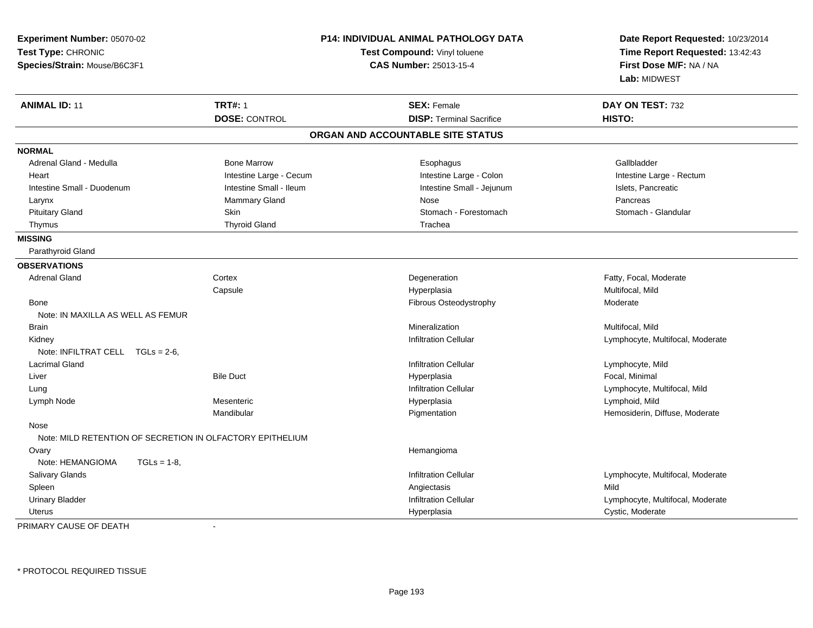| Experiment Number: 05070-02<br>Test Type: CHRONIC<br>Species/Strain: Mouse/B6C3F1 |                         | <b>P14: INDIVIDUAL ANIMAL PATHOLOGY DATA</b><br>Test Compound: Vinyl toluene<br><b>CAS Number: 25013-15-4</b> | Date Report Requested: 10/23/2014<br>Time Report Requested: 13:42:43<br>First Dose M/F: NA / NA<br>Lab: MIDWEST |
|-----------------------------------------------------------------------------------|-------------------------|---------------------------------------------------------------------------------------------------------------|-----------------------------------------------------------------------------------------------------------------|
| <b>ANIMAL ID: 11</b>                                                              | <b>TRT#: 1</b>          | <b>SEX: Female</b>                                                                                            | DAY ON TEST: 732                                                                                                |
|                                                                                   | <b>DOSE: CONTROL</b>    | <b>DISP: Terminal Sacrifice</b>                                                                               | HISTO:                                                                                                          |
|                                                                                   |                         | ORGAN AND ACCOUNTABLE SITE STATUS                                                                             |                                                                                                                 |
| <b>NORMAL</b>                                                                     |                         |                                                                                                               |                                                                                                                 |
| Adrenal Gland - Medulla                                                           | <b>Bone Marrow</b>      | Esophagus                                                                                                     | Gallbladder                                                                                                     |
| Heart                                                                             | Intestine Large - Cecum | Intestine Large - Colon                                                                                       | Intestine Large - Rectum                                                                                        |
| Intestine Small - Duodenum                                                        | Intestine Small - Ileum | Intestine Small - Jejunum                                                                                     | Islets, Pancreatic                                                                                              |
| Larynx                                                                            | Mammary Gland           | Nose                                                                                                          | Pancreas                                                                                                        |
| <b>Pituitary Gland</b>                                                            | <b>Skin</b>             | Stomach - Forestomach                                                                                         | Stomach - Glandular                                                                                             |
| Thymus                                                                            | <b>Thyroid Gland</b>    | Trachea                                                                                                       |                                                                                                                 |
| <b>MISSING</b>                                                                    |                         |                                                                                                               |                                                                                                                 |
| Parathyroid Gland                                                                 |                         |                                                                                                               |                                                                                                                 |
| <b>OBSERVATIONS</b>                                                               |                         |                                                                                                               |                                                                                                                 |
| <b>Adrenal Gland</b>                                                              | Cortex                  | Degeneration                                                                                                  | Fatty, Focal, Moderate                                                                                          |
|                                                                                   | Capsule                 | Hyperplasia                                                                                                   | Multifocal, Mild                                                                                                |
| Bone                                                                              |                         | Fibrous Osteodystrophy                                                                                        | Moderate                                                                                                        |
| Note: IN MAXILLA AS WELL AS FEMUR                                                 |                         |                                                                                                               |                                                                                                                 |
| <b>Brain</b>                                                                      |                         | Mineralization                                                                                                | Multifocal, Mild                                                                                                |
| Kidney                                                                            |                         | <b>Infiltration Cellular</b>                                                                                  | Lymphocyte, Multifocal, Moderate                                                                                |
| Note: INFILTRAT CELL TGLs = 2-6,                                                  |                         |                                                                                                               |                                                                                                                 |
| <b>Lacrimal Gland</b>                                                             |                         | <b>Infiltration Cellular</b>                                                                                  | Lymphocyte, Mild                                                                                                |
| Liver                                                                             | <b>Bile Duct</b>        | Hyperplasia                                                                                                   | Focal, Minimal                                                                                                  |
| Lung                                                                              |                         | <b>Infiltration Cellular</b>                                                                                  | Lymphocyte, Multifocal, Mild                                                                                    |
| Lymph Node                                                                        | Mesenteric              | Hyperplasia                                                                                                   | Lymphoid, Mild                                                                                                  |
|                                                                                   | Mandibular              | Pigmentation                                                                                                  | Hemosiderin, Diffuse, Moderate                                                                                  |
| Nose                                                                              |                         |                                                                                                               |                                                                                                                 |
| Note: MILD RETENTION OF SECRETION IN OLFACTORY EPITHELIUM                         |                         |                                                                                                               |                                                                                                                 |
| Ovary                                                                             |                         | Hemangioma                                                                                                    |                                                                                                                 |
| Note: HEMANGIOMA<br>$TGLs = 1-8$ ,                                                |                         |                                                                                                               |                                                                                                                 |
| Salivary Glands                                                                   |                         | <b>Infiltration Cellular</b>                                                                                  | Lymphocyte, Multifocal, Moderate                                                                                |
| Spleen                                                                            |                         | Angiectasis                                                                                                   | Mild                                                                                                            |
| <b>Urinary Bladder</b>                                                            |                         | <b>Infiltration Cellular</b>                                                                                  | Lymphocyte, Multifocal, Moderate                                                                                |
| Uterus                                                                            |                         | Hyperplasia                                                                                                   | Cystic, Moderate                                                                                                |

PRIMARY CAUSE OF DEATH-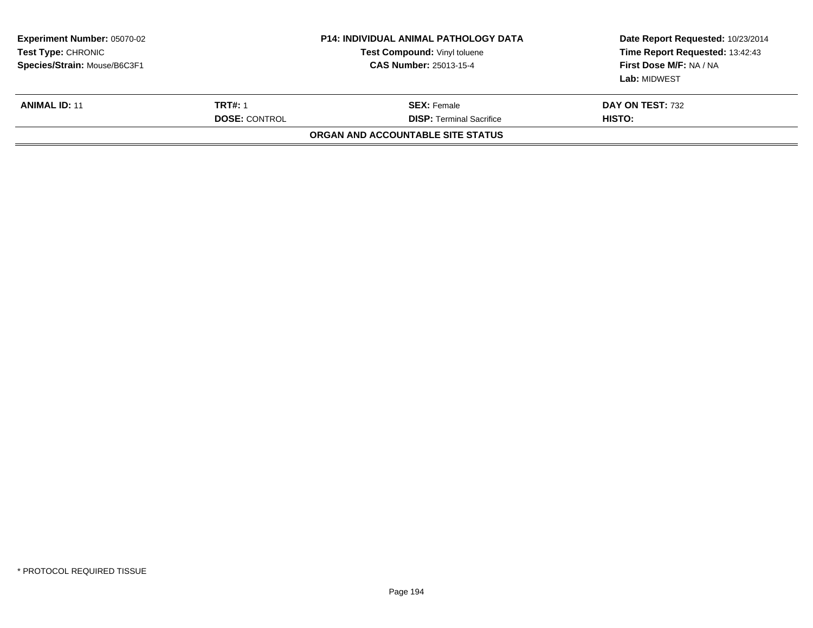| <b>Experiment Number: 05070-02</b><br><b>Test Type: CHRONIC</b><br>Species/Strain: Mouse/B6C3F1 |                                        | <b>P14: INDIVIDUAL ANIMAL PATHOLOGY DATA</b><br>Test Compound: Vinyl toluene<br><b>CAS Number: 25013-15-4</b> | Date Report Requested: 10/23/2014<br>Time Report Requested: 13:42:43<br>First Dose M/F: NA / NA<br>Lab: MIDWEST |  |
|-------------------------------------------------------------------------------------------------|----------------------------------------|---------------------------------------------------------------------------------------------------------------|-----------------------------------------------------------------------------------------------------------------|--|
| <b>ANIMAL ID: 11</b>                                                                            | <b>TRT#: 1</b><br><b>DOSE: CONTROL</b> | <b>SEX: Female</b><br><b>DISP: Terminal Sacrifice</b>                                                         | DAY ON TEST: 732<br><b>HISTO:</b>                                                                               |  |
|                                                                                                 |                                        | <b>ORGAN AND ACCOUNTABLE SITE STATUS</b>                                                                      |                                                                                                                 |  |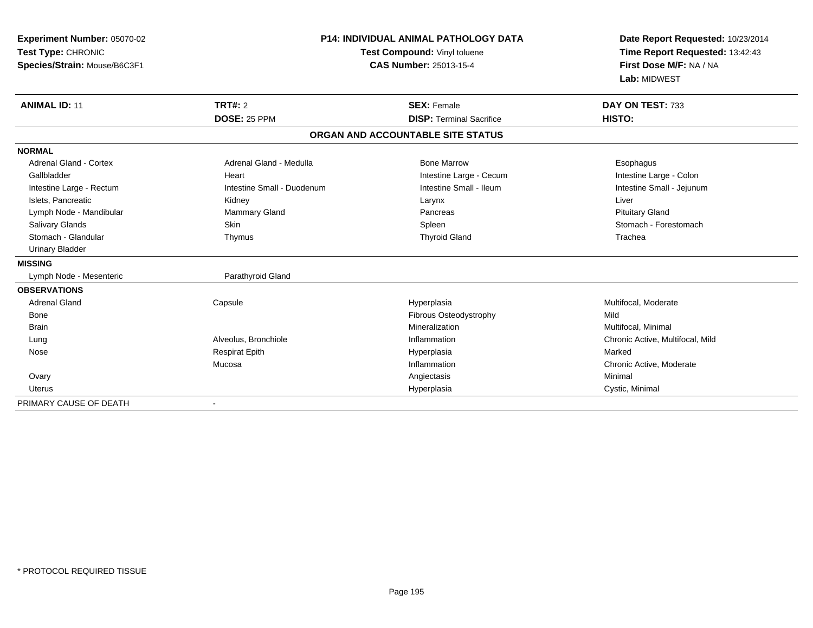| Experiment Number: 05070-02   | <b>P14: INDIVIDUAL ANIMAL PATHOLOGY DATA</b><br>Test Compound: Vinyl toluene |                                   | Date Report Requested: 10/23/2014 |  |
|-------------------------------|------------------------------------------------------------------------------|-----------------------------------|-----------------------------------|--|
| Test Type: CHRONIC            |                                                                              |                                   | Time Report Requested: 13:42:43   |  |
| Species/Strain: Mouse/B6C3F1  |                                                                              | <b>CAS Number: 25013-15-4</b>     | First Dose M/F: NA / NA           |  |
|                               |                                                                              |                                   | Lab: MIDWEST                      |  |
| <b>ANIMAL ID: 11</b>          | <b>TRT#: 2</b>                                                               | <b>SEX: Female</b>                | DAY ON TEST: 733                  |  |
|                               | DOSE: 25 PPM                                                                 | <b>DISP: Terminal Sacrifice</b>   | HISTO:                            |  |
|                               |                                                                              | ORGAN AND ACCOUNTABLE SITE STATUS |                                   |  |
| <b>NORMAL</b>                 |                                                                              |                                   |                                   |  |
| <b>Adrenal Gland - Cortex</b> | Adrenal Gland - Medulla                                                      | <b>Bone Marrow</b>                | Esophagus                         |  |
| Gallbladder                   | Heart                                                                        | Intestine Large - Cecum           | Intestine Large - Colon           |  |
| Intestine Large - Rectum      | Intestine Small - Duodenum                                                   | Intestine Small - Ileum           | Intestine Small - Jejunum         |  |
| Islets, Pancreatic            | Kidney                                                                       | Larynx                            | Liver                             |  |
| Lymph Node - Mandibular       | <b>Mammary Gland</b>                                                         | Pancreas                          | <b>Pituitary Gland</b>            |  |
| <b>Salivary Glands</b>        | Skin                                                                         | Spleen                            | Stomach - Forestomach             |  |
| Stomach - Glandular           | Thymus                                                                       | <b>Thyroid Gland</b>              | Trachea                           |  |
| <b>Urinary Bladder</b>        |                                                                              |                                   |                                   |  |
| <b>MISSING</b>                |                                                                              |                                   |                                   |  |
| Lymph Node - Mesenteric       | Parathyroid Gland                                                            |                                   |                                   |  |
| <b>OBSERVATIONS</b>           |                                                                              |                                   |                                   |  |
| <b>Adrenal Gland</b>          | Capsule                                                                      | Hyperplasia                       | Multifocal, Moderate              |  |
| <b>Bone</b>                   |                                                                              | Fibrous Osteodystrophy            | Mild                              |  |
| Brain                         |                                                                              | Mineralization                    | Multifocal, Minimal               |  |
| Lung                          | Alveolus, Bronchiole                                                         | Inflammation                      | Chronic Active, Multifocal, Mild  |  |
| Nose                          | <b>Respirat Epith</b>                                                        | Hyperplasia                       | Marked                            |  |
|                               | Mucosa                                                                       | Inflammation                      | Chronic Active, Moderate          |  |
| Ovary                         |                                                                              | Angiectasis                       | Minimal                           |  |
| <b>Uterus</b>                 |                                                                              | Hyperplasia                       | Cystic, Minimal                   |  |
| PRIMARY CAUSE OF DEATH        | $\blacksquare$                                                               |                                   |                                   |  |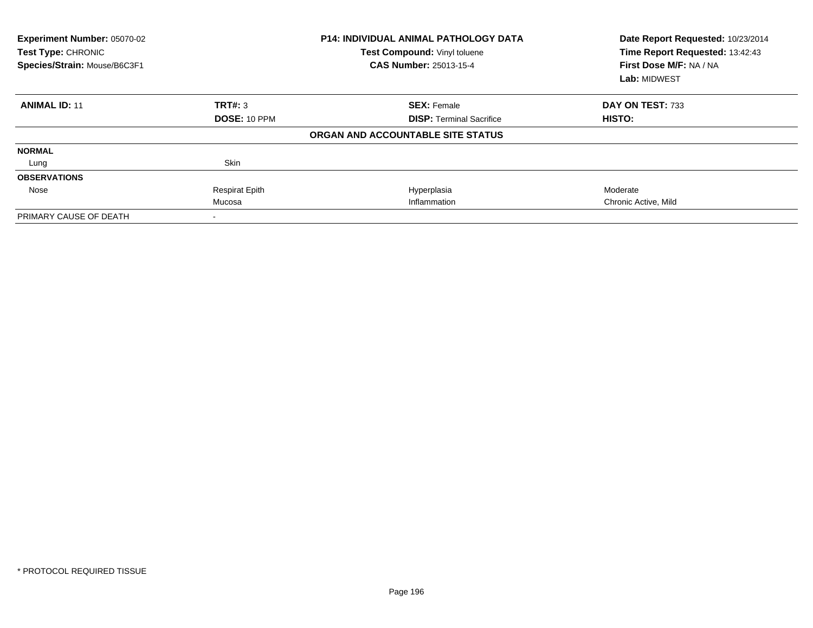| Experiment Number: 05070-02<br>Test Type: CHRONIC<br>Species/Strain: Mouse/B6C3F1 |                       | <b>P14: INDIVIDUAL ANIMAL PATHOLOGY DATA</b><br>Test Compound: Vinyl toluene<br><b>CAS Number: 25013-15-4</b> | Date Report Requested: 10/23/2014<br>Time Report Requested: 13:42:43<br>First Dose M/F: NA / NA<br>Lab: MIDWEST |
|-----------------------------------------------------------------------------------|-----------------------|---------------------------------------------------------------------------------------------------------------|-----------------------------------------------------------------------------------------------------------------|
| <b>ANIMAL ID: 11</b>                                                              | TRT#: 3               | <b>SEX: Female</b>                                                                                            | DAY ON TEST: 733                                                                                                |
|                                                                                   | DOSE: 10 PPM          | <b>DISP: Terminal Sacrifice</b>                                                                               | <b>HISTO:</b>                                                                                                   |
|                                                                                   |                       | ORGAN AND ACCOUNTABLE SITE STATUS                                                                             |                                                                                                                 |
| <b>NORMAL</b>                                                                     |                       |                                                                                                               |                                                                                                                 |
| Lung                                                                              | Skin                  |                                                                                                               |                                                                                                                 |
| <b>OBSERVATIONS</b>                                                               |                       |                                                                                                               |                                                                                                                 |
| Nose                                                                              | <b>Respirat Epith</b> | Hyperplasia                                                                                                   | Moderate                                                                                                        |
|                                                                                   | Mucosa                | Inflammation                                                                                                  | Chronic Active, Mild                                                                                            |
| PRIMARY CAUSE OF DEATH                                                            |                       |                                                                                                               |                                                                                                                 |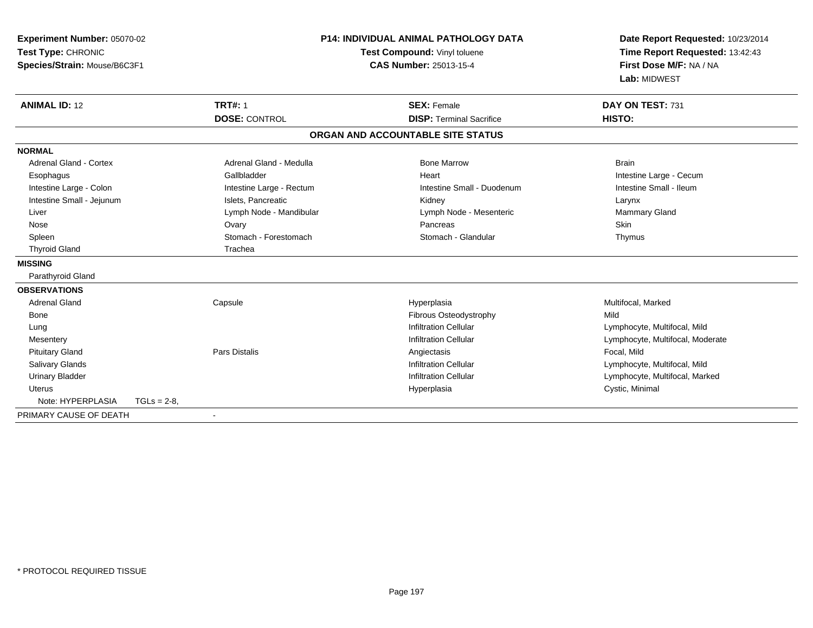| <b>Experiment Number: 05070-02</b><br>Test Type: CHRONIC<br>Species/Strain: Mouse/B6C3F1 |                          | <b>P14: INDIVIDUAL ANIMAL PATHOLOGY DATA</b><br>Test Compound: Vinyl toluene<br><b>CAS Number: 25013-15-4</b> | Date Report Requested: 10/23/2014<br>Time Report Requested: 13:42:43<br>First Dose M/F: NA / NA<br>Lab: MIDWEST |
|------------------------------------------------------------------------------------------|--------------------------|---------------------------------------------------------------------------------------------------------------|-----------------------------------------------------------------------------------------------------------------|
| <b>ANIMAL ID: 12</b>                                                                     | <b>TRT#: 1</b>           | <b>SEX: Female</b>                                                                                            | DAY ON TEST: 731                                                                                                |
|                                                                                          | <b>DOSE: CONTROL</b>     | <b>DISP: Terminal Sacrifice</b>                                                                               | HISTO:                                                                                                          |
|                                                                                          |                          | ORGAN AND ACCOUNTABLE SITE STATUS                                                                             |                                                                                                                 |
| <b>NORMAL</b>                                                                            |                          |                                                                                                               |                                                                                                                 |
| <b>Adrenal Gland - Cortex</b>                                                            | Adrenal Gland - Medulla  | <b>Bone Marrow</b>                                                                                            | <b>Brain</b>                                                                                                    |
| Esophagus                                                                                | Gallbladder              | Heart                                                                                                         | Intestine Large - Cecum                                                                                         |
| Intestine Large - Colon                                                                  | Intestine Large - Rectum | Intestine Small - Duodenum                                                                                    | Intestine Small - Ileum                                                                                         |
| Intestine Small - Jejunum                                                                | Islets, Pancreatic       | Kidney                                                                                                        | Larynx                                                                                                          |
| Liver                                                                                    | Lymph Node - Mandibular  | Lymph Node - Mesenteric                                                                                       | <b>Mammary Gland</b>                                                                                            |
| Nose                                                                                     | Ovary                    | Pancreas                                                                                                      | Skin                                                                                                            |
| Spleen                                                                                   | Stomach - Forestomach    | Stomach - Glandular                                                                                           | Thymus                                                                                                          |
| <b>Thyroid Gland</b>                                                                     | Trachea                  |                                                                                                               |                                                                                                                 |
| <b>MISSING</b>                                                                           |                          |                                                                                                               |                                                                                                                 |
| Parathyroid Gland                                                                        |                          |                                                                                                               |                                                                                                                 |
| <b>OBSERVATIONS</b>                                                                      |                          |                                                                                                               |                                                                                                                 |
| <b>Adrenal Gland</b>                                                                     | Capsule                  | Hyperplasia                                                                                                   | Multifocal, Marked                                                                                              |
| <b>Bone</b>                                                                              |                          | Fibrous Osteodystrophy                                                                                        | Mild                                                                                                            |
| Lung                                                                                     |                          | <b>Infiltration Cellular</b>                                                                                  | Lymphocyte, Multifocal, Mild                                                                                    |
| Mesentery                                                                                |                          | <b>Infiltration Cellular</b>                                                                                  | Lymphocyte, Multifocal, Moderate                                                                                |
| <b>Pituitary Gland</b>                                                                   | <b>Pars Distalis</b>     | Angiectasis                                                                                                   | Focal, Mild                                                                                                     |
| Salivary Glands                                                                          |                          | <b>Infiltration Cellular</b>                                                                                  | Lymphocyte, Multifocal, Mild                                                                                    |
| <b>Urinary Bladder</b>                                                                   |                          | <b>Infiltration Cellular</b>                                                                                  | Lymphocyte, Multifocal, Marked                                                                                  |
| <b>Uterus</b>                                                                            |                          | Hyperplasia                                                                                                   | Cystic, Minimal                                                                                                 |
| Note: HYPERPLASIA<br>$TGLs = 2-8$                                                        |                          |                                                                                                               |                                                                                                                 |
| PRIMARY CAUSE OF DEATH                                                                   |                          |                                                                                                               |                                                                                                                 |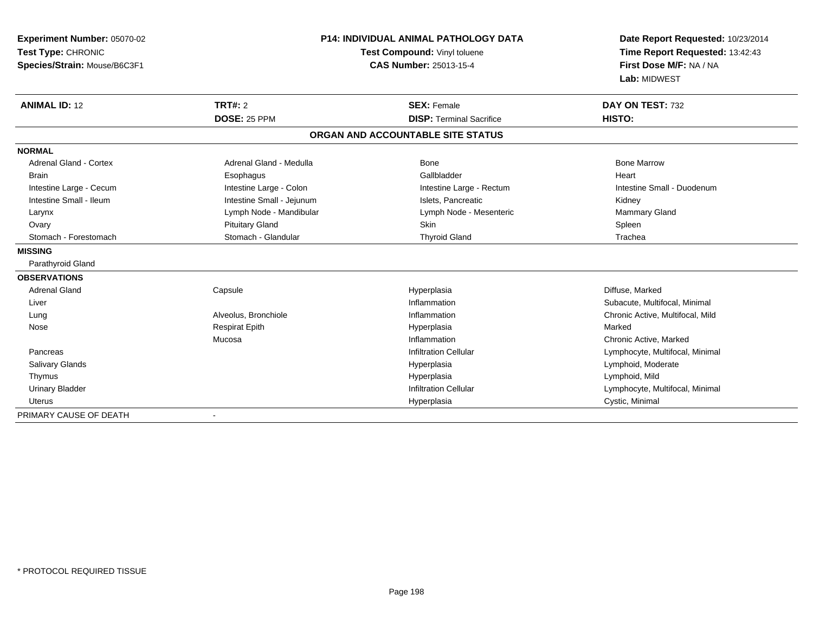| Experiment Number: 05070-02<br>Test Type: CHRONIC<br>Species/Strain: Mouse/B6C3F1<br><b>ANIMAL ID: 12</b> | <b>TRT#: 2</b>            | <b>P14: INDIVIDUAL ANIMAL PATHOLOGY DATA</b><br>Test Compound: Vinyl toluene<br><b>CAS Number: 25013-15-4</b><br><b>SEX: Female</b> |                                  |
|-----------------------------------------------------------------------------------------------------------|---------------------------|-------------------------------------------------------------------------------------------------------------------------------------|----------------------------------|
|                                                                                                           | <b>DOSE: 25 PPM</b>       | <b>DISP:</b> Terminal Sacrifice                                                                                                     | HISTO:                           |
|                                                                                                           |                           | ORGAN AND ACCOUNTABLE SITE STATUS                                                                                                   |                                  |
| <b>NORMAL</b>                                                                                             |                           |                                                                                                                                     |                                  |
| <b>Adrenal Gland - Cortex</b>                                                                             | Adrenal Gland - Medulla   | Bone                                                                                                                                | <b>Bone Marrow</b>               |
| <b>Brain</b>                                                                                              | Esophagus                 | Gallbladder                                                                                                                         | Heart                            |
| Intestine Large - Cecum                                                                                   | Intestine Large - Colon   | Intestine Large - Rectum                                                                                                            | Intestine Small - Duodenum       |
| Intestine Small - Ileum                                                                                   | Intestine Small - Jejunum | Islets. Pancreatic                                                                                                                  | Kidney                           |
| Larynx                                                                                                    | Lymph Node - Mandibular   | Lymph Node - Mesenteric                                                                                                             | Mammary Gland                    |
| Ovary                                                                                                     | <b>Pituitary Gland</b>    | <b>Skin</b>                                                                                                                         | Spleen                           |
| Stomach - Forestomach                                                                                     | Stomach - Glandular       | <b>Thyroid Gland</b>                                                                                                                | Trachea                          |
| <b>MISSING</b>                                                                                            |                           |                                                                                                                                     |                                  |
| Parathyroid Gland                                                                                         |                           |                                                                                                                                     |                                  |
| <b>OBSERVATIONS</b>                                                                                       |                           |                                                                                                                                     |                                  |
| <b>Adrenal Gland</b>                                                                                      | Capsule                   | Hyperplasia                                                                                                                         | Diffuse, Marked                  |
| Liver                                                                                                     |                           | Inflammation                                                                                                                        | Subacute, Multifocal, Minimal    |
| Lung                                                                                                      | Alveolus, Bronchiole      | Inflammation                                                                                                                        | Chronic Active, Multifocal, Mild |
| Nose                                                                                                      | <b>Respirat Epith</b>     | Hyperplasia                                                                                                                         | Marked                           |
|                                                                                                           | Mucosa                    | Inflammation                                                                                                                        | Chronic Active, Marked           |
| Pancreas                                                                                                  |                           | <b>Infiltration Cellular</b>                                                                                                        | Lymphocyte, Multifocal, Minimal  |
| <b>Salivary Glands</b>                                                                                    |                           | Hyperplasia                                                                                                                         | Lymphoid, Moderate               |
| Thymus                                                                                                    |                           | Hyperplasia                                                                                                                         | Lymphoid, Mild                   |
| <b>Urinary Bladder</b>                                                                                    |                           | <b>Infiltration Cellular</b>                                                                                                        | Lymphocyte, Multifocal, Minimal  |
| <b>Uterus</b>                                                                                             |                           | Hyperplasia                                                                                                                         | Cystic, Minimal                  |
| PRIMARY CAUSE OF DEATH                                                                                    |                           |                                                                                                                                     |                                  |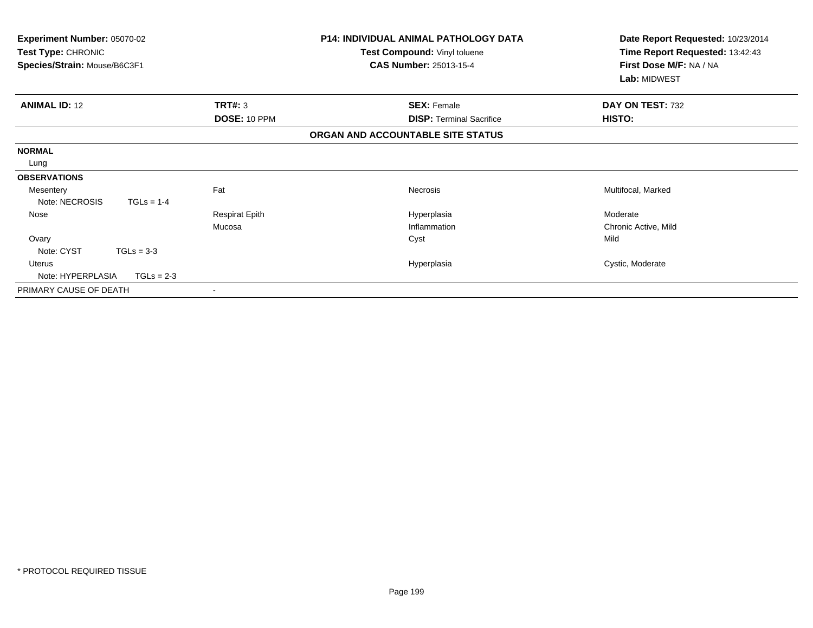| <b>Experiment Number: 05070-02</b><br>Test Type: CHRONIC<br>Species/Strain: Mouse/B6C3F1 |                                                   | <b>P14: INDIVIDUAL ANIMAL PATHOLOGY DATA</b><br>Test Compound: Vinyl toluene<br><b>CAS Number: 25013-15-4</b> | Date Report Requested: 10/23/2014<br>Time Report Requested: 13:42:43<br>First Dose M/F: NA / NA<br>Lab: MIDWEST |
|------------------------------------------------------------------------------------------|---------------------------------------------------|---------------------------------------------------------------------------------------------------------------|-----------------------------------------------------------------------------------------------------------------|
| <b>ANIMAL ID: 12</b>                                                                     | <b>TRT#: 3</b>                                    | <b>SEX: Female</b>                                                                                            | DAY ON TEST: 732                                                                                                |
|                                                                                          | DOSE: 10 PPM<br>ORGAN AND ACCOUNTABLE SITE STATUS | <b>DISP:</b> Terminal Sacrifice                                                                               | HISTO:                                                                                                          |
|                                                                                          |                                                   |                                                                                                               |                                                                                                                 |
| <b>NORMAL</b>                                                                            |                                                   |                                                                                                               |                                                                                                                 |
| Lung                                                                                     |                                                   |                                                                                                               |                                                                                                                 |
| <b>OBSERVATIONS</b>                                                                      |                                                   |                                                                                                               |                                                                                                                 |
| Fat<br>Mesentery                                                                         |                                                   | Necrosis                                                                                                      | Multifocal, Marked                                                                                              |
| Note: NECROSIS<br>$TGLs = 1-4$                                                           |                                                   |                                                                                                               |                                                                                                                 |
| Nose                                                                                     | <b>Respirat Epith</b>                             | Hyperplasia                                                                                                   | Moderate                                                                                                        |
|                                                                                          | Mucosa                                            | Inflammation                                                                                                  | Chronic Active, Mild                                                                                            |
| Ovary                                                                                    |                                                   | Cyst                                                                                                          | Mild                                                                                                            |
| Note: CYST<br>$TGLs = 3-3$                                                               |                                                   |                                                                                                               |                                                                                                                 |
| <b>Uterus</b>                                                                            |                                                   | Hyperplasia                                                                                                   | Cystic, Moderate                                                                                                |
| Note: HYPERPLASIA<br>$TGLs = 2-3$                                                        |                                                   |                                                                                                               |                                                                                                                 |
| PRIMARY CAUSE OF DEATH                                                                   |                                                   |                                                                                                               |                                                                                                                 |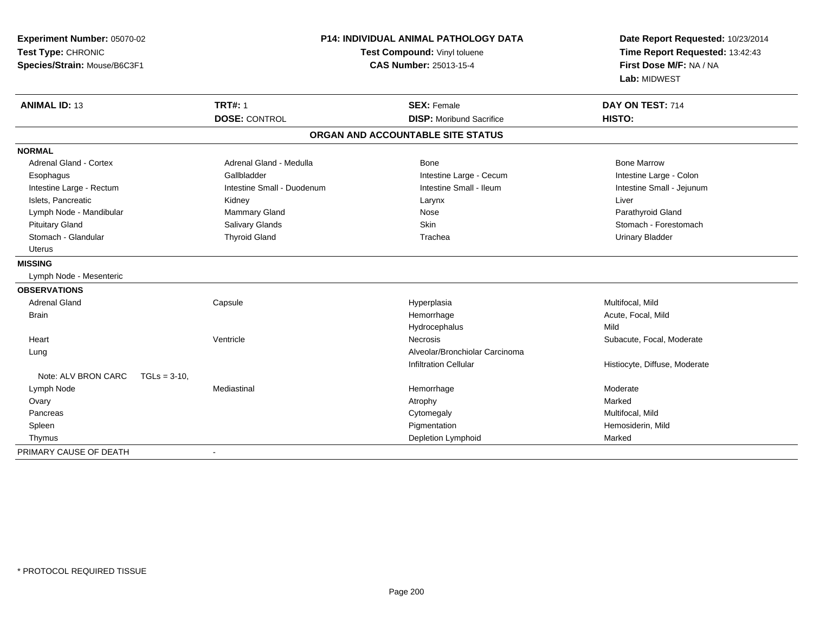| Experiment Number: 05070-02<br>Test Type: CHRONIC<br>Species/Strain: Mouse/B6C3F1 |                            | P14: INDIVIDUAL ANIMAL PATHOLOGY DATA<br>Test Compound: Vinyl toluene<br><b>CAS Number: 25013-15-4</b> |                               |
|-----------------------------------------------------------------------------------|----------------------------|--------------------------------------------------------------------------------------------------------|-------------------------------|
| <b>ANIMAL ID: 13</b>                                                              | <b>TRT#: 1</b>             | <b>SEX: Female</b>                                                                                     | DAY ON TEST: 714              |
|                                                                                   | <b>DOSE: CONTROL</b>       | <b>DISP:</b> Moribund Sacrifice                                                                        | HISTO:                        |
|                                                                                   |                            | ORGAN AND ACCOUNTABLE SITE STATUS                                                                      |                               |
| <b>NORMAL</b>                                                                     |                            |                                                                                                        |                               |
| <b>Adrenal Gland - Cortex</b>                                                     | Adrenal Gland - Medulla    | <b>Bone</b>                                                                                            | <b>Bone Marrow</b>            |
| Esophagus                                                                         | Gallbladder                | Intestine Large - Cecum                                                                                | Intestine Large - Colon       |
| Intestine Large - Rectum                                                          | Intestine Small - Duodenum | Intestine Small - Ileum                                                                                | Intestine Small - Jejunum     |
| Islets, Pancreatic                                                                | Kidney                     | Larynx                                                                                                 | Liver                         |
| Lymph Node - Mandibular                                                           | Mammary Gland              | Nose                                                                                                   | Parathyroid Gland             |
| <b>Pituitary Gland</b>                                                            | <b>Salivary Glands</b>     | Skin                                                                                                   | Stomach - Forestomach         |
| Stomach - Glandular                                                               | <b>Thyroid Gland</b>       | Trachea                                                                                                | <b>Urinary Bladder</b>        |
| <b>Uterus</b>                                                                     |                            |                                                                                                        |                               |
| <b>MISSING</b>                                                                    |                            |                                                                                                        |                               |
| Lymph Node - Mesenteric                                                           |                            |                                                                                                        |                               |
| <b>OBSERVATIONS</b>                                                               |                            |                                                                                                        |                               |
| <b>Adrenal Gland</b>                                                              | Capsule                    | Hyperplasia                                                                                            | Multifocal, Mild              |
| <b>Brain</b>                                                                      |                            | Hemorrhage                                                                                             | Acute, Focal, Mild            |
|                                                                                   |                            | Hydrocephalus                                                                                          | Mild                          |
| Heart                                                                             | Ventricle                  | Necrosis                                                                                               | Subacute, Focal, Moderate     |
| Lung                                                                              |                            | Alveolar/Bronchiolar Carcinoma                                                                         |                               |
|                                                                                   |                            | <b>Infiltration Cellular</b>                                                                           | Histiocyte, Diffuse, Moderate |
| Note: ALV BRON CARC                                                               | $TGLs = 3-10,$             |                                                                                                        |                               |
| Lymph Node                                                                        | Mediastinal                | Hemorrhage                                                                                             | Moderate                      |
| Ovary                                                                             |                            | Atrophy                                                                                                | Marked                        |
| Pancreas                                                                          |                            | Cytomegaly                                                                                             | Multifocal, Mild              |
| Spleen                                                                            |                            | Pigmentation                                                                                           | Hemosiderin, Mild             |
| Thymus                                                                            |                            | Depletion Lymphoid                                                                                     | Marked                        |
| PRIMARY CAUSE OF DEATH                                                            | $\blacksquare$             |                                                                                                        |                               |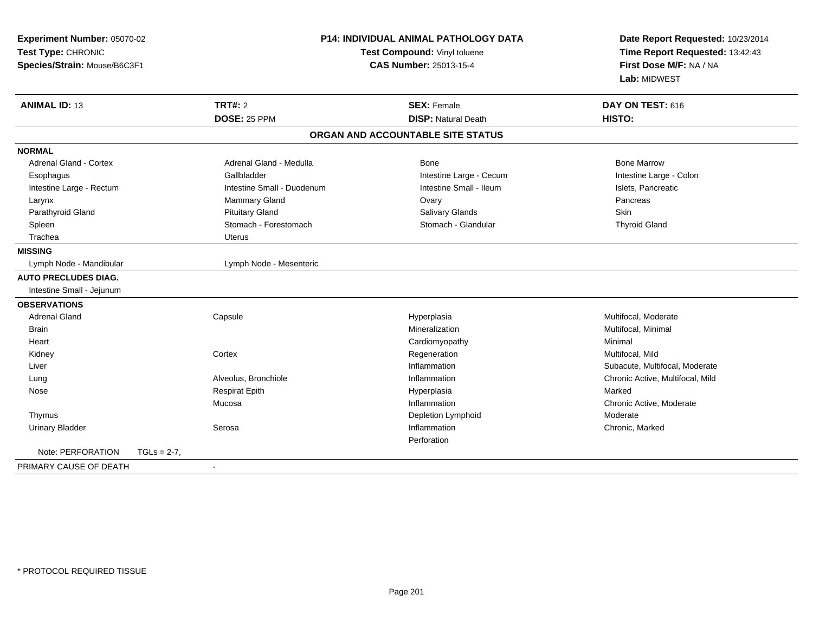| Experiment Number: 05070-02       | <b>P14: INDIVIDUAL ANIMAL PATHOLOGY DATA</b><br>Test Compound: Vinyl toluene |                                   | Date Report Requested: 10/23/2014<br>Time Report Requested: 13:42:43 |
|-----------------------------------|------------------------------------------------------------------------------|-----------------------------------|----------------------------------------------------------------------|
| Test Type: CHRONIC                |                                                                              |                                   |                                                                      |
| Species/Strain: Mouse/B6C3F1      |                                                                              | CAS Number: 25013-15-4            | First Dose M/F: NA / NA                                              |
|                                   |                                                                              |                                   | Lab: MIDWEST                                                         |
| <b>ANIMAL ID: 13</b>              | <b>TRT#: 2</b>                                                               | <b>SEX: Female</b>                | DAY ON TEST: 616                                                     |
|                                   | <b>DOSE: 25 PPM</b>                                                          | <b>DISP: Natural Death</b>        | HISTO:                                                               |
|                                   |                                                                              | ORGAN AND ACCOUNTABLE SITE STATUS |                                                                      |
| <b>NORMAL</b>                     |                                                                              |                                   |                                                                      |
| <b>Adrenal Gland - Cortex</b>     | Adrenal Gland - Medulla                                                      | <b>Bone</b>                       | <b>Bone Marrow</b>                                                   |
| Esophagus                         | Gallbladder                                                                  | Intestine Large - Cecum           | Intestine Large - Colon                                              |
| Intestine Large - Rectum          | Intestine Small - Duodenum                                                   | Intestine Small - Ileum           | Islets, Pancreatic                                                   |
| Larynx                            | <b>Mammary Gland</b>                                                         | Ovary                             | Pancreas                                                             |
| Parathyroid Gland                 | <b>Pituitary Gland</b>                                                       | Salivary Glands                   | Skin                                                                 |
| Spleen                            | Stomach - Forestomach                                                        | Stomach - Glandular               | <b>Thyroid Gland</b>                                                 |
| Trachea                           | <b>Uterus</b>                                                                |                                   |                                                                      |
| <b>MISSING</b>                    |                                                                              |                                   |                                                                      |
| Lymph Node - Mandibular           | Lymph Node - Mesenteric                                                      |                                   |                                                                      |
| <b>AUTO PRECLUDES DIAG.</b>       |                                                                              |                                   |                                                                      |
| Intestine Small - Jejunum         |                                                                              |                                   |                                                                      |
| <b>OBSERVATIONS</b>               |                                                                              |                                   |                                                                      |
| <b>Adrenal Gland</b>              | Capsule                                                                      | Hyperplasia                       | Multifocal, Moderate                                                 |
| <b>Brain</b>                      |                                                                              | Mineralization                    | Multifocal, Minimal                                                  |
| Heart                             |                                                                              | Cardiomyopathy                    | Minimal                                                              |
| Cortex<br>Kidney                  |                                                                              | Regeneration                      | Multifocal. Mild                                                     |
| Liver                             |                                                                              | Inflammation                      | Subacute, Multifocal, Moderate                                       |
| Lung                              | Alveolus, Bronchiole                                                         | Inflammation                      | Chronic Active, Multifocal, Mild                                     |
| Nose                              | <b>Respirat Epith</b>                                                        | Hyperplasia                       | Marked                                                               |
|                                   | Mucosa                                                                       | Inflammation                      | Chronic Active, Moderate                                             |
| Thymus                            |                                                                              | Depletion Lymphoid                | Moderate                                                             |
| <b>Urinary Bladder</b><br>Serosa  |                                                                              | Inflammation                      | Chronic, Marked                                                      |
|                                   |                                                                              | Perforation                       |                                                                      |
| Note: PERFORATION<br>$TGLs = 2-7$ |                                                                              |                                   |                                                                      |
| PRIMARY CAUSE OF DEATH            |                                                                              |                                   |                                                                      |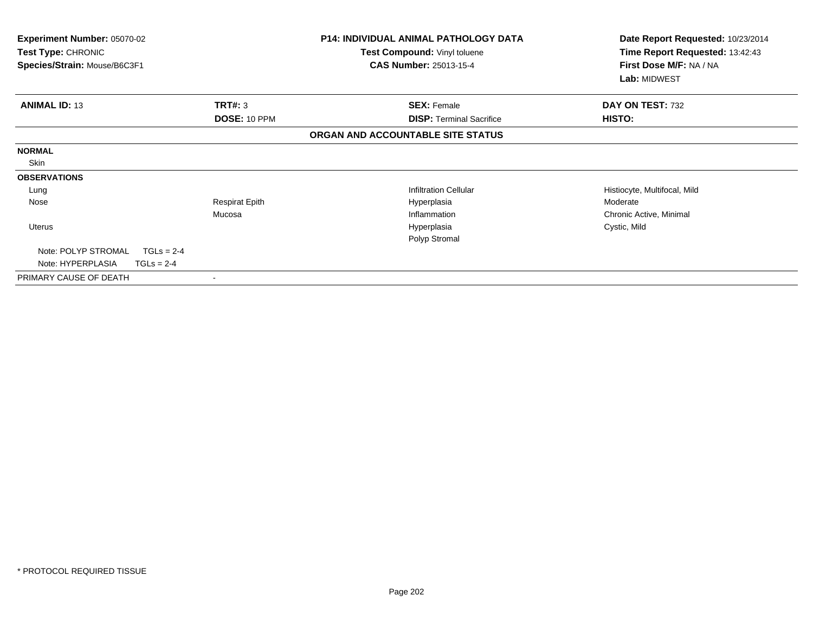| <b>Experiment Number: 05070-02</b><br><b>Test Type: CHRONIC</b><br>Species/Strain: Mouse/B6C3F1 |                       | <b>P14: INDIVIDUAL ANIMAL PATHOLOGY DATA</b><br><b>Test Compound: Vinyl toluene</b><br><b>CAS Number: 25013-15-4</b> | Date Report Requested: 10/23/2014<br>Time Report Requested: 13:42:43<br>First Dose M/F: NA / NA |
|-------------------------------------------------------------------------------------------------|-----------------------|----------------------------------------------------------------------------------------------------------------------|-------------------------------------------------------------------------------------------------|
|                                                                                                 |                       |                                                                                                                      | Lab: MIDWEST                                                                                    |
| <b>ANIMAL ID: 13</b>                                                                            | TRT#: 3               | <b>SEX: Female</b>                                                                                                   | DAY ON TEST: 732                                                                                |
|                                                                                                 | <b>DOSE: 10 PPM</b>   | <b>DISP: Terminal Sacrifice</b>                                                                                      | HISTO:                                                                                          |
|                                                                                                 |                       | ORGAN AND ACCOUNTABLE SITE STATUS                                                                                    |                                                                                                 |
| <b>NORMAL</b>                                                                                   |                       |                                                                                                                      |                                                                                                 |
| Skin                                                                                            |                       |                                                                                                                      |                                                                                                 |
| <b>OBSERVATIONS</b>                                                                             |                       |                                                                                                                      |                                                                                                 |
| Lung                                                                                            |                       | <b>Infiltration Cellular</b>                                                                                         | Histiocyte, Multifocal, Mild                                                                    |
| Nose                                                                                            | <b>Respirat Epith</b> | Hyperplasia                                                                                                          | Moderate                                                                                        |
|                                                                                                 | Mucosa                | Inflammation                                                                                                         | Chronic Active, Minimal                                                                         |
| <b>Uterus</b>                                                                                   |                       | Hyperplasia                                                                                                          | Cystic, Mild                                                                                    |
|                                                                                                 |                       | Polyp Stromal                                                                                                        |                                                                                                 |
| Note: POLYP STROMAL<br>$TGLs = 2-4$                                                             |                       |                                                                                                                      |                                                                                                 |
| Note: HYPERPLASIA<br>$TGLs = 2-4$                                                               |                       |                                                                                                                      |                                                                                                 |
| PRIMARY CAUSE OF DEATH                                                                          |                       |                                                                                                                      |                                                                                                 |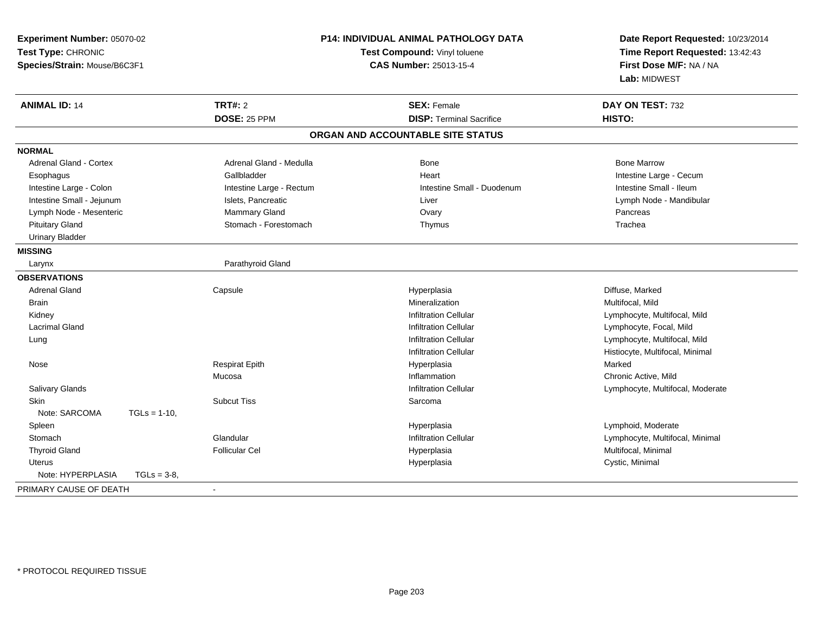| Experiment Number: 05070-02<br>Test Type: CHRONIC<br>Species/Strain: Mouse/B6C3F1 | P14: INDIVIDUAL ANIMAL PATHOLOGY DATA<br>Test Compound: Vinyl toluene<br><b>CAS Number: 25013-15-4</b> |                                   | Date Report Requested: 10/23/2014<br>Time Report Requested: 13:42:43<br>First Dose M/F: NA / NA<br>Lab: MIDWEST |
|-----------------------------------------------------------------------------------|--------------------------------------------------------------------------------------------------------|-----------------------------------|-----------------------------------------------------------------------------------------------------------------|
| <b>ANIMAL ID: 14</b>                                                              | <b>TRT#: 2</b>                                                                                         | <b>SEX: Female</b>                | DAY ON TEST: 732                                                                                                |
|                                                                                   | <b>DOSE: 25 PPM</b>                                                                                    | <b>DISP: Terminal Sacrifice</b>   | HISTO:                                                                                                          |
|                                                                                   |                                                                                                        | ORGAN AND ACCOUNTABLE SITE STATUS |                                                                                                                 |
| <b>NORMAL</b>                                                                     |                                                                                                        |                                   |                                                                                                                 |
| <b>Adrenal Gland - Cortex</b>                                                     | Adrenal Gland - Medulla                                                                                | Bone                              | <b>Bone Marrow</b>                                                                                              |
| Esophagus                                                                         | Gallbladder                                                                                            | Heart                             | Intestine Large - Cecum                                                                                         |
| Intestine Large - Colon                                                           | Intestine Large - Rectum                                                                               | Intestine Small - Duodenum        | Intestine Small - Ileum                                                                                         |
| Intestine Small - Jejunum                                                         | Islets, Pancreatic                                                                                     | Liver                             | Lymph Node - Mandibular                                                                                         |
| Lymph Node - Mesenteric                                                           | Mammary Gland                                                                                          | Ovary                             | Pancreas                                                                                                        |
| <b>Pituitary Gland</b>                                                            | Stomach - Forestomach                                                                                  | Thymus                            | Trachea                                                                                                         |
| <b>Urinary Bladder</b>                                                            |                                                                                                        |                                   |                                                                                                                 |
| <b>MISSING</b>                                                                    |                                                                                                        |                                   |                                                                                                                 |
| Larynx                                                                            | Parathyroid Gland                                                                                      |                                   |                                                                                                                 |
| <b>OBSERVATIONS</b>                                                               |                                                                                                        |                                   |                                                                                                                 |
| <b>Adrenal Gland</b>                                                              | Capsule                                                                                                | Hyperplasia                       | Diffuse, Marked                                                                                                 |
| <b>Brain</b>                                                                      |                                                                                                        | Mineralization                    | Multifocal, Mild                                                                                                |
| Kidney                                                                            |                                                                                                        | <b>Infiltration Cellular</b>      | Lymphocyte, Multifocal, Mild                                                                                    |
| Lacrimal Gland                                                                    |                                                                                                        | <b>Infiltration Cellular</b>      | Lymphocyte, Focal, Mild                                                                                         |
| Lung                                                                              |                                                                                                        | <b>Infiltration Cellular</b>      | Lymphocyte, Multifocal, Mild                                                                                    |
|                                                                                   |                                                                                                        | <b>Infiltration Cellular</b>      | Histiocyte, Multifocal, Minimal                                                                                 |
| Nose                                                                              | <b>Respirat Epith</b>                                                                                  | Hyperplasia                       | Marked                                                                                                          |
|                                                                                   | Mucosa                                                                                                 | Inflammation                      | Chronic Active, Mild                                                                                            |
| Salivary Glands                                                                   |                                                                                                        | <b>Infiltration Cellular</b>      | Lymphocyte, Multifocal, Moderate                                                                                |
| <b>Skin</b>                                                                       | <b>Subcut Tiss</b>                                                                                     | Sarcoma                           |                                                                                                                 |
| Note: SARCOMA<br>$TGLs = 1-10$ ,                                                  |                                                                                                        |                                   |                                                                                                                 |
| Spleen                                                                            |                                                                                                        | Hyperplasia                       | Lymphoid, Moderate                                                                                              |
| Stomach                                                                           | Glandular                                                                                              | <b>Infiltration Cellular</b>      | Lymphocyte, Multifocal, Minimal                                                                                 |
| <b>Thyroid Gland</b>                                                              | <b>Follicular Cel</b>                                                                                  | Hyperplasia                       | Multifocal, Minimal                                                                                             |
| Uterus                                                                            |                                                                                                        | Hyperplasia                       | Cystic, Minimal                                                                                                 |
| Note: HYPERPLASIA<br>$TGLs = 3-8,$                                                |                                                                                                        |                                   |                                                                                                                 |
| PRIMARY CAUSE OF DEATH                                                            |                                                                                                        |                                   |                                                                                                                 |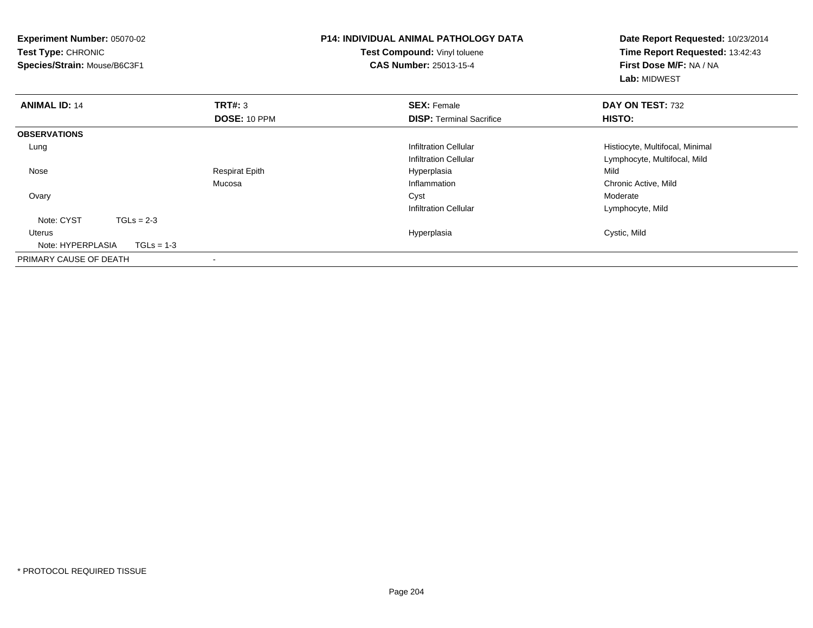| <b>Experiment Number: 05070-02</b><br><b>Test Type: CHRONIC</b><br>Species/Strain: Mouse/B6C3F1 | <b>P14: INDIVIDUAL ANIMAL PATHOLOGY DATA</b><br><b>Test Compound: Vinyl toluene</b><br><b>CAS Number: 25013-15-4</b> | Date Report Requested: 10/23/2014<br>Time Report Requested: 13:42:43<br>First Dose M/F: NA / NA |  |
|-------------------------------------------------------------------------------------------------|----------------------------------------------------------------------------------------------------------------------|-------------------------------------------------------------------------------------------------|--|
|                                                                                                 |                                                                                                                      | Lab: MIDWEST                                                                                    |  |
| <b>ANIMAL ID: 14</b><br><b>TRT#: 3</b>                                                          | <b>SEX: Female</b>                                                                                                   | DAY ON TEST: 732                                                                                |  |
| DOSE: 10 PPM                                                                                    | <b>DISP:</b> Terminal Sacrifice                                                                                      | HISTO:                                                                                          |  |
| <b>OBSERVATIONS</b>                                                                             |                                                                                                                      |                                                                                                 |  |
| Lung                                                                                            | <b>Infiltration Cellular</b>                                                                                         | Histiocyte, Multifocal, Minimal                                                                 |  |
|                                                                                                 | <b>Infiltration Cellular</b>                                                                                         | Lymphocyte, Multifocal, Mild                                                                    |  |
| <b>Respirat Epith</b><br>Nose                                                                   | Hyperplasia                                                                                                          | Mild                                                                                            |  |
| Mucosa                                                                                          | Inflammation                                                                                                         | Chronic Active, Mild                                                                            |  |
| Ovary                                                                                           | Cyst                                                                                                                 | Moderate                                                                                        |  |
|                                                                                                 | <b>Infiltration Cellular</b>                                                                                         | Lymphocyte, Mild                                                                                |  |
| Note: CYST<br>$TGLs = 2-3$                                                                      |                                                                                                                      |                                                                                                 |  |
| <b>Uterus</b>                                                                                   | Hyperplasia                                                                                                          | Cystic, Mild                                                                                    |  |
| Note: HYPERPLASIA<br>$TGLs = 1-3$                                                               |                                                                                                                      |                                                                                                 |  |
| PRIMARY CAUSE OF DEATH                                                                          |                                                                                                                      |                                                                                                 |  |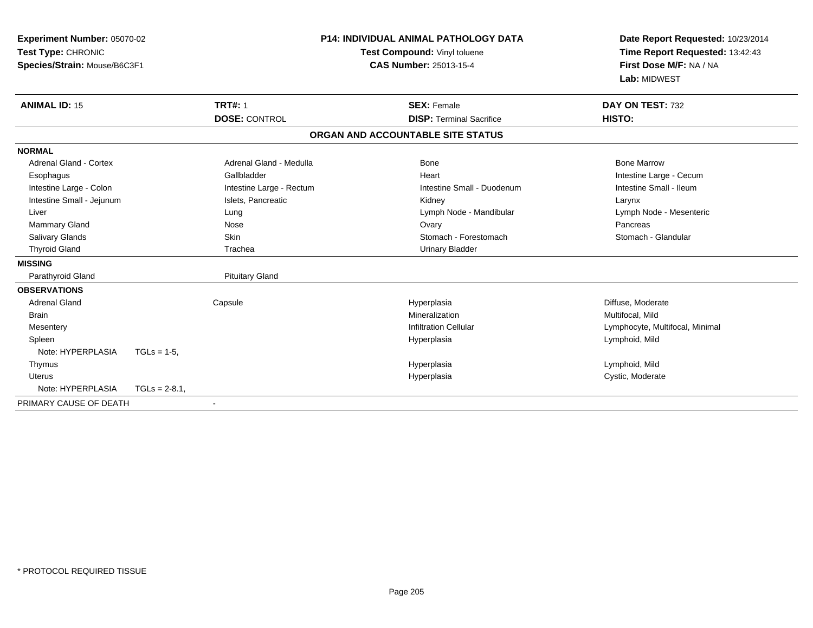| Experiment Number: 05070-02<br>Test Type: CHRONIC<br>Species/Strain: Mouse/B6C3F1<br><b>TRT#: 1</b><br><b>ANIMAL ID: 15</b> |                  | <b>P14: INDIVIDUAL ANIMAL PATHOLOGY DATA</b><br>Test Compound: Vinyl toluene<br><b>CAS Number: 25013-15-4</b><br><b>SEX: Female</b> |  | Date Report Requested: 10/23/2014<br>Time Report Requested: 13:42:43<br>First Dose M/F: NA / NA<br>Lab: MIDWEST<br>DAY ON TEST: 732 |                                 |  |
|-----------------------------------------------------------------------------------------------------------------------------|------------------|-------------------------------------------------------------------------------------------------------------------------------------|--|-------------------------------------------------------------------------------------------------------------------------------------|---------------------------------|--|
|                                                                                                                             |                  | <b>DOSE: CONTROL</b>                                                                                                                |  | <b>DISP: Terminal Sacrifice</b>                                                                                                     | HISTO:                          |  |
|                                                                                                                             |                  |                                                                                                                                     |  | ORGAN AND ACCOUNTABLE SITE STATUS                                                                                                   |                                 |  |
| <b>NORMAL</b>                                                                                                               |                  |                                                                                                                                     |  |                                                                                                                                     |                                 |  |
| Adrenal Gland - Cortex                                                                                                      |                  | Adrenal Gland - Medulla                                                                                                             |  | Bone                                                                                                                                | <b>Bone Marrow</b>              |  |
| Esophagus                                                                                                                   |                  | Gallbladder                                                                                                                         |  | Heart                                                                                                                               | Intestine Large - Cecum         |  |
| Intestine Large - Colon                                                                                                     |                  | Intestine Large - Rectum                                                                                                            |  | Intestine Small - Duodenum                                                                                                          | Intestine Small - Ileum         |  |
| Intestine Small - Jejunum                                                                                                   |                  | Islets, Pancreatic                                                                                                                  |  | Kidney                                                                                                                              | Larynx                          |  |
| Liver                                                                                                                       |                  | Lung                                                                                                                                |  | Lymph Node - Mandibular                                                                                                             | Lymph Node - Mesenteric         |  |
| <b>Mammary Gland</b>                                                                                                        |                  | Nose                                                                                                                                |  | Ovary                                                                                                                               | Pancreas                        |  |
| Salivary Glands                                                                                                             |                  | <b>Skin</b>                                                                                                                         |  | Stomach - Forestomach                                                                                                               | Stomach - Glandular             |  |
| <b>Thyroid Gland</b>                                                                                                        |                  | Trachea                                                                                                                             |  | <b>Urinary Bladder</b>                                                                                                              |                                 |  |
| <b>MISSING</b>                                                                                                              |                  |                                                                                                                                     |  |                                                                                                                                     |                                 |  |
| Parathyroid Gland                                                                                                           |                  | <b>Pituitary Gland</b>                                                                                                              |  |                                                                                                                                     |                                 |  |
| <b>OBSERVATIONS</b>                                                                                                         |                  |                                                                                                                                     |  |                                                                                                                                     |                                 |  |
| <b>Adrenal Gland</b>                                                                                                        |                  | Capsule                                                                                                                             |  | Hyperplasia                                                                                                                         | Diffuse, Moderate               |  |
| <b>Brain</b>                                                                                                                |                  |                                                                                                                                     |  | Mineralization                                                                                                                      | Multifocal, Mild                |  |
| Mesentery                                                                                                                   |                  |                                                                                                                                     |  | <b>Infiltration Cellular</b>                                                                                                        | Lymphocyte, Multifocal, Minimal |  |
| Spleen                                                                                                                      |                  |                                                                                                                                     |  | Hyperplasia                                                                                                                         | Lymphoid, Mild                  |  |
| Note: HYPERPLASIA                                                                                                           | $TGLs = 1-5$ ,   |                                                                                                                                     |  |                                                                                                                                     |                                 |  |
| Thymus                                                                                                                      |                  |                                                                                                                                     |  | Hyperplasia                                                                                                                         | Lymphoid, Mild                  |  |
| <b>Uterus</b>                                                                                                               |                  |                                                                                                                                     |  | Hyperplasia                                                                                                                         | Cystic, Moderate                |  |
| Note: HYPERPLASIA                                                                                                           | $TGLs = 2-8.1$ , |                                                                                                                                     |  |                                                                                                                                     |                                 |  |
| PRIMARY CAUSE OF DEATH                                                                                                      |                  |                                                                                                                                     |  |                                                                                                                                     |                                 |  |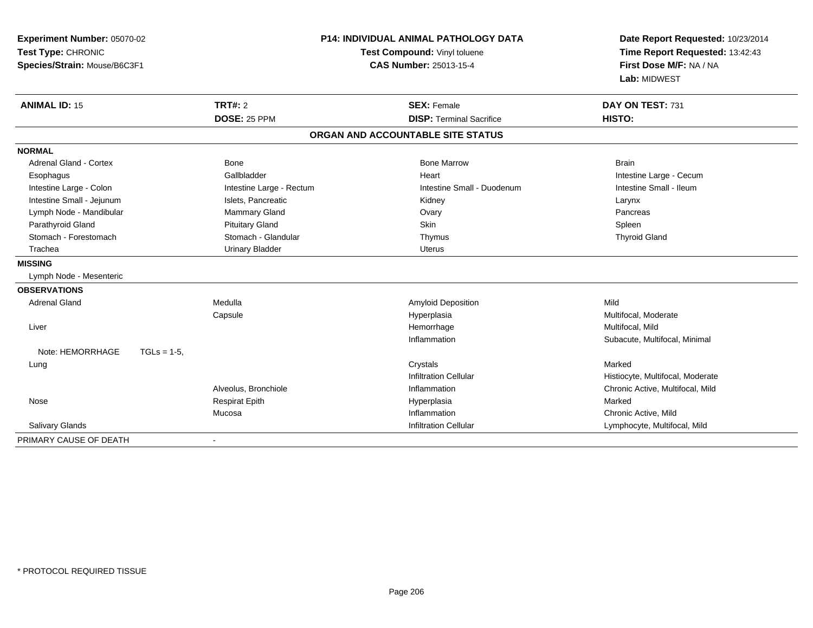| Experiment Number: 05070-02<br>Test Type: CHRONIC<br>Species/Strain: Mouse/B6C3F1 |                          | P14: INDIVIDUAL ANIMAL PATHOLOGY DATA<br>Test Compound: Vinyl toluene<br><b>CAS Number: 25013-15-4</b> | Date Report Requested: 10/23/2014<br>Time Report Requested: 13:42:43<br>First Dose M/F: NA / NA<br>Lab: MIDWEST |  |
|-----------------------------------------------------------------------------------|--------------------------|--------------------------------------------------------------------------------------------------------|-----------------------------------------------------------------------------------------------------------------|--|
| <b>ANIMAL ID: 15</b>                                                              | TRT#: 2                  | <b>SEX: Female</b>                                                                                     | DAY ON TEST: 731                                                                                                |  |
|                                                                                   | <b>DOSE: 25 PPM</b>      | <b>DISP: Terminal Sacrifice</b>                                                                        | HISTO:                                                                                                          |  |
|                                                                                   |                          | ORGAN AND ACCOUNTABLE SITE STATUS                                                                      |                                                                                                                 |  |
| <b>NORMAL</b>                                                                     |                          |                                                                                                        |                                                                                                                 |  |
| <b>Adrenal Gland - Cortex</b>                                                     | <b>Bone</b>              | <b>Bone Marrow</b>                                                                                     | <b>Brain</b>                                                                                                    |  |
| Esophagus                                                                         | Gallbladder              | Heart                                                                                                  | Intestine Large - Cecum                                                                                         |  |
| Intestine Large - Colon                                                           | Intestine Large - Rectum | Intestine Small - Duodenum                                                                             | Intestine Small - Ileum                                                                                         |  |
| Intestine Small - Jejunum                                                         | Islets, Pancreatic       | Kidney                                                                                                 | Larynx                                                                                                          |  |
| Lymph Node - Mandibular                                                           | Mammary Gland            | Ovary                                                                                                  | Pancreas                                                                                                        |  |
| Parathyroid Gland                                                                 | <b>Pituitary Gland</b>   | Skin                                                                                                   | Spleen                                                                                                          |  |
| Stomach - Forestomach                                                             | Stomach - Glandular      | Thymus                                                                                                 | <b>Thyroid Gland</b>                                                                                            |  |
| Trachea                                                                           | <b>Urinary Bladder</b>   | <b>Uterus</b>                                                                                          |                                                                                                                 |  |
| <b>MISSING</b>                                                                    |                          |                                                                                                        |                                                                                                                 |  |
| Lymph Node - Mesenteric                                                           |                          |                                                                                                        |                                                                                                                 |  |
| <b>OBSERVATIONS</b>                                                               |                          |                                                                                                        |                                                                                                                 |  |
| <b>Adrenal Gland</b>                                                              | Medulla                  | <b>Amyloid Deposition</b>                                                                              | Mild                                                                                                            |  |
|                                                                                   | Capsule                  | Hyperplasia                                                                                            | Multifocal, Moderate                                                                                            |  |
| Liver                                                                             |                          | Hemorrhage                                                                                             | Multifocal, Mild                                                                                                |  |
|                                                                                   |                          | Inflammation                                                                                           | Subacute, Multifocal, Minimal                                                                                   |  |
| Note: HEMORRHAGE<br>$TGLs = 1-5$ ,                                                |                          |                                                                                                        |                                                                                                                 |  |
| Lung                                                                              |                          | Crystals                                                                                               | Marked                                                                                                          |  |
|                                                                                   |                          | <b>Infiltration Cellular</b>                                                                           | Histiocyte, Multifocal, Moderate                                                                                |  |
|                                                                                   | Alveolus, Bronchiole     | Inflammation                                                                                           | Chronic Active, Multifocal, Mild                                                                                |  |
| Nose                                                                              | <b>Respirat Epith</b>    | Hyperplasia                                                                                            | Marked                                                                                                          |  |
|                                                                                   | Mucosa                   | Inflammation                                                                                           | Chronic Active, Mild                                                                                            |  |
| <b>Salivary Glands</b>                                                            |                          | <b>Infiltration Cellular</b>                                                                           | Lymphocyte, Multifocal, Mild                                                                                    |  |
| PRIMARY CAUSE OF DEATH                                                            | $\overline{\phantom{a}}$ |                                                                                                        |                                                                                                                 |  |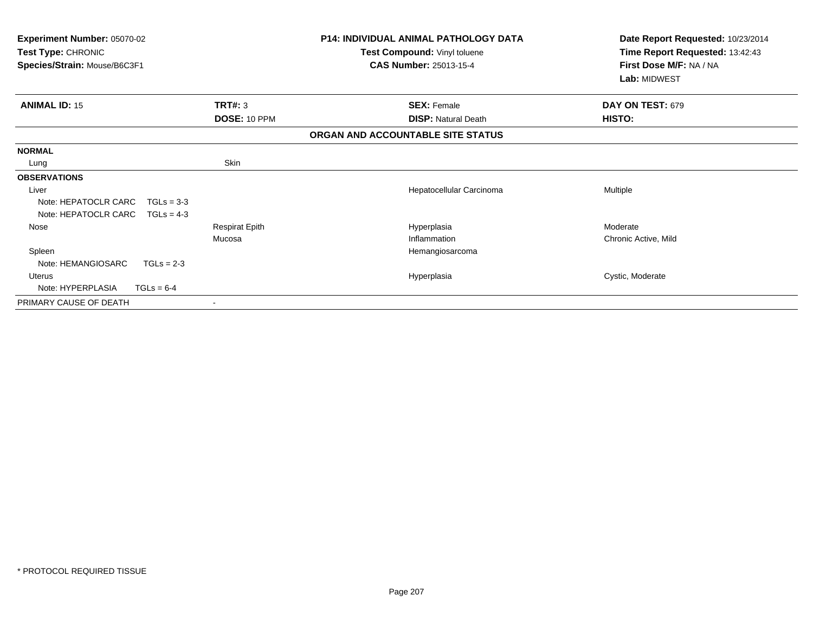| <b>Experiment Number: 05070-02</b><br>Test Type: CHRONIC<br>Species/Strain: Mouse/B6C3F1 |                         | <b>P14: INDIVIDUAL ANIMAL PATHOLOGY DATA</b><br>Test Compound: Vinyl toluene<br><b>CAS Number: 25013-15-4</b> | Date Report Requested: 10/23/2014<br>Time Report Requested: 13:42:43<br>First Dose M/F: NA / NA<br>Lab: MIDWEST |
|------------------------------------------------------------------------------------------|-------------------------|---------------------------------------------------------------------------------------------------------------|-----------------------------------------------------------------------------------------------------------------|
| <b>ANIMAL ID: 15</b>                                                                     | TRT#: 3<br>DOSE: 10 PPM | <b>SEX: Female</b><br><b>DISP: Natural Death</b>                                                              | DAY ON TEST: 679<br>HISTO:                                                                                      |
|                                                                                          |                         | ORGAN AND ACCOUNTABLE SITE STATUS                                                                             |                                                                                                                 |
|                                                                                          |                         |                                                                                                               |                                                                                                                 |
| <b>NORMAL</b>                                                                            |                         |                                                                                                               |                                                                                                                 |
| Lung                                                                                     | Skin                    |                                                                                                               |                                                                                                                 |
| <b>OBSERVATIONS</b>                                                                      |                         |                                                                                                               |                                                                                                                 |
| Liver                                                                                    |                         | Hepatocellular Carcinoma                                                                                      | Multiple                                                                                                        |
| Note: HEPATOCLR CARC<br>$TGLs = 3-3$                                                     |                         |                                                                                                               |                                                                                                                 |
| Note: HEPATOCLR CARC<br>$TGLs = 4-3$                                                     |                         |                                                                                                               |                                                                                                                 |
| Nose                                                                                     | <b>Respirat Epith</b>   | Hyperplasia                                                                                                   | Moderate                                                                                                        |
|                                                                                          | Mucosa                  | Inflammation                                                                                                  | Chronic Active, Mild                                                                                            |
| Spleen                                                                                   |                         | Hemangiosarcoma                                                                                               |                                                                                                                 |
| Note: HEMANGIOSARC<br>$TGLs = 2-3$                                                       |                         |                                                                                                               |                                                                                                                 |
| Uterus                                                                                   |                         | Hyperplasia                                                                                                   | Cystic, Moderate                                                                                                |
| Note: HYPERPLASIA<br>$TGLs = 6-4$                                                        |                         |                                                                                                               |                                                                                                                 |
| PRIMARY CAUSE OF DEATH                                                                   |                         |                                                                                                               |                                                                                                                 |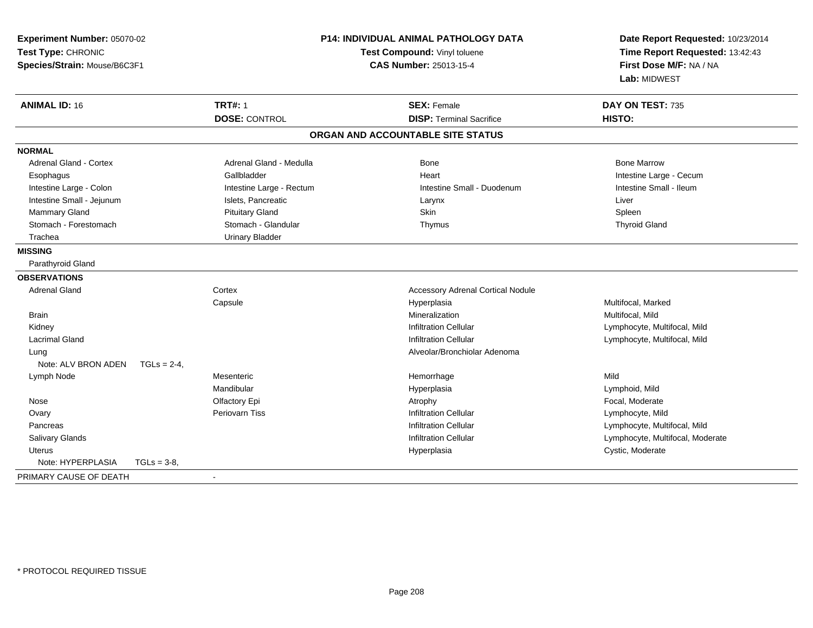| Experiment Number: 05070-02<br>Test Type: CHRONIC<br>Species/Strain: Mouse/B6C3F1 |                          | P14: INDIVIDUAL ANIMAL PATHOLOGY DATA<br>Test Compound: Vinyl toluene<br><b>CAS Number: 25013-15-4</b> | Date Report Requested: 10/23/2014<br>Time Report Requested: 13:42:43<br>First Dose M/F: NA / NA<br>Lab: MIDWEST |  |
|-----------------------------------------------------------------------------------|--------------------------|--------------------------------------------------------------------------------------------------------|-----------------------------------------------------------------------------------------------------------------|--|
| <b>ANIMAL ID: 16</b>                                                              | <b>TRT#: 1</b>           | <b>SEX: Female</b>                                                                                     | DAY ON TEST: 735                                                                                                |  |
|                                                                                   | <b>DOSE: CONTROL</b>     | <b>DISP: Terminal Sacrifice</b>                                                                        | HISTO:                                                                                                          |  |
|                                                                                   |                          | ORGAN AND ACCOUNTABLE SITE STATUS                                                                      |                                                                                                                 |  |
| <b>NORMAL</b>                                                                     |                          |                                                                                                        |                                                                                                                 |  |
| <b>Adrenal Gland - Cortex</b>                                                     | Adrenal Gland - Medulla  | <b>Bone</b>                                                                                            | <b>Bone Marrow</b>                                                                                              |  |
| Esophagus                                                                         | Gallbladder              | Heart                                                                                                  | Intestine Large - Cecum                                                                                         |  |
| Intestine Large - Colon                                                           | Intestine Large - Rectum | Intestine Small - Duodenum                                                                             | Intestine Small - Ileum                                                                                         |  |
| Intestine Small - Jejunum                                                         | Islets, Pancreatic       | Larynx                                                                                                 | Liver                                                                                                           |  |
| Mammary Gland                                                                     | <b>Pituitary Gland</b>   | Skin                                                                                                   | Spleen                                                                                                          |  |
| Stomach - Forestomach                                                             | Stomach - Glandular      | Thymus                                                                                                 | <b>Thyroid Gland</b>                                                                                            |  |
| Trachea                                                                           | <b>Urinary Bladder</b>   |                                                                                                        |                                                                                                                 |  |
| <b>MISSING</b>                                                                    |                          |                                                                                                        |                                                                                                                 |  |
| Parathyroid Gland                                                                 |                          |                                                                                                        |                                                                                                                 |  |
| <b>OBSERVATIONS</b>                                                               |                          |                                                                                                        |                                                                                                                 |  |
| <b>Adrenal Gland</b>                                                              | Cortex                   | <b>Accessory Adrenal Cortical Nodule</b>                                                               |                                                                                                                 |  |
|                                                                                   | Capsule                  | Hyperplasia                                                                                            | Multifocal, Marked                                                                                              |  |
| <b>Brain</b>                                                                      |                          | Mineralization                                                                                         | Multifocal, Mild                                                                                                |  |
| Kidney                                                                            |                          | <b>Infiltration Cellular</b>                                                                           | Lymphocyte, Multifocal, Mild                                                                                    |  |
| <b>Lacrimal Gland</b>                                                             |                          | <b>Infiltration Cellular</b>                                                                           | Lymphocyte, Multifocal, Mild                                                                                    |  |
| Lung                                                                              |                          | Alveolar/Bronchiolar Adenoma                                                                           |                                                                                                                 |  |
| Note: ALV BRON ADEN<br>$TGLs = 2-4.$                                              |                          |                                                                                                        |                                                                                                                 |  |
| Lymph Node                                                                        | Mesenteric               | Hemorrhage                                                                                             | Mild                                                                                                            |  |
|                                                                                   | Mandibular               | Hyperplasia                                                                                            | Lymphoid, Mild                                                                                                  |  |
| Nose                                                                              | Olfactory Epi            | Atrophy                                                                                                | Focal, Moderate                                                                                                 |  |
| Ovary                                                                             | Periovarn Tiss           | <b>Infiltration Cellular</b>                                                                           | Lymphocyte, Mild                                                                                                |  |
| Pancreas                                                                          |                          | <b>Infiltration Cellular</b>                                                                           | Lymphocyte, Multifocal, Mild                                                                                    |  |
| Salivary Glands                                                                   |                          | <b>Infiltration Cellular</b>                                                                           | Lymphocyte, Multifocal, Moderate                                                                                |  |
| <b>Uterus</b>                                                                     |                          | Hyperplasia                                                                                            | Cystic, Moderate                                                                                                |  |
| Note: HYPERPLASIA<br>$TGLs = 3-8,$                                                |                          |                                                                                                        |                                                                                                                 |  |
| PRIMARY CAUSE OF DEATH                                                            |                          |                                                                                                        |                                                                                                                 |  |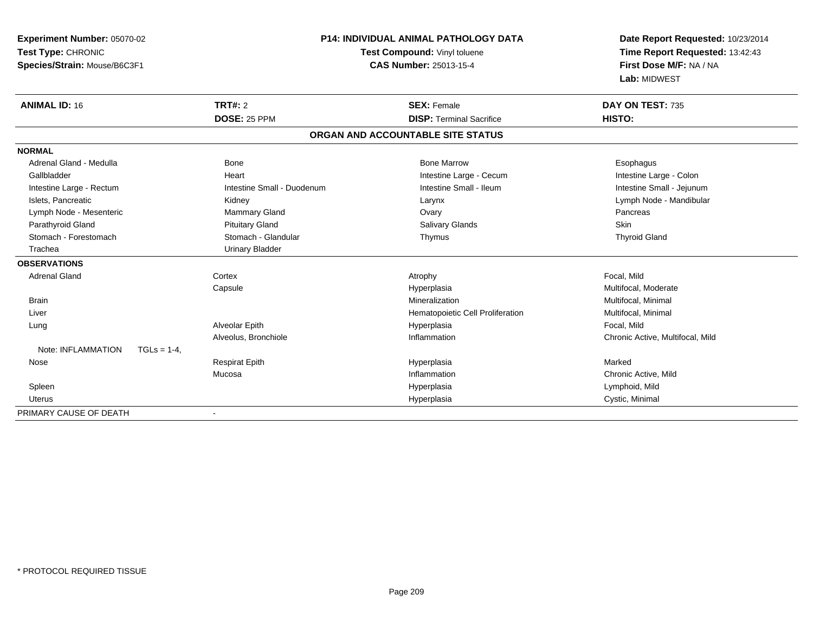| <b>Experiment Number: 05070-02</b>  |                            | <b>P14: INDIVIDUAL ANIMAL PATHOLOGY DATA</b> | Date Report Requested: 10/23/2014 |  |
|-------------------------------------|----------------------------|----------------------------------------------|-----------------------------------|--|
| Test Type: CHRONIC                  |                            | Test Compound: Vinyl toluene                 | Time Report Requested: 13:42:43   |  |
| Species/Strain: Mouse/B6C3F1        |                            | <b>CAS Number: 25013-15-4</b>                | First Dose M/F: NA / NA           |  |
|                                     |                            |                                              | Lab: MIDWEST                      |  |
| <b>ANIMAL ID: 16</b>                | <b>TRT#: 2</b>             | <b>SEX: Female</b>                           | DAY ON TEST: 735                  |  |
|                                     | DOSE: 25 PPM               | <b>DISP: Terminal Sacrifice</b>              | HISTO:                            |  |
|                                     |                            | ORGAN AND ACCOUNTABLE SITE STATUS            |                                   |  |
| <b>NORMAL</b>                       |                            |                                              |                                   |  |
| Adrenal Gland - Medulla             | Bone                       | <b>Bone Marrow</b>                           | Esophagus                         |  |
| Gallbladder                         | Heart                      | Intestine Large - Cecum                      | Intestine Large - Colon           |  |
| Intestine Large - Rectum            | Intestine Small - Duodenum | Intestine Small - Ileum                      | Intestine Small - Jejunum         |  |
| Islets, Pancreatic                  | Kidney                     | Larynx                                       | Lymph Node - Mandibular           |  |
| Lymph Node - Mesenteric             | <b>Mammary Gland</b>       | Ovary                                        | Pancreas                          |  |
| Parathyroid Gland                   | <b>Pituitary Gland</b>     | Salivary Glands                              | Skin                              |  |
| Stomach - Forestomach               | Stomach - Glandular        | Thymus                                       | <b>Thyroid Gland</b>              |  |
| Trachea                             | <b>Urinary Bladder</b>     |                                              |                                   |  |
| <b>OBSERVATIONS</b>                 |                            |                                              |                                   |  |
| <b>Adrenal Gland</b>                | Cortex                     | Atrophy                                      | Focal, Mild                       |  |
|                                     | Capsule                    | Hyperplasia                                  | Multifocal, Moderate              |  |
| <b>Brain</b>                        |                            | Mineralization                               | Multifocal, Minimal               |  |
| Liver                               |                            | Hematopoietic Cell Proliferation             | Multifocal, Minimal               |  |
| Lung                                | Alveolar Epith             | Hyperplasia                                  | Focal, Mild                       |  |
|                                     | Alveolus, Bronchiole       | Inflammation                                 | Chronic Active, Multifocal, Mild  |  |
| Note: INFLAMMATION<br>$TGLs = 1-4.$ |                            |                                              |                                   |  |
| Nose                                | <b>Respirat Epith</b>      | Hyperplasia                                  | Marked                            |  |
|                                     | Mucosa                     | Inflammation                                 | Chronic Active, Mild              |  |
| Spleen                              |                            | Hyperplasia                                  | Lymphoid, Mild                    |  |
| <b>Uterus</b>                       |                            | Hyperplasia                                  | Cystic, Minimal                   |  |
| PRIMARY CAUSE OF DEATH              | $\blacksquare$             |                                              |                                   |  |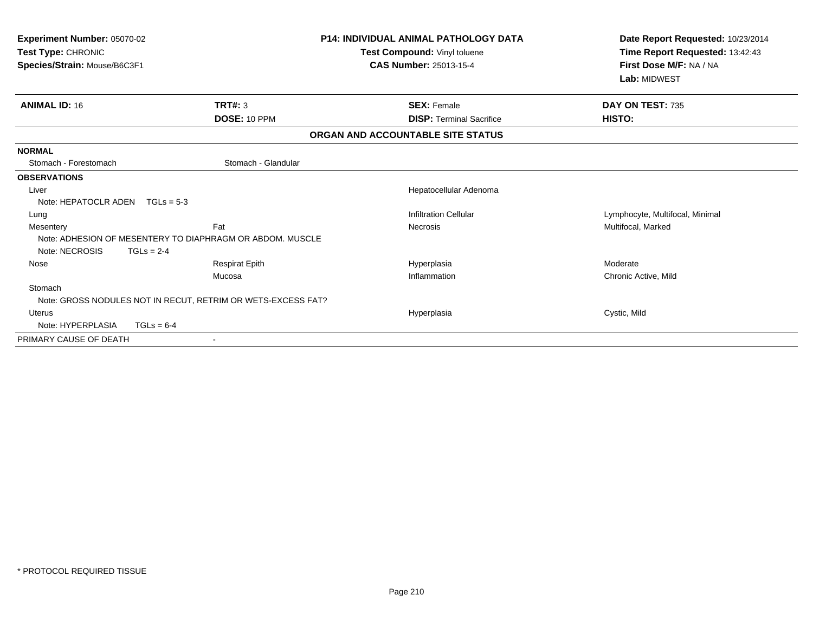| Experiment Number: 05070-02  |                                                              | <b>P14: INDIVIDUAL ANIMAL PATHOLOGY DATA</b> | Date Report Requested: 10/23/2014 |  |
|------------------------------|--------------------------------------------------------------|----------------------------------------------|-----------------------------------|--|
| Test Type: CHRONIC           |                                                              | Test Compound: Vinyl toluene                 | Time Report Requested: 13:42:43   |  |
| Species/Strain: Mouse/B6C3F1 |                                                              | <b>CAS Number: 25013-15-4</b>                | First Dose M/F: NA / NA           |  |
|                              |                                                              |                                              | Lab: MIDWEST                      |  |
| <b>ANIMAL ID: 16</b>         | TRT#: 3                                                      | <b>SEX: Female</b>                           | DAY ON TEST: 735                  |  |
|                              | DOSE: 10 PPM                                                 | <b>DISP: Terminal Sacrifice</b>              | HISTO:                            |  |
|                              |                                                              | ORGAN AND ACCOUNTABLE SITE STATUS            |                                   |  |
| <b>NORMAL</b>                |                                                              |                                              |                                   |  |
| Stomach - Forestomach        | Stomach - Glandular                                          |                                              |                                   |  |
| <b>OBSERVATIONS</b>          |                                                              |                                              |                                   |  |
| Liver                        |                                                              | Hepatocellular Adenoma                       |                                   |  |
| Note: HEPATOCLR ADEN         | $TGLs = 5-3$                                                 |                                              |                                   |  |
| Lung                         |                                                              | <b>Infiltration Cellular</b>                 | Lymphocyte, Multifocal, Minimal   |  |
| Mesentery                    | Fat                                                          | Necrosis                                     | Multifocal, Marked                |  |
|                              | Note: ADHESION OF MESENTERY TO DIAPHRAGM OR ABDOM, MUSCLE    |                                              |                                   |  |
| Note: NECROSIS               | $TGLs = 2-4$                                                 |                                              |                                   |  |
| Nose                         | <b>Respirat Epith</b>                                        | Hyperplasia                                  | Moderate                          |  |
|                              | Mucosa                                                       | Inflammation                                 | Chronic Active, Mild              |  |
| Stomach                      |                                                              |                                              |                                   |  |
|                              | Note: GROSS NODULES NOT IN RECUT, RETRIM OR WETS-EXCESS FAT? |                                              |                                   |  |
| <b>Uterus</b>                |                                                              | Hyperplasia                                  | Cystic, Mild                      |  |
| Note: HYPERPLASIA            | $TGLs = 6-4$                                                 |                                              |                                   |  |
| PRIMARY CAUSE OF DEATH       |                                                              |                                              |                                   |  |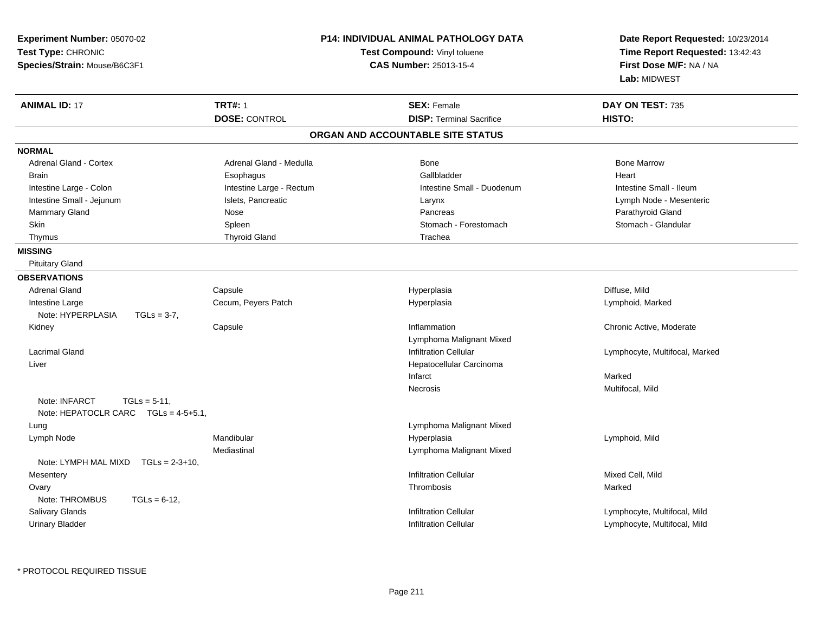| <b>TRT#: 1</b><br><b>ANIMAL ID: 17</b><br><b>SEX: Female</b><br>DAY ON TEST: 735<br><b>DOSE: CONTROL</b><br><b>DISP: Terminal Sacrifice</b><br>HISTO:<br>ORGAN AND ACCOUNTABLE SITE STATUS<br><b>NORMAL</b><br>Adrenal Gland - Cortex<br>Adrenal Gland - Medulla<br><b>Bone Marrow</b><br><b>Bone</b><br>Gallbladder<br><b>Brain</b><br>Esophagus<br>Heart<br>Intestine Large - Rectum<br>Intestine Small - Ileum<br>Intestine Large - Colon<br>Intestine Small - Duodenum<br>Intestine Small - Jejunum<br>Islets, Pancreatic<br>Lymph Node - Mesenteric<br>Larynx<br>Parathyroid Gland<br><b>Mammary Gland</b><br>Nose<br>Pancreas<br>Stomach - Glandular<br>Skin<br>Spleen<br>Stomach - Forestomach<br><b>Thyroid Gland</b><br>Trachea<br>Thymus<br><b>MISSING</b><br><b>Pituitary Gland</b><br><b>OBSERVATIONS</b><br><b>Adrenal Gland</b><br>Capsule<br>Hyperplasia<br>Diffuse, Mild<br>Cecum, Peyers Patch<br>Intestine Large<br>Hyperplasia<br>Lymphoid, Marked<br>Note: HYPERPLASIA<br>$TGLs = 3-7$ ,<br>Kidney<br>Capsule<br>Inflammation<br>Chronic Active, Moderate<br>Lymphoma Malignant Mixed<br><b>Lacrimal Gland</b><br><b>Infiltration Cellular</b><br>Lymphocyte, Multifocal, Marked<br>Liver<br>Hepatocellular Carcinoma<br>Infarct<br>Marked<br><b>Necrosis</b><br>Multifocal, Mild<br>Note: INFARCT<br>$TGLs = 5-11$ ,<br>Note: HEPATOCLR CARC $TGLs = 4-5+5.1$ ,<br>Lymphoma Malignant Mixed<br>Lung<br>Mandibular<br>Hyperplasia<br>Lymphoid, Mild<br>Lymph Node<br>Mediastinal<br>Lymphoma Malignant Mixed<br>Note: LYMPH MAL MIXD<br>$TGLs = 2-3+10$ ,<br><b>Infiltration Cellular</b><br>Mixed Cell, Mild<br>Mesentery<br>Ovary<br>Thrombosis<br>Marked<br>Note: THROMBUS<br>$TGLs = 6-12$ ,<br>Salivary Glands<br><b>Infiltration Cellular</b><br>Lymphocyte, Multifocal, Mild<br><b>Urinary Bladder</b><br><b>Infiltration Cellular</b><br>Lymphocyte, Multifocal, Mild | <b>Experiment Number: 05070-02</b><br>Test Type: CHRONIC<br>Species/Strain: Mouse/B6C3F1 | P14: INDIVIDUAL ANIMAL PATHOLOGY DATA<br>Test Compound: Vinyl toluene<br><b>CAS Number: 25013-15-4</b> | Date Report Requested: 10/23/2014<br>Time Report Requested: 13:42:43<br>First Dose M/F: NA / NA<br>Lab: MIDWEST |  |
|---------------------------------------------------------------------------------------------------------------------------------------------------------------------------------------------------------------------------------------------------------------------------------------------------------------------------------------------------------------------------------------------------------------------------------------------------------------------------------------------------------------------------------------------------------------------------------------------------------------------------------------------------------------------------------------------------------------------------------------------------------------------------------------------------------------------------------------------------------------------------------------------------------------------------------------------------------------------------------------------------------------------------------------------------------------------------------------------------------------------------------------------------------------------------------------------------------------------------------------------------------------------------------------------------------------------------------------------------------------------------------------------------------------------------------------------------------------------------------------------------------------------------------------------------------------------------------------------------------------------------------------------------------------------------------------------------------------------------------------------------------------------------------------------------------------------------------------------------------------------------------------------------|------------------------------------------------------------------------------------------|--------------------------------------------------------------------------------------------------------|-----------------------------------------------------------------------------------------------------------------|--|
|                                                                                                                                                                                                                                                                                                                                                                                                                                                                                                                                                                                                                                                                                                                                                                                                                                                                                                                                                                                                                                                                                                                                                                                                                                                                                                                                                                                                                                                                                                                                                                                                                                                                                                                                                                                                                                                                                                   |                                                                                          |                                                                                                        |                                                                                                                 |  |
|                                                                                                                                                                                                                                                                                                                                                                                                                                                                                                                                                                                                                                                                                                                                                                                                                                                                                                                                                                                                                                                                                                                                                                                                                                                                                                                                                                                                                                                                                                                                                                                                                                                                                                                                                                                                                                                                                                   |                                                                                          |                                                                                                        |                                                                                                                 |  |
|                                                                                                                                                                                                                                                                                                                                                                                                                                                                                                                                                                                                                                                                                                                                                                                                                                                                                                                                                                                                                                                                                                                                                                                                                                                                                                                                                                                                                                                                                                                                                                                                                                                                                                                                                                                                                                                                                                   |                                                                                          |                                                                                                        |                                                                                                                 |  |
|                                                                                                                                                                                                                                                                                                                                                                                                                                                                                                                                                                                                                                                                                                                                                                                                                                                                                                                                                                                                                                                                                                                                                                                                                                                                                                                                                                                                                                                                                                                                                                                                                                                                                                                                                                                                                                                                                                   |                                                                                          |                                                                                                        |                                                                                                                 |  |
|                                                                                                                                                                                                                                                                                                                                                                                                                                                                                                                                                                                                                                                                                                                                                                                                                                                                                                                                                                                                                                                                                                                                                                                                                                                                                                                                                                                                                                                                                                                                                                                                                                                                                                                                                                                                                                                                                                   |                                                                                          |                                                                                                        |                                                                                                                 |  |
|                                                                                                                                                                                                                                                                                                                                                                                                                                                                                                                                                                                                                                                                                                                                                                                                                                                                                                                                                                                                                                                                                                                                                                                                                                                                                                                                                                                                                                                                                                                                                                                                                                                                                                                                                                                                                                                                                                   |                                                                                          |                                                                                                        |                                                                                                                 |  |
|                                                                                                                                                                                                                                                                                                                                                                                                                                                                                                                                                                                                                                                                                                                                                                                                                                                                                                                                                                                                                                                                                                                                                                                                                                                                                                                                                                                                                                                                                                                                                                                                                                                                                                                                                                                                                                                                                                   |                                                                                          |                                                                                                        |                                                                                                                 |  |
|                                                                                                                                                                                                                                                                                                                                                                                                                                                                                                                                                                                                                                                                                                                                                                                                                                                                                                                                                                                                                                                                                                                                                                                                                                                                                                                                                                                                                                                                                                                                                                                                                                                                                                                                                                                                                                                                                                   |                                                                                          |                                                                                                        |                                                                                                                 |  |
|                                                                                                                                                                                                                                                                                                                                                                                                                                                                                                                                                                                                                                                                                                                                                                                                                                                                                                                                                                                                                                                                                                                                                                                                                                                                                                                                                                                                                                                                                                                                                                                                                                                                                                                                                                                                                                                                                                   |                                                                                          |                                                                                                        |                                                                                                                 |  |
|                                                                                                                                                                                                                                                                                                                                                                                                                                                                                                                                                                                                                                                                                                                                                                                                                                                                                                                                                                                                                                                                                                                                                                                                                                                                                                                                                                                                                                                                                                                                                                                                                                                                                                                                                                                                                                                                                                   |                                                                                          |                                                                                                        |                                                                                                                 |  |
|                                                                                                                                                                                                                                                                                                                                                                                                                                                                                                                                                                                                                                                                                                                                                                                                                                                                                                                                                                                                                                                                                                                                                                                                                                                                                                                                                                                                                                                                                                                                                                                                                                                                                                                                                                                                                                                                                                   |                                                                                          |                                                                                                        |                                                                                                                 |  |
|                                                                                                                                                                                                                                                                                                                                                                                                                                                                                                                                                                                                                                                                                                                                                                                                                                                                                                                                                                                                                                                                                                                                                                                                                                                                                                                                                                                                                                                                                                                                                                                                                                                                                                                                                                                                                                                                                                   |                                                                                          |                                                                                                        |                                                                                                                 |  |
|                                                                                                                                                                                                                                                                                                                                                                                                                                                                                                                                                                                                                                                                                                                                                                                                                                                                                                                                                                                                                                                                                                                                                                                                                                                                                                                                                                                                                                                                                                                                                                                                                                                                                                                                                                                                                                                                                                   |                                                                                          |                                                                                                        |                                                                                                                 |  |
|                                                                                                                                                                                                                                                                                                                                                                                                                                                                                                                                                                                                                                                                                                                                                                                                                                                                                                                                                                                                                                                                                                                                                                                                                                                                                                                                                                                                                                                                                                                                                                                                                                                                                                                                                                                                                                                                                                   |                                                                                          |                                                                                                        |                                                                                                                 |  |
|                                                                                                                                                                                                                                                                                                                                                                                                                                                                                                                                                                                                                                                                                                                                                                                                                                                                                                                                                                                                                                                                                                                                                                                                                                                                                                                                                                                                                                                                                                                                                                                                                                                                                                                                                                                                                                                                                                   |                                                                                          |                                                                                                        |                                                                                                                 |  |
|                                                                                                                                                                                                                                                                                                                                                                                                                                                                                                                                                                                                                                                                                                                                                                                                                                                                                                                                                                                                                                                                                                                                                                                                                                                                                                                                                                                                                                                                                                                                                                                                                                                                                                                                                                                                                                                                                                   |                                                                                          |                                                                                                        |                                                                                                                 |  |
|                                                                                                                                                                                                                                                                                                                                                                                                                                                                                                                                                                                                                                                                                                                                                                                                                                                                                                                                                                                                                                                                                                                                                                                                                                                                                                                                                                                                                                                                                                                                                                                                                                                                                                                                                                                                                                                                                                   |                                                                                          |                                                                                                        |                                                                                                                 |  |
|                                                                                                                                                                                                                                                                                                                                                                                                                                                                                                                                                                                                                                                                                                                                                                                                                                                                                                                                                                                                                                                                                                                                                                                                                                                                                                                                                                                                                                                                                                                                                                                                                                                                                                                                                                                                                                                                                                   |                                                                                          |                                                                                                        |                                                                                                                 |  |
|                                                                                                                                                                                                                                                                                                                                                                                                                                                                                                                                                                                                                                                                                                                                                                                                                                                                                                                                                                                                                                                                                                                                                                                                                                                                                                                                                                                                                                                                                                                                                                                                                                                                                                                                                                                                                                                                                                   |                                                                                          |                                                                                                        |                                                                                                                 |  |
|                                                                                                                                                                                                                                                                                                                                                                                                                                                                                                                                                                                                                                                                                                                                                                                                                                                                                                                                                                                                                                                                                                                                                                                                                                                                                                                                                                                                                                                                                                                                                                                                                                                                                                                                                                                                                                                                                                   |                                                                                          |                                                                                                        |                                                                                                                 |  |
|                                                                                                                                                                                                                                                                                                                                                                                                                                                                                                                                                                                                                                                                                                                                                                                                                                                                                                                                                                                                                                                                                                                                                                                                                                                                                                                                                                                                                                                                                                                                                                                                                                                                                                                                                                                                                                                                                                   |                                                                                          |                                                                                                        |                                                                                                                 |  |
|                                                                                                                                                                                                                                                                                                                                                                                                                                                                                                                                                                                                                                                                                                                                                                                                                                                                                                                                                                                                                                                                                                                                                                                                                                                                                                                                                                                                                                                                                                                                                                                                                                                                                                                                                                                                                                                                                                   |                                                                                          |                                                                                                        |                                                                                                                 |  |
|                                                                                                                                                                                                                                                                                                                                                                                                                                                                                                                                                                                                                                                                                                                                                                                                                                                                                                                                                                                                                                                                                                                                                                                                                                                                                                                                                                                                                                                                                                                                                                                                                                                                                                                                                                                                                                                                                                   |                                                                                          |                                                                                                        |                                                                                                                 |  |
|                                                                                                                                                                                                                                                                                                                                                                                                                                                                                                                                                                                                                                                                                                                                                                                                                                                                                                                                                                                                                                                                                                                                                                                                                                                                                                                                                                                                                                                                                                                                                                                                                                                                                                                                                                                                                                                                                                   |                                                                                          |                                                                                                        |                                                                                                                 |  |
|                                                                                                                                                                                                                                                                                                                                                                                                                                                                                                                                                                                                                                                                                                                                                                                                                                                                                                                                                                                                                                                                                                                                                                                                                                                                                                                                                                                                                                                                                                                                                                                                                                                                                                                                                                                                                                                                                                   |                                                                                          |                                                                                                        |                                                                                                                 |  |
|                                                                                                                                                                                                                                                                                                                                                                                                                                                                                                                                                                                                                                                                                                                                                                                                                                                                                                                                                                                                                                                                                                                                                                                                                                                                                                                                                                                                                                                                                                                                                                                                                                                                                                                                                                                                                                                                                                   |                                                                                          |                                                                                                        |                                                                                                                 |  |
|                                                                                                                                                                                                                                                                                                                                                                                                                                                                                                                                                                                                                                                                                                                                                                                                                                                                                                                                                                                                                                                                                                                                                                                                                                                                                                                                                                                                                                                                                                                                                                                                                                                                                                                                                                                                                                                                                                   |                                                                                          |                                                                                                        |                                                                                                                 |  |
|                                                                                                                                                                                                                                                                                                                                                                                                                                                                                                                                                                                                                                                                                                                                                                                                                                                                                                                                                                                                                                                                                                                                                                                                                                                                                                                                                                                                                                                                                                                                                                                                                                                                                                                                                                                                                                                                                                   |                                                                                          |                                                                                                        |                                                                                                                 |  |
|                                                                                                                                                                                                                                                                                                                                                                                                                                                                                                                                                                                                                                                                                                                                                                                                                                                                                                                                                                                                                                                                                                                                                                                                                                                                                                                                                                                                                                                                                                                                                                                                                                                                                                                                                                                                                                                                                                   |                                                                                          |                                                                                                        |                                                                                                                 |  |
|                                                                                                                                                                                                                                                                                                                                                                                                                                                                                                                                                                                                                                                                                                                                                                                                                                                                                                                                                                                                                                                                                                                                                                                                                                                                                                                                                                                                                                                                                                                                                                                                                                                                                                                                                                                                                                                                                                   |                                                                                          |                                                                                                        |                                                                                                                 |  |
|                                                                                                                                                                                                                                                                                                                                                                                                                                                                                                                                                                                                                                                                                                                                                                                                                                                                                                                                                                                                                                                                                                                                                                                                                                                                                                                                                                                                                                                                                                                                                                                                                                                                                                                                                                                                                                                                                                   |                                                                                          |                                                                                                        |                                                                                                                 |  |
|                                                                                                                                                                                                                                                                                                                                                                                                                                                                                                                                                                                                                                                                                                                                                                                                                                                                                                                                                                                                                                                                                                                                                                                                                                                                                                                                                                                                                                                                                                                                                                                                                                                                                                                                                                                                                                                                                                   |                                                                                          |                                                                                                        |                                                                                                                 |  |
|                                                                                                                                                                                                                                                                                                                                                                                                                                                                                                                                                                                                                                                                                                                                                                                                                                                                                                                                                                                                                                                                                                                                                                                                                                                                                                                                                                                                                                                                                                                                                                                                                                                                                                                                                                                                                                                                                                   |                                                                                          |                                                                                                        |                                                                                                                 |  |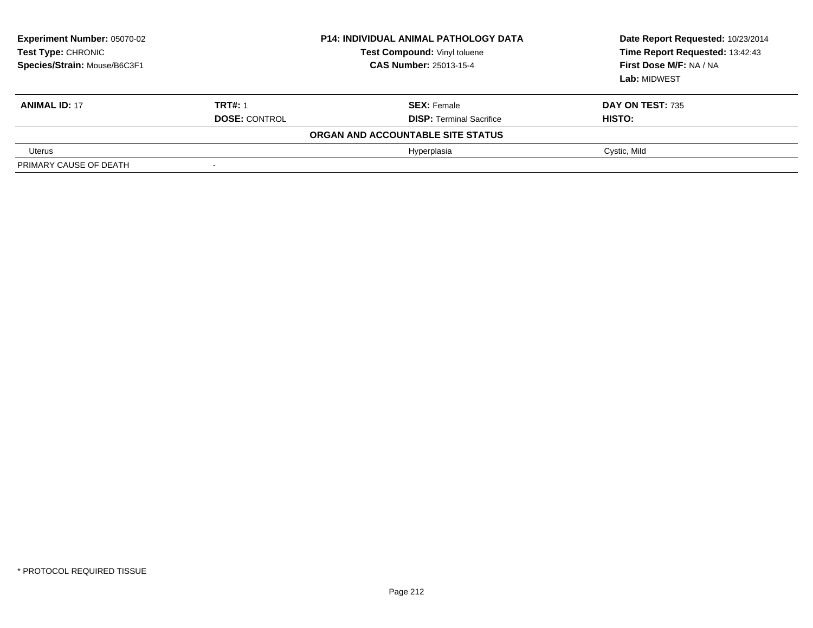| <b>Experiment Number: 05070-02</b><br>Test Type: CHRONIC<br>Species/Strain: Mouse/B6C3F1 | <b>P14: INDIVIDUAL ANIMAL PATHOLOGY DATA</b><br>Test Compound: Vinyl toluene<br><b>CAS Number: 25013-15-4</b> |                                   | Date Report Requested: 10/23/2014<br>Time Report Requested: 13:42:43<br>First Dose M/F: NA / NA<br>Lab: MIDWEST |  |
|------------------------------------------------------------------------------------------|---------------------------------------------------------------------------------------------------------------|-----------------------------------|-----------------------------------------------------------------------------------------------------------------|--|
| <b>ANIMAL ID: 17</b>                                                                     | <b>TRT#: 1</b>                                                                                                | <b>SEX: Female</b>                | <b>DAY ON TEST: 735</b>                                                                                         |  |
|                                                                                          | <b>DOSE: CONTROL</b>                                                                                          | <b>DISP: Terminal Sacrifice</b>   | HISTO:                                                                                                          |  |
|                                                                                          |                                                                                                               | ORGAN AND ACCOUNTABLE SITE STATUS |                                                                                                                 |  |
| Uterus                                                                                   |                                                                                                               | Hyperplasia                       | Cystic, Mild                                                                                                    |  |
| PRIMARY CAUSE OF DEATH                                                                   | $\overline{\phantom{a}}$                                                                                      |                                   |                                                                                                                 |  |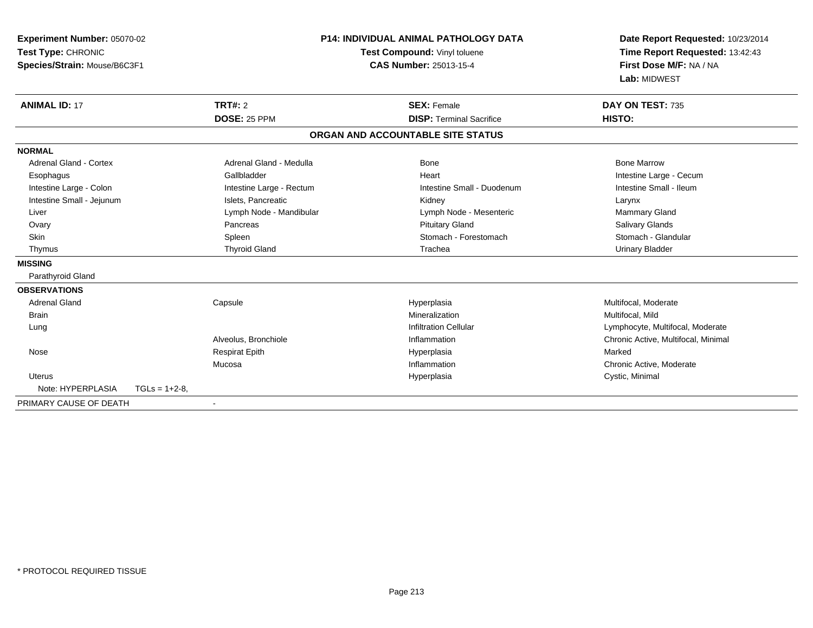| Experiment Number: 05070-02<br>Test Type: CHRONIC<br>Species/Strain: Mouse/B6C3F1 |                  |                          | <b>P14: INDIVIDUAL ANIMAL PATHOLOGY DATA</b><br>Test Compound: Vinyl toluene<br><b>CAS Number: 25013-15-4</b> |                                   | Date Report Requested: 10/23/2014<br>Time Report Requested: 13:42:43<br>First Dose M/F: NA / NA<br>Lab: MIDWEST |  |
|-----------------------------------------------------------------------------------|------------------|--------------------------|---------------------------------------------------------------------------------------------------------------|-----------------------------------|-----------------------------------------------------------------------------------------------------------------|--|
| <b>ANIMAL ID: 17</b>                                                              |                  | TRT#: 2                  |                                                                                                               | <b>SEX: Female</b>                | DAY ON TEST: 735                                                                                                |  |
|                                                                                   |                  | DOSE: 25 PPM             |                                                                                                               | <b>DISP: Terminal Sacrifice</b>   | HISTO:                                                                                                          |  |
|                                                                                   |                  |                          |                                                                                                               | ORGAN AND ACCOUNTABLE SITE STATUS |                                                                                                                 |  |
| <b>NORMAL</b>                                                                     |                  |                          |                                                                                                               |                                   |                                                                                                                 |  |
| <b>Adrenal Gland - Cortex</b>                                                     |                  | Adrenal Gland - Medulla  |                                                                                                               | Bone                              | <b>Bone Marrow</b>                                                                                              |  |
| Esophagus                                                                         |                  | Gallbladder              |                                                                                                               | Heart                             | Intestine Large - Cecum                                                                                         |  |
| Intestine Large - Colon                                                           |                  | Intestine Large - Rectum |                                                                                                               | Intestine Small - Duodenum        | Intestine Small - Ileum                                                                                         |  |
| Intestine Small - Jejunum                                                         |                  | Islets, Pancreatic       |                                                                                                               | Kidney                            | Larynx                                                                                                          |  |
| Liver                                                                             |                  | Lymph Node - Mandibular  |                                                                                                               | Lymph Node - Mesenteric           | Mammary Gland                                                                                                   |  |
| Ovary                                                                             |                  | Pancreas                 |                                                                                                               | <b>Pituitary Gland</b>            | <b>Salivary Glands</b>                                                                                          |  |
| <b>Skin</b>                                                                       |                  | Spleen                   |                                                                                                               | Stomach - Forestomach             | Stomach - Glandular                                                                                             |  |
| Thymus                                                                            |                  | <b>Thyroid Gland</b>     |                                                                                                               | Trachea                           | <b>Urinary Bladder</b>                                                                                          |  |
| <b>MISSING</b>                                                                    |                  |                          |                                                                                                               |                                   |                                                                                                                 |  |
| Parathyroid Gland                                                                 |                  |                          |                                                                                                               |                                   |                                                                                                                 |  |
| <b>OBSERVATIONS</b>                                                               |                  |                          |                                                                                                               |                                   |                                                                                                                 |  |
| <b>Adrenal Gland</b>                                                              |                  | Capsule                  |                                                                                                               | Hyperplasia                       | Multifocal, Moderate                                                                                            |  |
| <b>Brain</b>                                                                      |                  |                          |                                                                                                               | Mineralization                    | Multifocal, Mild                                                                                                |  |
| Lung                                                                              |                  |                          |                                                                                                               | <b>Infiltration Cellular</b>      | Lymphocyte, Multifocal, Moderate                                                                                |  |
|                                                                                   |                  | Alveolus, Bronchiole     |                                                                                                               | Inflammation                      | Chronic Active, Multifocal, Minimal                                                                             |  |
| Nose                                                                              |                  | <b>Respirat Epith</b>    |                                                                                                               | Hyperplasia                       | Marked                                                                                                          |  |
|                                                                                   |                  | Mucosa                   |                                                                                                               | Inflammation                      | Chronic Active, Moderate                                                                                        |  |
| Uterus                                                                            |                  |                          |                                                                                                               | Hyperplasia                       | Cystic, Minimal                                                                                                 |  |
| Note: HYPERPLASIA                                                                 | $TGLs = 1+2-8$ . |                          |                                                                                                               |                                   |                                                                                                                 |  |
| PRIMARY CAUSE OF DEATH                                                            |                  |                          |                                                                                                               |                                   |                                                                                                                 |  |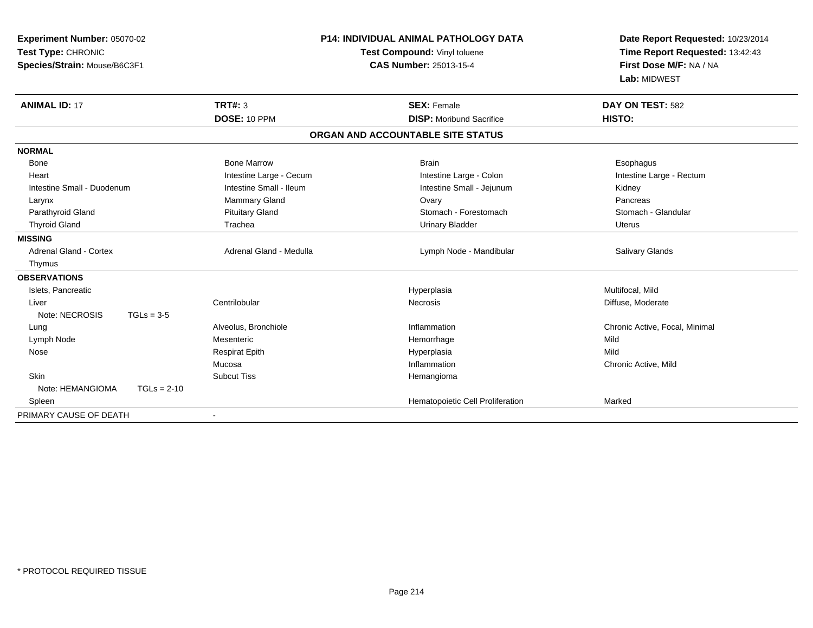| Experiment Number: 05070-02<br>Test Type: CHRONIC<br>Species/Strain: Mouse/B6C3F1 |               | <b>P14: INDIVIDUAL ANIMAL PATHOLOGY DATA</b><br>Test Compound: Vinyl toluene<br><b>CAS Number: 25013-15-4</b> |                                   | Date Report Requested: 10/23/2014<br>Time Report Requested: 13:42:43<br>First Dose M/F: NA / NA<br>Lab: MIDWEST |
|-----------------------------------------------------------------------------------|---------------|---------------------------------------------------------------------------------------------------------------|-----------------------------------|-----------------------------------------------------------------------------------------------------------------|
| <b>ANIMAL ID: 17</b>                                                              |               | <b>TRT#: 3</b>                                                                                                | <b>SEX: Female</b>                | DAY ON TEST: 582                                                                                                |
|                                                                                   |               | DOSE: 10 PPM                                                                                                  | <b>DISP:</b> Moribund Sacrifice   | HISTO:                                                                                                          |
|                                                                                   |               |                                                                                                               | ORGAN AND ACCOUNTABLE SITE STATUS |                                                                                                                 |
| <b>NORMAL</b>                                                                     |               |                                                                                                               |                                   |                                                                                                                 |
| Bone                                                                              |               | <b>Bone Marrow</b>                                                                                            | <b>Brain</b>                      | Esophagus                                                                                                       |
| Heart                                                                             |               | Intestine Large - Cecum                                                                                       | Intestine Large - Colon           | Intestine Large - Rectum                                                                                        |
| Intestine Small - Duodenum                                                        |               | Intestine Small - Ileum                                                                                       | Intestine Small - Jejunum         | Kidney                                                                                                          |
| Larynx                                                                            |               | Mammary Gland                                                                                                 | Ovary                             | Pancreas                                                                                                        |
| Parathyroid Gland                                                                 |               | <b>Pituitary Gland</b>                                                                                        | Stomach - Forestomach             | Stomach - Glandular                                                                                             |
| <b>Thyroid Gland</b>                                                              |               | Trachea                                                                                                       | <b>Urinary Bladder</b>            | Uterus                                                                                                          |
| <b>MISSING</b>                                                                    |               |                                                                                                               |                                   |                                                                                                                 |
| <b>Adrenal Gland - Cortex</b>                                                     |               | Adrenal Gland - Medulla                                                                                       | Lymph Node - Mandibular           | <b>Salivary Glands</b>                                                                                          |
| Thymus                                                                            |               |                                                                                                               |                                   |                                                                                                                 |
| <b>OBSERVATIONS</b>                                                               |               |                                                                                                               |                                   |                                                                                                                 |
| Islets, Pancreatic                                                                |               |                                                                                                               | Hyperplasia                       | Multifocal, Mild                                                                                                |
| Liver                                                                             |               | Centrilobular                                                                                                 | Necrosis                          | Diffuse, Moderate                                                                                               |
| Note: NECROSIS                                                                    | $TGLs = 3-5$  |                                                                                                               |                                   |                                                                                                                 |
| Lung                                                                              |               | Alveolus, Bronchiole                                                                                          | Inflammation                      | Chronic Active, Focal, Minimal                                                                                  |
| Lymph Node                                                                        |               | Mesenteric                                                                                                    | Hemorrhage                        | Mild                                                                                                            |
| Nose                                                                              |               | <b>Respirat Epith</b>                                                                                         | Hyperplasia                       | Mild                                                                                                            |
|                                                                                   |               | Mucosa                                                                                                        | Inflammation                      | Chronic Active, Mild                                                                                            |
| Skin                                                                              |               | <b>Subcut Tiss</b>                                                                                            | Hemangioma                        |                                                                                                                 |
| Note: HEMANGIOMA                                                                  | $TGLs = 2-10$ |                                                                                                               |                                   |                                                                                                                 |
| Spleen                                                                            |               |                                                                                                               | Hematopoietic Cell Proliferation  | Marked                                                                                                          |
| PRIMARY CAUSE OF DEATH                                                            |               |                                                                                                               |                                   |                                                                                                                 |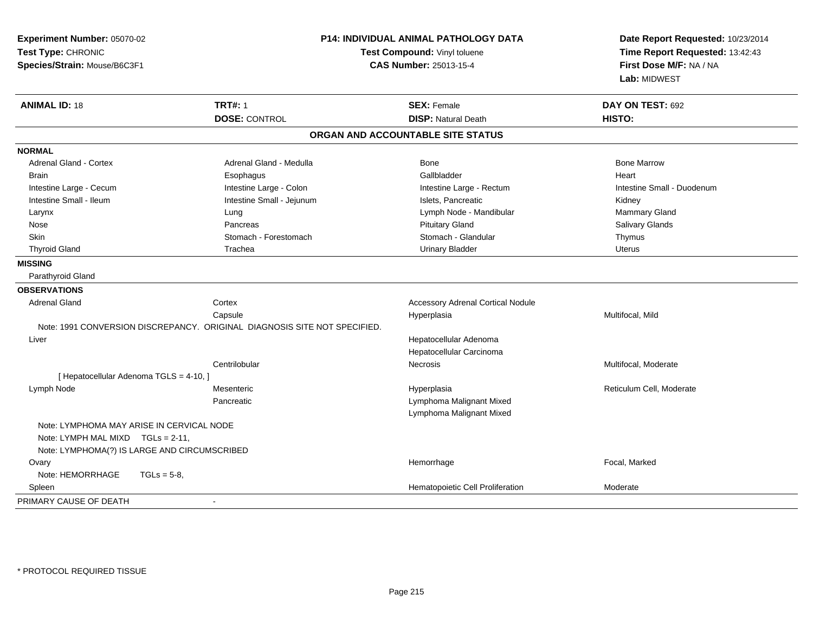| Experiment Number: 05070-02<br>Test Type: CHRONIC<br>Species/Strain: Mouse/B6C3F1 |                                                                           | P14: INDIVIDUAL ANIMAL PATHOLOGY DATA<br>Test Compound: Vinyl toluene<br>CAS Number: 25013-15-4 | Date Report Requested: 10/23/2014<br>Time Report Requested: 13:42:43<br>First Dose M/F: NA / NA<br>Lab: MIDWEST |  |
|-----------------------------------------------------------------------------------|---------------------------------------------------------------------------|-------------------------------------------------------------------------------------------------|-----------------------------------------------------------------------------------------------------------------|--|
| <b>ANIMAL ID: 18</b>                                                              | <b>TRT#: 1</b>                                                            | <b>SEX: Female</b>                                                                              | DAY ON TEST: 692                                                                                                |  |
|                                                                                   | <b>DOSE: CONTROL</b>                                                      | <b>DISP: Natural Death</b>                                                                      | HISTO:                                                                                                          |  |
|                                                                                   |                                                                           | ORGAN AND ACCOUNTABLE SITE STATUS                                                               |                                                                                                                 |  |
| <b>NORMAL</b>                                                                     |                                                                           |                                                                                                 |                                                                                                                 |  |
| Adrenal Gland - Cortex                                                            | Adrenal Gland - Medulla                                                   | <b>Bone</b>                                                                                     | <b>Bone Marrow</b>                                                                                              |  |
| <b>Brain</b>                                                                      | Esophagus                                                                 | Gallbladder                                                                                     | Heart                                                                                                           |  |
| Intestine Large - Cecum                                                           | Intestine Large - Colon                                                   | Intestine Large - Rectum                                                                        | Intestine Small - Duodenum                                                                                      |  |
| Intestine Small - Ileum                                                           | Intestine Small - Jejunum                                                 | Islets, Pancreatic                                                                              | Kidney                                                                                                          |  |
| Larynx                                                                            | Lung                                                                      | Lymph Node - Mandibular                                                                         | Mammary Gland                                                                                                   |  |
| Nose                                                                              | Pancreas                                                                  | <b>Pituitary Gland</b>                                                                          | Salivary Glands                                                                                                 |  |
| <b>Skin</b>                                                                       | Stomach - Forestomach                                                     | Stomach - Glandular                                                                             | Thymus                                                                                                          |  |
| <b>Thyroid Gland</b>                                                              | Trachea                                                                   | <b>Urinary Bladder</b>                                                                          | Uterus                                                                                                          |  |
| <b>MISSING</b>                                                                    |                                                                           |                                                                                                 |                                                                                                                 |  |
| Parathyroid Gland                                                                 |                                                                           |                                                                                                 |                                                                                                                 |  |
| <b>OBSERVATIONS</b>                                                               |                                                                           |                                                                                                 |                                                                                                                 |  |
| <b>Adrenal Gland</b>                                                              | Cortex                                                                    | <b>Accessory Adrenal Cortical Nodule</b>                                                        |                                                                                                                 |  |
|                                                                                   | Capsule                                                                   | Hyperplasia                                                                                     | Multifocal, Mild                                                                                                |  |
|                                                                                   | Note: 1991 CONVERSION DISCREPANCY. ORIGINAL DIAGNOSIS SITE NOT SPECIFIED. |                                                                                                 |                                                                                                                 |  |
| Liver                                                                             |                                                                           | Hepatocellular Adenoma                                                                          |                                                                                                                 |  |
|                                                                                   |                                                                           | Hepatocellular Carcinoma                                                                        |                                                                                                                 |  |
|                                                                                   | Centrilobular                                                             | Necrosis                                                                                        | Multifocal, Moderate                                                                                            |  |
| [ Hepatocellular Adenoma TGLS = 4-10, ]                                           |                                                                           |                                                                                                 |                                                                                                                 |  |
| Lymph Node                                                                        | Mesenteric                                                                | Hyperplasia                                                                                     | Reticulum Cell, Moderate                                                                                        |  |
|                                                                                   | Pancreatic                                                                | Lymphoma Malignant Mixed<br>Lymphoma Malignant Mixed                                            |                                                                                                                 |  |
| Note: LYMPHOMA MAY ARISE IN CERVICAL NODE                                         |                                                                           |                                                                                                 |                                                                                                                 |  |
| Note: LYMPH MAL MIXD TGLs = 2-11,                                                 |                                                                           |                                                                                                 |                                                                                                                 |  |
| Note: LYMPHOMA(?) IS LARGE AND CIRCUMSCRIBED                                      |                                                                           |                                                                                                 |                                                                                                                 |  |
| Ovary                                                                             |                                                                           | Hemorrhage                                                                                      | Focal, Marked                                                                                                   |  |
| Note: HEMORRHAGE<br>$TGLs = 5-8$ ,                                                |                                                                           |                                                                                                 |                                                                                                                 |  |
| Spleen                                                                            |                                                                           | Hematopoietic Cell Proliferation                                                                | Moderate                                                                                                        |  |
| PRIMARY CAUSE OF DEATH                                                            |                                                                           |                                                                                                 |                                                                                                                 |  |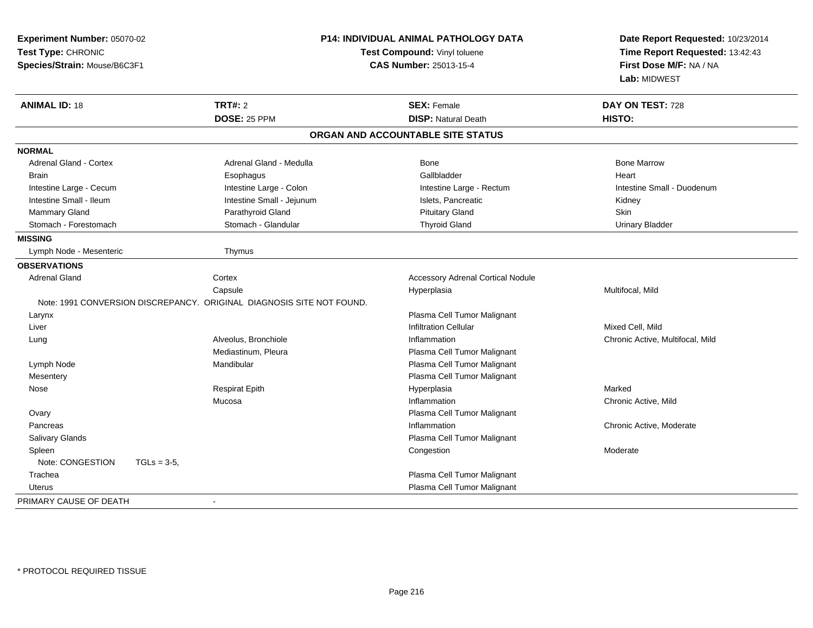| Experiment Number: 05070-02<br>Test Type: CHRONIC<br>Species/Strain: Mouse/B6C3F1 |                                                                       | <b>P14: INDIVIDUAL ANIMAL PATHOLOGY DATA</b><br>Test Compound: Vinyl toluene<br><b>CAS Number: 25013-15-4</b> | Date Report Requested: 10/23/2014<br>Time Report Requested: 13:42:43<br>First Dose M/F: NA / NA<br>Lab: MIDWEST |  |
|-----------------------------------------------------------------------------------|-----------------------------------------------------------------------|---------------------------------------------------------------------------------------------------------------|-----------------------------------------------------------------------------------------------------------------|--|
| <b>ANIMAL ID: 18</b>                                                              | <b>TRT#: 2</b>                                                        | <b>SEX: Female</b>                                                                                            | DAY ON TEST: 728                                                                                                |  |
|                                                                                   | <b>DOSE: 25 PPM</b>                                                   | <b>DISP: Natural Death</b>                                                                                    | HISTO:                                                                                                          |  |
|                                                                                   |                                                                       | ORGAN AND ACCOUNTABLE SITE STATUS                                                                             |                                                                                                                 |  |
| <b>NORMAL</b>                                                                     |                                                                       |                                                                                                               |                                                                                                                 |  |
| Adrenal Gland - Cortex                                                            | Adrenal Gland - Medulla                                               | Bone                                                                                                          | <b>Bone Marrow</b>                                                                                              |  |
| <b>Brain</b>                                                                      | Esophagus                                                             | Gallbladder                                                                                                   | Heart                                                                                                           |  |
| Intestine Large - Cecum                                                           | Intestine Large - Colon                                               | Intestine Large - Rectum                                                                                      | Intestine Small - Duodenum                                                                                      |  |
| Intestine Small - Ileum                                                           | Intestine Small - Jejunum                                             | Islets, Pancreatic                                                                                            | Kidney                                                                                                          |  |
| Mammary Gland                                                                     | Parathyroid Gland                                                     | <b>Pituitary Gland</b>                                                                                        | Skin                                                                                                            |  |
| Stomach - Forestomach                                                             | Stomach - Glandular                                                   | <b>Thyroid Gland</b>                                                                                          | <b>Urinary Bladder</b>                                                                                          |  |
| <b>MISSING</b>                                                                    |                                                                       |                                                                                                               |                                                                                                                 |  |
| Lymph Node - Mesenteric                                                           | Thymus                                                                |                                                                                                               |                                                                                                                 |  |
| <b>OBSERVATIONS</b>                                                               |                                                                       |                                                                                                               |                                                                                                                 |  |
| <b>Adrenal Gland</b>                                                              | Cortex                                                                | <b>Accessory Adrenal Cortical Nodule</b>                                                                      |                                                                                                                 |  |
|                                                                                   | Capsule                                                               | Hyperplasia                                                                                                   | Multifocal, Mild                                                                                                |  |
|                                                                                   | Note: 1991 CONVERSION DISCREPANCY. ORIGINAL DIAGNOSIS SITE NOT FOUND. |                                                                                                               |                                                                                                                 |  |
| Larynx                                                                            |                                                                       | Plasma Cell Tumor Malignant                                                                                   |                                                                                                                 |  |
| Liver                                                                             |                                                                       | <b>Infiltration Cellular</b>                                                                                  | Mixed Cell, Mild                                                                                                |  |
| Lung                                                                              | Alveolus, Bronchiole                                                  | Inflammation                                                                                                  | Chronic Active, Multifocal, Mild                                                                                |  |
|                                                                                   | Mediastinum, Pleura                                                   | Plasma Cell Tumor Malignant                                                                                   |                                                                                                                 |  |
| Lymph Node                                                                        | Mandibular                                                            | Plasma Cell Tumor Malignant                                                                                   |                                                                                                                 |  |
| Mesentery                                                                         |                                                                       | Plasma Cell Tumor Malignant                                                                                   |                                                                                                                 |  |
| Nose                                                                              | <b>Respirat Epith</b>                                                 | Hyperplasia                                                                                                   | Marked                                                                                                          |  |
|                                                                                   | Mucosa                                                                | Inflammation                                                                                                  | Chronic Active, Mild                                                                                            |  |
| Ovary                                                                             |                                                                       | Plasma Cell Tumor Malignant                                                                                   |                                                                                                                 |  |
| Pancreas                                                                          |                                                                       | Inflammation                                                                                                  | Chronic Active, Moderate                                                                                        |  |
| Salivary Glands                                                                   |                                                                       | Plasma Cell Tumor Malignant                                                                                   |                                                                                                                 |  |
| Spleen                                                                            |                                                                       | Congestion                                                                                                    | Moderate                                                                                                        |  |
| Note: CONGESTION<br>$TGLs = 3-5$                                                  |                                                                       |                                                                                                               |                                                                                                                 |  |
| Trachea                                                                           |                                                                       | Plasma Cell Tumor Malignant                                                                                   |                                                                                                                 |  |
| <b>Uterus</b>                                                                     |                                                                       | Plasma Cell Tumor Malignant                                                                                   |                                                                                                                 |  |
| PRIMARY CAUSE OF DEATH                                                            | $\blacksquare$                                                        |                                                                                                               |                                                                                                                 |  |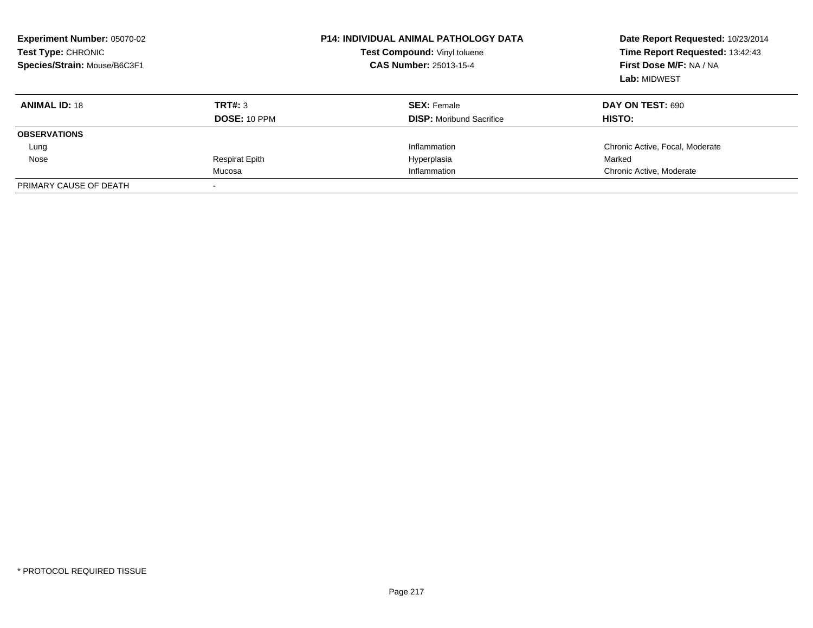| <b>Experiment Number: 05070-02</b><br>Test Type: CHRONIC<br>Species/Strain: Mouse/B6C3F1 |                       | <b>P14: INDIVIDUAL ANIMAL PATHOLOGY DATA</b><br>Test Compound: Vinyl toluene<br><b>CAS Number: 25013-15-4</b> | Date Report Requested: 10/23/2014<br>Time Report Requested: 13:42:43<br>First Dose M/F: NA / NA<br>Lab: MIDWEST |
|------------------------------------------------------------------------------------------|-----------------------|---------------------------------------------------------------------------------------------------------------|-----------------------------------------------------------------------------------------------------------------|
| <b>ANIMAL ID: 18</b>                                                                     | TRT#: 3               | <b>SEX: Female</b>                                                                                            | <b>DAY ON TEST: 690</b>                                                                                         |
|                                                                                          | <b>DOSE: 10 PPM</b>   | <b>DISP:</b> Moribund Sacrifice                                                                               | HISTO:                                                                                                          |
| <b>OBSERVATIONS</b>                                                                      |                       |                                                                                                               |                                                                                                                 |
| Lung                                                                                     |                       | Inflammation                                                                                                  | Chronic Active, Focal, Moderate                                                                                 |
| Nose                                                                                     | <b>Respirat Epith</b> | Hyperplasia                                                                                                   | Marked                                                                                                          |
|                                                                                          | Mucosa                | Inflammation                                                                                                  | Chronic Active, Moderate                                                                                        |
| PRIMARY CAUSE OF DEATH                                                                   |                       |                                                                                                               |                                                                                                                 |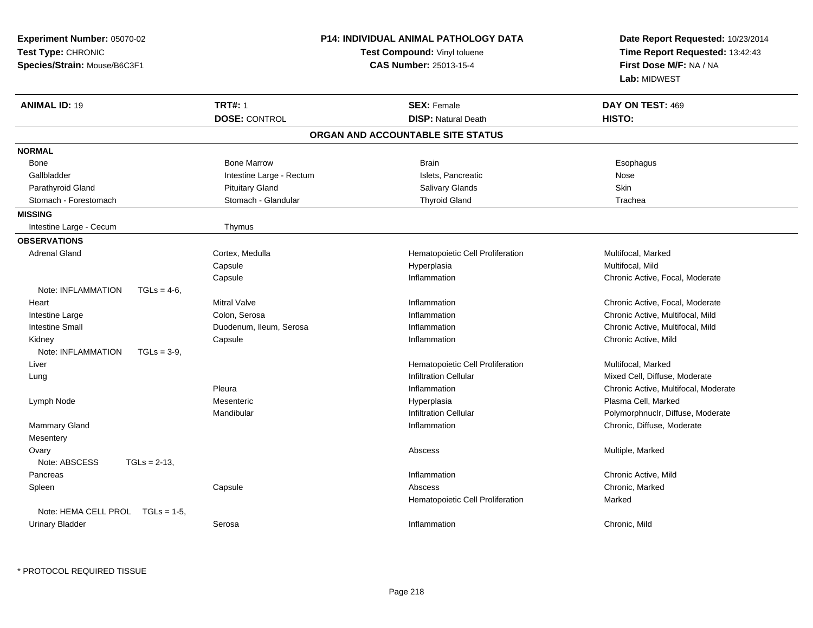| Experiment Number: 05070-02<br>Test Type: CHRONIC<br>Species/Strain: Mouse/B6C3F1 |                          | <b>P14: INDIVIDUAL ANIMAL PATHOLOGY DATA</b><br>Test Compound: Vinyl toluene<br><b>CAS Number: 25013-15-4</b> | Date Report Requested: 10/23/2014<br>Time Report Requested: 13:42:43<br>First Dose M/F: NA / NA<br>Lab: MIDWEST |
|-----------------------------------------------------------------------------------|--------------------------|---------------------------------------------------------------------------------------------------------------|-----------------------------------------------------------------------------------------------------------------|
| <b>ANIMAL ID: 19</b>                                                              | <b>TRT#: 1</b>           | <b>SEX: Female</b>                                                                                            | DAY ON TEST: 469                                                                                                |
|                                                                                   | <b>DOSE: CONTROL</b>     | <b>DISP: Natural Death</b>                                                                                    | HISTO:                                                                                                          |
|                                                                                   |                          | ORGAN AND ACCOUNTABLE SITE STATUS                                                                             |                                                                                                                 |
| <b>NORMAL</b>                                                                     |                          |                                                                                                               |                                                                                                                 |
| Bone                                                                              | <b>Bone Marrow</b>       | <b>Brain</b>                                                                                                  | Esophagus                                                                                                       |
| Gallbladder                                                                       | Intestine Large - Rectum | Islets, Pancreatic                                                                                            | Nose                                                                                                            |
| Parathyroid Gland                                                                 | <b>Pituitary Gland</b>   | Salivary Glands                                                                                               | Skin                                                                                                            |
| Stomach - Forestomach                                                             | Stomach - Glandular      | <b>Thyroid Gland</b>                                                                                          | Trachea                                                                                                         |
| <b>MISSING</b>                                                                    |                          |                                                                                                               |                                                                                                                 |
| Intestine Large - Cecum                                                           | Thymus                   |                                                                                                               |                                                                                                                 |
| <b>OBSERVATIONS</b>                                                               |                          |                                                                                                               |                                                                                                                 |
| <b>Adrenal Gland</b>                                                              | Cortex, Medulla          | Hematopoietic Cell Proliferation                                                                              | Multifocal, Marked                                                                                              |
|                                                                                   | Capsule                  | Hyperplasia                                                                                                   | Multifocal, Mild                                                                                                |
|                                                                                   | Capsule                  | Inflammation                                                                                                  | Chronic Active, Focal, Moderate                                                                                 |
| Note: INFLAMMATION<br>$TGLs = 4-6$                                                |                          |                                                                                                               |                                                                                                                 |
| Heart                                                                             | <b>Mitral Valve</b>      | Inflammation                                                                                                  | Chronic Active, Focal, Moderate                                                                                 |
| Intestine Large                                                                   | Colon, Serosa            | Inflammation                                                                                                  | Chronic Active, Multifocal, Mild                                                                                |
| <b>Intestine Small</b>                                                            | Duodenum, Ileum, Serosa  | Inflammation                                                                                                  | Chronic Active, Multifocal, Mild                                                                                |
| Kidney                                                                            | Capsule                  | Inflammation                                                                                                  | Chronic Active, Mild                                                                                            |
| Note: INFLAMMATION<br>$TGLs = 3-9$                                                |                          |                                                                                                               |                                                                                                                 |
| Liver                                                                             |                          | Hematopoietic Cell Proliferation                                                                              | Multifocal, Marked                                                                                              |
| Lung                                                                              |                          | <b>Infiltration Cellular</b>                                                                                  | Mixed Cell, Diffuse, Moderate                                                                                   |
|                                                                                   | Pleura                   | Inflammation                                                                                                  | Chronic Active, Multifocal, Moderate                                                                            |
| Lymph Node                                                                        | Mesenteric               | Hyperplasia                                                                                                   | Plasma Cell, Marked                                                                                             |
|                                                                                   | Mandibular               | <b>Infiltration Cellular</b>                                                                                  | Polymorphnuclr, Diffuse, Moderate                                                                               |
| Mammary Gland                                                                     |                          | Inflammation                                                                                                  | Chronic, Diffuse, Moderate                                                                                      |
| Mesentery                                                                         |                          |                                                                                                               |                                                                                                                 |
| Ovary                                                                             |                          | Abscess                                                                                                       | Multiple, Marked                                                                                                |
| Note: ABSCESS<br>$TGLs = 2-13$                                                    |                          |                                                                                                               |                                                                                                                 |
| Pancreas                                                                          |                          | Inflammation                                                                                                  | Chronic Active, Mild                                                                                            |
| Spleen                                                                            | Capsule                  | Abscess                                                                                                       | Chronic, Marked                                                                                                 |
|                                                                                   |                          | Hematopoietic Cell Proliferation                                                                              | Marked                                                                                                          |
| Note: HEMA CELL PROL $TGLs = 1-5$ ,                                               |                          |                                                                                                               |                                                                                                                 |
| Urinary Bladder                                                                   | Serosa                   | Inflammation                                                                                                  | Chronic, Mild                                                                                                   |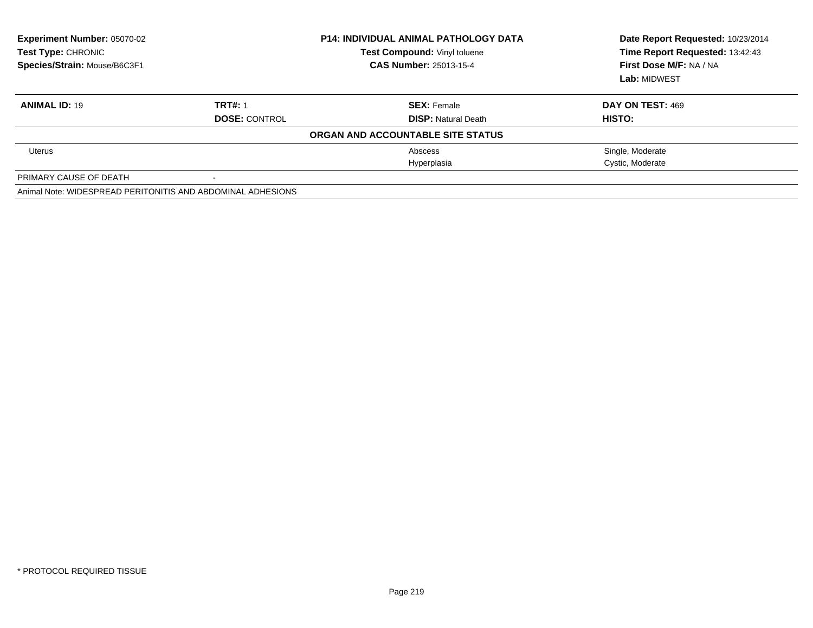| <b>Experiment Number: 05070-02</b><br><b>Test Type: CHRONIC</b><br>Species/Strain: Mouse/B6C3F1 |                      | <b>P14: INDIVIDUAL ANIMAL PATHOLOGY DATA</b><br>Test Compound: Vinyl toluene<br><b>CAS Number: 25013-15-4</b> | Date Report Requested: 10/23/2014<br>Time Report Requested: 13:42:43<br>First Dose M/F: NA / NA |
|-------------------------------------------------------------------------------------------------|----------------------|---------------------------------------------------------------------------------------------------------------|-------------------------------------------------------------------------------------------------|
|                                                                                                 |                      |                                                                                                               | Lab: MIDWEST                                                                                    |
| <b>ANIMAL ID: 19</b>                                                                            | <b>TRT#: 1</b>       | <b>SEX: Female</b>                                                                                            | DAY ON TEST: 469                                                                                |
|                                                                                                 | <b>DOSE: CONTROL</b> | <b>DISP: Natural Death</b>                                                                                    | HISTO:                                                                                          |
|                                                                                                 |                      | ORGAN AND ACCOUNTABLE SITE STATUS                                                                             |                                                                                                 |
| <b>Uterus</b>                                                                                   |                      | Abscess                                                                                                       | Single, Moderate                                                                                |
|                                                                                                 |                      | Hyperplasia                                                                                                   | Cystic, Moderate                                                                                |
| PRIMARY CAUSE OF DEATH                                                                          |                      |                                                                                                               |                                                                                                 |
| Animal Note: WIDESPREAD PERITONITIS AND ABDOMINAL ADHESIONS                                     |                      |                                                                                                               |                                                                                                 |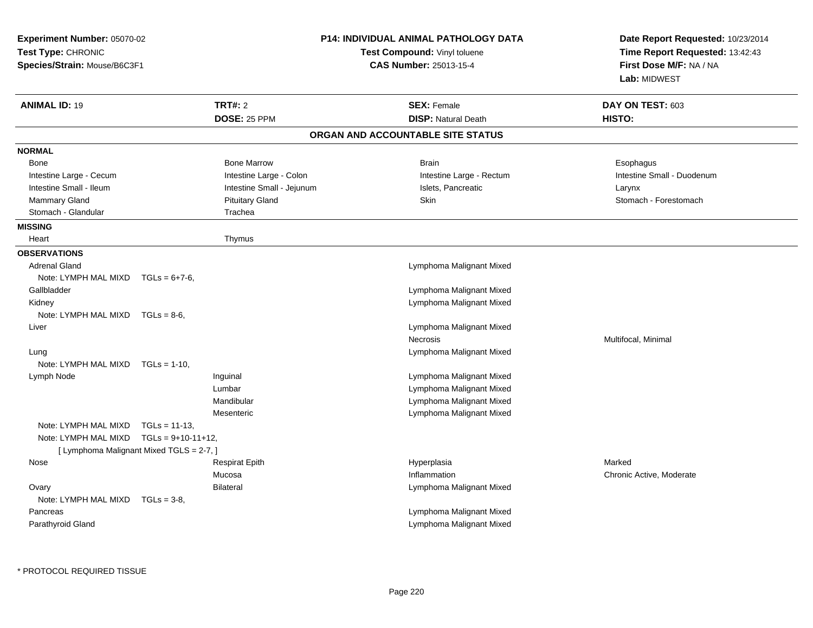| Experiment Number: 05070-02<br>Test Type: CHRONIC<br>Species/Strain: Mouse/B6C3F1 |                       |                           | <b>P14: INDIVIDUAL ANIMAL PATHOLOGY DATA</b><br>Test Compound: Vinyl toluene<br><b>CAS Number: 25013-15-4</b> | Date Report Requested: 10/23/2014<br>Time Report Requested: 13:42:43<br>First Dose M/F: NA / NA<br>Lab: MIDWEST |
|-----------------------------------------------------------------------------------|-----------------------|---------------------------|---------------------------------------------------------------------------------------------------------------|-----------------------------------------------------------------------------------------------------------------|
| <b>ANIMAL ID: 19</b>                                                              |                       | <b>TRT#: 2</b>            | <b>SEX: Female</b>                                                                                            | DAY ON TEST: 603                                                                                                |
|                                                                                   |                       | DOSE: 25 PPM              | <b>DISP: Natural Death</b>                                                                                    | HISTO:                                                                                                          |
|                                                                                   |                       |                           | ORGAN AND ACCOUNTABLE SITE STATUS                                                                             |                                                                                                                 |
| <b>NORMAL</b>                                                                     |                       |                           |                                                                                                               |                                                                                                                 |
| Bone                                                                              |                       | <b>Bone Marrow</b>        | <b>Brain</b>                                                                                                  | Esophagus                                                                                                       |
| Intestine Large - Cecum                                                           |                       | Intestine Large - Colon   | Intestine Large - Rectum                                                                                      | Intestine Small - Duodenum                                                                                      |
| Intestine Small - Ileum                                                           |                       | Intestine Small - Jejunum | Islets, Pancreatic                                                                                            | Larynx                                                                                                          |
| Mammary Gland                                                                     |                       | <b>Pituitary Gland</b>    | Skin                                                                                                          | Stomach - Forestomach                                                                                           |
| Stomach - Glandular                                                               |                       | Trachea                   |                                                                                                               |                                                                                                                 |
| <b>MISSING</b>                                                                    |                       |                           |                                                                                                               |                                                                                                                 |
| Heart                                                                             |                       | Thymus                    |                                                                                                               |                                                                                                                 |
| <b>OBSERVATIONS</b>                                                               |                       |                           |                                                                                                               |                                                                                                                 |
| <b>Adrenal Gland</b>                                                              |                       |                           | Lymphoma Malignant Mixed                                                                                      |                                                                                                                 |
| Note: LYMPH MAL MIXD                                                              | $TGLs = 6+7-6$ ,      |                           |                                                                                                               |                                                                                                                 |
| Gallbladder                                                                       |                       |                           | Lymphoma Malignant Mixed                                                                                      |                                                                                                                 |
| Kidney                                                                            |                       |                           | Lymphoma Malignant Mixed                                                                                      |                                                                                                                 |
| Note: LYMPH MAL MIXD                                                              | $TGLs = 8-6$          |                           |                                                                                                               |                                                                                                                 |
| Liver                                                                             |                       |                           | Lymphoma Malignant Mixed                                                                                      |                                                                                                                 |
|                                                                                   |                       |                           | <b>Necrosis</b>                                                                                               | Multifocal, Minimal                                                                                             |
| Lung                                                                              |                       |                           | Lymphoma Malignant Mixed                                                                                      |                                                                                                                 |
| Note: LYMPH MAL MIXD                                                              | $TGLs = 1-10$ ,       |                           |                                                                                                               |                                                                                                                 |
| Lymph Node                                                                        |                       | Inguinal                  | Lymphoma Malignant Mixed                                                                                      |                                                                                                                 |
|                                                                                   |                       | Lumbar                    | Lymphoma Malignant Mixed                                                                                      |                                                                                                                 |
|                                                                                   |                       | Mandibular                | Lymphoma Malignant Mixed                                                                                      |                                                                                                                 |
|                                                                                   |                       | Mesenteric                | Lymphoma Malignant Mixed                                                                                      |                                                                                                                 |
| Note: LYMPH MAL MIXD                                                              | $TGLs = 11-13.$       |                           |                                                                                                               |                                                                                                                 |
| Note: LYMPH MAL MIXD                                                              | $TGLs = 9+10-11+12$ , |                           |                                                                                                               |                                                                                                                 |
| [ Lymphoma Malignant Mixed TGLS = 2-7, ]                                          |                       |                           |                                                                                                               |                                                                                                                 |
| Nose                                                                              |                       | <b>Respirat Epith</b>     | Hyperplasia                                                                                                   | Marked                                                                                                          |
|                                                                                   |                       | Mucosa                    | Inflammation                                                                                                  | Chronic Active, Moderate                                                                                        |
| Ovary                                                                             |                       | <b>Bilateral</b>          | Lymphoma Malignant Mixed                                                                                      |                                                                                                                 |
| Note: LYMPH MAL MIXD                                                              | $TGLs = 3-8$          |                           |                                                                                                               |                                                                                                                 |
| Pancreas                                                                          |                       |                           | Lymphoma Malignant Mixed                                                                                      |                                                                                                                 |
| Parathyroid Gland                                                                 |                       |                           | Lymphoma Malignant Mixed                                                                                      |                                                                                                                 |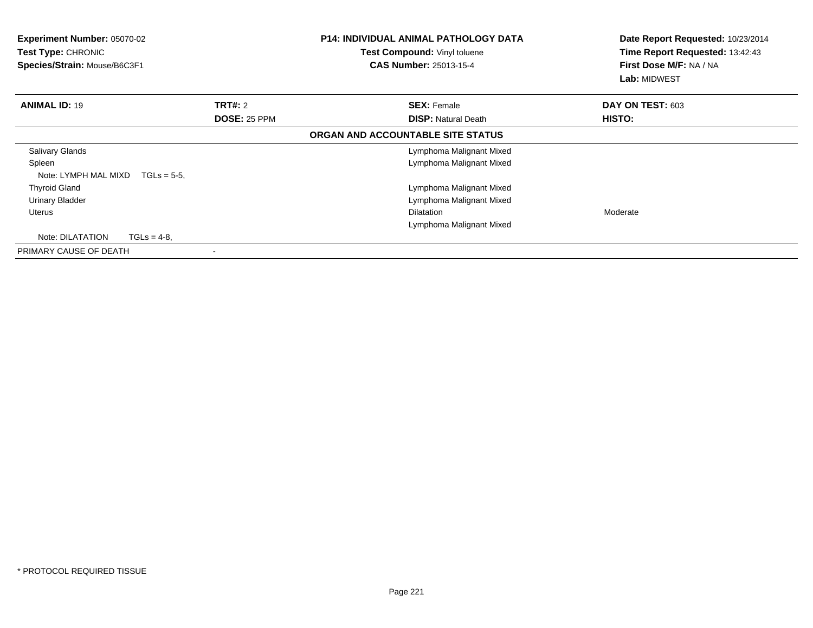| <b>Experiment Number: 05070-02</b><br><b>Test Type: CHRONIC</b><br>Species/Strain: Mouse/B6C3F1 |                     | P14: INDIVIDUAL ANIMAL PATHOLOGY DATA<br>Test Compound: Vinyl toluene<br><b>CAS Number: 25013-15-4</b> | Date Report Requested: 10/23/2014<br>Time Report Requested: 13:42:43<br>First Dose M/F: NA / NA<br><b>Lab: MIDWEST</b> |
|-------------------------------------------------------------------------------------------------|---------------------|--------------------------------------------------------------------------------------------------------|------------------------------------------------------------------------------------------------------------------------|
| <b>ANIMAL ID: 19</b>                                                                            | <b>TRT#: 2</b>      | <b>SEX: Female</b>                                                                                     | DAY ON TEST: 603                                                                                                       |
|                                                                                                 | <b>DOSE: 25 PPM</b> | <b>DISP: Natural Death</b>                                                                             | HISTO:                                                                                                                 |
|                                                                                                 |                     | ORGAN AND ACCOUNTABLE SITE STATUS                                                                      |                                                                                                                        |
| <b>Salivary Glands</b>                                                                          |                     | Lymphoma Malignant Mixed                                                                               |                                                                                                                        |
| Spleen                                                                                          |                     | Lymphoma Malignant Mixed                                                                               |                                                                                                                        |
| Note: LYMPH MAL MIXD<br>$TGLs = 5-5.$                                                           |                     |                                                                                                        |                                                                                                                        |
| <b>Thyroid Gland</b>                                                                            |                     | Lymphoma Malignant Mixed                                                                               |                                                                                                                        |
| <b>Urinary Bladder</b>                                                                          |                     | Lymphoma Malignant Mixed                                                                               |                                                                                                                        |
| Uterus                                                                                          |                     | <b>Dilatation</b>                                                                                      | Moderate                                                                                                               |
|                                                                                                 |                     | Lymphoma Malignant Mixed                                                                               |                                                                                                                        |
| Note: DILATATION<br>$TGLs = 4-8$ ,                                                              |                     |                                                                                                        |                                                                                                                        |
| PRIMARY CAUSE OF DEATH                                                                          |                     |                                                                                                        |                                                                                                                        |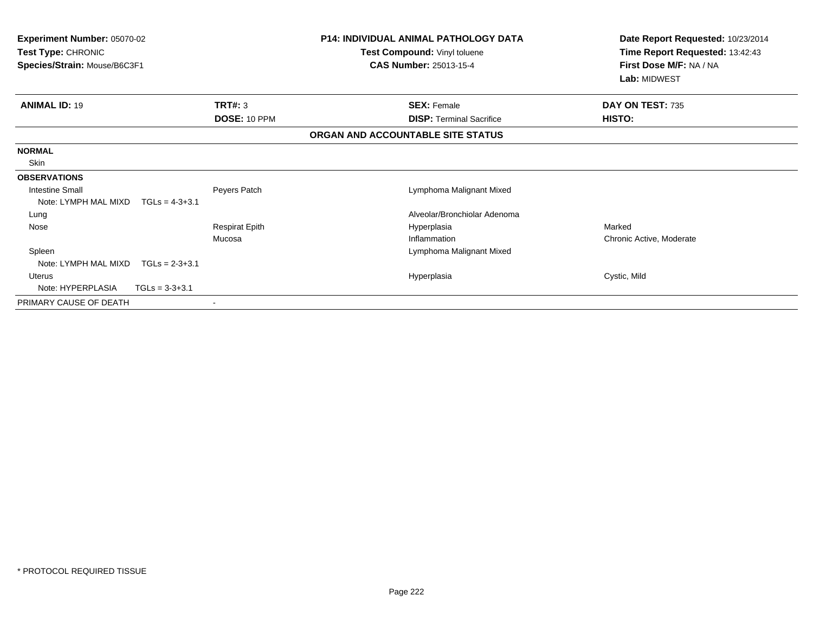| <b>Experiment Number: 05070-02</b><br>Test Type: CHRONIC<br>Species/Strain: Mouse/B6C3F1 |                         | <b>P14: INDIVIDUAL ANIMAL PATHOLOGY DATA</b><br>Test Compound: Vinyl toluene<br><b>CAS Number: 25013-15-4</b> | Date Report Requested: 10/23/2014<br>Time Report Requested: 13:42:43<br>First Dose M/F: NA / NA<br>Lab: MIDWEST |
|------------------------------------------------------------------------------------------|-------------------------|---------------------------------------------------------------------------------------------------------------|-----------------------------------------------------------------------------------------------------------------|
| <b>ANIMAL ID: 19</b>                                                                     | TRT#: 3<br>DOSE: 10 PPM | <b>SEX: Female</b><br><b>DISP:</b> Terminal Sacrifice                                                         | DAY ON TEST: 735<br><b>HISTO:</b>                                                                               |
|                                                                                          |                         | ORGAN AND ACCOUNTABLE SITE STATUS                                                                             |                                                                                                                 |
| <b>NORMAL</b>                                                                            |                         |                                                                                                               |                                                                                                                 |
| Skin                                                                                     |                         |                                                                                                               |                                                                                                                 |
| <b>OBSERVATIONS</b>                                                                      |                         |                                                                                                               |                                                                                                                 |
| <b>Intestine Small</b>                                                                   | Peyers Patch            | Lymphoma Malignant Mixed                                                                                      |                                                                                                                 |
| Note: LYMPH MAL MIXD<br>$TGLs = 4-3+3.1$                                                 |                         |                                                                                                               |                                                                                                                 |
| Lung                                                                                     |                         | Alveolar/Bronchiolar Adenoma                                                                                  |                                                                                                                 |
| Nose                                                                                     | <b>Respirat Epith</b>   | Hyperplasia                                                                                                   | Marked                                                                                                          |
|                                                                                          | Mucosa                  | Inflammation                                                                                                  | Chronic Active, Moderate                                                                                        |
| Spleen                                                                                   |                         | Lymphoma Malignant Mixed                                                                                      |                                                                                                                 |
| Note: LYMPH MAL MIXD<br>$TGLs = 2-3+3.1$                                                 |                         |                                                                                                               |                                                                                                                 |
| Uterus                                                                                   |                         | Hyperplasia                                                                                                   | Cystic, Mild                                                                                                    |
| Note: HYPERPLASIA<br>$TGLs = 3-3+3.1$                                                    |                         |                                                                                                               |                                                                                                                 |
| PRIMARY CAUSE OF DEATH                                                                   |                         |                                                                                                               |                                                                                                                 |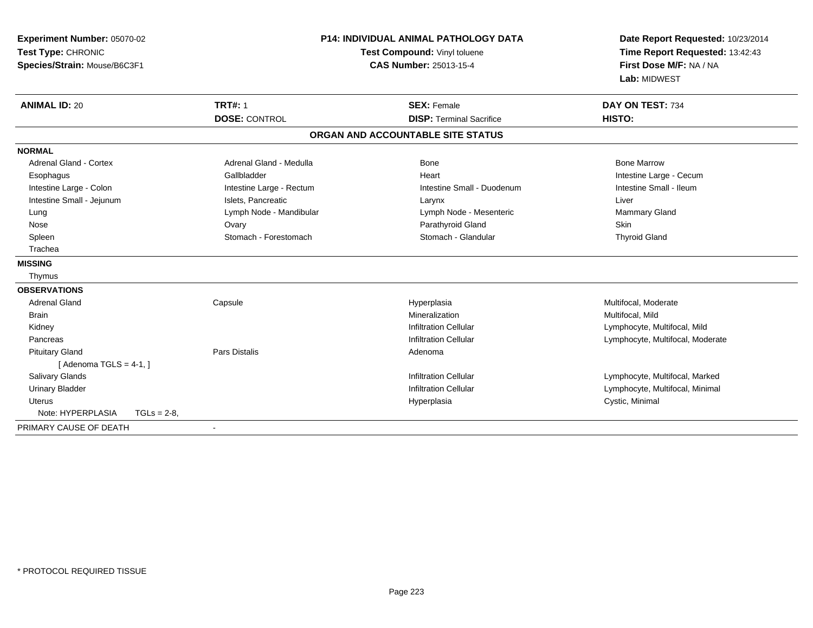| Experiment Number: 05070-02<br>Test Type: CHRONIC<br>Species/Strain: Mouse/B6C3F1 |                                        | <b>P14: INDIVIDUAL ANIMAL PATHOLOGY DATA</b><br>Test Compound: Vinyl toluene<br>CAS Number: 25013-15-4 | Date Report Requested: 10/23/2014<br>Time Report Requested: 13:42:43<br>First Dose M/F: NA / NA<br>Lab: MIDWEST |  |
|-----------------------------------------------------------------------------------|----------------------------------------|--------------------------------------------------------------------------------------------------------|-----------------------------------------------------------------------------------------------------------------|--|
| <b>ANIMAL ID: 20</b>                                                              | <b>TRT#: 1</b><br><b>DOSE: CONTROL</b> | <b>SEX: Female</b><br><b>DISP: Terminal Sacrifice</b>                                                  | DAY ON TEST: 734<br>HISTO:                                                                                      |  |
|                                                                                   |                                        | ORGAN AND ACCOUNTABLE SITE STATUS                                                                      |                                                                                                                 |  |
| <b>NORMAL</b>                                                                     |                                        |                                                                                                        |                                                                                                                 |  |
| Adrenal Gland - Cortex                                                            | Adrenal Gland - Medulla                | <b>Bone</b>                                                                                            | <b>Bone Marrow</b>                                                                                              |  |
| Esophagus                                                                         | Gallbladder                            | Heart                                                                                                  | Intestine Large - Cecum                                                                                         |  |
| Intestine Large - Colon                                                           | Intestine Large - Rectum               | Intestine Small - Duodenum                                                                             | Intestine Small - Ileum                                                                                         |  |
| Intestine Small - Jejunum                                                         | Islets, Pancreatic                     | Larynx                                                                                                 | Liver                                                                                                           |  |
| Lung                                                                              | Lymph Node - Mandibular                | Lymph Node - Mesenteric                                                                                | Mammary Gland                                                                                                   |  |
| Nose                                                                              | Ovary                                  | Parathyroid Gland                                                                                      | Skin                                                                                                            |  |
| Spleen                                                                            | Stomach - Forestomach                  | Stomach - Glandular                                                                                    | <b>Thyroid Gland</b>                                                                                            |  |
| Trachea                                                                           |                                        |                                                                                                        |                                                                                                                 |  |
| <b>MISSING</b>                                                                    |                                        |                                                                                                        |                                                                                                                 |  |
| Thymus                                                                            |                                        |                                                                                                        |                                                                                                                 |  |
| <b>OBSERVATIONS</b>                                                               |                                        |                                                                                                        |                                                                                                                 |  |
| <b>Adrenal Gland</b>                                                              | Capsule                                | Hyperplasia                                                                                            | Multifocal, Moderate                                                                                            |  |
| <b>Brain</b>                                                                      |                                        | Mineralization                                                                                         | Multifocal, Mild                                                                                                |  |
| Kidney                                                                            |                                        | <b>Infiltration Cellular</b>                                                                           | Lymphocyte, Multifocal, Mild                                                                                    |  |
| Pancreas                                                                          |                                        | <b>Infiltration Cellular</b>                                                                           | Lymphocyte, Multifocal, Moderate                                                                                |  |
| <b>Pituitary Gland</b>                                                            | <b>Pars Distalis</b>                   | Adenoma                                                                                                |                                                                                                                 |  |
| [Adenoma TGLS = $4-1$ , ]                                                         |                                        |                                                                                                        |                                                                                                                 |  |
| Salivary Glands                                                                   |                                        | <b>Infiltration Cellular</b>                                                                           | Lymphocyte, Multifocal, Marked                                                                                  |  |
| <b>Urinary Bladder</b>                                                            |                                        | <b>Infiltration Cellular</b>                                                                           | Lymphocyte, Multifocal, Minimal                                                                                 |  |
| Uterus                                                                            |                                        | Hyperplasia                                                                                            | Cystic, Minimal                                                                                                 |  |
| Note: HYPERPLASIA<br>$TGLs = 2-8$                                                 |                                        |                                                                                                        |                                                                                                                 |  |
| PRIMARY CAUSE OF DEATH                                                            |                                        |                                                                                                        |                                                                                                                 |  |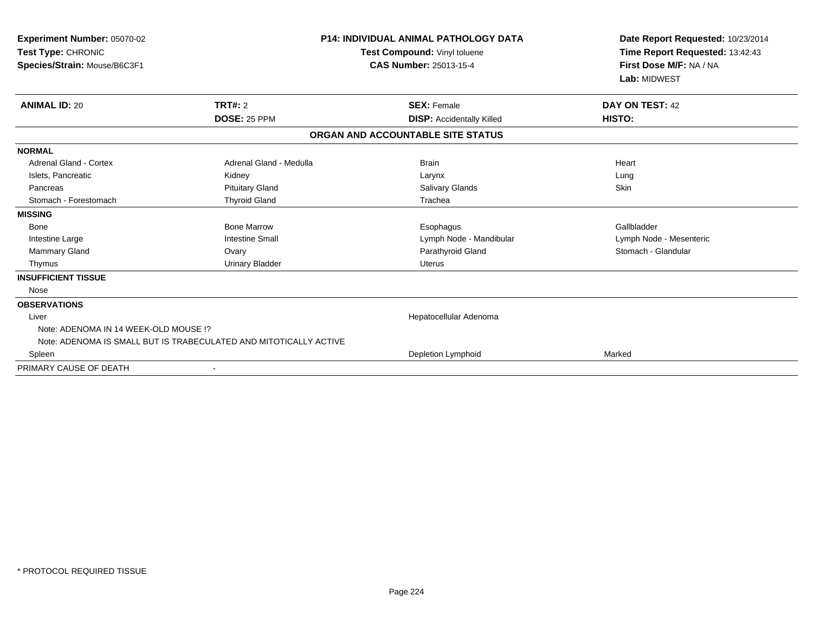| Experiment Number: 05070-02<br>Test Type: CHRONIC<br>Species/Strain: Mouse/B6C3F1 | <b>P14: INDIVIDUAL ANIMAL PATHOLOGY DATA</b><br>Test Compound: Vinyl toluene<br>CAS Number: 25013-15-4 |                                   | Date Report Requested: 10/23/2014<br>Time Report Requested: 13:42:43<br>First Dose M/F: NA / NA<br>Lab: MIDWEST |  |
|-----------------------------------------------------------------------------------|--------------------------------------------------------------------------------------------------------|-----------------------------------|-----------------------------------------------------------------------------------------------------------------|--|
| <b>ANIMAL ID: 20</b>                                                              | <b>TRT#: 2</b>                                                                                         | <b>SEX: Female</b>                | DAY ON TEST: 42                                                                                                 |  |
|                                                                                   | DOSE: 25 PPM                                                                                           | <b>DISP:</b> Accidentally Killed  | HISTO:                                                                                                          |  |
|                                                                                   |                                                                                                        | ORGAN AND ACCOUNTABLE SITE STATUS |                                                                                                                 |  |
| <b>NORMAL</b>                                                                     |                                                                                                        |                                   |                                                                                                                 |  |
| <b>Adrenal Gland - Cortex</b>                                                     | Adrenal Gland - Medulla                                                                                | <b>Brain</b>                      | Heart                                                                                                           |  |
| Islets, Pancreatic                                                                | Kidney                                                                                                 | Larynx                            | Lung                                                                                                            |  |
| Pancreas                                                                          | <b>Pituitary Gland</b>                                                                                 | <b>Salivary Glands</b>            | Skin                                                                                                            |  |
| Stomach - Forestomach                                                             | <b>Thyroid Gland</b>                                                                                   | Trachea                           |                                                                                                                 |  |
| <b>MISSING</b>                                                                    |                                                                                                        |                                   |                                                                                                                 |  |
| Bone                                                                              | <b>Bone Marrow</b>                                                                                     | Esophagus                         | Gallbladder                                                                                                     |  |
| Intestine Large                                                                   | <b>Intestine Small</b>                                                                                 | Lymph Node - Mandibular           | Lymph Node - Mesenteric                                                                                         |  |
| Mammary Gland                                                                     | Ovary                                                                                                  | Parathyroid Gland                 | Stomach - Glandular                                                                                             |  |
| Thymus                                                                            | <b>Urinary Bladder</b>                                                                                 | Uterus                            |                                                                                                                 |  |
| <b>INSUFFICIENT TISSUE</b>                                                        |                                                                                                        |                                   |                                                                                                                 |  |
| Nose                                                                              |                                                                                                        |                                   |                                                                                                                 |  |
| <b>OBSERVATIONS</b>                                                               |                                                                                                        |                                   |                                                                                                                 |  |
| Liver                                                                             |                                                                                                        | Hepatocellular Adenoma            |                                                                                                                 |  |
| Note: ADENOMA IN 14 WEEK-OLD MOUSE !?                                             |                                                                                                        |                                   |                                                                                                                 |  |
|                                                                                   | Note: ADENOMA IS SMALL BUT IS TRABECULATED AND MITOTICALLY ACTIVE                                      |                                   |                                                                                                                 |  |
| Spleen                                                                            |                                                                                                        | Depletion Lymphoid                | Marked                                                                                                          |  |
| PRIMARY CAUSE OF DEATH                                                            | $\blacksquare$                                                                                         |                                   |                                                                                                                 |  |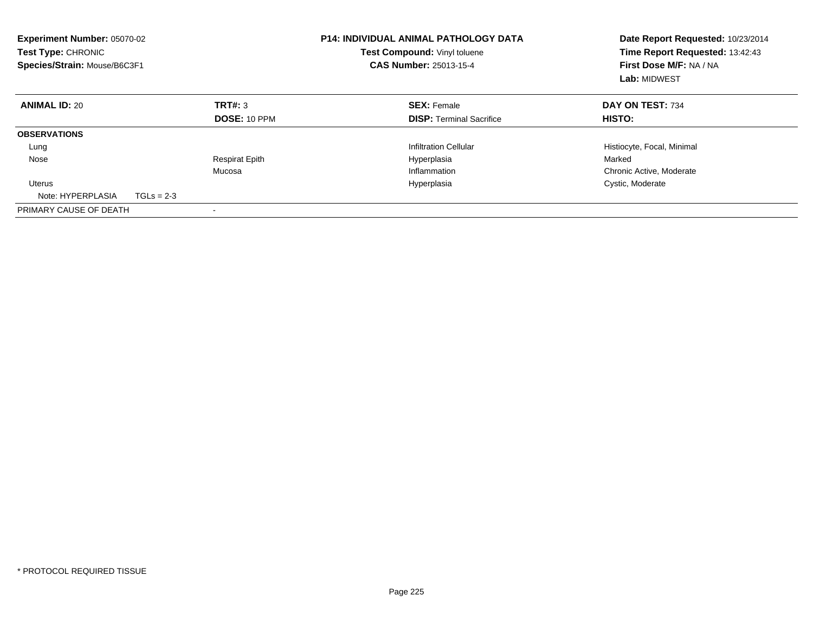| <b>Experiment Number: 05070-02</b><br><b>Test Type: CHRONIC</b><br>Species/Strain: Mouse/B6C3F1 |              | <b>P14: INDIVIDUAL ANIMAL PATHOLOGY DATA</b><br>Test Compound: Vinyl toluene<br><b>CAS Number: 25013-15-4</b> |  | Date Report Requested: 10/23/2014<br>Time Report Requested: 13:42:43<br>First Dose M/F: NA / NA<br>Lab: MIDWEST |                            |
|-------------------------------------------------------------------------------------------------|--------------|---------------------------------------------------------------------------------------------------------------|--|-----------------------------------------------------------------------------------------------------------------|----------------------------|
| <b>ANIMAL ID: 20</b>                                                                            |              | TRT#: 3                                                                                                       |  | <b>SEX: Female</b>                                                                                              | DAY ON TEST: 734           |
|                                                                                                 |              | <b>DOSE: 10 PPM</b>                                                                                           |  | <b>DISP:</b> Terminal Sacrifice                                                                                 | HISTO:                     |
| <b>OBSERVATIONS</b>                                                                             |              |                                                                                                               |  |                                                                                                                 |                            |
| Lung                                                                                            |              |                                                                                                               |  | <b>Infiltration Cellular</b>                                                                                    | Histiocyte, Focal, Minimal |
| Nose                                                                                            |              | <b>Respirat Epith</b>                                                                                         |  | Hyperplasia                                                                                                     | Marked                     |
|                                                                                                 |              | Mucosa                                                                                                        |  | Inflammation                                                                                                    | Chronic Active, Moderate   |
| <b>Uterus</b>                                                                                   |              |                                                                                                               |  | Hyperplasia                                                                                                     | Cystic, Moderate           |
| Note: HYPERPLASIA                                                                               | $TGLs = 2-3$ |                                                                                                               |  |                                                                                                                 |                            |
| PRIMARY CAUSE OF DEATH                                                                          |              |                                                                                                               |  |                                                                                                                 |                            |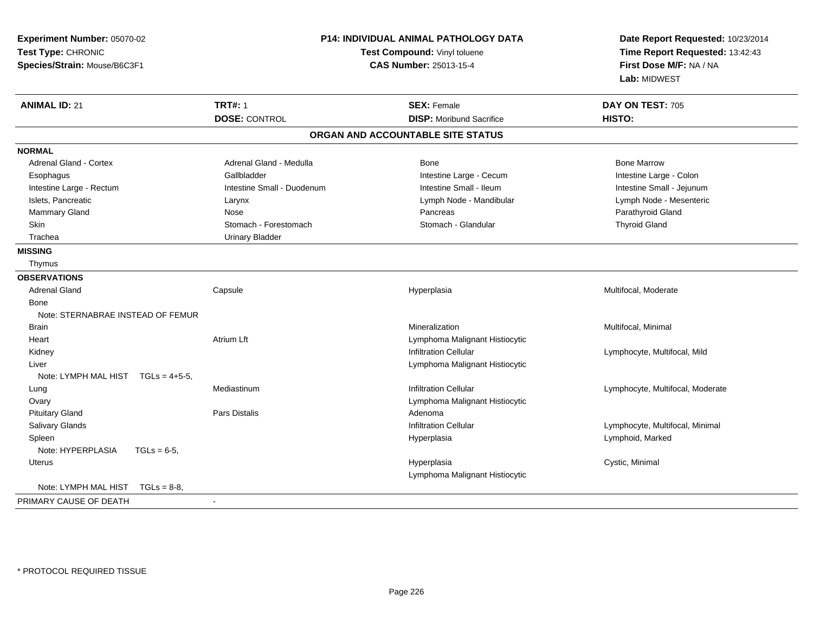| Experiment Number: 05070-02<br>Test Type: CHRONIC<br>Species/Strain: Mouse/B6C3F1 |               |                            | P14: INDIVIDUAL ANIMAL PATHOLOGY DATA<br>Test Compound: Vinyl toluene<br><b>CAS Number: 25013-15-4</b> | Date Report Requested: 10/23/2014<br>Time Report Requested: 13:42:43<br>First Dose M/F: NA / NA<br>Lab: MIDWEST |
|-----------------------------------------------------------------------------------|---------------|----------------------------|--------------------------------------------------------------------------------------------------------|-----------------------------------------------------------------------------------------------------------------|
| <b>ANIMAL ID: 21</b>                                                              |               | <b>TRT#: 1</b>             | <b>SEX: Female</b>                                                                                     | DAY ON TEST: 705                                                                                                |
|                                                                                   |               | <b>DOSE: CONTROL</b>       | <b>DISP:</b> Moribund Sacrifice                                                                        | HISTO:                                                                                                          |
|                                                                                   |               |                            | ORGAN AND ACCOUNTABLE SITE STATUS                                                                      |                                                                                                                 |
| <b>NORMAL</b>                                                                     |               |                            |                                                                                                        |                                                                                                                 |
| Adrenal Gland - Cortex                                                            |               | Adrenal Gland - Medulla    | <b>Bone</b>                                                                                            | <b>Bone Marrow</b>                                                                                              |
| Esophagus                                                                         |               | Gallbladder                | Intestine Large - Cecum                                                                                | Intestine Large - Colon                                                                                         |
| Intestine Large - Rectum                                                          |               | Intestine Small - Duodenum | Intestine Small - Ileum                                                                                | Intestine Small - Jejunum                                                                                       |
| Islets, Pancreatic                                                                |               | Larynx                     | Lymph Node - Mandibular                                                                                | Lymph Node - Mesenteric                                                                                         |
| Mammary Gland                                                                     |               | Nose                       | Pancreas                                                                                               | Parathyroid Gland                                                                                               |
| <b>Skin</b>                                                                       |               | Stomach - Forestomach      | Stomach - Glandular                                                                                    | <b>Thyroid Gland</b>                                                                                            |
| Trachea                                                                           |               | <b>Urinary Bladder</b>     |                                                                                                        |                                                                                                                 |
| <b>MISSING</b>                                                                    |               |                            |                                                                                                        |                                                                                                                 |
| Thymus                                                                            |               |                            |                                                                                                        |                                                                                                                 |
| <b>OBSERVATIONS</b>                                                               |               |                            |                                                                                                        |                                                                                                                 |
| <b>Adrenal Gland</b>                                                              |               | Capsule                    | Hyperplasia                                                                                            | Multifocal, Moderate                                                                                            |
| Bone                                                                              |               |                            |                                                                                                        |                                                                                                                 |
| Note: STERNABRAE INSTEAD OF FEMUR                                                 |               |                            |                                                                                                        |                                                                                                                 |
| Brain                                                                             |               |                            | Mineralization                                                                                         | Multifocal, Minimal                                                                                             |
| Heart                                                                             |               | <b>Atrium Lft</b>          | Lymphoma Malignant Histiocytic                                                                         |                                                                                                                 |
| Kidney                                                                            |               |                            | <b>Infiltration Cellular</b>                                                                           | Lymphocyte, Multifocal, Mild                                                                                    |
| Liver                                                                             |               |                            | Lymphoma Malignant Histiocytic                                                                         |                                                                                                                 |
| Note: LYMPH MAL HIST $TGLs = 4+5-5$ .                                             |               |                            |                                                                                                        |                                                                                                                 |
| Lung                                                                              |               | Mediastinum                | <b>Infiltration Cellular</b>                                                                           | Lymphocyte, Multifocal, Moderate                                                                                |
| Ovary                                                                             |               |                            | Lymphoma Malignant Histiocytic                                                                         |                                                                                                                 |
| <b>Pituitary Gland</b>                                                            |               | <b>Pars Distalis</b>       | Adenoma                                                                                                |                                                                                                                 |
| Salivary Glands                                                                   |               |                            | <b>Infiltration Cellular</b>                                                                           | Lymphocyte, Multifocal, Minimal                                                                                 |
| Spleen                                                                            |               |                            | Hyperplasia                                                                                            | Lymphoid, Marked                                                                                                |
| Note: HYPERPLASIA                                                                 | $TGLs = 6-5$  |                            |                                                                                                        |                                                                                                                 |
| Uterus                                                                            |               |                            | Hyperplasia                                                                                            | Cystic, Minimal                                                                                                 |
|                                                                                   |               |                            | Lymphoma Malignant Histiocytic                                                                         |                                                                                                                 |
| Note: LYMPH MAL HIST                                                              | $TGLs = 8-8.$ |                            |                                                                                                        |                                                                                                                 |
| PRIMARY CAUSE OF DEATH                                                            |               |                            |                                                                                                        |                                                                                                                 |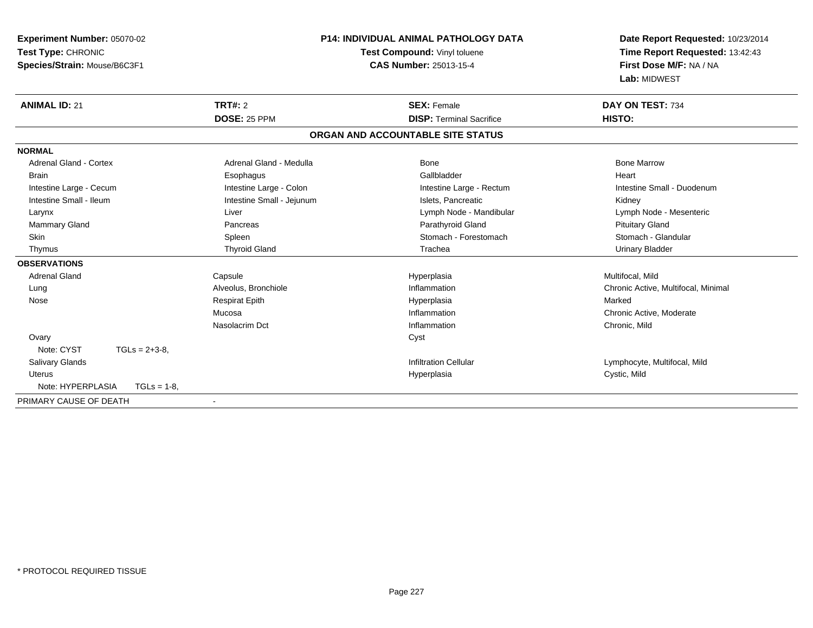| Experiment Number: 05070-02<br>Test Type: CHRONIC |                           | <b>P14: INDIVIDUAL ANIMAL PATHOLOGY DATA</b> | Date Report Requested: 10/23/2014   |
|---------------------------------------------------|---------------------------|----------------------------------------------|-------------------------------------|
|                                                   |                           | Test Compound: Vinyl toluene                 | Time Report Requested: 13:42:43     |
| Species/Strain: Mouse/B6C3F1                      |                           | <b>CAS Number: 25013-15-4</b>                | First Dose M/F: NA / NA             |
|                                                   |                           |                                              | Lab: MIDWEST                        |
| <b>ANIMAL ID: 21</b>                              | TRT#: 2                   | <b>SEX: Female</b>                           | DAY ON TEST: 734                    |
|                                                   | <b>DOSE: 25 PPM</b>       | <b>DISP: Terminal Sacrifice</b>              | HISTO:                              |
|                                                   |                           | ORGAN AND ACCOUNTABLE SITE STATUS            |                                     |
| <b>NORMAL</b>                                     |                           |                                              |                                     |
| <b>Adrenal Gland - Cortex</b>                     | Adrenal Gland - Medulla   | <b>Bone</b>                                  | <b>Bone Marrow</b>                  |
| <b>Brain</b>                                      | Esophagus                 | Gallbladder                                  | Heart                               |
| Intestine Large - Cecum                           | Intestine Large - Colon   | Intestine Large - Rectum                     | Intestine Small - Duodenum          |
| Intestine Small - Ileum                           | Intestine Small - Jejunum | Islets. Pancreatic                           | Kidney                              |
| Larynx                                            | Liver                     | Lymph Node - Mandibular                      | Lymph Node - Mesenteric             |
| <b>Mammary Gland</b>                              | Pancreas                  | Parathyroid Gland                            | <b>Pituitary Gland</b>              |
| <b>Skin</b>                                       | Spleen                    | Stomach - Forestomach                        | Stomach - Glandular                 |
| Thymus                                            | <b>Thyroid Gland</b>      | Trachea                                      | <b>Urinary Bladder</b>              |
| <b>OBSERVATIONS</b>                               |                           |                                              |                                     |
| <b>Adrenal Gland</b>                              | Capsule                   | Hyperplasia                                  | Multifocal, Mild                    |
| Lung                                              | Alveolus, Bronchiole      | Inflammation                                 | Chronic Active, Multifocal, Minimal |
| Nose                                              | <b>Respirat Epith</b>     | Hyperplasia                                  | Marked                              |
|                                                   | Mucosa                    | Inflammation                                 | Chronic Active, Moderate            |
|                                                   | Nasolacrim Dct            | Inflammation                                 | Chronic, Mild                       |
| Ovary                                             |                           | Cyst                                         |                                     |
| Note: CYST<br>$TGLs = 2+3-8,$                     |                           |                                              |                                     |
| Salivary Glands                                   |                           | <b>Infiltration Cellular</b>                 | Lymphocyte, Multifocal, Mild        |
| <b>Uterus</b>                                     |                           | Hyperplasia                                  | Cystic, Mild                        |
| Note: HYPERPLASIA<br>$TGLs = 1-8$ ,               |                           |                                              |                                     |
| PRIMARY CAUSE OF DEATH                            | $\blacksquare$            |                                              |                                     |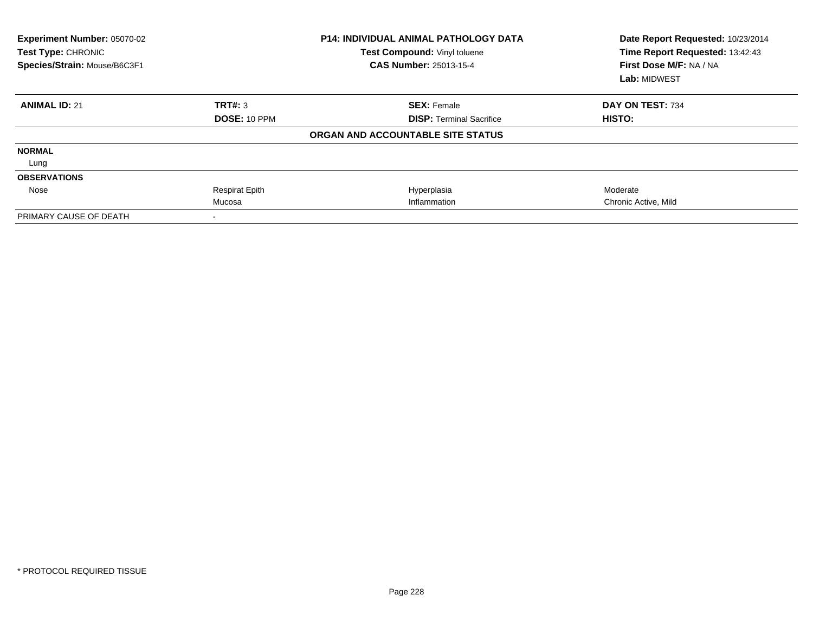| Experiment Number: 05070-02<br>Test Type: CHRONIC<br>Species/Strain: Mouse/B6C3F1 |                       | <b>P14: INDIVIDUAL ANIMAL PATHOLOGY DATA</b><br>Test Compound: Vinyl toluene<br><b>CAS Number: 25013-15-4</b> | Date Report Requested: 10/23/2014<br>Time Report Requested: 13:42:43<br>First Dose M/F: NA / NA<br>Lab: MIDWEST |  |
|-----------------------------------------------------------------------------------|-----------------------|---------------------------------------------------------------------------------------------------------------|-----------------------------------------------------------------------------------------------------------------|--|
| <b>ANIMAL ID: 21</b>                                                              | TRT#: 3               | <b>SEX: Female</b>                                                                                            | DAY ON TEST: 734                                                                                                |  |
|                                                                                   | DOSE: 10 PPM          | <b>DISP:</b> Terminal Sacrifice                                                                               | HISTO:                                                                                                          |  |
|                                                                                   |                       | ORGAN AND ACCOUNTABLE SITE STATUS                                                                             |                                                                                                                 |  |
| <b>NORMAL</b>                                                                     |                       |                                                                                                               |                                                                                                                 |  |
| Lung                                                                              |                       |                                                                                                               |                                                                                                                 |  |
| <b>OBSERVATIONS</b>                                                               |                       |                                                                                                               |                                                                                                                 |  |
| Nose                                                                              | <b>Respirat Epith</b> | Hyperplasia                                                                                                   | Moderate                                                                                                        |  |
|                                                                                   | Mucosa                | Inflammation                                                                                                  | Chronic Active, Mild                                                                                            |  |
| PRIMARY CAUSE OF DEATH                                                            |                       |                                                                                                               |                                                                                                                 |  |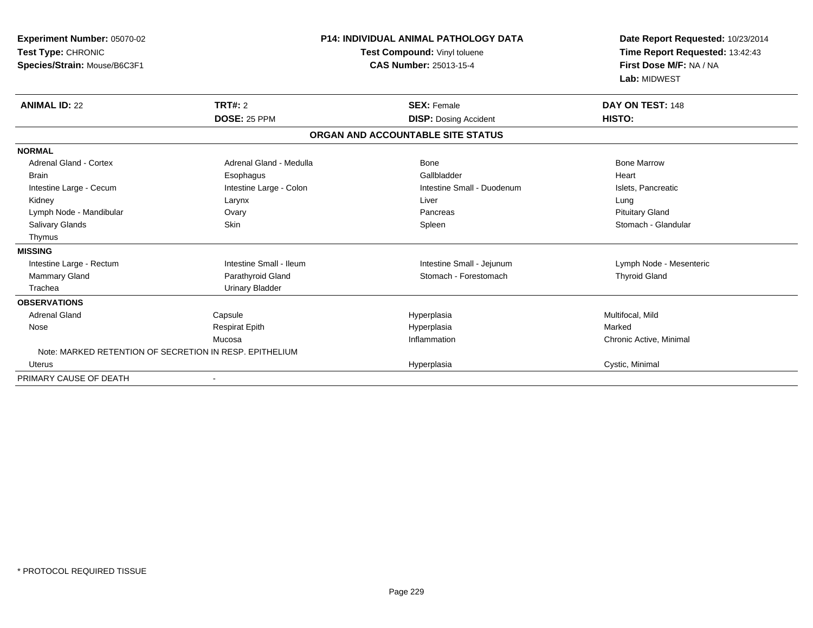| Experiment Number: 05070-02<br>Test Type: CHRONIC<br>Species/Strain: Mouse/B6C3F1 |                                       | <b>P14: INDIVIDUAL ANIMAL PATHOLOGY DATA</b><br>Test Compound: Vinyl toluene<br>CAS Number: 25013-15-4 | Date Report Requested: 10/23/2014<br>Time Report Requested: 13:42:43<br>First Dose M/F: NA / NA<br>Lab: MIDWEST |
|-----------------------------------------------------------------------------------|---------------------------------------|--------------------------------------------------------------------------------------------------------|-----------------------------------------------------------------------------------------------------------------|
| <b>ANIMAL ID: 22</b>                                                              | <b>TRT#: 2</b><br><b>DOSE: 25 PPM</b> | <b>SEX: Female</b><br><b>DISP: Dosing Accident</b>                                                     | DAY ON TEST: 148<br>HISTO:                                                                                      |
|                                                                                   |                                       | ORGAN AND ACCOUNTABLE SITE STATUS                                                                      |                                                                                                                 |
| <b>NORMAL</b>                                                                     |                                       |                                                                                                        |                                                                                                                 |
| Adrenal Gland - Cortex                                                            | Adrenal Gland - Medulla               | Bone                                                                                                   | <b>Bone Marrow</b>                                                                                              |
| <b>Brain</b>                                                                      | Esophagus                             | Gallbladder                                                                                            | Heart                                                                                                           |
| Intestine Large - Cecum                                                           | Intestine Large - Colon               | Intestine Small - Duodenum                                                                             | Islets, Pancreatic                                                                                              |
| Kidney                                                                            | Larynx                                | Liver                                                                                                  | Lung                                                                                                            |
| Lymph Node - Mandibular                                                           | Ovary                                 | Pancreas                                                                                               | <b>Pituitary Gland</b>                                                                                          |
| <b>Salivary Glands</b>                                                            | Skin                                  | Spleen                                                                                                 | Stomach - Glandular                                                                                             |
| Thymus                                                                            |                                       |                                                                                                        |                                                                                                                 |
| <b>MISSING</b>                                                                    |                                       |                                                                                                        |                                                                                                                 |
| Intestine Large - Rectum                                                          | Intestine Small - Ileum               | Intestine Small - Jejunum                                                                              | Lymph Node - Mesenteric                                                                                         |
| Mammary Gland                                                                     | Parathyroid Gland                     | Stomach - Forestomach                                                                                  | <b>Thyroid Gland</b>                                                                                            |
| Trachea                                                                           | <b>Urinary Bladder</b>                |                                                                                                        |                                                                                                                 |
| <b>OBSERVATIONS</b>                                                               |                                       |                                                                                                        |                                                                                                                 |
| <b>Adrenal Gland</b>                                                              | Capsule                               | Hyperplasia                                                                                            | Multifocal, Mild                                                                                                |
| Nose                                                                              | <b>Respirat Epith</b>                 | Hyperplasia                                                                                            | Marked                                                                                                          |
|                                                                                   | Mucosa                                | Inflammation                                                                                           | Chronic Active, Minimal                                                                                         |
| Note: MARKED RETENTION OF SECRETION IN RESP. EPITHELIUM                           |                                       |                                                                                                        |                                                                                                                 |
| <b>Uterus</b>                                                                     |                                       | Hyperplasia                                                                                            | Cystic, Minimal                                                                                                 |
| PRIMARY CAUSE OF DEATH                                                            |                                       |                                                                                                        |                                                                                                                 |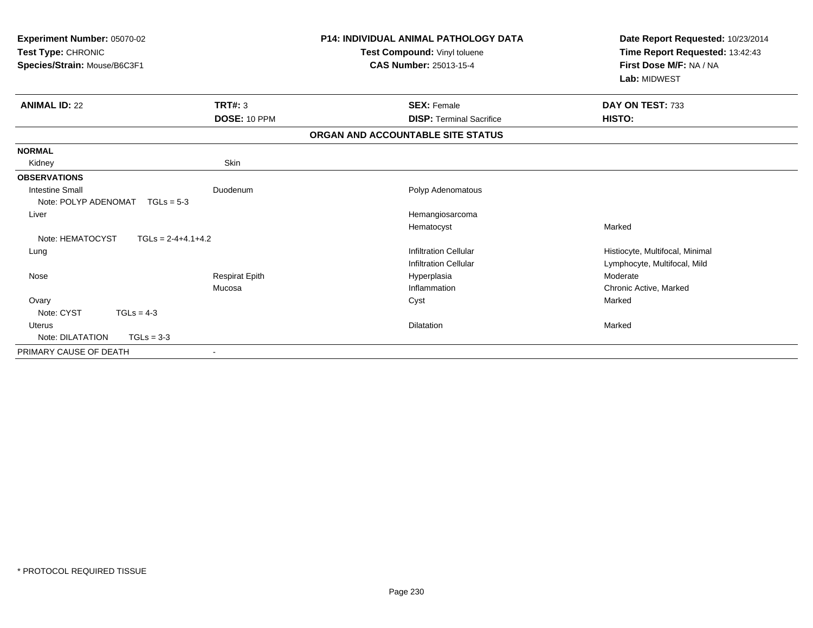| Experiment Number: 05070-02<br>Test Type: CHRONIC |                       | <b>P14: INDIVIDUAL ANIMAL PATHOLOGY DATA</b><br>Test Compound: Vinyl toluene | Date Report Requested: 10/23/2014<br>Time Report Requested: 13:42:43 |  |
|---------------------------------------------------|-----------------------|------------------------------------------------------------------------------|----------------------------------------------------------------------|--|
| Species/Strain: Mouse/B6C3F1                      |                       | <b>CAS Number: 25013-15-4</b>                                                | First Dose M/F: NA / NA<br>Lab: MIDWEST                              |  |
| <b>ANIMAL ID: 22</b>                              | <b>TRT#: 3</b>        | <b>SEX: Female</b>                                                           | DAY ON TEST: 733                                                     |  |
|                                                   | DOSE: 10 PPM          | <b>DISP: Terminal Sacrifice</b>                                              | HISTO:                                                               |  |
|                                                   |                       | ORGAN AND ACCOUNTABLE SITE STATUS                                            |                                                                      |  |
| <b>NORMAL</b>                                     |                       |                                                                              |                                                                      |  |
| Kidney                                            | Skin                  |                                                                              |                                                                      |  |
| <b>OBSERVATIONS</b>                               |                       |                                                                              |                                                                      |  |
| <b>Intestine Small</b>                            | Duodenum              | Polyp Adenomatous                                                            |                                                                      |  |
| Note: POLYP ADENOMAT<br>$TGLs = 5-3$              |                       |                                                                              |                                                                      |  |
| Liver                                             |                       | Hemangiosarcoma                                                              |                                                                      |  |
|                                                   |                       | Hematocyst                                                                   | Marked                                                               |  |
| Note: HEMATOCYST<br>$TGLs = 2-4+4.1+4.2$          |                       |                                                                              |                                                                      |  |
| Lung                                              |                       | <b>Infiltration Cellular</b>                                                 | Histiocyte, Multifocal, Minimal                                      |  |
|                                                   |                       | <b>Infiltration Cellular</b>                                                 | Lymphocyte, Multifocal, Mild                                         |  |
| Nose                                              | <b>Respirat Epith</b> | Hyperplasia                                                                  | Moderate                                                             |  |
|                                                   | Mucosa                | Inflammation                                                                 | Chronic Active, Marked                                               |  |
| Ovary                                             |                       | Cyst                                                                         | Marked                                                               |  |
| Note: CYST<br>$TGLs = 4-3$                        |                       |                                                                              |                                                                      |  |
| <b>Uterus</b>                                     |                       | Dilatation                                                                   | Marked                                                               |  |
| Note: DILATATION<br>$TGLs = 3-3$                  |                       |                                                                              |                                                                      |  |
| PRIMARY CAUSE OF DEATH                            | $\blacksquare$        |                                                                              |                                                                      |  |
|                                                   |                       |                                                                              |                                                                      |  |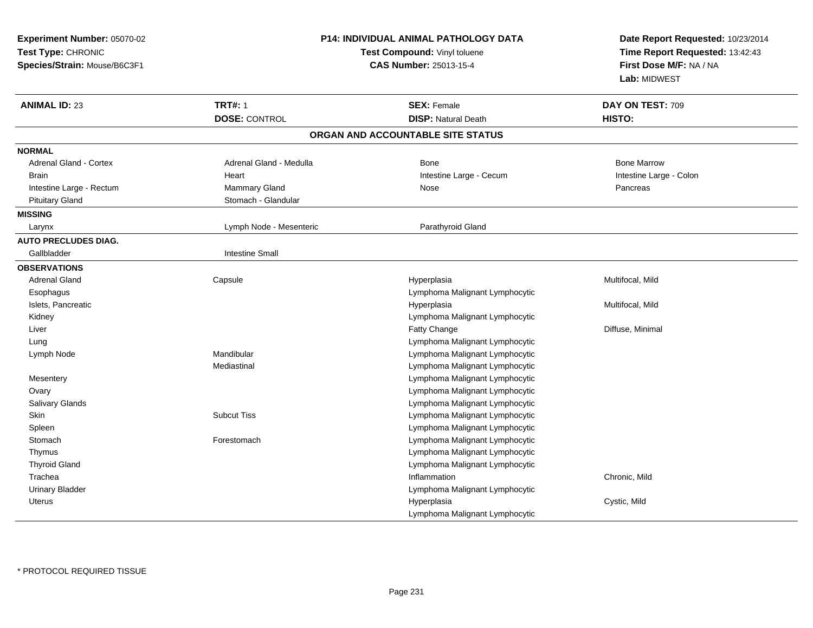| Experiment Number: 05070-02<br>Test Type: CHRONIC<br>Species/Strain: Mouse/B6C3F1 | <b>P14: INDIVIDUAL ANIMAL PATHOLOGY DATA</b><br>Test Compound: Vinyl toluene<br><b>CAS Number: 25013-15-4</b> |                                   | Date Report Requested: 10/23/2014<br>Time Report Requested: 13:42:43<br>First Dose M/F: NA / NA<br>Lab: MIDWEST |  |
|-----------------------------------------------------------------------------------|---------------------------------------------------------------------------------------------------------------|-----------------------------------|-----------------------------------------------------------------------------------------------------------------|--|
| <b>ANIMAL ID: 23</b>                                                              | <b>TRT#: 1</b>                                                                                                | <b>SEX: Female</b>                | DAY ON TEST: 709                                                                                                |  |
|                                                                                   | <b>DOSE: CONTROL</b>                                                                                          | <b>DISP: Natural Death</b>        | <b>HISTO:</b>                                                                                                   |  |
|                                                                                   |                                                                                                               | ORGAN AND ACCOUNTABLE SITE STATUS |                                                                                                                 |  |
| <b>NORMAL</b>                                                                     |                                                                                                               |                                   |                                                                                                                 |  |
| Adrenal Gland - Cortex                                                            | Adrenal Gland - Medulla                                                                                       | <b>Bone</b>                       | <b>Bone Marrow</b>                                                                                              |  |
| <b>Brain</b>                                                                      | Heart                                                                                                         | Intestine Large - Cecum           | Intestine Large - Colon                                                                                         |  |
| Intestine Large - Rectum                                                          | <b>Mammary Gland</b>                                                                                          | Nose                              | Pancreas                                                                                                        |  |
| <b>Pituitary Gland</b>                                                            | Stomach - Glandular                                                                                           |                                   |                                                                                                                 |  |
| <b>MISSING</b>                                                                    |                                                                                                               |                                   |                                                                                                                 |  |
| Larynx                                                                            | Lymph Node - Mesenteric                                                                                       | Parathyroid Gland                 |                                                                                                                 |  |
| <b>AUTO PRECLUDES DIAG.</b>                                                       |                                                                                                               |                                   |                                                                                                                 |  |
| Gallbladder                                                                       | <b>Intestine Small</b>                                                                                        |                                   |                                                                                                                 |  |
| <b>OBSERVATIONS</b>                                                               |                                                                                                               |                                   |                                                                                                                 |  |
| <b>Adrenal Gland</b>                                                              | Capsule                                                                                                       | Hyperplasia                       | Multifocal, Mild                                                                                                |  |
| Esophagus                                                                         |                                                                                                               | Lymphoma Malignant Lymphocytic    |                                                                                                                 |  |
| Islets, Pancreatic                                                                |                                                                                                               | Hyperplasia                       | Multifocal, Mild                                                                                                |  |
| Kidney                                                                            |                                                                                                               | Lymphoma Malignant Lymphocytic    |                                                                                                                 |  |
| Liver                                                                             |                                                                                                               | Fatty Change                      | Diffuse, Minimal                                                                                                |  |
| Lung                                                                              |                                                                                                               | Lymphoma Malignant Lymphocytic    |                                                                                                                 |  |
| Lymph Node                                                                        | Mandibular                                                                                                    | Lymphoma Malignant Lymphocytic    |                                                                                                                 |  |
|                                                                                   | Mediastinal                                                                                                   | Lymphoma Malignant Lymphocytic    |                                                                                                                 |  |
| Mesentery                                                                         |                                                                                                               | Lymphoma Malignant Lymphocytic    |                                                                                                                 |  |
| Ovary                                                                             |                                                                                                               | Lymphoma Malignant Lymphocytic    |                                                                                                                 |  |
| Salivary Glands                                                                   |                                                                                                               | Lymphoma Malignant Lymphocytic    |                                                                                                                 |  |
| Skin                                                                              | <b>Subcut Tiss</b>                                                                                            | Lymphoma Malignant Lymphocytic    |                                                                                                                 |  |
| Spleen                                                                            |                                                                                                               | Lymphoma Malignant Lymphocytic    |                                                                                                                 |  |
| Stomach                                                                           | Forestomach                                                                                                   | Lymphoma Malignant Lymphocytic    |                                                                                                                 |  |
| Thymus                                                                            |                                                                                                               | Lymphoma Malignant Lymphocytic    |                                                                                                                 |  |
| <b>Thyroid Gland</b>                                                              |                                                                                                               | Lymphoma Malignant Lymphocytic    |                                                                                                                 |  |
| Trachea                                                                           |                                                                                                               | Inflammation                      | Chronic, Mild                                                                                                   |  |
| <b>Urinary Bladder</b>                                                            |                                                                                                               | Lymphoma Malignant Lymphocytic    |                                                                                                                 |  |
| Uterus                                                                            |                                                                                                               | Hyperplasia                       | Cystic, Mild                                                                                                    |  |
|                                                                                   |                                                                                                               | Lymphoma Malignant Lymphocytic    |                                                                                                                 |  |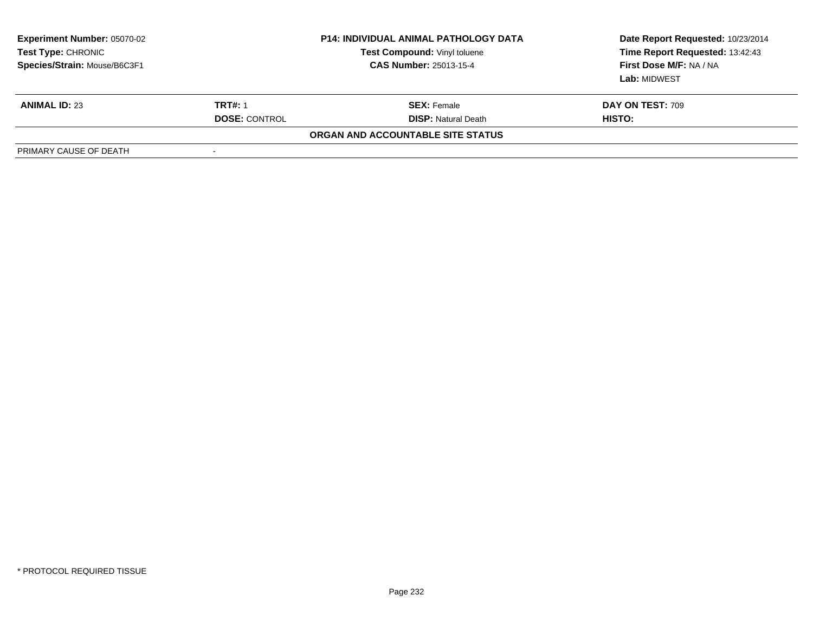| <b>Experiment Number: 05070-02</b><br>Test Type: CHRONIC<br>Species/Strain: Mouse/B6C3F1 |                                        | <b>P14: INDIVIDUAL ANIMAL PATHOLOGY DATA</b><br>Test Compound: Vinyl toluene<br><b>CAS Number: 25013-15-4</b> | Date Report Requested: 10/23/2014<br>Time Report Requested: 13:42:43<br>First Dose M/F: NA / NA<br>Lab: MIDWEST |
|------------------------------------------------------------------------------------------|----------------------------------------|---------------------------------------------------------------------------------------------------------------|-----------------------------------------------------------------------------------------------------------------|
| <b>ANIMAL ID: 23</b>                                                                     | <b>TRT#: 1</b><br><b>DOSE: CONTROL</b> | <b>SEX:</b> Female<br><b>DISP: Natural Death</b>                                                              | DAY ON TEST: 709<br>HISTO:                                                                                      |
|                                                                                          |                                        | ORGAN AND ACCOUNTABLE SITE STATUS                                                                             |                                                                                                                 |
| PRIMARY CAUSE OF DEATH                                                                   | $\overline{\phantom{a}}$               |                                                                                                               |                                                                                                                 |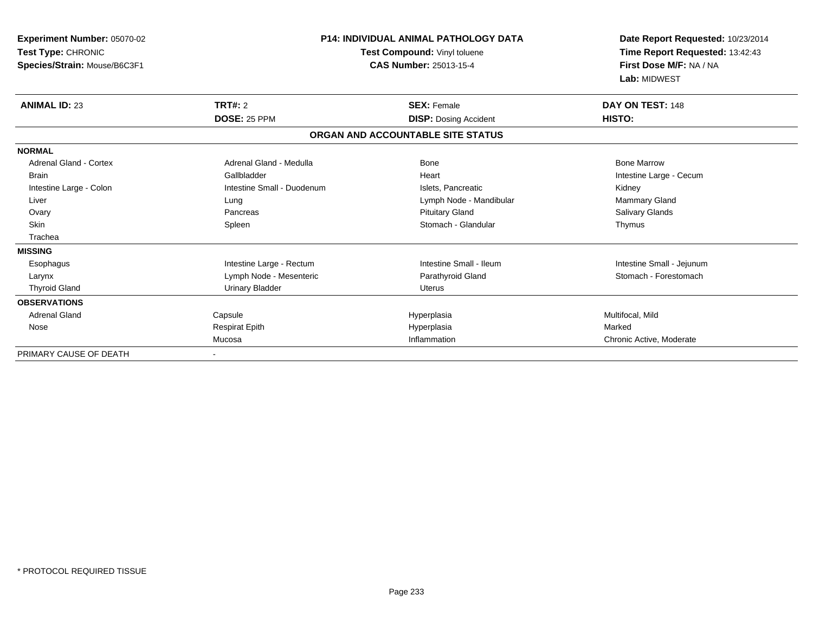| <b>Experiment Number: 05070-02</b><br>Test Type: CHRONIC<br>Species/Strain: Mouse/B6C3F1 | <b>P14: INDIVIDUAL ANIMAL PATHOLOGY DATA</b><br>Test Compound: Vinyl toluene<br><b>CAS Number: 25013-15-4</b> |                                   | Date Report Requested: 10/23/2014<br>Time Report Requested: 13:42:43<br>First Dose M/F: NA / NA<br>Lab: MIDWEST |  |
|------------------------------------------------------------------------------------------|---------------------------------------------------------------------------------------------------------------|-----------------------------------|-----------------------------------------------------------------------------------------------------------------|--|
| <b>ANIMAL ID: 23</b>                                                                     | TRT#: 2                                                                                                       | <b>SEX: Female</b>                | DAY ON TEST: 148                                                                                                |  |
|                                                                                          | DOSE: 25 PPM                                                                                                  | <b>DISP: Dosing Accident</b>      | HISTO:                                                                                                          |  |
|                                                                                          |                                                                                                               | ORGAN AND ACCOUNTABLE SITE STATUS |                                                                                                                 |  |
| <b>NORMAL</b>                                                                            |                                                                                                               |                                   |                                                                                                                 |  |
| <b>Adrenal Gland - Cortex</b>                                                            | Adrenal Gland - Medulla                                                                                       | Bone                              | <b>Bone Marrow</b>                                                                                              |  |
| <b>Brain</b>                                                                             | Gallbladder                                                                                                   | Heart                             | Intestine Large - Cecum                                                                                         |  |
| Intestine Large - Colon                                                                  | Intestine Small - Duodenum                                                                                    | Islets, Pancreatic                | Kidney                                                                                                          |  |
| Liver                                                                                    | Lung                                                                                                          | Lymph Node - Mandibular           | <b>Mammary Gland</b>                                                                                            |  |
| Ovary                                                                                    | Pancreas                                                                                                      | <b>Pituitary Gland</b>            | Salivary Glands                                                                                                 |  |
| <b>Skin</b>                                                                              | Spleen                                                                                                        | Stomach - Glandular               | Thymus                                                                                                          |  |
| Trachea                                                                                  |                                                                                                               |                                   |                                                                                                                 |  |
| <b>MISSING</b>                                                                           |                                                                                                               |                                   |                                                                                                                 |  |
| Esophagus                                                                                | Intestine Large - Rectum                                                                                      | Intestine Small - Ileum           | Intestine Small - Jejunum                                                                                       |  |
| Larynx                                                                                   | Lymph Node - Mesenteric                                                                                       | Parathyroid Gland                 | Stomach - Forestomach                                                                                           |  |
| <b>Thyroid Gland</b>                                                                     | <b>Urinary Bladder</b>                                                                                        | Uterus                            |                                                                                                                 |  |
| <b>OBSERVATIONS</b>                                                                      |                                                                                                               |                                   |                                                                                                                 |  |
| <b>Adrenal Gland</b>                                                                     | Capsule                                                                                                       | Hyperplasia                       | Multifocal, Mild                                                                                                |  |
| Nose                                                                                     | <b>Respirat Epith</b>                                                                                         | Hyperplasia                       | Marked                                                                                                          |  |
|                                                                                          | Mucosa                                                                                                        | Inflammation                      | Chronic Active, Moderate                                                                                        |  |
| PRIMARY CAUSE OF DEATH                                                                   |                                                                                                               |                                   |                                                                                                                 |  |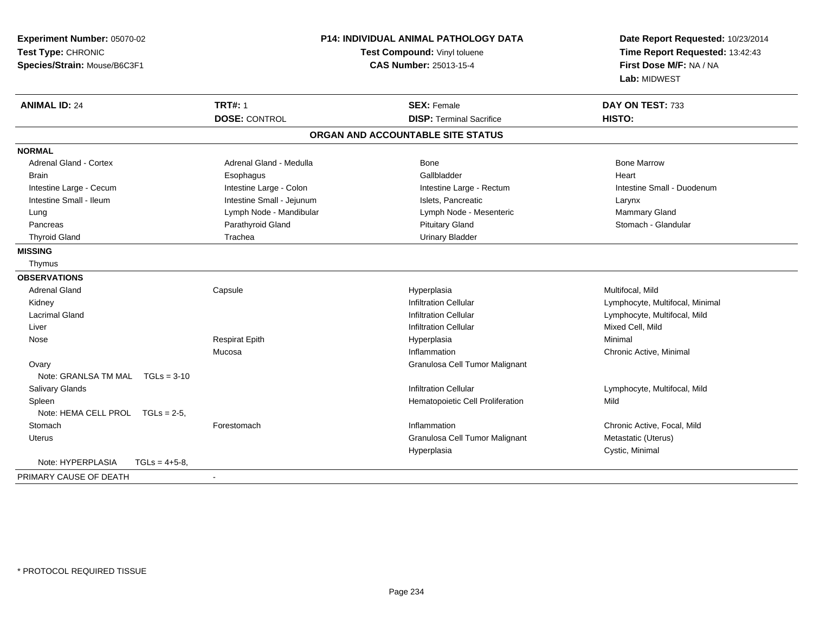| Experiment Number: 05070-02<br>Test Type: CHRONIC<br>Species/Strain: Mouse/B6C3F1 | <b>P14: INDIVIDUAL ANIMAL PATHOLOGY DATA</b><br>Test Compound: Vinyl toluene<br><b>CAS Number: 25013-15-4</b> |                                   | Date Report Requested: 10/23/2014<br>Time Report Requested: 13:42:43<br>First Dose M/F: NA / NA<br>Lab: MIDWEST |
|-----------------------------------------------------------------------------------|---------------------------------------------------------------------------------------------------------------|-----------------------------------|-----------------------------------------------------------------------------------------------------------------|
| <b>ANIMAL ID: 24</b>                                                              | <b>TRT#: 1</b>                                                                                                | <b>SEX: Female</b>                | DAY ON TEST: 733                                                                                                |
|                                                                                   | <b>DOSE: CONTROL</b>                                                                                          | <b>DISP: Terminal Sacrifice</b>   | HISTO:                                                                                                          |
|                                                                                   |                                                                                                               | ORGAN AND ACCOUNTABLE SITE STATUS |                                                                                                                 |
| <b>NORMAL</b>                                                                     |                                                                                                               |                                   |                                                                                                                 |
| <b>Adrenal Gland - Cortex</b>                                                     | Adrenal Gland - Medulla                                                                                       | <b>Bone</b>                       | <b>Bone Marrow</b>                                                                                              |
| Brain                                                                             | Esophagus                                                                                                     | Gallbladder                       | Heart                                                                                                           |
| Intestine Large - Cecum                                                           | Intestine Large - Colon                                                                                       | Intestine Large - Rectum          | Intestine Small - Duodenum                                                                                      |
| Intestine Small - Ileum                                                           | Intestine Small - Jejunum                                                                                     | Islets, Pancreatic                | Larynx                                                                                                          |
| Lung                                                                              | Lymph Node - Mandibular                                                                                       | Lymph Node - Mesenteric           | Mammary Gland                                                                                                   |
| Pancreas                                                                          | Parathyroid Gland                                                                                             | <b>Pituitary Gland</b>            | Stomach - Glandular                                                                                             |
| <b>Thyroid Gland</b>                                                              | Trachea                                                                                                       | <b>Urinary Bladder</b>            |                                                                                                                 |
| <b>MISSING</b>                                                                    |                                                                                                               |                                   |                                                                                                                 |
| Thymus                                                                            |                                                                                                               |                                   |                                                                                                                 |
| <b>OBSERVATIONS</b>                                                               |                                                                                                               |                                   |                                                                                                                 |
| <b>Adrenal Gland</b>                                                              | Capsule                                                                                                       | Hyperplasia                       | Multifocal, Mild                                                                                                |
| Kidney                                                                            |                                                                                                               | <b>Infiltration Cellular</b>      | Lymphocyte, Multifocal, Minimal                                                                                 |
| <b>Lacrimal Gland</b>                                                             |                                                                                                               | <b>Infiltration Cellular</b>      | Lymphocyte, Multifocal, Mild                                                                                    |
| Liver                                                                             |                                                                                                               | <b>Infiltration Cellular</b>      | Mixed Cell, Mild                                                                                                |
| Nose                                                                              | <b>Respirat Epith</b>                                                                                         | Hyperplasia                       | Minimal                                                                                                         |
|                                                                                   | Mucosa                                                                                                        | Inflammation                      | Chronic Active, Minimal                                                                                         |
| Ovary                                                                             |                                                                                                               | Granulosa Cell Tumor Malignant    |                                                                                                                 |
| Note: GRANLSA TM MAL TGLs = 3-10                                                  |                                                                                                               |                                   |                                                                                                                 |
| Salivary Glands                                                                   |                                                                                                               | <b>Infiltration Cellular</b>      | Lymphocyte, Multifocal, Mild                                                                                    |
| Spleen                                                                            |                                                                                                               | Hematopoietic Cell Proliferation  | Mild                                                                                                            |
| Note: HEMA CELL PROL TGLs = 2-5.                                                  |                                                                                                               |                                   |                                                                                                                 |
| Stomach                                                                           | Forestomach                                                                                                   | Inflammation                      | Chronic Active, Focal, Mild                                                                                     |
| <b>Uterus</b>                                                                     |                                                                                                               | Granulosa Cell Tumor Malignant    | Metastatic (Uterus)                                                                                             |
|                                                                                   |                                                                                                               | Hyperplasia                       | Cystic, Minimal                                                                                                 |
| Note: HYPERPLASIA<br>$TGLs = 4+5-8$ ,                                             |                                                                                                               |                                   |                                                                                                                 |
| PRIMARY CAUSE OF DEATH                                                            |                                                                                                               |                                   |                                                                                                                 |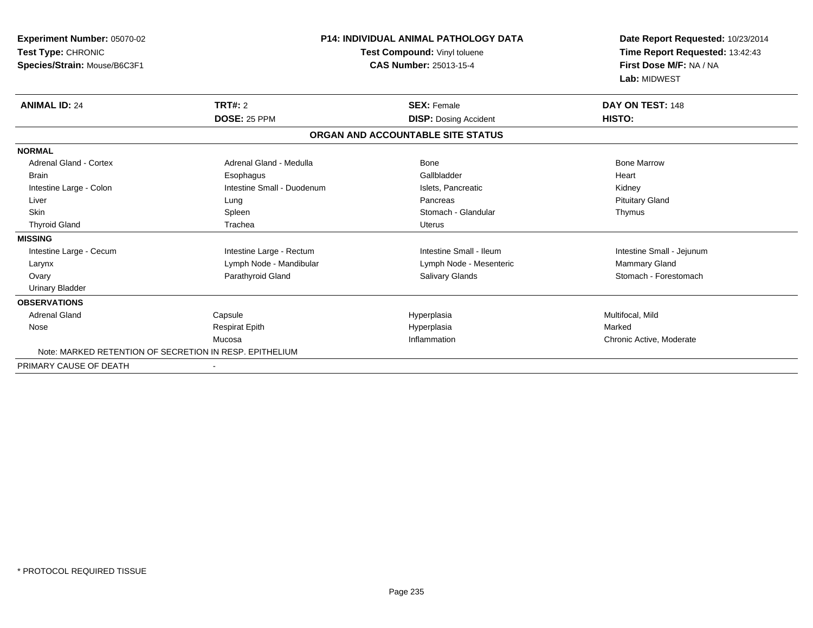| <b>Experiment Number: 05070-02</b><br>Test Type: CHRONIC<br>Species/Strain: Mouse/B6C3F1 |                            | <b>P14: INDIVIDUAL ANIMAL PATHOLOGY DATA</b><br>Test Compound: Vinyl toluene<br><b>CAS Number: 25013-15-4</b> |                           |
|------------------------------------------------------------------------------------------|----------------------------|---------------------------------------------------------------------------------------------------------------|---------------------------|
| <b>ANIMAL ID: 24</b>                                                                     | TRT#: 2                    | <b>SEX: Female</b>                                                                                            | DAY ON TEST: 148          |
|                                                                                          | DOSE: 25 PPM               | <b>DISP: Dosing Accident</b>                                                                                  | HISTO:                    |
|                                                                                          |                            | ORGAN AND ACCOUNTABLE SITE STATUS                                                                             |                           |
| <b>NORMAL</b>                                                                            |                            |                                                                                                               |                           |
| Adrenal Gland - Cortex                                                                   | Adrenal Gland - Medulla    | Bone                                                                                                          | <b>Bone Marrow</b>        |
| <b>Brain</b>                                                                             | Esophagus                  | Gallbladder                                                                                                   | Heart                     |
| Intestine Large - Colon                                                                  | Intestine Small - Duodenum | Islets, Pancreatic                                                                                            | Kidney                    |
| Liver                                                                                    | Lung                       | Pancreas                                                                                                      | <b>Pituitary Gland</b>    |
| <b>Skin</b>                                                                              | Spleen                     | Stomach - Glandular                                                                                           | Thymus                    |
| <b>Thyroid Gland</b>                                                                     | Trachea                    | Uterus                                                                                                        |                           |
| <b>MISSING</b>                                                                           |                            |                                                                                                               |                           |
| Intestine Large - Cecum                                                                  | Intestine Large - Rectum   | Intestine Small - Ileum                                                                                       | Intestine Small - Jejunum |
| Larynx                                                                                   | Lymph Node - Mandibular    | Lymph Node - Mesenteric                                                                                       | Mammary Gland             |
| Ovary                                                                                    | Parathyroid Gland          | <b>Salivary Glands</b>                                                                                        | Stomach - Forestomach     |
| <b>Urinary Bladder</b>                                                                   |                            |                                                                                                               |                           |
| <b>OBSERVATIONS</b>                                                                      |                            |                                                                                                               |                           |
| <b>Adrenal Gland</b>                                                                     | Capsule                    | Hyperplasia                                                                                                   | Multifocal, Mild          |
| Nose                                                                                     | <b>Respirat Epith</b>      | Hyperplasia                                                                                                   | Marked                    |
|                                                                                          | Mucosa                     | Inflammation                                                                                                  | Chronic Active, Moderate  |
| Note: MARKED RETENTION OF SECRETION IN RESP. EPITHELIUM                                  |                            |                                                                                                               |                           |
| PRIMARY CAUSE OF DEATH                                                                   |                            |                                                                                                               |                           |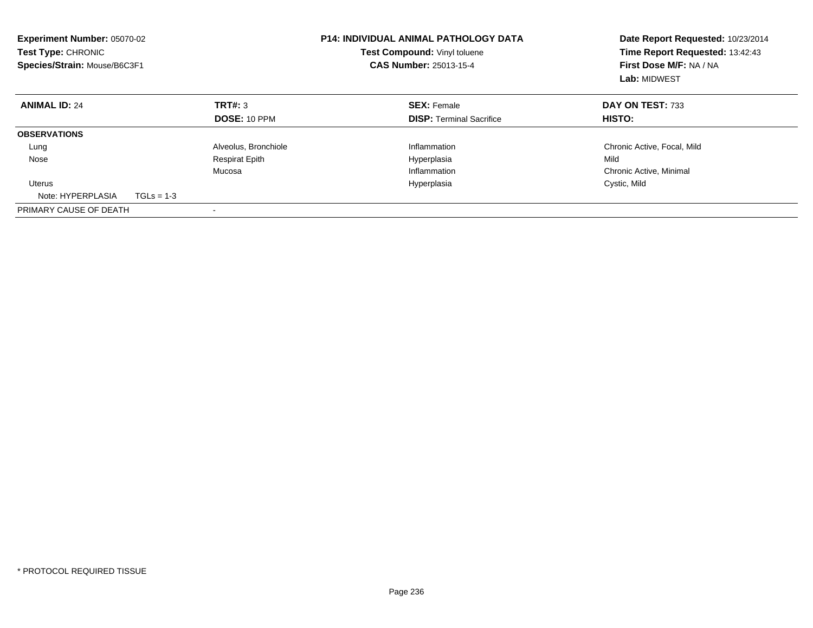| <b>Experiment Number: 05070-02</b><br>Test Type: CHRONIC<br>Species/Strain: Mouse/B6C3F1 |              |                       | <b>P14: INDIVIDUAL ANIMAL PATHOLOGY DATA</b><br>Test Compound: Vinyl toluene<br><b>CAS Number: 25013-15-4</b> | Date Report Requested: 10/23/2014<br>Time Report Requested: 13:42:43<br>First Dose M/F: NA / NA<br>Lab: MIDWEST |
|------------------------------------------------------------------------------------------|--------------|-----------------------|---------------------------------------------------------------------------------------------------------------|-----------------------------------------------------------------------------------------------------------------|
| <b>ANIMAL ID: 24</b>                                                                     |              | TRT#: 3               | <b>SEX: Female</b>                                                                                            | DAY ON TEST: 733                                                                                                |
|                                                                                          |              | <b>DOSE: 10 PPM</b>   | <b>DISP:</b> Terminal Sacrifice                                                                               | <b>HISTO:</b>                                                                                                   |
| <b>OBSERVATIONS</b>                                                                      |              |                       |                                                                                                               |                                                                                                                 |
| Lung                                                                                     |              | Alveolus, Bronchiole  | Inflammation                                                                                                  | Chronic Active, Focal, Mild                                                                                     |
| Nose                                                                                     |              | <b>Respirat Epith</b> | Hyperplasia                                                                                                   | Mild                                                                                                            |
|                                                                                          |              | Mucosa                | Inflammation                                                                                                  | Chronic Active, Minimal                                                                                         |
| Uterus                                                                                   |              |                       | Hyperplasia                                                                                                   | Cystic, Mild                                                                                                    |
| Note: HYPERPLASIA                                                                        | $TGLs = 1-3$ |                       |                                                                                                               |                                                                                                                 |
| PRIMARY CAUSE OF DEATH                                                                   |              |                       |                                                                                                               |                                                                                                                 |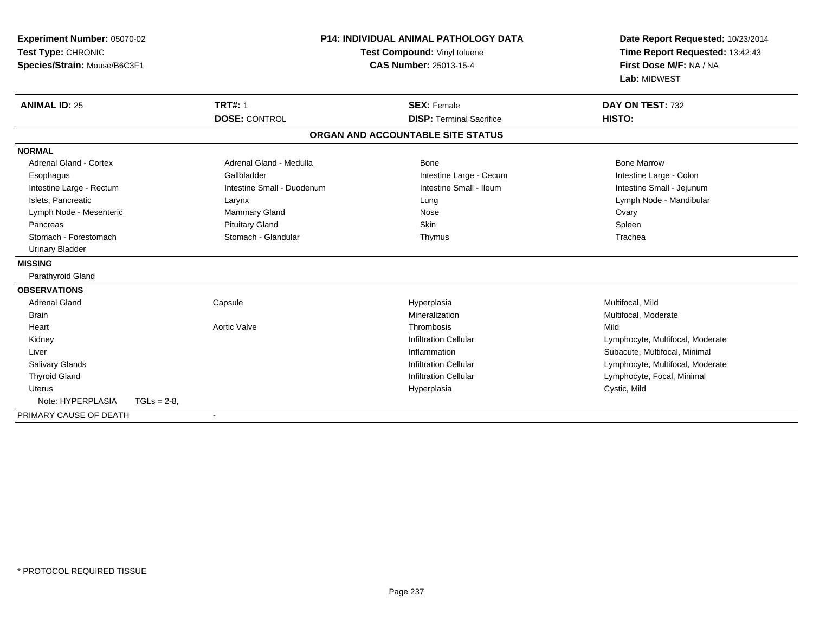| Experiment Number: 05070-02<br>Test Type: CHRONIC<br>Species/Strain: Mouse/B6C3F1 |               |                            | <b>P14: INDIVIDUAL ANIMAL PATHOLOGY DATA</b><br>Test Compound: Vinyl toluene<br><b>CAS Number: 25013-15-4</b> | Date Report Requested: 10/23/2014<br>Time Report Requested: 13:42:43<br>First Dose M/F: NA / NA<br>Lab: MIDWEST |
|-----------------------------------------------------------------------------------|---------------|----------------------------|---------------------------------------------------------------------------------------------------------------|-----------------------------------------------------------------------------------------------------------------|
| <b>ANIMAL ID: 25</b>                                                              |               | <b>TRT#: 1</b>             | <b>SEX: Female</b><br><b>DISP: Terminal Sacrifice</b>                                                         | DAY ON TEST: 732                                                                                                |
|                                                                                   |               | <b>DOSE: CONTROL</b>       |                                                                                                               | HISTO:                                                                                                          |
|                                                                                   |               |                            | ORGAN AND ACCOUNTABLE SITE STATUS                                                                             |                                                                                                                 |
| <b>NORMAL</b>                                                                     |               |                            |                                                                                                               |                                                                                                                 |
| Adrenal Gland - Cortex                                                            |               | Adrenal Gland - Medulla    | Bone                                                                                                          | <b>Bone Marrow</b>                                                                                              |
| Esophagus                                                                         |               | Gallbladder                | Intestine Large - Cecum                                                                                       | Intestine Large - Colon                                                                                         |
| Intestine Large - Rectum                                                          |               | Intestine Small - Duodenum | Intestine Small - Ileum                                                                                       | Intestine Small - Jejunum                                                                                       |
| Islets. Pancreatic                                                                |               | Larynx                     | Lung                                                                                                          | Lymph Node - Mandibular                                                                                         |
| Lymph Node - Mesenteric                                                           |               | Mammary Gland              | Nose                                                                                                          | Ovary                                                                                                           |
| Pancreas                                                                          |               | <b>Pituitary Gland</b>     | Skin                                                                                                          | Spleen                                                                                                          |
| Stomach - Forestomach                                                             |               | Stomach - Glandular        | Thymus                                                                                                        | Trachea                                                                                                         |
| <b>Urinary Bladder</b>                                                            |               |                            |                                                                                                               |                                                                                                                 |
| <b>MISSING</b>                                                                    |               |                            |                                                                                                               |                                                                                                                 |
| Parathyroid Gland                                                                 |               |                            |                                                                                                               |                                                                                                                 |
| <b>OBSERVATIONS</b>                                                               |               |                            |                                                                                                               |                                                                                                                 |
| <b>Adrenal Gland</b>                                                              |               | Capsule                    | Hyperplasia                                                                                                   | Multifocal, Mild                                                                                                |
| <b>Brain</b>                                                                      |               |                            | Mineralization                                                                                                | Multifocal, Moderate                                                                                            |
| Heart                                                                             |               | <b>Aortic Valve</b>        | Thrombosis                                                                                                    | Mild                                                                                                            |
| Kidney                                                                            |               |                            | <b>Infiltration Cellular</b>                                                                                  | Lymphocyte, Multifocal, Moderate                                                                                |
| Liver                                                                             |               |                            | Inflammation                                                                                                  | Subacute, Multifocal, Minimal                                                                                   |
| <b>Salivary Glands</b>                                                            |               |                            | <b>Infiltration Cellular</b>                                                                                  | Lymphocyte, Multifocal, Moderate                                                                                |
| <b>Thyroid Gland</b>                                                              |               |                            | <b>Infiltration Cellular</b>                                                                                  | Lymphocyte, Focal, Minimal                                                                                      |
| <b>Uterus</b>                                                                     |               |                            | Hyperplasia                                                                                                   | Cystic, Mild                                                                                                    |
| Note: HYPERPLASIA                                                                 | $TGLs = 2-8,$ |                            |                                                                                                               |                                                                                                                 |
| PRIMARY CAUSE OF DEATH                                                            |               |                            |                                                                                                               |                                                                                                                 |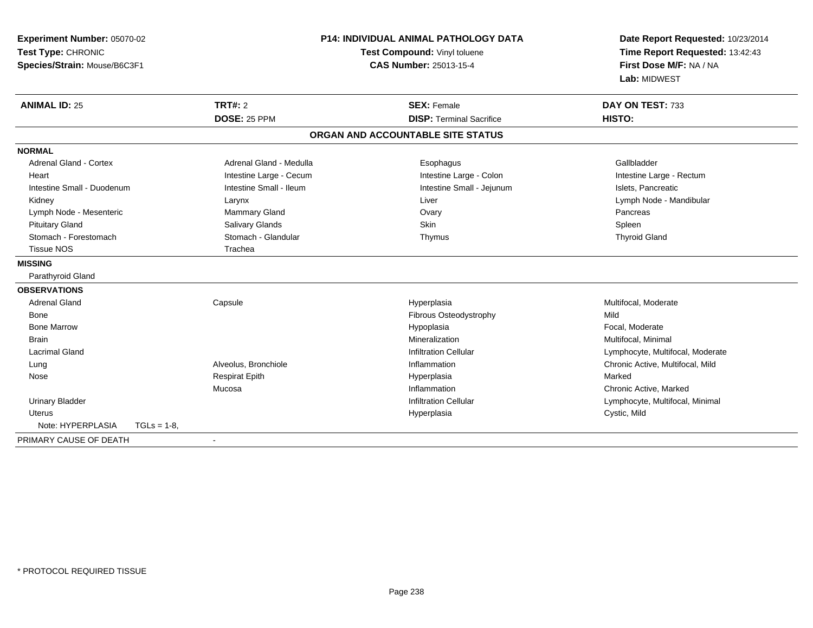| <b>Experiment Number: 05070-02</b> |                         | <b>P14: INDIVIDUAL ANIMAL PATHOLOGY DATA</b><br>Test Compound: Vinyl toluene |                                   | Date Report Requested: 10/23/2014 |
|------------------------------------|-------------------------|------------------------------------------------------------------------------|-----------------------------------|-----------------------------------|
| Test Type: CHRONIC                 |                         |                                                                              |                                   | Time Report Requested: 13:42:43   |
| Species/Strain: Mouse/B6C3F1       |                         |                                                                              | CAS Number: 25013-15-4            | First Dose M/F: NA / NA           |
|                                    |                         |                                                                              |                                   | Lab: MIDWEST                      |
| <b>ANIMAL ID: 25</b>               | <b>TRT#: 2</b>          |                                                                              | <b>SEX: Female</b>                | DAY ON TEST: 733                  |
|                                    | DOSE: 25 PPM            |                                                                              | <b>DISP: Terminal Sacrifice</b>   | HISTO:                            |
|                                    |                         |                                                                              | ORGAN AND ACCOUNTABLE SITE STATUS |                                   |
| <b>NORMAL</b>                      |                         |                                                                              |                                   |                                   |
| <b>Adrenal Gland - Cortex</b>      | Adrenal Gland - Medulla |                                                                              | Esophagus                         | Gallbladder                       |
| Heart                              | Intestine Large - Cecum |                                                                              | Intestine Large - Colon           | Intestine Large - Rectum          |
| Intestine Small - Duodenum         | Intestine Small - Ileum |                                                                              | Intestine Small - Jejunum         | Islets, Pancreatic                |
| Kidney                             | Larynx                  |                                                                              | Liver                             | Lymph Node - Mandibular           |
| Lymph Node - Mesenteric            | <b>Mammary Gland</b>    |                                                                              | Ovary                             | Pancreas                          |
| <b>Pituitary Gland</b>             | <b>Salivary Glands</b>  |                                                                              | Skin                              | Spleen                            |
| Stomach - Forestomach              | Stomach - Glandular     |                                                                              | Thymus                            | <b>Thyroid Gland</b>              |
| <b>Tissue NOS</b>                  | Trachea                 |                                                                              |                                   |                                   |
| <b>MISSING</b>                     |                         |                                                                              |                                   |                                   |
| Parathyroid Gland                  |                         |                                                                              |                                   |                                   |
| <b>OBSERVATIONS</b>                |                         |                                                                              |                                   |                                   |
| <b>Adrenal Gland</b>               | Capsule                 |                                                                              | Hyperplasia                       | Multifocal, Moderate              |
| <b>Bone</b>                        |                         |                                                                              | Fibrous Osteodystrophy            | Mild                              |
| <b>Bone Marrow</b>                 |                         |                                                                              | Hypoplasia                        | Focal, Moderate                   |
| <b>Brain</b>                       |                         |                                                                              | Mineralization                    | Multifocal, Minimal               |
| <b>Lacrimal Gland</b>              |                         |                                                                              | <b>Infiltration Cellular</b>      | Lymphocyte, Multifocal, Moderate  |
| Lung                               | Alveolus, Bronchiole    |                                                                              | Inflammation                      | Chronic Active, Multifocal, Mild  |
| Nose                               | <b>Respirat Epith</b>   |                                                                              | Hyperplasia                       | Marked                            |
|                                    | Mucosa                  |                                                                              | Inflammation                      | Chronic Active, Marked            |
| <b>Urinary Bladder</b>             |                         |                                                                              | <b>Infiltration Cellular</b>      | Lymphocyte, Multifocal, Minimal   |
| <b>Uterus</b>                      |                         |                                                                              | Hyperplasia                       | Cystic, Mild                      |
| Note: HYPERPLASIA                  | $TGLs = 1-8$ ,          |                                                                              |                                   |                                   |
| PRIMARY CAUSE OF DEATH             |                         |                                                                              |                                   |                                   |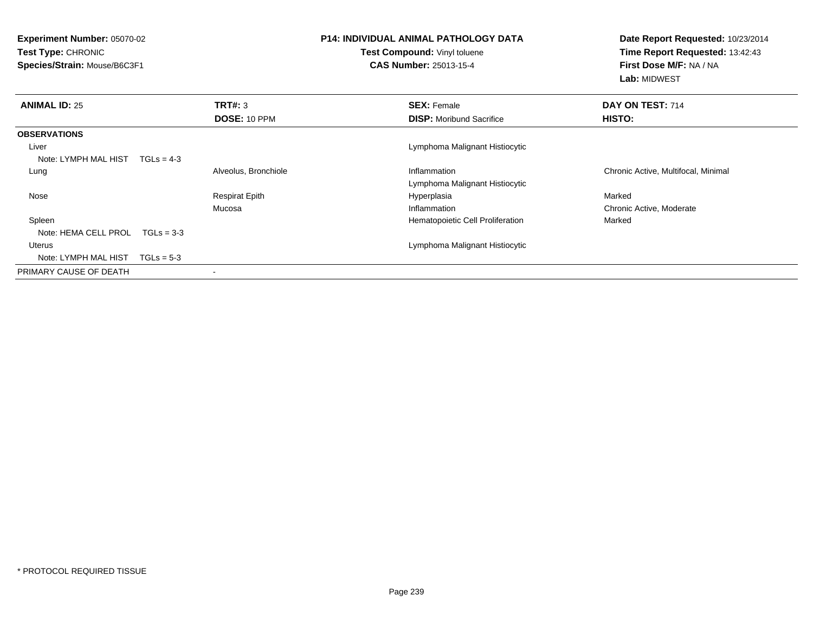**Experiment Number:** 05070-02**Test Type:** CHRONIC **Species/Strain:** Mouse/B6C3F1**P14: INDIVIDUAL ANIMAL PATHOLOGY DATATest Compound:** Vinyl toluene**CAS Number:** 25013-15-4**Date Report Requested:** 10/23/2014**Time Report Requested:** 13:42:43**First Dose M/F:** NA / NA**Lab:** MIDWEST**ANIMAL ID:** 25 **TRT#:** <sup>3</sup> **SEX:** Female **DAY ON TEST:** <sup>714</sup> **DOSE:** 10 PPM**DISP:** Moribund Sacrifice **HISTO: OBSERVATIONS** Liver Lymphoma Malignant HistiocyticNote: LYMPH MAL HIST TGLs = 4-3 LungAlveolus, Bronchiole **Inflammation** Inflammation Chronic Active, Multifocal, Minimal Lymphoma Malignant Histiocytic Nose Respirat Epith Hyperplasia Marked MucosaInflammation Chronic Active, Moderate<br>
Hematopoietic Cell Proliferation Chronic Marked<br>
Marked SpleenHematopoietic Cell Proliferation Note: HEMA CELL PROL TGLs = 3-3 Uterus Lymphoma Malignant Histiocytic Note: LYMPH MAL HIST TGLs = 5-3PRIMARY CAUSE OF DEATH-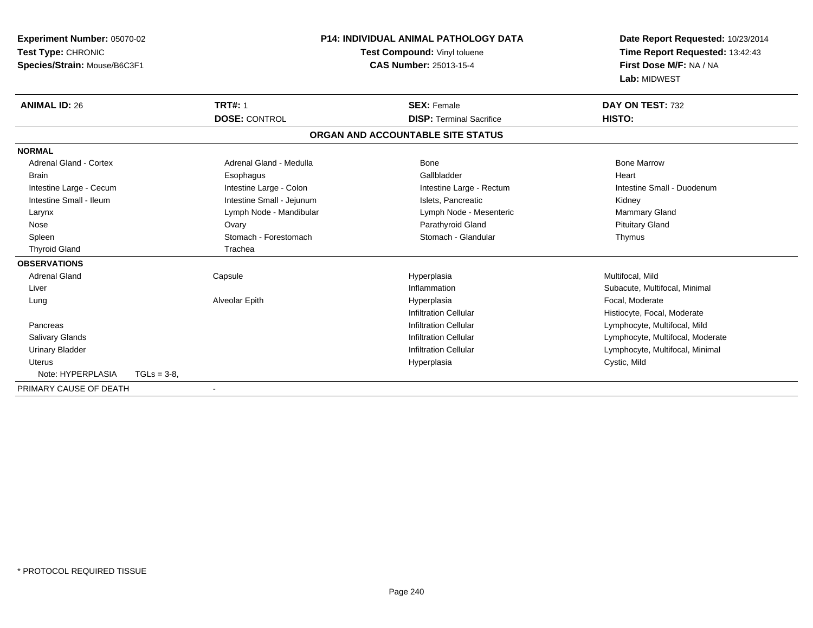| <b>Experiment Number: 05070-02</b> |              | P14: INDIVIDUAL ANIMAL PATHOLOGY DATA |                                   | Date Report Requested: 10/23/2014 |
|------------------------------------|--------------|---------------------------------------|-----------------------------------|-----------------------------------|
| Test Type: CHRONIC                 |              |                                       | Test Compound: Vinyl toluene      | Time Report Requested: 13:42:43   |
| Species/Strain: Mouse/B6C3F1       |              |                                       | <b>CAS Number: 25013-15-4</b>     | First Dose M/F: NA / NA           |
|                                    |              |                                       |                                   | Lab: MIDWEST                      |
| <b>ANIMAL ID: 26</b>               |              | <b>TRT#: 1</b>                        | <b>SEX: Female</b>                | DAY ON TEST: 732                  |
|                                    |              | <b>DOSE: CONTROL</b>                  | <b>DISP: Terminal Sacrifice</b>   | HISTO:                            |
|                                    |              |                                       | ORGAN AND ACCOUNTABLE SITE STATUS |                                   |
| <b>NORMAL</b>                      |              |                                       |                                   |                                   |
| <b>Adrenal Gland - Cortex</b>      |              | Adrenal Gland - Medulla               | <b>Bone</b>                       | <b>Bone Marrow</b>                |
| <b>Brain</b>                       |              | Esophagus                             | Gallbladder                       | Heart                             |
| Intestine Large - Cecum            |              | Intestine Large - Colon               | Intestine Large - Rectum          | Intestine Small - Duodenum        |
| Intestine Small - Ileum            |              | Intestine Small - Jejunum             | Islets. Pancreatic                | Kidney                            |
| Larynx                             |              | Lymph Node - Mandibular               | Lymph Node - Mesenteric           | Mammary Gland                     |
| Nose                               |              | Ovary                                 | Parathyroid Gland                 | <b>Pituitary Gland</b>            |
| Spleen                             |              | Stomach - Forestomach                 | Stomach - Glandular               | Thymus                            |
| <b>Thyroid Gland</b>               |              | Trachea                               |                                   |                                   |
| <b>OBSERVATIONS</b>                |              |                                       |                                   |                                   |
| <b>Adrenal Gland</b>               |              | Capsule                               | Hyperplasia                       | Multifocal, Mild                  |
| Liver                              |              |                                       | Inflammation                      | Subacute, Multifocal, Minimal     |
| Lung                               |              | Alveolar Epith                        | Hyperplasia                       | Focal, Moderate                   |
|                                    |              |                                       | <b>Infiltration Cellular</b>      | Histiocyte, Focal, Moderate       |
| Pancreas                           |              |                                       | <b>Infiltration Cellular</b>      | Lymphocyte, Multifocal, Mild      |
| <b>Salivary Glands</b>             |              |                                       | <b>Infiltration Cellular</b>      | Lymphocyte, Multifocal, Moderate  |
| <b>Urinary Bladder</b>             |              |                                       | <b>Infiltration Cellular</b>      | Lymphocyte, Multifocal, Minimal   |
| Uterus                             |              |                                       | Hyperplasia                       | Cystic, Mild                      |
| Note: HYPERPLASIA                  | $TGLs = 3-8$ |                                       |                                   |                                   |
| PRIMARY CAUSE OF DEATH             |              |                                       |                                   |                                   |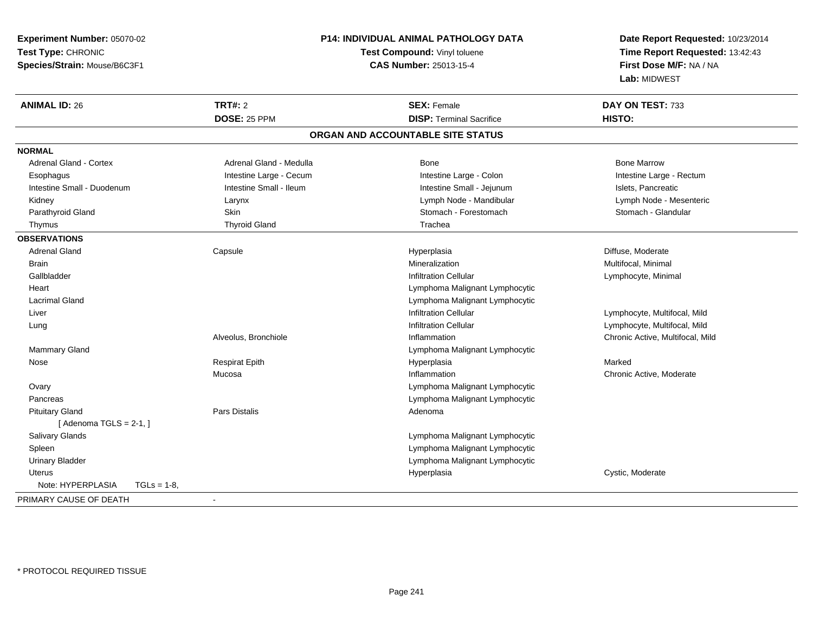| Experiment Number: 05070-02       |                         | <b>P14: INDIVIDUAL ANIMAL PATHOLOGY DATA</b> | Date Report Requested: 10/23/2014                          |
|-----------------------------------|-------------------------|----------------------------------------------|------------------------------------------------------------|
| Test Type: CHRONIC                |                         | Test Compound: Vinyl toluene                 | Time Report Requested: 13:42:43<br>First Dose M/F: NA / NA |
| Species/Strain: Mouse/B6C3F1      |                         | <b>CAS Number: 25013-15-4</b>                |                                                            |
|                                   |                         |                                              | Lab: MIDWEST                                               |
| <b>ANIMAL ID: 26</b>              | <b>TRT#: 2</b>          | <b>SEX: Female</b>                           | DAY ON TEST: 733                                           |
|                                   | DOSE: 25 PPM            | <b>DISP: Terminal Sacrifice</b>              | HISTO:                                                     |
|                                   |                         | ORGAN AND ACCOUNTABLE SITE STATUS            |                                                            |
| <b>NORMAL</b>                     |                         |                                              |                                                            |
| <b>Adrenal Gland - Cortex</b>     | Adrenal Gland - Medulla | <b>Bone</b>                                  | <b>Bone Marrow</b>                                         |
| Esophagus                         | Intestine Large - Cecum | Intestine Large - Colon                      | Intestine Large - Rectum                                   |
| Intestine Small - Duodenum        | Intestine Small - Ileum | Intestine Small - Jejunum                    | Islets, Pancreatic                                         |
| Kidney                            | Larynx                  | Lymph Node - Mandibular                      | Lymph Node - Mesenteric                                    |
| Parathyroid Gland                 | Skin                    | Stomach - Forestomach                        | Stomach - Glandular                                        |
| Thymus                            | <b>Thyroid Gland</b>    | Trachea                                      |                                                            |
| <b>OBSERVATIONS</b>               |                         |                                              |                                                            |
| <b>Adrenal Gland</b>              | Capsule                 | Hyperplasia                                  | Diffuse, Moderate                                          |
| Brain                             |                         | Mineralization                               | Multifocal, Minimal                                        |
| Gallbladder                       |                         | <b>Infiltration Cellular</b>                 | Lymphocyte, Minimal                                        |
| Heart                             |                         | Lymphoma Malignant Lymphocytic               |                                                            |
| <b>Lacrimal Gland</b>             |                         | Lymphoma Malignant Lymphocytic               |                                                            |
| Liver                             |                         | <b>Infiltration Cellular</b>                 | Lymphocyte, Multifocal, Mild                               |
| Lung                              |                         | <b>Infiltration Cellular</b>                 | Lymphocyte, Multifocal, Mild                               |
|                                   | Alveolus, Bronchiole    | Inflammation                                 | Chronic Active, Multifocal, Mild                           |
| <b>Mammary Gland</b>              |                         | Lymphoma Malignant Lymphocytic               |                                                            |
| Nose                              | <b>Respirat Epith</b>   | Hyperplasia                                  | Marked                                                     |
|                                   | Mucosa                  | Inflammation                                 | Chronic Active, Moderate                                   |
| Ovary                             |                         | Lymphoma Malignant Lymphocytic               |                                                            |
| Pancreas                          |                         | Lymphoma Malignant Lymphocytic               |                                                            |
| <b>Pituitary Gland</b>            | <b>Pars Distalis</b>    | Adenoma                                      |                                                            |
| [Adenoma TGLS = $2-1$ , ]         |                         |                                              |                                                            |
| Salivary Glands                   |                         | Lymphoma Malignant Lymphocytic               |                                                            |
| Spleen                            |                         | Lymphoma Malignant Lymphocytic               |                                                            |
| <b>Urinary Bladder</b>            |                         | Lymphoma Malignant Lymphocytic               |                                                            |
| Uterus                            |                         | Hyperplasia                                  | Cystic, Moderate                                           |
| Note: HYPERPLASIA<br>$TGLs = 1-8$ |                         |                                              |                                                            |
| PRIMARY CAUSE OF DEATH            | $\blacksquare$          |                                              |                                                            |
|                                   |                         |                                              |                                                            |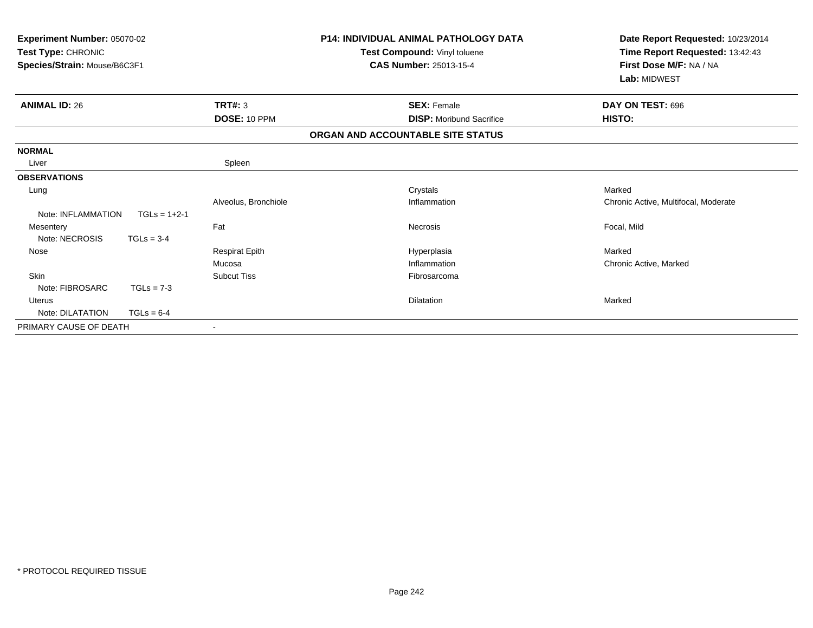| Experiment Number: 05070-02<br>Test Type: CHRONIC<br>Species/Strain: Mouse/B6C3F1 |                |                       | <b>P14: INDIVIDUAL ANIMAL PATHOLOGY DATA</b><br>Test Compound: Vinyl toluene<br><b>CAS Number: 25013-15-4</b> | Date Report Requested: 10/23/2014<br>Time Report Requested: 13:42:43<br>First Dose M/F: NA / NA<br>Lab: MIDWEST |
|-----------------------------------------------------------------------------------|----------------|-----------------------|---------------------------------------------------------------------------------------------------------------|-----------------------------------------------------------------------------------------------------------------|
| <b>ANIMAL ID: 26</b>                                                              |                | TRT#: 3               | <b>SEX: Female</b>                                                                                            | DAY ON TEST: 696                                                                                                |
|                                                                                   |                | DOSE: 10 PPM          | <b>DISP:</b> Moribund Sacrifice                                                                               | HISTO:                                                                                                          |
|                                                                                   |                |                       | ORGAN AND ACCOUNTABLE SITE STATUS                                                                             |                                                                                                                 |
| <b>NORMAL</b>                                                                     |                |                       |                                                                                                               |                                                                                                                 |
| Liver                                                                             |                | Spleen                |                                                                                                               |                                                                                                                 |
| <b>OBSERVATIONS</b>                                                               |                |                       |                                                                                                               |                                                                                                                 |
| Lung                                                                              |                |                       | Crystals                                                                                                      | Marked                                                                                                          |
|                                                                                   |                | Alveolus, Bronchiole  | Inflammation                                                                                                  | Chronic Active, Multifocal, Moderate                                                                            |
| Note: INFLAMMATION                                                                | $TGLs = 1+2-1$ |                       |                                                                                                               |                                                                                                                 |
| Mesentery                                                                         |                | Fat                   | Necrosis                                                                                                      | Focal, Mild                                                                                                     |
| Note: NECROSIS                                                                    | $TGLs = 3-4$   |                       |                                                                                                               |                                                                                                                 |
| Nose                                                                              |                | <b>Respirat Epith</b> | Hyperplasia                                                                                                   | Marked                                                                                                          |
|                                                                                   |                | Mucosa                | Inflammation                                                                                                  | Chronic Active, Marked                                                                                          |
| <b>Skin</b>                                                                       |                | <b>Subcut Tiss</b>    | Fibrosarcoma                                                                                                  |                                                                                                                 |
| Note: FIBROSARC                                                                   | $TGLs = 7-3$   |                       |                                                                                                               |                                                                                                                 |
| <b>Uterus</b>                                                                     |                |                       | <b>Dilatation</b>                                                                                             | Marked                                                                                                          |
| Note: DILATATION                                                                  | $TGLs = 6-4$   |                       |                                                                                                               |                                                                                                                 |
| PRIMARY CAUSE OF DEATH                                                            |                |                       |                                                                                                               |                                                                                                                 |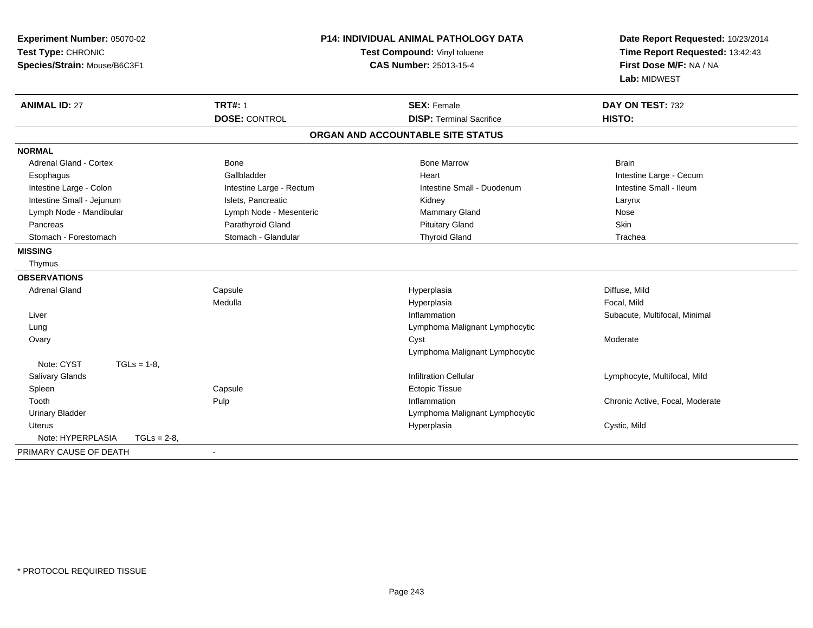| Experiment Number: 05070-02<br>Test Type: CHRONIC<br>Species/Strain: Mouse/B6C3F1 | <b>P14: INDIVIDUAL ANIMAL PATHOLOGY DATA</b><br>Test Compound: Vinyl toluene | Date Report Requested: 10/23/2014<br>Time Report Requested: 13:42:43<br>First Dose M/F: NA / NA<br>Lab: MIDWEST |                                 |
|-----------------------------------------------------------------------------------|------------------------------------------------------------------------------|-----------------------------------------------------------------------------------------------------------------|---------------------------------|
| <b>ANIMAL ID: 27</b>                                                              | <b>TRT#: 1</b>                                                               | <b>SEX: Female</b>                                                                                              | DAY ON TEST: 732                |
|                                                                                   | <b>DOSE: CONTROL</b>                                                         | <b>DISP: Terminal Sacrifice</b>                                                                                 | HISTO:                          |
|                                                                                   |                                                                              | ORGAN AND ACCOUNTABLE SITE STATUS                                                                               |                                 |
| <b>NORMAL</b>                                                                     |                                                                              |                                                                                                                 |                                 |
| Adrenal Gland - Cortex                                                            | Bone                                                                         | <b>Bone Marrow</b>                                                                                              | <b>Brain</b>                    |
| Esophagus                                                                         | Gallbladder                                                                  | Heart                                                                                                           | Intestine Large - Cecum         |
| Intestine Large - Colon                                                           | Intestine Large - Rectum                                                     | Intestine Small - Duodenum                                                                                      | Intestine Small - Ileum         |
| Intestine Small - Jejunum                                                         | Islets, Pancreatic                                                           | Kidney                                                                                                          | Larynx                          |
| Lymph Node - Mandibular                                                           | Lymph Node - Mesenteric                                                      | <b>Mammary Gland</b>                                                                                            | Nose                            |
| Pancreas                                                                          | Parathyroid Gland                                                            | <b>Pituitary Gland</b>                                                                                          | Skin                            |
| Stomach - Forestomach                                                             | Stomach - Glandular                                                          | <b>Thyroid Gland</b>                                                                                            | Trachea                         |
| <b>MISSING</b>                                                                    |                                                                              |                                                                                                                 |                                 |
| Thymus                                                                            |                                                                              |                                                                                                                 |                                 |
| <b>OBSERVATIONS</b>                                                               |                                                                              |                                                                                                                 |                                 |
| <b>Adrenal Gland</b>                                                              | Capsule                                                                      | Hyperplasia                                                                                                     | Diffuse, Mild                   |
|                                                                                   | Medulla                                                                      | Hyperplasia                                                                                                     | Focal, Mild                     |
| Liver                                                                             |                                                                              | Inflammation                                                                                                    | Subacute, Multifocal, Minimal   |
| Lung                                                                              |                                                                              | Lymphoma Malignant Lymphocytic                                                                                  |                                 |
| Ovary                                                                             |                                                                              | Cyst                                                                                                            | Moderate                        |
|                                                                                   |                                                                              | Lymphoma Malignant Lymphocytic                                                                                  |                                 |
| Note: CYST<br>$TGLs = 1-8$                                                        |                                                                              |                                                                                                                 |                                 |
| Salivary Glands                                                                   |                                                                              | <b>Infiltration Cellular</b>                                                                                    | Lymphocyte, Multifocal, Mild    |
| Spleen                                                                            | Capsule                                                                      | <b>Ectopic Tissue</b>                                                                                           |                                 |
| Tooth                                                                             | Pulp                                                                         | Inflammation                                                                                                    | Chronic Active, Focal, Moderate |
| <b>Urinary Bladder</b>                                                            |                                                                              | Lymphoma Malignant Lymphocytic                                                                                  |                                 |
| Uterus                                                                            |                                                                              | Hyperplasia                                                                                                     | Cystic, Mild                    |
| Note: HYPERPLASIA<br>$TGLs = 2-8$ ,                                               |                                                                              |                                                                                                                 |                                 |
| PRIMARY CAUSE OF DEATH                                                            | $\blacksquare$                                                               |                                                                                                                 |                                 |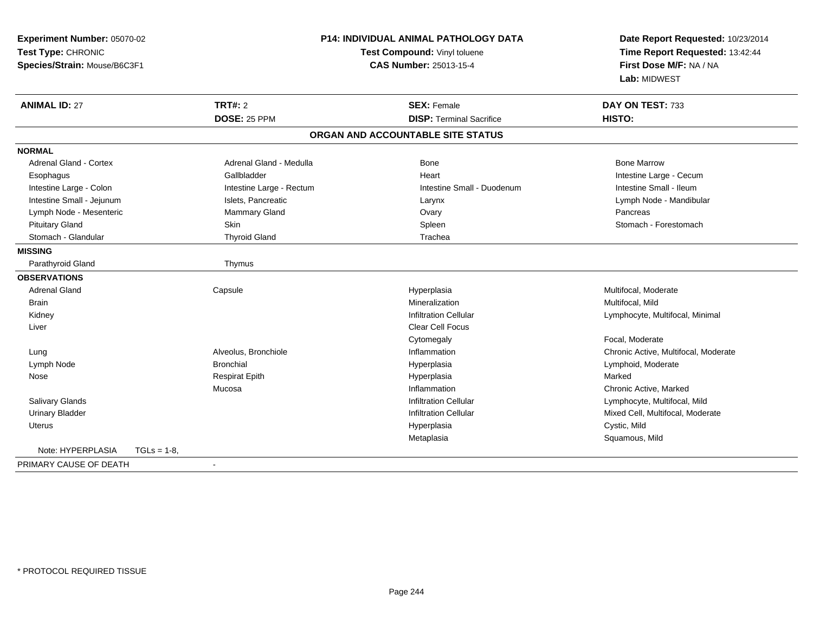| Experiment Number: 05070-02<br>Test Type: CHRONIC<br>Species/Strain: Mouse/B6C3F1 |                          | <b>P14: INDIVIDUAL ANIMAL PATHOLOGY DATA</b><br>Test Compound: Vinyl toluene<br><b>CAS Number: 25013-15-4</b> |                                      |  |
|-----------------------------------------------------------------------------------|--------------------------|---------------------------------------------------------------------------------------------------------------|--------------------------------------|--|
| <b>ANIMAL ID: 27</b>                                                              | <b>TRT#: 2</b>           | <b>SEX: Female</b>                                                                                            | DAY ON TEST: 733                     |  |
|                                                                                   | DOSE: 25 PPM             | <b>DISP: Terminal Sacrifice</b>                                                                               | HISTO:                               |  |
|                                                                                   |                          | ORGAN AND ACCOUNTABLE SITE STATUS                                                                             |                                      |  |
| <b>NORMAL</b>                                                                     |                          |                                                                                                               |                                      |  |
| <b>Adrenal Gland - Cortex</b>                                                     | Adrenal Gland - Medulla  | Bone                                                                                                          | <b>Bone Marrow</b>                   |  |
| Esophagus                                                                         | Gallbladder              | Heart                                                                                                         | Intestine Large - Cecum              |  |
| Intestine Large - Colon                                                           | Intestine Large - Rectum | Intestine Small - Duodenum                                                                                    | Intestine Small - Ileum              |  |
| Intestine Small - Jejunum                                                         | Islets, Pancreatic       | Larynx                                                                                                        | Lymph Node - Mandibular              |  |
| Lymph Node - Mesenteric                                                           | Mammary Gland            | Ovary                                                                                                         | Pancreas                             |  |
| <b>Pituitary Gland</b>                                                            | Skin                     | Spleen                                                                                                        | Stomach - Forestomach                |  |
| Stomach - Glandular                                                               | <b>Thyroid Gland</b>     | Trachea                                                                                                       |                                      |  |
| <b>MISSING</b>                                                                    |                          |                                                                                                               |                                      |  |
| Parathyroid Gland                                                                 | Thymus                   |                                                                                                               |                                      |  |
| <b>OBSERVATIONS</b>                                                               |                          |                                                                                                               |                                      |  |
| <b>Adrenal Gland</b>                                                              | Capsule                  | Hyperplasia                                                                                                   | Multifocal, Moderate                 |  |
| <b>Brain</b>                                                                      |                          | Mineralization                                                                                                | Multifocal, Mild                     |  |
| Kidney                                                                            |                          | <b>Infiltration Cellular</b>                                                                                  | Lymphocyte, Multifocal, Minimal      |  |
| Liver                                                                             |                          | Clear Cell Focus                                                                                              |                                      |  |
|                                                                                   |                          | Cytomegaly                                                                                                    | Focal. Moderate                      |  |
| Lung                                                                              | Alveolus, Bronchiole     | Inflammation                                                                                                  | Chronic Active, Multifocal, Moderate |  |
| Lymph Node                                                                        | <b>Bronchial</b>         | Hyperplasia                                                                                                   | Lymphoid, Moderate                   |  |
| Nose                                                                              | <b>Respirat Epith</b>    | Hyperplasia                                                                                                   | Marked                               |  |
|                                                                                   | Mucosa                   | Inflammation                                                                                                  | Chronic Active, Marked               |  |
| <b>Salivary Glands</b>                                                            |                          | <b>Infiltration Cellular</b>                                                                                  | Lymphocyte, Multifocal, Mild         |  |
| <b>Urinary Bladder</b>                                                            |                          | <b>Infiltration Cellular</b>                                                                                  | Mixed Cell, Multifocal, Moderate     |  |
| Uterus                                                                            |                          | Hyperplasia                                                                                                   | Cystic, Mild                         |  |
|                                                                                   |                          | Metaplasia                                                                                                    | Squamous, Mild                       |  |
| Note: HYPERPLASIA<br>$TGLs = 1-8$                                                 |                          |                                                                                                               |                                      |  |
| PRIMARY CAUSE OF DEATH                                                            |                          |                                                                                                               |                                      |  |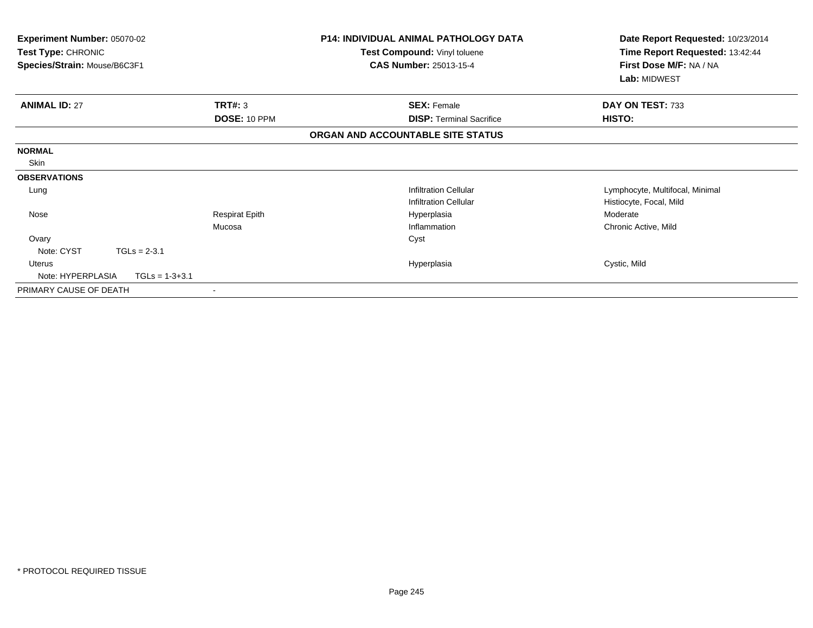| <b>Experiment Number: 05070-02</b><br>Test Type: CHRONIC<br>Species/Strain: Mouse/B6C3F1 | <b>P14: INDIVIDUAL ANIMAL PATHOLOGY DATA</b><br>Test Compound: Vinyl toluene<br><b>CAS Number: 25013-15-4</b> | Date Report Requested: 10/23/2014<br>Time Report Requested: 13:42:44<br>First Dose M/F: NA / NA<br>Lab: MIDWEST |
|------------------------------------------------------------------------------------------|---------------------------------------------------------------------------------------------------------------|-----------------------------------------------------------------------------------------------------------------|
| <b>ANIMAL ID: 27</b><br>TRT#: 3                                                          | <b>SEX: Female</b>                                                                                            | DAY ON TEST: 733                                                                                                |
| DOSE: 10 PPM                                                                             | <b>DISP:</b> Terminal Sacrifice                                                                               | HISTO:                                                                                                          |
|                                                                                          | ORGAN AND ACCOUNTABLE SITE STATUS                                                                             |                                                                                                                 |
| <b>NORMAL</b>                                                                            |                                                                                                               |                                                                                                                 |
| Skin                                                                                     |                                                                                                               |                                                                                                                 |
| <b>OBSERVATIONS</b>                                                                      |                                                                                                               |                                                                                                                 |
| Lung                                                                                     | <b>Infiltration Cellular</b>                                                                                  | Lymphocyte, Multifocal, Minimal                                                                                 |
|                                                                                          | <b>Infiltration Cellular</b>                                                                                  | Histiocyte, Focal, Mild                                                                                         |
| <b>Respirat Epith</b><br>Nose                                                            | Hyperplasia                                                                                                   | Moderate                                                                                                        |
| Mucosa                                                                                   | Inflammation                                                                                                  | Chronic Active, Mild                                                                                            |
| Ovary                                                                                    | Cyst                                                                                                          |                                                                                                                 |
| Note: CYST<br>$TGLs = 2-3.1$                                                             |                                                                                                               |                                                                                                                 |
| <b>Uterus</b>                                                                            | Hyperplasia                                                                                                   | Cystic, Mild                                                                                                    |
| Note: HYPERPLASIA<br>$TGLs = 1-3+3.1$                                                    |                                                                                                               |                                                                                                                 |
| PRIMARY CAUSE OF DEATH                                                                   |                                                                                                               |                                                                                                                 |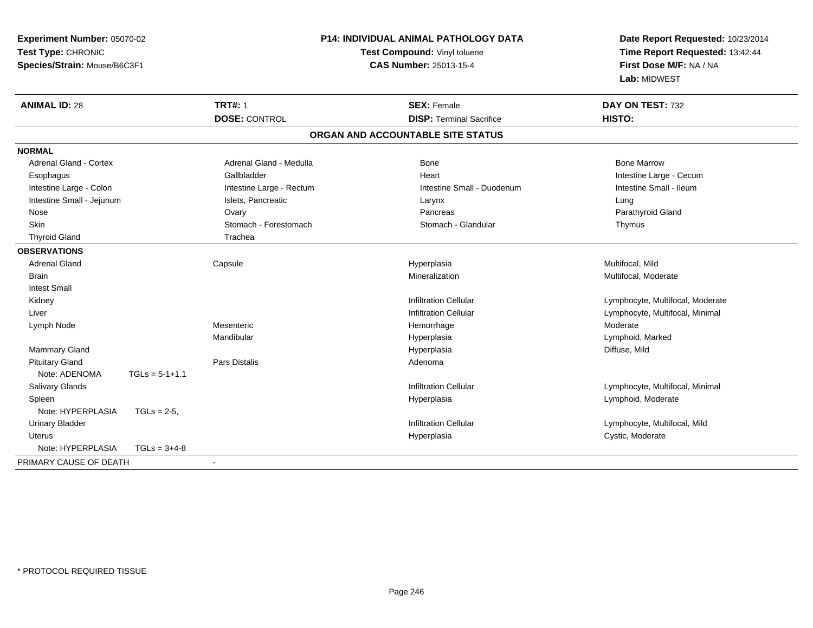| Experiment Number: 05070-02<br>Test Type: CHRONIC<br>Species/Strain: Mouse/B6C3F1 |                  |                               | <b>P14: INDIVIDUAL ANIMAL PATHOLOGY DATA</b><br>Test Compound: Vinyl toluene | Date Report Requested: 10/23/2014<br>Time Report Requested: 13:42:44 |  |
|-----------------------------------------------------------------------------------|------------------|-------------------------------|------------------------------------------------------------------------------|----------------------------------------------------------------------|--|
|                                                                                   |                  | <b>CAS Number: 25013-15-4</b> |                                                                              | First Dose M/F: NA / NA<br>Lab: MIDWEST                              |  |
| <b>ANIMAL ID: 28</b>                                                              |                  | <b>TRT#: 1</b>                | <b>SEX: Female</b>                                                           | DAY ON TEST: 732                                                     |  |
|                                                                                   |                  | <b>DOSE: CONTROL</b>          | <b>DISP: Terminal Sacrifice</b>                                              | <b>HISTO:</b>                                                        |  |
|                                                                                   |                  |                               | ORGAN AND ACCOUNTABLE SITE STATUS                                            |                                                                      |  |
| <b>NORMAL</b>                                                                     |                  |                               |                                                                              |                                                                      |  |
| <b>Adrenal Gland - Cortex</b>                                                     |                  | Adrenal Gland - Medulla       | Bone                                                                         | <b>Bone Marrow</b>                                                   |  |
| Esophagus                                                                         |                  | Gallbladder                   | Heart                                                                        | Intestine Large - Cecum                                              |  |
| Intestine Large - Colon                                                           |                  | Intestine Large - Rectum      | Intestine Small - Duodenum                                                   | Intestine Small - Ileum                                              |  |
| Intestine Small - Jejunum                                                         |                  | Islets, Pancreatic            | Larynx                                                                       | Lung                                                                 |  |
| Nose                                                                              |                  | Ovary                         | Pancreas                                                                     | Parathyroid Gland                                                    |  |
| Skin                                                                              |                  | Stomach - Forestomach         | Stomach - Glandular                                                          | Thymus                                                               |  |
| <b>Thyroid Gland</b>                                                              |                  | Trachea                       |                                                                              |                                                                      |  |
| <b>OBSERVATIONS</b>                                                               |                  |                               |                                                                              |                                                                      |  |
| <b>Adrenal Gland</b>                                                              |                  | Capsule                       | Hyperplasia                                                                  | Multifocal, Mild                                                     |  |
| <b>Brain</b>                                                                      |                  |                               | Mineralization                                                               | Multifocal, Moderate                                                 |  |
| <b>Intest Small</b>                                                               |                  |                               |                                                                              |                                                                      |  |
| Kidney                                                                            |                  |                               | <b>Infiltration Cellular</b>                                                 | Lymphocyte, Multifocal, Moderate                                     |  |
| Liver                                                                             |                  |                               | <b>Infiltration Cellular</b>                                                 | Lymphocyte, Multifocal, Minimal                                      |  |
| Lymph Node                                                                        |                  | Mesenteric                    | Hemorrhage                                                                   | Moderate                                                             |  |
|                                                                                   |                  | Mandibular                    | Hyperplasia                                                                  | Lymphoid, Marked                                                     |  |
| Mammary Gland                                                                     |                  |                               | Hyperplasia                                                                  | Diffuse, Mild                                                        |  |
| <b>Pituitary Gland</b>                                                            |                  | Pars Distalis                 | Adenoma                                                                      |                                                                      |  |
| Note: ADENOMA                                                                     | $TGLs = 5-1+1.1$ |                               |                                                                              |                                                                      |  |
| Salivary Glands                                                                   |                  |                               | <b>Infiltration Cellular</b>                                                 | Lymphocyte, Multifocal, Minimal                                      |  |
| Spleen                                                                            |                  |                               | Hyperplasia                                                                  | Lymphoid, Moderate                                                   |  |
| Note: HYPERPLASIA                                                                 | $TGLs = 2-5$     |                               |                                                                              |                                                                      |  |
| <b>Urinary Bladder</b>                                                            |                  |                               | <b>Infiltration Cellular</b>                                                 | Lymphocyte, Multifocal, Mild                                         |  |
| <b>Uterus</b>                                                                     |                  |                               | Hyperplasia                                                                  | Cystic, Moderate                                                     |  |
| Note: HYPERPLASIA                                                                 | $TGLs = 3+4-8$   |                               |                                                                              |                                                                      |  |
| PRIMARY CAUSE OF DEATH                                                            |                  | $\overline{\phantom{a}}$      |                                                                              |                                                                      |  |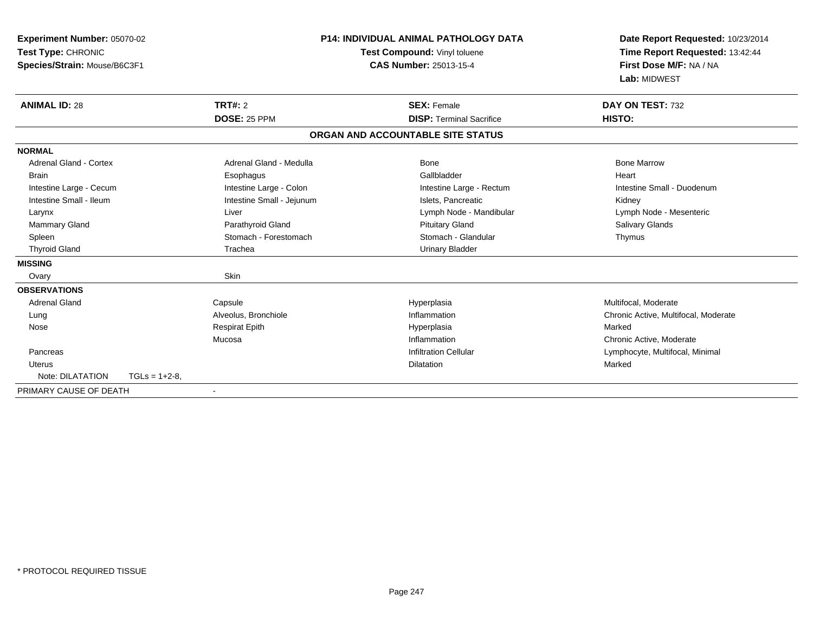| <b>Experiment Number: 05070-02</b><br>Test Type: CHRONIC<br>Species/Strain: Mouse/B6C3F1<br><b>ANIMAL ID: 28</b> |                 | <b>P14: INDIVIDUAL ANIMAL PATHOLOGY DATA</b><br>Test Compound: Vinyl toluene<br><b>CAS Number: 25013-15-4</b><br>TRT#: 2<br><b>SEX: Female</b> |                                   | Date Report Requested: 10/23/2014<br>Time Report Requested: 13:42:44<br>First Dose M/F: NA / NA<br>Lab: MIDWEST<br>DAY ON TEST: 732 |                                      |
|------------------------------------------------------------------------------------------------------------------|-----------------|------------------------------------------------------------------------------------------------------------------------------------------------|-----------------------------------|-------------------------------------------------------------------------------------------------------------------------------------|--------------------------------------|
|                                                                                                                  |                 | DOSE: 25 PPM                                                                                                                                   |                                   | <b>DISP: Terminal Sacrifice</b>                                                                                                     | HISTO:                               |
|                                                                                                                  |                 |                                                                                                                                                | ORGAN AND ACCOUNTABLE SITE STATUS |                                                                                                                                     |                                      |
| <b>NORMAL</b>                                                                                                    |                 |                                                                                                                                                |                                   |                                                                                                                                     |                                      |
| <b>Adrenal Gland - Cortex</b>                                                                                    |                 | Adrenal Gland - Medulla                                                                                                                        |                                   | Bone                                                                                                                                | <b>Bone Marrow</b>                   |
| <b>Brain</b>                                                                                                     |                 | Esophagus                                                                                                                                      |                                   | Gallbladder                                                                                                                         | Heart                                |
| Intestine Large - Cecum                                                                                          |                 | Intestine Large - Colon                                                                                                                        |                                   | Intestine Large - Rectum                                                                                                            | Intestine Small - Duodenum           |
| Intestine Small - Ileum                                                                                          |                 | Intestine Small - Jejunum                                                                                                                      |                                   | Islets. Pancreatic                                                                                                                  | Kidney                               |
| Larynx                                                                                                           |                 | Liver                                                                                                                                          |                                   | Lymph Node - Mandibular                                                                                                             | Lymph Node - Mesenteric              |
| Mammary Gland                                                                                                    |                 | Parathyroid Gland                                                                                                                              |                                   | <b>Pituitary Gland</b>                                                                                                              | <b>Salivary Glands</b>               |
| Spleen                                                                                                           |                 | Stomach - Forestomach                                                                                                                          |                                   | Stomach - Glandular                                                                                                                 | Thymus                               |
| <b>Thyroid Gland</b>                                                                                             |                 | Trachea                                                                                                                                        |                                   | <b>Urinary Bladder</b>                                                                                                              |                                      |
| <b>MISSING</b>                                                                                                   |                 |                                                                                                                                                |                                   |                                                                                                                                     |                                      |
| Ovary                                                                                                            |                 | Skin                                                                                                                                           |                                   |                                                                                                                                     |                                      |
| <b>OBSERVATIONS</b>                                                                                              |                 |                                                                                                                                                |                                   |                                                                                                                                     |                                      |
| <b>Adrenal Gland</b>                                                                                             |                 | Capsule                                                                                                                                        |                                   | Hyperplasia                                                                                                                         | Multifocal, Moderate                 |
| Lung                                                                                                             |                 | Alveolus, Bronchiole                                                                                                                           |                                   | Inflammation                                                                                                                        | Chronic Active, Multifocal, Moderate |
| Nose                                                                                                             |                 | <b>Respirat Epith</b>                                                                                                                          |                                   | Hyperplasia                                                                                                                         | Marked                               |
|                                                                                                                  |                 | Mucosa                                                                                                                                         |                                   | Inflammation                                                                                                                        | Chronic Active, Moderate             |
| Pancreas                                                                                                         |                 |                                                                                                                                                |                                   | <b>Infiltration Cellular</b>                                                                                                        | Lymphocyte, Multifocal, Minimal      |
| <b>Uterus</b>                                                                                                    |                 |                                                                                                                                                |                                   | <b>Dilatation</b>                                                                                                                   | Marked                               |
| Note: DILATATION                                                                                                 | $TGLs = 1+2-8.$ |                                                                                                                                                |                                   |                                                                                                                                     |                                      |
| PRIMARY CAUSE OF DEATH                                                                                           |                 |                                                                                                                                                |                                   |                                                                                                                                     |                                      |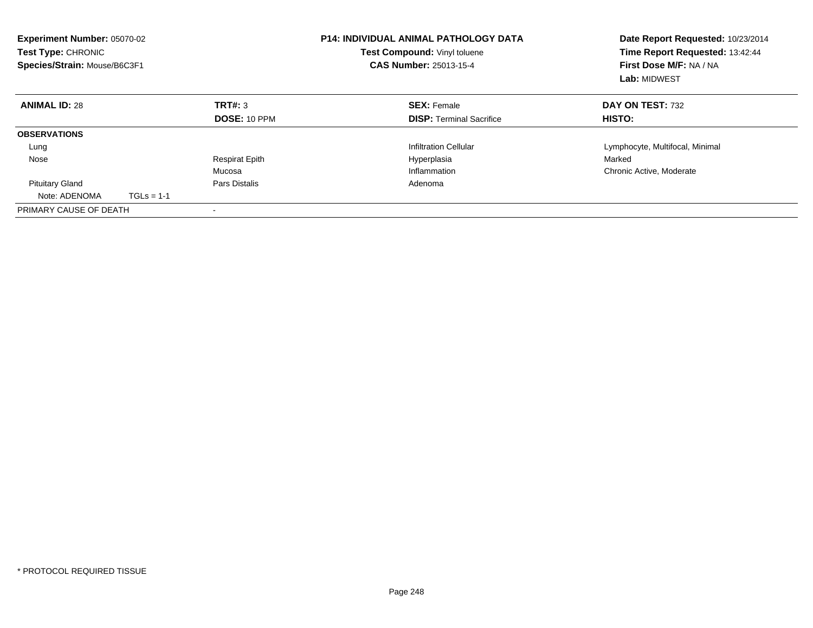| <b>Experiment Number: 05070-02</b><br>Test Type: CHRONIC<br>Species/Strain: Mouse/B6C3F1 |              |                       | <b>P14: INDIVIDUAL ANIMAL PATHOLOGY DATA</b><br>Test Compound: Vinyl toluene<br><b>CAS Number: 25013-15-4</b> | Date Report Requested: 10/23/2014<br>Time Report Requested: 13:42:44<br>First Dose M/F: NA / NA<br>Lab: MIDWEST |
|------------------------------------------------------------------------------------------|--------------|-----------------------|---------------------------------------------------------------------------------------------------------------|-----------------------------------------------------------------------------------------------------------------|
| TRT#: 3<br><b>ANIMAL ID: 28</b>                                                          |              |                       | <b>SEX: Female</b>                                                                                            | DAY ON TEST: 732                                                                                                |
|                                                                                          |              | DOSE: 10 PPM          | <b>DISP:</b> Terminal Sacrifice                                                                               | <b>HISTO:</b>                                                                                                   |
| <b>OBSERVATIONS</b>                                                                      |              |                       |                                                                                                               |                                                                                                                 |
| Lung                                                                                     |              |                       | <b>Infiltration Cellular</b>                                                                                  | Lymphocyte, Multifocal, Minimal                                                                                 |
| Nose                                                                                     |              | <b>Respirat Epith</b> | Hyperplasia                                                                                                   | Marked                                                                                                          |
|                                                                                          |              | Mucosa                | Inflammation                                                                                                  | Chronic Active, Moderate                                                                                        |
| <b>Pituitary Gland</b><br>Pars Distalis                                                  |              |                       | Adenoma                                                                                                       |                                                                                                                 |
| Note: ADENOMA                                                                            | $TGLs = 1-1$ |                       |                                                                                                               |                                                                                                                 |
| PRIMARY CAUSE OF DEATH                                                                   |              |                       |                                                                                                               |                                                                                                                 |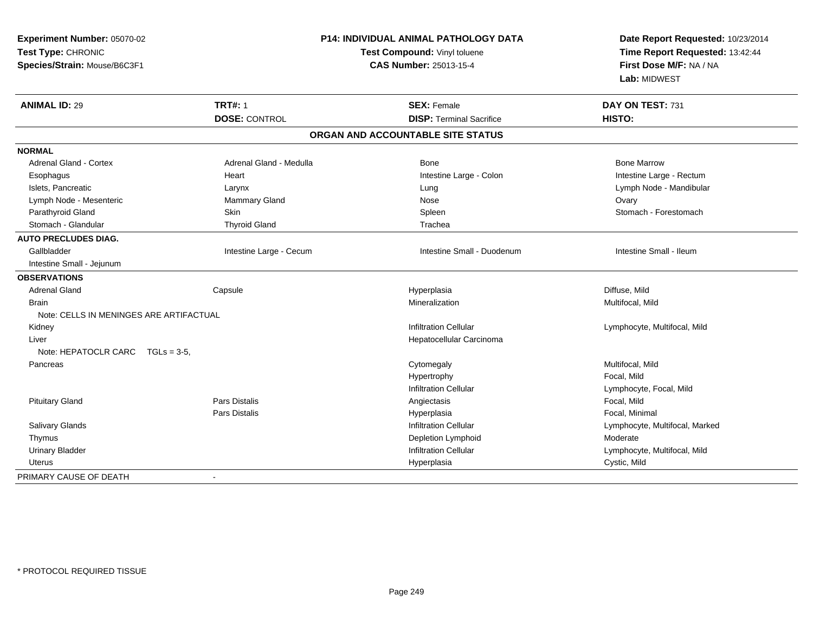| Experiment Number: 05070-02<br>Test Type: CHRONIC<br>Species/Strain: Mouse/B6C3F1 |                         | <b>P14: INDIVIDUAL ANIMAL PATHOLOGY DATA</b><br>Test Compound: Vinyl toluene<br><b>CAS Number: 25013-15-4</b> | Date Report Requested: 10/23/2014<br>Time Report Requested: 13:42:44<br>First Dose M/F: NA / NA<br>Lab: MIDWEST |  |
|-----------------------------------------------------------------------------------|-------------------------|---------------------------------------------------------------------------------------------------------------|-----------------------------------------------------------------------------------------------------------------|--|
| <b>ANIMAL ID: 29</b>                                                              | <b>TRT#: 1</b>          | <b>SEX: Female</b>                                                                                            | DAY ON TEST: 731                                                                                                |  |
|                                                                                   | <b>DOSE: CONTROL</b>    | <b>DISP: Terminal Sacrifice</b>                                                                               | HISTO:                                                                                                          |  |
|                                                                                   |                         | ORGAN AND ACCOUNTABLE SITE STATUS                                                                             |                                                                                                                 |  |
| <b>NORMAL</b>                                                                     |                         |                                                                                                               |                                                                                                                 |  |
| <b>Adrenal Gland - Cortex</b>                                                     | Adrenal Gland - Medulla | <b>Bone</b>                                                                                                   | <b>Bone Marrow</b>                                                                                              |  |
| Esophagus                                                                         | Heart                   | Intestine Large - Colon                                                                                       | Intestine Large - Rectum                                                                                        |  |
| Islets, Pancreatic                                                                | Larynx                  | Lung                                                                                                          | Lymph Node - Mandibular                                                                                         |  |
| Lymph Node - Mesenteric                                                           | Mammary Gland           | Nose                                                                                                          | Ovary                                                                                                           |  |
| Parathyroid Gland                                                                 | Skin                    | Spleen                                                                                                        | Stomach - Forestomach                                                                                           |  |
| Stomach - Glandular                                                               | <b>Thyroid Gland</b>    | Trachea                                                                                                       |                                                                                                                 |  |
| <b>AUTO PRECLUDES DIAG.</b>                                                       |                         |                                                                                                               |                                                                                                                 |  |
| Gallbladder                                                                       | Intestine Large - Cecum | Intestine Small - Duodenum                                                                                    | Intestine Small - Ileum                                                                                         |  |
| Intestine Small - Jejunum                                                         |                         |                                                                                                               |                                                                                                                 |  |
| <b>OBSERVATIONS</b>                                                               |                         |                                                                                                               |                                                                                                                 |  |
| <b>Adrenal Gland</b>                                                              | Capsule                 | Hyperplasia                                                                                                   | Diffuse, Mild                                                                                                   |  |
| <b>Brain</b>                                                                      |                         | Mineralization                                                                                                | Multifocal, Mild                                                                                                |  |
| Note: CELLS IN MENINGES ARE ARTIFACTUAL                                           |                         |                                                                                                               |                                                                                                                 |  |
| Kidney                                                                            |                         | <b>Infiltration Cellular</b>                                                                                  | Lymphocyte, Multifocal, Mild                                                                                    |  |
| Liver                                                                             |                         | Hepatocellular Carcinoma                                                                                      |                                                                                                                 |  |
| Note: HEPATOCLR CARC TGLs = 3-5,                                                  |                         |                                                                                                               |                                                                                                                 |  |
| Pancreas                                                                          |                         | Cytomegaly                                                                                                    | Multifocal, Mild                                                                                                |  |
|                                                                                   |                         | Hypertrophy                                                                                                   | Focal, Mild                                                                                                     |  |
|                                                                                   |                         | <b>Infiltration Cellular</b>                                                                                  | Lymphocyte, Focal, Mild                                                                                         |  |
| <b>Pituitary Gland</b>                                                            | Pars Distalis           | Angiectasis                                                                                                   | Focal, Mild                                                                                                     |  |
|                                                                                   | <b>Pars Distalis</b>    | Hyperplasia                                                                                                   | Focal, Minimal                                                                                                  |  |
| <b>Salivary Glands</b>                                                            |                         | <b>Infiltration Cellular</b>                                                                                  | Lymphocyte, Multifocal, Marked                                                                                  |  |
| Thymus                                                                            |                         | Depletion Lymphoid                                                                                            | Moderate                                                                                                        |  |
| <b>Urinary Bladder</b>                                                            |                         | <b>Infiltration Cellular</b>                                                                                  | Lymphocyte, Multifocal, Mild                                                                                    |  |
| Uterus                                                                            |                         | Hyperplasia                                                                                                   | Cystic, Mild                                                                                                    |  |
| PRIMARY CAUSE OF DEATH                                                            |                         |                                                                                                               |                                                                                                                 |  |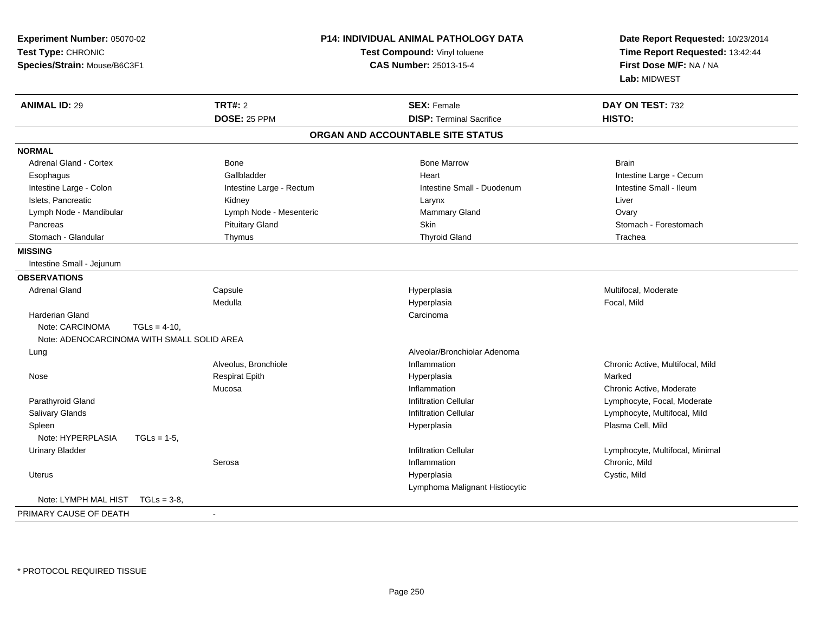| Experiment Number: 05070-02<br>Test Type: CHRONIC<br>Species/Strain: Mouse/B6C3F1 |                          | <b>P14: INDIVIDUAL ANIMAL PATHOLOGY DATA</b><br>Test Compound: Vinyl toluene<br><b>CAS Number: 25013-15-4</b> |                                  |
|-----------------------------------------------------------------------------------|--------------------------|---------------------------------------------------------------------------------------------------------------|----------------------------------|
| <b>ANIMAL ID: 29</b>                                                              | <b>TRT#: 2</b>           | <b>SEX: Female</b>                                                                                            | DAY ON TEST: 732                 |
|                                                                                   | DOSE: 25 PPM             | <b>DISP: Terminal Sacrifice</b>                                                                               | HISTO:                           |
|                                                                                   |                          | ORGAN AND ACCOUNTABLE SITE STATUS                                                                             |                                  |
| <b>NORMAL</b>                                                                     |                          |                                                                                                               |                                  |
| <b>Adrenal Gland - Cortex</b>                                                     | Bone                     | <b>Bone Marrow</b>                                                                                            | <b>Brain</b>                     |
| Esophagus                                                                         | Gallbladder              | Heart                                                                                                         | Intestine Large - Cecum          |
| Intestine Large - Colon                                                           | Intestine Large - Rectum | Intestine Small - Duodenum                                                                                    | Intestine Small - Ileum          |
| Islets, Pancreatic                                                                | Kidney                   | Larynx                                                                                                        | Liver                            |
| Lymph Node - Mandibular                                                           | Lymph Node - Mesenteric  | Mammary Gland                                                                                                 | Ovary                            |
| Pancreas                                                                          | <b>Pituitary Gland</b>   | Skin                                                                                                          | Stomach - Forestomach            |
| Stomach - Glandular                                                               | Thymus                   | <b>Thyroid Gland</b>                                                                                          | Trachea                          |
| <b>MISSING</b>                                                                    |                          |                                                                                                               |                                  |
| Intestine Small - Jejunum                                                         |                          |                                                                                                               |                                  |
| <b>OBSERVATIONS</b>                                                               |                          |                                                                                                               |                                  |
| <b>Adrenal Gland</b>                                                              | Capsule                  | Hyperplasia                                                                                                   | Multifocal, Moderate             |
|                                                                                   | Medulla                  | Hyperplasia                                                                                                   | Focal, Mild                      |
| Harderian Gland                                                                   |                          | Carcinoma                                                                                                     |                                  |
| Note: CARCINOMA<br>$TGLs = 4-10$ ,                                                |                          |                                                                                                               |                                  |
| Note: ADENOCARCINOMA WITH SMALL SOLID AREA                                        |                          |                                                                                                               |                                  |
| Lung                                                                              |                          | Alveolar/Bronchiolar Adenoma                                                                                  |                                  |
|                                                                                   | Alveolus, Bronchiole     | Inflammation                                                                                                  | Chronic Active, Multifocal, Mild |
| Nose                                                                              | <b>Respirat Epith</b>    | Hyperplasia                                                                                                   | Marked                           |
|                                                                                   | Mucosa                   | Inflammation                                                                                                  | Chronic Active, Moderate         |
| Parathyroid Gland                                                                 |                          | <b>Infiltration Cellular</b>                                                                                  | Lymphocyte, Focal, Moderate      |
| Salivary Glands                                                                   |                          | <b>Infiltration Cellular</b>                                                                                  | Lymphocyte, Multifocal, Mild     |
| Spleen                                                                            |                          | Hyperplasia                                                                                                   | Plasma Cell, Mild                |
| Note: HYPERPLASIA<br>$TGLs = 1-5$ ,                                               |                          |                                                                                                               |                                  |
| <b>Urinary Bladder</b>                                                            |                          | <b>Infiltration Cellular</b>                                                                                  | Lymphocyte, Multifocal, Minimal  |
|                                                                                   | Serosa                   | Inflammation                                                                                                  | Chronic, Mild                    |
| Uterus                                                                            |                          | Hyperplasia                                                                                                   | Cystic, Mild                     |
|                                                                                   |                          | Lymphoma Malignant Histiocytic                                                                                |                                  |
| Note: LYMPH MAL HIST<br>$TGLs = 3-8$                                              |                          |                                                                                                               |                                  |
| PRIMARY CAUSE OF DEATH                                                            | $\sim$                   |                                                                                                               |                                  |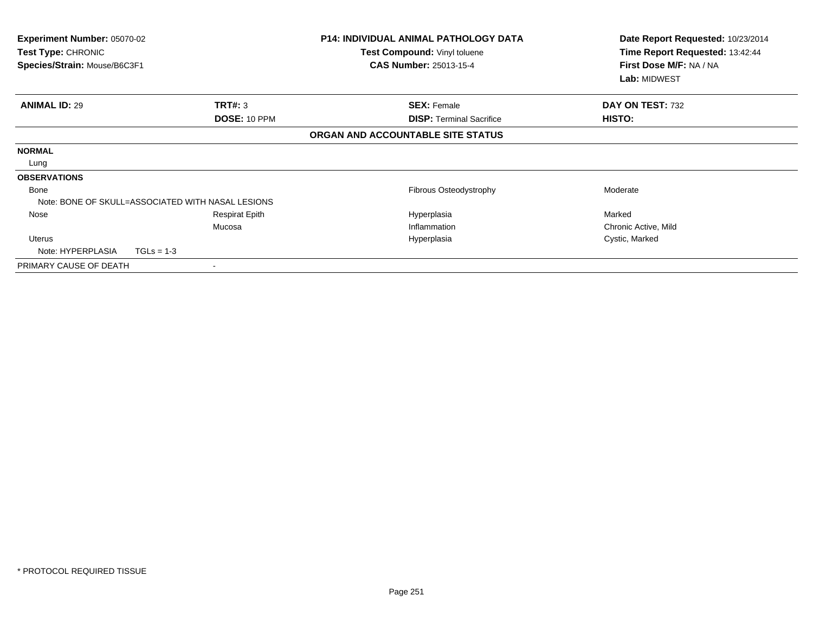| <b>Experiment Number: 05070-02</b><br>Test Type: CHRONIC<br>Species/Strain: Mouse/B6C3F1 |                                                   | <b>P14: INDIVIDUAL ANIMAL PATHOLOGY DATA</b><br>Test Compound: Vinyl toluene<br><b>CAS Number: 25013-15-4</b> | Date Report Requested: 10/23/2014<br>Time Report Requested: 13:42:44<br>First Dose M/F: NA / NA<br>Lab: MIDWEST |
|------------------------------------------------------------------------------------------|---------------------------------------------------|---------------------------------------------------------------------------------------------------------------|-----------------------------------------------------------------------------------------------------------------|
| <b>ANIMAL ID: 29</b>                                                                     | TRT#: 3                                           | <b>SEX: Female</b>                                                                                            | DAY ON TEST: 732                                                                                                |
|                                                                                          | DOSE: 10 PPM                                      | <b>DISP:</b> Terminal Sacrifice                                                                               | <b>HISTO:</b>                                                                                                   |
|                                                                                          |                                                   | ORGAN AND ACCOUNTABLE SITE STATUS                                                                             |                                                                                                                 |
| <b>NORMAL</b>                                                                            |                                                   |                                                                                                               |                                                                                                                 |
| Lung                                                                                     |                                                   |                                                                                                               |                                                                                                                 |
| <b>OBSERVATIONS</b>                                                                      |                                                   |                                                                                                               |                                                                                                                 |
| <b>Bone</b>                                                                              |                                                   | Fibrous Osteodystrophy                                                                                        | Moderate                                                                                                        |
|                                                                                          | Note: BONE OF SKULL=ASSOCIATED WITH NASAL LESIONS |                                                                                                               |                                                                                                                 |
| Nose                                                                                     | <b>Respirat Epith</b>                             | Hyperplasia                                                                                                   | Marked                                                                                                          |
|                                                                                          | Mucosa                                            | Inflammation                                                                                                  | Chronic Active, Mild                                                                                            |
| Uterus                                                                                   |                                                   | Hyperplasia                                                                                                   | Cystic, Marked                                                                                                  |
| Note: HYPERPLASIA                                                                        | $TGLs = 1-3$                                      |                                                                                                               |                                                                                                                 |
| PRIMARY CAUSE OF DEATH                                                                   |                                                   |                                                                                                               |                                                                                                                 |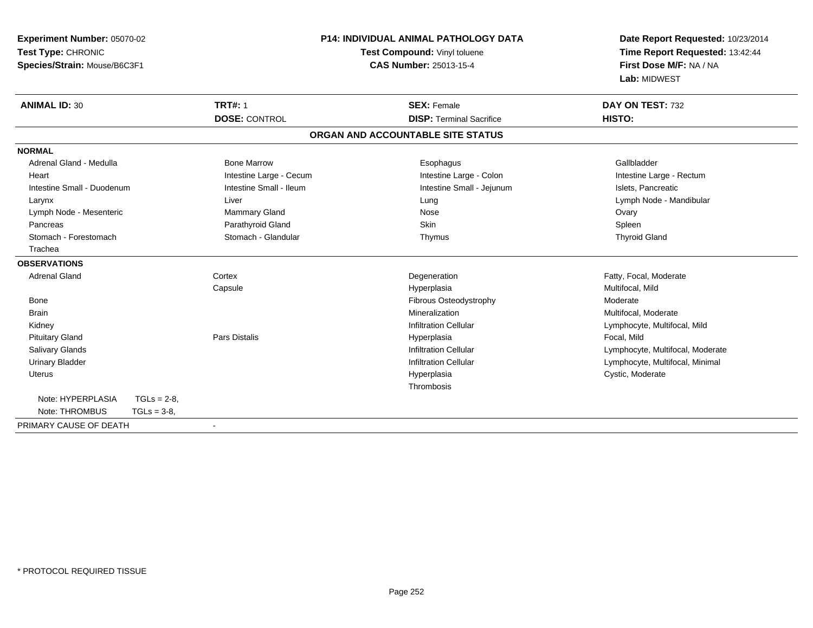| Experiment Number: 05070-02                        |              | <b>P14: INDIVIDUAL ANIMAL PATHOLOGY DATA</b> | Date Report Requested: 10/23/2014 |                                                                            |  |
|----------------------------------------------------|--------------|----------------------------------------------|-----------------------------------|----------------------------------------------------------------------------|--|
| Test Type: CHRONIC<br>Species/Strain: Mouse/B6C3F1 |              |                                              | Test Compound: Vinyl toluene      | Time Report Requested: 13:42:44<br>First Dose M/F: NA / NA<br>Lab: MIDWEST |  |
|                                                    |              |                                              | <b>CAS Number: 25013-15-4</b>     |                                                                            |  |
|                                                    |              |                                              |                                   |                                                                            |  |
| <b>ANIMAL ID: 30</b>                               |              | <b>TRT#: 1</b>                               | <b>SEX: Female</b>                | DAY ON TEST: 732                                                           |  |
|                                                    |              | <b>DOSE: CONTROL</b>                         | <b>DISP: Terminal Sacrifice</b>   | HISTO:                                                                     |  |
|                                                    |              |                                              | ORGAN AND ACCOUNTABLE SITE STATUS |                                                                            |  |
| <b>NORMAL</b>                                      |              |                                              |                                   |                                                                            |  |
| Adrenal Gland - Medulla                            |              | <b>Bone Marrow</b>                           | Esophagus                         | Gallbladder                                                                |  |
| Heart                                              |              | Intestine Large - Cecum                      | Intestine Large - Colon           | Intestine Large - Rectum                                                   |  |
| Intestine Small - Duodenum                         |              | Intestine Small - Ileum                      | Intestine Small - Jejunum         | Islets, Pancreatic                                                         |  |
| Larynx                                             |              | Liver                                        | Lung                              | Lymph Node - Mandibular                                                    |  |
| Lymph Node - Mesenteric                            |              | Mammary Gland                                | Nose                              | Ovary                                                                      |  |
| Pancreas                                           |              | Parathyroid Gland                            | Skin                              | Spleen                                                                     |  |
| Stomach - Forestomach                              |              | Stomach - Glandular                          | Thymus                            | <b>Thyroid Gland</b>                                                       |  |
| Trachea                                            |              |                                              |                                   |                                                                            |  |
| <b>OBSERVATIONS</b>                                |              |                                              |                                   |                                                                            |  |
| <b>Adrenal Gland</b>                               |              | Cortex                                       | Degeneration                      | Fatty, Focal, Moderate                                                     |  |
|                                                    |              | Capsule                                      | Hyperplasia                       | Multifocal, Mild                                                           |  |
| Bone                                               |              |                                              | Fibrous Osteodystrophy            | Moderate                                                                   |  |
| <b>Brain</b>                                       |              |                                              | Mineralization                    | Multifocal, Moderate                                                       |  |
| Kidney                                             |              |                                              | <b>Infiltration Cellular</b>      | Lymphocyte, Multifocal, Mild                                               |  |
| <b>Pituitary Gland</b>                             |              | Pars Distalis                                | Hyperplasia                       | Focal, Mild                                                                |  |
| Salivary Glands                                    |              |                                              | <b>Infiltration Cellular</b>      | Lymphocyte, Multifocal, Moderate                                           |  |
| <b>Urinary Bladder</b>                             |              |                                              | <b>Infiltration Cellular</b>      | Lymphocyte, Multifocal, Minimal                                            |  |
| <b>Uterus</b>                                      |              |                                              | Hyperplasia                       | Cystic, Moderate                                                           |  |
|                                                    |              |                                              | Thrombosis                        |                                                                            |  |
| Note: HYPERPLASIA                                  | $TGLs = 2-8$ |                                              |                                   |                                                                            |  |
| Note: THROMBUS<br>$TGLs = 3-8$                     |              |                                              |                                   |                                                                            |  |
| PRIMARY CAUSE OF DEATH                             |              |                                              |                                   |                                                                            |  |
|                                                    |              |                                              |                                   |                                                                            |  |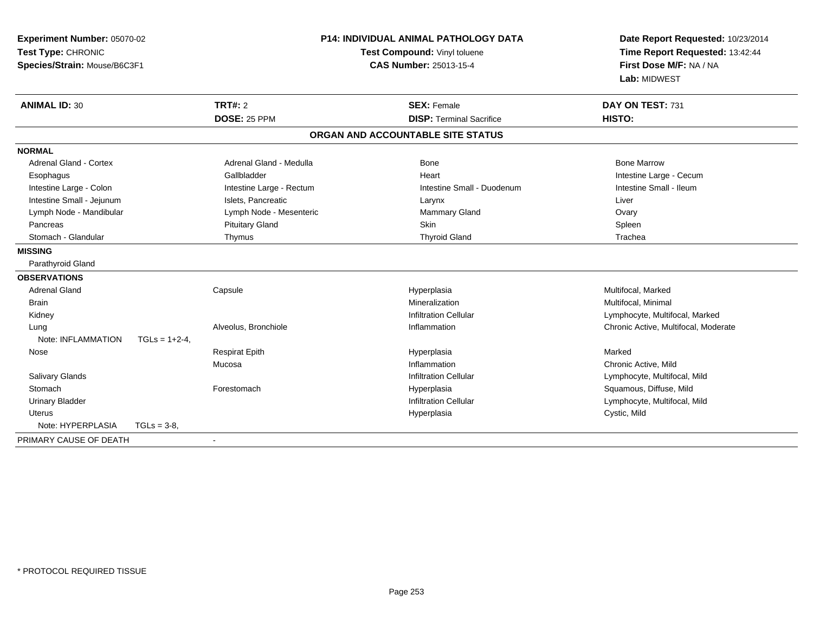| Experiment Number: 05070-02<br>Test Type: CHRONIC<br>Species/Strain: Mouse/B6C3F1 |                  |                          | <b>P14: INDIVIDUAL ANIMAL PATHOLOGY DATA</b><br>Test Compound: Vinyl toluene<br><b>CAS Number: 25013-15-4</b> | Date Report Requested: 10/23/2014<br>Time Report Requested: 13:42:44<br>First Dose M/F: NA / NA<br>Lab: MIDWEST |
|-----------------------------------------------------------------------------------|------------------|--------------------------|---------------------------------------------------------------------------------------------------------------|-----------------------------------------------------------------------------------------------------------------|
| <b>ANIMAL ID: 30</b>                                                              |                  | <b>TRT#: 2</b>           | <b>SEX: Female</b>                                                                                            | DAY ON TEST: 731                                                                                                |
|                                                                                   |                  | <b>DOSE: 25 PPM</b>      | <b>DISP: Terminal Sacrifice</b>                                                                               | HISTO:                                                                                                          |
|                                                                                   |                  |                          | ORGAN AND ACCOUNTABLE SITE STATUS                                                                             |                                                                                                                 |
| <b>NORMAL</b>                                                                     |                  |                          |                                                                                                               |                                                                                                                 |
| <b>Adrenal Gland - Cortex</b>                                                     |                  | Adrenal Gland - Medulla  | <b>Bone</b>                                                                                                   | <b>Bone Marrow</b>                                                                                              |
| Esophagus                                                                         |                  | Gallbladder              | Heart                                                                                                         | Intestine Large - Cecum                                                                                         |
| Intestine Large - Colon                                                           |                  | Intestine Large - Rectum | Intestine Small - Duodenum                                                                                    | Intestine Small - Ileum                                                                                         |
| Intestine Small - Jejunum                                                         |                  | Islets. Pancreatic       | Larynx                                                                                                        | Liver                                                                                                           |
| Lymph Node - Mandibular                                                           |                  | Lymph Node - Mesenteric  | Mammary Gland                                                                                                 | Ovary                                                                                                           |
| Pancreas                                                                          |                  | <b>Pituitary Gland</b>   | <b>Skin</b>                                                                                                   | Spleen                                                                                                          |
| Stomach - Glandular                                                               |                  | Thymus                   | <b>Thyroid Gland</b>                                                                                          | Trachea                                                                                                         |
| <b>MISSING</b>                                                                    |                  |                          |                                                                                                               |                                                                                                                 |
| Parathyroid Gland                                                                 |                  |                          |                                                                                                               |                                                                                                                 |
| <b>OBSERVATIONS</b>                                                               |                  |                          |                                                                                                               |                                                                                                                 |
| <b>Adrenal Gland</b>                                                              |                  | Capsule                  | Hyperplasia                                                                                                   | Multifocal, Marked                                                                                              |
| <b>Brain</b>                                                                      |                  |                          | Mineralization                                                                                                | Multifocal, Minimal                                                                                             |
| Kidney                                                                            |                  |                          | <b>Infiltration Cellular</b>                                                                                  | Lymphocyte, Multifocal, Marked                                                                                  |
| Lung                                                                              |                  | Alveolus, Bronchiole     | Inflammation                                                                                                  | Chronic Active, Multifocal, Moderate                                                                            |
| Note: INFLAMMATION                                                                | $TGLs = 1+2-4$ , |                          |                                                                                                               |                                                                                                                 |
| Nose                                                                              |                  | <b>Respirat Epith</b>    | Hyperplasia                                                                                                   | Marked                                                                                                          |
|                                                                                   |                  | Mucosa                   | Inflammation                                                                                                  | Chronic Active, Mild                                                                                            |
| Salivary Glands                                                                   |                  |                          | <b>Infiltration Cellular</b>                                                                                  | Lymphocyte, Multifocal, Mild                                                                                    |
| Stomach                                                                           |                  | Forestomach              | Hyperplasia                                                                                                   | Squamous, Diffuse, Mild                                                                                         |
| <b>Urinary Bladder</b>                                                            |                  |                          | <b>Infiltration Cellular</b>                                                                                  | Lymphocyte, Multifocal, Mild                                                                                    |
| <b>Uterus</b>                                                                     |                  |                          | Hyperplasia                                                                                                   | Cystic, Mild                                                                                                    |
| Note: HYPERPLASIA                                                                 | $TGLs = 3-8$     |                          |                                                                                                               |                                                                                                                 |
| PRIMARY CAUSE OF DEATH                                                            |                  | $\blacksquare$           |                                                                                                               |                                                                                                                 |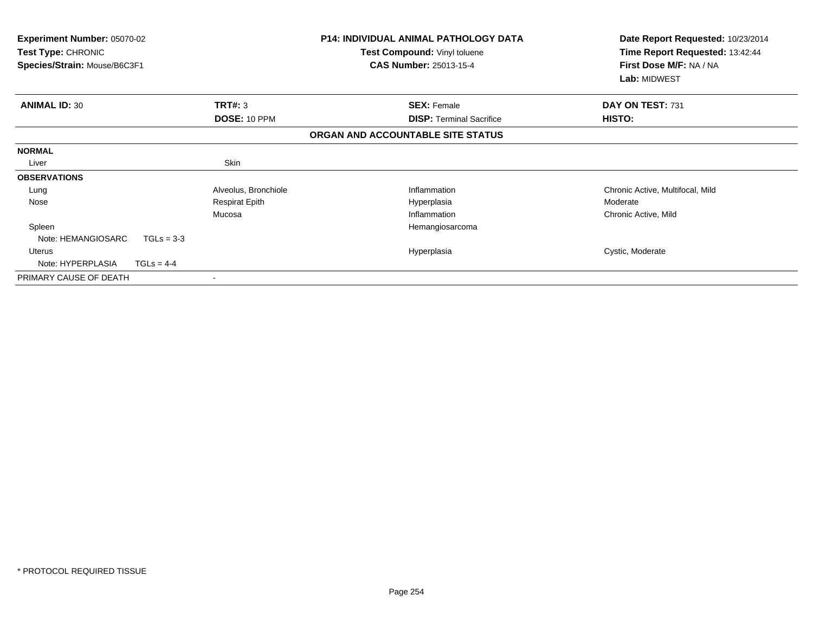| <b>Experiment Number: 05070-02</b><br><b>Test Type: CHRONIC</b><br>Species/Strain: Mouse/B6C3F1 |                       | <b>P14: INDIVIDUAL ANIMAL PATHOLOGY DATA</b><br><b>Test Compound: Vinyl toluene</b><br><b>CAS Number: 25013-15-4</b> | Date Report Requested: 10/23/2014<br>Time Report Requested: 13:42:44<br>First Dose M/F: NA / NA<br>Lab: MIDWEST |
|-------------------------------------------------------------------------------------------------|-----------------------|----------------------------------------------------------------------------------------------------------------------|-----------------------------------------------------------------------------------------------------------------|
| <b>ANIMAL ID: 30</b>                                                                            | TRT#: 3               | <b>SEX: Female</b>                                                                                                   | DAY ON TEST: 731                                                                                                |
|                                                                                                 | DOSE: 10 PPM          | <b>DISP:</b> Terminal Sacrifice                                                                                      | <b>HISTO:</b>                                                                                                   |
|                                                                                                 |                       | ORGAN AND ACCOUNTABLE SITE STATUS                                                                                    |                                                                                                                 |
| <b>NORMAL</b>                                                                                   |                       |                                                                                                                      |                                                                                                                 |
| Liver                                                                                           | Skin                  |                                                                                                                      |                                                                                                                 |
| <b>OBSERVATIONS</b>                                                                             |                       |                                                                                                                      |                                                                                                                 |
| Lung                                                                                            | Alveolus, Bronchiole  | Inflammation                                                                                                         | Chronic Active, Multifocal, Mild                                                                                |
| Nose                                                                                            | <b>Respirat Epith</b> | Hyperplasia                                                                                                          | Moderate                                                                                                        |
|                                                                                                 | Mucosa                | Inflammation                                                                                                         | Chronic Active, Mild                                                                                            |
| Spleen                                                                                          |                       | Hemangiosarcoma                                                                                                      |                                                                                                                 |
| Note: HEMANGIOSARC<br>$TGLs = 3-3$                                                              |                       |                                                                                                                      |                                                                                                                 |
| Uterus                                                                                          |                       | Hyperplasia                                                                                                          | Cystic, Moderate                                                                                                |
| Note: HYPERPLASIA<br>$TGLs = 4-4$                                                               |                       |                                                                                                                      |                                                                                                                 |
| PRIMARY CAUSE OF DEATH                                                                          |                       |                                                                                                                      |                                                                                                                 |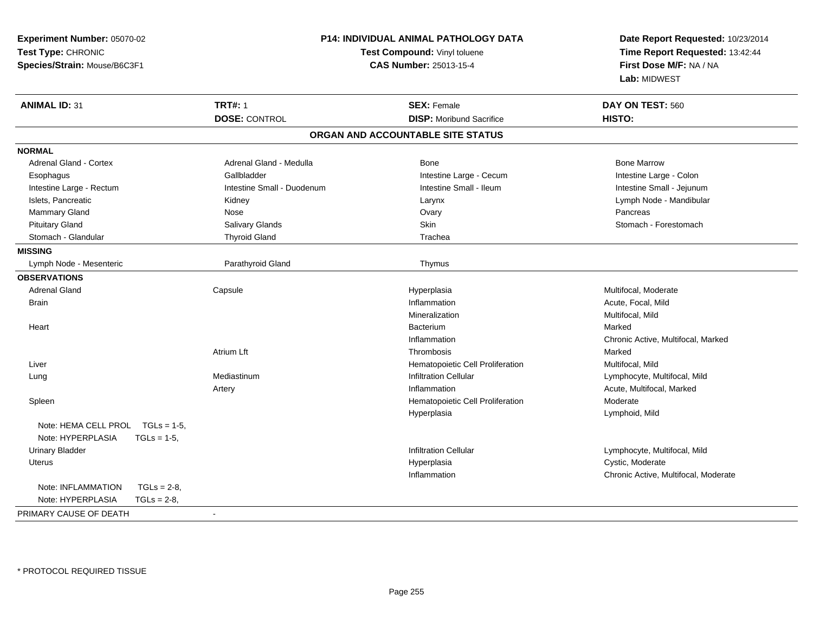| Experiment Number: 05070-02<br>Test Type: CHRONIC<br>Species/Strain: Mouse/B6C3F1 |                |                            | P14: INDIVIDUAL ANIMAL PATHOLOGY DATA<br>Test Compound: Vinyl toluene<br>CAS Number: 25013-15-4 | Date Report Requested: 10/23/2014<br>Time Report Requested: 13:42:44<br>First Dose M/F: NA / NA<br>Lab: MIDWEST |
|-----------------------------------------------------------------------------------|----------------|----------------------------|-------------------------------------------------------------------------------------------------|-----------------------------------------------------------------------------------------------------------------|
| <b>ANIMAL ID: 31</b>                                                              |                | <b>TRT#: 1</b>             | <b>SEX: Female</b>                                                                              | DAY ON TEST: 560                                                                                                |
|                                                                                   |                | <b>DOSE: CONTROL</b>       | <b>DISP: Moribund Sacrifice</b>                                                                 | HISTO:                                                                                                          |
|                                                                                   |                |                            | ORGAN AND ACCOUNTABLE SITE STATUS                                                               |                                                                                                                 |
| <b>NORMAL</b>                                                                     |                |                            |                                                                                                 |                                                                                                                 |
| Adrenal Gland - Cortex                                                            |                | Adrenal Gland - Medulla    | <b>Bone</b>                                                                                     | <b>Bone Marrow</b>                                                                                              |
| Esophagus                                                                         |                | Gallbladder                | Intestine Large - Cecum                                                                         | Intestine Large - Colon                                                                                         |
| Intestine Large - Rectum                                                          |                | Intestine Small - Duodenum | Intestine Small - Ileum                                                                         | Intestine Small - Jejunum                                                                                       |
| Islets, Pancreatic                                                                |                | Kidney                     | Larynx                                                                                          | Lymph Node - Mandibular                                                                                         |
| Mammary Gland                                                                     |                | Nose                       | Ovary                                                                                           | Pancreas                                                                                                        |
| <b>Pituitary Gland</b>                                                            |                | <b>Salivary Glands</b>     | Skin                                                                                            | Stomach - Forestomach                                                                                           |
| Stomach - Glandular                                                               |                | <b>Thyroid Gland</b>       | Trachea                                                                                         |                                                                                                                 |
| <b>MISSING</b>                                                                    |                |                            |                                                                                                 |                                                                                                                 |
| Lymph Node - Mesenteric                                                           |                | Parathyroid Gland          | Thymus                                                                                          |                                                                                                                 |
| <b>OBSERVATIONS</b>                                                               |                |                            |                                                                                                 |                                                                                                                 |
| <b>Adrenal Gland</b>                                                              |                | Capsule                    | Hyperplasia                                                                                     | Multifocal, Moderate                                                                                            |
| <b>Brain</b>                                                                      |                |                            | Inflammation                                                                                    | Acute, Focal, Mild                                                                                              |
|                                                                                   |                |                            | Mineralization                                                                                  | Multifocal, Mild                                                                                                |
| Heart                                                                             |                |                            | Bacterium                                                                                       | Marked                                                                                                          |
|                                                                                   |                |                            | Inflammation                                                                                    | Chronic Active, Multifocal, Marked                                                                              |
|                                                                                   |                | Atrium Lft                 | Thrombosis                                                                                      | Marked                                                                                                          |
| Liver                                                                             |                |                            | Hematopoietic Cell Proliferation                                                                | Multifocal, Mild                                                                                                |
| Lung                                                                              |                | Mediastinum                | <b>Infiltration Cellular</b>                                                                    | Lymphocyte, Multifocal, Mild                                                                                    |
|                                                                                   |                | Artery                     | Inflammation                                                                                    | Acute, Multifocal, Marked                                                                                       |
| Spleen                                                                            |                |                            | Hematopoietic Cell Proliferation                                                                | Moderate                                                                                                        |
|                                                                                   |                |                            | Hyperplasia                                                                                     | Lymphoid, Mild                                                                                                  |
| Note: HEMA CELL PROL TGLs = 1-5,                                                  |                |                            |                                                                                                 |                                                                                                                 |
| Note: HYPERPLASIA                                                                 | $TGLs = 1-5$ , |                            |                                                                                                 |                                                                                                                 |
| <b>Urinary Bladder</b>                                                            |                |                            | <b>Infiltration Cellular</b>                                                                    | Lymphocyte, Multifocal, Mild                                                                                    |
| Uterus                                                                            |                |                            | Hyperplasia                                                                                     | Cystic, Moderate                                                                                                |
|                                                                                   |                |                            | Inflammation                                                                                    | Chronic Active, Multifocal, Moderate                                                                            |
| Note: INFLAMMATION                                                                | $TGLs = 2-8$   |                            |                                                                                                 |                                                                                                                 |
| Note: HYPERPLASIA                                                                 | $TGLs = 2-8$   |                            |                                                                                                 |                                                                                                                 |
| PRIMARY CAUSE OF DEATH                                                            |                | $\sim$                     |                                                                                                 |                                                                                                                 |

\* PROTOCOL REQUIRED TISSUE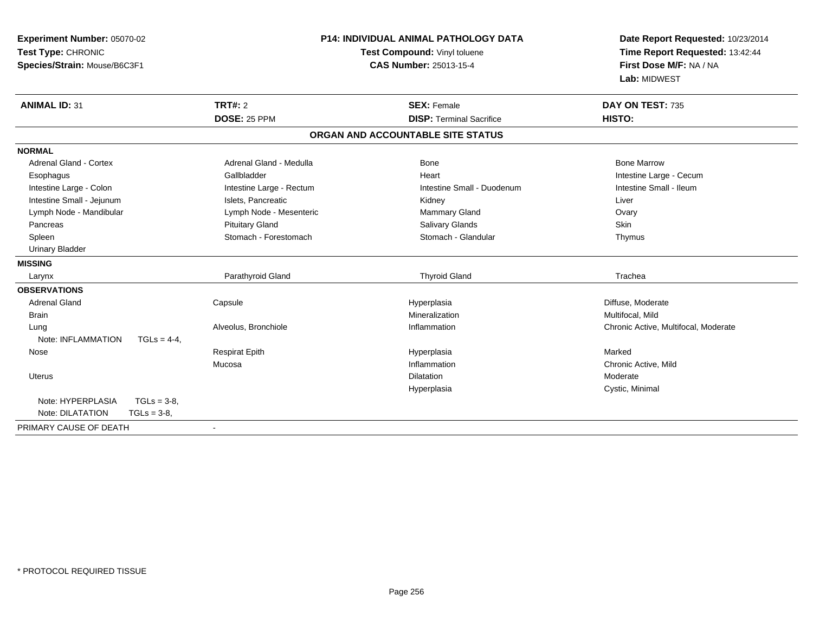| Experiment Number: 05070-02<br>Test Type: CHRONIC<br>Species/Strain: Mouse/B6C3F1 |                          | P14: INDIVIDUAL ANIMAL PATHOLOGY DATA<br>Test Compound: Vinyl toluene<br><b>CAS Number: 25013-15-4</b> | Date Report Requested: 10/23/2014<br>Time Report Requested: 13:42:44<br>First Dose M/F: NA / NA |
|-----------------------------------------------------------------------------------|--------------------------|--------------------------------------------------------------------------------------------------------|-------------------------------------------------------------------------------------------------|
|                                                                                   |                          |                                                                                                        | Lab: MIDWEST                                                                                    |
| <b>ANIMAL ID: 31</b>                                                              | TRT#: 2                  | <b>SEX: Female</b>                                                                                     | DAY ON TEST: 735                                                                                |
|                                                                                   | DOSE: 25 PPM             | <b>DISP: Terminal Sacrifice</b>                                                                        | HISTO:                                                                                          |
|                                                                                   |                          | ORGAN AND ACCOUNTABLE SITE STATUS                                                                      |                                                                                                 |
| <b>NORMAL</b>                                                                     |                          |                                                                                                        |                                                                                                 |
| <b>Adrenal Gland - Cortex</b>                                                     | Adrenal Gland - Medulla  | <b>Bone</b>                                                                                            | <b>Bone Marrow</b>                                                                              |
| Esophagus                                                                         | Gallbladder              | Heart                                                                                                  | Intestine Large - Cecum                                                                         |
| Intestine Large - Colon                                                           | Intestine Large - Rectum | Intestine Small - Duodenum                                                                             | Intestine Small - Ileum                                                                         |
| Intestine Small - Jejunum                                                         | Islets, Pancreatic       | Kidney                                                                                                 | Liver                                                                                           |
| Lymph Node - Mandibular                                                           | Lymph Node - Mesenteric  | Mammary Gland                                                                                          | Ovary                                                                                           |
| Pancreas                                                                          | <b>Pituitary Gland</b>   | Salivary Glands                                                                                        | <b>Skin</b>                                                                                     |
| Spleen                                                                            | Stomach - Forestomach    | Stomach - Glandular                                                                                    | Thymus                                                                                          |
| <b>Urinary Bladder</b>                                                            |                          |                                                                                                        |                                                                                                 |
| <b>MISSING</b>                                                                    |                          |                                                                                                        |                                                                                                 |
| Larynx                                                                            | Parathyroid Gland        | <b>Thyroid Gland</b>                                                                                   | Trachea                                                                                         |
| <b>OBSERVATIONS</b>                                                               |                          |                                                                                                        |                                                                                                 |
| <b>Adrenal Gland</b>                                                              | Capsule                  | Hyperplasia                                                                                            | Diffuse, Moderate                                                                               |
| <b>Brain</b>                                                                      |                          | Mineralization                                                                                         | Multifocal, Mild                                                                                |
| Lung                                                                              | Alveolus, Bronchiole     | Inflammation                                                                                           | Chronic Active, Multifocal, Moderate                                                            |
| Note: INFLAMMATION<br>$TGLs = 4-4$ ,                                              |                          |                                                                                                        |                                                                                                 |
| Nose                                                                              | <b>Respirat Epith</b>    | Hyperplasia                                                                                            | Marked                                                                                          |
|                                                                                   | Mucosa                   | Inflammation                                                                                           | Chronic Active, Mild                                                                            |
| Uterus                                                                            |                          | <b>Dilatation</b>                                                                                      | Moderate                                                                                        |
|                                                                                   |                          | Hyperplasia                                                                                            | Cystic, Minimal                                                                                 |
| Note: HYPERPLASIA<br>$TGLs = 3-8.$                                                |                          |                                                                                                        |                                                                                                 |
| Note: DILATATION<br>$TGLs = 3-8$                                                  |                          |                                                                                                        |                                                                                                 |
| PRIMARY CAUSE OF DEATH                                                            | $\blacksquare$           |                                                                                                        |                                                                                                 |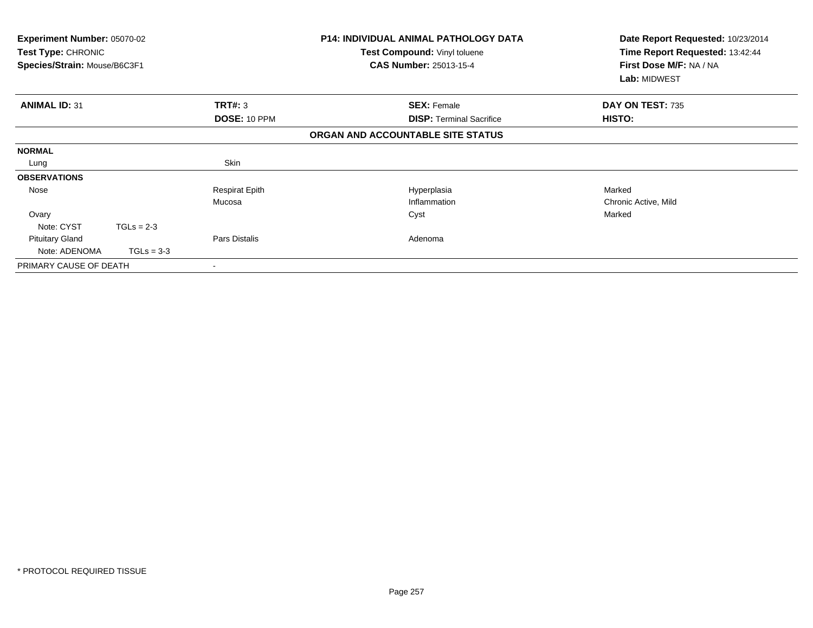| Experiment Number: 05070-02<br>Test Type: CHRONIC<br>Species/Strain: Mouse/B6C3F1 |              |                       | <b>P14: INDIVIDUAL ANIMAL PATHOLOGY DATA</b><br>Test Compound: Vinyl toluene<br><b>CAS Number: 25013-15-4</b> | Date Report Requested: 10/23/2014<br>Time Report Requested: 13:42:44<br>First Dose M/F: NA / NA<br>Lab: MIDWEST |
|-----------------------------------------------------------------------------------|--------------|-----------------------|---------------------------------------------------------------------------------------------------------------|-----------------------------------------------------------------------------------------------------------------|
| <b>ANIMAL ID: 31</b>                                                              |              | TRT#: 3               | <b>SEX: Female</b>                                                                                            | DAY ON TEST: 735                                                                                                |
|                                                                                   |              | DOSE: 10 PPM          | <b>DISP:</b> Terminal Sacrifice                                                                               | <b>HISTO:</b>                                                                                                   |
|                                                                                   |              |                       | ORGAN AND ACCOUNTABLE SITE STATUS                                                                             |                                                                                                                 |
| <b>NORMAL</b>                                                                     |              |                       |                                                                                                               |                                                                                                                 |
| Lung                                                                              |              | Skin                  |                                                                                                               |                                                                                                                 |
| <b>OBSERVATIONS</b>                                                               |              |                       |                                                                                                               |                                                                                                                 |
| Nose                                                                              |              | <b>Respirat Epith</b> | Hyperplasia                                                                                                   | Marked                                                                                                          |
|                                                                                   |              | Mucosa                | Inflammation                                                                                                  | Chronic Active, Mild                                                                                            |
| Ovary                                                                             |              |                       | Cyst                                                                                                          | Marked                                                                                                          |
| Note: CYST                                                                        | $TGLs = 2-3$ |                       |                                                                                                               |                                                                                                                 |
| <b>Pituitary Gland</b>                                                            |              | Pars Distalis         | Adenoma                                                                                                       |                                                                                                                 |
| Note: ADENOMA                                                                     | $TGLs = 3-3$ |                       |                                                                                                               |                                                                                                                 |
| PRIMARY CAUSE OF DEATH                                                            |              |                       |                                                                                                               |                                                                                                                 |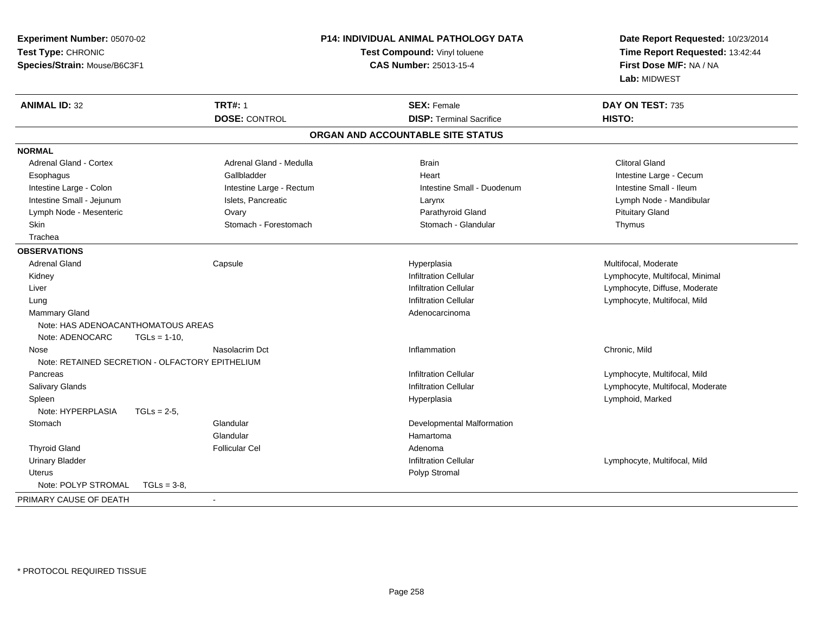| Experiment Number: 05070-02        |                                                 | <b>P14: INDIVIDUAL ANIMAL PATHOLOGY DATA</b> | Date Report Requested: 10/23/2014                          |  |
|------------------------------------|-------------------------------------------------|----------------------------------------------|------------------------------------------------------------|--|
| Test Type: CHRONIC                 |                                                 | Test Compound: Vinyl toluene                 | Time Report Requested: 13:42:44<br>First Dose M/F: NA / NA |  |
| Species/Strain: Mouse/B6C3F1       |                                                 | <b>CAS Number: 25013-15-4</b>                |                                                            |  |
|                                    |                                                 |                                              | Lab: MIDWEST                                               |  |
| <b>ANIMAL ID: 32</b>               | <b>TRT#: 1</b>                                  | <b>SEX: Female</b>                           | DAY ON TEST: 735                                           |  |
|                                    | <b>DOSE: CONTROL</b>                            | <b>DISP: Terminal Sacrifice</b>              | HISTO:                                                     |  |
|                                    |                                                 | ORGAN AND ACCOUNTABLE SITE STATUS            |                                                            |  |
| <b>NORMAL</b>                      |                                                 |                                              |                                                            |  |
| <b>Adrenal Gland - Cortex</b>      | Adrenal Gland - Medulla                         | <b>Brain</b>                                 | <b>Clitoral Gland</b>                                      |  |
| Esophagus                          | Gallbladder                                     | Heart                                        | Intestine Large - Cecum                                    |  |
| Intestine Large - Colon            | Intestine Large - Rectum                        | Intestine Small - Duodenum                   | Intestine Small - Ileum                                    |  |
| Intestine Small - Jejunum          | Islets, Pancreatic                              | Larynx                                       | Lymph Node - Mandibular                                    |  |
| Lymph Node - Mesenteric            | Ovary                                           | Parathyroid Gland                            | <b>Pituitary Gland</b>                                     |  |
| Skin                               | Stomach - Forestomach                           | Stomach - Glandular                          | Thymus                                                     |  |
| Trachea                            |                                                 |                                              |                                                            |  |
| <b>OBSERVATIONS</b>                |                                                 |                                              |                                                            |  |
| <b>Adrenal Gland</b>               | Capsule                                         | Hyperplasia                                  | Multifocal, Moderate                                       |  |
| Kidney                             |                                                 | <b>Infiltration Cellular</b>                 | Lymphocyte, Multifocal, Minimal                            |  |
| Liver                              |                                                 | <b>Infiltration Cellular</b>                 | Lymphocyte, Diffuse, Moderate                              |  |
| Lung                               |                                                 | <b>Infiltration Cellular</b>                 | Lymphocyte, Multifocal, Mild                               |  |
| <b>Mammary Gland</b>               |                                                 | Adenocarcinoma                               |                                                            |  |
| Note: HAS ADENOACANTHOMATOUS AREAS |                                                 |                                              |                                                            |  |
| Note: ADENOCARC                    | $TGLs = 1-10,$                                  |                                              |                                                            |  |
| Nose                               | Nasolacrim Dct                                  | Inflammation                                 | Chronic, Mild                                              |  |
|                                    | Note: RETAINED SECRETION - OLFACTORY EPITHELIUM |                                              |                                                            |  |
| Pancreas                           |                                                 | <b>Infiltration Cellular</b>                 | Lymphocyte, Multifocal, Mild                               |  |
| Salivary Glands                    |                                                 | <b>Infiltration Cellular</b>                 | Lymphocyte, Multifocal, Moderate                           |  |
| Spleen                             |                                                 | Hyperplasia                                  | Lymphoid, Marked                                           |  |
| Note: HYPERPLASIA                  | $TGLs = 2-5$                                    |                                              |                                                            |  |
| Stomach                            | Glandular                                       | Developmental Malformation                   |                                                            |  |
|                                    | Glandular                                       | Hamartoma                                    |                                                            |  |
| <b>Thyroid Gland</b>               | <b>Follicular Cel</b>                           | Adenoma                                      |                                                            |  |
| <b>Urinary Bladder</b>             |                                                 | <b>Infiltration Cellular</b>                 | Lymphocyte, Multifocal, Mild                               |  |
| Uterus                             |                                                 | Polyp Stromal                                |                                                            |  |
| Note: POLYP STROMAL                | $TGLs = 3-8$                                    |                                              |                                                            |  |
| PRIMARY CAUSE OF DEATH             |                                                 |                                              |                                                            |  |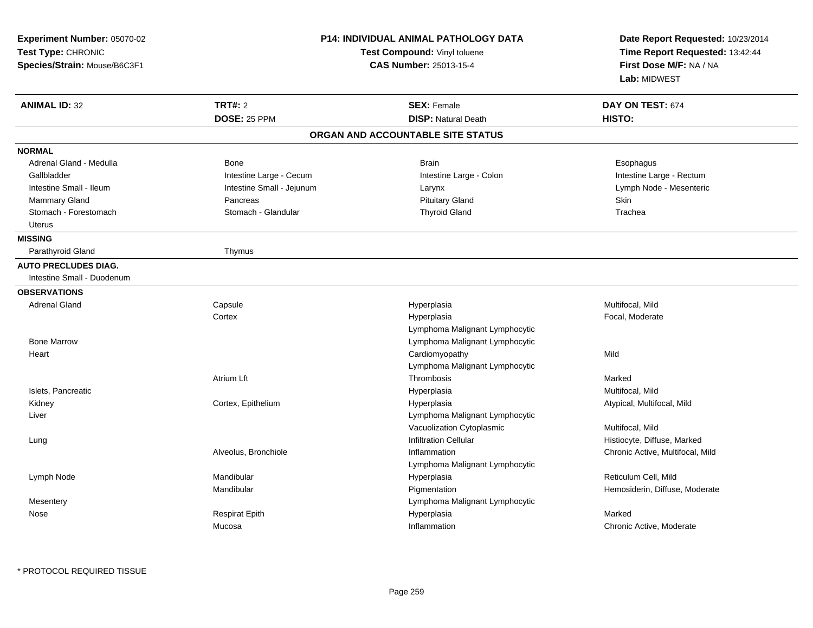| <b>Experiment Number: 05070-02</b><br>Test Type: CHRONIC<br>Species/Strain: Mouse/B6C3F1 |                           | <b>P14: INDIVIDUAL ANIMAL PATHOLOGY DATA</b><br>Test Compound: Vinyl toluene<br><b>CAS Number: 25013-15-4</b> | Date Report Requested: 10/23/2014<br>Time Report Requested: 13:42:44<br>First Dose M/F: NA / NA<br>Lab: MIDWEST |
|------------------------------------------------------------------------------------------|---------------------------|---------------------------------------------------------------------------------------------------------------|-----------------------------------------------------------------------------------------------------------------|
| <b>ANIMAL ID: 32</b>                                                                     | <b>TRT#: 2</b>            | <b>SEX: Female</b>                                                                                            | DAY ON TEST: 674                                                                                                |
|                                                                                          | DOSE: 25 PPM              | <b>DISP: Natural Death</b>                                                                                    | HISTO:                                                                                                          |
|                                                                                          |                           | ORGAN AND ACCOUNTABLE SITE STATUS                                                                             |                                                                                                                 |
| <b>NORMAL</b>                                                                            |                           |                                                                                                               |                                                                                                                 |
| Adrenal Gland - Medulla                                                                  | Bone                      | <b>Brain</b>                                                                                                  | Esophagus                                                                                                       |
| Gallbladder                                                                              | Intestine Large - Cecum   | Intestine Large - Colon                                                                                       | Intestine Large - Rectum                                                                                        |
| Intestine Small - Ileum                                                                  | Intestine Small - Jejunum | Larynx                                                                                                        | Lymph Node - Mesenteric                                                                                         |
| Mammary Gland                                                                            | Pancreas                  | <b>Pituitary Gland</b>                                                                                        | Skin                                                                                                            |
| Stomach - Forestomach                                                                    | Stomach - Glandular       | <b>Thyroid Gland</b>                                                                                          | Trachea                                                                                                         |
| <b>Uterus</b>                                                                            |                           |                                                                                                               |                                                                                                                 |
| <b>MISSING</b>                                                                           |                           |                                                                                                               |                                                                                                                 |
| Parathyroid Gland                                                                        | Thymus                    |                                                                                                               |                                                                                                                 |
| <b>AUTO PRECLUDES DIAG.</b><br>Intestine Small - Duodenum                                |                           |                                                                                                               |                                                                                                                 |
| <b>OBSERVATIONS</b>                                                                      |                           |                                                                                                               |                                                                                                                 |
| <b>Adrenal Gland</b>                                                                     | Capsule                   | Hyperplasia                                                                                                   | Multifocal, Mild                                                                                                |
|                                                                                          | Cortex                    | Hyperplasia                                                                                                   | Focal, Moderate                                                                                                 |
|                                                                                          |                           | Lymphoma Malignant Lymphocytic                                                                                |                                                                                                                 |
| <b>Bone Marrow</b>                                                                       |                           | Lymphoma Malignant Lymphocytic                                                                                |                                                                                                                 |
| Heart                                                                                    |                           | Cardiomyopathy                                                                                                | Mild                                                                                                            |
|                                                                                          |                           | Lymphoma Malignant Lymphocytic                                                                                |                                                                                                                 |
|                                                                                          | Atrium Lft                | Thrombosis                                                                                                    | Marked                                                                                                          |
| Islets, Pancreatic                                                                       |                           | Hyperplasia                                                                                                   | Multifocal, Mild                                                                                                |
| Kidney                                                                                   | Cortex, Epithelium        | Hyperplasia                                                                                                   | Atypical, Multifocal, Mild                                                                                      |
| Liver                                                                                    |                           | Lymphoma Malignant Lymphocytic                                                                                |                                                                                                                 |
|                                                                                          |                           | Vacuolization Cytoplasmic                                                                                     | Multifocal, Mild                                                                                                |
| Lung                                                                                     |                           | <b>Infiltration Cellular</b>                                                                                  | Histiocyte, Diffuse, Marked                                                                                     |
|                                                                                          | Alveolus, Bronchiole      | Inflammation                                                                                                  | Chronic Active, Multifocal, Mild                                                                                |
|                                                                                          |                           | Lymphoma Malignant Lymphocytic                                                                                |                                                                                                                 |
| Lymph Node                                                                               | Mandibular                | Hyperplasia                                                                                                   | Reticulum Cell, Mild                                                                                            |
|                                                                                          | Mandibular                | Pigmentation                                                                                                  | Hemosiderin, Diffuse, Moderate                                                                                  |
| Mesentery                                                                                |                           | Lymphoma Malignant Lymphocytic                                                                                |                                                                                                                 |
| Nose                                                                                     | <b>Respirat Epith</b>     | Hyperplasia                                                                                                   | Marked                                                                                                          |
|                                                                                          | Mucosa                    | Inflammation                                                                                                  | Chronic Active, Moderate                                                                                        |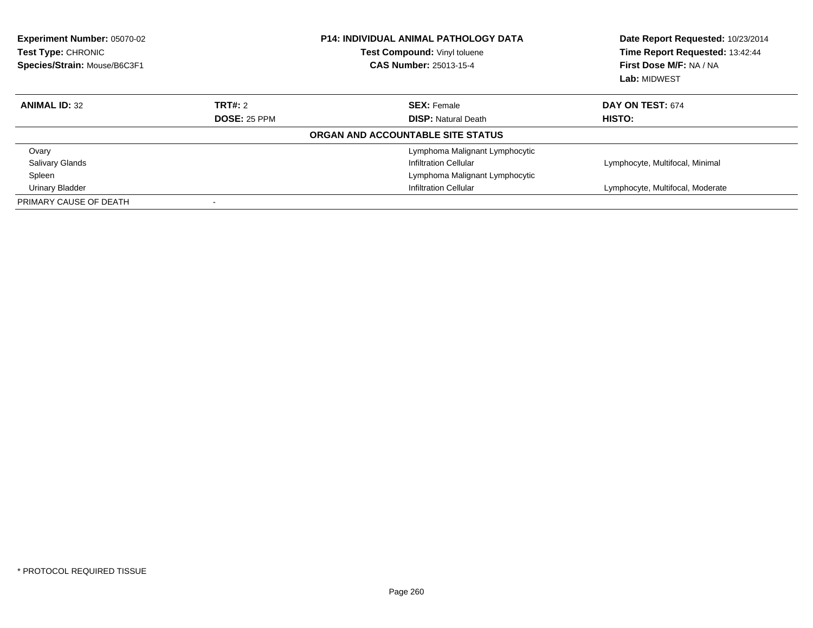| <b>Experiment Number: 05070-02</b><br>Test Type: CHRONIC<br>Species/Strain: Mouse/B6C3F1 |                     | <b>P14: INDIVIDUAL ANIMAL PATHOLOGY DATA</b><br>Test Compound: Vinyl toluene<br><b>CAS Number: 25013-15-4</b> | Date Report Requested: 10/23/2014<br>Time Report Requested: 13:42:44<br>First Dose M/F: NA / NA<br>Lab: MIDWEST |
|------------------------------------------------------------------------------------------|---------------------|---------------------------------------------------------------------------------------------------------------|-----------------------------------------------------------------------------------------------------------------|
| <b>ANIMAL ID: 32</b>                                                                     | TRT#: 2             | <b>SEX: Female</b>                                                                                            | DAY ON TEST: 674                                                                                                |
|                                                                                          | <b>DOSE: 25 PPM</b> | <b>DISP: Natural Death</b>                                                                                    | <b>HISTO:</b>                                                                                                   |
|                                                                                          |                     | ORGAN AND ACCOUNTABLE SITE STATUS                                                                             |                                                                                                                 |
| Ovary                                                                                    |                     | Lymphoma Malignant Lymphocytic                                                                                |                                                                                                                 |
| <b>Salivary Glands</b>                                                                   |                     | <b>Infiltration Cellular</b>                                                                                  | Lymphocyte, Multifocal, Minimal                                                                                 |
| Spleen                                                                                   |                     | Lymphoma Malignant Lymphocytic                                                                                |                                                                                                                 |
| Urinary Bladder                                                                          |                     | <b>Infiltration Cellular</b>                                                                                  | Lymphocyte, Multifocal, Moderate                                                                                |
| PRIMARY CAUSE OF DEATH                                                                   |                     |                                                                                                               |                                                                                                                 |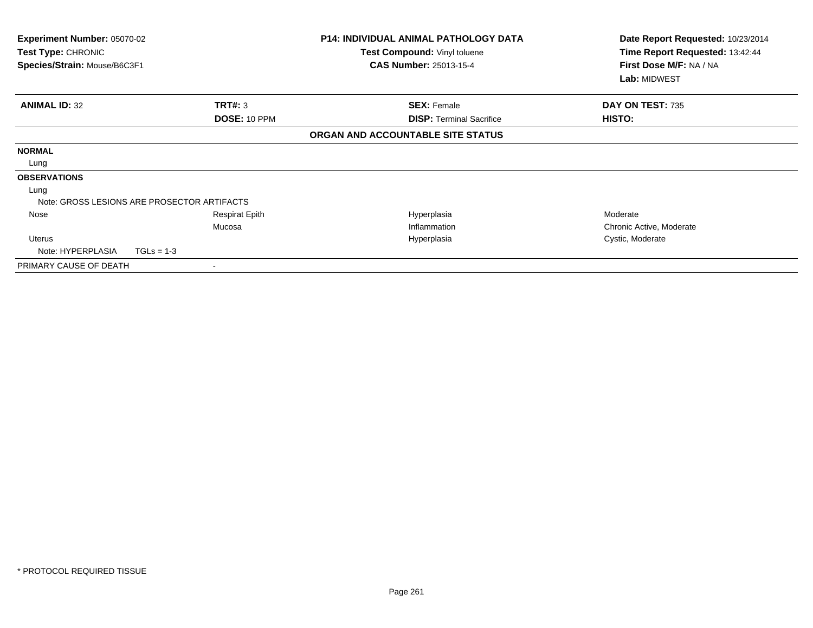| <b>Experiment Number: 05070-02</b><br>Test Type: CHRONIC<br>Species/Strain: Mouse/B6C3F1 |                                             | <b>P14: INDIVIDUAL ANIMAL PATHOLOGY DATA</b><br>Test Compound: Vinyl toluene<br><b>CAS Number: 25013-15-4</b> | Date Report Requested: 10/23/2014<br>Time Report Requested: 13:42:44<br>First Dose M/F: NA / NA<br>Lab: MIDWEST |
|------------------------------------------------------------------------------------------|---------------------------------------------|---------------------------------------------------------------------------------------------------------------|-----------------------------------------------------------------------------------------------------------------|
| <b>ANIMAL ID: 32</b>                                                                     | TRT#: 3                                     | <b>SEX: Female</b>                                                                                            | DAY ON TEST: 735                                                                                                |
|                                                                                          | DOSE: 10 PPM                                | <b>DISP:</b> Terminal Sacrifice                                                                               | <b>HISTO:</b>                                                                                                   |
|                                                                                          |                                             | ORGAN AND ACCOUNTABLE SITE STATUS                                                                             |                                                                                                                 |
| <b>NORMAL</b>                                                                            |                                             |                                                                                                               |                                                                                                                 |
| Lung                                                                                     |                                             |                                                                                                               |                                                                                                                 |
| <b>OBSERVATIONS</b>                                                                      |                                             |                                                                                                               |                                                                                                                 |
| Lung                                                                                     |                                             |                                                                                                               |                                                                                                                 |
|                                                                                          | Note: GROSS LESIONS ARE PROSECTOR ARTIFACTS |                                                                                                               |                                                                                                                 |
| Nose                                                                                     | <b>Respirat Epith</b>                       | Hyperplasia                                                                                                   | Moderate                                                                                                        |
|                                                                                          | Mucosa                                      | Inflammation                                                                                                  | Chronic Active, Moderate                                                                                        |
| <b>Uterus</b>                                                                            |                                             | Hyperplasia                                                                                                   | Cystic, Moderate                                                                                                |
| Note: HYPERPLASIA                                                                        | $TGLs = 1-3$                                |                                                                                                               |                                                                                                                 |
| PRIMARY CAUSE OF DEATH                                                                   |                                             |                                                                                                               |                                                                                                                 |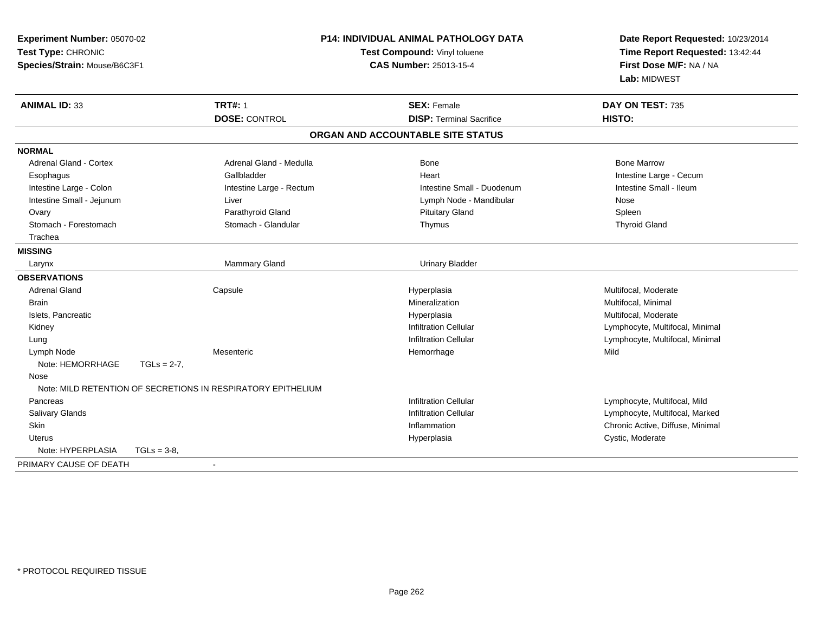| Experiment Number: 05070-02<br>Test Type: CHRONIC<br>Species/Strain: Mouse/B6C3F1 |                                                              |                          | <b>P14: INDIVIDUAL ANIMAL PATHOLOGY DATA</b><br>Test Compound: Vinyl toluene<br>CAS Number: 25013-15-4 | Date Report Requested: 10/23/2014<br>Time Report Requested: 13:42:44<br>First Dose M/F: NA / NA<br>Lab: MIDWEST |
|-----------------------------------------------------------------------------------|--------------------------------------------------------------|--------------------------|--------------------------------------------------------------------------------------------------------|-----------------------------------------------------------------------------------------------------------------|
| <b>ANIMAL ID: 33</b>                                                              | <b>TRT#: 1</b>                                               |                          | <b>SEX: Female</b>                                                                                     | DAY ON TEST: 735                                                                                                |
|                                                                                   | <b>DOSE: CONTROL</b>                                         |                          | <b>DISP: Terminal Sacrifice</b>                                                                        | HISTO:                                                                                                          |
|                                                                                   |                                                              |                          | ORGAN AND ACCOUNTABLE SITE STATUS                                                                      |                                                                                                                 |
| <b>NORMAL</b>                                                                     |                                                              |                          |                                                                                                        |                                                                                                                 |
| <b>Adrenal Gland - Cortex</b>                                                     |                                                              | Adrenal Gland - Medulla  | Bone                                                                                                   | <b>Bone Marrow</b>                                                                                              |
| Esophagus                                                                         | Gallbladder                                                  |                          | Heart                                                                                                  | Intestine Large - Cecum                                                                                         |
| Intestine Large - Colon                                                           |                                                              | Intestine Large - Rectum | Intestine Small - Duodenum                                                                             | Intestine Small - Ileum                                                                                         |
| Intestine Small - Jejunum                                                         | Liver                                                        |                          | Lymph Node - Mandibular                                                                                | Nose                                                                                                            |
| Ovary                                                                             | Parathyroid Gland                                            |                          | <b>Pituitary Gland</b>                                                                                 | Spleen                                                                                                          |
| Stomach - Forestomach                                                             | Stomach - Glandular                                          |                          | Thymus                                                                                                 | <b>Thyroid Gland</b>                                                                                            |
| Trachea                                                                           |                                                              |                          |                                                                                                        |                                                                                                                 |
| <b>MISSING</b>                                                                    |                                                              |                          |                                                                                                        |                                                                                                                 |
| Larynx                                                                            | Mammary Gland                                                |                          | <b>Urinary Bladder</b>                                                                                 |                                                                                                                 |
| <b>OBSERVATIONS</b>                                                               |                                                              |                          |                                                                                                        |                                                                                                                 |
| <b>Adrenal Gland</b>                                                              | Capsule                                                      |                          | Hyperplasia                                                                                            | Multifocal, Moderate                                                                                            |
| <b>Brain</b>                                                                      |                                                              |                          | Mineralization                                                                                         | Multifocal, Minimal                                                                                             |
| Islets, Pancreatic                                                                |                                                              |                          | Hyperplasia                                                                                            | Multifocal, Moderate                                                                                            |
| Kidney                                                                            |                                                              |                          | <b>Infiltration Cellular</b>                                                                           | Lymphocyte, Multifocal, Minimal                                                                                 |
| Lung                                                                              |                                                              |                          | <b>Infiltration Cellular</b>                                                                           | Lymphocyte, Multifocal, Minimal                                                                                 |
| Lymph Node                                                                        | Mesenteric                                                   |                          | Hemorrhage                                                                                             | Mild                                                                                                            |
| Note: HEMORRHAGE                                                                  | $TGLs = 2-7$ ,                                               |                          |                                                                                                        |                                                                                                                 |
| Nose                                                                              |                                                              |                          |                                                                                                        |                                                                                                                 |
|                                                                                   | Note: MILD RETENTION OF SECRETIONS IN RESPIRATORY EPITHELIUM |                          |                                                                                                        |                                                                                                                 |
| Pancreas                                                                          |                                                              |                          | <b>Infiltration Cellular</b>                                                                           | Lymphocyte, Multifocal, Mild                                                                                    |
| Salivary Glands                                                                   |                                                              |                          | <b>Infiltration Cellular</b>                                                                           | Lymphocyte, Multifocal, Marked                                                                                  |
| Skin                                                                              |                                                              |                          | Inflammation                                                                                           | Chronic Active, Diffuse, Minimal                                                                                |
| Uterus                                                                            |                                                              |                          | Hyperplasia                                                                                            | Cystic, Moderate                                                                                                |
| Note: HYPERPLASIA                                                                 | $TGLs = 3-8$                                                 |                          |                                                                                                        |                                                                                                                 |
| PRIMARY CAUSE OF DEATH                                                            |                                                              |                          |                                                                                                        |                                                                                                                 |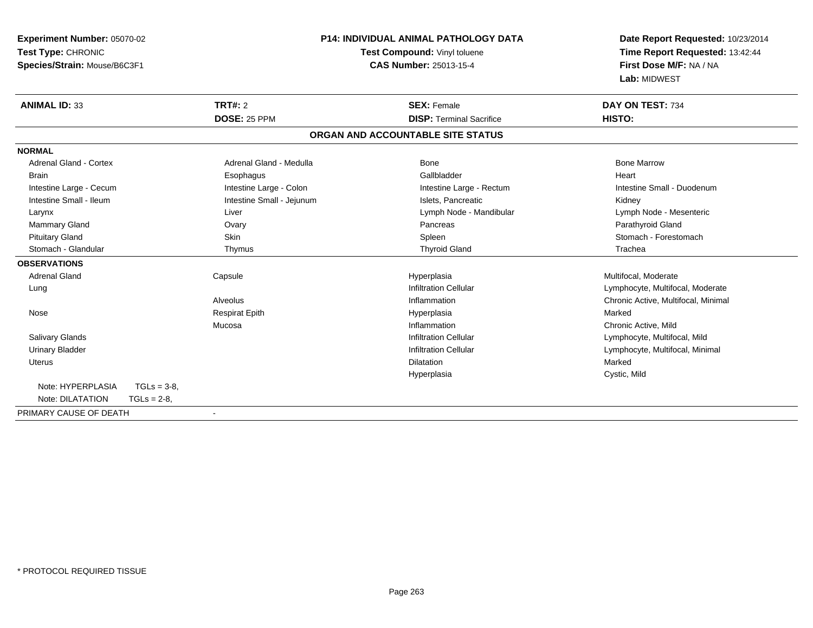| <b>Experiment Number: 05070-02</b> |                |                           | <b>P14: INDIVIDUAL ANIMAL PATHOLOGY DATA</b> | Date Report Requested: 10/23/2014   |  |
|------------------------------------|----------------|---------------------------|----------------------------------------------|-------------------------------------|--|
| Test Type: CHRONIC                 |                |                           | Test Compound: Vinyl toluene                 | Time Report Requested: 13:42:44     |  |
| Species/Strain: Mouse/B6C3F1       |                |                           | <b>CAS Number: 25013-15-4</b>                | First Dose M/F: NA / NA             |  |
|                                    |                |                           |                                              | Lab: MIDWEST                        |  |
| <b>ANIMAL ID: 33</b>               |                | TRT#: 2                   | <b>SEX: Female</b>                           | DAY ON TEST: 734                    |  |
|                                    |                | <b>DOSE: 25 PPM</b>       | <b>DISP: Terminal Sacrifice</b>              | HISTO:                              |  |
|                                    |                |                           | ORGAN AND ACCOUNTABLE SITE STATUS            |                                     |  |
| <b>NORMAL</b>                      |                |                           |                                              |                                     |  |
| <b>Adrenal Gland - Cortex</b>      |                | Adrenal Gland - Medulla   | Bone                                         | <b>Bone Marrow</b>                  |  |
| <b>Brain</b>                       |                | Esophagus                 | Gallbladder                                  | Heart                               |  |
| Intestine Large - Cecum            |                | Intestine Large - Colon   | Intestine Large - Rectum                     | Intestine Small - Duodenum          |  |
| Intestine Small - Ileum            |                | Intestine Small - Jejunum | Islets, Pancreatic                           | Kidney                              |  |
| Larynx                             |                | Liver                     | Lymph Node - Mandibular                      | Lymph Node - Mesenteric             |  |
| Mammary Gland                      |                | Ovary                     | Pancreas                                     | Parathyroid Gland                   |  |
| <b>Pituitary Gland</b>             |                | Skin                      | Spleen                                       | Stomach - Forestomach               |  |
| Stomach - Glandular                |                | Thymus                    | <b>Thyroid Gland</b>                         | Trachea                             |  |
| <b>OBSERVATIONS</b>                |                |                           |                                              |                                     |  |
| <b>Adrenal Gland</b>               |                | Capsule                   | Hyperplasia                                  | Multifocal, Moderate                |  |
| Lung                               |                |                           | <b>Infiltration Cellular</b>                 | Lymphocyte, Multifocal, Moderate    |  |
|                                    |                | Alveolus                  | Inflammation                                 | Chronic Active, Multifocal, Minimal |  |
| Nose                               |                | <b>Respirat Epith</b>     | Hyperplasia                                  | Marked                              |  |
|                                    |                | Mucosa                    | Inflammation                                 | Chronic Active, Mild                |  |
| Salivary Glands                    |                |                           | <b>Infiltration Cellular</b>                 | Lymphocyte, Multifocal, Mild        |  |
| <b>Urinary Bladder</b>             |                |                           | <b>Infiltration Cellular</b>                 | Lymphocyte, Multifocal, Minimal     |  |
| Uterus                             |                |                           | <b>Dilatation</b>                            | Marked                              |  |
|                                    |                |                           | Hyperplasia                                  | Cystic, Mild                        |  |
| Note: HYPERPLASIA                  | $TGLs = 3-8$   |                           |                                              |                                     |  |
| Note: DILATATION                   | $TGLs = 2-8$ , |                           |                                              |                                     |  |
| PRIMARY CAUSE OF DEATH             |                | $\overline{\phantom{a}}$  |                                              |                                     |  |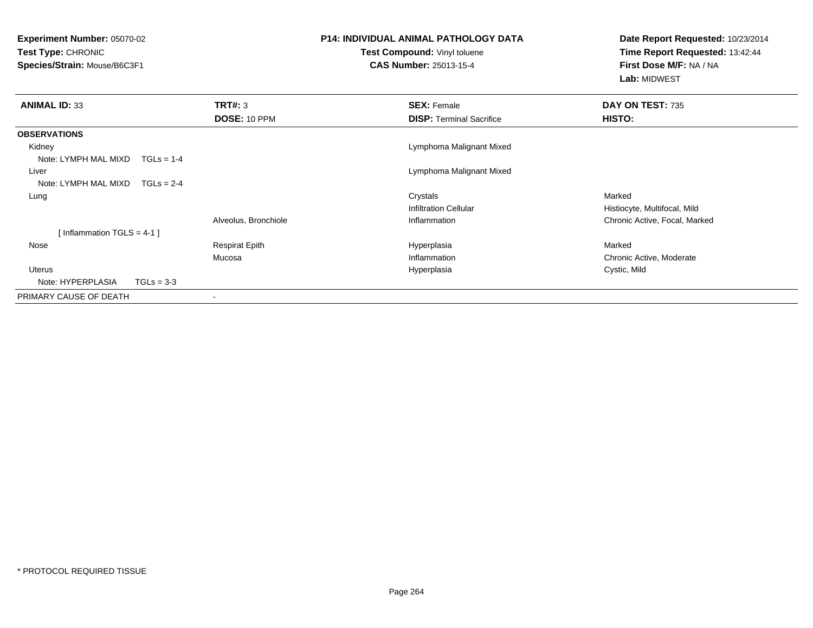**Experiment Number:** 05070-02**Test Type:** CHRONIC**Species/Strain:** Mouse/B6C3F1

## **P14: INDIVIDUAL ANIMAL PATHOLOGY DATA**

**Test Compound:** Vinyl toluene**CAS Number:** 25013-15-4

**Date Report Requested:** 10/23/2014**Time Report Requested:** 13:42:44**First Dose M/F:** NA / NA**Lab:** MIDWEST

| <b>ANIMAL ID: 33</b>      | TRT#: 3               | <b>SEX: Female</b>              | DAY ON TEST: 735              |
|---------------------------|-----------------------|---------------------------------|-------------------------------|
|                           | <b>DOSE: 10 PPM</b>   | <b>DISP:</b> Terminal Sacrifice | HISTO:                        |
| <b>OBSERVATIONS</b>       |                       |                                 |                               |
| Kidney                    |                       | Lymphoma Malignant Mixed        |                               |
| Note: LYMPH MAL MIXD      | $TGLs = 1-4$          |                                 |                               |
| Liver                     |                       | Lymphoma Malignant Mixed        |                               |
| Note: LYMPH MAL MIXD      | $TGLs = 2-4$          |                                 |                               |
| Lung                      |                       | Crystals                        | Marked                        |
|                           |                       | <b>Infiltration Cellular</b>    | Histiocyte, Multifocal, Mild  |
|                           | Alveolus, Bronchiole  | Inflammation                    | Chronic Active, Focal, Marked |
| [Inflammation TGLS = 4-1] |                       |                                 |                               |
| Nose                      | <b>Respirat Epith</b> | Hyperplasia                     | Marked                        |
|                           | Mucosa                | Inflammation                    | Chronic Active, Moderate      |
| <b>Uterus</b>             |                       | Hyperplasia                     | Cystic, Mild                  |
| Note: HYPERPLASIA         | $TGLs = 3-3$          |                                 |                               |
| PRIMARY CAUSE OF DEATH    |                       |                                 |                               |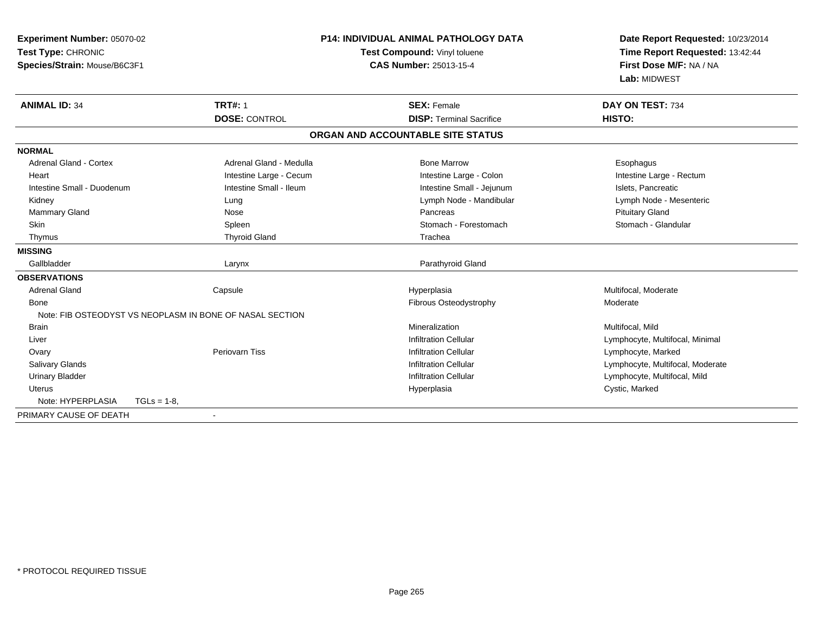| <b>Experiment Number: 05070-02</b><br>Test Type: CHRONIC<br>Species/Strain: Mouse/B6C3F1 |                                                          | <b>P14: INDIVIDUAL ANIMAL PATHOLOGY DATA</b><br>Test Compound: Vinyl toluene<br><b>CAS Number: 25013-15-4</b> |                                   | Date Report Requested: 10/23/2014<br>Time Report Requested: 13:42:44<br>First Dose M/F: NA / NA<br>Lab: MIDWEST |  |
|------------------------------------------------------------------------------------------|----------------------------------------------------------|---------------------------------------------------------------------------------------------------------------|-----------------------------------|-----------------------------------------------------------------------------------------------------------------|--|
| <b>ANIMAL ID: 34</b>                                                                     | <b>TRT#: 1</b>                                           |                                                                                                               | <b>SEX: Female</b>                | DAY ON TEST: 734                                                                                                |  |
|                                                                                          | <b>DOSE: CONTROL</b>                                     |                                                                                                               | <b>DISP: Terminal Sacrifice</b>   | HISTO:                                                                                                          |  |
|                                                                                          |                                                          |                                                                                                               | ORGAN AND ACCOUNTABLE SITE STATUS |                                                                                                                 |  |
| <b>NORMAL</b>                                                                            |                                                          |                                                                                                               |                                   |                                                                                                                 |  |
| <b>Adrenal Gland - Cortex</b>                                                            | Adrenal Gland - Medulla                                  |                                                                                                               | <b>Bone Marrow</b>                | Esophagus                                                                                                       |  |
| Heart                                                                                    | Intestine Large - Cecum                                  |                                                                                                               | Intestine Large - Colon           | Intestine Large - Rectum                                                                                        |  |
| Intestine Small - Duodenum                                                               | Intestine Small - Ileum                                  |                                                                                                               | Intestine Small - Jejunum         | Islets, Pancreatic                                                                                              |  |
| Kidney                                                                                   | Lung                                                     |                                                                                                               | Lymph Node - Mandibular           | Lymph Node - Mesenteric                                                                                         |  |
| Mammary Gland                                                                            | Nose                                                     |                                                                                                               | Pancreas                          | <b>Pituitary Gland</b>                                                                                          |  |
| Skin                                                                                     | Spleen                                                   |                                                                                                               | Stomach - Forestomach             | Stomach - Glandular                                                                                             |  |
| Thymus                                                                                   | <b>Thyroid Gland</b>                                     |                                                                                                               | Trachea                           |                                                                                                                 |  |
| <b>MISSING</b>                                                                           |                                                          |                                                                                                               |                                   |                                                                                                                 |  |
| Gallbladder                                                                              | Larynx                                                   |                                                                                                               | Parathyroid Gland                 |                                                                                                                 |  |
| <b>OBSERVATIONS</b>                                                                      |                                                          |                                                                                                               |                                   |                                                                                                                 |  |
| <b>Adrenal Gland</b>                                                                     | Capsule                                                  |                                                                                                               | Hyperplasia                       | Multifocal, Moderate                                                                                            |  |
| Bone                                                                                     |                                                          |                                                                                                               | Fibrous Osteodystrophy            | Moderate                                                                                                        |  |
|                                                                                          | Note: FIB OSTEODYST VS NEOPLASM IN BONE OF NASAL SECTION |                                                                                                               |                                   |                                                                                                                 |  |
| <b>Brain</b>                                                                             |                                                          |                                                                                                               | Mineralization                    | Multifocal, Mild                                                                                                |  |
| Liver                                                                                    |                                                          |                                                                                                               | <b>Infiltration Cellular</b>      | Lymphocyte, Multifocal, Minimal                                                                                 |  |
| Ovary                                                                                    | Periovarn Tiss                                           |                                                                                                               | <b>Infiltration Cellular</b>      | Lymphocyte, Marked                                                                                              |  |
| <b>Salivary Glands</b>                                                                   |                                                          |                                                                                                               | <b>Infiltration Cellular</b>      | Lymphocyte, Multifocal, Moderate                                                                                |  |
| <b>Urinary Bladder</b>                                                                   |                                                          |                                                                                                               | <b>Infiltration Cellular</b>      | Lymphocyte, Multifocal, Mild                                                                                    |  |
| <b>Uterus</b>                                                                            |                                                          |                                                                                                               | Hyperplasia                       | Cystic, Marked                                                                                                  |  |
| Note: HYPERPLASIA                                                                        | $TGLs = 1-8$                                             |                                                                                                               |                                   |                                                                                                                 |  |
| PRIMARY CAUSE OF DEATH                                                                   | $\overline{\phantom{a}}$                                 |                                                                                                               |                                   |                                                                                                                 |  |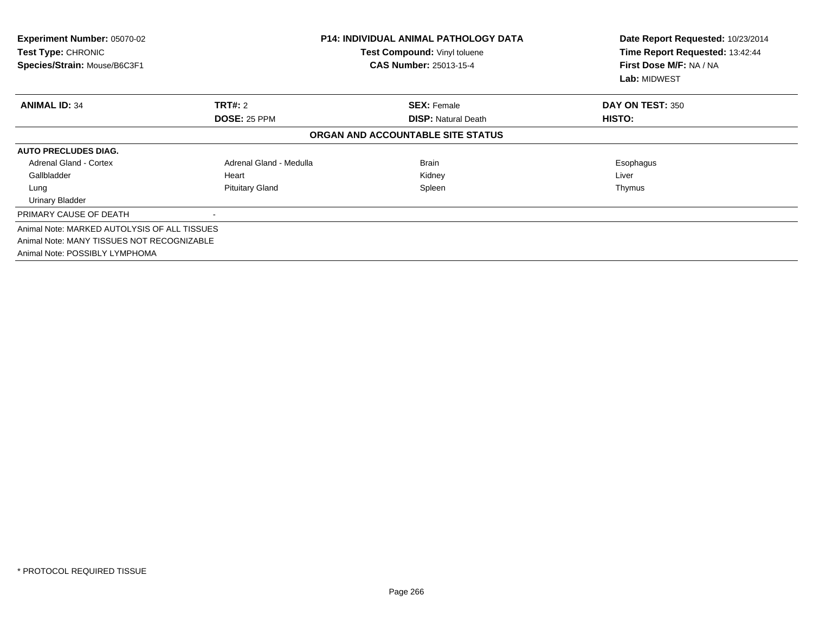| <b>Experiment Number: 05070-02</b><br>Test Type: CHRONIC<br>Species/Strain: Mouse/B6C3F1 |                          | <b>P14: INDIVIDUAL ANIMAL PATHOLOGY DATA</b><br>Test Compound: Vinyl toluene<br><b>CAS Number: 25013-15-4</b> | Date Report Requested: 10/23/2014<br>Time Report Requested: 13:42:44<br>First Dose M/F: NA / NA<br>Lab: MIDWEST |
|------------------------------------------------------------------------------------------|--------------------------|---------------------------------------------------------------------------------------------------------------|-----------------------------------------------------------------------------------------------------------------|
| <b>ANIMAL ID: 34</b>                                                                     | TRT#: 2                  | <b>SEX: Female</b>                                                                                            | DAY ON TEST: 350                                                                                                |
|                                                                                          | DOSE: 25 PPM             | <b>DISP: Natural Death</b>                                                                                    | HISTO:                                                                                                          |
|                                                                                          |                          | ORGAN AND ACCOUNTABLE SITE STATUS                                                                             |                                                                                                                 |
| <b>AUTO PRECLUDES DIAG.</b>                                                              |                          |                                                                                                               |                                                                                                                 |
| <b>Adrenal Gland - Cortex</b>                                                            | Adrenal Gland - Medulla  | <b>Brain</b>                                                                                                  | Esophagus                                                                                                       |
| Gallbladder                                                                              | Heart                    | Kidney                                                                                                        | Liver                                                                                                           |
| Lung                                                                                     | <b>Pituitary Gland</b>   | Spleen                                                                                                        | Thymus                                                                                                          |
| <b>Urinary Bladder</b>                                                                   |                          |                                                                                                               |                                                                                                                 |
| PRIMARY CAUSE OF DEATH                                                                   | $\overline{\phantom{a}}$ |                                                                                                               |                                                                                                                 |
| Animal Note: MARKED AUTOLYSIS OF ALL TISSUES                                             |                          |                                                                                                               |                                                                                                                 |
| Animal Note: MANY TISSUES NOT RECOGNIZABLE                                               |                          |                                                                                                               |                                                                                                                 |
| Animal Note: POSSIBLY LYMPHOMA                                                           |                          |                                                                                                               |                                                                                                                 |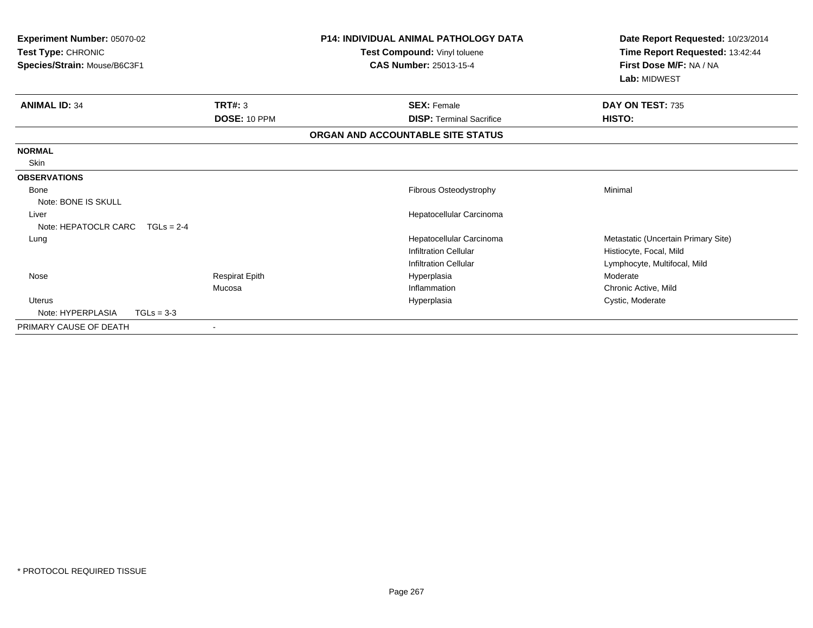| Experiment Number: 05070-02          |                       | <b>P14: INDIVIDUAL ANIMAL PATHOLOGY DATA</b> | Date Report Requested: 10/23/2014   |
|--------------------------------------|-----------------------|----------------------------------------------|-------------------------------------|
| Test Type: CHRONIC                   |                       | Test Compound: Vinyl toluene                 | Time Report Requested: 13:42:44     |
| Species/Strain: Mouse/B6C3F1         |                       | <b>CAS Number: 25013-15-4</b>                | First Dose M/F: NA / NA             |
|                                      |                       |                                              | Lab: MIDWEST                        |
| <b>ANIMAL ID: 34</b>                 | TRT#: 3               | <b>SEX: Female</b>                           | DAY ON TEST: 735                    |
|                                      | DOSE: 10 PPM          | <b>DISP: Terminal Sacrifice</b>              | HISTO:                              |
|                                      |                       | ORGAN AND ACCOUNTABLE SITE STATUS            |                                     |
| <b>NORMAL</b>                        |                       |                                              |                                     |
| <b>Skin</b>                          |                       |                                              |                                     |
| <b>OBSERVATIONS</b>                  |                       |                                              |                                     |
| Bone                                 |                       | Fibrous Osteodystrophy                       | Minimal                             |
| Note: BONE IS SKULL                  |                       |                                              |                                     |
| Liver                                |                       | Hepatocellular Carcinoma                     |                                     |
| Note: HEPATOCLR CARC<br>$TGLs = 2-4$ |                       |                                              |                                     |
| Lung                                 |                       | Hepatocellular Carcinoma                     | Metastatic (Uncertain Primary Site) |
|                                      |                       | <b>Infiltration Cellular</b>                 | Histiocyte, Focal, Mild             |
|                                      |                       | <b>Infiltration Cellular</b>                 | Lymphocyte, Multifocal, Mild        |
| Nose                                 | <b>Respirat Epith</b> | Hyperplasia                                  | Moderate                            |
|                                      | Mucosa                | Inflammation                                 | Chronic Active, Mild                |
| Uterus                               |                       | Hyperplasia                                  | Cystic, Moderate                    |
| Note: HYPERPLASIA<br>$TGLs = 3-3$    |                       |                                              |                                     |
| PRIMARY CAUSE OF DEATH               |                       |                                              |                                     |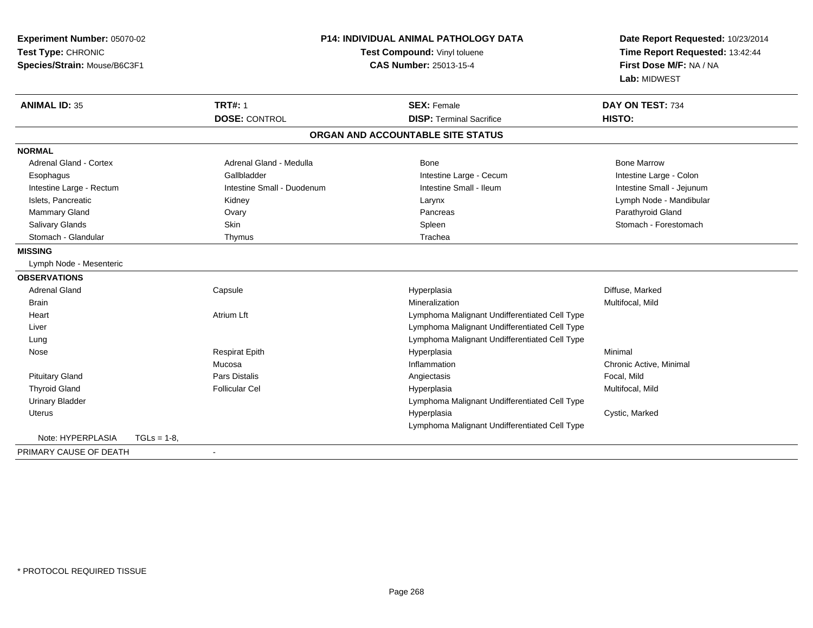| Experiment Number: 05070-02<br>Test Type: CHRONIC<br>Species/Strain: Mouse/B6C3F1 | <b>P14: INDIVIDUAL ANIMAL PATHOLOGY DATA</b><br>Test Compound: Vinyl toluene | Date Report Requested: 10/23/2014<br>Time Report Requested: 13:42:44<br>First Dose M/F: NA / NA<br>Lab: MIDWEST |                            |
|-----------------------------------------------------------------------------------|------------------------------------------------------------------------------|-----------------------------------------------------------------------------------------------------------------|----------------------------|
| <b>ANIMAL ID: 35</b>                                                              | <b>TRT#: 1</b><br><b>DOSE: CONTROL</b>                                       | <b>SEX: Female</b><br><b>DISP: Terminal Sacrifice</b>                                                           | DAY ON TEST: 734<br>HISTO: |
|                                                                                   |                                                                              | ORGAN AND ACCOUNTABLE SITE STATUS                                                                               |                            |
| <b>NORMAL</b>                                                                     |                                                                              |                                                                                                                 |                            |
| <b>Adrenal Gland - Cortex</b>                                                     | Adrenal Gland - Medulla                                                      | Bone                                                                                                            | <b>Bone Marrow</b>         |
| Esophagus                                                                         | Gallbladder                                                                  | Intestine Large - Cecum                                                                                         | Intestine Large - Colon    |
| Intestine Large - Rectum                                                          | Intestine Small - Duodenum                                                   | Intestine Small - Ileum                                                                                         | Intestine Small - Jejunum  |
| Islets, Pancreatic                                                                | Kidney                                                                       | Larynx                                                                                                          | Lymph Node - Mandibular    |
| Mammary Gland                                                                     | Ovary                                                                        | Pancreas                                                                                                        | Parathyroid Gland          |
| Salivary Glands                                                                   | Skin                                                                         | Spleen                                                                                                          | Stomach - Forestomach      |
| Stomach - Glandular                                                               | Thymus                                                                       | Trachea                                                                                                         |                            |
| <b>MISSING</b>                                                                    |                                                                              |                                                                                                                 |                            |
| Lymph Node - Mesenteric                                                           |                                                                              |                                                                                                                 |                            |
| <b>OBSERVATIONS</b>                                                               |                                                                              |                                                                                                                 |                            |
| <b>Adrenal Gland</b>                                                              | Capsule                                                                      | Hyperplasia                                                                                                     | Diffuse, Marked            |
| Brain                                                                             |                                                                              | Mineralization                                                                                                  | Multifocal, Mild           |
| Heart                                                                             | <b>Atrium Lft</b>                                                            | Lymphoma Malignant Undifferentiated Cell Type                                                                   |                            |
| Liver                                                                             |                                                                              | Lymphoma Malignant Undifferentiated Cell Type                                                                   |                            |
| Lung                                                                              |                                                                              | Lymphoma Malignant Undifferentiated Cell Type                                                                   |                            |
| Nose                                                                              | <b>Respirat Epith</b>                                                        | Hyperplasia                                                                                                     | Minimal                    |
|                                                                                   | Mucosa                                                                       | Inflammation                                                                                                    | Chronic Active, Minimal    |
| <b>Pituitary Gland</b>                                                            | Pars Distalis                                                                | Angiectasis                                                                                                     | Focal, Mild                |
| <b>Thyroid Gland</b>                                                              | <b>Follicular Cel</b>                                                        | Hyperplasia                                                                                                     | Multifocal, Mild           |
| <b>Urinary Bladder</b>                                                            |                                                                              | Lymphoma Malignant Undifferentiated Cell Type                                                                   |                            |
| <b>Uterus</b>                                                                     |                                                                              | Hyperplasia                                                                                                     | Cystic, Marked             |
|                                                                                   |                                                                              | Lymphoma Malignant Undifferentiated Cell Type                                                                   |                            |
| Note: HYPERPLASIA<br>$TGLs = 1-8$                                                 |                                                                              |                                                                                                                 |                            |

-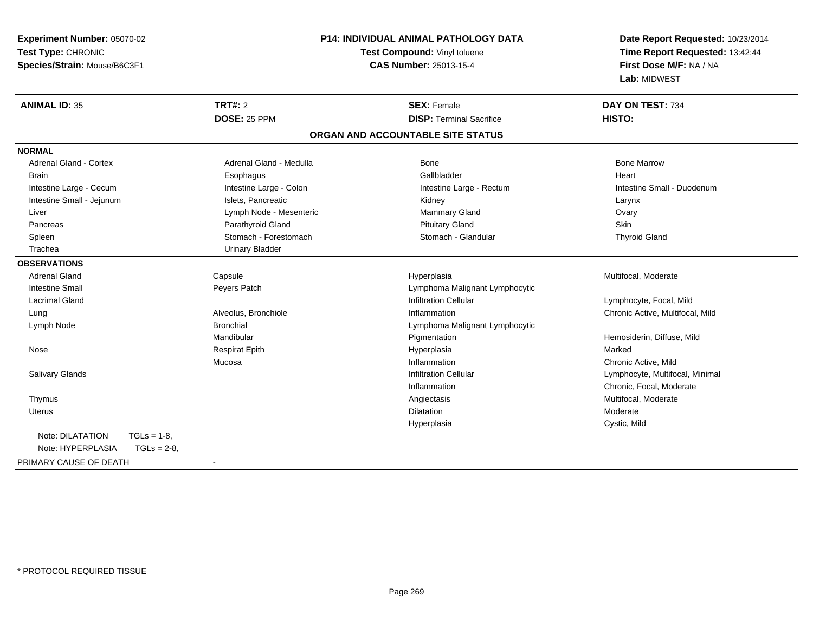| Experiment Number: 05070-02       |                         | <b>P14: INDIVIDUAL ANIMAL PATHOLOGY DATA</b> | Date Report Requested: 10/23/2014 |  |
|-----------------------------------|-------------------------|----------------------------------------------|-----------------------------------|--|
| Test Type: CHRONIC                |                         | Test Compound: Vinyl toluene                 | Time Report Requested: 13:42:44   |  |
| Species/Strain: Mouse/B6C3F1      |                         | <b>CAS Number: 25013-15-4</b>                | First Dose M/F: NA / NA           |  |
|                                   |                         |                                              | Lab: MIDWEST                      |  |
| <b>ANIMAL ID: 35</b>              | <b>TRT#: 2</b>          | <b>SEX: Female</b>                           | DAY ON TEST: 734                  |  |
|                                   | <b>DOSE: 25 PPM</b>     | <b>DISP: Terminal Sacrifice</b>              | HISTO:                            |  |
|                                   |                         | ORGAN AND ACCOUNTABLE SITE STATUS            |                                   |  |
| <b>NORMAL</b>                     |                         |                                              |                                   |  |
| <b>Adrenal Gland - Cortex</b>     | Adrenal Gland - Medulla | <b>Bone</b>                                  | <b>Bone Marrow</b>                |  |
| <b>Brain</b>                      | Esophagus               | Gallbladder                                  | Heart                             |  |
| Intestine Large - Cecum           | Intestine Large - Colon | Intestine Large - Rectum                     | Intestine Small - Duodenum        |  |
| Intestine Small - Jejunum         | Islets, Pancreatic      | Kidney                                       | Larynx                            |  |
| Liver                             | Lymph Node - Mesenteric | Mammary Gland                                | Ovary                             |  |
| Pancreas                          | Parathyroid Gland       | <b>Pituitary Gland</b>                       | <b>Skin</b>                       |  |
| Spleen                            | Stomach - Forestomach   | Stomach - Glandular                          | <b>Thyroid Gland</b>              |  |
| Trachea                           | <b>Urinary Bladder</b>  |                                              |                                   |  |
| <b>OBSERVATIONS</b>               |                         |                                              |                                   |  |
| <b>Adrenal Gland</b>              | Capsule                 | Hyperplasia                                  | Multifocal, Moderate              |  |
| <b>Intestine Small</b>            | Peyers Patch            | Lymphoma Malignant Lymphocytic               |                                   |  |
| <b>Lacrimal Gland</b>             |                         | <b>Infiltration Cellular</b>                 | Lymphocyte, Focal, Mild           |  |
| Lung                              | Alveolus, Bronchiole    | Inflammation                                 | Chronic Active, Multifocal, Mild  |  |
| Lymph Node                        | <b>Bronchial</b>        | Lymphoma Malignant Lymphocytic               |                                   |  |
|                                   | Mandibular              | Pigmentation                                 | Hemosiderin, Diffuse, Mild        |  |
| Nose                              | <b>Respirat Epith</b>   | Hyperplasia                                  | Marked                            |  |
|                                   | Mucosa                  | Inflammation                                 | Chronic Active, Mild              |  |
| <b>Salivary Glands</b>            |                         | <b>Infiltration Cellular</b>                 | Lymphocyte, Multifocal, Minimal   |  |
|                                   |                         | Inflammation                                 | Chronic, Focal, Moderate          |  |
| Thymus                            |                         | Angiectasis                                  | Multifocal, Moderate              |  |
| Uterus                            |                         | Dilatation                                   | Moderate                          |  |
|                                   |                         | Hyperplasia                                  | Cystic, Mild                      |  |
| Note: DILATATION<br>$TGLs = 1-8$  |                         |                                              |                                   |  |
| Note: HYPERPLASIA<br>$TGLs = 2-8$ |                         |                                              |                                   |  |
| PRIMARY CAUSE OF DEATH            | $\sim$                  |                                              |                                   |  |
|                                   |                         |                                              |                                   |  |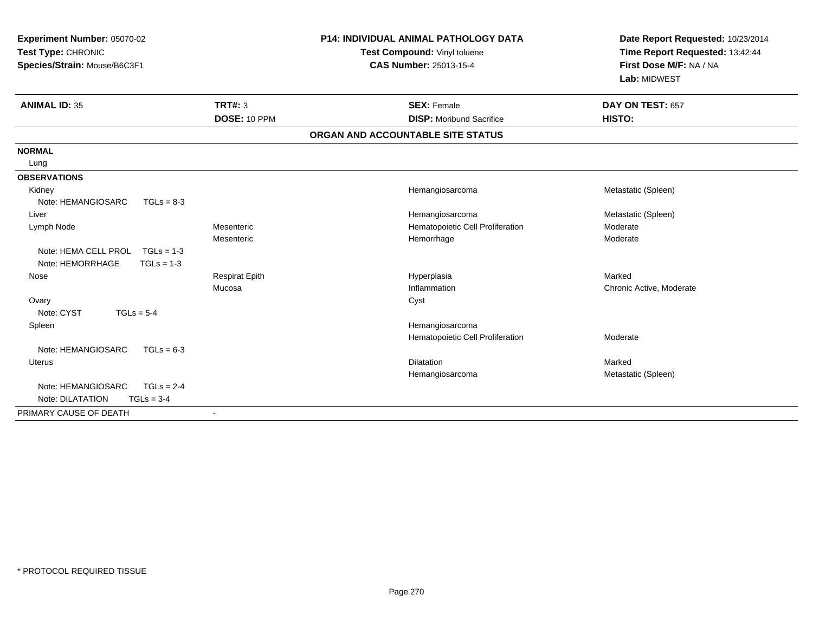| Experiment Number: 05070-02<br>Test Type: CHRONIC<br>Species/Strain: Mouse/B6C3F1 |                                | P14: INDIVIDUAL ANIMAL PATHOLOGY DATA<br>Test Compound: Vinyl toluene<br><b>CAS Number: 25013-15-4</b> | Date Report Requested: 10/23/2014<br>Time Report Requested: 13:42:44<br>First Dose M/F: NA / NA<br>Lab: MIDWEST |
|-----------------------------------------------------------------------------------|--------------------------------|--------------------------------------------------------------------------------------------------------|-----------------------------------------------------------------------------------------------------------------|
| <b>ANIMAL ID: 35</b>                                                              | <b>TRT#: 3</b><br>DOSE: 10 PPM | <b>SEX: Female</b><br><b>DISP:</b> Moribund Sacrifice                                                  | DAY ON TEST: 657<br>HISTO:                                                                                      |
|                                                                                   |                                | ORGAN AND ACCOUNTABLE SITE STATUS                                                                      |                                                                                                                 |
| <b>NORMAL</b><br>Lung                                                             |                                |                                                                                                        |                                                                                                                 |
| <b>OBSERVATIONS</b>                                                               |                                |                                                                                                        |                                                                                                                 |
| Kidney                                                                            |                                | Hemangiosarcoma                                                                                        | Metastatic (Spleen)                                                                                             |
| Note: HEMANGIOSARC<br>$TGLs = 8-3$                                                |                                |                                                                                                        |                                                                                                                 |
| Liver                                                                             |                                | Hemangiosarcoma                                                                                        | Metastatic (Spleen)                                                                                             |
| Lymph Node                                                                        | Mesenteric                     | Hematopoietic Cell Proliferation                                                                       | Moderate                                                                                                        |
|                                                                                   | Mesenteric                     | Hemorrhage                                                                                             | Moderate                                                                                                        |
| Note: HEMA CELL PROL<br>$TGLs = 1-3$                                              |                                |                                                                                                        |                                                                                                                 |
| Note: HEMORRHAGE<br>$TGLs = 1-3$                                                  |                                |                                                                                                        |                                                                                                                 |
| Nose                                                                              | <b>Respirat Epith</b>          | Hyperplasia                                                                                            | Marked                                                                                                          |
|                                                                                   | Mucosa                         | Inflammation                                                                                           | Chronic Active, Moderate                                                                                        |
| Ovary                                                                             |                                | Cyst                                                                                                   |                                                                                                                 |
| Note: CYST<br>$TGLs = 5-4$                                                        |                                |                                                                                                        |                                                                                                                 |
| Spleen                                                                            |                                | Hemangiosarcoma                                                                                        |                                                                                                                 |
|                                                                                   |                                | Hematopoietic Cell Proliferation                                                                       | Moderate                                                                                                        |
| Note: HEMANGIOSARC<br>$TGLs = 6-3$                                                |                                |                                                                                                        |                                                                                                                 |
| Uterus                                                                            |                                | <b>Dilatation</b>                                                                                      | Marked                                                                                                          |
|                                                                                   |                                | Hemangiosarcoma                                                                                        | Metastatic (Spleen)                                                                                             |
| Note: HEMANGIOSARC<br>$TGLs = 2-4$                                                |                                |                                                                                                        |                                                                                                                 |
| Note: DILATATION<br>$TGLs = 3-4$                                                  |                                |                                                                                                        |                                                                                                                 |
| PRIMARY CAUSE OF DEATH                                                            |                                |                                                                                                        |                                                                                                                 |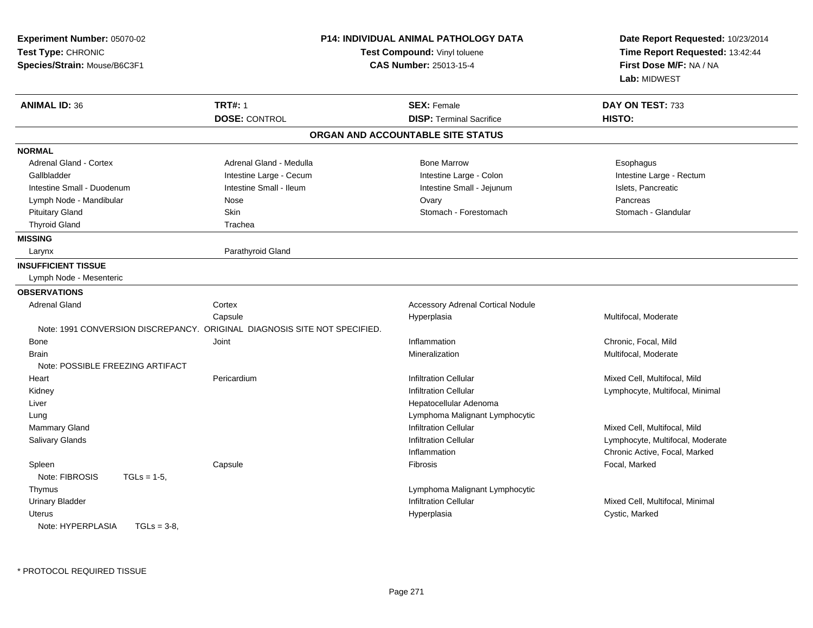| Experiment Number: 05070-02<br>Test Type: CHRONIC<br>Species/Strain: Mouse/B6C3F1 |                                                                           | <b>P14: INDIVIDUAL ANIMAL PATHOLOGY DATA</b><br>Test Compound: Vinyl toluene<br><b>CAS Number: 25013-15-4</b> | Date Report Requested: 10/23/2014<br>Time Report Requested: 13:42:44<br>First Dose M/F: NA / NA<br>Lab: MIDWEST |
|-----------------------------------------------------------------------------------|---------------------------------------------------------------------------|---------------------------------------------------------------------------------------------------------------|-----------------------------------------------------------------------------------------------------------------|
| <b>ANIMAL ID: 36</b>                                                              | <b>TRT#: 1</b>                                                            | <b>SEX: Female</b>                                                                                            | DAY ON TEST: 733                                                                                                |
|                                                                                   | <b>DOSE: CONTROL</b>                                                      | <b>DISP: Terminal Sacrifice</b>                                                                               | HISTO:                                                                                                          |
|                                                                                   |                                                                           | ORGAN AND ACCOUNTABLE SITE STATUS                                                                             |                                                                                                                 |
| <b>NORMAL</b>                                                                     |                                                                           |                                                                                                               |                                                                                                                 |
| Adrenal Gland - Cortex                                                            | Adrenal Gland - Medulla                                                   | <b>Bone Marrow</b>                                                                                            | Esophagus                                                                                                       |
| Gallbladder                                                                       | Intestine Large - Cecum                                                   | Intestine Large - Colon                                                                                       | Intestine Large - Rectum                                                                                        |
| Intestine Small - Duodenum                                                        | Intestine Small - Ileum                                                   | Intestine Small - Jejunum                                                                                     | Islets, Pancreatic                                                                                              |
| Lymph Node - Mandibular                                                           | Nose                                                                      | Ovary                                                                                                         | Pancreas                                                                                                        |
| <b>Pituitary Gland</b>                                                            | Skin                                                                      | Stomach - Forestomach                                                                                         | Stomach - Glandular                                                                                             |
| <b>Thyroid Gland</b>                                                              | Trachea                                                                   |                                                                                                               |                                                                                                                 |
| <b>MISSING</b>                                                                    |                                                                           |                                                                                                               |                                                                                                                 |
| Larynx                                                                            | Parathyroid Gland                                                         |                                                                                                               |                                                                                                                 |
| <b>INSUFFICIENT TISSUE</b>                                                        |                                                                           |                                                                                                               |                                                                                                                 |
| Lymph Node - Mesenteric                                                           |                                                                           |                                                                                                               |                                                                                                                 |
| <b>OBSERVATIONS</b>                                                               |                                                                           |                                                                                                               |                                                                                                                 |
| <b>Adrenal Gland</b>                                                              | Cortex                                                                    | <b>Accessory Adrenal Cortical Nodule</b>                                                                      |                                                                                                                 |
|                                                                                   | Capsule                                                                   | Hyperplasia                                                                                                   | Multifocal, Moderate                                                                                            |
|                                                                                   | Note: 1991 CONVERSION DISCREPANCY. ORIGINAL DIAGNOSIS SITE NOT SPECIFIED. |                                                                                                               |                                                                                                                 |
| Bone                                                                              | Joint                                                                     | Inflammation                                                                                                  | Chronic, Focal, Mild                                                                                            |
| Brain                                                                             |                                                                           | Mineralization                                                                                                | Multifocal, Moderate                                                                                            |
| Note: POSSIBLE FREEZING ARTIFACT                                                  |                                                                           |                                                                                                               |                                                                                                                 |
| Heart                                                                             | Pericardium                                                               | <b>Infiltration Cellular</b>                                                                                  | Mixed Cell, Multifocal, Mild                                                                                    |
| Kidney                                                                            |                                                                           | <b>Infiltration Cellular</b>                                                                                  | Lymphocyte, Multifocal, Minimal                                                                                 |
| Liver                                                                             |                                                                           | Hepatocellular Adenoma                                                                                        |                                                                                                                 |
| Lung                                                                              |                                                                           | Lymphoma Malignant Lymphocytic                                                                                |                                                                                                                 |
| Mammary Gland                                                                     |                                                                           | <b>Infiltration Cellular</b>                                                                                  | Mixed Cell, Multifocal, Mild                                                                                    |
| Salivary Glands                                                                   |                                                                           | <b>Infiltration Cellular</b>                                                                                  | Lymphocyte, Multifocal, Moderate                                                                                |
|                                                                                   |                                                                           | Inflammation                                                                                                  | Chronic Active, Focal, Marked                                                                                   |
| Spleen                                                                            | Capsule                                                                   | Fibrosis                                                                                                      | Focal, Marked                                                                                                   |
| Note: FIBROSIS<br>$TGLs = 1-5$                                                    |                                                                           |                                                                                                               |                                                                                                                 |
| Thymus                                                                            |                                                                           | Lymphoma Malignant Lymphocytic                                                                                |                                                                                                                 |
| <b>Urinary Bladder</b>                                                            |                                                                           | <b>Infiltration Cellular</b>                                                                                  | Mixed Cell, Multifocal, Minimal                                                                                 |
| Uterus                                                                            |                                                                           | Hyperplasia                                                                                                   | Cystic, Marked                                                                                                  |
| Note: HYPERPLASIA<br>$TGLs = 3-8$ .                                               |                                                                           |                                                                                                               |                                                                                                                 |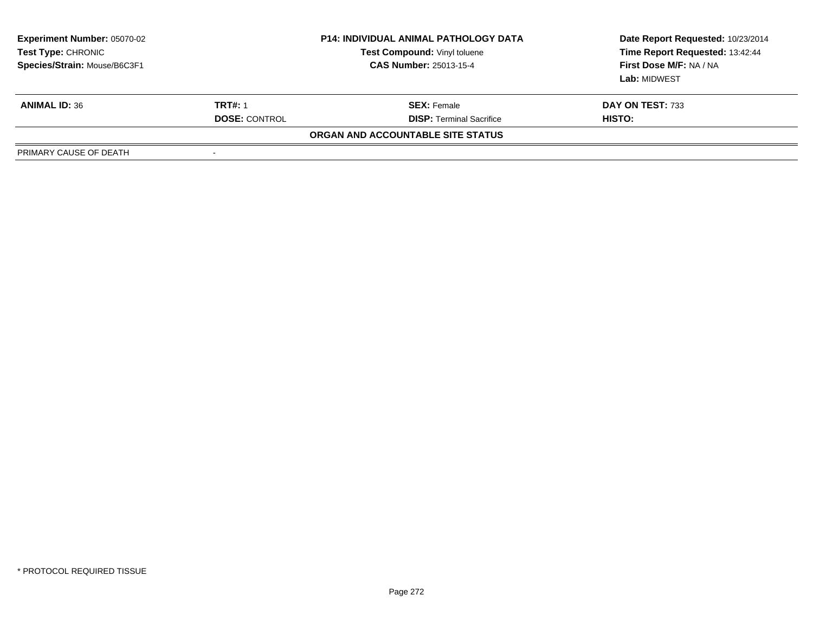| <b>Experiment Number: 05070-02</b><br>Test Type: CHRONIC<br>Species/Strain: Mouse/B6C3F1 |                      | <b>P14: INDIVIDUAL ANIMAL PATHOLOGY DATA</b><br>Test Compound: Vinyl toluene<br><b>CAS Number: 25013-15-4</b> | Date Report Requested: 10/23/2014<br>Time Report Requested: 13:42:44<br>First Dose M/F: NA / NA<br>Lab: MIDWEST |
|------------------------------------------------------------------------------------------|----------------------|---------------------------------------------------------------------------------------------------------------|-----------------------------------------------------------------------------------------------------------------|
| <b>ANIMAL ID: 36</b>                                                                     | <b>TRT#: 1</b>       | <b>SEX:</b> Female                                                                                            | DAY ON TEST: 733                                                                                                |
|                                                                                          | <b>DOSE: CONTROL</b> | <b>DISP: Terminal Sacrifice</b>                                                                               | HISTO:                                                                                                          |
|                                                                                          |                      | ORGAN AND ACCOUNTABLE SITE STATUS                                                                             |                                                                                                                 |
| PRIMARY CAUSE OF DEATH                                                                   | ٠                    |                                                                                                               |                                                                                                                 |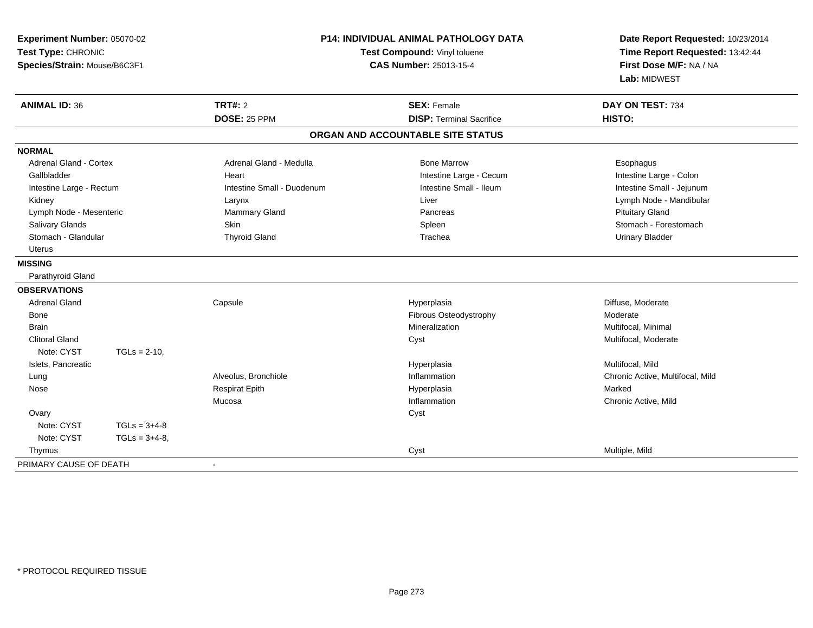| Experiment Number: 05070-02<br>Test Type: CHRONIC<br>Species/Strain: Mouse/B6C3F1<br><b>ANIMAL ID: 36</b> |                 | <b>P14: INDIVIDUAL ANIMAL PATHOLOGY DATA</b><br>Test Compound: Vinyl toluene<br><b>CAS Number: 25013-15-4</b> |                                   | Date Report Requested: 10/23/2014<br>Time Report Requested: 13:42:44<br>First Dose M/F: NA / NA<br>Lab: MIDWEST |
|-----------------------------------------------------------------------------------------------------------|-----------------|---------------------------------------------------------------------------------------------------------------|-----------------------------------|-----------------------------------------------------------------------------------------------------------------|
|                                                                                                           |                 | <b>TRT#: 2</b>                                                                                                | <b>SEX: Female</b>                | DAY ON TEST: 734                                                                                                |
|                                                                                                           |                 | <b>DOSE: 25 PPM</b>                                                                                           | <b>DISP: Terminal Sacrifice</b>   | HISTO:                                                                                                          |
|                                                                                                           |                 |                                                                                                               | ORGAN AND ACCOUNTABLE SITE STATUS |                                                                                                                 |
| <b>NORMAL</b>                                                                                             |                 |                                                                                                               |                                   |                                                                                                                 |
| <b>Adrenal Gland - Cortex</b>                                                                             |                 | Adrenal Gland - Medulla                                                                                       | <b>Bone Marrow</b>                | Esophagus                                                                                                       |
| Gallbladder                                                                                               |                 | Heart                                                                                                         | Intestine Large - Cecum           | Intestine Large - Colon                                                                                         |
| Intestine Large - Rectum                                                                                  |                 | Intestine Small - Duodenum                                                                                    | Intestine Small - Ileum           | Intestine Small - Jejunum                                                                                       |
| Kidney                                                                                                    |                 | Larynx                                                                                                        | Liver                             | Lymph Node - Mandibular                                                                                         |
| Lymph Node - Mesenteric                                                                                   |                 | Mammary Gland                                                                                                 | Pancreas                          | <b>Pituitary Gland</b>                                                                                          |
| <b>Salivary Glands</b>                                                                                    |                 | Skin                                                                                                          | Spleen                            | Stomach - Forestomach                                                                                           |
| Stomach - Glandular                                                                                       |                 | <b>Thyroid Gland</b>                                                                                          | Trachea                           | <b>Urinary Bladder</b>                                                                                          |
| <b>Uterus</b>                                                                                             |                 |                                                                                                               |                                   |                                                                                                                 |
| <b>MISSING</b>                                                                                            |                 |                                                                                                               |                                   |                                                                                                                 |
| Parathyroid Gland                                                                                         |                 |                                                                                                               |                                   |                                                                                                                 |
| <b>OBSERVATIONS</b>                                                                                       |                 |                                                                                                               |                                   |                                                                                                                 |
| <b>Adrenal Gland</b>                                                                                      |                 | Capsule                                                                                                       | Hyperplasia                       | Diffuse, Moderate                                                                                               |
| <b>Bone</b>                                                                                               |                 |                                                                                                               | Fibrous Osteodystrophy            | Moderate                                                                                                        |
| <b>Brain</b>                                                                                              |                 |                                                                                                               | Mineralization                    | Multifocal, Minimal                                                                                             |
| <b>Clitoral Gland</b>                                                                                     |                 |                                                                                                               | Cyst                              | Multifocal, Moderate                                                                                            |
| Note: CYST                                                                                                | $TGLs = 2-10,$  |                                                                                                               |                                   |                                                                                                                 |
| Islets, Pancreatic                                                                                        |                 |                                                                                                               | Hyperplasia                       | Multifocal, Mild                                                                                                |
| Lung                                                                                                      |                 | Alveolus, Bronchiole                                                                                          | Inflammation                      | Chronic Active, Multifocal, Mild                                                                                |
| Nose                                                                                                      |                 | <b>Respirat Epith</b>                                                                                         | Hyperplasia                       | Marked                                                                                                          |
|                                                                                                           |                 | Mucosa                                                                                                        | Inflammation                      | Chronic Active, Mild                                                                                            |
| Ovary                                                                                                     |                 |                                                                                                               | Cyst                              |                                                                                                                 |
| Note: CYST                                                                                                | $TGLs = 3+4-8$  |                                                                                                               |                                   |                                                                                                                 |
| Note: CYST                                                                                                | $TGLs = 3+4-8,$ |                                                                                                               |                                   |                                                                                                                 |
| Thymus                                                                                                    |                 |                                                                                                               | Cyst                              | Multiple, Mild                                                                                                  |
| PRIMARY CAUSE OF DEATH                                                                                    |                 | $\blacksquare$                                                                                                |                                   |                                                                                                                 |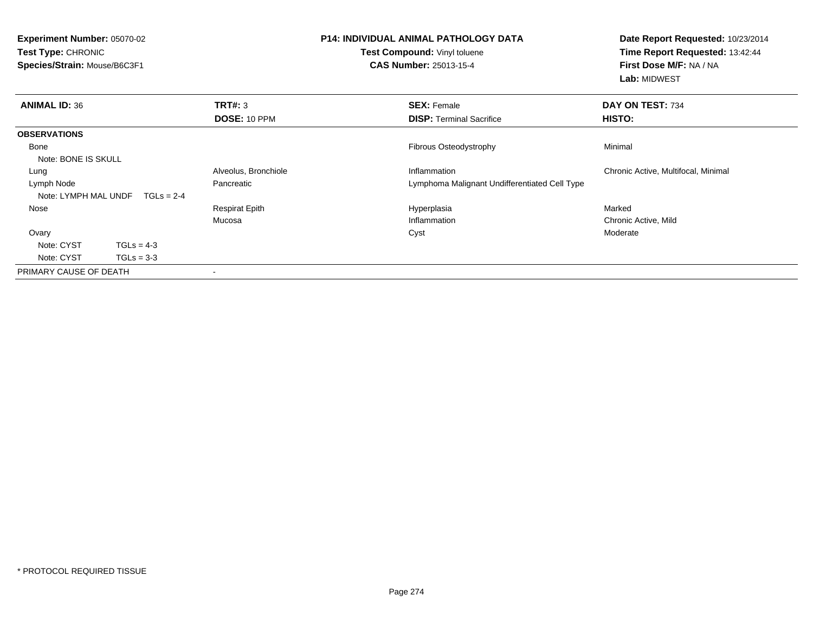| <b>Experiment Number: 05070-02</b><br>Test Type: CHRONIC<br>Species/Strain: Mouse/B6C3F1 |                         | <b>P14: INDIVIDUAL ANIMAL PATHOLOGY DATA</b><br>Test Compound: Vinyl toluene<br><b>CAS Number: 25013-15-4</b> | Date Report Requested: 10/23/2014<br>Time Report Requested: 13:42:44<br>First Dose M/F: NA / NA<br>Lab: MIDWEST |
|------------------------------------------------------------------------------------------|-------------------------|---------------------------------------------------------------------------------------------------------------|-----------------------------------------------------------------------------------------------------------------|
| <b>ANIMAL ID: 36</b>                                                                     | TRT#: 3<br>DOSE: 10 PPM | <b>SEX: Female</b><br><b>DISP: Terminal Sacrifice</b>                                                         | DAY ON TEST: 734<br>HISTO:                                                                                      |
| <b>OBSERVATIONS</b>                                                                      |                         |                                                                                                               |                                                                                                                 |
| Bone<br>Note: BONE IS SKULL                                                              |                         | Fibrous Osteodystrophy                                                                                        | Minimal                                                                                                         |
| Lung                                                                                     | Alveolus, Bronchiole    | Inflammation                                                                                                  | Chronic Active, Multifocal, Minimal                                                                             |
| Lymph Node<br>Note: LYMPH MAL UNDF<br>$TGLs = 2-4$                                       | Pancreatic              | Lymphoma Malignant Undifferentiated Cell Type                                                                 |                                                                                                                 |
| Nose                                                                                     | <b>Respirat Epith</b>   | Hyperplasia                                                                                                   | Marked                                                                                                          |
|                                                                                          | Mucosa                  | Inflammation                                                                                                  | Chronic Active, Mild                                                                                            |
| Ovary                                                                                    |                         | Cyst                                                                                                          | Moderate                                                                                                        |
| Note: CYST<br>$TGLs = 4-3$                                                               |                         |                                                                                                               |                                                                                                                 |
| Note: CYST<br>$TGLs = 3-3$                                                               |                         |                                                                                                               |                                                                                                                 |
| PRIMARY CAUSE OF DEATH                                                                   |                         |                                                                                                               |                                                                                                                 |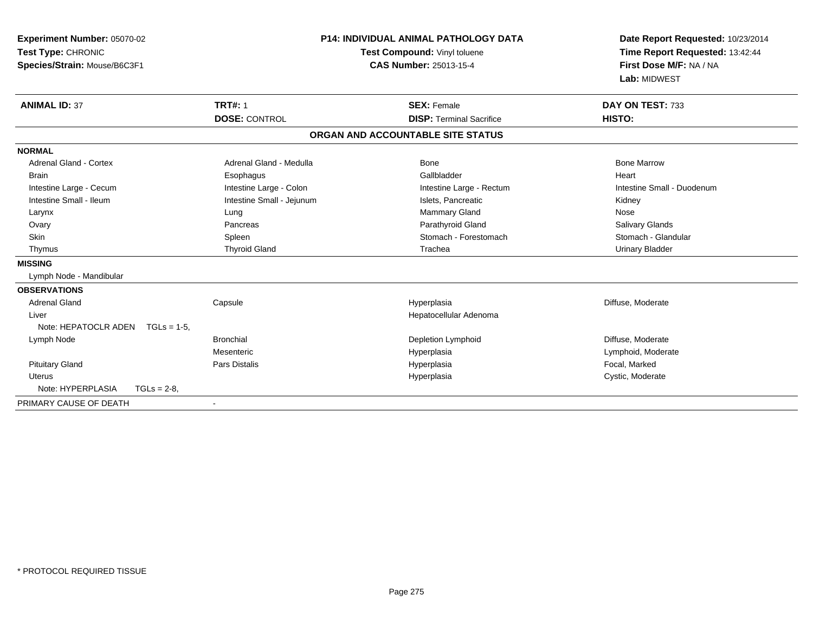| Experiment Number: 05070-02<br>Test Type: CHRONIC<br>Species/Strain: Mouse/B6C3F1 |                           | P14: INDIVIDUAL ANIMAL PATHOLOGY DATA<br>Test Compound: Vinyl toluene<br><b>CAS Number: 25013-15-4</b> | Date Report Requested: 10/23/2014<br>Time Report Requested: 13:42:44<br>First Dose M/F: NA / NA<br>Lab: MIDWEST |
|-----------------------------------------------------------------------------------|---------------------------|--------------------------------------------------------------------------------------------------------|-----------------------------------------------------------------------------------------------------------------|
| <b>ANIMAL ID: 37</b>                                                              | <b>TRT#: 1</b>            | <b>SEX: Female</b>                                                                                     | DAY ON TEST: 733                                                                                                |
|                                                                                   | <b>DOSE: CONTROL</b>      | <b>DISP: Terminal Sacrifice</b>                                                                        | HISTO:                                                                                                          |
|                                                                                   |                           | ORGAN AND ACCOUNTABLE SITE STATUS                                                                      |                                                                                                                 |
| <b>NORMAL</b>                                                                     |                           |                                                                                                        |                                                                                                                 |
| <b>Adrenal Gland - Cortex</b>                                                     | Adrenal Gland - Medulla   | <b>Bone</b>                                                                                            | <b>Bone Marrow</b>                                                                                              |
| <b>Brain</b>                                                                      | Esophagus                 | Gallbladder                                                                                            | Heart                                                                                                           |
| Intestine Large - Cecum                                                           | Intestine Large - Colon   | Intestine Large - Rectum                                                                               | Intestine Small - Duodenum                                                                                      |
| Intestine Small - Ileum                                                           | Intestine Small - Jejunum | Islets, Pancreatic                                                                                     | Kidney                                                                                                          |
| Larynx                                                                            | Lung                      | Mammary Gland                                                                                          | Nose                                                                                                            |
| Ovary                                                                             | Pancreas                  | Parathyroid Gland                                                                                      | Salivary Glands                                                                                                 |
| <b>Skin</b>                                                                       | Spleen                    | Stomach - Forestomach                                                                                  | Stomach - Glandular                                                                                             |
| Thymus                                                                            | <b>Thyroid Gland</b>      | Trachea                                                                                                | <b>Urinary Bladder</b>                                                                                          |
| <b>MISSING</b>                                                                    |                           |                                                                                                        |                                                                                                                 |
| Lymph Node - Mandibular                                                           |                           |                                                                                                        |                                                                                                                 |
| <b>OBSERVATIONS</b>                                                               |                           |                                                                                                        |                                                                                                                 |
| <b>Adrenal Gland</b>                                                              | Capsule                   | Hyperplasia                                                                                            | Diffuse, Moderate                                                                                               |
| Liver                                                                             |                           | Hepatocellular Adenoma                                                                                 |                                                                                                                 |
| Note: HEPATOCLR ADEN $TGLs = 1-5$ .                                               |                           |                                                                                                        |                                                                                                                 |
| Lymph Node                                                                        | <b>Bronchial</b>          | Depletion Lymphoid                                                                                     | Diffuse, Moderate                                                                                               |
|                                                                                   | Mesenteric                | Hyperplasia                                                                                            | Lymphoid, Moderate                                                                                              |
| <b>Pituitary Gland</b>                                                            | Pars Distalis             | Hyperplasia                                                                                            | Focal, Marked                                                                                                   |
| Uterus                                                                            |                           | Hyperplasia                                                                                            | Cystic, Moderate                                                                                                |
| Note: HYPERPLASIA<br>$TGLs = 2-8,$                                                |                           |                                                                                                        |                                                                                                                 |
| PRIMARY CAUSE OF DEATH                                                            | $\blacksquare$            |                                                                                                        |                                                                                                                 |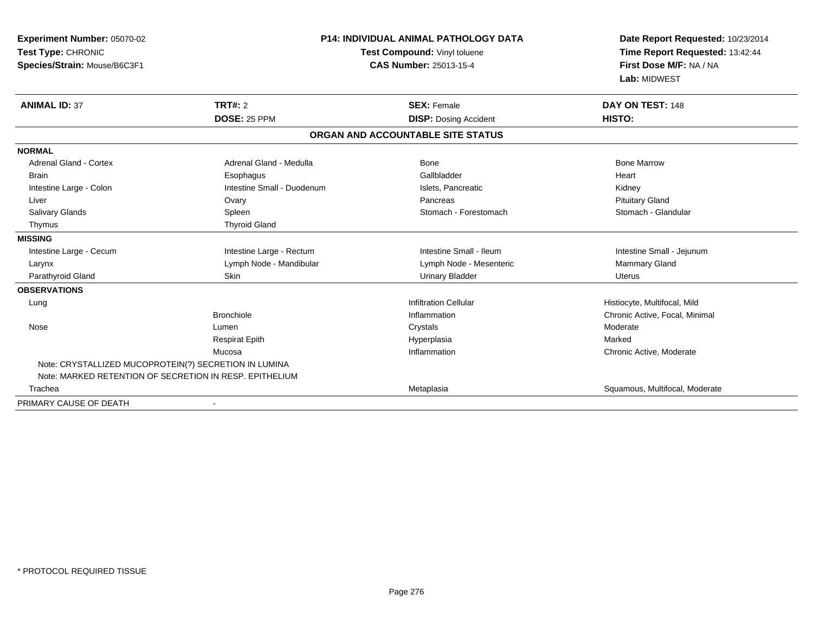| Experiment Number: 05070-02<br>Test Type: CHRONIC<br>Species/Strain: Mouse/B6C3F1<br><b>ANIMAL ID: 37</b> | <b>TRT#: 2</b>             | <b>P14: INDIVIDUAL ANIMAL PATHOLOGY DATA</b><br>Test Compound: Vinyl toluene<br><b>CAS Number: 25013-15-4</b><br><b>SEX: Female</b> | Date Report Requested: 10/23/2014<br>Time Report Requested: 13:42:44<br>First Dose M/F: NA / NA<br>Lab: MIDWEST<br>DAY ON TEST: 148 |
|-----------------------------------------------------------------------------------------------------------|----------------------------|-------------------------------------------------------------------------------------------------------------------------------------|-------------------------------------------------------------------------------------------------------------------------------------|
|                                                                                                           | DOSE: 25 PPM               | <b>DISP: Dosing Accident</b>                                                                                                        | HISTO:                                                                                                                              |
|                                                                                                           |                            | ORGAN AND ACCOUNTABLE SITE STATUS                                                                                                   |                                                                                                                                     |
| <b>NORMAL</b>                                                                                             |                            |                                                                                                                                     |                                                                                                                                     |
| <b>Adrenal Gland - Cortex</b>                                                                             | Adrenal Gland - Medulla    | Bone                                                                                                                                | <b>Bone Marrow</b>                                                                                                                  |
| <b>Brain</b>                                                                                              | Esophagus                  | Gallbladder                                                                                                                         | Heart                                                                                                                               |
| Intestine Large - Colon                                                                                   | Intestine Small - Duodenum | Islets, Pancreatic                                                                                                                  | Kidney                                                                                                                              |
| Liver                                                                                                     | Ovary                      | Pancreas                                                                                                                            | <b>Pituitary Gland</b>                                                                                                              |
| <b>Salivary Glands</b>                                                                                    | Spleen                     | Stomach - Forestomach                                                                                                               | Stomach - Glandular                                                                                                                 |
| Thymus                                                                                                    | <b>Thyroid Gland</b>       |                                                                                                                                     |                                                                                                                                     |
| <b>MISSING</b>                                                                                            |                            |                                                                                                                                     |                                                                                                                                     |
| Intestine Large - Cecum                                                                                   | Intestine Large - Rectum   | Intestine Small - Ileum                                                                                                             | Intestine Small - Jejunum                                                                                                           |
| Larynx                                                                                                    | Lymph Node - Mandibular    | Lymph Node - Mesenteric                                                                                                             | Mammary Gland                                                                                                                       |
| Parathyroid Gland                                                                                         | Skin                       | <b>Urinary Bladder</b>                                                                                                              | Uterus                                                                                                                              |
| <b>OBSERVATIONS</b>                                                                                       |                            |                                                                                                                                     |                                                                                                                                     |
| Lung                                                                                                      |                            | <b>Infiltration Cellular</b>                                                                                                        | Histiocyte, Multifocal, Mild                                                                                                        |
|                                                                                                           | <b>Bronchiole</b>          | Inflammation                                                                                                                        | Chronic Active, Focal, Minimal                                                                                                      |
| Nose                                                                                                      | Lumen                      | Crystals                                                                                                                            | Moderate                                                                                                                            |
|                                                                                                           | <b>Respirat Epith</b>      | Hyperplasia                                                                                                                         | Marked                                                                                                                              |
|                                                                                                           | Mucosa                     | Inflammation                                                                                                                        | Chronic Active, Moderate                                                                                                            |
| Note: CRYSTALLIZED MUCOPROTEIN(?) SECRETION IN LUMINA                                                     |                            |                                                                                                                                     |                                                                                                                                     |
| Note: MARKED RETENTION OF SECRETION IN RESP. EPITHELIUM                                                   |                            |                                                                                                                                     |                                                                                                                                     |
| Trachea                                                                                                   |                            | Metaplasia                                                                                                                          | Squamous, Multifocal, Moderate                                                                                                      |
| PRIMARY CAUSE OF DEATH                                                                                    |                            |                                                                                                                                     |                                                                                                                                     |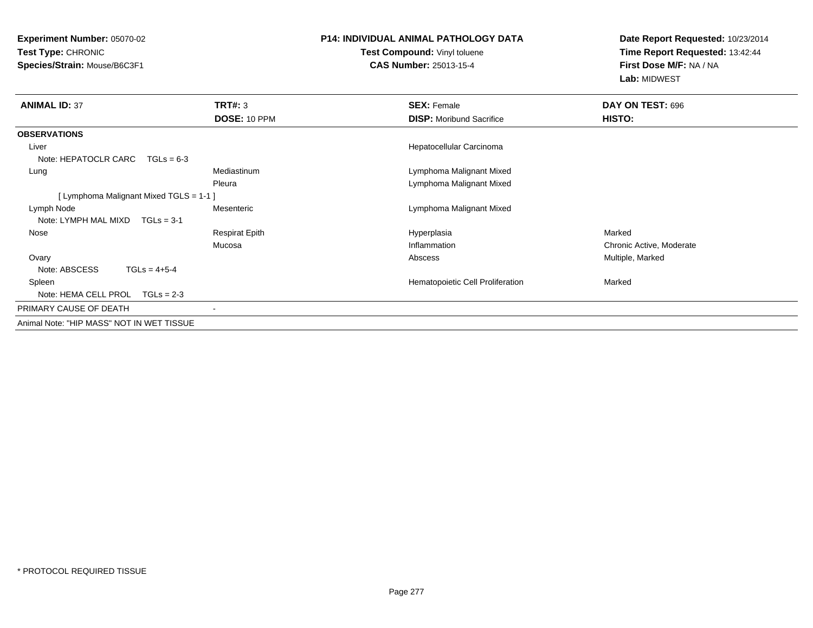**Experiment Number:** 05070-02**Test Type:** CHRONIC **Species/Strain:** Mouse/B6C3F1**Test Compound:** Vinyl toluene**CAS Number:** 25013-15-4**ANIMAL ID:** 37 **TRT#:** <sup>3</sup> **SEX:** Female **DAY ON TEST:** <sup>696</sup> **DOCE DISP:** Moribund Sacrifice **HISTO: OBSERVAT**  Liverr and the control of the control of the control of the control of the control of the control of the control of the control of the control of the control of the control of the control of the control of the control of the co Note: Lung Mediastinum Lymphoma Malignant Mixed Pleura Lymphoma Malignant Mixed [ Lymphoma Malignant Mixed TGLS = 1-1 ]Lymph N Mesenteric Lymphoma Malignant Mixed Note: NoseMucosa OvaryNote:

 SpleenNote:

PRIMARY 0

Animal Note

## **P14: INDIVIDUAL ANIMAL PATHOLOGY DATA**

**Date Report Requested:** 10/23/2014**Time Report Requested:** 13:42:44**First Dose M/F:** NA / NA**Lab:** MIDWEST

|                                         | <b>DOSE: 10 PPM</b>   | <b>DISP:</b> Moribund Sacrifice  | HISIU:                   |  |
|-----------------------------------------|-----------------------|----------------------------------|--------------------------|--|
| <b>RVATIONS</b>                         |                       |                                  |                          |  |
|                                         |                       | Hepatocellular Carcinoma         |                          |  |
| ote: HEPATOCLR CARC TGLs = 6-3          |                       |                                  |                          |  |
|                                         | Mediastinum           | Lymphoma Malignant Mixed         |                          |  |
|                                         | Pleura                | Lymphoma Malignant Mixed         |                          |  |
| [ Lymphoma Malignant Mixed TGLS = 1-1 ] |                       |                                  |                          |  |
| ph Node                                 | Mesenteric            | Lymphoma Malignant Mixed         |                          |  |
| ote: LYMPH MAL MIXD TGLs = 3-1          |                       |                                  |                          |  |
| е                                       | <b>Respirat Epith</b> | Hyperplasia                      | Marked                   |  |
|                                         | Mucosa                | Inflammation                     | Chronic Active, Moderate |  |
| ry                                      |                       | Abscess                          | Multiple, Marked         |  |
| ote: ABSCESS<br>$TGLs = 4+5-4$          |                       |                                  |                          |  |
| en                                      |                       | Hematopoietic Cell Proliferation | Marked                   |  |
| ote: HEMA CELL PROL<br>$TGLs = 2-3$     |                       |                                  |                          |  |
| RY CAUSE OF DEATH                       |                       |                                  |                          |  |
| Note: "HIP MASS" NOT IN WET TISSUE      |                       |                                  |                          |  |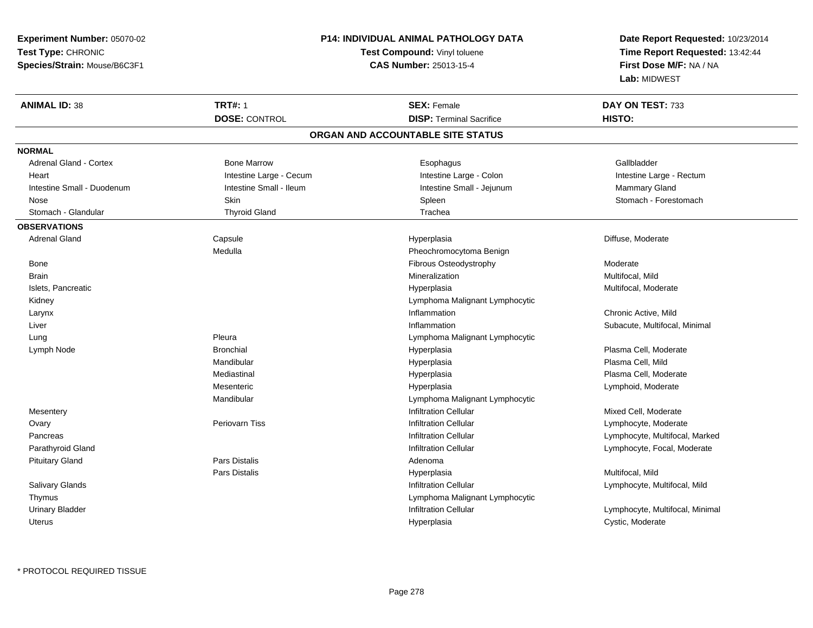**Experiment Number:** 05070-02**Test Type:** CHRONIC **Species/Strain:** Mouse/B6C3F1**P14: INDIVIDUAL ANIMAL PATHOLOGY DATATest Compound:** Vinyl toluene**CAS Number:** 25013-15-4**Date Report Requested:** 10/23/2014**Time Report Requested:** 13:42:44**First Dose M/F:** NA / NA**Lab:** MIDWEST**ANIMAL ID:** 38**TRT#:** 1 **SEX:** Female **DAY ON TEST:** 733 **DOSE:** CONTROL**DISP:** Terminal Sacrifice **HISTO: ORGAN AND ACCOUNTABLE SITE STATUSNORMAL**Adrenal Gland - Cortex **Additional Cortex** Bone Marrow **Executive Correspondent Cortex** Esophagus Callbladder Gallbladder Heart **Intestine Large - Cecum** Communicative Large - Colon Character Colon Intestine Large - Rectum Intestine Small - Duodenum **Intestine Small - Ileum** Intestine Small - Ileum Intestine Small - Jejunum Mammary Gland Nose Skin Skin Shangh - Skin Shangh - Shangh - Shangh - Shangh - Shangh - Shangh - Stomach - Forestomach - Shangh - Shangh - Shangh - Shangh - Shangh - Shangh - Shangh - Shangh - Shangh - Shangh - Shangh - Shangh - Shangh Stomach - Glandular Thyroid Gland The Trachean Trachean Trachean Trachean Trachean Trachean Trachean Trachean **OBSERVATIONS** Adrenal Gland Capsule Hyperplasia Diffuse, Moderate Medulla Pheochromocytoma Benign BoneFibrous Osteodystrophy **Moderate Moderate**<br>
Mineralization Mild Moderate Multifocal, Mild Brainn and the matrix of the matrix of the Mineralization and the Multifocal, Mild and Multifocal, Mild and Multifocal, Mild and Multifocal, Mild and Multifocal, Mild and Multifocal, Mild and Multifocal, Mild and Multifocal, Mi Islets, Pancreaticc description of the control of the control of the control of the control of the control of the control of the control of the control of the control of the control of the control of the control of the control of the contro Hyperplasia **Multifocal**, Moderate Kidney Lymphoma Malignant Lymphocytic Larynx**x** and the contract of the contract of the contract of the contract of the contract of the contract of the contract of the contract of the contract of the contract of the contract of the contract of the contract of the co Chronic Active, Mild Liver**Inflammation** Inflammation **Subacute, Multifocal, Minimal**  LungPleura **Lymphoma Malignant Lymphocytic**  Lymph Node Bronchial Hyperplasia Plasma Cell, Moderate Mandibular Hyperplasia Plasma Cell, Mild Mediastinal Hyperplasia Plasma Cell, Moderate Mesenteric Hyperplasia Lymphoid, Moderate Mandibular Lymphoma Malignant Lymphocytic**Mesentery** y which is a state of the contract of the contract of the infiltration Cellular material  $\mathbf{M}$  Mixed Cell, Moderate Lymphocyte, Moderate **Ovary** y Periovarn Tiss Infiltration Cellular Lymphocyte, Moderate Infiltration Cellular Lymphocyte, Multifocal, Marked**Pancreas**  Parathyroid GlandInfiltration Cellular **Lymphocyte, Focal, Moderate**  Pituitary Glandd and the contract of Pars Distalis and the contract of Adenoma and Adenoma and the Adenoma and the Adenoma and  $\lambda$ Pars Distalis Hyperplasia Multifocal, Mild Salivary Glands Infiltration Cellular Lymphocyte, Multifocal, Mild Thymus Lymphoma Malignant Lymphocytic Urinary Bladder Infiltration Cellular Lymphocyte, Multifocal, Minimal Uteruss and the contract of the contract of the contract of the contract of the contract of the contract of the contract of the contract of the contract of the contract of the contract of the contract of the contract of the cont Hyperplasia **Cystic, Moderate**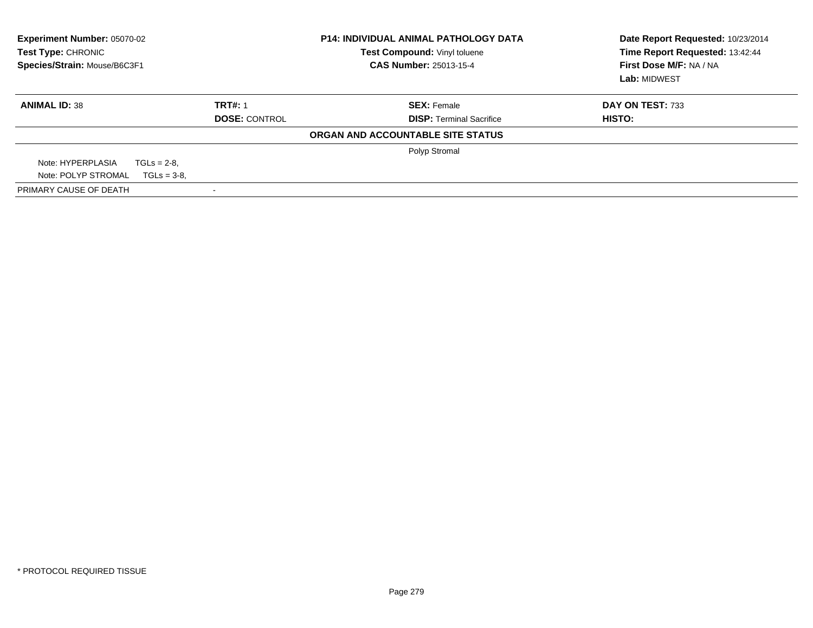| Experiment Number: 05070-02<br>Test Type: CHRONIC<br>Species/Strain: Mouse/B6C3F1 |                      | <b>P14: INDIVIDUAL ANIMAL PATHOLOGY DATA</b><br>Test Compound: Vinyl toluene<br><b>CAS Number: 25013-15-4</b> | Date Report Requested: 10/23/2014<br>Time Report Requested: 13:42:44<br>First Dose M/F: NA / NA<br>Lab: MIDWEST |
|-----------------------------------------------------------------------------------|----------------------|---------------------------------------------------------------------------------------------------------------|-----------------------------------------------------------------------------------------------------------------|
| <b>ANIMAL ID: 38</b>                                                              | <b>TRT#: 1</b>       | <b>SEX: Female</b>                                                                                            | DAY ON TEST: 733                                                                                                |
|                                                                                   | <b>DOSE: CONTROL</b> | <b>DISP:</b> Terminal Sacrifice                                                                               | <b>HISTO:</b>                                                                                                   |
|                                                                                   |                      | ORGAN AND ACCOUNTABLE SITE STATUS                                                                             |                                                                                                                 |
|                                                                                   |                      | Polyp Stromal                                                                                                 |                                                                                                                 |
| Note: HYPERPLASIA<br>$TGLs = 2-8$                                                 |                      |                                                                                                               |                                                                                                                 |
| Note: POLYP STROMAL<br>$TGLs = 3-8$                                               |                      |                                                                                                               |                                                                                                                 |
| PRIMARY CAUSE OF DEATH                                                            |                      |                                                                                                               |                                                                                                                 |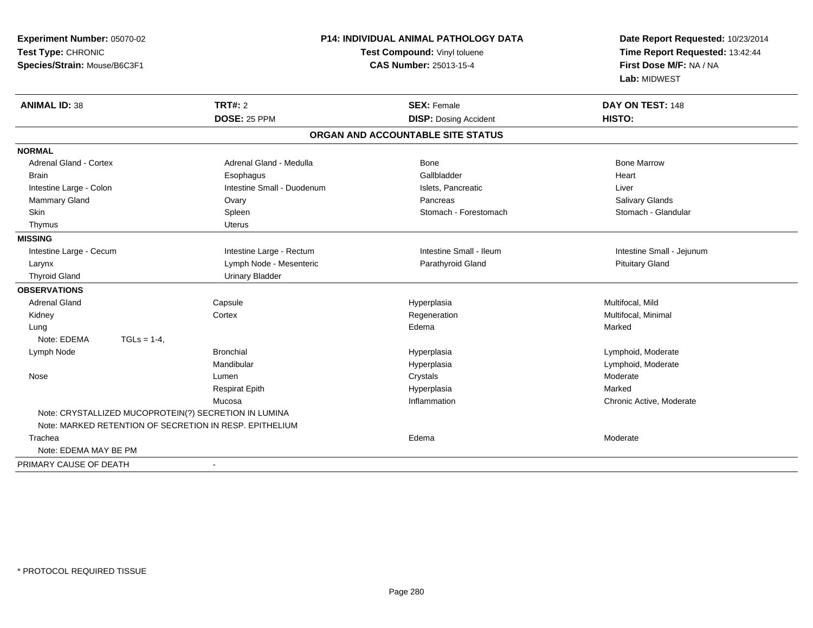| Experiment Number: 05070-02<br>Test Type: CHRONIC<br>Species/Strain: Mouse/B6C3F1 |                            | <b>P14: INDIVIDUAL ANIMAL PATHOLOGY DATA</b><br>Test Compound: Vinyl toluene<br>CAS Number: 25013-15-4 | Date Report Requested: 10/23/2014<br>Time Report Requested: 13:42:44<br>First Dose M/F: NA / NA<br>Lab: MIDWEST |
|-----------------------------------------------------------------------------------|----------------------------|--------------------------------------------------------------------------------------------------------|-----------------------------------------------------------------------------------------------------------------|
| <b>ANIMAL ID: 38</b>                                                              | <b>TRT#: 2</b>             | <b>SEX: Female</b>                                                                                     | DAY ON TEST: 148                                                                                                |
|                                                                                   | DOSE: 25 PPM               | <b>DISP: Dosing Accident</b>                                                                           | HISTO:                                                                                                          |
|                                                                                   |                            | ORGAN AND ACCOUNTABLE SITE STATUS                                                                      |                                                                                                                 |
| <b>NORMAL</b>                                                                     |                            |                                                                                                        |                                                                                                                 |
| Adrenal Gland - Cortex                                                            | Adrenal Gland - Medulla    | Bone                                                                                                   | <b>Bone Marrow</b>                                                                                              |
| <b>Brain</b>                                                                      | Esophagus                  | Gallbladder                                                                                            | Heart                                                                                                           |
| Intestine Large - Colon                                                           | Intestine Small - Duodenum | Islets, Pancreatic                                                                                     | Liver                                                                                                           |
| Mammary Gland                                                                     | Ovary                      | Pancreas                                                                                               | Salivary Glands                                                                                                 |
| Skin                                                                              | Spleen                     | Stomach - Forestomach                                                                                  | Stomach - Glandular                                                                                             |
| Thymus                                                                            | <b>Uterus</b>              |                                                                                                        |                                                                                                                 |
| <b>MISSING</b>                                                                    |                            |                                                                                                        |                                                                                                                 |
| Intestine Large - Cecum                                                           | Intestine Large - Rectum   | Intestine Small - Ileum                                                                                | Intestine Small - Jejunum                                                                                       |
| Larynx                                                                            | Lymph Node - Mesenteric    | Parathyroid Gland                                                                                      | <b>Pituitary Gland</b>                                                                                          |
| <b>Thyroid Gland</b>                                                              | <b>Urinary Bladder</b>     |                                                                                                        |                                                                                                                 |
| <b>OBSERVATIONS</b>                                                               |                            |                                                                                                        |                                                                                                                 |
| <b>Adrenal Gland</b>                                                              | Capsule                    | Hyperplasia                                                                                            | Multifocal, Mild                                                                                                |
| Kidney                                                                            | Cortex                     | Regeneration                                                                                           | Multifocal, Minimal                                                                                             |
| Lung                                                                              |                            | Edema                                                                                                  | Marked                                                                                                          |
| Note: EDEMA<br>$TGLs = 1-4$ ,                                                     |                            |                                                                                                        |                                                                                                                 |
| Lymph Node                                                                        | <b>Bronchial</b>           | Hyperplasia                                                                                            | Lymphoid, Moderate                                                                                              |
|                                                                                   | Mandibular                 | Hyperplasia                                                                                            | Lymphoid, Moderate                                                                                              |
| Nose                                                                              | Lumen                      | Crystals                                                                                               | Moderate                                                                                                        |
|                                                                                   | <b>Respirat Epith</b>      | Hyperplasia                                                                                            | Marked                                                                                                          |
|                                                                                   | Mucosa                     | Inflammation                                                                                           | Chronic Active, Moderate                                                                                        |
| Note: CRYSTALLIZED MUCOPROTEIN(?) SECRETION IN LUMINA                             |                            |                                                                                                        |                                                                                                                 |
| Note: MARKED RETENTION OF SECRETION IN RESP. EPITHELIUM                           |                            |                                                                                                        |                                                                                                                 |
| Trachea                                                                           |                            | Edema                                                                                                  | Moderate                                                                                                        |
| Note: EDEMA MAY BE PM                                                             |                            |                                                                                                        |                                                                                                                 |
| PRIMARY CAUSE OF DEATH                                                            |                            |                                                                                                        |                                                                                                                 |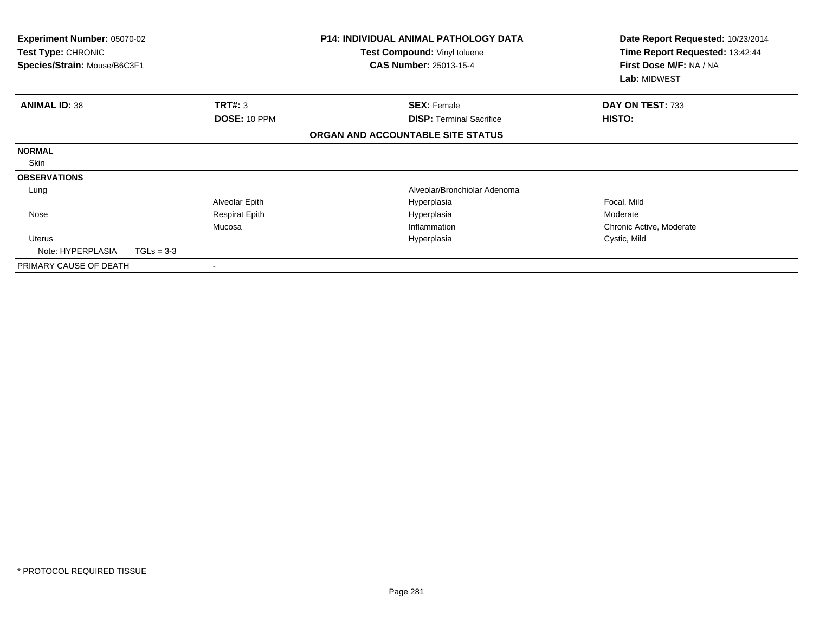| Experiment Number: 05070-02<br>Test Type: CHRONIC<br>Species/Strain: Mouse/B6C3F1 |                       | <b>P14: INDIVIDUAL ANIMAL PATHOLOGY DATA</b><br>Test Compound: Vinyl toluene<br><b>CAS Number: 25013-15-4</b> | Date Report Requested: 10/23/2014<br>Time Report Requested: 13:42:44<br>First Dose M/F: NA / NA<br>Lab: MIDWEST |
|-----------------------------------------------------------------------------------|-----------------------|---------------------------------------------------------------------------------------------------------------|-----------------------------------------------------------------------------------------------------------------|
| <b>ANIMAL ID: 38</b>                                                              | TRT#: 3               | <b>SEX: Female</b>                                                                                            | DAY ON TEST: 733                                                                                                |
|                                                                                   | DOSE: 10 PPM          | <b>DISP:</b> Terminal Sacrifice                                                                               | HISTO:                                                                                                          |
|                                                                                   |                       | ORGAN AND ACCOUNTABLE SITE STATUS                                                                             |                                                                                                                 |
| <b>NORMAL</b>                                                                     |                       |                                                                                                               |                                                                                                                 |
| Skin                                                                              |                       |                                                                                                               |                                                                                                                 |
| <b>OBSERVATIONS</b>                                                               |                       |                                                                                                               |                                                                                                                 |
| Lung                                                                              |                       | Alveolar/Bronchiolar Adenoma                                                                                  |                                                                                                                 |
|                                                                                   | Alveolar Epith        | Hyperplasia                                                                                                   | Focal, Mild                                                                                                     |
| Nose                                                                              | <b>Respirat Epith</b> | Hyperplasia                                                                                                   | Moderate                                                                                                        |
|                                                                                   | Mucosa                | Inflammation                                                                                                  | Chronic Active, Moderate                                                                                        |
| Uterus                                                                            |                       | Hyperplasia                                                                                                   | Cystic, Mild                                                                                                    |
| Note: HYPERPLASIA                                                                 | $TGLs = 3-3$          |                                                                                                               |                                                                                                                 |
| PRIMARY CAUSE OF DEATH                                                            |                       |                                                                                                               |                                                                                                                 |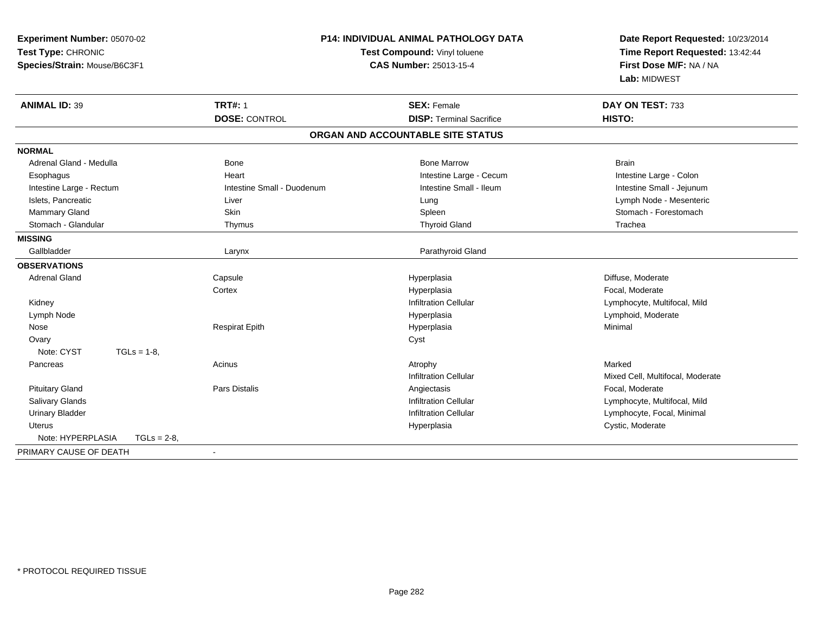| Experiment Number: 05070-02<br>Test Type: CHRONIC<br>Species/Strain: Mouse/B6C3F1 | <b>P14: INDIVIDUAL ANIMAL PATHOLOGY DATA</b><br>Test Compound: Vinyl toluene<br><b>CAS Number: 25013-15-4</b> |                                   | Date Report Requested: 10/23/2014<br>Time Report Requested: 13:42:44<br>First Dose M/F: NA / NA |  |
|-----------------------------------------------------------------------------------|---------------------------------------------------------------------------------------------------------------|-----------------------------------|-------------------------------------------------------------------------------------------------|--|
|                                                                                   |                                                                                                               |                                   | Lab: MIDWEST                                                                                    |  |
| <b>ANIMAL ID: 39</b>                                                              | <b>TRT#: 1</b>                                                                                                | <b>SEX: Female</b>                | DAY ON TEST: 733                                                                                |  |
|                                                                                   | <b>DOSE: CONTROL</b>                                                                                          | <b>DISP: Terminal Sacrifice</b>   | HISTO:                                                                                          |  |
|                                                                                   |                                                                                                               | ORGAN AND ACCOUNTABLE SITE STATUS |                                                                                                 |  |
| <b>NORMAL</b>                                                                     |                                                                                                               |                                   |                                                                                                 |  |
| Adrenal Gland - Medulla                                                           | <b>Bone</b>                                                                                                   | <b>Bone Marrow</b>                | <b>Brain</b>                                                                                    |  |
| Esophagus                                                                         | Heart                                                                                                         | Intestine Large - Cecum           | Intestine Large - Colon                                                                         |  |
| Intestine Large - Rectum                                                          | Intestine Small - Duodenum                                                                                    | Intestine Small - Ileum           | Intestine Small - Jejunum                                                                       |  |
| Islets, Pancreatic                                                                | Liver                                                                                                         | Lung                              | Lymph Node - Mesenteric                                                                         |  |
| Mammary Gland                                                                     | Skin                                                                                                          | Spleen                            | Stomach - Forestomach                                                                           |  |
| Stomach - Glandular                                                               | Thymus                                                                                                        | <b>Thyroid Gland</b>              | Trachea                                                                                         |  |
| <b>MISSING</b>                                                                    |                                                                                                               |                                   |                                                                                                 |  |
| Gallbladder                                                                       | Larynx                                                                                                        | Parathyroid Gland                 |                                                                                                 |  |
| <b>OBSERVATIONS</b>                                                               |                                                                                                               |                                   |                                                                                                 |  |
| <b>Adrenal Gland</b>                                                              | Capsule                                                                                                       | Hyperplasia                       | Diffuse, Moderate                                                                               |  |
|                                                                                   | Cortex                                                                                                        | Hyperplasia                       | Focal, Moderate                                                                                 |  |
| Kidney                                                                            |                                                                                                               | <b>Infiltration Cellular</b>      | Lymphocyte, Multifocal, Mild                                                                    |  |
| Lymph Node                                                                        |                                                                                                               | Hyperplasia                       | Lymphoid, Moderate                                                                              |  |
| Nose                                                                              | <b>Respirat Epith</b>                                                                                         | Hyperplasia                       | Minimal                                                                                         |  |
| Ovary                                                                             |                                                                                                               | Cyst                              |                                                                                                 |  |
| Note: CYST<br>$TGLs = 1-8$                                                        |                                                                                                               |                                   |                                                                                                 |  |
| Pancreas                                                                          | Acinus                                                                                                        | Atrophy                           | Marked                                                                                          |  |
|                                                                                   |                                                                                                               | <b>Infiltration Cellular</b>      | Mixed Cell, Multifocal, Moderate                                                                |  |
| <b>Pituitary Gland</b>                                                            | Pars Distalis                                                                                                 | Angiectasis                       | Focal, Moderate                                                                                 |  |
| Salivary Glands                                                                   |                                                                                                               | <b>Infiltration Cellular</b>      | Lymphocyte, Multifocal, Mild                                                                    |  |
| <b>Urinary Bladder</b>                                                            |                                                                                                               | <b>Infiltration Cellular</b>      | Lymphocyte, Focal, Minimal                                                                      |  |
| <b>Uterus</b>                                                                     |                                                                                                               | Hyperplasia                       | Cystic, Moderate                                                                                |  |
| Note: HYPERPLASIA<br>$TGLs = 2-8$                                                 |                                                                                                               |                                   |                                                                                                 |  |
| PRIMARY CAUSE OF DEATH                                                            |                                                                                                               |                                   |                                                                                                 |  |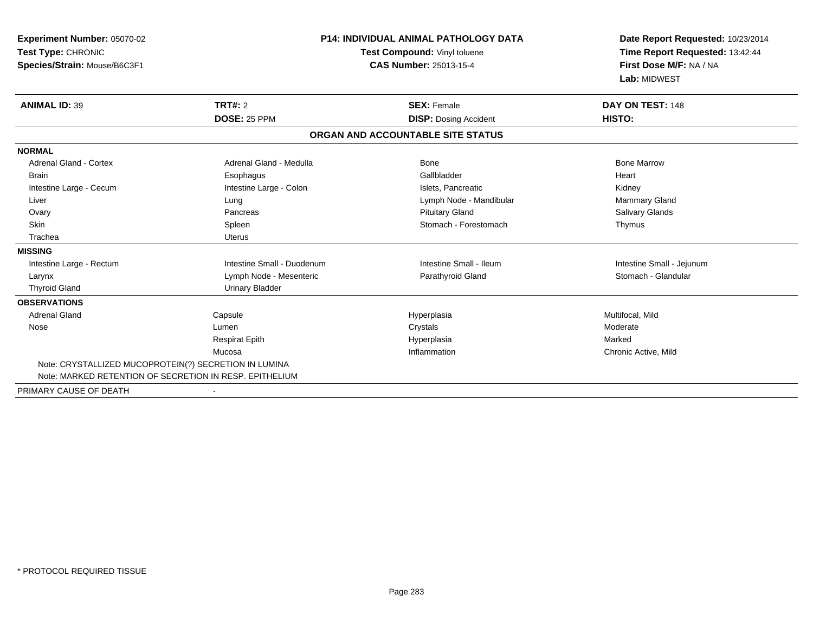| <b>Experiment Number: 05070-02</b><br>Test Type: CHRONIC<br>Species/Strain: Mouse/B6C3F1 |                                       | <b>P14: INDIVIDUAL ANIMAL PATHOLOGY DATA</b><br>Test Compound: Vinyl toluene<br><b>CAS Number: 25013-15-4</b> | Date Report Requested: 10/23/2014<br>Time Report Requested: 13:42:44<br>First Dose M/F: NA / NA<br>Lab: MIDWEST |
|------------------------------------------------------------------------------------------|---------------------------------------|---------------------------------------------------------------------------------------------------------------|-----------------------------------------------------------------------------------------------------------------|
| <b>ANIMAL ID: 39</b>                                                                     | <b>TRT#: 2</b><br><b>DOSE: 25 PPM</b> | <b>SEX: Female</b>                                                                                            | DAY ON TEST: 148<br>HISTO:                                                                                      |
|                                                                                          |                                       | <b>DISP:</b> Dosing Accident                                                                                  |                                                                                                                 |
|                                                                                          |                                       | ORGAN AND ACCOUNTABLE SITE STATUS                                                                             |                                                                                                                 |
| <b>NORMAL</b>                                                                            |                                       |                                                                                                               |                                                                                                                 |
| <b>Adrenal Gland - Cortex</b>                                                            | Adrenal Gland - Medulla               | Bone                                                                                                          | <b>Bone Marrow</b>                                                                                              |
| Brain                                                                                    | Esophagus                             | Gallbladder                                                                                                   | Heart                                                                                                           |
| Intestine Large - Cecum                                                                  | Intestine Large - Colon               | Islets. Pancreatic                                                                                            | Kidney                                                                                                          |
| Liver                                                                                    | Lung                                  | Lymph Node - Mandibular                                                                                       | <b>Mammary Gland</b>                                                                                            |
| Ovary                                                                                    | Pancreas                              | <b>Pituitary Gland</b>                                                                                        | <b>Salivary Glands</b>                                                                                          |
| <b>Skin</b>                                                                              | Spleen                                | Stomach - Forestomach                                                                                         | Thymus                                                                                                          |
| Trachea                                                                                  | <b>Uterus</b>                         |                                                                                                               |                                                                                                                 |
| <b>MISSING</b>                                                                           |                                       |                                                                                                               |                                                                                                                 |
| Intestine Large - Rectum                                                                 | Intestine Small - Duodenum            | Intestine Small - Ileum                                                                                       | Intestine Small - Jejunum                                                                                       |
| Larynx                                                                                   | Lymph Node - Mesenteric               | Parathyroid Gland                                                                                             | Stomach - Glandular                                                                                             |
| <b>Thyroid Gland</b>                                                                     | <b>Urinary Bladder</b>                |                                                                                                               |                                                                                                                 |
| <b>OBSERVATIONS</b>                                                                      |                                       |                                                                                                               |                                                                                                                 |
| <b>Adrenal Gland</b>                                                                     | Capsule                               | Hyperplasia                                                                                                   | Multifocal, Mild                                                                                                |
| Nose                                                                                     | Lumen                                 | Crystals                                                                                                      | Moderate                                                                                                        |
|                                                                                          | <b>Respirat Epith</b>                 | Hyperplasia                                                                                                   | Marked                                                                                                          |
|                                                                                          | Mucosa                                | Inflammation                                                                                                  | Chronic Active, Mild                                                                                            |
| Note: CRYSTALLIZED MUCOPROTEIN(?) SECRETION IN LUMINA                                    |                                       |                                                                                                               |                                                                                                                 |
| Note: MARKED RETENTION OF SECRETION IN RESP. EPITHELIUM                                  |                                       |                                                                                                               |                                                                                                                 |
| PRIMARY CAUSE OF DEATH                                                                   |                                       |                                                                                                               |                                                                                                                 |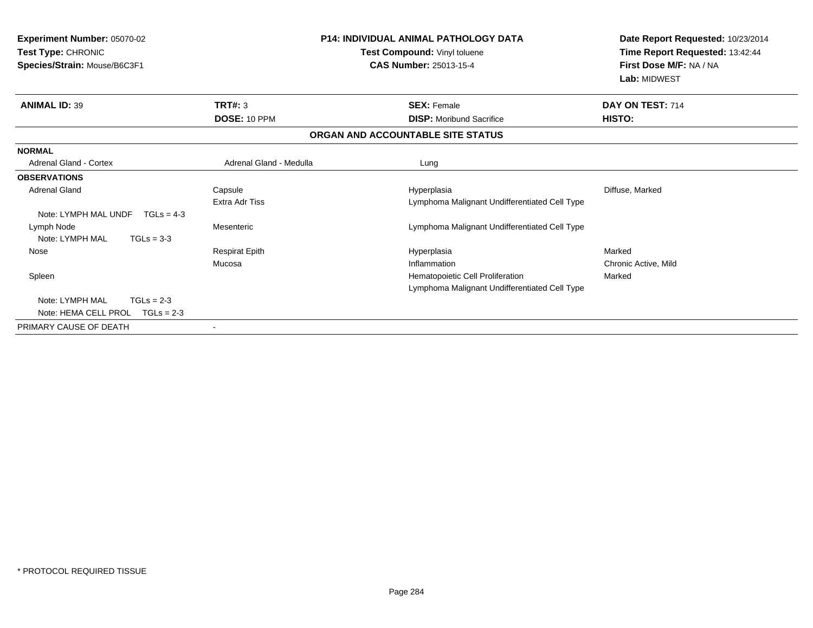| <b>Experiment Number: 05070-02</b><br>Test Type: CHRONIC<br>Species/Strain: Mouse/B6C3F1 |                         | <b>P14: INDIVIDUAL ANIMAL PATHOLOGY DATA</b><br>Test Compound: Vinyl toluene<br><b>CAS Number: 25013-15-4</b> | Date Report Requested: 10/23/2014<br>Time Report Requested: 13:42:44<br>First Dose M/F: NA / NA<br>Lab: MIDWEST |  |
|------------------------------------------------------------------------------------------|-------------------------|---------------------------------------------------------------------------------------------------------------|-----------------------------------------------------------------------------------------------------------------|--|
| <b>ANIMAL ID: 39</b>                                                                     | TRT#: 3                 | <b>SEX: Female</b>                                                                                            | DAY ON TEST: 714                                                                                                |  |
|                                                                                          | DOSE: 10 PPM            | <b>DISP:</b> Moribund Sacrifice                                                                               | HISTO:                                                                                                          |  |
|                                                                                          |                         | ORGAN AND ACCOUNTABLE SITE STATUS                                                                             |                                                                                                                 |  |
| <b>NORMAL</b>                                                                            |                         |                                                                                                               |                                                                                                                 |  |
| Adrenal Gland - Cortex                                                                   | Adrenal Gland - Medulla | Lung                                                                                                          |                                                                                                                 |  |
| <b>OBSERVATIONS</b>                                                                      |                         |                                                                                                               |                                                                                                                 |  |
| Adrenal Gland                                                                            | Capsule                 | Hyperplasia                                                                                                   | Diffuse, Marked                                                                                                 |  |
|                                                                                          | Extra Adr Tiss          | Lymphoma Malignant Undifferentiated Cell Type                                                                 |                                                                                                                 |  |
| Note: LYMPH MAL UNDF<br>$TGLs = 4-3$                                                     |                         |                                                                                                               |                                                                                                                 |  |
| Lymph Node                                                                               | Mesenteric              | Lymphoma Malignant Undifferentiated Cell Type                                                                 |                                                                                                                 |  |
| Note: LYMPH MAL<br>$TGLs = 3-3$                                                          |                         |                                                                                                               |                                                                                                                 |  |
| Nose                                                                                     | <b>Respirat Epith</b>   | Hyperplasia                                                                                                   | Marked                                                                                                          |  |
|                                                                                          | Mucosa                  | Inflammation                                                                                                  | Chronic Active, Mild                                                                                            |  |
| Spleen                                                                                   |                         | Hematopoietic Cell Proliferation                                                                              | Marked                                                                                                          |  |
|                                                                                          |                         | Lymphoma Malignant Undifferentiated Cell Type                                                                 |                                                                                                                 |  |
| Note: LYMPH MAL<br>$TGLs = 2-3$                                                          |                         |                                                                                                               |                                                                                                                 |  |
| $TGLs = 2-3$<br>Note: HEMA CELL PROL                                                     |                         |                                                                                                               |                                                                                                                 |  |
| PRIMARY CAUSE OF DEATH                                                                   | $\blacksquare$          |                                                                                                               |                                                                                                                 |  |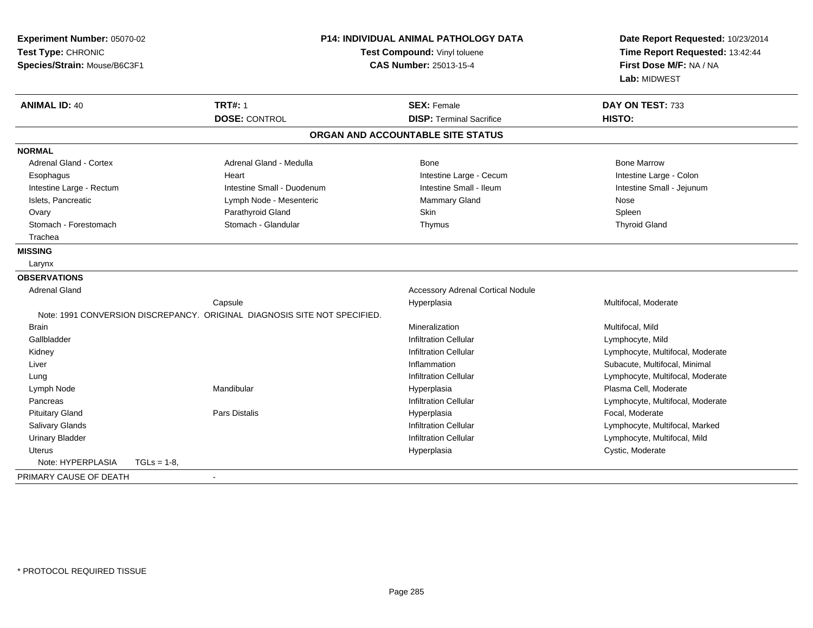| Experiment Number: 05070-02<br>Test Type: CHRONIC<br>Species/Strain: Mouse/B6C3F1 |                                                                           | <b>P14: INDIVIDUAL ANIMAL PATHOLOGY DATA</b><br>Test Compound: Vinyl toluene<br><b>CAS Number: 25013-15-4</b> |                                  |
|-----------------------------------------------------------------------------------|---------------------------------------------------------------------------|---------------------------------------------------------------------------------------------------------------|----------------------------------|
| <b>ANIMAL ID: 40</b>                                                              | <b>TRT#: 1</b>                                                            | <b>SEX: Female</b>                                                                                            | DAY ON TEST: 733                 |
|                                                                                   | <b>DOSE: CONTROL</b>                                                      | <b>DISP: Terminal Sacrifice</b>                                                                               | HISTO:                           |
|                                                                                   |                                                                           | ORGAN AND ACCOUNTABLE SITE STATUS                                                                             |                                  |
| <b>NORMAL</b>                                                                     |                                                                           |                                                                                                               |                                  |
| <b>Adrenal Gland - Cortex</b>                                                     | Adrenal Gland - Medulla                                                   | <b>Bone</b>                                                                                                   | <b>Bone Marrow</b>               |
| Esophagus                                                                         | Heart                                                                     | Intestine Large - Cecum                                                                                       | Intestine Large - Colon          |
| Intestine Large - Rectum                                                          | Intestine Small - Duodenum                                                | Intestine Small - Ileum                                                                                       | Intestine Small - Jejunum        |
| Islets, Pancreatic                                                                | Lymph Node - Mesenteric                                                   | Mammary Gland                                                                                                 | Nose                             |
| Ovary                                                                             | Parathyroid Gland                                                         | <b>Skin</b>                                                                                                   | Spleen                           |
| Stomach - Forestomach                                                             | Stomach - Glandular                                                       | Thymus                                                                                                        | <b>Thyroid Gland</b>             |
| Trachea                                                                           |                                                                           |                                                                                                               |                                  |
| <b>MISSING</b>                                                                    |                                                                           |                                                                                                               |                                  |
| Larynx                                                                            |                                                                           |                                                                                                               |                                  |
| <b>OBSERVATIONS</b>                                                               |                                                                           |                                                                                                               |                                  |
| <b>Adrenal Gland</b>                                                              |                                                                           | <b>Accessory Adrenal Cortical Nodule</b>                                                                      |                                  |
|                                                                                   | Capsule                                                                   | Hyperplasia                                                                                                   | Multifocal, Moderate             |
|                                                                                   | Note: 1991 CONVERSION DISCREPANCY. ORIGINAL DIAGNOSIS SITE NOT SPECIFIED. |                                                                                                               |                                  |
| <b>Brain</b>                                                                      |                                                                           | Mineralization                                                                                                | Multifocal, Mild                 |
| Gallbladder                                                                       |                                                                           | <b>Infiltration Cellular</b>                                                                                  | Lymphocyte, Mild                 |
| Kidney                                                                            |                                                                           | <b>Infiltration Cellular</b>                                                                                  | Lymphocyte, Multifocal, Moderate |
| Liver                                                                             |                                                                           | Inflammation                                                                                                  | Subacute, Multifocal, Minimal    |
| Lung                                                                              |                                                                           | <b>Infiltration Cellular</b>                                                                                  | Lymphocyte, Multifocal, Moderate |
| Lymph Node                                                                        | Mandibular                                                                | Hyperplasia                                                                                                   | Plasma Cell, Moderate            |
| Pancreas                                                                          |                                                                           | <b>Infiltration Cellular</b>                                                                                  | Lymphocyte, Multifocal, Moderate |
| <b>Pituitary Gland</b>                                                            | <b>Pars Distalis</b>                                                      | Hyperplasia                                                                                                   | Focal, Moderate                  |
| Salivary Glands                                                                   |                                                                           | <b>Infiltration Cellular</b>                                                                                  | Lymphocyte, Multifocal, Marked   |
| <b>Urinary Bladder</b>                                                            |                                                                           | <b>Infiltration Cellular</b>                                                                                  | Lymphocyte, Multifocal, Mild     |
| <b>Uterus</b>                                                                     |                                                                           | Hyperplasia                                                                                                   | Cystic, Moderate                 |
| Note: HYPERPLASIA<br>$TGLs = 1-8$                                                 |                                                                           |                                                                                                               |                                  |
| PRIMARY CAUSE OF DEATH                                                            | $\blacksquare$                                                            |                                                                                                               |                                  |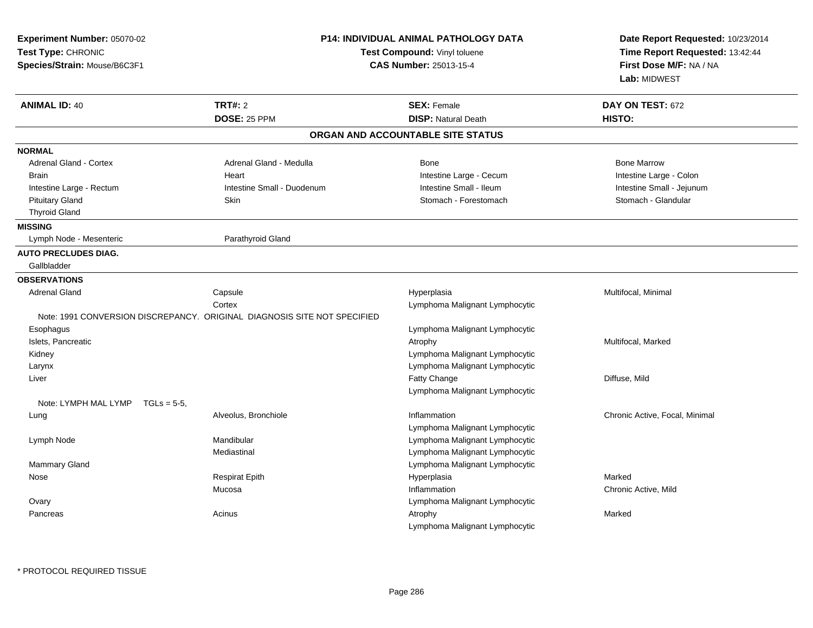| Experiment Number: 05070-02<br>Test Type: CHRONIC<br>Species/Strain: Mouse/B6C3F1 | <b>P14: INDIVIDUAL ANIMAL PATHOLOGY DATA</b><br>Test Compound: Vinyl toluene<br><b>CAS Number: 25013-15-4</b> |                                   | Date Report Requested: 10/23/2014<br>Time Report Requested: 13:42:44<br>First Dose M/F: NA / NA<br>Lab: MIDWEST |
|-----------------------------------------------------------------------------------|---------------------------------------------------------------------------------------------------------------|-----------------------------------|-----------------------------------------------------------------------------------------------------------------|
| <b>ANIMAL ID: 40</b>                                                              | <b>TRT#: 2</b>                                                                                                | <b>SEX: Female</b>                | DAY ON TEST: 672                                                                                                |
|                                                                                   | DOSE: 25 PPM                                                                                                  | <b>DISP: Natural Death</b>        | HISTO:                                                                                                          |
|                                                                                   |                                                                                                               | ORGAN AND ACCOUNTABLE SITE STATUS |                                                                                                                 |
| <b>NORMAL</b>                                                                     |                                                                                                               |                                   |                                                                                                                 |
| Adrenal Gland - Cortex                                                            | Adrenal Gland - Medulla                                                                                       | Bone                              | <b>Bone Marrow</b>                                                                                              |
| <b>Brain</b>                                                                      | Heart                                                                                                         | Intestine Large - Cecum           | Intestine Large - Colon                                                                                         |
| Intestine Large - Rectum                                                          | Intestine Small - Duodenum                                                                                    | Intestine Small - Ileum           | Intestine Small - Jejunum                                                                                       |
| <b>Pituitary Gland</b>                                                            | Skin                                                                                                          | Stomach - Forestomach             | Stomach - Glandular                                                                                             |
| <b>Thyroid Gland</b>                                                              |                                                                                                               |                                   |                                                                                                                 |
| <b>MISSING</b>                                                                    |                                                                                                               |                                   |                                                                                                                 |
| Lymph Node - Mesenteric                                                           | Parathyroid Gland                                                                                             |                                   |                                                                                                                 |
| <b>AUTO PRECLUDES DIAG.</b>                                                       |                                                                                                               |                                   |                                                                                                                 |
| Gallbladder                                                                       |                                                                                                               |                                   |                                                                                                                 |
| <b>OBSERVATIONS</b>                                                               |                                                                                                               |                                   |                                                                                                                 |
| <b>Adrenal Gland</b>                                                              | Capsule                                                                                                       | Hyperplasia                       | Multifocal, Minimal                                                                                             |
|                                                                                   | Cortex                                                                                                        | Lymphoma Malignant Lymphocytic    |                                                                                                                 |
|                                                                                   | Note: 1991 CONVERSION DISCREPANCY, ORIGINAL DIAGNOSIS SITE NOT SPECIFIED                                      |                                   |                                                                                                                 |
| Esophagus                                                                         |                                                                                                               | Lymphoma Malignant Lymphocytic    |                                                                                                                 |
| Islets, Pancreatic                                                                |                                                                                                               | Atrophy                           | Multifocal, Marked                                                                                              |
| Kidney                                                                            |                                                                                                               | Lymphoma Malignant Lymphocytic    |                                                                                                                 |
| Larynx                                                                            |                                                                                                               | Lymphoma Malignant Lymphocytic    |                                                                                                                 |
| Liver                                                                             |                                                                                                               | Fatty Change                      | Diffuse, Mild                                                                                                   |
|                                                                                   |                                                                                                               | Lymphoma Malignant Lymphocytic    |                                                                                                                 |
| Note: LYMPH MAL LYMP<br>$TGLs = 5-5$ ,                                            |                                                                                                               |                                   |                                                                                                                 |
| Lung                                                                              | Alveolus, Bronchiole                                                                                          | Inflammation                      | Chronic Active, Focal, Minimal                                                                                  |
|                                                                                   |                                                                                                               | Lymphoma Malignant Lymphocytic    |                                                                                                                 |
| Lymph Node                                                                        | Mandibular                                                                                                    | Lymphoma Malignant Lymphocytic    |                                                                                                                 |
|                                                                                   | Mediastinal                                                                                                   | Lymphoma Malignant Lymphocytic    |                                                                                                                 |
| <b>Mammary Gland</b>                                                              |                                                                                                               | Lymphoma Malignant Lymphocytic    |                                                                                                                 |
| Nose                                                                              | <b>Respirat Epith</b>                                                                                         | Hyperplasia                       | Marked                                                                                                          |
|                                                                                   | Mucosa                                                                                                        | Inflammation                      | Chronic Active, Mild                                                                                            |
| Ovary                                                                             |                                                                                                               | Lymphoma Malignant Lymphocytic    |                                                                                                                 |
| Pancreas                                                                          | Acinus                                                                                                        | Atrophy                           | Marked                                                                                                          |
|                                                                                   |                                                                                                               | Lymphoma Malignant Lymphocytic    |                                                                                                                 |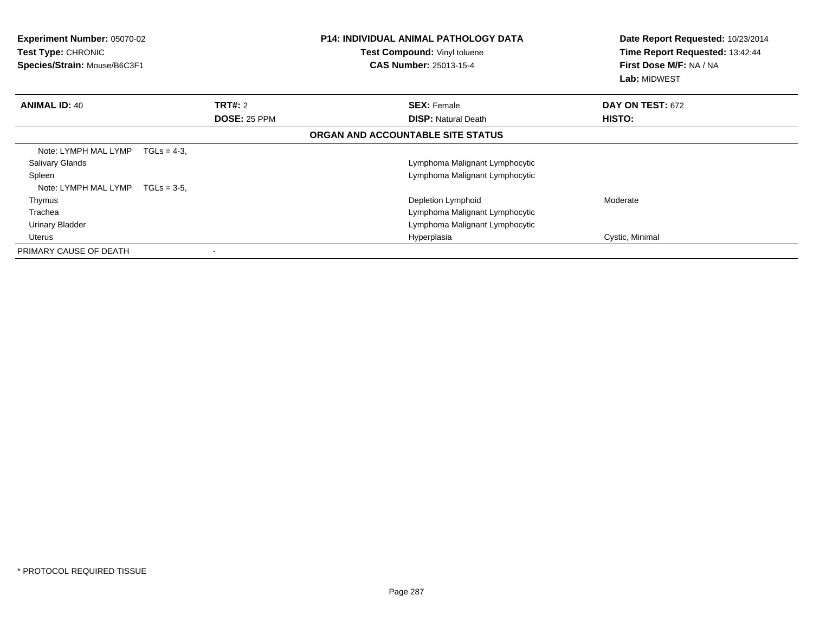| <b>Experiment Number: 05070-02</b><br><b>Test Type: CHRONIC</b><br>Species/Strain: Mouse/B6C3F1 |                     | <b>P14: INDIVIDUAL ANIMAL PATHOLOGY DATA</b><br>Test Compound: Vinyl toluene<br><b>CAS Number: 25013-15-4</b> | Date Report Requested: 10/23/2014<br>Time Report Requested: 13:42:44<br>First Dose M/F: NA / NA<br><b>Lab: MIDWEST</b> |
|-------------------------------------------------------------------------------------------------|---------------------|---------------------------------------------------------------------------------------------------------------|------------------------------------------------------------------------------------------------------------------------|
| <b>ANIMAL ID: 40</b>                                                                            | TRT#: 2             | <b>SEX: Female</b>                                                                                            | DAY ON TEST: 672                                                                                                       |
|                                                                                                 | <b>DOSE: 25 PPM</b> | <b>DISP:</b> Natural Death                                                                                    | HISTO:                                                                                                                 |
|                                                                                                 |                     | ORGAN AND ACCOUNTABLE SITE STATUS                                                                             |                                                                                                                        |
| Note: LYMPH MAL LYMP<br>$TGLs = 4-3.$                                                           |                     |                                                                                                               |                                                                                                                        |
| <b>Salivary Glands</b>                                                                          |                     | Lymphoma Malignant Lymphocytic                                                                                |                                                                                                                        |
| Spleen                                                                                          |                     | Lymphoma Malignant Lymphocytic                                                                                |                                                                                                                        |
| Note: LYMPH MAL LYMP<br>$TGLs = 3-5$                                                            |                     |                                                                                                               |                                                                                                                        |
| Thymus                                                                                          |                     | Depletion Lymphoid                                                                                            | Moderate                                                                                                               |
| Trachea                                                                                         |                     | Lymphoma Malignant Lymphocytic                                                                                |                                                                                                                        |
| <b>Urinary Bladder</b>                                                                          |                     | Lymphoma Malignant Lymphocytic                                                                                |                                                                                                                        |
| Uterus                                                                                          |                     | Hyperplasia                                                                                                   | Cystic, Minimal                                                                                                        |
| PRIMARY CAUSE OF DEATH                                                                          |                     |                                                                                                               |                                                                                                                        |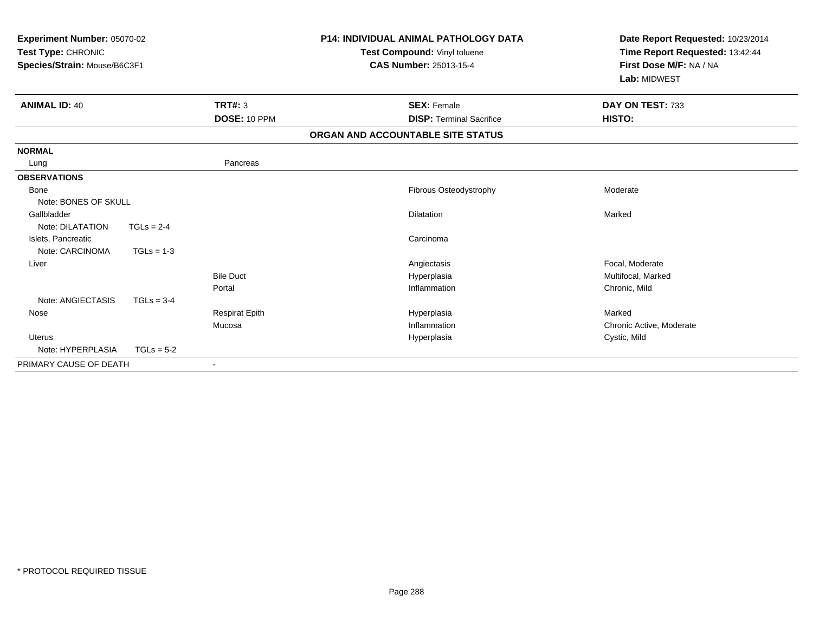| Experiment Number: 05070-02<br>Test Type: CHRONIC<br>Species/Strain: Mouse/B6C3F1 |              |                       | <b>P14: INDIVIDUAL ANIMAL PATHOLOGY DATA</b><br>Test Compound: Vinyl toluene<br><b>CAS Number: 25013-15-4</b> | Date Report Requested: 10/23/2014<br>Time Report Requested: 13:42:44<br>First Dose M/F: NA / NA<br>Lab: MIDWEST |
|-----------------------------------------------------------------------------------|--------------|-----------------------|---------------------------------------------------------------------------------------------------------------|-----------------------------------------------------------------------------------------------------------------|
| <b>ANIMAL ID: 40</b>                                                              |              | TRT#: 3               | <b>SEX: Female</b>                                                                                            | DAY ON TEST: 733                                                                                                |
|                                                                                   |              | DOSE: 10 PPM          | <b>DISP: Terminal Sacrifice</b>                                                                               | HISTO:                                                                                                          |
|                                                                                   |              |                       | ORGAN AND ACCOUNTABLE SITE STATUS                                                                             |                                                                                                                 |
| <b>NORMAL</b>                                                                     |              |                       |                                                                                                               |                                                                                                                 |
| Lung                                                                              |              | Pancreas              |                                                                                                               |                                                                                                                 |
| <b>OBSERVATIONS</b>                                                               |              |                       |                                                                                                               |                                                                                                                 |
| Bone                                                                              |              |                       | Fibrous Osteodystrophy                                                                                        | Moderate                                                                                                        |
| Note: BONES OF SKULL                                                              |              |                       |                                                                                                               |                                                                                                                 |
| Gallbladder                                                                       |              |                       | <b>Dilatation</b>                                                                                             | Marked                                                                                                          |
| Note: DILATATION                                                                  | $TGLs = 2-4$ |                       |                                                                                                               |                                                                                                                 |
| Islets, Pancreatic                                                                |              |                       | Carcinoma                                                                                                     |                                                                                                                 |
| Note: CARCINOMA                                                                   | $TGLs = 1-3$ |                       |                                                                                                               |                                                                                                                 |
| Liver                                                                             |              |                       | Angiectasis                                                                                                   | Focal, Moderate                                                                                                 |
|                                                                                   |              | <b>Bile Duct</b>      | Hyperplasia                                                                                                   | Multifocal, Marked                                                                                              |
|                                                                                   |              | Portal                | Inflammation                                                                                                  | Chronic, Mild                                                                                                   |
| Note: ANGIECTASIS                                                                 | $TGLs = 3-4$ |                       |                                                                                                               |                                                                                                                 |
| Nose                                                                              |              | <b>Respirat Epith</b> | Hyperplasia                                                                                                   | Marked                                                                                                          |
|                                                                                   |              | Mucosa                | Inflammation                                                                                                  | Chronic Active, Moderate                                                                                        |
| <b>Uterus</b>                                                                     |              |                       | Hyperplasia                                                                                                   | Cystic, Mild                                                                                                    |
| Note: HYPERPLASIA                                                                 | $TGLs = 5-2$ |                       |                                                                                                               |                                                                                                                 |
| PRIMARY CAUSE OF DEATH                                                            |              |                       |                                                                                                               |                                                                                                                 |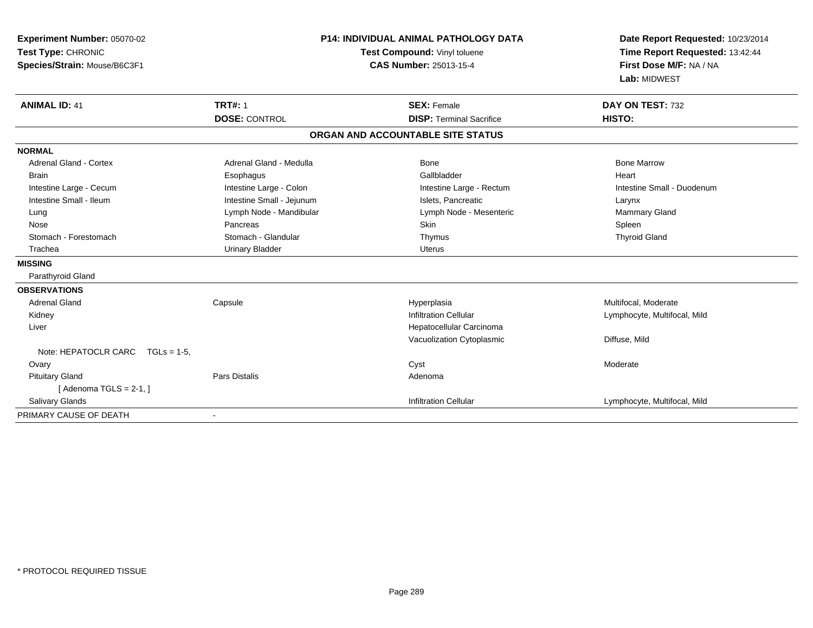| Experiment Number: 05070-02<br>Test Type: CHRONIC<br>Species/Strain: Mouse/B6C3F1<br><b>ANIMAL ID: 41</b> | <b>TRT#: 1</b><br><b>DOSE: CONTROL</b> | <b>P14: INDIVIDUAL ANIMAL PATHOLOGY DATA</b><br>Test Compound: Vinyl toluene<br><b>CAS Number: 25013-15-4</b><br><b>SEX: Female</b><br><b>DISP: Terminal Sacrifice</b> | Date Report Requested: 10/23/2014<br>Time Report Requested: 13:42:44<br>First Dose M/F: NA / NA<br>Lab: MIDWEST<br>DAY ON TEST: 732<br>HISTO: |
|-----------------------------------------------------------------------------------------------------------|----------------------------------------|------------------------------------------------------------------------------------------------------------------------------------------------------------------------|-----------------------------------------------------------------------------------------------------------------------------------------------|
|                                                                                                           |                                        |                                                                                                                                                                        |                                                                                                                                               |
|                                                                                                           |                                        | ORGAN AND ACCOUNTABLE SITE STATUS                                                                                                                                      |                                                                                                                                               |
| <b>NORMAL</b>                                                                                             |                                        |                                                                                                                                                                        |                                                                                                                                               |
| <b>Adrenal Gland - Cortex</b>                                                                             | Adrenal Gland - Medulla                | <b>Bone</b>                                                                                                                                                            | <b>Bone Marrow</b>                                                                                                                            |
| <b>Brain</b>                                                                                              | Esophagus                              | Gallbladder                                                                                                                                                            | Heart                                                                                                                                         |
| Intestine Large - Cecum                                                                                   | Intestine Large - Colon                | Intestine Large - Rectum                                                                                                                                               | Intestine Small - Duodenum                                                                                                                    |
| Intestine Small - Ileum                                                                                   | Intestine Small - Jejunum              | Islets, Pancreatic                                                                                                                                                     | Larynx                                                                                                                                        |
| Lung                                                                                                      | Lymph Node - Mandibular                | Lymph Node - Mesenteric                                                                                                                                                | <b>Mammary Gland</b>                                                                                                                          |
| Nose                                                                                                      | Pancreas                               | <b>Skin</b>                                                                                                                                                            | Spleen                                                                                                                                        |
| Stomach - Forestomach                                                                                     | Stomach - Glandular                    | Thymus                                                                                                                                                                 | <b>Thyroid Gland</b>                                                                                                                          |
| Trachea                                                                                                   | <b>Urinary Bladder</b>                 | <b>Uterus</b>                                                                                                                                                          |                                                                                                                                               |
| <b>MISSING</b>                                                                                            |                                        |                                                                                                                                                                        |                                                                                                                                               |
| Parathyroid Gland                                                                                         |                                        |                                                                                                                                                                        |                                                                                                                                               |
| <b>OBSERVATIONS</b>                                                                                       |                                        |                                                                                                                                                                        |                                                                                                                                               |
| <b>Adrenal Gland</b>                                                                                      | Capsule                                | Hyperplasia                                                                                                                                                            | Multifocal, Moderate                                                                                                                          |
| Kidney                                                                                                    |                                        | <b>Infiltration Cellular</b>                                                                                                                                           | Lymphocyte, Multifocal, Mild                                                                                                                  |
| Liver                                                                                                     |                                        | Hepatocellular Carcinoma                                                                                                                                               |                                                                                                                                               |
|                                                                                                           |                                        | Vacuolization Cytoplasmic                                                                                                                                              | Diffuse, Mild                                                                                                                                 |
| Note: HEPATOCLR CARC TGLs = 1-5,                                                                          |                                        |                                                                                                                                                                        |                                                                                                                                               |
| Ovary                                                                                                     |                                        | Cyst                                                                                                                                                                   | Moderate                                                                                                                                      |
| <b>Pituitary Gland</b>                                                                                    | Pars Distalis                          | Adenoma                                                                                                                                                                |                                                                                                                                               |
| [Adenoma TGLS = $2-1$ , ]                                                                                 |                                        |                                                                                                                                                                        |                                                                                                                                               |
| Salivary Glands                                                                                           |                                        | <b>Infiltration Cellular</b>                                                                                                                                           | Lymphocyte, Multifocal, Mild                                                                                                                  |
| PRIMARY CAUSE OF DEATH                                                                                    |                                        |                                                                                                                                                                        |                                                                                                                                               |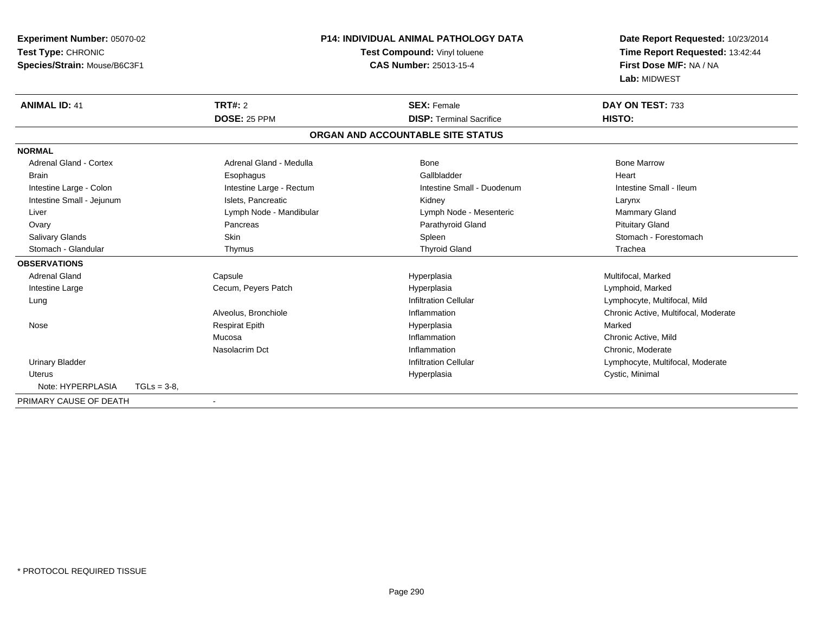| Experiment Number: 05070-02   |              | <b>P14: INDIVIDUAL ANIMAL PATHOLOGY DATA</b> |                                   | Date Report Requested: 10/23/2014    |
|-------------------------------|--------------|----------------------------------------------|-----------------------------------|--------------------------------------|
| Test Type: CHRONIC            |              | Test Compound: Vinyl toluene                 |                                   | Time Report Requested: 13:42:44      |
| Species/Strain: Mouse/B6C3F1  |              |                                              | CAS Number: 25013-15-4            | First Dose M/F: NA / NA              |
|                               |              |                                              |                                   | Lab: MIDWEST                         |
| <b>ANIMAL ID: 41</b>          |              | TRT#: 2                                      | <b>SEX: Female</b>                | DAY ON TEST: 733                     |
|                               |              | DOSE: 25 PPM                                 | <b>DISP: Terminal Sacrifice</b>   | HISTO:                               |
|                               |              |                                              | ORGAN AND ACCOUNTABLE SITE STATUS |                                      |
| <b>NORMAL</b>                 |              |                                              |                                   |                                      |
| <b>Adrenal Gland - Cortex</b> |              | Adrenal Gland - Medulla                      | <b>Bone</b>                       | <b>Bone Marrow</b>                   |
| Brain                         |              | Esophagus                                    | Gallbladder                       | Heart                                |
| Intestine Large - Colon       |              | Intestine Large - Rectum                     | Intestine Small - Duodenum        | Intestine Small - Ileum              |
| Intestine Small - Jejunum     |              | Islets. Pancreatic                           | Kidney                            | Larynx                               |
| Liver                         |              | Lymph Node - Mandibular                      | Lymph Node - Mesenteric           | Mammary Gland                        |
| Ovary                         |              | Pancreas                                     | Parathyroid Gland                 | <b>Pituitary Gland</b>               |
| <b>Salivary Glands</b>        |              | Skin                                         | Spleen                            | Stomach - Forestomach                |
| Stomach - Glandular           |              | Thymus                                       | <b>Thyroid Gland</b>              | Trachea                              |
| <b>OBSERVATIONS</b>           |              |                                              |                                   |                                      |
| <b>Adrenal Gland</b>          |              | Capsule                                      | Hyperplasia                       | Multifocal, Marked                   |
| Intestine Large               |              | Cecum, Peyers Patch                          | Hyperplasia                       | Lymphoid, Marked                     |
| Lung                          |              |                                              | <b>Infiltration Cellular</b>      | Lymphocyte, Multifocal, Mild         |
|                               |              | Alveolus, Bronchiole                         | Inflammation                      | Chronic Active, Multifocal, Moderate |
| Nose                          |              | <b>Respirat Epith</b>                        | Hyperplasia                       | Marked                               |
|                               |              | Mucosa                                       | Inflammation                      | Chronic Active, Mild                 |
|                               |              | Nasolacrim Dct                               | Inflammation                      | Chronic, Moderate                    |
| <b>Urinary Bladder</b>        |              |                                              | <b>Infiltration Cellular</b>      | Lymphocyte, Multifocal, Moderate     |
| Uterus                        |              |                                              | Hyperplasia                       | Cystic, Minimal                      |
| Note: HYPERPLASIA             | $TGLs = 3-8$ |                                              |                                   |                                      |
| PRIMARY CAUSE OF DEATH        |              | $\blacksquare$                               |                                   |                                      |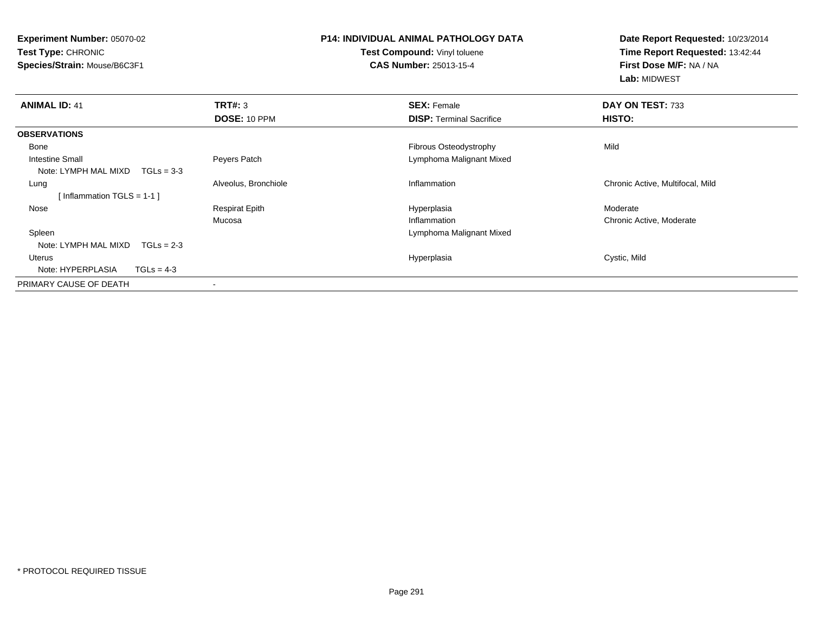| <b>Experiment Number: 05070-02</b>   |                       | <b>P14: INDIVIDUAL ANIMAL PATHOLOGY DATA</b> | Date Report Requested: 10/23/2014 |  |
|--------------------------------------|-----------------------|----------------------------------------------|-----------------------------------|--|
| Test Type: CHRONIC                   |                       | Test Compound: Vinyl toluene                 | Time Report Requested: 13:42:44   |  |
| Species/Strain: Mouse/B6C3F1         |                       | <b>CAS Number: 25013-15-4</b>                | First Dose M/F: NA / NA           |  |
|                                      |                       |                                              | Lab: MIDWEST                      |  |
| <b>ANIMAL ID: 41</b>                 | <b>TRT#: 3</b>        | <b>SEX: Female</b>                           | DAY ON TEST: 733                  |  |
|                                      | DOSE: 10 PPM          | <b>DISP:</b> Terminal Sacrifice              | HISTO:                            |  |
| <b>OBSERVATIONS</b>                  |                       |                                              |                                   |  |
| Bone                                 |                       | Fibrous Osteodystrophy                       | Mild                              |  |
| <b>Intestine Small</b>               | Peyers Patch          | Lymphoma Malignant Mixed                     |                                   |  |
| Note: LYMPH MAL MIXD<br>$TGLs = 3-3$ |                       |                                              |                                   |  |
| Lung                                 | Alveolus, Bronchiole  | Inflammation                                 | Chronic Active, Multifocal, Mild  |  |
| [Inflammation TGLS = $1-1$ ]         |                       |                                              |                                   |  |
| Nose                                 | <b>Respirat Epith</b> | Hyperplasia                                  | Moderate                          |  |
|                                      | Mucosa                | Inflammation                                 | Chronic Active, Moderate          |  |
| Spleen                               |                       | Lymphoma Malignant Mixed                     |                                   |  |
| Note: LYMPH MAL MIXD<br>$TGLs = 2-3$ |                       |                                              |                                   |  |
| <b>Uterus</b>                        |                       | Hyperplasia                                  | Cystic, Mild                      |  |
| Note: HYPERPLASIA<br>$TGLs = 4-3$    |                       |                                              |                                   |  |
| PRIMARY CAUSE OF DEATH               |                       |                                              |                                   |  |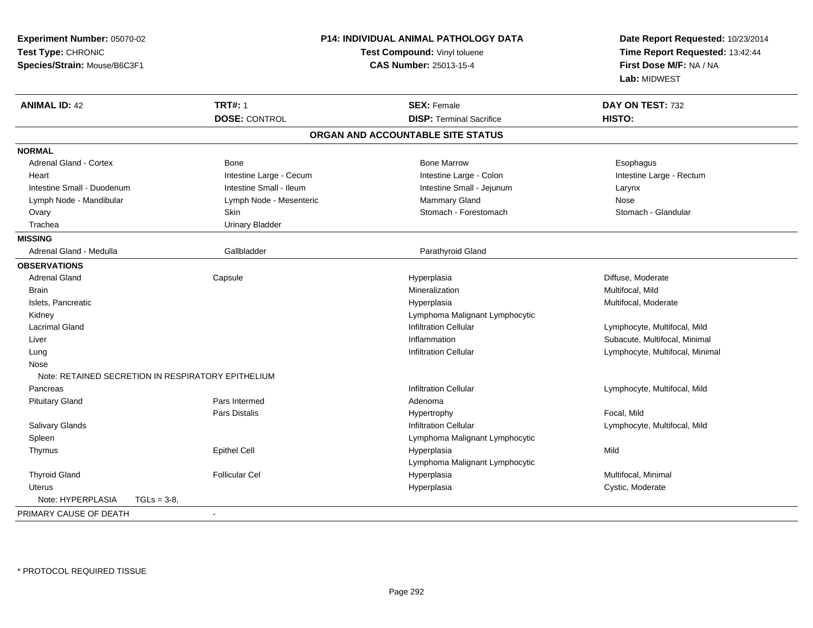| Experiment Number: 05070-02<br>Test Type: CHRONIC<br>Species/Strain: Mouse/B6C3F1 | <b>P14: INDIVIDUAL ANIMAL PATHOLOGY DATA</b><br>Test Compound: Vinyl toluene<br><b>CAS Number: 25013-15-4</b> |                                   | Date Report Requested: 10/23/2014<br>Time Report Requested: 13:42:44<br>First Dose M/F: NA / NA<br>Lab: MIDWEST |  |
|-----------------------------------------------------------------------------------|---------------------------------------------------------------------------------------------------------------|-----------------------------------|-----------------------------------------------------------------------------------------------------------------|--|
| <b>ANIMAL ID: 42</b>                                                              | <b>TRT#: 1</b>                                                                                                | <b>SEX: Female</b>                | DAY ON TEST: 732                                                                                                |  |
|                                                                                   | <b>DOSE: CONTROL</b>                                                                                          | <b>DISP: Terminal Sacrifice</b>   | HISTO:                                                                                                          |  |
|                                                                                   |                                                                                                               | ORGAN AND ACCOUNTABLE SITE STATUS |                                                                                                                 |  |
| <b>NORMAL</b>                                                                     |                                                                                                               |                                   |                                                                                                                 |  |
| <b>Adrenal Gland - Cortex</b>                                                     | <b>Bone</b>                                                                                                   | <b>Bone Marrow</b>                | Esophagus                                                                                                       |  |
| Heart                                                                             | Intestine Large - Cecum                                                                                       | Intestine Large - Colon           | Intestine Large - Rectum                                                                                        |  |
| Intestine Small - Duodenum                                                        | Intestine Small - Ileum                                                                                       | Intestine Small - Jejunum         | Larynx                                                                                                          |  |
| Lymph Node - Mandibular                                                           | Lymph Node - Mesenteric                                                                                       | Mammary Gland                     | Nose                                                                                                            |  |
| Ovary                                                                             | Skin                                                                                                          | Stomach - Forestomach             | Stomach - Glandular                                                                                             |  |
| Trachea                                                                           | <b>Urinary Bladder</b>                                                                                        |                                   |                                                                                                                 |  |
| <b>MISSING</b>                                                                    |                                                                                                               |                                   |                                                                                                                 |  |
| Adrenal Gland - Medulla                                                           | Gallbladder                                                                                                   | Parathyroid Gland                 |                                                                                                                 |  |
| <b>OBSERVATIONS</b>                                                               |                                                                                                               |                                   |                                                                                                                 |  |
| <b>Adrenal Gland</b>                                                              | Capsule                                                                                                       | Hyperplasia                       | Diffuse, Moderate                                                                                               |  |
| Brain                                                                             |                                                                                                               | Mineralization                    | Multifocal, Mild                                                                                                |  |
| Islets, Pancreatic                                                                |                                                                                                               | Hyperplasia                       | Multifocal, Moderate                                                                                            |  |
| Kidney                                                                            |                                                                                                               | Lymphoma Malignant Lymphocytic    |                                                                                                                 |  |
| <b>Lacrimal Gland</b>                                                             |                                                                                                               | <b>Infiltration Cellular</b>      | Lymphocyte, Multifocal, Mild                                                                                    |  |
| Liver                                                                             |                                                                                                               | Inflammation                      | Subacute, Multifocal, Minimal                                                                                   |  |
| Lung                                                                              |                                                                                                               | <b>Infiltration Cellular</b>      | Lymphocyte, Multifocal, Minimal                                                                                 |  |
| Nose                                                                              |                                                                                                               |                                   |                                                                                                                 |  |
|                                                                                   | Note: RETAINED SECRETION IN RESPIRATORY EPITHELIUM                                                            |                                   |                                                                                                                 |  |
| Pancreas                                                                          |                                                                                                               | <b>Infiltration Cellular</b>      | Lymphocyte, Multifocal, Mild                                                                                    |  |
| <b>Pituitary Gland</b>                                                            | Pars Intermed                                                                                                 | Adenoma                           |                                                                                                                 |  |
|                                                                                   | Pars Distalis                                                                                                 | Hypertrophy                       | Focal, Mild                                                                                                     |  |
| Salivary Glands                                                                   |                                                                                                               | <b>Infiltration Cellular</b>      | Lymphocyte, Multifocal, Mild                                                                                    |  |
| Spleen                                                                            |                                                                                                               | Lymphoma Malignant Lymphocytic    |                                                                                                                 |  |
| Thymus                                                                            | <b>Epithel Cell</b>                                                                                           | Hyperplasia                       | Mild                                                                                                            |  |
|                                                                                   |                                                                                                               | Lymphoma Malignant Lymphocytic    |                                                                                                                 |  |
| <b>Thyroid Gland</b>                                                              | <b>Follicular Cel</b>                                                                                         | Hyperplasia                       | Multifocal, Minimal                                                                                             |  |
| Uterus                                                                            |                                                                                                               | Hyperplasia                       | Cystic, Moderate                                                                                                |  |
| Note: HYPERPLASIA                                                                 | $TGLs = 3-8$                                                                                                  |                                   |                                                                                                                 |  |
| PRIMARY CAUSE OF DEATH                                                            | $\sim$                                                                                                        |                                   |                                                                                                                 |  |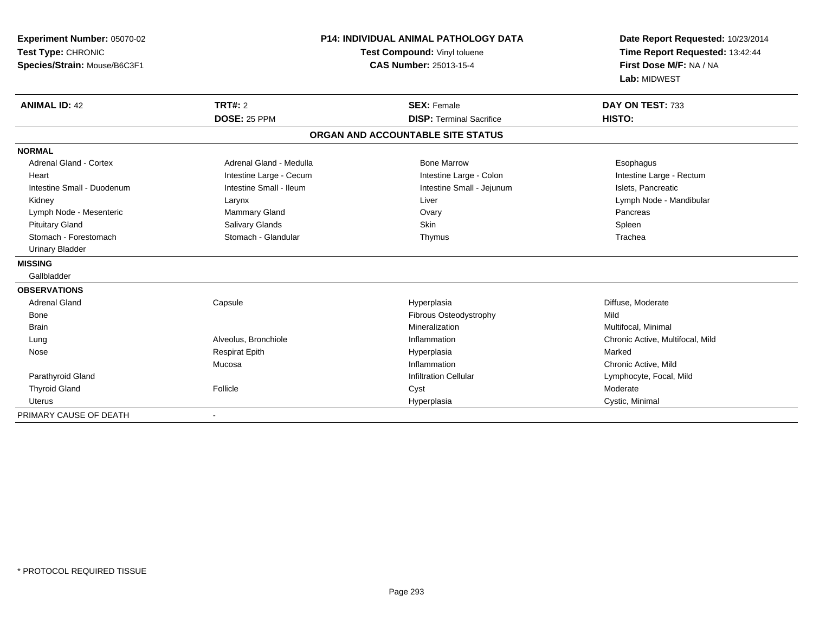| Experiment Number: 05070-02   | <b>P14: INDIVIDUAL ANIMAL PATHOLOGY DATA</b> |                                   | Date Report Requested: 10/23/2014                          |  |
|-------------------------------|----------------------------------------------|-----------------------------------|------------------------------------------------------------|--|
| Test Type: CHRONIC            |                                              | Test Compound: Vinyl toluene      | Time Report Requested: 13:42:44<br>First Dose M/F: NA / NA |  |
| Species/Strain: Mouse/B6C3F1  |                                              | <b>CAS Number: 25013-15-4</b>     |                                                            |  |
|                               |                                              |                                   | Lab: MIDWEST                                               |  |
| <b>ANIMAL ID: 42</b>          | <b>TRT#: 2</b>                               | <b>SEX: Female</b>                | DAY ON TEST: 733                                           |  |
|                               | <b>DOSE: 25 PPM</b>                          | <b>DISP: Terminal Sacrifice</b>   | HISTO:                                                     |  |
|                               |                                              | ORGAN AND ACCOUNTABLE SITE STATUS |                                                            |  |
| <b>NORMAL</b>                 |                                              |                                   |                                                            |  |
| <b>Adrenal Gland - Cortex</b> | Adrenal Gland - Medulla                      | <b>Bone Marrow</b>                | Esophagus                                                  |  |
| Heart                         | Intestine Large - Cecum                      | Intestine Large - Colon           | Intestine Large - Rectum                                   |  |
| Intestine Small - Duodenum    | Intestine Small - Ileum                      | Intestine Small - Jejunum         | Islets, Pancreatic                                         |  |
| Kidney                        | Larynx                                       | Liver                             | Lymph Node - Mandibular                                    |  |
| Lymph Node - Mesenteric       | <b>Mammary Gland</b>                         | Ovary                             | Pancreas                                                   |  |
| <b>Pituitary Gland</b>        | <b>Salivary Glands</b>                       | Skin                              | Spleen                                                     |  |
| Stomach - Forestomach         | Stomach - Glandular                          | Thymus                            | Trachea                                                    |  |
| <b>Urinary Bladder</b>        |                                              |                                   |                                                            |  |
| <b>MISSING</b>                |                                              |                                   |                                                            |  |
| Gallbladder                   |                                              |                                   |                                                            |  |
| <b>OBSERVATIONS</b>           |                                              |                                   |                                                            |  |
| <b>Adrenal Gland</b>          | Capsule                                      | Hyperplasia                       | Diffuse, Moderate                                          |  |
| Bone                          |                                              | Fibrous Osteodystrophy            | Mild                                                       |  |
| <b>Brain</b>                  |                                              | Mineralization                    | Multifocal, Minimal                                        |  |
| Lung                          | Alveolus, Bronchiole                         | Inflammation                      | Chronic Active, Multifocal, Mild                           |  |
| Nose                          | <b>Respirat Epith</b>                        | Hyperplasia                       | Marked                                                     |  |
|                               | Mucosa                                       | Inflammation                      | Chronic Active, Mild                                       |  |
| Parathyroid Gland             |                                              | <b>Infiltration Cellular</b>      | Lymphocyte, Focal, Mild                                    |  |
| <b>Thyroid Gland</b>          | Follicle                                     | Cyst                              | Moderate                                                   |  |
| <b>Uterus</b>                 |                                              | Hyperplasia                       | Cystic, Minimal                                            |  |
| PRIMARY CAUSE OF DEATH        | $\blacksquare$                               |                                   |                                                            |  |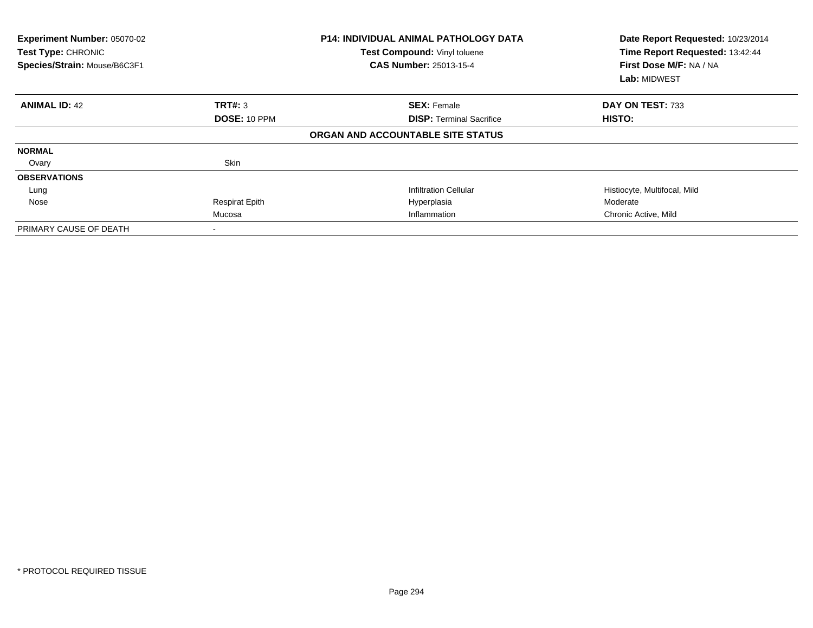| Experiment Number: 05070-02<br>Test Type: CHRONIC<br>Species/Strain: Mouse/B6C3F1 |                       | <b>P14: INDIVIDUAL ANIMAL PATHOLOGY DATA</b><br>Test Compound: Vinyl toluene<br><b>CAS Number: 25013-15-4</b> | Date Report Requested: 10/23/2014<br>Time Report Requested: 13:42:44<br>First Dose M/F: NA / NA<br>Lab: MIDWEST |  |
|-----------------------------------------------------------------------------------|-----------------------|---------------------------------------------------------------------------------------------------------------|-----------------------------------------------------------------------------------------------------------------|--|
| <b>ANIMAL ID: 42</b>                                                              | TRT#: 3               | <b>SEX: Female</b>                                                                                            | DAY ON TEST: 733                                                                                                |  |
|                                                                                   | <b>DOSE: 10 PPM</b>   | <b>DISP: Terminal Sacrifice</b>                                                                               | HISTO:                                                                                                          |  |
|                                                                                   |                       | ORGAN AND ACCOUNTABLE SITE STATUS                                                                             |                                                                                                                 |  |
| <b>NORMAL</b>                                                                     |                       |                                                                                                               |                                                                                                                 |  |
| Ovary                                                                             | Skin                  |                                                                                                               |                                                                                                                 |  |
| <b>OBSERVATIONS</b>                                                               |                       |                                                                                                               |                                                                                                                 |  |
| Lung                                                                              |                       | <b>Infiltration Cellular</b>                                                                                  | Histiocyte, Multifocal, Mild                                                                                    |  |
| Nose                                                                              | <b>Respirat Epith</b> | Hyperplasia                                                                                                   | Moderate                                                                                                        |  |
|                                                                                   | Mucosa                | Inflammation                                                                                                  | Chronic Active, Mild                                                                                            |  |
| PRIMARY CAUSE OF DEATH                                                            |                       |                                                                                                               |                                                                                                                 |  |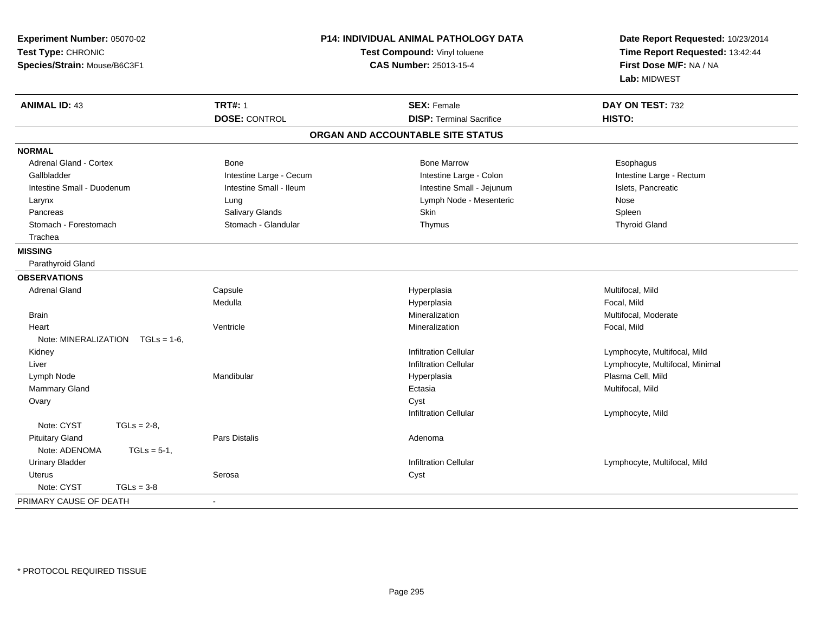| Experiment Number: 05070-02<br>Test Type: CHRONIC<br>Species/Strain: Mouse/B6C3F1 |                         | P14: INDIVIDUAL ANIMAL PATHOLOGY DATA<br>Test Compound: Vinyl toluene<br>CAS Number: 25013-15-4 | Date Report Requested: 10/23/2014<br>Time Report Requested: 13:42:44<br>First Dose M/F: NA / NA<br>Lab: MIDWEST |  |
|-----------------------------------------------------------------------------------|-------------------------|-------------------------------------------------------------------------------------------------|-----------------------------------------------------------------------------------------------------------------|--|
| <b>ANIMAL ID: 43</b>                                                              | <b>TRT#: 1</b>          | <b>SEX: Female</b>                                                                              | DAY ON TEST: 732                                                                                                |  |
|                                                                                   | <b>DOSE: CONTROL</b>    | <b>DISP: Terminal Sacrifice</b>                                                                 | HISTO:                                                                                                          |  |
|                                                                                   |                         | ORGAN AND ACCOUNTABLE SITE STATUS                                                               |                                                                                                                 |  |
| <b>NORMAL</b>                                                                     |                         |                                                                                                 |                                                                                                                 |  |
| <b>Adrenal Gland - Cortex</b>                                                     | Bone                    | <b>Bone Marrow</b>                                                                              | Esophagus                                                                                                       |  |
| Gallbladder                                                                       | Intestine Large - Cecum | Intestine Large - Colon                                                                         | Intestine Large - Rectum                                                                                        |  |
| Intestine Small - Duodenum                                                        | Intestine Small - Ileum | Intestine Small - Jejunum                                                                       | Islets, Pancreatic                                                                                              |  |
| Larynx                                                                            | Lung                    | Lymph Node - Mesenteric                                                                         | Nose                                                                                                            |  |
| Pancreas                                                                          | Salivary Glands         | Skin                                                                                            | Spleen                                                                                                          |  |
| Stomach - Forestomach                                                             | Stomach - Glandular     | Thymus                                                                                          | <b>Thyroid Gland</b>                                                                                            |  |
| Trachea                                                                           |                         |                                                                                                 |                                                                                                                 |  |
| <b>MISSING</b>                                                                    |                         |                                                                                                 |                                                                                                                 |  |
| Parathyroid Gland                                                                 |                         |                                                                                                 |                                                                                                                 |  |
| <b>OBSERVATIONS</b>                                                               |                         |                                                                                                 |                                                                                                                 |  |
| <b>Adrenal Gland</b>                                                              | Capsule                 | Hyperplasia                                                                                     | Multifocal, Mild                                                                                                |  |
|                                                                                   | Medulla                 | Hyperplasia                                                                                     | Focal, Mild                                                                                                     |  |
| <b>Brain</b>                                                                      |                         | Mineralization                                                                                  | Multifocal, Moderate                                                                                            |  |
| Heart                                                                             | Ventricle               | Mineralization                                                                                  | Focal, Mild                                                                                                     |  |
| Note: MINERALIZATION<br>$TGLs = 1-6$                                              |                         |                                                                                                 |                                                                                                                 |  |
| Kidney                                                                            |                         | <b>Infiltration Cellular</b>                                                                    | Lymphocyte, Multifocal, Mild                                                                                    |  |
| Liver                                                                             |                         | <b>Infiltration Cellular</b>                                                                    | Lymphocyte, Multifocal, Minimal                                                                                 |  |
| Lymph Node                                                                        | Mandibular              | Hyperplasia                                                                                     | Plasma Cell, Mild                                                                                               |  |
| Mammary Gland                                                                     |                         | Ectasia                                                                                         | Multifocal, Mild                                                                                                |  |
| Ovary                                                                             |                         | Cyst                                                                                            |                                                                                                                 |  |
|                                                                                   |                         | <b>Infiltration Cellular</b>                                                                    | Lymphocyte, Mild                                                                                                |  |
| Note: CYST<br>$TGLs = 2-8$ ,                                                      |                         |                                                                                                 |                                                                                                                 |  |
| <b>Pituitary Gland</b>                                                            | <b>Pars Distalis</b>    | Adenoma                                                                                         |                                                                                                                 |  |
| Note: ADENOMA<br>$TGLs = 5-1$ ,                                                   |                         |                                                                                                 |                                                                                                                 |  |
| <b>Urinary Bladder</b>                                                            |                         | <b>Infiltration Cellular</b>                                                                    | Lymphocyte, Multifocal, Mild                                                                                    |  |
| <b>Uterus</b>                                                                     | Serosa                  | Cyst                                                                                            |                                                                                                                 |  |
| Note: CYST<br>$TGLs = 3-8$                                                        |                         |                                                                                                 |                                                                                                                 |  |
| PRIMARY CAUSE OF DEATH                                                            | $\blacksquare$          |                                                                                                 |                                                                                                                 |  |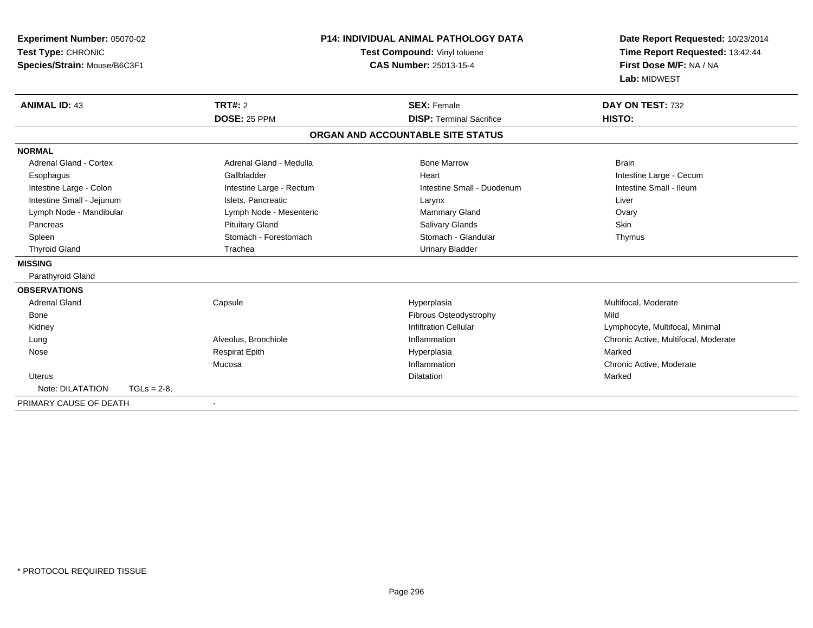| Experiment Number: 05070-02<br>Test Type: CHRONIC<br>Species/Strain: Mouse/B6C3F1<br><b>ANIMAL ID: 43</b> |              | TRT#: 2                  | <b>P14: INDIVIDUAL ANIMAL PATHOLOGY DATA</b><br>Test Compound: Vinyl toluene<br><b>CAS Number: 25013-15-4</b><br><b>SEX: Female</b> |                                   | Date Report Requested: 10/23/2014<br>Time Report Requested: 13:42:44<br>First Dose M/F: NA / NA<br>Lab: MIDWEST<br>DAY ON TEST: 732 |
|-----------------------------------------------------------------------------------------------------------|--------------|--------------------------|-------------------------------------------------------------------------------------------------------------------------------------|-----------------------------------|-------------------------------------------------------------------------------------------------------------------------------------|
|                                                                                                           |              | DOSE: 25 PPM             |                                                                                                                                     | <b>DISP: Terminal Sacrifice</b>   | HISTO:                                                                                                                              |
|                                                                                                           |              |                          |                                                                                                                                     | ORGAN AND ACCOUNTABLE SITE STATUS |                                                                                                                                     |
| <b>NORMAL</b>                                                                                             |              |                          |                                                                                                                                     |                                   |                                                                                                                                     |
| <b>Adrenal Gland - Cortex</b>                                                                             |              | Adrenal Gland - Medulla  |                                                                                                                                     | <b>Bone Marrow</b>                | <b>Brain</b>                                                                                                                        |
| Esophagus                                                                                                 |              | Gallbladder              |                                                                                                                                     | Heart                             | Intestine Large - Cecum                                                                                                             |
| Intestine Large - Colon                                                                                   |              | Intestine Large - Rectum |                                                                                                                                     | Intestine Small - Duodenum        | Intestine Small - Ileum                                                                                                             |
| Intestine Small - Jejunum                                                                                 |              | Islets, Pancreatic       |                                                                                                                                     | Larynx                            | Liver                                                                                                                               |
| Lymph Node - Mandibular                                                                                   |              | Lymph Node - Mesenteric  |                                                                                                                                     | Mammary Gland                     | Ovary                                                                                                                               |
| Pancreas                                                                                                  |              | <b>Pituitary Gland</b>   |                                                                                                                                     | <b>Salivary Glands</b>            | Skin                                                                                                                                |
| Spleen                                                                                                    |              | Stomach - Forestomach    |                                                                                                                                     | Stomach - Glandular               | Thymus                                                                                                                              |
| <b>Thyroid Gland</b>                                                                                      |              | Trachea                  |                                                                                                                                     | <b>Urinary Bladder</b>            |                                                                                                                                     |
| <b>MISSING</b>                                                                                            |              |                          |                                                                                                                                     |                                   |                                                                                                                                     |
| Parathyroid Gland                                                                                         |              |                          |                                                                                                                                     |                                   |                                                                                                                                     |
| <b>OBSERVATIONS</b>                                                                                       |              |                          |                                                                                                                                     |                                   |                                                                                                                                     |
| <b>Adrenal Gland</b>                                                                                      |              | Capsule                  |                                                                                                                                     | Hyperplasia                       | Multifocal, Moderate                                                                                                                |
| Bone                                                                                                      |              |                          |                                                                                                                                     | Fibrous Osteodystrophy            | Mild                                                                                                                                |
| Kidney                                                                                                    |              |                          |                                                                                                                                     | <b>Infiltration Cellular</b>      | Lymphocyte, Multifocal, Minimal                                                                                                     |
| Lung                                                                                                      |              | Alveolus, Bronchiole     |                                                                                                                                     | Inflammation                      | Chronic Active, Multifocal, Moderate                                                                                                |
| Nose                                                                                                      |              | <b>Respirat Epith</b>    |                                                                                                                                     | Hyperplasia                       | Marked                                                                                                                              |
|                                                                                                           |              | Mucosa                   |                                                                                                                                     | Inflammation                      | Chronic Active, Moderate                                                                                                            |
| Uterus                                                                                                    |              |                          |                                                                                                                                     | Dilatation                        | Marked                                                                                                                              |
| Note: DILATATION                                                                                          | $TGLs = 2-8$ |                          |                                                                                                                                     |                                   |                                                                                                                                     |
| PRIMARY CAUSE OF DEATH                                                                                    |              | $\blacksquare$           |                                                                                                                                     |                                   |                                                                                                                                     |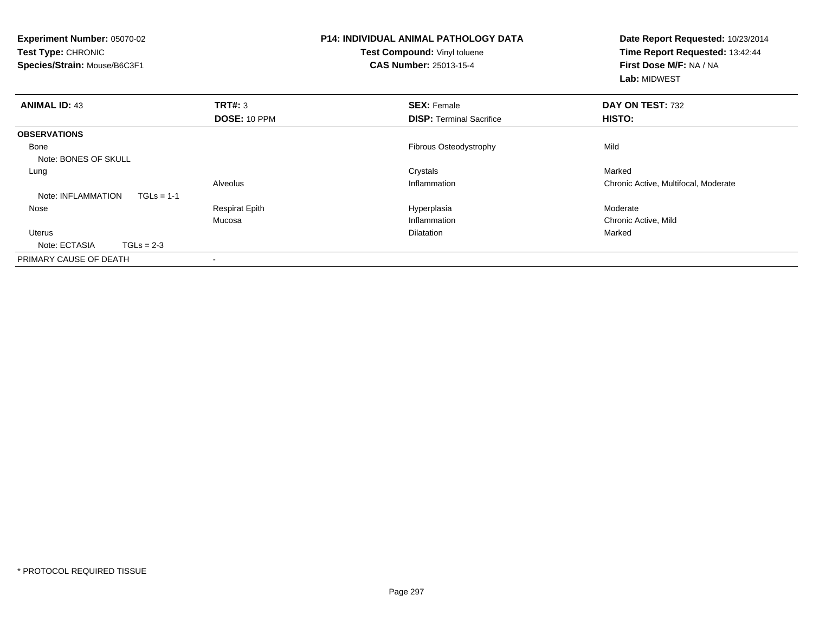| <b>Experiment Number: 05070-02</b><br><b>Test Type: CHRONIC</b><br>Species/Strain: Mouse/B6C3F1 |                       | <b>P14: INDIVIDUAL ANIMAL PATHOLOGY DATA</b><br><b>Test Compound: Vinyl toluene</b><br><b>CAS Number: 25013-15-4</b> | Date Report Requested: 10/23/2014<br>Time Report Requested: 13:42:44<br>First Dose M/F: NA / NA<br>Lab: MIDWEST |
|-------------------------------------------------------------------------------------------------|-----------------------|----------------------------------------------------------------------------------------------------------------------|-----------------------------------------------------------------------------------------------------------------|
| <b>ANIMAL ID: 43</b>                                                                            | TRT#: 3               | <b>SEX: Female</b>                                                                                                   | DAY ON TEST: 732                                                                                                |
|                                                                                                 | <b>DOSE: 10 PPM</b>   | <b>DISP:</b> Terminal Sacrifice                                                                                      | HISTO:                                                                                                          |
| <b>OBSERVATIONS</b>                                                                             |                       |                                                                                                                      |                                                                                                                 |
| Bone<br>Note: BONES OF SKULL                                                                    |                       | <b>Fibrous Osteodystrophy</b>                                                                                        | Mild                                                                                                            |
| Lung                                                                                            |                       | Crystals                                                                                                             | Marked                                                                                                          |
|                                                                                                 | Alveolus              | Inflammation                                                                                                         | Chronic Active, Multifocal, Moderate                                                                            |
| Note: INFLAMMATION<br>$TGLs = 1-1$                                                              |                       |                                                                                                                      |                                                                                                                 |
| Nose                                                                                            | <b>Respirat Epith</b> | Hyperplasia                                                                                                          | Moderate                                                                                                        |
|                                                                                                 | Mucosa                | Inflammation                                                                                                         | Chronic Active, Mild                                                                                            |
| Uterus                                                                                          |                       | <b>Dilatation</b>                                                                                                    | Marked                                                                                                          |
| Note: ECTASIA<br>$TGLs = 2-3$                                                                   |                       |                                                                                                                      |                                                                                                                 |
| PRIMARY CAUSE OF DEATH                                                                          |                       |                                                                                                                      |                                                                                                                 |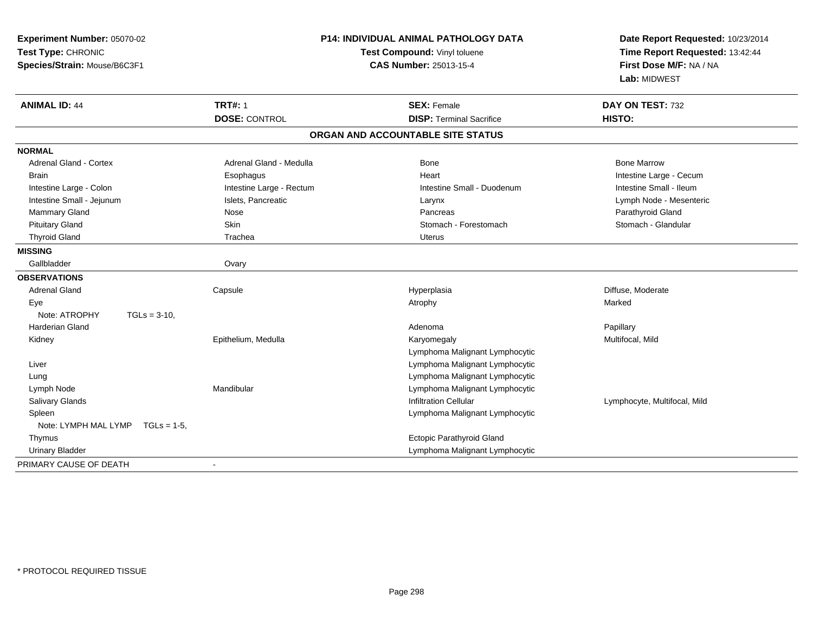| Experiment Number: 05070-02<br>Test Type: CHRONIC<br>Species/Strain: Mouse/B6C3F1 | <b>P14: INDIVIDUAL ANIMAL PATHOLOGY DATA</b><br>Test Compound: Vinyl toluene<br><b>CAS Number: 25013-15-4</b> |                                   | Date Report Requested: 10/23/2014<br>Time Report Requested: 13:42:44<br>First Dose M/F: NA / NA<br>Lab: MIDWEST |  |
|-----------------------------------------------------------------------------------|---------------------------------------------------------------------------------------------------------------|-----------------------------------|-----------------------------------------------------------------------------------------------------------------|--|
| <b>ANIMAL ID: 44</b>                                                              | <b>TRT#: 1</b>                                                                                                | <b>SEX: Female</b>                | DAY ON TEST: 732                                                                                                |  |
|                                                                                   | <b>DOSE: CONTROL</b>                                                                                          | <b>DISP: Terminal Sacrifice</b>   | HISTO:                                                                                                          |  |
|                                                                                   |                                                                                                               | ORGAN AND ACCOUNTABLE SITE STATUS |                                                                                                                 |  |
| <b>NORMAL</b>                                                                     |                                                                                                               |                                   |                                                                                                                 |  |
| <b>Adrenal Gland - Cortex</b>                                                     | Adrenal Gland - Medulla                                                                                       | Bone                              | <b>Bone Marrow</b>                                                                                              |  |
| <b>Brain</b>                                                                      | Esophagus                                                                                                     | Heart                             | Intestine Large - Cecum                                                                                         |  |
| Intestine Large - Colon                                                           | Intestine Large - Rectum                                                                                      | Intestine Small - Duodenum        | Intestine Small - Ileum                                                                                         |  |
| Intestine Small - Jejunum                                                         | Islets, Pancreatic                                                                                            | Larynx                            | Lymph Node - Mesenteric                                                                                         |  |
| Mammary Gland                                                                     | Nose                                                                                                          | Pancreas                          | Parathyroid Gland                                                                                               |  |
| <b>Pituitary Gland</b>                                                            | Skin                                                                                                          | Stomach - Forestomach             | Stomach - Glandular                                                                                             |  |
| <b>Thyroid Gland</b>                                                              | Trachea                                                                                                       | <b>Uterus</b>                     |                                                                                                                 |  |
| <b>MISSING</b>                                                                    |                                                                                                               |                                   |                                                                                                                 |  |
| Gallbladder                                                                       | Ovary                                                                                                         |                                   |                                                                                                                 |  |
| <b>OBSERVATIONS</b>                                                               |                                                                                                               |                                   |                                                                                                                 |  |
| <b>Adrenal Gland</b>                                                              | Capsule                                                                                                       | Hyperplasia                       | Diffuse, Moderate                                                                                               |  |
| Eye                                                                               |                                                                                                               | Atrophy                           | Marked                                                                                                          |  |
| Note: ATROPHY<br>$TGLs = 3-10$ ,                                                  |                                                                                                               |                                   |                                                                                                                 |  |
| <b>Harderian Gland</b>                                                            |                                                                                                               | Adenoma                           | Papillary                                                                                                       |  |
| Kidney                                                                            | Epithelium, Medulla                                                                                           | Karyomegaly                       | Multifocal, Mild                                                                                                |  |
|                                                                                   |                                                                                                               | Lymphoma Malignant Lymphocytic    |                                                                                                                 |  |
| Liver                                                                             |                                                                                                               | Lymphoma Malignant Lymphocytic    |                                                                                                                 |  |
| Lung                                                                              |                                                                                                               | Lymphoma Malignant Lymphocytic    |                                                                                                                 |  |
| Lymph Node                                                                        | Mandibular                                                                                                    | Lymphoma Malignant Lymphocytic    |                                                                                                                 |  |
| Salivary Glands                                                                   |                                                                                                               | <b>Infiltration Cellular</b>      | Lymphocyte, Multifocal, Mild                                                                                    |  |
| Spleen                                                                            |                                                                                                               | Lymphoma Malignant Lymphocytic    |                                                                                                                 |  |
| Note: LYMPH MAL LYMP TGLs = 1-5,                                                  |                                                                                                               |                                   |                                                                                                                 |  |
| Thymus                                                                            |                                                                                                               | Ectopic Parathyroid Gland         |                                                                                                                 |  |
| <b>Urinary Bladder</b>                                                            |                                                                                                               | Lymphoma Malignant Lymphocytic    |                                                                                                                 |  |
| PRIMARY CAUSE OF DEATH                                                            |                                                                                                               |                                   |                                                                                                                 |  |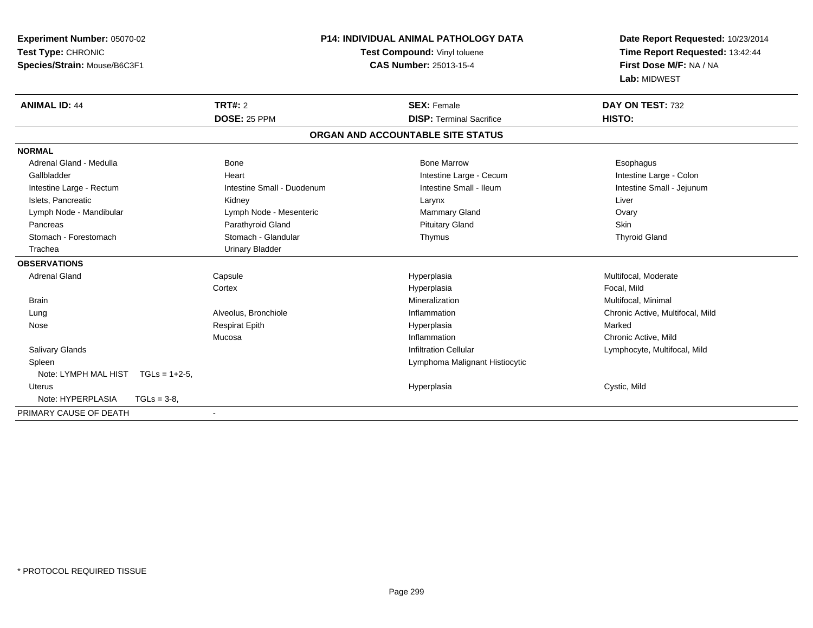| <b>Experiment Number: 05070-02</b>     | <b>P14: INDIVIDUAL ANIMAL PATHOLOGY DATA</b><br>Test Compound: Vinyl toluene |                                   | Date Report Requested: 10/23/2014 |  |
|----------------------------------------|------------------------------------------------------------------------------|-----------------------------------|-----------------------------------|--|
| Test Type: CHRONIC                     |                                                                              |                                   | Time Report Requested: 13:42:44   |  |
| Species/Strain: Mouse/B6C3F1           |                                                                              | <b>CAS Number: 25013-15-4</b>     | First Dose M/F: NA / NA           |  |
|                                        |                                                                              |                                   | Lab: MIDWEST                      |  |
| <b>ANIMAL ID: 44</b>                   | TRT#: 2                                                                      | <b>SEX: Female</b>                | DAY ON TEST: 732                  |  |
|                                        | DOSE: 25 PPM                                                                 | <b>DISP: Terminal Sacrifice</b>   | HISTO:                            |  |
|                                        |                                                                              | ORGAN AND ACCOUNTABLE SITE STATUS |                                   |  |
| <b>NORMAL</b>                          |                                                                              |                                   |                                   |  |
| Adrenal Gland - Medulla                | Bone                                                                         | <b>Bone Marrow</b>                | Esophagus                         |  |
| Gallbladder                            | Heart                                                                        | Intestine Large - Cecum           | Intestine Large - Colon           |  |
| Intestine Large - Rectum               | Intestine Small - Duodenum                                                   | Intestine Small - Ileum           | Intestine Small - Jejunum         |  |
| Islets, Pancreatic                     | Kidney                                                                       | Larynx                            | Liver                             |  |
| Lymph Node - Mandibular                | Lymph Node - Mesenteric                                                      | Mammary Gland                     | Ovary                             |  |
| Pancreas                               | Parathyroid Gland                                                            | <b>Pituitary Gland</b>            | Skin                              |  |
| Stomach - Forestomach                  | Stomach - Glandular                                                          | Thymus                            | <b>Thyroid Gland</b>              |  |
| Trachea                                | <b>Urinary Bladder</b>                                                       |                                   |                                   |  |
| <b>OBSERVATIONS</b>                    |                                                                              |                                   |                                   |  |
| <b>Adrenal Gland</b>                   | Capsule                                                                      | Hyperplasia                       | Multifocal, Moderate              |  |
|                                        | Cortex                                                                       | Hyperplasia                       | Focal, Mild                       |  |
| <b>Brain</b>                           |                                                                              | Mineralization                    | Multifocal, Minimal               |  |
| Lung                                   | Alveolus, Bronchiole                                                         | Inflammation                      | Chronic Active, Multifocal, Mild  |  |
| Nose                                   | <b>Respirat Epith</b>                                                        | Hyperplasia                       | Marked                            |  |
|                                        | Mucosa                                                                       | Inflammation                      | Chronic Active, Mild              |  |
| Salivary Glands                        |                                                                              | <b>Infiltration Cellular</b>      | Lymphocyte, Multifocal, Mild      |  |
| Spleen                                 |                                                                              | Lymphoma Malignant Histiocytic    |                                   |  |
| Note: LYMPH MAL HIST<br>$TGLs = 1+2-5$ |                                                                              |                                   |                                   |  |
| <b>Uterus</b>                          |                                                                              | Hyperplasia                       | Cystic, Mild                      |  |
| Note: HYPERPLASIA<br>$TGLs = 3-8$      |                                                                              |                                   |                                   |  |
| PRIMARY CAUSE OF DEATH                 |                                                                              |                                   |                                   |  |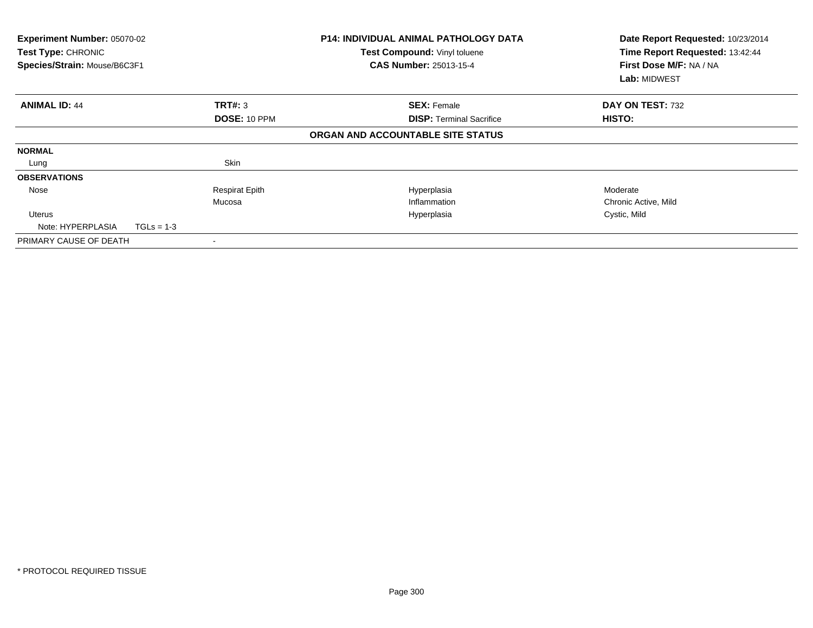| Experiment Number: 05070-02<br>Test Type: CHRONIC<br>Species/Strain: Mouse/B6C3F1 |              |                       | <b>P14: INDIVIDUAL ANIMAL PATHOLOGY DATA</b><br>Test Compound: Vinyl toluene<br><b>CAS Number: 25013-15-4</b> | Date Report Requested: 10/23/2014<br>Time Report Requested: 13:42:44<br>First Dose M/F: NA / NA<br><b>Lab: MIDWEST</b> |
|-----------------------------------------------------------------------------------|--------------|-----------------------|---------------------------------------------------------------------------------------------------------------|------------------------------------------------------------------------------------------------------------------------|
| <b>ANIMAL ID: 44</b>                                                              |              | TRT#: 3               | <b>SEX: Female</b>                                                                                            | DAY ON TEST: 732                                                                                                       |
|                                                                                   |              | DOSE: 10 PPM          | <b>DISP: Terminal Sacrifice</b>                                                                               | HISTO:                                                                                                                 |
|                                                                                   |              |                       | ORGAN AND ACCOUNTABLE SITE STATUS                                                                             |                                                                                                                        |
| <b>NORMAL</b>                                                                     |              |                       |                                                                                                               |                                                                                                                        |
| Lung                                                                              |              | Skin                  |                                                                                                               |                                                                                                                        |
| <b>OBSERVATIONS</b>                                                               |              |                       |                                                                                                               |                                                                                                                        |
| Nose                                                                              |              | <b>Respirat Epith</b> | Hyperplasia                                                                                                   | Moderate                                                                                                               |
|                                                                                   |              | Mucosa                | Inflammation                                                                                                  | Chronic Active, Mild                                                                                                   |
| Uterus                                                                            |              |                       | Hyperplasia                                                                                                   | Cystic, Mild                                                                                                           |
| Note: HYPERPLASIA                                                                 | $TGLs = 1-3$ |                       |                                                                                                               |                                                                                                                        |
| PRIMARY CAUSE OF DEATH                                                            |              |                       |                                                                                                               |                                                                                                                        |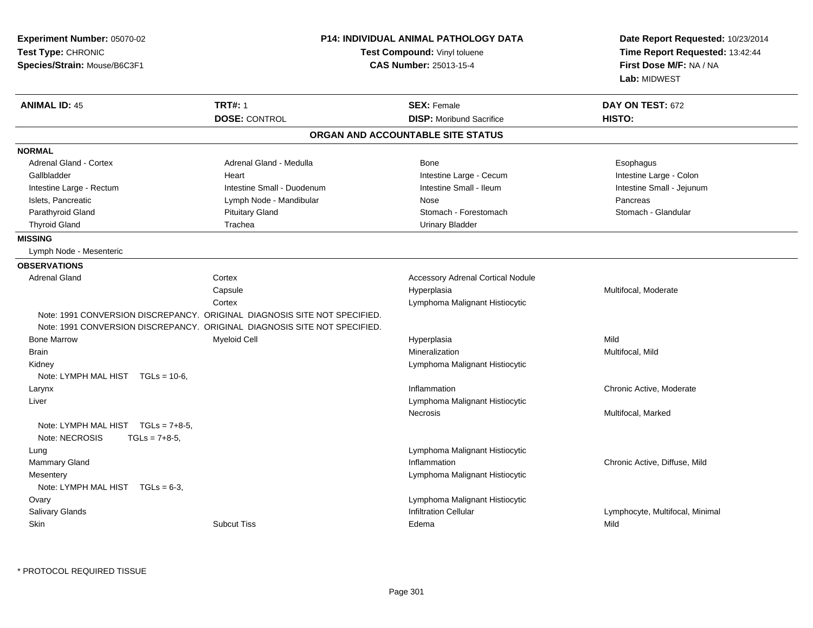| Experiment Number: 05070-02<br>Test Type: CHRONIC<br>Species/Strain: Mouse/B6C3F1 | <b>P14: INDIVIDUAL ANIMAL PATHOLOGY DATA</b><br>Test Compound: Vinyl toluene<br><b>CAS Number: 25013-15-4</b> |                                          | Date Report Requested: 10/23/2014<br>Time Report Requested: 13:42:44<br>First Dose M/F: NA / NA<br>Lab: MIDWEST |
|-----------------------------------------------------------------------------------|---------------------------------------------------------------------------------------------------------------|------------------------------------------|-----------------------------------------------------------------------------------------------------------------|
| <b>ANIMAL ID: 45</b>                                                              | <b>TRT#: 1</b>                                                                                                | <b>SEX: Female</b>                       | DAY ON TEST: 672                                                                                                |
|                                                                                   | <b>DOSE: CONTROL</b>                                                                                          | <b>DISP:</b> Moribund Sacrifice          | HISTO:                                                                                                          |
|                                                                                   |                                                                                                               | ORGAN AND ACCOUNTABLE SITE STATUS        |                                                                                                                 |
| <b>NORMAL</b>                                                                     |                                                                                                               |                                          |                                                                                                                 |
| Adrenal Gland - Cortex                                                            | Adrenal Gland - Medulla                                                                                       | Bone                                     | Esophagus                                                                                                       |
| Gallbladder                                                                       | Heart                                                                                                         | Intestine Large - Cecum                  | Intestine Large - Colon                                                                                         |
| Intestine Large - Rectum                                                          | Intestine Small - Duodenum                                                                                    | Intestine Small - Ileum                  | Intestine Small - Jejunum                                                                                       |
| Islets, Pancreatic                                                                | Lymph Node - Mandibular                                                                                       | Nose                                     | Pancreas                                                                                                        |
| Parathyroid Gland                                                                 | <b>Pituitary Gland</b>                                                                                        | Stomach - Forestomach                    | Stomach - Glandular                                                                                             |
| <b>Thyroid Gland</b>                                                              | Trachea                                                                                                       | <b>Urinary Bladder</b>                   |                                                                                                                 |
| <b>MISSING</b>                                                                    |                                                                                                               |                                          |                                                                                                                 |
| Lymph Node - Mesenteric                                                           |                                                                                                               |                                          |                                                                                                                 |
| <b>OBSERVATIONS</b>                                                               |                                                                                                               |                                          |                                                                                                                 |
| <b>Adrenal Gland</b><br>Cortex                                                    |                                                                                                               | <b>Accessory Adrenal Cortical Nodule</b> |                                                                                                                 |
|                                                                                   | Capsule                                                                                                       | Hyperplasia                              | Multifocal, Moderate                                                                                            |
| Cortex                                                                            |                                                                                                               | Lymphoma Malignant Histiocytic           |                                                                                                                 |
| Note: 1991 CONVERSION DISCREPANCY. ORIGINAL DIAGNOSIS SITE NOT SPECIFIED.         |                                                                                                               |                                          |                                                                                                                 |
| Note: 1991 CONVERSION DISCREPANCY. ORIGINAL DIAGNOSIS SITE NOT SPECIFIED.         |                                                                                                               |                                          |                                                                                                                 |
| <b>Bone Marrow</b>                                                                | <b>Myeloid Cell</b>                                                                                           | Hyperplasia                              | Mild                                                                                                            |
| <b>Brain</b>                                                                      |                                                                                                               | Mineralization                           | Multifocal, Mild                                                                                                |
| Kidney                                                                            |                                                                                                               | Lymphoma Malignant Histiocytic           |                                                                                                                 |
| Note: LYMPH MAL HIST $TGLs = 10-6$ ,                                              |                                                                                                               |                                          |                                                                                                                 |
| Larynx                                                                            |                                                                                                               | Inflammation                             | Chronic Active, Moderate                                                                                        |
| Liver                                                                             |                                                                                                               | Lymphoma Malignant Histiocytic           |                                                                                                                 |
| Note: LYMPH MAL HIST $TGLs = 7+8-5$ ,<br>Note: NECROSIS<br>$TGLs = 7+8-5$         |                                                                                                               | <b>Necrosis</b>                          | Multifocal, Marked                                                                                              |
| Lung                                                                              |                                                                                                               | Lymphoma Malignant Histiocytic           |                                                                                                                 |
| <b>Mammary Gland</b>                                                              |                                                                                                               | Inflammation                             | Chronic Active, Diffuse, Mild                                                                                   |
| Mesentery                                                                         |                                                                                                               | Lymphoma Malignant Histiocytic           |                                                                                                                 |
| Note: LYMPH MAL HIST $TGLs = 6-3$ ,                                               |                                                                                                               |                                          |                                                                                                                 |
| Ovary                                                                             |                                                                                                               | Lymphoma Malignant Histiocytic           |                                                                                                                 |
| Salivary Glands                                                                   |                                                                                                               | <b>Infiltration Cellular</b>             | Lymphocyte, Multifocal, Minimal                                                                                 |
| Skin                                                                              | <b>Subcut Tiss</b>                                                                                            | Edema                                    | Mild                                                                                                            |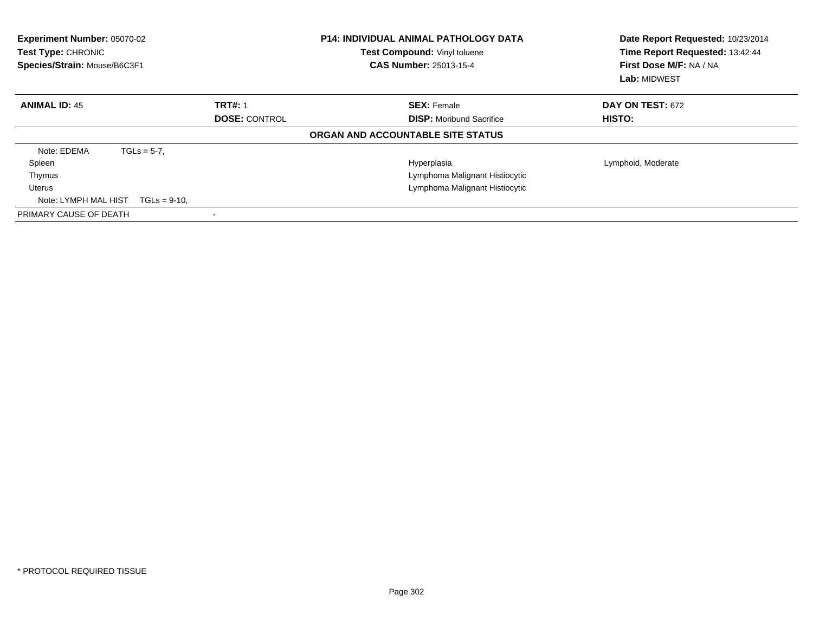| Experiment Number: 05070-02<br>Test Type: CHRONIC<br>Species/Strain: Mouse/B6C3F1 |                | <b>P14: INDIVIDUAL ANIMAL PATHOLOGY DATA</b><br>Test Compound: Vinyl toluene<br><b>CAS Number: 25013-15-4</b> | Date Report Requested: 10/23/2014<br>Time Report Requested: 13:42:44<br>First Dose M/F: NA / NA<br>Lab: MIDWEST |
|-----------------------------------------------------------------------------------|----------------|---------------------------------------------------------------------------------------------------------------|-----------------------------------------------------------------------------------------------------------------|
| <b>ANIMAL ID: 45</b>                                                              | <b>TRT#: 1</b> | <b>SEX: Female</b>                                                                                            | <b>DAY ON TEST: 672</b>                                                                                         |
| <b>DOSE: CONTROL</b>                                                              |                | <b>DISP:</b> Moribund Sacrifice                                                                               | <b>HISTO:</b>                                                                                                   |
|                                                                                   |                | ORGAN AND ACCOUNTABLE SITE STATUS                                                                             |                                                                                                                 |
| $TGLs = 5-7$ ,<br>Note: EDEMA                                                     |                |                                                                                                               |                                                                                                                 |
| Spleen                                                                            |                | Hyperplasia                                                                                                   | Lymphoid, Moderate                                                                                              |
| Thymus                                                                            |                | Lymphoma Malignant Histiocytic                                                                                |                                                                                                                 |
| <b>Uterus</b>                                                                     |                | Lymphoma Malignant Histiocytic                                                                                |                                                                                                                 |
| Note: LYMPH MAL HIST<br>$TGLs = 9-10.$                                            |                |                                                                                                               |                                                                                                                 |
| PRIMARY CAUSE OF DEATH                                                            |                |                                                                                                               |                                                                                                                 |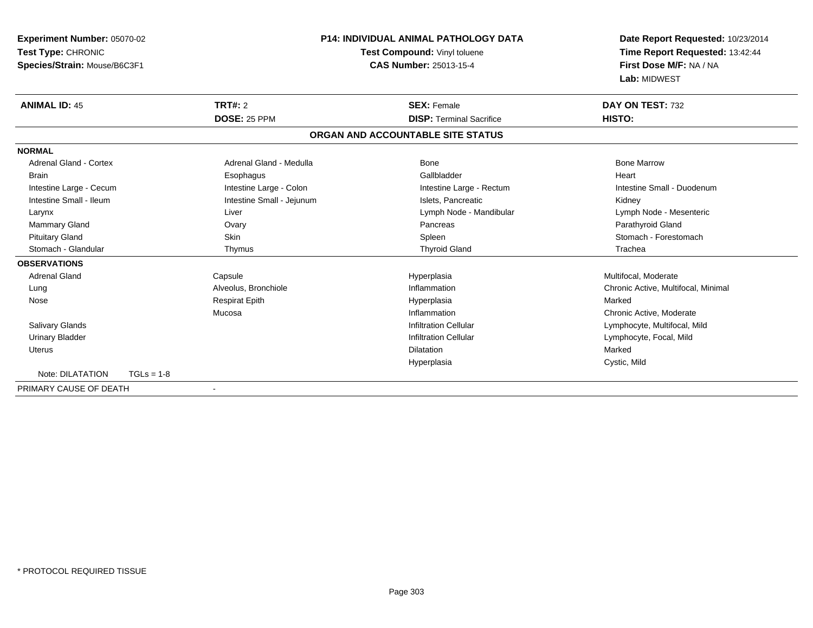| Experiment Number: 05070-02      | <b>P14: INDIVIDUAL ANIMAL PATHOLOGY DATA</b> |                                   | Date Report Requested: 10/23/2014   |
|----------------------------------|----------------------------------------------|-----------------------------------|-------------------------------------|
| Test Type: CHRONIC               | Test Compound: Vinyl toluene                 | Time Report Requested: 13:42:44   |                                     |
| Species/Strain: Mouse/B6C3F1     |                                              | <b>CAS Number: 25013-15-4</b>     | First Dose M/F: NA / NA             |
|                                  |                                              |                                   | Lab: MIDWEST                        |
| <b>ANIMAL ID: 45</b>             | <b>TRT#: 2</b>                               | <b>SEX: Female</b>                | DAY ON TEST: 732                    |
|                                  | DOSE: 25 PPM                                 | <b>DISP: Terminal Sacrifice</b>   | <b>HISTO:</b>                       |
|                                  |                                              | ORGAN AND ACCOUNTABLE SITE STATUS |                                     |
| <b>NORMAL</b>                    |                                              |                                   |                                     |
| <b>Adrenal Gland - Cortex</b>    | Adrenal Gland - Medulla                      | <b>Bone</b>                       | <b>Bone Marrow</b>                  |
| <b>Brain</b>                     | Esophagus                                    | Gallbladder                       | Heart                               |
| Intestine Large - Cecum          | Intestine Large - Colon                      | Intestine Large - Rectum          | Intestine Small - Duodenum          |
| Intestine Small - Ileum          | Intestine Small - Jejunum                    | Islets, Pancreatic                | Kidney                              |
| Larynx                           | Liver                                        | Lymph Node - Mandibular           | Lymph Node - Mesenteric             |
| <b>Mammary Gland</b>             | Ovary                                        | Pancreas                          | Parathyroid Gland                   |
| <b>Pituitary Gland</b>           | <b>Skin</b>                                  | Spleen                            | Stomach - Forestomach               |
| Stomach - Glandular              | Thymus                                       | <b>Thyroid Gland</b>              | Trachea                             |
| <b>OBSERVATIONS</b>              |                                              |                                   |                                     |
| <b>Adrenal Gland</b>             | Capsule                                      | Hyperplasia                       | Multifocal, Moderate                |
| Lung                             | Alveolus, Bronchiole                         | Inflammation                      | Chronic Active, Multifocal, Minimal |
| Nose                             | <b>Respirat Epith</b>                        | Hyperplasia                       | Marked                              |
|                                  | Mucosa                                       | Inflammation                      | Chronic Active, Moderate            |
| <b>Salivary Glands</b>           |                                              | <b>Infiltration Cellular</b>      | Lymphocyte, Multifocal, Mild        |
| <b>Urinary Bladder</b>           |                                              | <b>Infiltration Cellular</b>      | Lymphocyte, Focal, Mild             |
| <b>Uterus</b>                    |                                              | Dilatation                        | Marked                              |
|                                  |                                              | Hyperplasia                       | Cystic, Mild                        |
| Note: DILATATION<br>$TGLs = 1-8$ |                                              |                                   |                                     |
| PRIMARY CAUSE OF DEATH           | $\overline{\phantom{a}}$                     |                                   |                                     |

-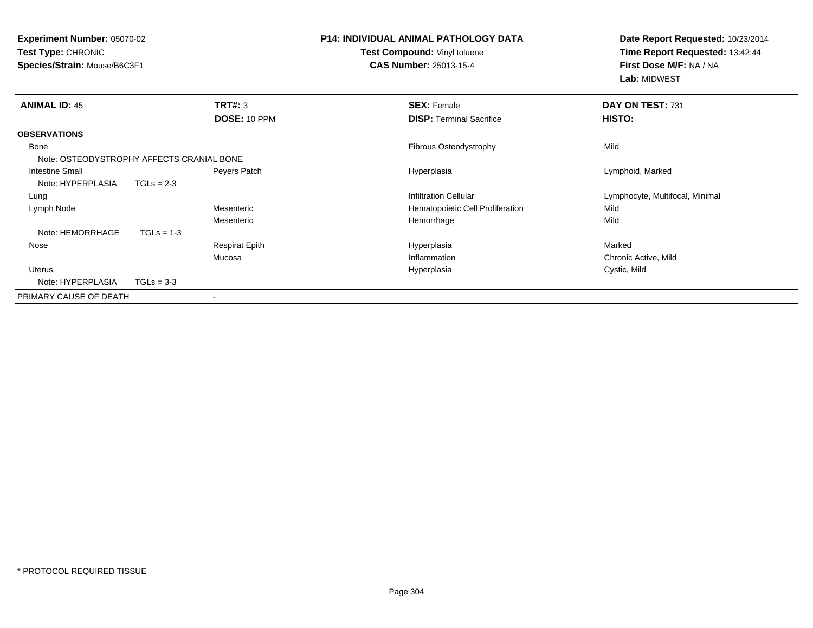**Experiment Number:** 05070-02**Test Type:** CHRONIC**Species/Strain:** Mouse/B6C3F1

## **P14: INDIVIDUAL ANIMAL PATHOLOGY DATA**

**Test Compound:** Vinyl toluene**CAS Number:** 25013-15-4

**Date Report Requested:** 10/23/2014**Time Report Requested:** 13:42:44**First Dose M/F:** NA / NA**Lab:** MIDWEST

| <b>ANIMAL ID: 45</b>                      |              | TRT#: 3               | <b>SEX: Female</b>               | DAY ON TEST: 731                |
|-------------------------------------------|--------------|-----------------------|----------------------------------|---------------------------------|
|                                           |              | <b>DOSE: 10 PPM</b>   | <b>DISP:</b> Terminal Sacrifice  | HISTO:                          |
| <b>OBSERVATIONS</b>                       |              |                       |                                  |                                 |
| Bone                                      |              |                       | Fibrous Osteodystrophy           | Mild                            |
| Note: OSTEODYSTROPHY AFFECTS CRANIAL BONE |              |                       |                                  |                                 |
| Intestine Small                           |              | Peyers Patch          | Hyperplasia                      | Lymphoid, Marked                |
| Note: HYPERPLASIA                         | $TGLs = 2-3$ |                       |                                  |                                 |
| Lung                                      |              |                       | <b>Infiltration Cellular</b>     | Lymphocyte, Multifocal, Minimal |
| Lymph Node                                |              | Mesenteric            | Hematopoietic Cell Proliferation | Mild                            |
|                                           |              | Mesenteric            | Hemorrhage                       | Mild                            |
| Note: HEMORRHAGE                          | $TGLs = 1-3$ |                       |                                  |                                 |
| Nose                                      |              | <b>Respirat Epith</b> | Hyperplasia                      | Marked                          |
|                                           |              | Mucosa                | Inflammation                     | Chronic Active, Mild            |
| Uterus                                    |              |                       | Hyperplasia                      | Cystic, Mild                    |
| Note: HYPERPLASIA                         | $TGLs = 3-3$ |                       |                                  |                                 |
| PRIMARY CAUSE OF DEATH                    |              |                       |                                  |                                 |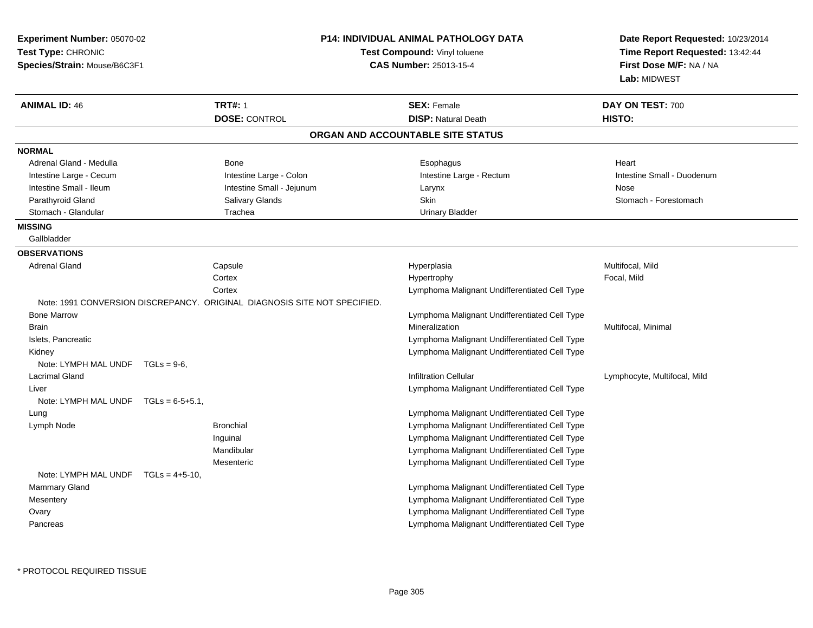| Experiment Number: 05070-02<br>Test Type: CHRONIC<br>Species/Strain: Mouse/B6C3F1 |                                                                           | <b>P14: INDIVIDUAL ANIMAL PATHOLOGY DATA</b><br>Test Compound: Vinyl toluene<br><b>CAS Number: 25013-15-4</b> | Date Report Requested: 10/23/2014<br>Time Report Requested: 13:42:44<br>First Dose M/F: NA / NA<br>Lab: MIDWEST |
|-----------------------------------------------------------------------------------|---------------------------------------------------------------------------|---------------------------------------------------------------------------------------------------------------|-----------------------------------------------------------------------------------------------------------------|
| <b>ANIMAL ID: 46</b>                                                              | <b>TRT#: 1</b><br><b>DOSE: CONTROL</b>                                    | <b>SEX: Female</b><br><b>DISP: Natural Death</b>                                                              | DAY ON TEST: 700<br>HISTO:                                                                                      |
|                                                                                   |                                                                           | ORGAN AND ACCOUNTABLE SITE STATUS                                                                             |                                                                                                                 |
|                                                                                   |                                                                           |                                                                                                               |                                                                                                                 |
| <b>NORMAL</b>                                                                     |                                                                           |                                                                                                               |                                                                                                                 |
| Adrenal Gland - Medulla                                                           | Bone<br>Intestine Large - Colon                                           | Esophagus<br>Intestine Large - Rectum                                                                         | Heart<br>Intestine Small - Duodenum                                                                             |
| Intestine Large - Cecum<br>Intestine Small - Ileum                                | Intestine Small - Jejunum                                                 |                                                                                                               | Nose                                                                                                            |
| Parathyroid Gland                                                                 | Salivary Glands                                                           | Larynx<br>Skin                                                                                                | Stomach - Forestomach                                                                                           |
| Stomach - Glandular                                                               | Trachea                                                                   | <b>Urinary Bladder</b>                                                                                        |                                                                                                                 |
| <b>MISSING</b>                                                                    |                                                                           |                                                                                                               |                                                                                                                 |
| Gallbladder                                                                       |                                                                           |                                                                                                               |                                                                                                                 |
|                                                                                   |                                                                           |                                                                                                               |                                                                                                                 |
| <b>OBSERVATIONS</b>                                                               |                                                                           |                                                                                                               |                                                                                                                 |
| <b>Adrenal Gland</b>                                                              | Capsule                                                                   | Hyperplasia                                                                                                   | Multifocal, Mild                                                                                                |
|                                                                                   | Cortex<br>Cortex                                                          | Hypertrophy                                                                                                   | Focal, Mild                                                                                                     |
|                                                                                   | Note: 1991 CONVERSION DISCREPANCY. ORIGINAL DIAGNOSIS SITE NOT SPECIFIED. | Lymphoma Malignant Undifferentiated Cell Type                                                                 |                                                                                                                 |
| <b>Bone Marrow</b>                                                                |                                                                           | Lymphoma Malignant Undifferentiated Cell Type                                                                 |                                                                                                                 |
| Brain                                                                             |                                                                           | Mineralization                                                                                                | Multifocal, Minimal                                                                                             |
| Islets, Pancreatic                                                                |                                                                           | Lymphoma Malignant Undifferentiated Cell Type                                                                 |                                                                                                                 |
| Kidney                                                                            |                                                                           | Lymphoma Malignant Undifferentiated Cell Type                                                                 |                                                                                                                 |
| Note: LYMPH MAL UNDF TGLs = 9-6,                                                  |                                                                           |                                                                                                               |                                                                                                                 |
| Lacrimal Gland                                                                    |                                                                           | Infiltration Cellular                                                                                         | Lymphocyte, Multifocal, Mild                                                                                    |
| Liver                                                                             |                                                                           | Lymphoma Malignant Undifferentiated Cell Type                                                                 |                                                                                                                 |
| Note: LYMPH MAL UNDF $TGLs = 6-5+5.1$ ,                                           |                                                                           |                                                                                                               |                                                                                                                 |
| Lung                                                                              |                                                                           | Lymphoma Malignant Undifferentiated Cell Type                                                                 |                                                                                                                 |
| Lymph Node                                                                        | <b>Bronchial</b>                                                          | Lymphoma Malignant Undifferentiated Cell Type                                                                 |                                                                                                                 |
|                                                                                   | Inguinal                                                                  | Lymphoma Malignant Undifferentiated Cell Type                                                                 |                                                                                                                 |
|                                                                                   | Mandibular                                                                | Lymphoma Malignant Undifferentiated Cell Type                                                                 |                                                                                                                 |
|                                                                                   | Mesenteric                                                                | Lymphoma Malignant Undifferentiated Cell Type                                                                 |                                                                                                                 |
| Note: LYMPH MAL UNDF TGLs = 4+5-10,                                               |                                                                           |                                                                                                               |                                                                                                                 |
| <b>Mammary Gland</b>                                                              |                                                                           | Lymphoma Malignant Undifferentiated Cell Type                                                                 |                                                                                                                 |
| Mesentery                                                                         |                                                                           | Lymphoma Malignant Undifferentiated Cell Type                                                                 |                                                                                                                 |
| Ovary                                                                             |                                                                           | Lymphoma Malignant Undifferentiated Cell Type                                                                 |                                                                                                                 |
| Pancreas                                                                          |                                                                           | Lymphoma Malignant Undifferentiated Cell Type                                                                 |                                                                                                                 |
|                                                                                   |                                                                           |                                                                                                               |                                                                                                                 |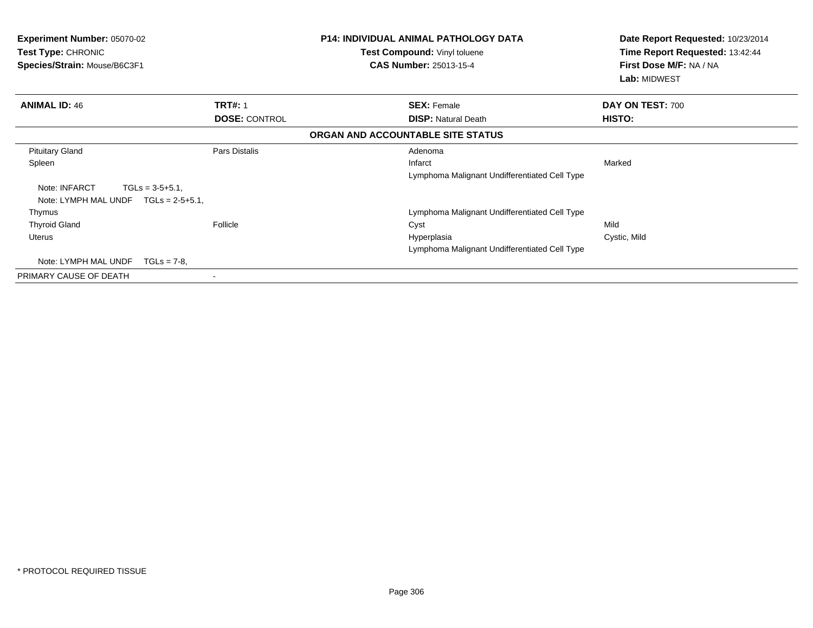| <b>Experiment Number: 05070-02</b><br><b>Test Type: CHRONIC</b><br>Species/Strain: Mouse/B6C3F1 |                      | <b>P14: INDIVIDUAL ANIMAL PATHOLOGY DATA</b><br><b>Test Compound: Vinyl toluene</b><br><b>CAS Number: 25013-15-4</b> | Date Report Requested: 10/23/2014<br>Time Report Requested: 13:42:44<br>First Dose M/F: NA / NA<br>Lab: MIDWEST |
|-------------------------------------------------------------------------------------------------|----------------------|----------------------------------------------------------------------------------------------------------------------|-----------------------------------------------------------------------------------------------------------------|
| <b>ANIMAL ID: 46</b>                                                                            | <b>TRT#: 1</b>       | <b>SEX: Female</b>                                                                                                   | DAY ON TEST: 700                                                                                                |
|                                                                                                 | <b>DOSE: CONTROL</b> | <b>DISP: Natural Death</b>                                                                                           | HISTO:                                                                                                          |
|                                                                                                 |                      | ORGAN AND ACCOUNTABLE SITE STATUS                                                                                    |                                                                                                                 |
| <b>Pituitary Gland</b>                                                                          | Pars Distalis        | Adenoma                                                                                                              |                                                                                                                 |
| Spleen                                                                                          |                      | Infarct                                                                                                              | Marked                                                                                                          |
|                                                                                                 |                      | Lymphoma Malignant Undifferentiated Cell Type                                                                        |                                                                                                                 |
| Note: INFARCT<br>$TGLs = 3-5+5.1$ ,<br>Note: LYMPH MAL UNDF<br>$TGLs = 2-5+5.1$ ,               |                      |                                                                                                                      |                                                                                                                 |
| Thymus                                                                                          |                      | Lymphoma Malignant Undifferentiated Cell Type                                                                        |                                                                                                                 |
| <b>Thyroid Gland</b>                                                                            | Follicle             | Cyst                                                                                                                 | Mild                                                                                                            |
| Uterus                                                                                          |                      | Hyperplasia                                                                                                          | Cystic, Mild                                                                                                    |
|                                                                                                 |                      | Lymphoma Malignant Undifferentiated Cell Type                                                                        |                                                                                                                 |
| Note: LYMPH MAL UNDF<br>$TGLs = 7-8.$                                                           |                      |                                                                                                                      |                                                                                                                 |
| PRIMARY CAUSE OF DEATH                                                                          |                      |                                                                                                                      |                                                                                                                 |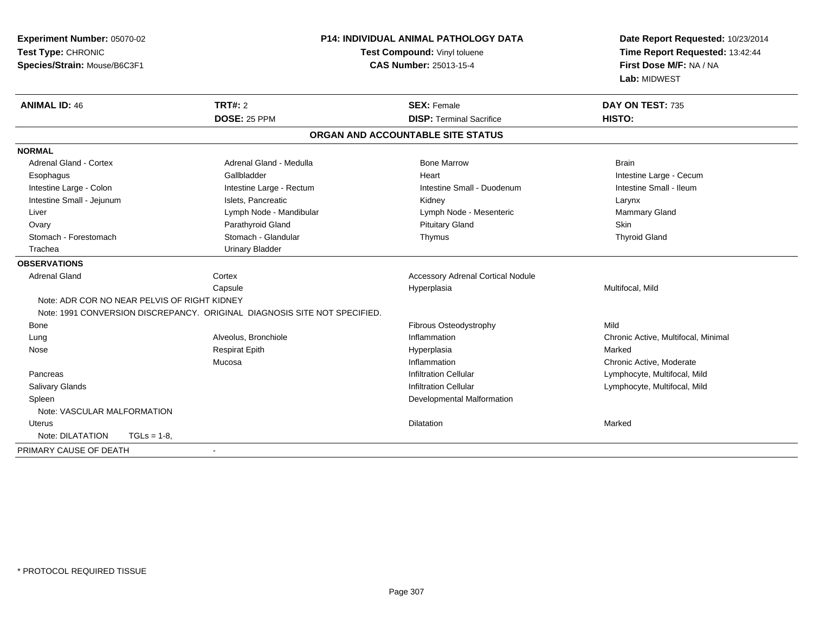| Experiment Number: 05070-02<br>Test Type: CHRONIC<br>Species/Strain: Mouse/B6C3F1 |                                                                           | P14: INDIVIDUAL ANIMAL PATHOLOGY DATA<br>Test Compound: Vinyl toluene<br><b>CAS Number: 25013-15-4</b> | Date Report Requested: 10/23/2014<br>Time Report Requested: 13:42:44<br>First Dose M/F: NA / NA<br>Lab: MIDWEST |
|-----------------------------------------------------------------------------------|---------------------------------------------------------------------------|--------------------------------------------------------------------------------------------------------|-----------------------------------------------------------------------------------------------------------------|
| <b>ANIMAL ID: 46</b>                                                              | TRT#: 2                                                                   | <b>SEX: Female</b>                                                                                     | DAY ON TEST: 735                                                                                                |
|                                                                                   | DOSE: 25 PPM                                                              | <b>DISP: Terminal Sacrifice</b>                                                                        | HISTO:                                                                                                          |
|                                                                                   |                                                                           | ORGAN AND ACCOUNTABLE SITE STATUS                                                                      |                                                                                                                 |
| <b>NORMAL</b>                                                                     |                                                                           |                                                                                                        |                                                                                                                 |
| Adrenal Gland - Cortex                                                            | Adrenal Gland - Medulla                                                   | <b>Bone Marrow</b>                                                                                     | <b>Brain</b>                                                                                                    |
| Esophagus                                                                         | Gallbladder                                                               | Heart                                                                                                  | Intestine Large - Cecum                                                                                         |
| Intestine Large - Colon                                                           | Intestine Large - Rectum                                                  | Intestine Small - Duodenum                                                                             | Intestine Small - Ileum                                                                                         |
| Intestine Small - Jejunum                                                         | Islets. Pancreatic                                                        | Kidney                                                                                                 | Larynx                                                                                                          |
| Liver                                                                             | Lymph Node - Mandibular                                                   | Lymph Node - Mesenteric                                                                                | Mammary Gland                                                                                                   |
| Ovary                                                                             | Parathyroid Gland                                                         | <b>Pituitary Gland</b>                                                                                 | <b>Skin</b>                                                                                                     |
| Stomach - Forestomach                                                             | Stomach - Glandular                                                       | Thymus                                                                                                 | <b>Thyroid Gland</b>                                                                                            |
| Trachea                                                                           | <b>Urinary Bladder</b>                                                    |                                                                                                        |                                                                                                                 |
| <b>OBSERVATIONS</b>                                                               |                                                                           |                                                                                                        |                                                                                                                 |
| <b>Adrenal Gland</b>                                                              | Cortex                                                                    | <b>Accessory Adrenal Cortical Nodule</b>                                                               |                                                                                                                 |
|                                                                                   | Capsule                                                                   | Hyperplasia                                                                                            | Multifocal, Mild                                                                                                |
| Note: ADR COR NO NEAR PELVIS OF RIGHT KIDNEY                                      | Note: 1991 CONVERSION DISCREPANCY. ORIGINAL DIAGNOSIS SITE NOT SPECIFIED. |                                                                                                        |                                                                                                                 |
| <b>Bone</b>                                                                       |                                                                           | Fibrous Osteodystrophy                                                                                 | Mild                                                                                                            |
| Lung                                                                              | Alveolus, Bronchiole                                                      | Inflammation                                                                                           | Chronic Active, Multifocal, Minimal                                                                             |
| Nose                                                                              | <b>Respirat Epith</b>                                                     | Hyperplasia                                                                                            | Marked                                                                                                          |
|                                                                                   | Mucosa                                                                    | Inflammation                                                                                           | Chronic Active, Moderate                                                                                        |
| Pancreas                                                                          |                                                                           | <b>Infiltration Cellular</b>                                                                           | Lymphocyte, Multifocal, Mild                                                                                    |
| Salivary Glands                                                                   |                                                                           | <b>Infiltration Cellular</b>                                                                           | Lymphocyte, Multifocal, Mild                                                                                    |
| Spleen                                                                            |                                                                           | Developmental Malformation                                                                             |                                                                                                                 |
| Note: VASCULAR MALFORMATION                                                       |                                                                           |                                                                                                        |                                                                                                                 |
| Uterus                                                                            |                                                                           | Dilatation                                                                                             | Marked                                                                                                          |
| Note: DILATATION<br>$TGLs = 1-8$                                                  |                                                                           |                                                                                                        |                                                                                                                 |
| PRIMARY CAUSE OF DEATH                                                            | $\blacksquare$                                                            |                                                                                                        |                                                                                                                 |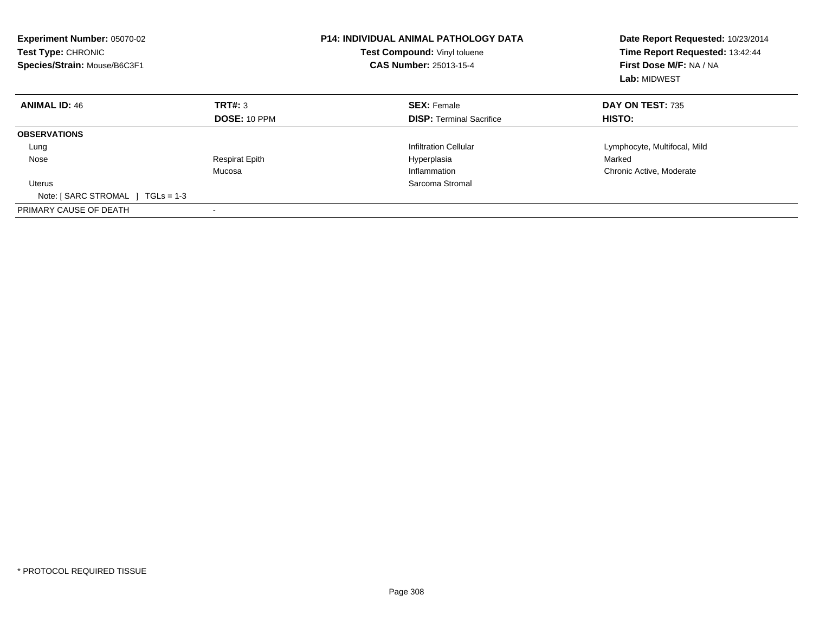| <b>Experiment Number: 05070-02</b><br>Test Type: CHRONIC<br>Species/Strain: Mouse/B6C3F1 |                          | <b>P14: INDIVIDUAL ANIMAL PATHOLOGY DATA</b><br>Test Compound: Vinyl toluene<br><b>CAS Number: 25013-15-4</b> | Date Report Requested: 10/23/2014<br>Time Report Requested: 13:42:44<br>First Dose M/F: NA / NA<br>Lab: MIDWEST |
|------------------------------------------------------------------------------------------|--------------------------|---------------------------------------------------------------------------------------------------------------|-----------------------------------------------------------------------------------------------------------------|
| <b>ANIMAL ID: 46</b>                                                                     | TRT#: 3                  | <b>SEX: Female</b>                                                                                            | <b>DAY ON TEST: 735</b>                                                                                         |
|                                                                                          | <b>DOSE: 10 PPM</b>      | <b>DISP:</b> Terminal Sacrifice                                                                               | HISTO:                                                                                                          |
| <b>OBSERVATIONS</b>                                                                      |                          |                                                                                                               |                                                                                                                 |
| Lung                                                                                     |                          | <b>Infiltration Cellular</b>                                                                                  | Lymphocyte, Multifocal, Mild                                                                                    |
| Nose                                                                                     | <b>Respirat Epith</b>    | Hyperplasia                                                                                                   | Marked                                                                                                          |
|                                                                                          | Mucosa                   | Inflammation                                                                                                  | Chronic Active, Moderate                                                                                        |
| <b>Uterus</b>                                                                            |                          | Sarcoma Stromal                                                                                               |                                                                                                                 |
| Note: $[ SARC STROMAL ] TGLs = 1-3$                                                      |                          |                                                                                                               |                                                                                                                 |
| PRIMARY CAUSE OF DEATH                                                                   | $\overline{\phantom{a}}$ |                                                                                                               |                                                                                                                 |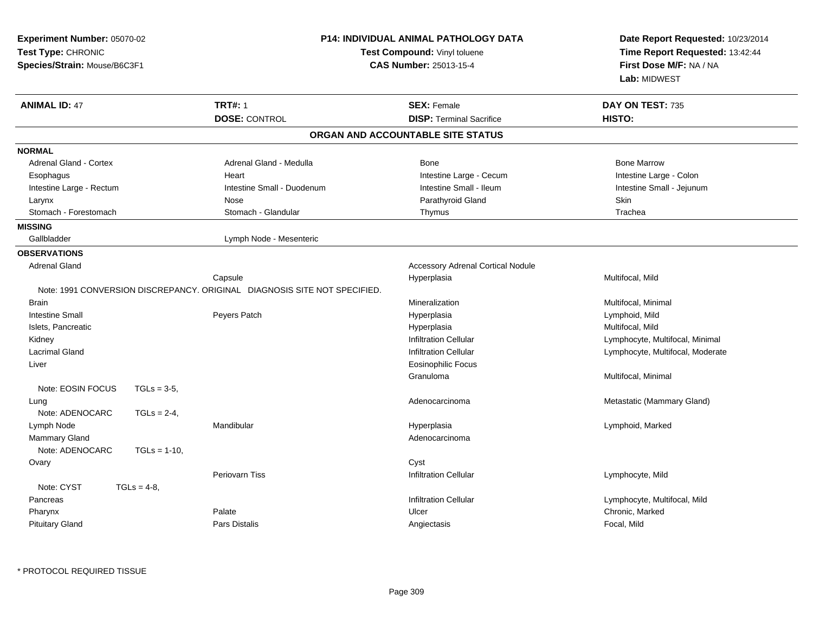| <b>Experiment Number: 05070-02</b><br>Test Type: CHRONIC<br>Species/Strain: Mouse/B6C3F1 |                 |                                                                           | <b>P14: INDIVIDUAL ANIMAL PATHOLOGY DATA</b><br>Test Compound: Vinyl toluene<br><b>CAS Number: 25013-15-4</b> |                                  |
|------------------------------------------------------------------------------------------|-----------------|---------------------------------------------------------------------------|---------------------------------------------------------------------------------------------------------------|----------------------------------|
| <b>ANIMAL ID: 47</b>                                                                     |                 | <b>TRT#: 1</b>                                                            | <b>SEX: Female</b>                                                                                            | DAY ON TEST: 735                 |
|                                                                                          |                 | <b>DOSE: CONTROL</b>                                                      | <b>DISP: Terminal Sacrifice</b>                                                                               | HISTO:                           |
|                                                                                          |                 |                                                                           | ORGAN AND ACCOUNTABLE SITE STATUS                                                                             |                                  |
| <b>NORMAL</b>                                                                            |                 |                                                                           |                                                                                                               |                                  |
| <b>Adrenal Gland - Cortex</b>                                                            |                 | Adrenal Gland - Medulla                                                   | Bone                                                                                                          | <b>Bone Marrow</b>               |
| Esophagus                                                                                |                 | Heart                                                                     | Intestine Large - Cecum                                                                                       | Intestine Large - Colon          |
| Intestine Large - Rectum                                                                 |                 | Intestine Small - Duodenum                                                | Intestine Small - Ileum                                                                                       | Intestine Small - Jejunum        |
| Larynx                                                                                   |                 | Nose                                                                      | Parathyroid Gland                                                                                             | Skin                             |
| Stomach - Forestomach                                                                    |                 | Stomach - Glandular                                                       | Thymus                                                                                                        | Trachea                          |
| <b>MISSING</b>                                                                           |                 |                                                                           |                                                                                                               |                                  |
| Gallbladder                                                                              |                 | Lymph Node - Mesenteric                                                   |                                                                                                               |                                  |
| <b>OBSERVATIONS</b>                                                                      |                 |                                                                           |                                                                                                               |                                  |
| <b>Adrenal Gland</b>                                                                     |                 |                                                                           | <b>Accessory Adrenal Cortical Nodule</b>                                                                      |                                  |
|                                                                                          |                 | Capsule                                                                   | Hyperplasia                                                                                                   | Multifocal, Mild                 |
|                                                                                          |                 | Note: 1991 CONVERSION DISCREPANCY. ORIGINAL DIAGNOSIS SITE NOT SPECIFIED. |                                                                                                               |                                  |
| <b>Brain</b>                                                                             |                 |                                                                           | Mineralization                                                                                                | Multifocal, Minimal              |
| <b>Intestine Small</b>                                                                   |                 | Peyers Patch                                                              | Hyperplasia                                                                                                   | Lymphoid, Mild                   |
| Islets, Pancreatic                                                                       |                 |                                                                           | Hyperplasia                                                                                                   | Multifocal, Mild                 |
| Kidney                                                                                   |                 |                                                                           | Infiltration Cellular                                                                                         | Lymphocyte, Multifocal, Minimal  |
| Lacrimal Gland                                                                           |                 |                                                                           | <b>Infiltration Cellular</b>                                                                                  | Lymphocyte, Multifocal, Moderate |
| Liver                                                                                    |                 |                                                                           | <b>Eosinophilic Focus</b>                                                                                     |                                  |
|                                                                                          |                 |                                                                           | Granuloma                                                                                                     | Multifocal, Minimal              |
| Note: EOSIN FOCUS                                                                        | $TGLs = 3-5$ ,  |                                                                           |                                                                                                               |                                  |
| Lung                                                                                     |                 |                                                                           | Adenocarcinoma                                                                                                | Metastatic (Mammary Gland)       |
| Note: ADENOCARC                                                                          | $TGLs = 2-4$ ,  |                                                                           |                                                                                                               |                                  |
| Lymph Node                                                                               |                 | Mandibular                                                                | Hyperplasia                                                                                                   | Lymphoid, Marked                 |
| Mammary Gland                                                                            |                 |                                                                           | Adenocarcinoma                                                                                                |                                  |
| Note: ADENOCARC                                                                          | $TGLs = 1-10$ , |                                                                           |                                                                                                               |                                  |
| Ovary                                                                                    |                 |                                                                           | Cyst                                                                                                          |                                  |
|                                                                                          |                 | Periovarn Tiss                                                            | <b>Infiltration Cellular</b>                                                                                  | Lymphocyte, Mild                 |
| Note: CYST                                                                               | $TGLs = 4-8$ ,  |                                                                           |                                                                                                               |                                  |
| Pancreas                                                                                 |                 |                                                                           | <b>Infiltration Cellular</b>                                                                                  | Lymphocyte, Multifocal, Mild     |
| Pharynx                                                                                  |                 | Palate                                                                    | Ulcer                                                                                                         | Chronic, Marked                  |
| <b>Pituitary Gland</b>                                                                   |                 | Pars Distalis                                                             | Angiectasis                                                                                                   | Focal, Mild                      |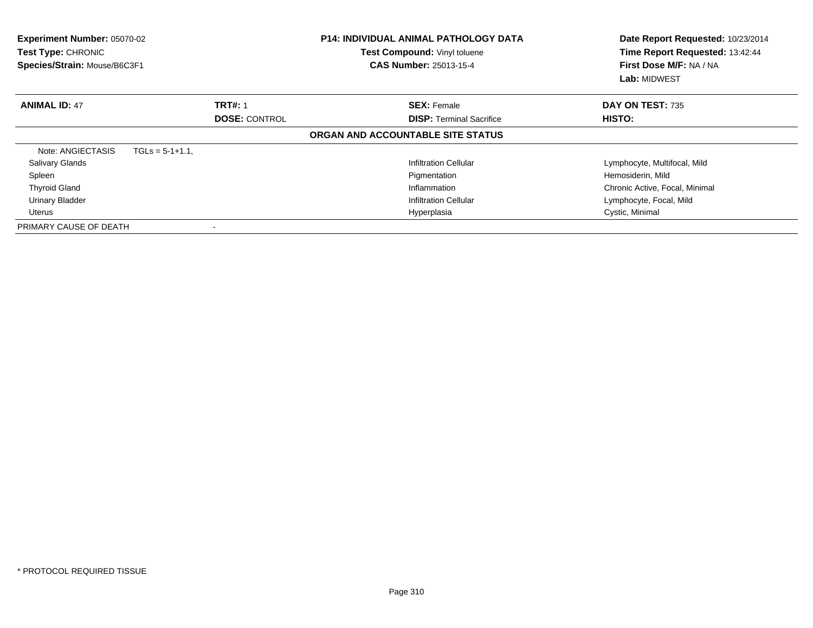| Experiment Number: 05070-02<br><b>Test Type: CHRONIC</b><br>Species/Strain: Mouse/B6C3F1 |                    |                      | <b>P14: INDIVIDUAL ANIMAL PATHOLOGY DATA</b><br>Test Compound: Vinyl toluene<br><b>CAS Number: 25013-15-4</b> | Date Report Requested: 10/23/2014<br>Time Report Requested: 13:42:44<br>First Dose M/F: NA / NA<br>Lab: MIDWEST |
|------------------------------------------------------------------------------------------|--------------------|----------------------|---------------------------------------------------------------------------------------------------------------|-----------------------------------------------------------------------------------------------------------------|
| <b>ANIMAL ID: 47</b>                                                                     |                    | <b>TRT#: 1</b>       | <b>SEX: Female</b>                                                                                            | DAY ON TEST: 735                                                                                                |
|                                                                                          |                    | <b>DOSE: CONTROL</b> | <b>DISP:</b> Terminal Sacrifice                                                                               | HISTO:                                                                                                          |
|                                                                                          |                    |                      | ORGAN AND ACCOUNTABLE SITE STATUS                                                                             |                                                                                                                 |
| Note: ANGIECTASIS                                                                        | $TGLs = 5-1+1.1$ , |                      |                                                                                                               |                                                                                                                 |
| Salivary Glands                                                                          |                    |                      | <b>Infiltration Cellular</b>                                                                                  | Lymphocyte, Multifocal, Mild                                                                                    |
| Spleen                                                                                   |                    |                      | Pigmentation                                                                                                  | Hemosiderin, Mild                                                                                               |
| <b>Thyroid Gland</b>                                                                     |                    |                      | Inflammation                                                                                                  | Chronic Active, Focal, Minimal                                                                                  |
| <b>Urinary Bladder</b>                                                                   |                    |                      | <b>Infiltration Cellular</b>                                                                                  | Lymphocyte, Focal, Mild                                                                                         |
| Uterus                                                                                   |                    |                      | Hyperplasia                                                                                                   | Cystic, Minimal                                                                                                 |
| PRIMARY CAUSE OF DEATH                                                                   |                    |                      |                                                                                                               |                                                                                                                 |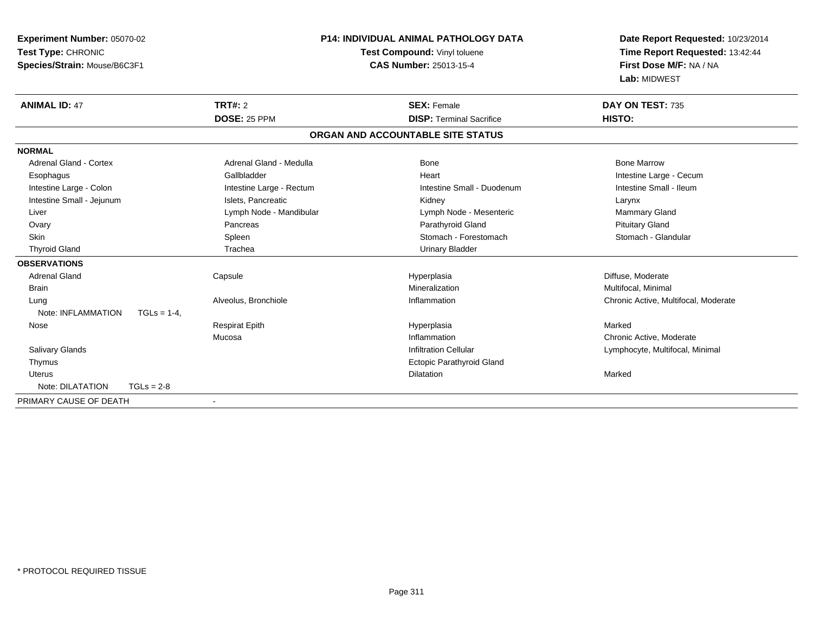| Experiment Number: 05070-02          |                          | <b>P14: INDIVIDUAL ANIMAL PATHOLOGY DATA</b> | Date Report Requested: 10/23/2014    |
|--------------------------------------|--------------------------|----------------------------------------------|--------------------------------------|
| Test Type: CHRONIC                   |                          | Test Compound: Vinyl toluene                 | Time Report Requested: 13:42:44      |
| Species/Strain: Mouse/B6C3F1         |                          | <b>CAS Number: 25013-15-4</b>                | First Dose M/F: NA / NA              |
|                                      |                          |                                              | Lab: MIDWEST                         |
| <b>ANIMAL ID: 47</b>                 | <b>TRT#: 2</b>           | <b>SEX: Female</b>                           | DAY ON TEST: 735                     |
|                                      | DOSE: 25 PPM             | <b>DISP: Terminal Sacrifice</b>              | <b>HISTO:</b>                        |
|                                      |                          | ORGAN AND ACCOUNTABLE SITE STATUS            |                                      |
| <b>NORMAL</b>                        |                          |                                              |                                      |
| <b>Adrenal Gland - Cortex</b>        | Adrenal Gland - Medulla  | <b>Bone</b>                                  | <b>Bone Marrow</b>                   |
| Esophagus                            | Gallbladder              | Heart                                        | Intestine Large - Cecum              |
| Intestine Large - Colon              | Intestine Large - Rectum | Intestine Small - Duodenum                   | Intestine Small - Ileum              |
| Intestine Small - Jejunum            | Islets, Pancreatic       | Kidney                                       | Larynx                               |
| Liver                                | Lymph Node - Mandibular  | Lymph Node - Mesenteric                      | <b>Mammary Gland</b>                 |
| Ovary                                | Pancreas                 | Parathyroid Gland                            | <b>Pituitary Gland</b>               |
| Skin                                 | Spleen                   | Stomach - Forestomach                        | Stomach - Glandular                  |
| <b>Thyroid Gland</b>                 | Trachea                  | <b>Urinary Bladder</b>                       |                                      |
| <b>OBSERVATIONS</b>                  |                          |                                              |                                      |
| <b>Adrenal Gland</b>                 | Capsule                  | Hyperplasia                                  | Diffuse, Moderate                    |
| <b>Brain</b>                         |                          | Mineralization                               | Multifocal, Minimal                  |
| Lung                                 | Alveolus, Bronchiole     | Inflammation                                 | Chronic Active, Multifocal, Moderate |
| Note: INFLAMMATION<br>$TGLs = 1-4$ , |                          |                                              |                                      |
| Nose                                 | <b>Respirat Epith</b>    | Hyperplasia                                  | Marked                               |
|                                      | Mucosa                   | Inflammation                                 | Chronic Active, Moderate             |
| Salivary Glands                      |                          | <b>Infiltration Cellular</b>                 | Lymphocyte, Multifocal, Minimal      |
| Thymus                               |                          | Ectopic Parathyroid Gland                    |                                      |
| <b>Uterus</b>                        |                          | Dilatation                                   | Marked                               |
| $TGLs = 2-8$<br>Note: DILATATION     |                          |                                              |                                      |
| PRIMARY CAUSE OF DEATH               | $\blacksquare$           |                                              |                                      |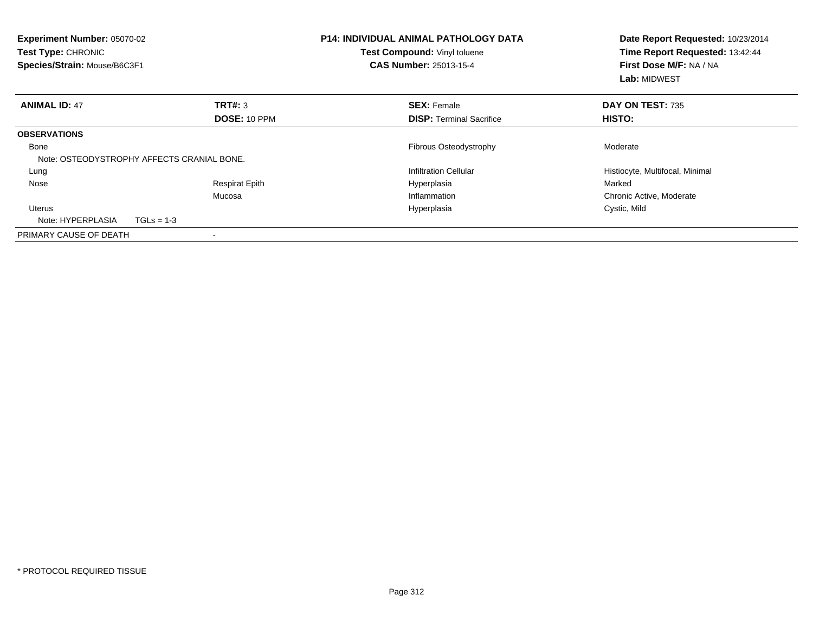| <b>Experiment Number: 05070-02</b><br>Test Type: CHRONIC<br>Species/Strain: Mouse/B6C3F1 |                                            | <b>P14: INDIVIDUAL ANIMAL PATHOLOGY DATA</b><br>Test Compound: Vinyl toluene<br><b>CAS Number: 25013-15-4</b> | Date Report Requested: 10/23/2014<br>Time Report Requested: 13:42:44<br>First Dose M/F: NA / NA<br>Lab: MIDWEST |
|------------------------------------------------------------------------------------------|--------------------------------------------|---------------------------------------------------------------------------------------------------------------|-----------------------------------------------------------------------------------------------------------------|
| <b>ANIMAL ID: 47</b>                                                                     | TRT#: 3<br><b>DOSE: 10 PPM</b>             | <b>SEX: Female</b><br><b>DISP:</b> Terminal Sacrifice                                                         | DAY ON TEST: 735<br>HISTO:                                                                                      |
| <b>OBSERVATIONS</b>                                                                      |                                            |                                                                                                               |                                                                                                                 |
| Bone                                                                                     |                                            | Fibrous Osteodystrophy                                                                                        | Moderate                                                                                                        |
|                                                                                          | Note: OSTEODYSTROPHY AFFECTS CRANIAL BONE. |                                                                                                               |                                                                                                                 |
| Lung                                                                                     |                                            | <b>Infiltration Cellular</b>                                                                                  | Histiocyte, Multifocal, Minimal                                                                                 |
| Nose                                                                                     | <b>Respirat Epith</b>                      | Hyperplasia                                                                                                   | Marked                                                                                                          |
|                                                                                          | Mucosa                                     | Inflammation                                                                                                  | Chronic Active, Moderate                                                                                        |
| <b>Uterus</b>                                                                            |                                            | Hyperplasia                                                                                                   | Cystic, Mild                                                                                                    |
| Note: HYPERPLASIA                                                                        | $TGLs = 1-3$                               |                                                                                                               |                                                                                                                 |
| PRIMARY CAUSE OF DEATH                                                                   |                                            |                                                                                                               |                                                                                                                 |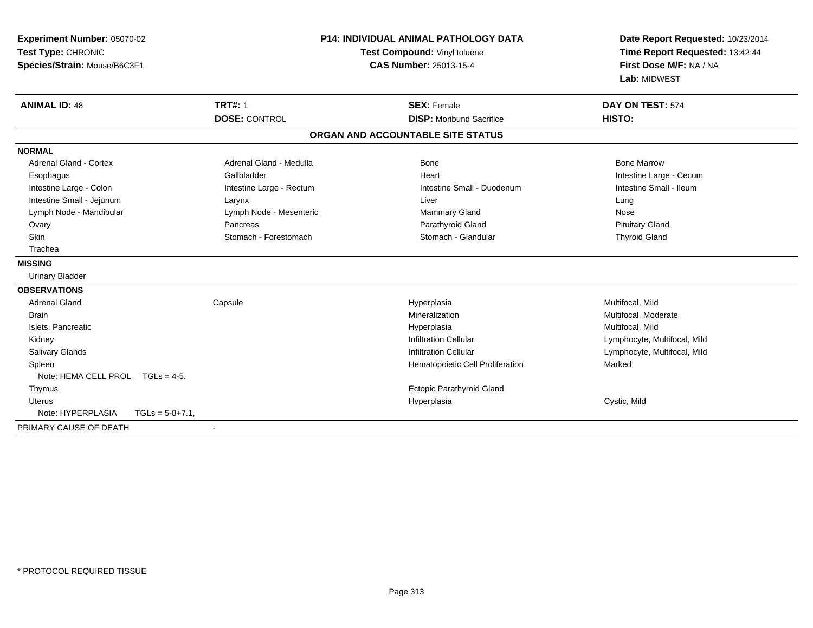| Experiment Number: 05070-02<br>Test Type: CHRONIC<br>Species/Strain: Mouse/B6C3F1                                                                                                                                            |                                                                                                                                              | <b>P14: INDIVIDUAL ANIMAL PATHOLOGY DATA</b><br>Test Compound: Vinyl toluene<br><b>CAS Number: 25013-15-4</b>                                                                                | Date Report Requested: 10/23/2014<br>Time Report Requested: 13:42:44<br>First Dose M/F: NA / NA<br>Lab: MIDWEST                                        |
|------------------------------------------------------------------------------------------------------------------------------------------------------------------------------------------------------------------------------|----------------------------------------------------------------------------------------------------------------------------------------------|----------------------------------------------------------------------------------------------------------------------------------------------------------------------------------------------|--------------------------------------------------------------------------------------------------------------------------------------------------------|
| <b>ANIMAL ID: 48</b>                                                                                                                                                                                                         | <b>TRT#: 1</b><br><b>DOSE: CONTROL</b>                                                                                                       | <b>SEX: Female</b><br><b>DISP:</b> Moribund Sacrifice                                                                                                                                        | DAY ON TEST: 574<br>HISTO:                                                                                                                             |
|                                                                                                                                                                                                                              |                                                                                                                                              | ORGAN AND ACCOUNTABLE SITE STATUS                                                                                                                                                            |                                                                                                                                                        |
| <b>NORMAL</b>                                                                                                                                                                                                                |                                                                                                                                              |                                                                                                                                                                                              |                                                                                                                                                        |
| Adrenal Gland - Cortex<br>Esophagus<br>Intestine Large - Colon<br>Intestine Small - Jejunum<br>Lymph Node - Mandibular<br>Ovary<br><b>Skin</b><br>Trachea<br><b>MISSING</b><br><b>Urinary Bladder</b><br><b>OBSERVATIONS</b> | Adrenal Gland - Medulla<br>Gallbladder<br>Intestine Large - Rectum<br>Larynx<br>Lymph Node - Mesenteric<br>Pancreas<br>Stomach - Forestomach | Bone<br>Heart<br>Intestine Small - Duodenum<br>Liver<br>Mammary Gland<br>Parathyroid Gland<br>Stomach - Glandular                                                                            | <b>Bone Marrow</b><br>Intestine Large - Cecum<br>Intestine Small - Ileum<br>Lung<br>Nose<br><b>Pituitary Gland</b><br><b>Thyroid Gland</b>             |
| Adrenal Gland<br><b>Brain</b><br>Islets, Pancreatic<br>Kidney<br>Salivary Glands<br>Spleen<br>Note: HEMA CELL PROL TGLs = 4-5,<br>Thymus<br><b>Uterus</b><br>Note: HYPERPLASIA<br>$TGLs = 5-8+7.1$<br>PRIMARY CAUSE OF DEATH | Capsule                                                                                                                                      | Hyperplasia<br>Mineralization<br>Hyperplasia<br><b>Infiltration Cellular</b><br><b>Infiltration Cellular</b><br>Hematopoietic Cell Proliferation<br>Ectopic Parathyroid Gland<br>Hyperplasia | Multifocal, Mild<br>Multifocal, Moderate<br>Multifocal, Mild<br>Lymphocyte, Multifocal, Mild<br>Lymphocyte, Multifocal, Mild<br>Marked<br>Cystic, Mild |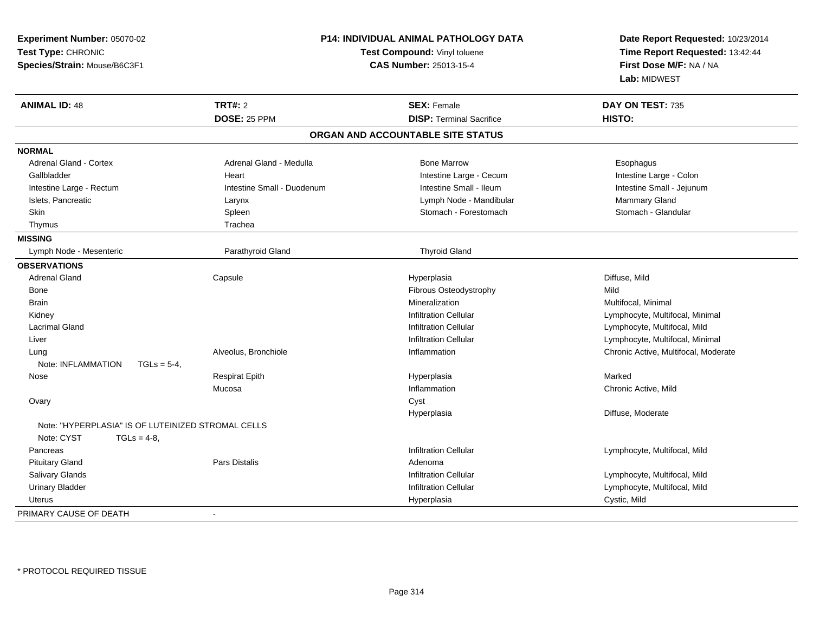| Experiment Number: 05070-02<br>Test Type: CHRONIC<br>Species/Strain: Mouse/B6C3F1 | <b>P14: INDIVIDUAL ANIMAL PATHOLOGY DATA</b><br>Test Compound: Vinyl toluene | Date Report Requested: 10/23/2014<br>Time Report Requested: 13:42:44<br>First Dose M/F: NA / NA<br>Lab: MIDWEST |                                      |
|-----------------------------------------------------------------------------------|------------------------------------------------------------------------------|-----------------------------------------------------------------------------------------------------------------|--------------------------------------|
| <b>ANIMAL ID: 48</b>                                                              | <b>TRT#: 2</b>                                                               | <b>SEX: Female</b>                                                                                              | DAY ON TEST: 735                     |
|                                                                                   | <b>DOSE: 25 PPM</b>                                                          | <b>DISP: Terminal Sacrifice</b>                                                                                 | HISTO:                               |
|                                                                                   |                                                                              | ORGAN AND ACCOUNTABLE SITE STATUS                                                                               |                                      |
| <b>NORMAL</b>                                                                     |                                                                              |                                                                                                                 |                                      |
| <b>Adrenal Gland - Cortex</b>                                                     | Adrenal Gland - Medulla                                                      | <b>Bone Marrow</b>                                                                                              | Esophagus                            |
| Gallbladder                                                                       | Heart                                                                        | Intestine Large - Cecum                                                                                         | Intestine Large - Colon              |
| Intestine Large - Rectum                                                          | Intestine Small - Duodenum                                                   | Intestine Small - Ileum                                                                                         | Intestine Small - Jejunum            |
| Islets, Pancreatic                                                                | Larynx                                                                       | Lymph Node - Mandibular                                                                                         | Mammary Gland                        |
| Skin                                                                              | Spleen                                                                       | Stomach - Forestomach                                                                                           | Stomach - Glandular                  |
| Thymus                                                                            | Trachea                                                                      |                                                                                                                 |                                      |
| <b>MISSING</b>                                                                    |                                                                              |                                                                                                                 |                                      |
| Lymph Node - Mesenteric                                                           | Parathyroid Gland                                                            | <b>Thyroid Gland</b>                                                                                            |                                      |
| <b>OBSERVATIONS</b>                                                               |                                                                              |                                                                                                                 |                                      |
| <b>Adrenal Gland</b>                                                              | Capsule                                                                      | Hyperplasia                                                                                                     | Diffuse, Mild                        |
| Bone                                                                              |                                                                              | Fibrous Osteodystrophy                                                                                          | Mild                                 |
| <b>Brain</b>                                                                      |                                                                              | Mineralization                                                                                                  | Multifocal, Minimal                  |
| Kidney                                                                            |                                                                              | <b>Infiltration Cellular</b>                                                                                    | Lymphocyte, Multifocal, Minimal      |
| <b>Lacrimal Gland</b>                                                             |                                                                              | <b>Infiltration Cellular</b>                                                                                    | Lymphocyte, Multifocal, Mild         |
| Liver                                                                             |                                                                              | <b>Infiltration Cellular</b>                                                                                    | Lymphocyte, Multifocal, Minimal      |
| Lung                                                                              | Alveolus, Bronchiole                                                         | Inflammation                                                                                                    | Chronic Active, Multifocal, Moderate |
| Note: INFLAMMATION<br>$TGLs = 5-4.$                                               |                                                                              |                                                                                                                 |                                      |
| Nose                                                                              | <b>Respirat Epith</b>                                                        | Hyperplasia                                                                                                     | Marked                               |
|                                                                                   | Mucosa                                                                       | Inflammation                                                                                                    | Chronic Active, Mild                 |
| Ovary                                                                             |                                                                              | Cyst                                                                                                            |                                      |
|                                                                                   |                                                                              | Hyperplasia                                                                                                     | Diffuse, Moderate                    |
| Note: "HYPERPLASIA" IS OF LUTEINIZED STROMAL CELLS                                |                                                                              |                                                                                                                 |                                      |
| Note: CYST<br>$TGLs = 4-8$                                                        |                                                                              |                                                                                                                 |                                      |
| Pancreas                                                                          |                                                                              | <b>Infiltration Cellular</b>                                                                                    | Lymphocyte, Multifocal, Mild         |
| <b>Pituitary Gland</b>                                                            | <b>Pars Distalis</b>                                                         | Adenoma                                                                                                         |                                      |
| Salivary Glands                                                                   |                                                                              | Infiltration Cellular                                                                                           | Lymphocyte, Multifocal, Mild         |
| <b>Urinary Bladder</b>                                                            |                                                                              | <b>Infiltration Cellular</b>                                                                                    | Lymphocyte, Multifocal, Mild         |
| Uterus                                                                            |                                                                              | Hyperplasia                                                                                                     | Cystic, Mild                         |
| PRIMARY CAUSE OF DEATH                                                            | $\blacksquare$                                                               |                                                                                                                 |                                      |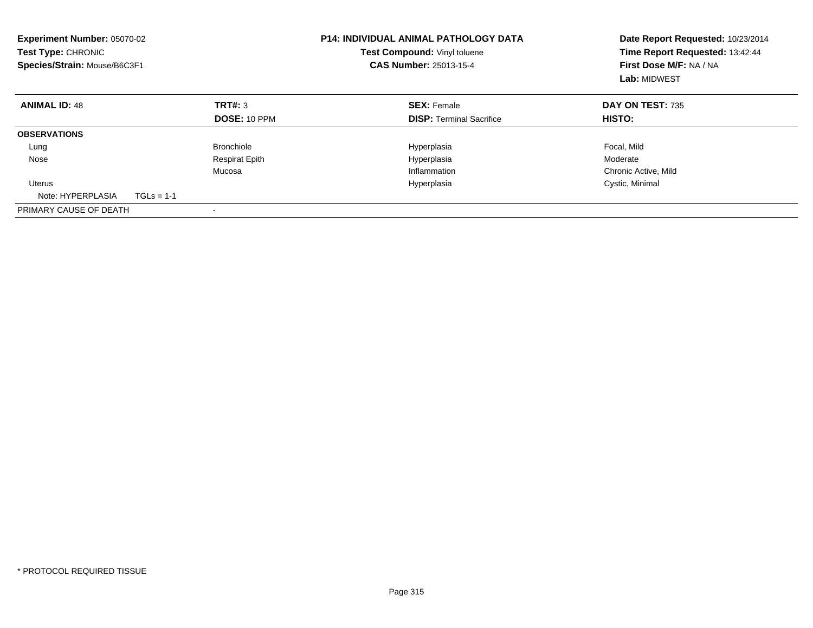| <b>Experiment Number: 05070-02</b><br>Test Type: CHRONIC<br>Species/Strain: Mouse/B6C3F1 |              | <b>P14: INDIVIDUAL ANIMAL PATHOLOGY DATA</b><br>Test Compound: Vinyl toluene<br>CAS Number: 25013-15-4 |  | Date Report Requested: 10/23/2014<br>Time Report Requested: 13:42:44<br>First Dose M/F: NA / NA<br>Lab: MIDWEST |                         |
|------------------------------------------------------------------------------------------|--------------|--------------------------------------------------------------------------------------------------------|--|-----------------------------------------------------------------------------------------------------------------|-------------------------|
| <b>ANIMAL ID: 48</b>                                                                     |              | TRT#: 3                                                                                                |  | <b>SEX: Female</b>                                                                                              | <b>DAY ON TEST: 735</b> |
|                                                                                          |              | <b>DOSE: 10 PPM</b>                                                                                    |  | <b>DISP:</b> Terminal Sacrifice                                                                                 | HISTO:                  |
| <b>OBSERVATIONS</b>                                                                      |              |                                                                                                        |  |                                                                                                                 |                         |
| Lung                                                                                     |              | <b>Bronchiole</b>                                                                                      |  | Hyperplasia                                                                                                     | Focal, Mild             |
| Nose                                                                                     |              | <b>Respirat Epith</b>                                                                                  |  | Hyperplasia                                                                                                     | Moderate                |
|                                                                                          |              | Mucosa                                                                                                 |  | Inflammation                                                                                                    | Chronic Active, Mild    |
| <b>Uterus</b>                                                                            |              |                                                                                                        |  | Hyperplasia                                                                                                     | Cystic, Minimal         |
| Note: HYPERPLASIA                                                                        | $TGLs = 1-1$ |                                                                                                        |  |                                                                                                                 |                         |
| PRIMARY CAUSE OF DEATH                                                                   |              |                                                                                                        |  |                                                                                                                 |                         |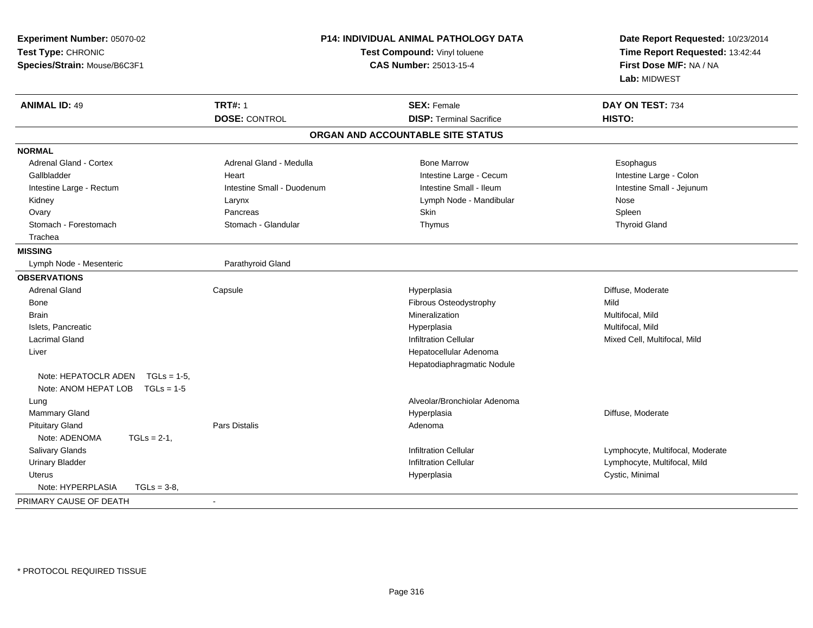| Experiment Number: 05070-02<br>Test Type: CHRONIC<br>Species/Strain: Mouse/B6C3F1 | <b>P14: INDIVIDUAL ANIMAL PATHOLOGY DATA</b><br>Test Compound: Vinyl toluene<br>CAS Number: 25013-15-4 |                                   | Date Report Requested: 10/23/2014<br>Time Report Requested: 13:42:44<br>First Dose M/F: NA / NA<br>Lab: MIDWEST |  |
|-----------------------------------------------------------------------------------|--------------------------------------------------------------------------------------------------------|-----------------------------------|-----------------------------------------------------------------------------------------------------------------|--|
| <b>ANIMAL ID: 49</b>                                                              | <b>TRT#: 1</b>                                                                                         | <b>SEX: Female</b>                | DAY ON TEST: 734                                                                                                |  |
|                                                                                   | <b>DOSE: CONTROL</b>                                                                                   | <b>DISP: Terminal Sacrifice</b>   | HISTO:                                                                                                          |  |
|                                                                                   |                                                                                                        | ORGAN AND ACCOUNTABLE SITE STATUS |                                                                                                                 |  |
| <b>NORMAL</b>                                                                     |                                                                                                        |                                   |                                                                                                                 |  |
| Adrenal Gland - Cortex                                                            | Adrenal Gland - Medulla                                                                                | <b>Bone Marrow</b>                | Esophagus                                                                                                       |  |
| Gallbladder                                                                       | Heart                                                                                                  | Intestine Large - Cecum           | Intestine Large - Colon                                                                                         |  |
| Intestine Large - Rectum                                                          | Intestine Small - Duodenum                                                                             | Intestine Small - Ileum           | Intestine Small - Jejunum                                                                                       |  |
| Kidney                                                                            | Larynx                                                                                                 | Lymph Node - Mandibular           | Nose                                                                                                            |  |
| Ovary                                                                             | Pancreas                                                                                               | Skin                              | Spleen                                                                                                          |  |
| Stomach - Forestomach                                                             | Stomach - Glandular                                                                                    | Thymus                            | <b>Thyroid Gland</b>                                                                                            |  |
| Trachea                                                                           |                                                                                                        |                                   |                                                                                                                 |  |
| <b>MISSING</b>                                                                    |                                                                                                        |                                   |                                                                                                                 |  |
| Lymph Node - Mesenteric                                                           | Parathyroid Gland                                                                                      |                                   |                                                                                                                 |  |
| <b>OBSERVATIONS</b>                                                               |                                                                                                        |                                   |                                                                                                                 |  |
| <b>Adrenal Gland</b>                                                              | Capsule                                                                                                | Hyperplasia                       | Diffuse, Moderate                                                                                               |  |
| Bone                                                                              |                                                                                                        | Fibrous Osteodystrophy            | Mild                                                                                                            |  |
| <b>Brain</b>                                                                      |                                                                                                        | Mineralization                    | Multifocal, Mild                                                                                                |  |
| Islets, Pancreatic                                                                |                                                                                                        | Hyperplasia                       | Multifocal, Mild                                                                                                |  |
| <b>Lacrimal Gland</b>                                                             |                                                                                                        | <b>Infiltration Cellular</b>      | Mixed Cell, Multifocal, Mild                                                                                    |  |
| Liver                                                                             |                                                                                                        | Hepatocellular Adenoma            |                                                                                                                 |  |
|                                                                                   |                                                                                                        | Hepatodiaphragmatic Nodule        |                                                                                                                 |  |
| Note: HEPATOCLR ADEN $TGLs = 1-5$ .<br>Note: ANOM HEPAT LOB<br>$TGLs = 1-5$       |                                                                                                        |                                   |                                                                                                                 |  |
| Lung                                                                              |                                                                                                        | Alveolar/Bronchiolar Adenoma      |                                                                                                                 |  |
| Mammary Gland                                                                     |                                                                                                        | Hyperplasia                       | Diffuse, Moderate                                                                                               |  |
| <b>Pituitary Gland</b>                                                            | <b>Pars Distalis</b>                                                                                   | Adenoma                           |                                                                                                                 |  |
| Note: ADENOMA<br>$TGLs = 2-1$ ,                                                   |                                                                                                        |                                   |                                                                                                                 |  |
| <b>Salivary Glands</b>                                                            |                                                                                                        | <b>Infiltration Cellular</b>      | Lymphocyte, Multifocal, Moderate                                                                                |  |
| <b>Urinary Bladder</b>                                                            |                                                                                                        | <b>Infiltration Cellular</b>      | Lymphocyte, Multifocal, Mild                                                                                    |  |
| <b>Uterus</b>                                                                     |                                                                                                        | Hyperplasia                       | Cystic, Minimal                                                                                                 |  |
| Note: HYPERPLASIA<br>$TGLs = 3-8$                                                 |                                                                                                        |                                   |                                                                                                                 |  |
| PRIMARY CAUSE OF DEATH                                                            |                                                                                                        |                                   |                                                                                                                 |  |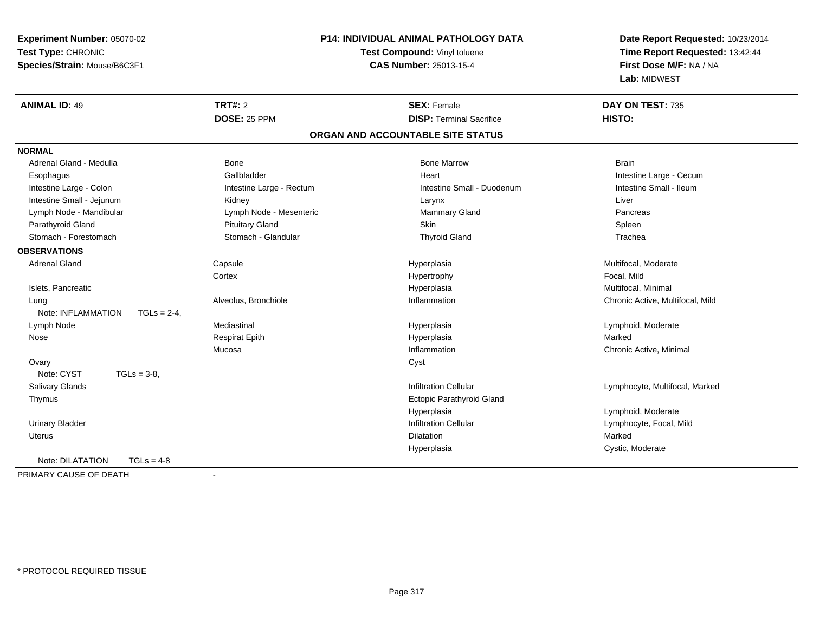| Experiment Number: 05070-02         |                          | P14: INDIVIDUAL ANIMAL PATHOLOGY DATA | Date Report Requested: 10/23/2014 |  |
|-------------------------------------|--------------------------|---------------------------------------|-----------------------------------|--|
| Test Type: CHRONIC                  |                          | Test Compound: Vinyl toluene          | Time Report Requested: 13:42:44   |  |
| Species/Strain: Mouse/B6C3F1        |                          | CAS Number: 25013-15-4                | First Dose M/F: NA / NA           |  |
|                                     |                          |                                       | Lab: MIDWEST                      |  |
| <b>ANIMAL ID: 49</b>                | <b>TRT#: 2</b>           | <b>SEX: Female</b>                    | DAY ON TEST: 735                  |  |
|                                     | DOSE: 25 PPM             | <b>DISP: Terminal Sacrifice</b>       | HISTO:                            |  |
|                                     |                          | ORGAN AND ACCOUNTABLE SITE STATUS     |                                   |  |
| <b>NORMAL</b>                       |                          |                                       |                                   |  |
| Adrenal Gland - Medulla             | Bone                     | <b>Bone Marrow</b>                    | <b>Brain</b>                      |  |
| Esophagus                           | Gallbladder              | Heart                                 | Intestine Large - Cecum           |  |
| Intestine Large - Colon             | Intestine Large - Rectum | Intestine Small - Duodenum            | Intestine Small - Ileum           |  |
| Intestine Small - Jejunum           | Kidney                   | Larynx                                | Liver                             |  |
| Lymph Node - Mandibular             | Lymph Node - Mesenteric  | Mammary Gland                         | Pancreas                          |  |
| Parathyroid Gland                   | <b>Pituitary Gland</b>   | Skin                                  | Spleen                            |  |
| Stomach - Forestomach               | Stomach - Glandular      | <b>Thyroid Gland</b>                  | Trachea                           |  |
| <b>OBSERVATIONS</b>                 |                          |                                       |                                   |  |
| <b>Adrenal Gland</b>                | Capsule                  | Hyperplasia                           | Multifocal, Moderate              |  |
|                                     | Cortex                   | Hypertrophy                           | Focal, Mild                       |  |
| Islets, Pancreatic                  |                          | Hyperplasia                           | Multifocal, Minimal               |  |
| Lung                                | Alveolus, Bronchiole     | Inflammation                          | Chronic Active, Multifocal, Mild  |  |
| Note: INFLAMMATION<br>$TGLs = 2-4.$ |                          |                                       |                                   |  |
| Lymph Node                          | Mediastinal              | Hyperplasia                           | Lymphoid, Moderate                |  |
| Nose                                | <b>Respirat Epith</b>    | Hyperplasia                           | Marked                            |  |
|                                     | Mucosa                   | Inflammation                          | Chronic Active, Minimal           |  |
| Ovary                               |                          | Cyst                                  |                                   |  |
| Note: CYST<br>$TGLs = 3-8$          |                          |                                       |                                   |  |
| Salivary Glands                     |                          | Infiltration Cellular                 | Lymphocyte, Multifocal, Marked    |  |
| Thymus                              |                          | Ectopic Parathyroid Gland             |                                   |  |
|                                     |                          | Hyperplasia                           | Lymphoid, Moderate                |  |
| <b>Urinary Bladder</b>              |                          | <b>Infiltration Cellular</b>          | Lymphocyte, Focal, Mild           |  |
| <b>Uterus</b>                       |                          | Dilatation                            | Marked                            |  |
|                                     |                          | Hyperplasia                           | Cystic, Moderate                  |  |
| Note: DILATATION<br>$TGLs = 4-8$    |                          |                                       |                                   |  |
| PRIMARY CAUSE OF DEATH              | $\blacksquare$           |                                       |                                   |  |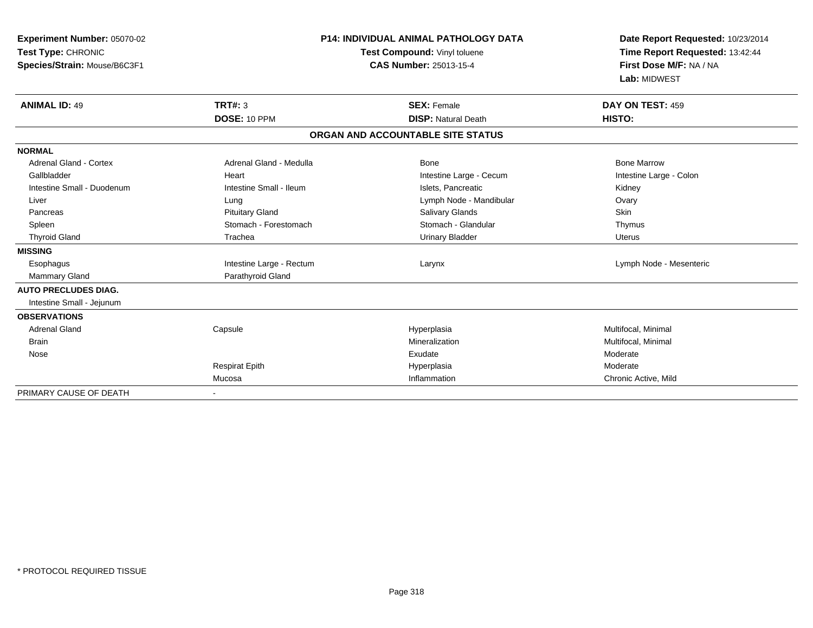| Experiment Number: 05070-02<br>Test Type: CHRONIC<br>Species/Strain: Mouse/B6C3F1<br><b>ANIMAL ID: 49</b> | <b>TRT#: 3</b><br>DOSE: 10 PPM | <b>P14: INDIVIDUAL ANIMAL PATHOLOGY DATA</b><br>Test Compound: Vinyl toluene<br><b>CAS Number: 25013-15-4</b><br><b>SEX: Female</b><br><b>DISP: Natural Death</b> | Date Report Requested: 10/23/2014<br>Time Report Requested: 13:42:44<br>First Dose M/F: NA / NA<br>Lab: MIDWEST<br>DAY ON TEST: 459<br>HISTO: |
|-----------------------------------------------------------------------------------------------------------|--------------------------------|-------------------------------------------------------------------------------------------------------------------------------------------------------------------|-----------------------------------------------------------------------------------------------------------------------------------------------|
|                                                                                                           |                                | ORGAN AND ACCOUNTABLE SITE STATUS                                                                                                                                 |                                                                                                                                               |
| <b>NORMAL</b>                                                                                             |                                |                                                                                                                                                                   |                                                                                                                                               |
| <b>Adrenal Gland - Cortex</b>                                                                             | Adrenal Gland - Medulla        | <b>Bone</b>                                                                                                                                                       | <b>Bone Marrow</b>                                                                                                                            |
| Gallbladder                                                                                               | Heart                          | Intestine Large - Cecum                                                                                                                                           | Intestine Large - Colon                                                                                                                       |
| Intestine Small - Duodenum                                                                                | Intestine Small - Ileum        | Islets, Pancreatic                                                                                                                                                | Kidney                                                                                                                                        |
| Liver                                                                                                     | Lung                           | Lymph Node - Mandibular                                                                                                                                           | Ovary                                                                                                                                         |
| Pancreas                                                                                                  | <b>Pituitary Gland</b>         | <b>Salivary Glands</b>                                                                                                                                            | <b>Skin</b>                                                                                                                                   |
| Spleen                                                                                                    | Stomach - Forestomach          | Stomach - Glandular                                                                                                                                               | Thymus                                                                                                                                        |
| <b>Thyroid Gland</b>                                                                                      | Trachea                        | <b>Urinary Bladder</b>                                                                                                                                            | <b>Uterus</b>                                                                                                                                 |
| <b>MISSING</b>                                                                                            |                                |                                                                                                                                                                   |                                                                                                                                               |
| Esophagus                                                                                                 | Intestine Large - Rectum       | Larynx                                                                                                                                                            | Lymph Node - Mesenteric                                                                                                                       |
| <b>Mammary Gland</b>                                                                                      | Parathyroid Gland              |                                                                                                                                                                   |                                                                                                                                               |
| <b>AUTO PRECLUDES DIAG.</b>                                                                               |                                |                                                                                                                                                                   |                                                                                                                                               |
| Intestine Small - Jejunum                                                                                 |                                |                                                                                                                                                                   |                                                                                                                                               |
| <b>OBSERVATIONS</b>                                                                                       |                                |                                                                                                                                                                   |                                                                                                                                               |
| Adrenal Gland                                                                                             | Capsule                        | Hyperplasia                                                                                                                                                       | Multifocal, Minimal                                                                                                                           |
| <b>Brain</b>                                                                                              |                                | Mineralization                                                                                                                                                    | Multifocal, Minimal                                                                                                                           |
| Nose                                                                                                      |                                | Exudate                                                                                                                                                           | Moderate                                                                                                                                      |
|                                                                                                           | <b>Respirat Epith</b>          | Hyperplasia                                                                                                                                                       | Moderate                                                                                                                                      |
|                                                                                                           | Mucosa                         | Inflammation                                                                                                                                                      | Chronic Active, Mild                                                                                                                          |
| PRIMARY CAUSE OF DEATH                                                                                    |                                |                                                                                                                                                                   |                                                                                                                                               |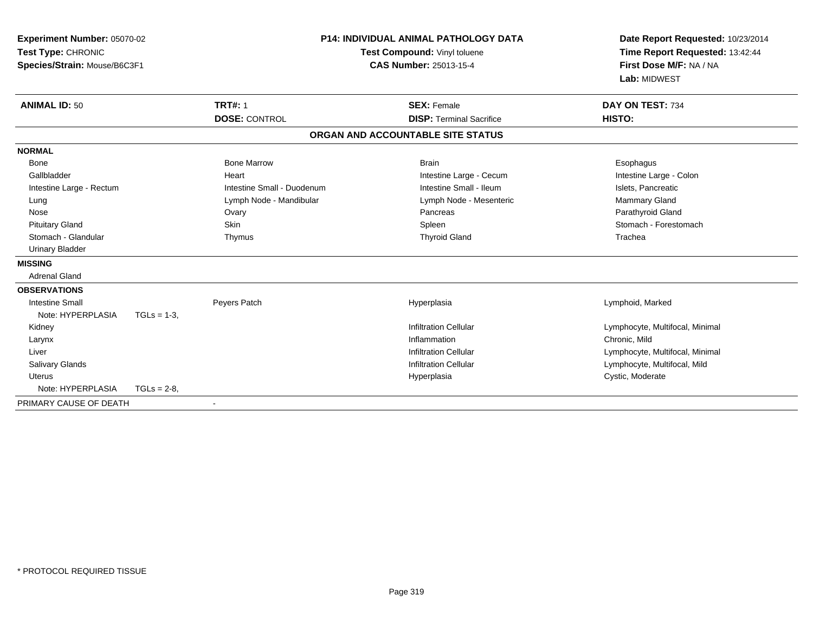| Experiment Number: 05070-02<br>Test Type: CHRONIC<br>Species/Strain: Mouse/B6C3F1 |                |                            | <b>P14: INDIVIDUAL ANIMAL PATHOLOGY DATA</b><br>Test Compound: Vinyl toluene<br><b>CAS Number: 25013-15-4</b> | Date Report Requested: 10/23/2014<br>Time Report Requested: 13:42:44<br>First Dose M/F: NA / NA<br>Lab: MIDWEST |
|-----------------------------------------------------------------------------------|----------------|----------------------------|---------------------------------------------------------------------------------------------------------------|-----------------------------------------------------------------------------------------------------------------|
| <b>ANIMAL ID: 50</b>                                                              |                | <b>TRT#: 1</b>             | <b>SEX: Female</b>                                                                                            | DAY ON TEST: 734                                                                                                |
|                                                                                   |                | <b>DOSE: CONTROL</b>       | <b>DISP: Terminal Sacrifice</b>                                                                               | HISTO:                                                                                                          |
|                                                                                   |                |                            | ORGAN AND ACCOUNTABLE SITE STATUS                                                                             |                                                                                                                 |
| <b>NORMAL</b>                                                                     |                |                            |                                                                                                               |                                                                                                                 |
| <b>Bone</b>                                                                       |                | <b>Bone Marrow</b>         | <b>Brain</b>                                                                                                  | Esophagus                                                                                                       |
| Gallbladder                                                                       |                | Heart                      | Intestine Large - Cecum                                                                                       | Intestine Large - Colon                                                                                         |
| Intestine Large - Rectum                                                          |                | Intestine Small - Duodenum | Intestine Small - Ileum                                                                                       | Islets, Pancreatic                                                                                              |
| Lung                                                                              |                | Lymph Node - Mandibular    | Lymph Node - Mesenteric                                                                                       | Mammary Gland                                                                                                   |
| Nose                                                                              |                | Ovary                      | Pancreas                                                                                                      | Parathyroid Gland                                                                                               |
| <b>Pituitary Gland</b>                                                            |                | <b>Skin</b>                | Spleen                                                                                                        | Stomach - Forestomach                                                                                           |
| Stomach - Glandular                                                               |                | Thymus                     | <b>Thyroid Gland</b>                                                                                          | Trachea                                                                                                         |
| <b>Urinary Bladder</b>                                                            |                |                            |                                                                                                               |                                                                                                                 |
| <b>MISSING</b>                                                                    |                |                            |                                                                                                               |                                                                                                                 |
| <b>Adrenal Gland</b>                                                              |                |                            |                                                                                                               |                                                                                                                 |
| <b>OBSERVATIONS</b>                                                               |                |                            |                                                                                                               |                                                                                                                 |
| <b>Intestine Small</b>                                                            |                | Peyers Patch               | Hyperplasia                                                                                                   | Lymphoid, Marked                                                                                                |
| Note: HYPERPLASIA                                                                 | $TGLs = 1-3$ , |                            |                                                                                                               |                                                                                                                 |
| Kidney                                                                            |                |                            | <b>Infiltration Cellular</b>                                                                                  | Lymphocyte, Multifocal, Minimal                                                                                 |
| Larynx                                                                            |                |                            | Inflammation                                                                                                  | Chronic, Mild                                                                                                   |
| Liver                                                                             |                |                            | <b>Infiltration Cellular</b>                                                                                  | Lymphocyte, Multifocal, Minimal                                                                                 |
| Salivary Glands                                                                   |                |                            | <b>Infiltration Cellular</b>                                                                                  | Lymphocyte, Multifocal, Mild                                                                                    |
| Uterus                                                                            |                |                            | Hyperplasia                                                                                                   | Cystic, Moderate                                                                                                |
| Note: HYPERPLASIA                                                                 | $TGLs = 2-8,$  |                            |                                                                                                               |                                                                                                                 |
| PRIMARY CAUSE OF DEATH                                                            |                |                            |                                                                                                               |                                                                                                                 |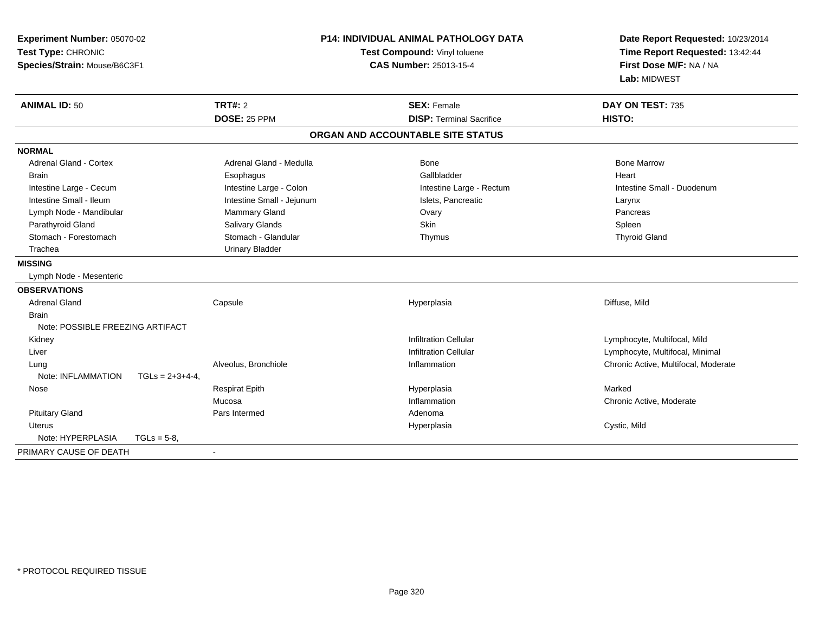| <b>TRT#: 2</b><br><b>ANIMAL ID: 50</b><br><b>SEX: Female</b><br>DAY ON TEST: 735<br>DOSE: 25 PPM<br><b>DISP: Terminal Sacrifice</b><br>HISTO:<br>ORGAN AND ACCOUNTABLE SITE STATUS<br><b>NORMAL</b><br><b>Adrenal Gland - Cortex</b><br>Adrenal Gland - Medulla<br><b>Bone</b><br><b>Bone Marrow</b><br>Gallbladder<br>Heart<br><b>Brain</b><br>Esophagus<br>Intestine Large - Colon<br>Intestine Large - Cecum<br>Intestine Large - Rectum<br>Intestine Small - Duodenum<br>Intestine Small - Ileum<br>Intestine Small - Jejunum<br>Islets, Pancreatic<br>Larynx<br>Lymph Node - Mandibular<br>Mammary Gland<br>Ovary<br>Pancreas<br>Salivary Glands<br>Parathyroid Gland<br>Skin<br>Spleen<br>Stomach - Forestomach<br>Stomach - Glandular<br><b>Thyroid Gland</b><br>Thymus<br><b>Urinary Bladder</b><br>Trachea<br><b>MISSING</b><br>Lymph Node - Mesenteric<br><b>OBSERVATIONS</b><br><b>Adrenal Gland</b><br>Capsule<br>Hyperplasia<br>Diffuse, Mild<br><b>Brain</b><br>Note: POSSIBLE FREEZING ARTIFACT<br><b>Infiltration Cellular</b><br>Lymphocyte, Multifocal, Mild<br>Kidney<br><b>Infiltration Cellular</b><br>Liver<br>Lymphocyte, Multifocal, Minimal<br>Chronic Active, Multifocal, Moderate<br>Alveolus, Bronchiole<br>Inflammation<br>Lung<br>Note: INFLAMMATION<br>$TGLs = 2+3+4-4.$<br>Marked<br><b>Respirat Epith</b><br>Hyperplasia<br>Nose<br>Mucosa<br>Inflammation<br>Chronic Active, Moderate<br><b>Pituitary Gland</b><br>Pars Intermed<br>Adenoma<br><b>Uterus</b><br>Hyperplasia<br>Cystic, Mild<br>Note: HYPERPLASIA<br>$TGLs = 5-8$ , | Experiment Number: 05070-02<br>Test Type: CHRONIC<br>Species/Strain: Mouse/B6C3F1 |  | P14: INDIVIDUAL ANIMAL PATHOLOGY DATA<br>Test Compound: Vinyl toluene<br><b>CAS Number: 25013-15-4</b> |  | Date Report Requested: 10/23/2014<br>Time Report Requested: 13:42:44<br>First Dose M/F: NA / NA<br>Lab: MIDWEST |
|----------------------------------------------------------------------------------------------------------------------------------------------------------------------------------------------------------------------------------------------------------------------------------------------------------------------------------------------------------------------------------------------------------------------------------------------------------------------------------------------------------------------------------------------------------------------------------------------------------------------------------------------------------------------------------------------------------------------------------------------------------------------------------------------------------------------------------------------------------------------------------------------------------------------------------------------------------------------------------------------------------------------------------------------------------------------------------------------------------------------------------------------------------------------------------------------------------------------------------------------------------------------------------------------------------------------------------------------------------------------------------------------------------------------------------------------------------------------------------------------------------------------------------------------------------------------|-----------------------------------------------------------------------------------|--|--------------------------------------------------------------------------------------------------------|--|-----------------------------------------------------------------------------------------------------------------|
|                                                                                                                                                                                                                                                                                                                                                                                                                                                                                                                                                                                                                                                                                                                                                                                                                                                                                                                                                                                                                                                                                                                                                                                                                                                                                                                                                                                                                                                                                                                                                                      |                                                                                   |  |                                                                                                        |  |                                                                                                                 |
|                                                                                                                                                                                                                                                                                                                                                                                                                                                                                                                                                                                                                                                                                                                                                                                                                                                                                                                                                                                                                                                                                                                                                                                                                                                                                                                                                                                                                                                                                                                                                                      |                                                                                   |  |                                                                                                        |  |                                                                                                                 |
|                                                                                                                                                                                                                                                                                                                                                                                                                                                                                                                                                                                                                                                                                                                                                                                                                                                                                                                                                                                                                                                                                                                                                                                                                                                                                                                                                                                                                                                                                                                                                                      |                                                                                   |  |                                                                                                        |  |                                                                                                                 |
|                                                                                                                                                                                                                                                                                                                                                                                                                                                                                                                                                                                                                                                                                                                                                                                                                                                                                                                                                                                                                                                                                                                                                                                                                                                                                                                                                                                                                                                                                                                                                                      |                                                                                   |  |                                                                                                        |  |                                                                                                                 |
|                                                                                                                                                                                                                                                                                                                                                                                                                                                                                                                                                                                                                                                                                                                                                                                                                                                                                                                                                                                                                                                                                                                                                                                                                                                                                                                                                                                                                                                                                                                                                                      |                                                                                   |  |                                                                                                        |  |                                                                                                                 |
|                                                                                                                                                                                                                                                                                                                                                                                                                                                                                                                                                                                                                                                                                                                                                                                                                                                                                                                                                                                                                                                                                                                                                                                                                                                                                                                                                                                                                                                                                                                                                                      |                                                                                   |  |                                                                                                        |  |                                                                                                                 |
|                                                                                                                                                                                                                                                                                                                                                                                                                                                                                                                                                                                                                                                                                                                                                                                                                                                                                                                                                                                                                                                                                                                                                                                                                                                                                                                                                                                                                                                                                                                                                                      |                                                                                   |  |                                                                                                        |  |                                                                                                                 |
|                                                                                                                                                                                                                                                                                                                                                                                                                                                                                                                                                                                                                                                                                                                                                                                                                                                                                                                                                                                                                                                                                                                                                                                                                                                                                                                                                                                                                                                                                                                                                                      |                                                                                   |  |                                                                                                        |  |                                                                                                                 |
|                                                                                                                                                                                                                                                                                                                                                                                                                                                                                                                                                                                                                                                                                                                                                                                                                                                                                                                                                                                                                                                                                                                                                                                                                                                                                                                                                                                                                                                                                                                                                                      |                                                                                   |  |                                                                                                        |  |                                                                                                                 |
|                                                                                                                                                                                                                                                                                                                                                                                                                                                                                                                                                                                                                                                                                                                                                                                                                                                                                                                                                                                                                                                                                                                                                                                                                                                                                                                                                                                                                                                                                                                                                                      |                                                                                   |  |                                                                                                        |  |                                                                                                                 |
|                                                                                                                                                                                                                                                                                                                                                                                                                                                                                                                                                                                                                                                                                                                                                                                                                                                                                                                                                                                                                                                                                                                                                                                                                                                                                                                                                                                                                                                                                                                                                                      |                                                                                   |  |                                                                                                        |  |                                                                                                                 |
|                                                                                                                                                                                                                                                                                                                                                                                                                                                                                                                                                                                                                                                                                                                                                                                                                                                                                                                                                                                                                                                                                                                                                                                                                                                                                                                                                                                                                                                                                                                                                                      |                                                                                   |  |                                                                                                        |  |                                                                                                                 |
|                                                                                                                                                                                                                                                                                                                                                                                                                                                                                                                                                                                                                                                                                                                                                                                                                                                                                                                                                                                                                                                                                                                                                                                                                                                                                                                                                                                                                                                                                                                                                                      |                                                                                   |  |                                                                                                        |  |                                                                                                                 |
|                                                                                                                                                                                                                                                                                                                                                                                                                                                                                                                                                                                                                                                                                                                                                                                                                                                                                                                                                                                                                                                                                                                                                                                                                                                                                                                                                                                                                                                                                                                                                                      |                                                                                   |  |                                                                                                        |  |                                                                                                                 |
|                                                                                                                                                                                                                                                                                                                                                                                                                                                                                                                                                                                                                                                                                                                                                                                                                                                                                                                                                                                                                                                                                                                                                                                                                                                                                                                                                                                                                                                                                                                                                                      |                                                                                   |  |                                                                                                        |  |                                                                                                                 |
|                                                                                                                                                                                                                                                                                                                                                                                                                                                                                                                                                                                                                                                                                                                                                                                                                                                                                                                                                                                                                                                                                                                                                                                                                                                                                                                                                                                                                                                                                                                                                                      |                                                                                   |  |                                                                                                        |  |                                                                                                                 |
|                                                                                                                                                                                                                                                                                                                                                                                                                                                                                                                                                                                                                                                                                                                                                                                                                                                                                                                                                                                                                                                                                                                                                                                                                                                                                                                                                                                                                                                                                                                                                                      |                                                                                   |  |                                                                                                        |  |                                                                                                                 |
|                                                                                                                                                                                                                                                                                                                                                                                                                                                                                                                                                                                                                                                                                                                                                                                                                                                                                                                                                                                                                                                                                                                                                                                                                                                                                                                                                                                                                                                                                                                                                                      |                                                                                   |  |                                                                                                        |  |                                                                                                                 |
|                                                                                                                                                                                                                                                                                                                                                                                                                                                                                                                                                                                                                                                                                                                                                                                                                                                                                                                                                                                                                                                                                                                                                                                                                                                                                                                                                                                                                                                                                                                                                                      |                                                                                   |  |                                                                                                        |  |                                                                                                                 |
|                                                                                                                                                                                                                                                                                                                                                                                                                                                                                                                                                                                                                                                                                                                                                                                                                                                                                                                                                                                                                                                                                                                                                                                                                                                                                                                                                                                                                                                                                                                                                                      |                                                                                   |  |                                                                                                        |  |                                                                                                                 |
|                                                                                                                                                                                                                                                                                                                                                                                                                                                                                                                                                                                                                                                                                                                                                                                                                                                                                                                                                                                                                                                                                                                                                                                                                                                                                                                                                                                                                                                                                                                                                                      |                                                                                   |  |                                                                                                        |  |                                                                                                                 |
|                                                                                                                                                                                                                                                                                                                                                                                                                                                                                                                                                                                                                                                                                                                                                                                                                                                                                                                                                                                                                                                                                                                                                                                                                                                                                                                                                                                                                                                                                                                                                                      |                                                                                   |  |                                                                                                        |  |                                                                                                                 |
|                                                                                                                                                                                                                                                                                                                                                                                                                                                                                                                                                                                                                                                                                                                                                                                                                                                                                                                                                                                                                                                                                                                                                                                                                                                                                                                                                                                                                                                                                                                                                                      |                                                                                   |  |                                                                                                        |  |                                                                                                                 |
|                                                                                                                                                                                                                                                                                                                                                                                                                                                                                                                                                                                                                                                                                                                                                                                                                                                                                                                                                                                                                                                                                                                                                                                                                                                                                                                                                                                                                                                                                                                                                                      |                                                                                   |  |                                                                                                        |  |                                                                                                                 |
|                                                                                                                                                                                                                                                                                                                                                                                                                                                                                                                                                                                                                                                                                                                                                                                                                                                                                                                                                                                                                                                                                                                                                                                                                                                                                                                                                                                                                                                                                                                                                                      |                                                                                   |  |                                                                                                        |  |                                                                                                                 |
|                                                                                                                                                                                                                                                                                                                                                                                                                                                                                                                                                                                                                                                                                                                                                                                                                                                                                                                                                                                                                                                                                                                                                                                                                                                                                                                                                                                                                                                                                                                                                                      |                                                                                   |  |                                                                                                        |  |                                                                                                                 |
| PRIMARY CAUSE OF DEATH<br>$\blacksquare$                                                                                                                                                                                                                                                                                                                                                                                                                                                                                                                                                                                                                                                                                                                                                                                                                                                                                                                                                                                                                                                                                                                                                                                                                                                                                                                                                                                                                                                                                                                             |                                                                                   |  |                                                                                                        |  |                                                                                                                 |